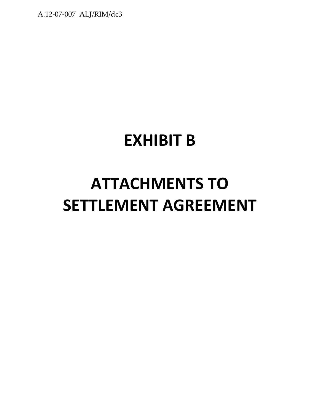A.12-07-007 ALJ/RIM/dc3

# **EXHIBIT B**

# **ATTACHMENTS TO SETTLEMENT AGREEMENT**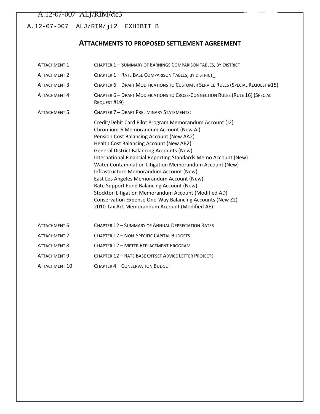#### A.12-07-007 ALJ/RIM/dc3

A.12-07-007 ALJ/RIM/jt2 EXHIBIT B

# **ATTACHMENTS TO PROPOSED SETTLEMENT AGREEMENT**

| <b>ATTACHMENT 1</b> | CHAPTER 1 - SUMMARY OF EARNINGS COMPARISON TABLES, BY DISTRICT                                                                                                                                                                                                                                                                                                                                                                                                                                                                                                                                                                                                                      |
|---------------------|-------------------------------------------------------------------------------------------------------------------------------------------------------------------------------------------------------------------------------------------------------------------------------------------------------------------------------------------------------------------------------------------------------------------------------------------------------------------------------------------------------------------------------------------------------------------------------------------------------------------------------------------------------------------------------------|
| <b>ATTACHMENT 2</b> | CHAPTER 1 - RATE BASE COMPARISON TABLES, BY DISTRICT                                                                                                                                                                                                                                                                                                                                                                                                                                                                                                                                                                                                                                |
| <b>ATTACHMENT 3</b> | CHAPTER 6 - DRAFT MODIFICATIONS TO CUSTOMER SERVICE RULES (SPECIAL REQUEST #15)                                                                                                                                                                                                                                                                                                                                                                                                                                                                                                                                                                                                     |
| ATTACHMENT 4        | CHAPTER 6 - DRAFT MODIFICATIONS TO CROSS-CONNECTION RULES (RULE 16) (SPECIAL<br>REQUEST #19)                                                                                                                                                                                                                                                                                                                                                                                                                                                                                                                                                                                        |
| <b>ATTACHMENT 5</b> | CHAPTER 7 - DRAFT PRELIMINARY STATEMENTS:                                                                                                                                                                                                                                                                                                                                                                                                                                                                                                                                                                                                                                           |
|                     | Credit/Debit Card Pilot Program Memorandum Account (J2)<br>Chromium-6 Memorandum Account (New AI)<br>Pension Cost Balancing Account (New AA2)<br>Health Cost Balancing Account (New AB2)<br><b>General District Balancing Accounts (New)</b><br>International Financial Reporting Standards Memo Account (New)<br>Water Contamination Litigation Memorandum Account (New)<br>Infrastructure Memorandum Account (New)<br>East Los Angeles Memorandum Account (New)<br>Rate Support Fund Balancing Account (New)<br>Stockton Litigation Memorandum Account (Modified AD)<br>Conservation Expense One-Way Balancing Accounts (New Z2)<br>2010 Tax Act Memorandum Account (Modified AE) |
| ATTACHMENT 6        | CHAPTER 12 - SUMMARY OF ANNUAL DEPRECIATION RATES                                                                                                                                                                                                                                                                                                                                                                                                                                                                                                                                                                                                                                   |
| <b>ATTACHMENT 7</b> | CHAPTER 12 - NON-SPECIFIC CAPITAL BUDGETS                                                                                                                                                                                                                                                                                                                                                                                                                                                                                                                                                                                                                                           |
| <b>ATTACHMENT 8</b> | CHAPTER 12 - METER REPLACEMENT PROGRAM                                                                                                                                                                                                                                                                                                                                                                                                                                                                                                                                                                                                                                              |
| ATTACHMENT 9        | <b>CHAPTER 12 - RATE BASE OFFSET ADVICE LETTER PROJECTS</b>                                                                                                                                                                                                                                                                                                                                                                                                                                                                                                                                                                                                                         |
| ATTACHMENT 10       | <b>CHAPTER 4 - CONSERVATION BUDGET</b>                                                                                                                                                                                                                                                                                                                                                                                                                                                                                                                                                                                                                                              |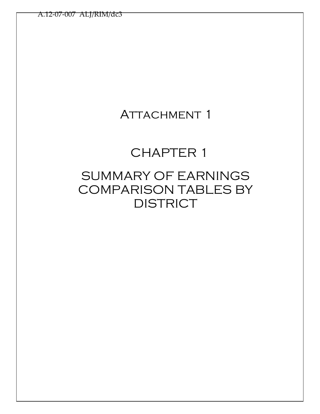# ATTACHMENT 1

# CHAPTER 1

# SUMMARY OF EARNINGS COMPARISON TABLES BY **DISTRICT**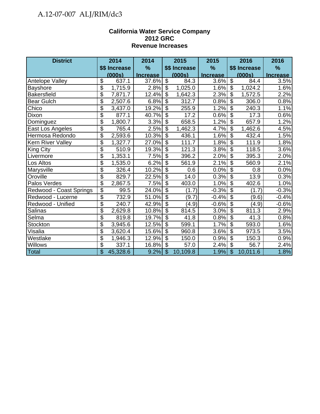# A.12-07-007 ALJ/RIM/dc3

#### **California Water Service Company 2012 GRC Revenue Increases**

| <b>District</b>         |                 | 2014          | 2014            |                           | 2015          | 2015            |                           | 2016          | 2016            |
|-------------------------|-----------------|---------------|-----------------|---------------------------|---------------|-----------------|---------------------------|---------------|-----------------|
|                         |                 | \$\$ Increase | $\frac{9}{6}$   |                           | \$\$ Increase | $\%$            |                           | \$\$ Increase | $\%$            |
|                         |                 | (000s)        | <b>Increase</b> |                           | (000s)        | <b>Increase</b> |                           | (000s)        | <b>Increase</b> |
| Antelope Valley         | \$              | 637.1         | 37.6%           | \$                        | 84.3          | 3.6%            | $\boldsymbol{\mathsf{S}}$ | 84.4          | 3.5%            |
| <b>Bayshore</b>         | \$              | 1,715.9       | 2.8%            | \$                        | 1,025.0       | 1.6%            | \$                        | 1,024.2       | 1.6%            |
| <b>Bakersfield</b>      | \$              | 7,871.7       | 12.4%           | $\overline{\$}$           | 1,642.3       | 2.3%            | $\overline{\$}$           | 1,572.5       | 2.2%            |
| <b>Bear Gulch</b>       | \$              | 2,507.6       | 6.8%            | $\overline{\$}$           | 312.7         | 0.8%            | $\overline{\mathcal{S}}$  | 306.0         | 0.8%            |
| Chico                   | \$              | 3,437.0       | 19.2%           | $\overline{\$}$           | 255.9         | 1.2%            | $\overline{\$}$           | 240.3         | 1.1%            |
| Dixon                   | \$              | 877.1         | 40.7%           | $\boldsymbol{\mathsf{S}}$ | 17.2          | 0.6%            | $\boldsymbol{\mathsf{S}}$ | 17.3          | 0.6%            |
| Dominguez               | \$              | 1,800.7       | 3.3%            | $\overline{\$}$           | 658.5         | 1.2%            | $\overline{\$}$           | 657.9         | 1.2%            |
| East Los Angeles        | \$              | 765.4         | 2.5%            | $\boldsymbol{\theta}$     | 1,462.3       | 4.7%            | $\boldsymbol{\mathsf{S}}$ | 1,462.6       | 4.5%            |
| Hermosa Redondo         | $\overline{\$}$ | 2,593.6       | 10.3%           | $\overline{\mathcal{S}}$  | 436.1         | 1.6%            | $\overline{\$}$           | 432.4         | 1.5%            |
| Kern River Valley       | \$              | 1,327.7       | 27.0%           | $\overline{\mathcal{S}}$  | 111.7         | 1.8%            | $\overline{\mathbf{s}}$   | 111.9         | 1.8%            |
| <b>King City</b>        | \$              | 510.9         | 19.3%           | $\overline{\mathcal{S}}$  | 121.3         | 3.8%            | $\overline{\$}$           | 118.5         | 3.6%            |
| Livermore               | \$              | 1,353.1       | 7.5%            | $\overline{\mathcal{S}}$  | 396.2         | 2.0%            | $\overline{\$}$           | 395.3         | 2.0%            |
| Los Altos               | \$              | 1,535.0       | 6.2%            | $\overline{\mathcal{S}}$  | 561.9         | 2.1%            | $\overline{\$}$           | 560.9         | 2.1%            |
| Marysville              | \$              | 326.4         | 10.2%           | $\overline{\mathcal{S}}$  | 0.6           | 0.0%            | $\sqrt[6]{\frac{1}{2}}$   | 0.8           | 0.0%            |
| Oroville                | \$              | 829.7         | 22.5%           | $\overline{\mathcal{S}}$  | 14.0          | 0.3%            | $\overline{\mathcal{S}}$  | 13.9          | 0.3%            |
| Palos Verdes            | \$              | 2,867.5       | 7.5%            | $\overline{\$}$           | 403.0         | 1.0%            | $\overline{\mathbf{3}}$   | 402.6         | 1.0%            |
| Redwood - Coast Springs | \$              | 99.5          | 24.0%           | $\overline{\mathcal{S}}$  | (1.7)         | $-0.3%$         | $\boldsymbol{\mathsf{S}}$ | (1.7)         | $-0.3%$         |
| Redwood - Lucerne       | \$              | 732.9         | 51.0%           | $\overline{\$}$           | (9.7)         | $-0.4%$         | $\overline{\mathcal{S}}$  | (9.6)         | $-0.4%$         |
| Redwood - Unified       | \$              | 240.7         | 42.9%           | $\boldsymbol{\mathsf{S}}$ | (4.9)         | $-0.6%$         | $\boldsymbol{\mathsf{S}}$ | (4.9)         | $-0.6%$         |
| Salinas                 | \$              | 2,629.8       | 10.8%           | $\overline{\$}$           | 814.5         | 3.0%            | $\overline{\$}$           | 811.3         | 2.9%            |
| Selma                   | \$              | 819.8         | 19.7%           | $\overline{\mathcal{S}}$  | 41.8          | 0.8%            | S)                        | 41.3          | 0.8%            |
| Stockton                | \$              | 3,945.6       | 12.5%           | $\overline{\$}$           | 599.1         | 1.7%            | $\overline{\$}$           | 593.0         | 1.6%            |
| Visalia                 | \$              | 3,620.4       | 15.6%           | $\boldsymbol{\mathsf{S}}$ | 960.8         | 3.6%            | $\overline{\mathcal{S}}$  | 973.5         | 3.5%            |
| Westlake                | $\overline{\$}$ | 1,946.3       | 12.9%           | $\overline{\mathcal{S}}$  | 150.0         | 0.9%            | $\overline{\$}$           | 150.3         | 0.9%            |
| <b>Willows</b>          | \$              | 337.1         | 16.8%           | $\mathcal{S}$             | 57.0          | 2.4%            | $\overline{\mathcal{S}}$  | 56.7          | 2.4%            |
| <b>Total</b>            | \$              | 45,328.6      | 9.2%            | $\mathcal{S}$             | 10,109.8      | 1.9%            | $\mathcal{S}$             | 10,011.6      | 1.8%            |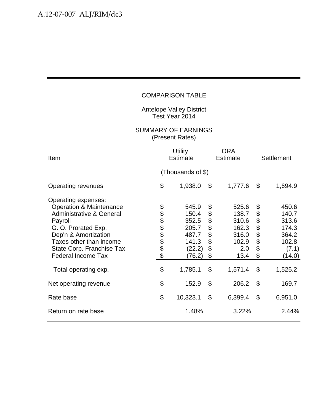Antelope Valley District Test Year 2014

| Item                                                                                                                                                                                                                                                                    | <b>Utility</b><br><b>Estimate</b> |                                                                                   |                                                    | <b>ORA</b><br><b>Estimate</b>                                                | Settlement                                            |                                                                                  |
|-------------------------------------------------------------------------------------------------------------------------------------------------------------------------------------------------------------------------------------------------------------------------|-----------------------------------|-----------------------------------------------------------------------------------|----------------------------------------------------|------------------------------------------------------------------------------|-------------------------------------------------------|----------------------------------------------------------------------------------|
|                                                                                                                                                                                                                                                                         |                                   | (Thousands of \$)                                                                 |                                                    |                                                                              |                                                       |                                                                                  |
| Operating revenues                                                                                                                                                                                                                                                      | \$                                | 1,938.0                                                                           | \$                                                 | 1,777.6                                                                      | \$                                                    | 1,694.9                                                                          |
| Operating expenses:<br><b>Operation &amp; Maintenance</b><br><b>Administrative &amp; General</b><br>Payroll<br>G. O. Prorated Exp.<br>Dep'n & Amortization<br>Taxes other than income<br>State Corp. Franchise Tax<br><b>Federal Income Tax</b><br>Total operating exp. | <b>8888888</b><br>\$              | 545.9<br>150.4<br>352.5<br>205.7<br>487.7<br>141.3<br>(22.2)<br>(76.2)<br>1,785.1 | \$<br>\$<br>\$<br>\$<br>\$<br>\$<br>\$<br>\$<br>\$ | 525.6<br>138.7<br>310.6<br>162.3<br>316.0<br>102.9<br>2.0<br>13.4<br>1,571.4 | \$<br>\$<br>\$<br>$\ddot{\$}$<br>\$<br>\$<br>\$<br>\$ | 450.6<br>140.7<br>313.6<br>174.3<br>364.2<br>102.8<br>(7.1)<br>(14.0)<br>1,525.2 |
| Net operating revenue                                                                                                                                                                                                                                                   | \$                                | 152.9                                                                             | $\mathcal{L}$                                      | 206.2                                                                        | $\mathcal{S}$                                         | 169.7                                                                            |
| Rate base                                                                                                                                                                                                                                                               | \$                                | 10,323.1                                                                          | $\boldsymbol{\mathsf{S}}$                          | 6,399.4                                                                      | \$                                                    | 6,951.0                                                                          |
| Return on rate base                                                                                                                                                                                                                                                     |                                   | 1.48%                                                                             |                                                    | 3.22%                                                                        |                                                       | 2.44%                                                                            |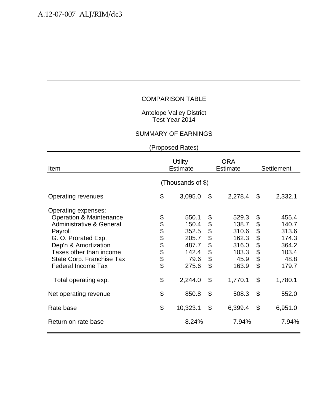Antelope Valley District Test Year 2014

### SUMMARY OF EARNINGS

| Item                                                                                                                                                                                                                                                                    | <b>Utility</b><br><b>Estimate</b> |                                                                                |                                                    | <b>ORA</b><br><b>Estimate</b>                                                  | <b>Settlement</b>                            |                                                                                |
|-------------------------------------------------------------------------------------------------------------------------------------------------------------------------------------------------------------------------------------------------------------------------|-----------------------------------|--------------------------------------------------------------------------------|----------------------------------------------------|--------------------------------------------------------------------------------|----------------------------------------------|--------------------------------------------------------------------------------|
|                                                                                                                                                                                                                                                                         |                                   | (Thousands of \$)                                                              |                                                    |                                                                                |                                              |                                                                                |
| Operating revenues                                                                                                                                                                                                                                                      | \$                                | 3,095.0                                                                        | \$                                                 | 2,278.4                                                                        | \$                                           | 2,332.1                                                                        |
| Operating expenses:<br><b>Operation &amp; Maintenance</b><br><b>Administrative &amp; General</b><br>Payroll<br>G. O. Prorated Exp.<br>Dep'n & Amortization<br>Taxes other than income<br>State Corp. Franchise Tax<br><b>Federal Income Tax</b><br>Total operating exp. | <b>8888888</b><br>\$              | 550.1<br>150.4<br>352.5<br>205.7<br>487.7<br>142.4<br>79.6<br>275.6<br>2,244.0 | \$<br>\$<br>\$<br>\$<br>\$<br>\$<br>\$<br>\$<br>\$ | 529.3<br>138.7<br>310.6<br>162.3<br>316.0<br>103.3<br>45.9<br>163.9<br>1,770.1 | \$<br>\$<br>\$<br>\$<br>\$<br>\$<br>\$<br>\$ | 455.4<br>140.7<br>313.6<br>174.3<br>364.2<br>103.4<br>48.8<br>179.7<br>1,780.1 |
| Net operating revenue                                                                                                                                                                                                                                                   | \$                                | 850.8                                                                          | \$                                                 | 508.3                                                                          | \$                                           | 552.0                                                                          |
| Rate base                                                                                                                                                                                                                                                               | \$                                | 10,323.1                                                                       | \$                                                 | 6,399.4                                                                        | \$                                           | 6,951.0                                                                        |
| Return on rate base                                                                                                                                                                                                                                                     |                                   | 8.24%                                                                          |                                                    | 7.94%                                                                          |                                              | 7.94%                                                                          |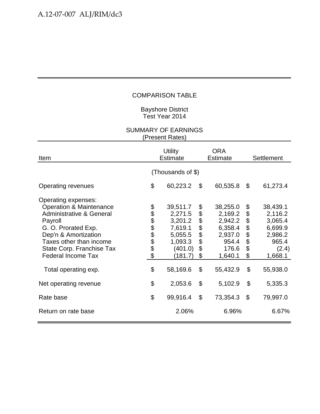#### Bayshore District Test Year 2014

| Item                                                                                                                                                                                                                                                                    | <b>Utility</b><br><b>Estimate</b> |                                                                                                   |                                        | ORA<br><b>Estimate</b>                                                                        | Settlement                                   |                                                                                               |
|-------------------------------------------------------------------------------------------------------------------------------------------------------------------------------------------------------------------------------------------------------------------------|-----------------------------------|---------------------------------------------------------------------------------------------------|----------------------------------------|-----------------------------------------------------------------------------------------------|----------------------------------------------|-----------------------------------------------------------------------------------------------|
|                                                                                                                                                                                                                                                                         | (Thousands of \$)                 |                                                                                                   |                                        |                                                                                               |                                              |                                                                                               |
| Operating revenues                                                                                                                                                                                                                                                      | \$                                | 60,223.2                                                                                          | \$                                     | 60,535.8                                                                                      | \$                                           | 61,273.4                                                                                      |
| Operating expenses:<br><b>Operation &amp; Maintenance</b><br><b>Administrative &amp; General</b><br>Payroll<br>G. O. Prorated Exp.<br>Dep'n & Amortization<br>Taxes other than income<br>State Corp. Franchise Tax<br><b>Federal Income Tax</b><br>Total operating exp. | <b>88888888</b><br>\$             | 39,511.7<br>2,271.5<br>3,201.2<br>7,619.1<br>5,055.5<br>1,093.3<br>(401.0)<br>(181.7)<br>58,169.6 | \$<br>\$<br>\$<br>\$<br>\$<br>\$<br>\$ | 38,255.0<br>2,169.2<br>2,942.2<br>6,358.4<br>2,937.0<br>954.4<br>176.6<br>1,640.1<br>55,432.9 | \$<br>\$<br>\$<br>\$<br>\$<br>\$<br>\$<br>\$ | 38,439.1<br>2,116.2<br>3,065.4<br>6,699.9<br>2,986.2<br>965.4<br>(2.4)<br>1,668.1<br>55,938.0 |
| Net operating revenue                                                                                                                                                                                                                                                   | \$                                | 2,053.6                                                                                           | \$                                     | 5,102.9                                                                                       | \$                                           | 5,335.3                                                                                       |
| Rate base                                                                                                                                                                                                                                                               | \$                                | 99,916.4                                                                                          | $\mathcal{L}$                          | 73,354.3                                                                                      | \$                                           | 79,997.0                                                                                      |
| Return on rate base                                                                                                                                                                                                                                                     |                                   | 2.06%                                                                                             |                                        | 6.96%                                                                                         |                                              | 6.67%                                                                                         |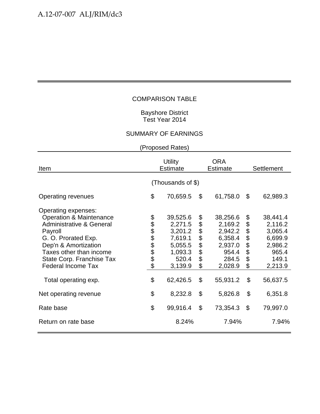#### Bayshore District Test Year 2014

# SUMMARY OF EARNINGS

| Item                                                                                                                                                                                                                                                                    | <b>Utility</b><br><b>Estimate</b> |                                                                                                 |                                                       | <b>ORA</b><br><b>Estimate</b>                                                                 | Settlement                                   |                                                                                               |
|-------------------------------------------------------------------------------------------------------------------------------------------------------------------------------------------------------------------------------------------------------------------------|-----------------------------------|-------------------------------------------------------------------------------------------------|-------------------------------------------------------|-----------------------------------------------------------------------------------------------|----------------------------------------------|-----------------------------------------------------------------------------------------------|
|                                                                                                                                                                                                                                                                         |                                   | (Thousands of \$)                                                                               |                                                       |                                                                                               |                                              |                                                                                               |
| <b>Operating revenues</b>                                                                                                                                                                                                                                               | \$                                | 70,659.5                                                                                        | \$                                                    | 61,758.0                                                                                      | \$                                           | 62,989.3                                                                                      |
| Operating expenses:<br><b>Operation &amp; Maintenance</b><br><b>Administrative &amp; General</b><br>Payroll<br>G. O. Prorated Exp.<br>Dep'n & Amortization<br>Taxes other than income<br>State Corp. Franchise Tax<br><b>Federal Income Tax</b><br>Total operating exp. | \$<br>888888<br>\$                | 39,525.6<br>2,271.5<br>3,201.2<br>7,619.1<br>5,055.5<br>1,093.3<br>520.4<br>3,139.9<br>62,426.5 | \$<br>\$<br>\$<br>\$<br>$\ddot{\$}$<br>\$<br>\$<br>\$ | 38,256.6<br>2,169.2<br>2,942.2<br>6,358.4<br>2,937.0<br>954.4<br>284.5<br>2,028.9<br>55,931.2 | \$<br>\$<br>\$<br>\$<br>\$<br>\$<br>\$<br>\$ | 38,441.4<br>2,116.2<br>3,065.4<br>6,699.9<br>2,986.2<br>965.4<br>149.1<br>2,213.9<br>56,637.5 |
| Net operating revenue                                                                                                                                                                                                                                                   | \$                                | 8,232.8                                                                                         | \$                                                    | 5,826.8                                                                                       | \$                                           | 6,351.8                                                                                       |
| Rate base                                                                                                                                                                                                                                                               | \$                                | 99,916.4                                                                                        | $\mathfrak{S}$                                        | 73,354.3                                                                                      | \$                                           | 79,997.0                                                                                      |
| Return on rate base                                                                                                                                                                                                                                                     |                                   | 8.24%                                                                                           |                                                       | 7.94%                                                                                         |                                              | 7.94%                                                                                         |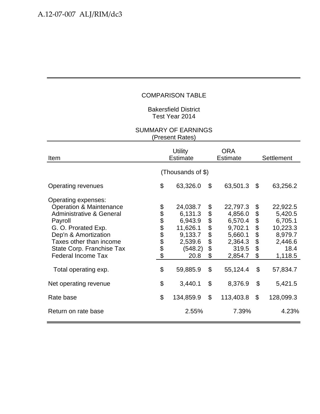Bakersfield District Test Year 2014

| Item                                                                                                                                                                                                                                                                    |                       | <b>Utility</b><br><b>Estimate</b>                                                               |                                              | <b>ORA</b><br><b>Estimate</b>                                                                   | Settlement                                     |                                                                                                 |
|-------------------------------------------------------------------------------------------------------------------------------------------------------------------------------------------------------------------------------------------------------------------------|-----------------------|-------------------------------------------------------------------------------------------------|----------------------------------------------|-------------------------------------------------------------------------------------------------|------------------------------------------------|-------------------------------------------------------------------------------------------------|
|                                                                                                                                                                                                                                                                         | (Thousands of \$)     |                                                                                                 |                                              |                                                                                                 |                                                |                                                                                                 |
| Operating revenues                                                                                                                                                                                                                                                      | \$                    | 63,326.0                                                                                        | \$                                           | 63,501.3                                                                                        | \$                                             | 63,256.2                                                                                        |
| Operating expenses:<br><b>Operation &amp; Maintenance</b><br><b>Administrative &amp; General</b><br>Payroll<br>G. O. Prorated Exp.<br>Dep'n & Amortization<br>Taxes other than income<br>State Corp. Franchise Tax<br><b>Federal Income Tax</b><br>Total operating exp. | <b>88888888</b><br>\$ | 24,038.7<br>6,131.3<br>6,943.9<br>11,626.1<br>9,133.7<br>2,539.6<br>(548.2)<br>20.8<br>59,885.9 | \$<br>\$<br>\$<br>\$<br>\$<br>\$<br>\$<br>\$ | 22,797.3<br>4,856.0<br>6,570.4<br>9,702.1<br>5,660.1<br>2,364.3<br>319.5<br>2,854.7<br>55,124.4 | \$<br>\$<br>\$\$<br>\$<br>\$<br>\$<br>\$<br>\$ | 22,922.5<br>5,420.5<br>6,705.1<br>10,223.3<br>8,979.7<br>2,446.6<br>18.4<br>1,118.5<br>57,834.7 |
| Net operating revenue                                                                                                                                                                                                                                                   | \$                    | 3,440.1                                                                                         | $\boldsymbol{\mathsf{S}}$                    | 8,376.9                                                                                         | \$                                             | 5,421.5                                                                                         |
| Rate base                                                                                                                                                                                                                                                               | \$                    | 134,859.9                                                                                       | $\mathfrak{S}$                               | 113,403.8                                                                                       | \$                                             | 128,099.3                                                                                       |
| Return on rate base                                                                                                                                                                                                                                                     |                       | 2.55%                                                                                           |                                              | 7.39%                                                                                           |                                                | 4.23%                                                                                           |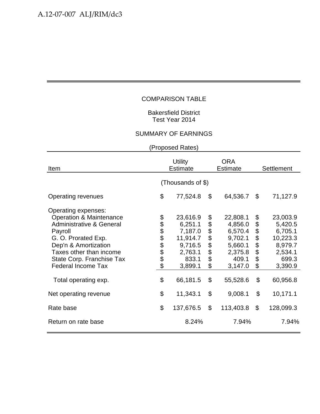#### Bakersfield District Test Year 2014

#### SUMMARY OF EARNINGS

| Item                                                                                                                                                                                                                                                                    | <b>Utility</b><br><b>Estimate</b> |                                                                                                  |                                              | <b>ORA</b><br><b>Estimate</b>                                                                   | <b>Settlement</b>                            |                                                                                                  |
|-------------------------------------------------------------------------------------------------------------------------------------------------------------------------------------------------------------------------------------------------------------------------|-----------------------------------|--------------------------------------------------------------------------------------------------|----------------------------------------------|-------------------------------------------------------------------------------------------------|----------------------------------------------|--------------------------------------------------------------------------------------------------|
|                                                                                                                                                                                                                                                                         |                                   | (Thousands of \$)                                                                                |                                              |                                                                                                 |                                              |                                                                                                  |
| <b>Operating revenues</b>                                                                                                                                                                                                                                               | \$                                | 77,524.8                                                                                         | \$                                           | 64,536.7                                                                                        | \$                                           | 71,127.9                                                                                         |
| Operating expenses:<br><b>Operation &amp; Maintenance</b><br><b>Administrative &amp; General</b><br>Payroll<br>G. O. Prorated Exp.<br>Dep'n & Amortization<br>Taxes other than income<br>State Corp. Franchise Tax<br><b>Federal Income Tax</b><br>Total operating exp. | <b>8888888</b><br>\$              | 23,616.9<br>6,251.1<br>7,187.0<br>11,914.7<br>9,716.5<br>2,763.1<br>833.1<br>3,899.1<br>66,181.5 | \$<br>\$<br>\$<br>\$<br>\$<br>\$<br>\$<br>\$ | 22,808.1<br>4,856.0<br>6,570.4<br>9,702.1<br>5,660.1<br>2,375.8<br>409.1<br>3,147.0<br>55,528.6 | \$<br>\$<br>\$<br>\$<br>\$<br>\$<br>\$<br>\$ | 23,003.9<br>5,420.5<br>6,705.1<br>10,223.3<br>8,979.7<br>2,534.1<br>699.3<br>3,390.9<br>60,956.8 |
| Net operating revenue                                                                                                                                                                                                                                                   | \$                                | 11,343.1                                                                                         | \$                                           | 9,008.1                                                                                         | \$                                           | 10,171.1                                                                                         |
| Rate base                                                                                                                                                                                                                                                               | \$                                | 137,676.5                                                                                        | \$                                           | 113,403.8                                                                                       | \$                                           | 128,099.3                                                                                        |
| Return on rate base                                                                                                                                                                                                                                                     |                                   | 8.24%                                                                                            |                                              | 7.94%                                                                                           |                                              | 7.94%                                                                                            |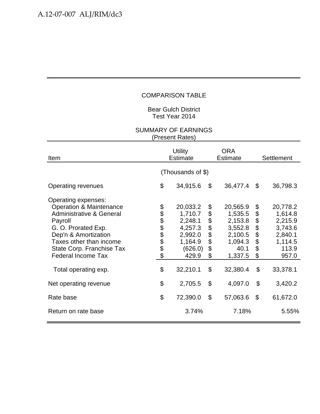Bear Gulch District Test Year 2014

| Item                                                                                                                                                                                                                                                                    |                       | <b>Utility</b><br><b>Estimate</b>                                                               |                                              | <b>ORA</b><br><b>Estimate</b>                                                                  | Settlement                                   |                                                                                               |
|-------------------------------------------------------------------------------------------------------------------------------------------------------------------------------------------------------------------------------------------------------------------------|-----------------------|-------------------------------------------------------------------------------------------------|----------------------------------------------|------------------------------------------------------------------------------------------------|----------------------------------------------|-----------------------------------------------------------------------------------------------|
|                                                                                                                                                                                                                                                                         |                       | (Thousands of \$)                                                                               |                                              |                                                                                                |                                              |                                                                                               |
| <b>Operating revenues</b>                                                                                                                                                                                                                                               | \$                    | 34,915.6                                                                                        | \$                                           | 36,477.4                                                                                       | \$                                           | 36,798.3                                                                                      |
| Operating expenses:<br><b>Operation &amp; Maintenance</b><br><b>Administrative &amp; General</b><br>Payroll<br>G. O. Prorated Exp.<br>Dep'n & Amortization<br>Taxes other than income<br>State Corp. Franchise Tax<br><b>Federal Income Tax</b><br>Total operating exp. | <b>88888888</b><br>\$ | 20,033.2<br>1,710.7<br>2,248.1<br>4,257.3<br>2,992.0<br>1,164.9<br>(626.0)<br>429.9<br>32,210.1 | \$<br>\$<br>\$<br>\$<br>\$<br>\$<br>\$<br>\$ | 20,565.9<br>1,535.5<br>2,153.8<br>3,552.8<br>2,100.5<br>1,094.3<br>40.1<br>1,337.5<br>32,380.4 | \$<br>\$<br>\$<br>\$<br>\$<br>\$<br>\$<br>\$ | 20,778.2<br>1,614.8<br>2,215.9<br>3,743.6<br>2,840.1<br>1,114.5<br>113.9<br>957.0<br>33,378.1 |
| Net operating revenue                                                                                                                                                                                                                                                   | \$                    | 2,705.5                                                                                         | \$                                           | 4,097.0                                                                                        | \$                                           | 3,420.2                                                                                       |
| Rate base                                                                                                                                                                                                                                                               | \$                    | 72,390.0                                                                                        | $\mathcal{L}$                                | 57,063.6                                                                                       | \$                                           | 61,672.0                                                                                      |
| Return on rate base                                                                                                                                                                                                                                                     |                       | 3.74%                                                                                           |                                              | 7.18%                                                                                          |                                              | 5.55%                                                                                         |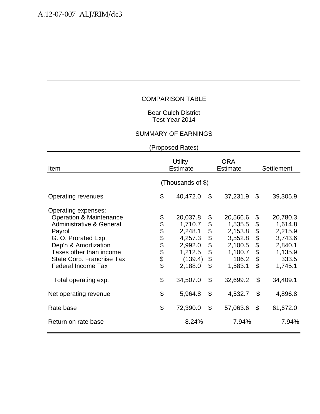#### Bear Gulch District Test Year 2014

#### SUMMARY OF EARNINGS

| Item                                                                                                                                                                                                                                                                    | <b>Utility</b><br><b>Estimate</b> |                                                                                                   |                                              | <b>ORA</b><br><b>Estimate</b>                                                                   | <b>Settlement</b>                            |                                                                                                 |
|-------------------------------------------------------------------------------------------------------------------------------------------------------------------------------------------------------------------------------------------------------------------------|-----------------------------------|---------------------------------------------------------------------------------------------------|----------------------------------------------|-------------------------------------------------------------------------------------------------|----------------------------------------------|-------------------------------------------------------------------------------------------------|
|                                                                                                                                                                                                                                                                         |                                   | (Thousands of \$)                                                                                 |                                              |                                                                                                 |                                              |                                                                                                 |
| <b>Operating revenues</b>                                                                                                                                                                                                                                               | \$                                | 40,472.0                                                                                          | \$                                           | 37,231.9                                                                                        | $\mathfrak{S}$                               | 39,305.9                                                                                        |
| Operating expenses:<br><b>Operation &amp; Maintenance</b><br><b>Administrative &amp; General</b><br>Payroll<br>G. O. Prorated Exp.<br>Dep'n & Amortization<br>Taxes other than income<br>State Corp. Franchise Tax<br><b>Federal Income Tax</b><br>Total operating exp. | <b>8888888</b><br>\$              | 20,037.8<br>1,710.7<br>2,248.1<br>4,257.3<br>2,992.0<br>1,212.5<br>(139.4)<br>2,188.0<br>34,507.0 | \$<br>\$<br>\$<br>\$<br>\$<br>\$<br>\$<br>\$ | 20,566.6<br>1,535.5<br>2,153.8<br>3,552.8<br>2,100.5<br>1,100.7<br>106.2<br>1,583.1<br>32,699.2 | \$<br>\$<br>\$<br>\$<br>\$<br>\$<br>\$<br>\$ | 20,780.3<br>1,614.8<br>2,215.9<br>3,743.6<br>2,840.1<br>1,135.9<br>333.5<br>1,745.1<br>34,409.1 |
| Net operating revenue                                                                                                                                                                                                                                                   | \$                                | 5,964.8                                                                                           | \$                                           | 4,532.7                                                                                         | $\boldsymbol{\mathsf{S}}$                    | 4,896.8                                                                                         |
| Rate base                                                                                                                                                                                                                                                               | \$                                | 72,390.0                                                                                          | \$                                           | 57,063.6                                                                                        | $\boldsymbol{\mathsf{S}}$                    | 61,672.0                                                                                        |
| Return on rate base                                                                                                                                                                                                                                                     |                                   | 8.24%                                                                                             |                                              | 7.94%                                                                                           |                                              | 7.94%                                                                                           |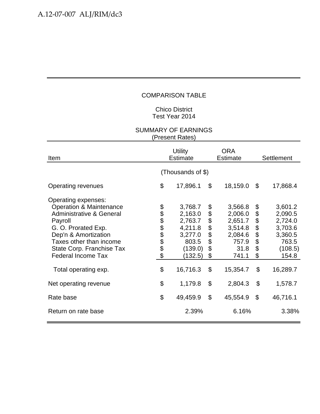#### Chico District Test Year 2014

| Item                                                                                                                                                                                                                                                                    |                       | <b>Utility</b><br><b>Estimate</b>                                                              |                                        | <b>ORA</b><br><b>Estimate</b>                                                             | Settlement                             |                                                                                              |
|-------------------------------------------------------------------------------------------------------------------------------------------------------------------------------------------------------------------------------------------------------------------------|-----------------------|------------------------------------------------------------------------------------------------|----------------------------------------|-------------------------------------------------------------------------------------------|----------------------------------------|----------------------------------------------------------------------------------------------|
|                                                                                                                                                                                                                                                                         |                       | (Thousands of \$)                                                                              |                                        |                                                                                           |                                        |                                                                                              |
| <b>Operating revenues</b>                                                                                                                                                                                                                                               | \$                    | 17,896.1                                                                                       | \$                                     | 18,159.0                                                                                  | \$                                     | 17,868.4                                                                                     |
| Operating expenses:<br><b>Operation &amp; Maintenance</b><br><b>Administrative &amp; General</b><br>Payroll<br>G. O. Prorated Exp.<br>Dep'n & Amortization<br>Taxes other than income<br>State Corp. Franchise Tax<br><b>Federal Income Tax</b><br>Total operating exp. | <b>88888888</b><br>\$ | 3,768.7<br>2,163.0<br>2,763.7<br>4,211.8<br>3,277.0<br>803.5<br>(139.0)<br>(132.5)<br>16,716.3 | \$<br>\$<br>\$<br>\$<br>\$<br>\$<br>\$ | 3,566.8<br>2,006.0<br>2,651.7<br>3,514.8<br>2,084.6<br>757.9<br>31.8<br>741.1<br>15,354.7 | \$<br>\$<br>\$<br>\$<br>\$<br>\$<br>\$ | 3,601.2<br>2,090.5<br>2,724.0<br>3,703.6<br>3,360.5<br>763.5<br>(108.5)<br>154.8<br>16,289.7 |
| Net operating revenue                                                                                                                                                                                                                                                   | \$                    | 1,179.8                                                                                        | \$                                     | 2,804.3                                                                                   | \$                                     | 1,578.7                                                                                      |
| Rate base                                                                                                                                                                                                                                                               | \$                    | 49,459.9                                                                                       | $\mathcal{L}$                          | 45,554.9                                                                                  | \$                                     | 46,716.1                                                                                     |
| Return on rate base                                                                                                                                                                                                                                                     |                       | 2.39%                                                                                          |                                        | 6.16%                                                                                     |                                        | 3.38%                                                                                        |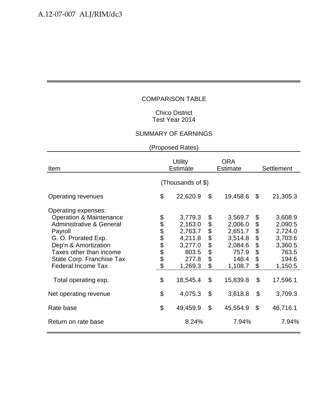#### Chico District Test Year 2014

# SUMMARY OF EARNINGS

| Item                                                                                                                                                                                                                                                                    | <b>Utility</b><br><b>Estimate</b> |                                                                                              |                                                    | <b>ORA</b><br><b>Estimate</b>                                                                | <b>Settlement</b>                                  |                                                                                              |
|-------------------------------------------------------------------------------------------------------------------------------------------------------------------------------------------------------------------------------------------------------------------------|-----------------------------------|----------------------------------------------------------------------------------------------|----------------------------------------------------|----------------------------------------------------------------------------------------------|----------------------------------------------------|----------------------------------------------------------------------------------------------|
|                                                                                                                                                                                                                                                                         |                                   | (Thousands of \$)                                                                            |                                                    |                                                                                              |                                                    |                                                                                              |
| Operating revenues                                                                                                                                                                                                                                                      | \$                                | 22,620.9                                                                                     | \$                                                 | 19,458.6                                                                                     | \$                                                 | 21,305.3                                                                                     |
| Operating expenses:<br><b>Operation &amp; Maintenance</b><br><b>Administrative &amp; General</b><br>Payroll<br>G. O. Prorated Exp.<br>Dep'n & Amortization<br>Taxes other than income<br>State Corp. Franchise Tax<br><b>Federal Income Tax</b><br>Total operating exp. | <b>88888888</b><br>\$             | 3,779.3<br>2,163.0<br>2,763.7<br>4,211.8<br>3,277.0<br>803.5<br>277.8<br>1,269.3<br>18,545.4 | \$<br>\$<br>\$<br>\$<br>\$<br>\$<br>\$<br>\$<br>\$ | 3,569.7<br>2,006.0<br>2,651.7<br>3,514.8<br>2,084.6<br>757.9<br>146.4<br>1,108.7<br>15,839.8 | \$<br>\$<br>\$<br>\$<br>\$<br>\$<br>\$<br>\$<br>\$ | 3,608.9<br>2,090.5<br>2,724.0<br>3,703.6<br>3,360.5<br>763.5<br>194.6<br>1,150.5<br>17,596.1 |
| Net operating revenue                                                                                                                                                                                                                                                   | \$                                | 4,075.3                                                                                      | \$                                                 | 3,618.8                                                                                      | \$                                                 | 3,709.3                                                                                      |
| Rate base                                                                                                                                                                                                                                                               | \$                                | 49,459.9                                                                                     | \$                                                 | 45,554.9                                                                                     | $\mathcal{L}$                                      | 46,716.1                                                                                     |
| Return on rate base                                                                                                                                                                                                                                                     |                                   | 8.24%                                                                                        |                                                    | 7.94%                                                                                        |                                                    | 7.94%                                                                                        |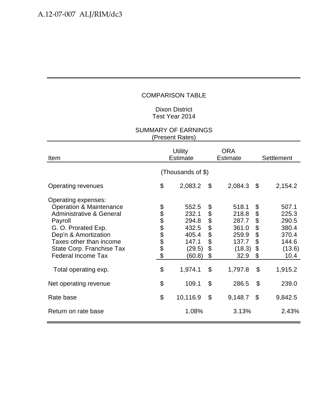#### Dixon District Test Year 2014

| Item                                                                                                                                                                                                                                                                    | <b>Utility</b><br><b>Estimate</b> |                                                                                   |                                                    | <b>ORA</b><br><b>Estimate</b>                                                   | Settlement                                                            |                                                                                 |  |  |
|-------------------------------------------------------------------------------------------------------------------------------------------------------------------------------------------------------------------------------------------------------------------------|-----------------------------------|-----------------------------------------------------------------------------------|----------------------------------------------------|---------------------------------------------------------------------------------|-----------------------------------------------------------------------|---------------------------------------------------------------------------------|--|--|
|                                                                                                                                                                                                                                                                         | (Thousands of \$)                 |                                                                                   |                                                    |                                                                                 |                                                                       |                                                                                 |  |  |
| Operating revenues                                                                                                                                                                                                                                                      | \$                                | 2,083.2                                                                           | \$                                                 | 2,084.3                                                                         | \$                                                                    | 2,154.2                                                                         |  |  |
| Operating expenses:<br><b>Operation &amp; Maintenance</b><br><b>Administrative &amp; General</b><br>Payroll<br>G. O. Prorated Exp.<br>Dep'n & Amortization<br>Taxes other than income<br>State Corp. Franchise Tax<br><b>Federal Income Tax</b><br>Total operating exp. | <b>88888888</b><br>\$             | 552.5<br>232.1<br>294.8<br>432.5<br>405.4<br>147.1<br>(29.5)<br>(60.8)<br>1,974.1 | \$<br>\$<br>\$<br>\$<br>\$<br>\$<br>\$<br>\$<br>\$ | 518.1<br>218.8<br>287.7<br>361.0<br>259.9<br>137.7<br>(18.3)<br>32.9<br>1,797.8 | \$<br>\$<br>\$<br>\$<br>\$<br>\$<br>$\boldsymbol{\theta}$<br>\$<br>\$ | 507.1<br>225.3<br>290.5<br>380.4<br>370.4<br>144.6<br>(13.6)<br>10.4<br>1,915.2 |  |  |
| Net operating revenue                                                                                                                                                                                                                                                   | \$                                | 109.1                                                                             | \$                                                 | 286.5                                                                           | \$                                                                    | 239.0                                                                           |  |  |
| Rate base                                                                                                                                                                                                                                                               | \$                                | 10,116.9                                                                          | $\mathcal{L}$                                      | 9,148.7                                                                         | \$                                                                    | 9,842.5                                                                         |  |  |
| Return on rate base                                                                                                                                                                                                                                                     |                                   | 1.08%                                                                             |                                                    | 3.13%                                                                           |                                                                       | 2.43%                                                                           |  |  |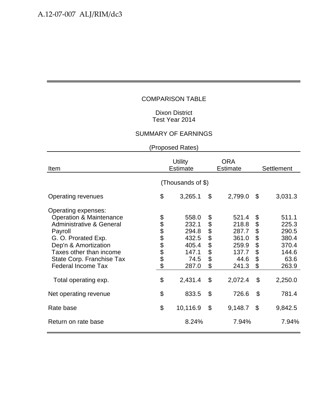#### Dixon District Test Year 2014

# SUMMARY OF EARNINGS

| Item                                                                                                                                                                                                                                                                    | <b>Utility</b><br><b>Estimate</b> |                                                                                |                                                    | ORA<br><b>Estimate</b>                                                         | Settlement                                         |                                                                                |  |  |
|-------------------------------------------------------------------------------------------------------------------------------------------------------------------------------------------------------------------------------------------------------------------------|-----------------------------------|--------------------------------------------------------------------------------|----------------------------------------------------|--------------------------------------------------------------------------------|----------------------------------------------------|--------------------------------------------------------------------------------|--|--|
|                                                                                                                                                                                                                                                                         | (Thousands of \$)                 |                                                                                |                                                    |                                                                                |                                                    |                                                                                |  |  |
| Operating revenues                                                                                                                                                                                                                                                      | \$                                | 3,265.1                                                                        | \$                                                 | 2,799.0                                                                        | \$                                                 | 3,031.3                                                                        |  |  |
| Operating expenses:<br><b>Operation &amp; Maintenance</b><br><b>Administrative &amp; General</b><br>Payroll<br>G. O. Prorated Exp.<br>Dep'n & Amortization<br>Taxes other than income<br>State Corp. Franchise Tax<br><b>Federal Income Tax</b><br>Total operating exp. | <b>88888888</b><br>\$             | 558.0<br>232.1<br>294.8<br>432.5<br>405.4<br>147.1<br>74.5<br>287.0<br>2,431.4 | \$<br>\$<br>\$<br>\$<br>\$<br>\$<br>\$<br>\$<br>\$ | 521.4<br>218.8<br>287.7<br>361.0<br>259.9<br>137.7<br>44.6<br>241.3<br>2,072.4 | \$<br>\$<br>\$<br>\$<br>\$<br>\$<br>\$<br>\$<br>\$ | 511.1<br>225.3<br>290.5<br>380.4<br>370.4<br>144.6<br>63.6<br>263.9<br>2,250.0 |  |  |
| Net operating revenue                                                                                                                                                                                                                                                   | \$                                | 833.5                                                                          | \$                                                 | 726.6                                                                          | \$                                                 | 781.4                                                                          |  |  |
| Rate base                                                                                                                                                                                                                                                               | \$                                | 10,116.9                                                                       | \$                                                 | 9,148.7                                                                        | \$                                                 | 9,842.5                                                                        |  |  |
| Return on rate base                                                                                                                                                                                                                                                     |                                   | 8.24%                                                                          |                                                    | 7.94%                                                                          |                                                    | 7.94%                                                                          |  |  |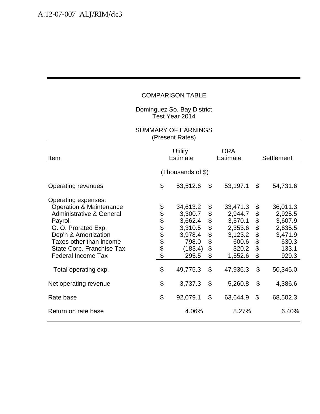Dominguez So. Bay District Test Year 2014

| Item                                                                                                                                                                                                                                                                    | <b>Utility</b><br><b>Estimate</b> |                                                                                               |                                                                     | <b>ORA</b><br><b>Estimate</b>                                                                 | Settlement                                   |                                                                                             |  |  |
|-------------------------------------------------------------------------------------------------------------------------------------------------------------------------------------------------------------------------------------------------------------------------|-----------------------------------|-----------------------------------------------------------------------------------------------|---------------------------------------------------------------------|-----------------------------------------------------------------------------------------------|----------------------------------------------|---------------------------------------------------------------------------------------------|--|--|
|                                                                                                                                                                                                                                                                         | (Thousands of \$)                 |                                                                                               |                                                                     |                                                                                               |                                              |                                                                                             |  |  |
| Operating revenues                                                                                                                                                                                                                                                      | \$                                | 53,512.6                                                                                      | \$                                                                  | 53,197.1                                                                                      | \$                                           | 54,731.6                                                                                    |  |  |
| Operating expenses:<br><b>Operation &amp; Maintenance</b><br><b>Administrative &amp; General</b><br>Payroll<br>G. O. Prorated Exp.<br>Dep'n & Amortization<br>Taxes other than income<br>State Corp. Franchise Tax<br><b>Federal Income Tax</b><br>Total operating exp. | <b>88888888</b><br>\$             | 34,613.2<br>3,300.7<br>3,662.4<br>3,310.5<br>3,978.4<br>798.0<br>(183.4)<br>295.5<br>49,775.3 | \$<br>\$<br>\$<br>\$<br>\$<br>\$<br>\$<br>$\boldsymbol{\mathsf{S}}$ | 33,471.3<br>2,944.7<br>3,570.1<br>2,353.6<br>3,123.2<br>600.6<br>320.2<br>1,552.6<br>47,936.3 | \$<br>\$<br>\$<br>\$<br>\$<br>\$<br>\$<br>\$ | 36,011.3<br>2,925.5<br>3,607.9<br>2,635.5<br>3,471.9<br>630.3<br>133.1<br>929.3<br>50,345.0 |  |  |
| Net operating revenue                                                                                                                                                                                                                                                   | \$                                | 3,737.3                                                                                       | $\boldsymbol{\mathsf{S}}$                                           | 5,260.8                                                                                       | $\boldsymbol{\mathsf{S}}$                    | 4,386.6                                                                                     |  |  |
| Rate base                                                                                                                                                                                                                                                               | \$                                | 92,079.1                                                                                      | $\mathcal{L}$                                                       | 63,644.9                                                                                      | \$                                           | 68,502.3                                                                                    |  |  |
| Return on rate base                                                                                                                                                                                                                                                     |                                   | 4.06%                                                                                         |                                                                     | 8.27%                                                                                         |                                              | 6.40%                                                                                       |  |  |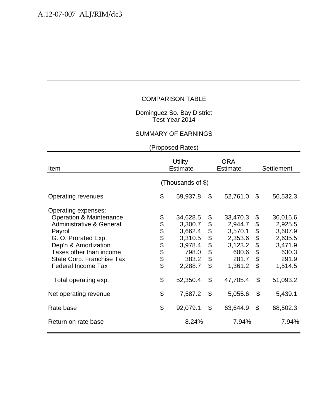#### Dominguez So. Bay District Test Year 2014

#### SUMMARY OF EARNINGS

| Item                                                                                                                                                                                                                                                                    | <b>Utility</b><br><b>Estimate</b> |                                                                                               |                                              | <b>ORA</b><br><b>Estimate</b>                                                                 | <b>Settlement</b>                                                         |                                                                                               |  |  |
|-------------------------------------------------------------------------------------------------------------------------------------------------------------------------------------------------------------------------------------------------------------------------|-----------------------------------|-----------------------------------------------------------------------------------------------|----------------------------------------------|-----------------------------------------------------------------------------------------------|---------------------------------------------------------------------------|-----------------------------------------------------------------------------------------------|--|--|
|                                                                                                                                                                                                                                                                         | (Thousands of \$)                 |                                                                                               |                                              |                                                                                               |                                                                           |                                                                                               |  |  |
| Operating revenues                                                                                                                                                                                                                                                      | \$                                | 59,937.8                                                                                      | \$                                           | 52,761.0                                                                                      | \$                                                                        | 56,532.3                                                                                      |  |  |
| Operating expenses:<br><b>Operation &amp; Maintenance</b><br><b>Administrative &amp; General</b><br>Payroll<br>G. O. Prorated Exp.<br>Dep'n & Amortization<br>Taxes other than income<br>State Corp. Franchise Tax<br><b>Federal Income Tax</b><br>Total operating exp. | \$<br>888888<br>\$                | 34,628.5<br>3,300.7<br>3,662.4<br>3,310.5<br>3,978.4<br>798.0<br>383.2<br>2,288.7<br>52,350.4 | \$<br>\$<br>\$<br>\$<br>\$<br>\$<br>\$<br>\$ | 33,470.3<br>2,944.7<br>3,570.1<br>2,353.6<br>3,123.2<br>600.6<br>281.7<br>1,361.2<br>47,705.4 | \$<br>\$<br>\$<br>\$<br>\$<br>\$<br>$\boldsymbol{\mathsf{S}}$<br>\$<br>\$ | 36,015.6<br>2,925.5<br>3,607.9<br>2,635.5<br>3,471.9<br>630.3<br>291.9<br>1,514.5<br>51,093.2 |  |  |
| Net operating revenue                                                                                                                                                                                                                                                   | \$                                | 7,587.2                                                                                       | $\mathcal{S}$                                | 5,055.6                                                                                       | \$                                                                        | 5,439.1                                                                                       |  |  |
| Rate base                                                                                                                                                                                                                                                               | \$                                | 92,079.1                                                                                      | \$                                           | 63,644.9                                                                                      | $\boldsymbol{\mathsf{S}}$                                                 | 68,502.3                                                                                      |  |  |
| Return on rate base                                                                                                                                                                                                                                                     |                                   | 8.24%                                                                                         |                                              | 7.94%                                                                                         |                                                                           | 7.94%                                                                                         |  |  |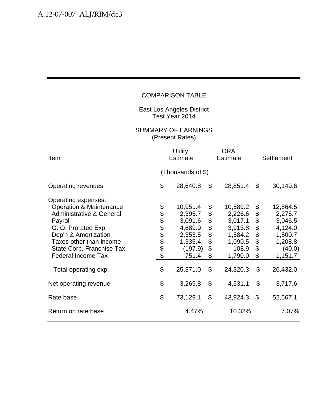East Los Angeles District Test Year 2014

| Item                                                                                                                                                                                                                                                                    | <b>Utility</b><br><b>Estimate</b> |                                                                                                 |                                              | <b>ORA</b><br><b>Estimate</b>                                                                   |                                              | Settlement                                                                                       |  |  |
|-------------------------------------------------------------------------------------------------------------------------------------------------------------------------------------------------------------------------------------------------------------------------|-----------------------------------|-------------------------------------------------------------------------------------------------|----------------------------------------------|-------------------------------------------------------------------------------------------------|----------------------------------------------|--------------------------------------------------------------------------------------------------|--|--|
|                                                                                                                                                                                                                                                                         | (Thousands of \$)                 |                                                                                                 |                                              |                                                                                                 |                                              |                                                                                                  |  |  |
| Operating revenues                                                                                                                                                                                                                                                      | \$                                | 28,640.8                                                                                        | \$                                           | 28,851.4                                                                                        | \$                                           | 30,149.6                                                                                         |  |  |
| Operating expenses:<br><b>Operation &amp; Maintenance</b><br><b>Administrative &amp; General</b><br>Payroll<br>G. O. Prorated Exp.<br>Dep'n & Amortization<br>Taxes other than income<br>State Corp. Franchise Tax<br><b>Federal Income Tax</b><br>Total operating exp. | <b>8888888</b><br>\$              | 10,951.4<br>2,395.7<br>3,091.6<br>4,689.9<br>2,353.5<br>1,335.4<br>(197.9)<br>751.4<br>25,371.0 | \$<br>\$<br>\$<br>\$<br>\$<br>\$<br>\$<br>\$ | 10,589.2<br>2,226.6<br>3,017.1<br>3,913.8<br>1,584.2<br>1,090.5<br>108.9<br>1,790.0<br>24,320.3 | \$<br>\$<br>\$<br>\$<br>\$<br>\$<br>\$<br>\$ | 12,864.5<br>2,275.7<br>3,046.5<br>4,124.0<br>1,800.7<br>1,208.8<br>(40.0)<br>1,151.7<br>26,432.0 |  |  |
| Net operating revenue                                                                                                                                                                                                                                                   | \$                                | 3,269.8                                                                                         | $\boldsymbol{\mathsf{S}}$                    | 4,531.1                                                                                         | $\boldsymbol{\mathsf{S}}$                    | 3,717.6                                                                                          |  |  |
| Rate base                                                                                                                                                                                                                                                               | \$                                | 73,129.1                                                                                        | \$                                           | 43,924.3                                                                                        | \$                                           | 52,567.1                                                                                         |  |  |
| Return on rate base                                                                                                                                                                                                                                                     |                                   | 4.47%                                                                                           |                                              | 10.32%                                                                                          |                                              | 7.07%                                                                                            |  |  |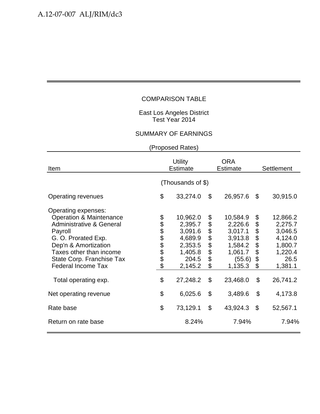#### East Los Angeles District Test Year 2014

#### SUMMARY OF EARNINGS

| Item                                                                                                                                                                                                                                                                    | <b>Utility</b><br><b>Estimate</b> |                                                                                                 |                                        | <b>ORA</b><br><b>Estimate</b>                                                                    | <b>Settlement</b>                                  |                                                                                                |  |  |
|-------------------------------------------------------------------------------------------------------------------------------------------------------------------------------------------------------------------------------------------------------------------------|-----------------------------------|-------------------------------------------------------------------------------------------------|----------------------------------------|--------------------------------------------------------------------------------------------------|----------------------------------------------------|------------------------------------------------------------------------------------------------|--|--|
|                                                                                                                                                                                                                                                                         | (Thousands of \$)                 |                                                                                                 |                                        |                                                                                                  |                                                    |                                                                                                |  |  |
| Operating revenues                                                                                                                                                                                                                                                      | \$                                | 33,274.0                                                                                        | \$                                     | 26,957.6                                                                                         | \$                                                 | 30,915.0                                                                                       |  |  |
| Operating expenses:<br><b>Operation &amp; Maintenance</b><br><b>Administrative &amp; General</b><br>Payroll<br>G. O. Prorated Exp.<br>Dep'n & Amortization<br>Taxes other than income<br>State Corp. Franchise Tax<br><b>Federal Income Tax</b><br>Total operating exp. | \$<br>888888<br>\$                | 10,962.0<br>2,395.7<br>3,091.6<br>4,689.9<br>2,353.5<br>1,405.8<br>204.5<br>2,145.2<br>27,248.2 | \$<br>\$<br>\$<br>\$<br>\$<br>\$<br>\$ | 10,584.9<br>2,226.6<br>3,017.1<br>3,913.8<br>1,584.2<br>1,061.7<br>(55.6)<br>1,135.3<br>23,468.0 | \$<br>\$<br>\$<br>\$<br>\$<br>\$<br>\$<br>\$<br>\$ | 12,866.2<br>2,275.7<br>3,046.5<br>4,124.0<br>1,800.7<br>1,220.4<br>26.5<br>1,381.1<br>26,741.2 |  |  |
| Net operating revenue                                                                                                                                                                                                                                                   | \$                                | 6,025.6                                                                                         | \$                                     | 3,489.6                                                                                          | \$                                                 | 4,173.8                                                                                        |  |  |
| Rate base                                                                                                                                                                                                                                                               | \$                                | 73,129.1                                                                                        | \$                                     | 43,924.3                                                                                         | $\boldsymbol{\mathsf{S}}$                          | 52,567.1                                                                                       |  |  |
| Return on rate base                                                                                                                                                                                                                                                     |                                   | 8.24%                                                                                           |                                        | 7.94%                                                                                            |                                                    | 7.94%                                                                                          |  |  |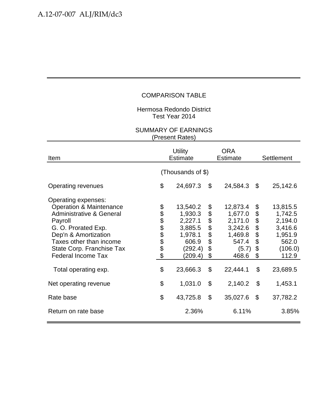Hermosa Redondo District Test Year 2014

| Item                                                                                                                                                                                                                                                                    | <b>Utility</b><br><b>Estimate</b> |                                                                                                 |                                              | <b>ORA</b><br><b>Estimate</b>                                                               |                                              | Settlement                                                                                    |  |  |
|-------------------------------------------------------------------------------------------------------------------------------------------------------------------------------------------------------------------------------------------------------------------------|-----------------------------------|-------------------------------------------------------------------------------------------------|----------------------------------------------|---------------------------------------------------------------------------------------------|----------------------------------------------|-----------------------------------------------------------------------------------------------|--|--|
|                                                                                                                                                                                                                                                                         | (Thousands of \$)                 |                                                                                                 |                                              |                                                                                             |                                              |                                                                                               |  |  |
| Operating revenues                                                                                                                                                                                                                                                      | \$                                | 24,697.3                                                                                        | $\boldsymbol{\mathsf{S}}$                    | 24,584.3                                                                                    | \$                                           | 25,142.6                                                                                      |  |  |
| Operating expenses:<br><b>Operation &amp; Maintenance</b><br><b>Administrative &amp; General</b><br>Payroll<br>G. O. Prorated Exp.<br>Dep'n & Amortization<br>Taxes other than income<br>State Corp. Franchise Tax<br><b>Federal Income Tax</b><br>Total operating exp. | \$\$\$\$\$\$\$\$\$\$<br>\$        | 13,540.2<br>1,930.3<br>2,227.1<br>3,885.5<br>1,978.1<br>606.9<br>(292.4)<br>(209.4)<br>23,666.3 | \$<br>\$<br>\$<br>\$<br>\$<br>\$<br>\$<br>\$ | 12,873.4<br>1,677.0<br>2,171.0<br>3,242.6<br>1,469.8<br>547.4<br>(5.7)<br>468.6<br>22,444.1 | \$<br>\$<br>\$<br>\$<br>\$<br>\$<br>\$<br>\$ | 13,815.5<br>1,742.5<br>2,194.0<br>3,416.6<br>1,951.9<br>562.0<br>(106.0)<br>112.9<br>23,689.5 |  |  |
| Net operating revenue                                                                                                                                                                                                                                                   | \$                                | 1,031.0                                                                                         | \$                                           | 2,140.2                                                                                     | \$                                           | 1,453.1                                                                                       |  |  |
| Rate base                                                                                                                                                                                                                                                               | \$                                | 43,725.8                                                                                        | $\mathcal{L}$                                | 35,027.6                                                                                    | \$                                           | 37,782.2                                                                                      |  |  |
| Return on rate base                                                                                                                                                                                                                                                     |                                   | 2.36%                                                                                           |                                              | 6.11%                                                                                       |                                              | 3.85%                                                                                         |  |  |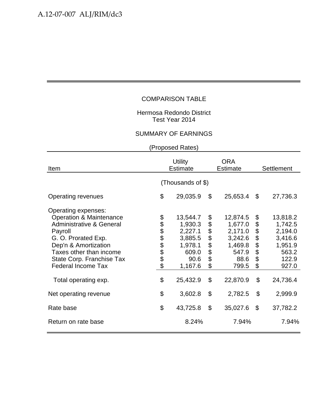#### Hermosa Redondo District Test Year 2014

#### SUMMARY OF EARNINGS

| Item                                                                                                                                                                                                                                                                    | <b>Utility</b><br><b>Estimate</b> |                                                                                              |                                                    | <b>ORA</b><br><b>Estimate</b>                                                              | <b>Settlement</b>                      |                                                                                             |  |  |
|-------------------------------------------------------------------------------------------------------------------------------------------------------------------------------------------------------------------------------------------------------------------------|-----------------------------------|----------------------------------------------------------------------------------------------|----------------------------------------------------|--------------------------------------------------------------------------------------------|----------------------------------------|---------------------------------------------------------------------------------------------|--|--|
|                                                                                                                                                                                                                                                                         | (Thousands of \$)                 |                                                                                              |                                                    |                                                                                            |                                        |                                                                                             |  |  |
| Operating revenues                                                                                                                                                                                                                                                      | \$                                | 29,035.9                                                                                     | \$                                                 | 25,653.4                                                                                   | $\boldsymbol{\mathsf{S}}$              | 27,736.3                                                                                    |  |  |
| Operating expenses:<br><b>Operation &amp; Maintenance</b><br><b>Administrative &amp; General</b><br>Payroll<br>G. O. Prorated Exp.<br>Dep'n & Amortization<br>Taxes other than income<br>State Corp. Franchise Tax<br><b>Federal Income Tax</b><br>Total operating exp. | \$<br>888888<br>\$                | 13,544.7<br>1,930.3<br>2,227.1<br>3,885.5<br>1,978.1<br>609.0<br>90.6<br>1,167.6<br>25,432.9 | \$<br>\$<br>\$<br>\$<br>\$<br>\$<br>\$<br>\$<br>\$ | 12,874.5<br>1,677.0<br>2,171.0<br>3,242.6<br>1,469.8<br>547.9<br>88.6<br>799.5<br>22,870.9 | \$<br>\$<br>\$\$\$\$<br>\$<br>\$<br>\$ | 13,818.2<br>1,742.5<br>2,194.0<br>3,416.6<br>1,951.9<br>563.2<br>122.9<br>927.0<br>24,736.4 |  |  |
| Net operating revenue                                                                                                                                                                                                                                                   | \$                                | 3,602.8                                                                                      | \$                                                 | 2,782.5                                                                                    | \$                                     | 2,999.9                                                                                     |  |  |
| Rate base                                                                                                                                                                                                                                                               | \$                                | 43,725.8                                                                                     | \$                                                 | 35,027.6                                                                                   | $\boldsymbol{\mathsf{S}}$              | 37,782.2                                                                                    |  |  |
| Return on rate base                                                                                                                                                                                                                                                     |                                   | 8.24%                                                                                        |                                                    | 7.94%                                                                                      |                                        | 7.94%                                                                                       |  |  |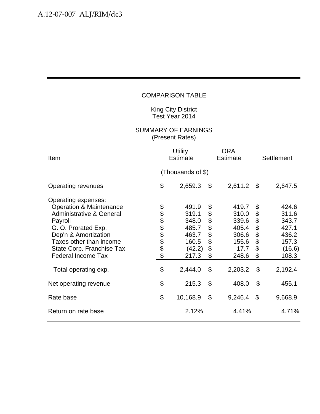#### King City District Test Year 2014

| Item                                                                                                                                                                                                                                                                    | <b>Utility</b><br><b>Estimate</b> |                                                                                  |                                                    | <b>ORA</b><br><b>Estimate</b>                                                  | Settlement                                                                |                                                                                  |  |  |
|-------------------------------------------------------------------------------------------------------------------------------------------------------------------------------------------------------------------------------------------------------------------------|-----------------------------------|----------------------------------------------------------------------------------|----------------------------------------------------|--------------------------------------------------------------------------------|---------------------------------------------------------------------------|----------------------------------------------------------------------------------|--|--|
|                                                                                                                                                                                                                                                                         | (Thousands of \$)                 |                                                                                  |                                                    |                                                                                |                                                                           |                                                                                  |  |  |
| <b>Operating revenues</b>                                                                                                                                                                                                                                               | \$                                | 2,659.3                                                                          | \$                                                 | 2,611.2                                                                        | - \$                                                                      | 2,647.5                                                                          |  |  |
| Operating expenses:<br><b>Operation &amp; Maintenance</b><br><b>Administrative &amp; General</b><br>Payroll<br>G. O. Prorated Exp.<br>Dep'n & Amortization<br>Taxes other than income<br>State Corp. Franchise Tax<br><b>Federal Income Tax</b><br>Total operating exp. | <b>88888888</b><br>\$             | 491.9<br>319.1<br>348.0<br>485.7<br>463.7<br>160.5<br>(42.2)<br>217.3<br>2,444.0 | \$<br>\$<br>\$<br>\$<br>\$<br>\$<br>\$<br>\$<br>\$ | 419.7<br>310.0<br>339.6<br>405.4<br>306.6<br>155.6<br>17.7<br>248.6<br>2,203.2 | \$<br>\$<br>\$<br>\$<br>\$<br>\$<br>\$<br>\$<br>$\boldsymbol{\mathsf{S}}$ | 424.6<br>311.6<br>343.7<br>427.1<br>436.2<br>157.3<br>(16.6)<br>108.3<br>2,192.4 |  |  |
| Net operating revenue                                                                                                                                                                                                                                                   | \$                                | 215.3                                                                            | $\mathcal{L}$                                      | 408.0                                                                          | \$                                                                        | 455.1                                                                            |  |  |
| Rate base                                                                                                                                                                                                                                                               | \$                                | 10,168.9                                                                         | \$                                                 | 9,246.4                                                                        | \$                                                                        | 9,668.9                                                                          |  |  |
| Return on rate base                                                                                                                                                                                                                                                     |                                   | 2.12%                                                                            |                                                    | 4.41%                                                                          |                                                                           | 4.71%                                                                            |  |  |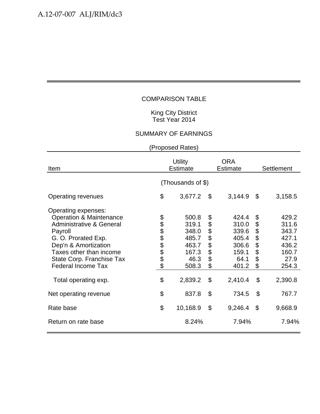#### King City District Test Year 2014

# SUMMARY OF EARNINGS

| Item                                                                                                                                                                                                                                                                    | <b>Utility</b><br><b>Estimate</b> |                                                                                |                                                    | <b>ORA</b><br><b>Estimate</b>                                                  | <b>Settlement</b>                                  |                                                                                |  |  |
|-------------------------------------------------------------------------------------------------------------------------------------------------------------------------------------------------------------------------------------------------------------------------|-----------------------------------|--------------------------------------------------------------------------------|----------------------------------------------------|--------------------------------------------------------------------------------|----------------------------------------------------|--------------------------------------------------------------------------------|--|--|
|                                                                                                                                                                                                                                                                         | (Thousands of \$)                 |                                                                                |                                                    |                                                                                |                                                    |                                                                                |  |  |
| Operating revenues                                                                                                                                                                                                                                                      | \$                                | 3,677.2                                                                        | \$                                                 | 3,144.9                                                                        | \$                                                 | 3,158.5                                                                        |  |  |
| Operating expenses:<br><b>Operation &amp; Maintenance</b><br><b>Administrative &amp; General</b><br>Payroll<br>G. O. Prorated Exp.<br>Dep'n & Amortization<br>Taxes other than income<br>State Corp. Franchise Tax<br><b>Federal Income Tax</b><br>Total operating exp. | <b>88888888</b><br>\$             | 500.8<br>319.1<br>348.0<br>485.7<br>463.7<br>167.3<br>46.3<br>508.3<br>2,839.2 | \$<br>\$<br>\$<br>\$<br>\$<br>\$<br>\$<br>\$<br>\$ | 424.4<br>310.0<br>339.6<br>405.4<br>306.6<br>159.1<br>64.1<br>401.2<br>2,410.4 | \$<br>\$<br>\$<br>\$<br>\$<br>\$<br>\$<br>\$<br>\$ | 429.2<br>311.6<br>343.7<br>427.1<br>436.2<br>160.7<br>27.9<br>254.3<br>2,390.8 |  |  |
| Net operating revenue                                                                                                                                                                                                                                                   | \$                                | 837.8                                                                          | \$                                                 | 734.5                                                                          | $\boldsymbol{\mathsf{S}}$                          | 767.7                                                                          |  |  |
| Rate base                                                                                                                                                                                                                                                               | \$                                | 10,168.9                                                                       | \$                                                 | 9,246.4                                                                        | \$                                                 | 9,668.9                                                                        |  |  |
| Return on rate base                                                                                                                                                                                                                                                     |                                   | 8.24%                                                                          |                                                    | 7.94%                                                                          |                                                    | 7.94%                                                                          |  |  |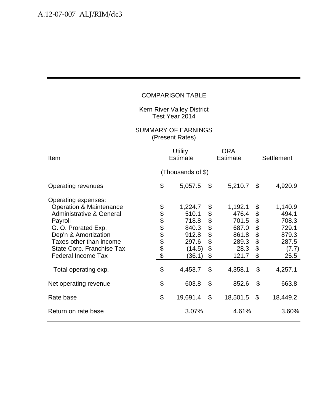Kern River Valley District Test Year 2014

| Item                                                                                                                                                                                                                                                                    | <b>Utility</b><br><b>Estimate</b> |                                                                                     |                                                             | <b>ORA</b><br>Estimate                                                           | Settlement                                         |                                                                                  |  |  |
|-------------------------------------------------------------------------------------------------------------------------------------------------------------------------------------------------------------------------------------------------------------------------|-----------------------------------|-------------------------------------------------------------------------------------|-------------------------------------------------------------|----------------------------------------------------------------------------------|----------------------------------------------------|----------------------------------------------------------------------------------|--|--|
|                                                                                                                                                                                                                                                                         | (Thousands of \$)                 |                                                                                     |                                                             |                                                                                  |                                                    |                                                                                  |  |  |
| <b>Operating revenues</b>                                                                                                                                                                                                                                               | \$                                | 5,057.5                                                                             | \$                                                          | 5,210.7                                                                          | \$                                                 | 4,920.9                                                                          |  |  |
| Operating expenses:<br><b>Operation &amp; Maintenance</b><br><b>Administrative &amp; General</b><br>Payroll<br>G. O. Prorated Exp.<br>Dep'n & Amortization<br>Taxes other than income<br>State Corp. Franchise Tax<br><b>Federal Income Tax</b><br>Total operating exp. | <b>8888888</b><br>\$              | 1,224.7<br>510.1<br>718.8<br>840.3<br>912.8<br>297.6<br>(14.5)<br>(36.1)<br>4,453.7 | \$<br>\$<br>\$<br>$\ddot{\$}$<br>\$<br>\$<br>\$<br>\$<br>\$ | 1,192.1<br>476.4<br>701.5<br>687.0<br>861.8<br>289.3<br>28.3<br>121.7<br>4,358.1 | \$<br>\$<br>\$<br>\$<br>\$<br>\$<br>\$<br>\$<br>\$ | 1,140.9<br>494.1<br>708.3<br>729.1<br>879.3<br>287.5<br>(7.7)<br>25.5<br>4,257.1 |  |  |
| Net operating revenue                                                                                                                                                                                                                                                   | \$                                | 603.8                                                                               | \$                                                          | 852.6                                                                            | \$                                                 | 663.8                                                                            |  |  |
| Rate base                                                                                                                                                                                                                                                               | \$                                | 19,691.4                                                                            | $\mathfrak{S}$                                              | 18,501.5                                                                         | \$                                                 | 18,449.2                                                                         |  |  |
| Return on rate base                                                                                                                                                                                                                                                     |                                   | 3.07%                                                                               |                                                             | 4.61%                                                                            |                                                    | 3.60%                                                                            |  |  |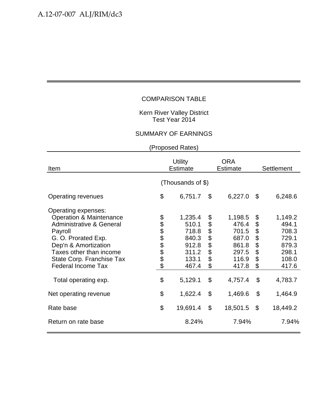#### Kern River Valley District Test Year 2014

### SUMMARY OF EARNINGS

| Item                                                                                                                                                                                                                                                                    | <b>Utility</b><br><b>Estimate</b> |                                                                                   |                                                    | <b>ORA</b><br><b>Estimate</b>                                                     | <b>Settlement</b>                                  |                                                                                   |  |  |
|-------------------------------------------------------------------------------------------------------------------------------------------------------------------------------------------------------------------------------------------------------------------------|-----------------------------------|-----------------------------------------------------------------------------------|----------------------------------------------------|-----------------------------------------------------------------------------------|----------------------------------------------------|-----------------------------------------------------------------------------------|--|--|
|                                                                                                                                                                                                                                                                         | (Thousands of \$)                 |                                                                                   |                                                    |                                                                                   |                                                    |                                                                                   |  |  |
| Operating revenues                                                                                                                                                                                                                                                      | \$                                | 6,751.7                                                                           | \$                                                 | 6,227.0                                                                           | \$                                                 | 6,248.6                                                                           |  |  |
| Operating expenses:<br><b>Operation &amp; Maintenance</b><br><b>Administrative &amp; General</b><br>Payroll<br>G. O. Prorated Exp.<br>Dep'n & Amortization<br>Taxes other than income<br>State Corp. Franchise Tax<br><b>Federal Income Tax</b><br>Total operating exp. | <b>8888888</b><br>\$              | 1,235.4<br>510.1<br>718.8<br>840.3<br>912.8<br>311.2<br>133.1<br>467.4<br>5,129.1 | \$<br>\$<br>\$<br>\$<br>\$<br>\$<br>\$<br>\$<br>\$ | 1,198.5<br>476.4<br>701.5<br>687.0<br>861.8<br>297.5<br>116.9<br>417.8<br>4,757.4 | \$<br>\$<br>\$<br>\$<br>\$<br>\$<br>\$<br>\$<br>\$ | 1,149.2<br>494.1<br>708.3<br>729.1<br>879.3<br>298.1<br>108.0<br>417.6<br>4,783.7 |  |  |
| Net operating revenue                                                                                                                                                                                                                                                   | \$                                | 1,622.4                                                                           | \$                                                 | 1,469.6                                                                           | \$                                                 | 1,464.9                                                                           |  |  |
| Rate base                                                                                                                                                                                                                                                               | \$                                | 19,691.4                                                                          | $\boldsymbol{\mathsf{S}}$                          | 18,501.5                                                                          | $\boldsymbol{\mathsf{S}}$                          | 18,449.2                                                                          |  |  |
| Return on rate base                                                                                                                                                                                                                                                     |                                   | 8.24%                                                                             |                                                    | 7.94%                                                                             |                                                    | 7.94%                                                                             |  |  |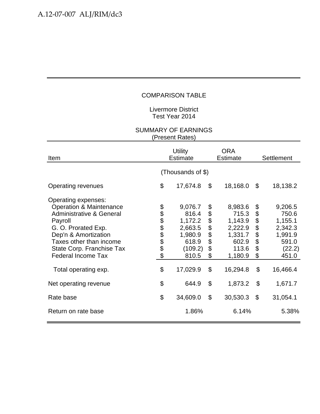Livermore District Test Year 2014

| Item                                                                                                                                                                                                                                                                    | <b>Utility</b><br><b>Estimate</b> |                                                                                            |                                              | <b>ORA</b><br><b>Estimate</b>                                                              | Settlement                                   |                                                                                           |  |  |
|-------------------------------------------------------------------------------------------------------------------------------------------------------------------------------------------------------------------------------------------------------------------------|-----------------------------------|--------------------------------------------------------------------------------------------|----------------------------------------------|--------------------------------------------------------------------------------------------|----------------------------------------------|-------------------------------------------------------------------------------------------|--|--|
|                                                                                                                                                                                                                                                                         | (Thousands of \$)                 |                                                                                            |                                              |                                                                                            |                                              |                                                                                           |  |  |
| Operating revenues                                                                                                                                                                                                                                                      | \$                                | 17,674.8                                                                                   | \$                                           | 18,168.0                                                                                   | \$                                           | 18,138.2                                                                                  |  |  |
| Operating expenses:<br><b>Operation &amp; Maintenance</b><br><b>Administrative &amp; General</b><br>Payroll<br>G. O. Prorated Exp.<br>Dep'n & Amortization<br>Taxes other than income<br>State Corp. Franchise Tax<br><b>Federal Income Tax</b><br>Total operating exp. | <b>88888888</b><br>\$             | 9,076.7<br>816.4<br>1,172.2<br>2,663.5<br>1,980.9<br>618.9<br>(109.2)<br>810.5<br>17,029.9 | \$<br>\$<br>\$<br>\$<br>\$<br>\$<br>\$<br>\$ | 8,983.6<br>715.3<br>1,143.9<br>2,222.9<br>1,331.7<br>602.9<br>113.6<br>1,180.9<br>16,294.8 | \$<br>\$<br>\$<br>\$<br>\$<br>\$<br>\$<br>\$ | 9,206.5<br>750.6<br>1,155.1<br>2,342.3<br>1,991.9<br>591.0<br>(22.2)<br>451.0<br>16,466.4 |  |  |
| Net operating revenue                                                                                                                                                                                                                                                   | \$                                | 644.9                                                                                      | \$                                           | 1,873.2                                                                                    | \$                                           | 1,671.7                                                                                   |  |  |
| Rate base                                                                                                                                                                                                                                                               | \$                                | 34,609.0                                                                                   | \$                                           | 30,530.3                                                                                   | \$                                           | 31,054.1                                                                                  |  |  |
| Return on rate base                                                                                                                                                                                                                                                     |                                   | 1.86%                                                                                      |                                              | 6.14%                                                                                      |                                              | 5.38%                                                                                     |  |  |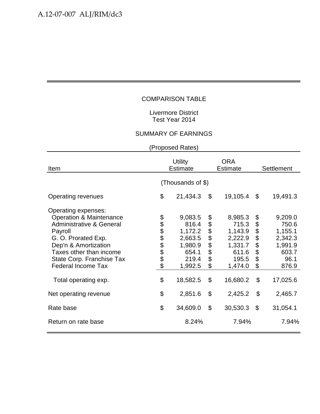#### Livermore District Test Year 2014

### SUMMARY OF EARNINGS

| Item                                                                                                                                                                                                                                                                    | <b>Utility</b><br>Estimate |                                                                                            |                                              | <b>ORA</b><br><b>Estimate</b>                                                              | Settlement                                   |                                                                                         |
|-------------------------------------------------------------------------------------------------------------------------------------------------------------------------------------------------------------------------------------------------------------------------|----------------------------|--------------------------------------------------------------------------------------------|----------------------------------------------|--------------------------------------------------------------------------------------------|----------------------------------------------|-----------------------------------------------------------------------------------------|
|                                                                                                                                                                                                                                                                         | (Thousands of \$)          |                                                                                            |                                              |                                                                                            |                                              |                                                                                         |
| Operating revenues                                                                                                                                                                                                                                                      | \$                         | 21,434.3                                                                                   | \$                                           | 19,105.4                                                                                   | \$                                           | 19,491.3                                                                                |
| Operating expenses:<br><b>Operation &amp; Maintenance</b><br><b>Administrative &amp; General</b><br>Payroll<br>G. O. Prorated Exp.<br>Dep'n & Amortization<br>Taxes other than income<br>State Corp. Franchise Tax<br><b>Federal Income Tax</b><br>Total operating exp. | 8888888<br>\$              | 9,083.5<br>816.4<br>1,172.2<br>2,663.5<br>1,980.9<br>654.1<br>219.4<br>1,992.5<br>18,582.5 | \$<br>\$<br>\$<br>\$<br>\$<br>\$<br>\$<br>\$ | 8,985.3<br>715.3<br>1,143.9<br>2,222.9<br>1,331.7<br>611.6<br>195.5<br>1,474.0<br>16,680.2 | \$<br>\$<br>\$<br>\$<br>\$<br>\$<br>\$<br>\$ | 9,209.0<br>750.6<br>1,155.1<br>2,342.3<br>1,991.9<br>603.7<br>96.1<br>876.9<br>17,025.6 |
| Net operating revenue                                                                                                                                                                                                                                                   | \$                         | 2,851.6                                                                                    | \$                                           | 2,425.2                                                                                    | \$                                           | 2,465.7                                                                                 |
| Rate base                                                                                                                                                                                                                                                               | \$                         | 34,609.0                                                                                   | \$                                           | 30,530.3                                                                                   | \$                                           | 31,054.1                                                                                |
| Return on rate base                                                                                                                                                                                                                                                     |                            | 8.24%                                                                                      |                                              | 7.94%                                                                                      |                                              | 7.94%                                                                                   |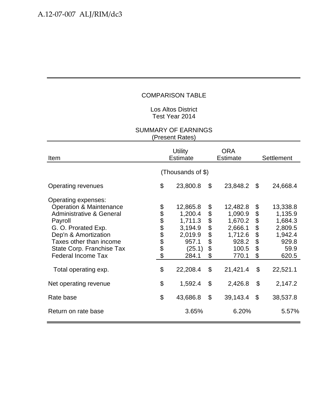#### Los Altos District Test Year 2014

| Item                                                                                                                                                                                                                                                                    | <b>Utility</b><br><b>Estimate</b> |                                                                                              |                                        | <b>ORA</b><br><b>Estimate</b>                                                               | Settlement                                   |                                                                                            |  |  |
|-------------------------------------------------------------------------------------------------------------------------------------------------------------------------------------------------------------------------------------------------------------------------|-----------------------------------|----------------------------------------------------------------------------------------------|----------------------------------------|---------------------------------------------------------------------------------------------|----------------------------------------------|--------------------------------------------------------------------------------------------|--|--|
|                                                                                                                                                                                                                                                                         | (Thousands of \$)                 |                                                                                              |                                        |                                                                                             |                                              |                                                                                            |  |  |
| Operating revenues                                                                                                                                                                                                                                                      | \$                                | 23,800.8                                                                                     | \$                                     | 23,848.2                                                                                    | \$                                           | 24,668.4                                                                                   |  |  |
| Operating expenses:<br><b>Operation &amp; Maintenance</b><br><b>Administrative &amp; General</b><br>Payroll<br>G. O. Prorated Exp.<br>Dep'n & Amortization<br>Taxes other than income<br>State Corp. Franchise Tax<br><b>Federal Income Tax</b><br>Total operating exp. | <b>88888888</b><br>\$             | 12,865.8<br>1,200.4<br>1,711.3<br>3,194.9<br>2,019.9<br>957.1<br>(25.1)<br>284.1<br>22,208.4 | \$<br>\$<br>\$<br>\$<br>\$<br>\$<br>\$ | 12,482.8<br>1,090.9<br>1,670.2<br>2,666.1<br>1,712.6<br>928.2<br>100.5<br>770.1<br>21,421.4 | \$<br>\$<br>\$<br>\$<br>\$<br>\$<br>\$<br>\$ | 13,338.8<br>1,135.9<br>1,684.3<br>2,809.5<br>1,942.4<br>929.8<br>59.9<br>620.5<br>22,521.1 |  |  |
| Net operating revenue                                                                                                                                                                                                                                                   | \$                                | 1,592.4                                                                                      | $\boldsymbol{\mathsf{S}}$              | 2,426.8                                                                                     | \$                                           | 2,147.2                                                                                    |  |  |
| Rate base                                                                                                                                                                                                                                                               | \$                                | 43,686.8                                                                                     | $\mathfrak{L}$                         | 39,143.4                                                                                    | $\mathcal{L}$                                | 38,537.8                                                                                   |  |  |
| Return on rate base                                                                                                                                                                                                                                                     |                                   | 3.65%                                                                                        |                                        | 6.20%                                                                                       |                                              | 5.57%                                                                                      |  |  |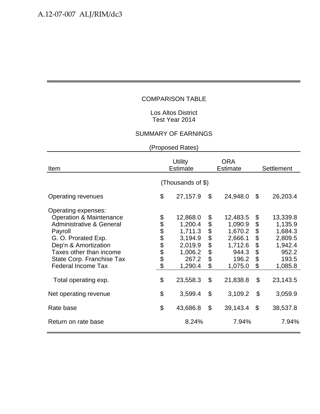#### Los Altos District Test Year 2014

#### SUMMARY OF EARNINGS

| Item                                                                                                                                                                                                                                                                    | <b>Utility</b><br><b>Estimate</b> |                                                                                                 |                                        | <b>ORA</b><br><b>Estimate</b>                                                                 | <b>Settlement</b>                                  |                                                                                               |  |  |
|-------------------------------------------------------------------------------------------------------------------------------------------------------------------------------------------------------------------------------------------------------------------------|-----------------------------------|-------------------------------------------------------------------------------------------------|----------------------------------------|-----------------------------------------------------------------------------------------------|----------------------------------------------------|-----------------------------------------------------------------------------------------------|--|--|
|                                                                                                                                                                                                                                                                         | (Thousands of \$)                 |                                                                                                 |                                        |                                                                                               |                                                    |                                                                                               |  |  |
| Operating revenues                                                                                                                                                                                                                                                      | \$                                | 27,157.9                                                                                        | \$                                     | 24,948.0                                                                                      | \$                                                 | 26,203.4                                                                                      |  |  |
| Operating expenses:<br><b>Operation &amp; Maintenance</b><br><b>Administrative &amp; General</b><br>Payroll<br>G. O. Prorated Exp.<br>Dep'n & Amortization<br>Taxes other than income<br>State Corp. Franchise Tax<br><b>Federal Income Tax</b><br>Total operating exp. | <b>88888888</b><br>\$             | 12,868.0<br>1,200.4<br>1,711.3<br>3,194.9<br>2,019.9<br>1,006.2<br>267.2<br>1,290.4<br>23,558.3 | \$<br>\$<br>\$\$\$\$<br>\$<br>\$<br>\$ | 12,483.5<br>1,090.9<br>1,670.2<br>2,666.1<br>1,712.6<br>944.3<br>196.2<br>1,075.0<br>21,838.8 | \$<br>\$<br>\$<br>\$<br>\$<br>\$<br>\$<br>\$<br>\$ | 13,339.8<br>1,135.9<br>1,684.3<br>2,809.5<br>1,942.4<br>952.2<br>193.5<br>1,085.8<br>23,143.5 |  |  |
| Net operating revenue                                                                                                                                                                                                                                                   | \$                                | 3,599.4                                                                                         | \$                                     | 3,109.2                                                                                       | \$                                                 | 3,059.9                                                                                       |  |  |
| Rate base                                                                                                                                                                                                                                                               | \$                                | 43,686.8                                                                                        | $\mathfrak{L}$                         | 39,143.4                                                                                      | \$                                                 | 38,537.8                                                                                      |  |  |
| Return on rate base                                                                                                                                                                                                                                                     |                                   | 8.24%                                                                                           |                                        | 7.94%                                                                                         |                                                    | 7.94%                                                                                         |  |  |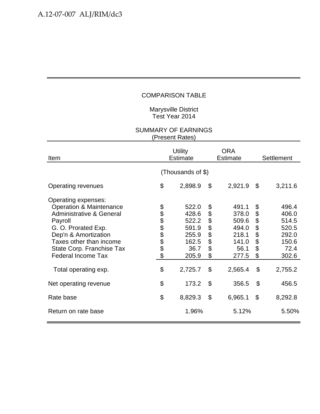Marysville District Test Year 2014

| Item                                                                                                                                                                                                                                                                    | <b>Utility</b><br><b>Estimate</b> |                                                                                |                                                    | <b>ORA</b><br><b>Estimate</b>                                                  | Settlement                                                  |                                                                                |  |  |
|-------------------------------------------------------------------------------------------------------------------------------------------------------------------------------------------------------------------------------------------------------------------------|-----------------------------------|--------------------------------------------------------------------------------|----------------------------------------------------|--------------------------------------------------------------------------------|-------------------------------------------------------------|--------------------------------------------------------------------------------|--|--|
|                                                                                                                                                                                                                                                                         | (Thousands of \$)                 |                                                                                |                                                    |                                                                                |                                                             |                                                                                |  |  |
| Operating revenues                                                                                                                                                                                                                                                      | \$                                | 2,898.9                                                                        | \$                                                 | 2,921.9                                                                        | \$                                                          | 3,211.6                                                                        |  |  |
| Operating expenses:<br><b>Operation &amp; Maintenance</b><br><b>Administrative &amp; General</b><br>Payroll<br>G. O. Prorated Exp.<br>Dep'n & Amortization<br>Taxes other than income<br>State Corp. Franchise Tax<br><b>Federal Income Tax</b><br>Total operating exp. | <b>88888888</b><br>\$             | 522.0<br>428.6<br>522.2<br>591.9<br>255.9<br>162.5<br>36.7<br>205.9<br>2,725.7 | \$<br>\$<br>\$<br>\$<br>\$<br>\$<br>\$<br>\$<br>\$ | 491.1<br>378.0<br>509.6<br>494.0<br>218.1<br>141.0<br>56.1<br>277.5<br>2,565.4 | \$<br>\$<br>\$<br>$\ddot{\$}$<br>\$<br>\$<br>\$<br>\$<br>\$ | 496.4<br>406.0<br>514.5<br>520.5<br>292.0<br>150.6<br>72.4<br>302.6<br>2,755.2 |  |  |
| Net operating revenue                                                                                                                                                                                                                                                   | \$                                | 173.2                                                                          | $\mathcal{L}$                                      | 356.5                                                                          | \$                                                          | 456.5                                                                          |  |  |
| Rate base                                                                                                                                                                                                                                                               | \$                                | 8,829.3                                                                        | \$                                                 | 6,965.1                                                                        | \$                                                          | 8,292.8                                                                        |  |  |
| Return on rate base                                                                                                                                                                                                                                                     |                                   | 1.96%                                                                          |                                                    | 5.12%                                                                          |                                                             | 5.50%                                                                          |  |  |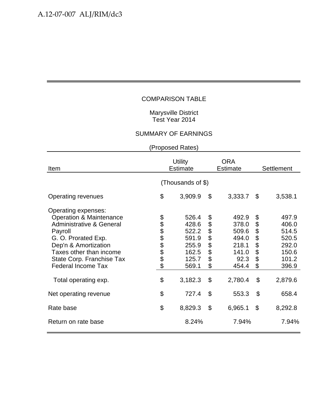#### Marysville District Test Year 2014

#### SUMMARY OF EARNINGS

| Item                                                                                                                                                                                                                                                                    | <b>Utility</b><br><b>Estimate</b> |                                                                                 |                                                    | <b>ORA</b><br><b>Estimate</b>                                                  | Settlement                                         |                                                                                 |  |  |
|-------------------------------------------------------------------------------------------------------------------------------------------------------------------------------------------------------------------------------------------------------------------------|-----------------------------------|---------------------------------------------------------------------------------|----------------------------------------------------|--------------------------------------------------------------------------------|----------------------------------------------------|---------------------------------------------------------------------------------|--|--|
|                                                                                                                                                                                                                                                                         | (Thousands of \$)                 |                                                                                 |                                                    |                                                                                |                                                    |                                                                                 |  |  |
| Operating revenues                                                                                                                                                                                                                                                      | \$                                | 3,909.9                                                                         | \$                                                 | 3,333.7                                                                        | \$                                                 | 3,538.1                                                                         |  |  |
| Operating expenses:<br><b>Operation &amp; Maintenance</b><br><b>Administrative &amp; General</b><br>Payroll<br>G. O. Prorated Exp.<br>Dep'n & Amortization<br>Taxes other than income<br>State Corp. Franchise Tax<br><b>Federal Income Tax</b><br>Total operating exp. | <b>8888888</b><br>\$              | 526.4<br>428.6<br>522.2<br>591.9<br>255.9<br>162.5<br>125.7<br>569.1<br>3,182.3 | \$<br>\$<br>\$<br>\$<br>\$<br>\$<br>\$<br>\$<br>\$ | 492.9<br>378.0<br>509.6<br>494.0<br>218.1<br>141.0<br>92.3<br>454.4<br>2,780.4 | \$<br>\$<br>\$<br>\$<br>\$<br>\$<br>\$<br>\$<br>\$ | 497.9<br>406.0<br>514.5<br>520.5<br>292.0<br>150.6<br>101.2<br>396.9<br>2,879.6 |  |  |
| Net operating revenue                                                                                                                                                                                                                                                   | \$                                | 727.4                                                                           | \$                                                 | 553.3                                                                          | $\boldsymbol{\mathsf{S}}$                          | 658.4                                                                           |  |  |
| Rate base                                                                                                                                                                                                                                                               | \$                                | 8,829.3                                                                         | $\mathfrak{S}$                                     | 6,965.1                                                                        | $\mathfrak{S}$                                     | 8,292.8                                                                         |  |  |
| Return on rate base                                                                                                                                                                                                                                                     |                                   | 8.24%                                                                           |                                                    | 7.94%                                                                          |                                                    | 7.94%                                                                           |  |  |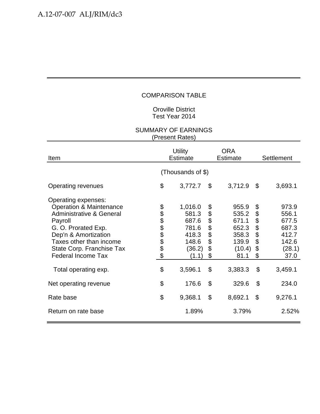#### Oroville District Test Year 2014

| Item                                                                                                                                                                                                                                                                    | <b>Utility</b><br><b>Estimate</b> |                                                                                    |                                        | <b>ORA</b><br><b>Estimate</b>                                                   |                                                    | Settlement                                                                      |  |  |
|-------------------------------------------------------------------------------------------------------------------------------------------------------------------------------------------------------------------------------------------------------------------------|-----------------------------------|------------------------------------------------------------------------------------|----------------------------------------|---------------------------------------------------------------------------------|----------------------------------------------------|---------------------------------------------------------------------------------|--|--|
|                                                                                                                                                                                                                                                                         | (Thousands of \$)                 |                                                                                    |                                        |                                                                                 |                                                    |                                                                                 |  |  |
| Operating revenues                                                                                                                                                                                                                                                      | \$                                | 3,772.7                                                                            | \$                                     | 3,712.9                                                                         | \$                                                 | 3,693.1                                                                         |  |  |
| Operating expenses:<br><b>Operation &amp; Maintenance</b><br><b>Administrative &amp; General</b><br>Payroll<br>G. O. Prorated Exp.<br>Dep'n & Amortization<br>Taxes other than income<br>State Corp. Franchise Tax<br><b>Federal Income Tax</b><br>Total operating exp. | <b>88888888</b><br>\$             | 1,016.0<br>581.3<br>687.6<br>781.6<br>418.3<br>148.6<br>(36.2)<br>(1.1)<br>3,596.1 | \$<br>\$<br>\$<br>\$<br>\$<br>\$<br>\$ | 955.9<br>535.2<br>671.1<br>652.3<br>358.3<br>139.9<br>(10.4)<br>81.1<br>3,383.3 | \$<br>\$<br>\$<br>\$<br>\$<br>\$<br>\$<br>\$<br>\$ | 973.9<br>556.1<br>677.5<br>687.3<br>412.7<br>142.6<br>(28.1)<br>37.0<br>3,459.1 |  |  |
| Net operating revenue                                                                                                                                                                                                                                                   | \$                                | 176.6                                                                              | \$                                     | 329.6                                                                           | \$                                                 | 234.0                                                                           |  |  |
| Rate base                                                                                                                                                                                                                                                               | \$                                | 9,368.1                                                                            | \$                                     | 8,692.1                                                                         | $\mathfrak{S}$                                     | 9,276.1                                                                         |  |  |
| Return on rate base                                                                                                                                                                                                                                                     |                                   | 1.89%                                                                              |                                        | 3.79%                                                                           |                                                    | 2.52%                                                                           |  |  |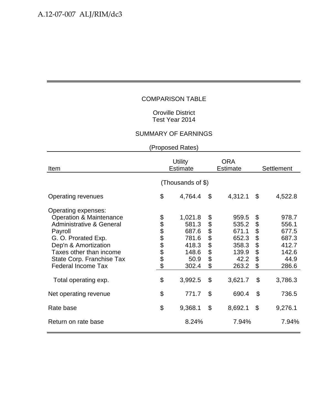#### Oroville District Test Year 2014

#### SUMMARY OF EARNINGS

| Item                                                                                                                                                                                                                                                                    | <b>Utility</b><br><b>Estimate</b> |                                                                                  |                                                             | <b>ORA</b><br><b>Estimate</b>                                                  | Settlement                                         |                                                                                |  |  |
|-------------------------------------------------------------------------------------------------------------------------------------------------------------------------------------------------------------------------------------------------------------------------|-----------------------------------|----------------------------------------------------------------------------------|-------------------------------------------------------------|--------------------------------------------------------------------------------|----------------------------------------------------|--------------------------------------------------------------------------------|--|--|
|                                                                                                                                                                                                                                                                         | (Thousands of \$)                 |                                                                                  |                                                             |                                                                                |                                                    |                                                                                |  |  |
| <b>Operating revenues</b>                                                                                                                                                                                                                                               | \$                                | 4,764.4                                                                          | \$                                                          | 4,312.1                                                                        | \$                                                 | 4,522.8                                                                        |  |  |
| Operating expenses:<br><b>Operation &amp; Maintenance</b><br><b>Administrative &amp; General</b><br>Payroll<br>G. O. Prorated Exp.<br>Dep'n & Amortization<br>Taxes other than income<br>State Corp. Franchise Tax<br><b>Federal Income Tax</b><br>Total operating exp. | \$<br><b>8888888</b><br>\$        | 1,021.8<br>581.3<br>687.6<br>781.6<br>418.3<br>148.6<br>50.9<br>302.4<br>3,992.5 | \$<br>\$<br>\$<br>\$<br>\$<br>$\ddot{\$}$<br>\$<br>\$<br>\$ | 959.5<br>535.2<br>671.1<br>652.3<br>358.3<br>139.9<br>42.2<br>263.2<br>3,621.7 | \$<br>\$<br>\$<br>\$<br>\$<br>\$<br>\$<br>\$<br>\$ | 978.7<br>556.1<br>677.5<br>687.3<br>412.7<br>142.6<br>44.9<br>286.6<br>3,786.3 |  |  |
| Net operating revenue                                                                                                                                                                                                                                                   | \$                                | 771.7                                                                            | \$                                                          | 690.4                                                                          | \$                                                 | 736.5                                                                          |  |  |
| Rate base                                                                                                                                                                                                                                                               | \$                                | 9,368.1                                                                          | \$                                                          | 8,692.1                                                                        | \$                                                 | 9,276.1                                                                        |  |  |
| Return on rate base                                                                                                                                                                                                                                                     |                                   | 8.24%                                                                            |                                                             | 7.94%                                                                          |                                                    | 7.94%                                                                          |  |  |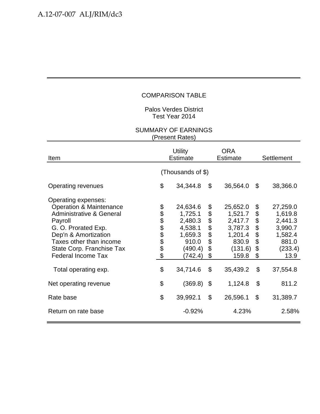Palos Verdes District Test Year 2014

| Item                                                                                                                                                                                                                                                                    | <b>Utility</b><br><b>Estimate</b> |                                                                                                 |                                                      | <b>ORA</b><br><b>Estimate</b>                                                                 |                                                    | Settlement                                                                                   |  |  |
|-------------------------------------------------------------------------------------------------------------------------------------------------------------------------------------------------------------------------------------------------------------------------|-----------------------------------|-------------------------------------------------------------------------------------------------|------------------------------------------------------|-----------------------------------------------------------------------------------------------|----------------------------------------------------|----------------------------------------------------------------------------------------------|--|--|
|                                                                                                                                                                                                                                                                         | (Thousands of \$)                 |                                                                                                 |                                                      |                                                                                               |                                                    |                                                                                              |  |  |
| Operating revenues                                                                                                                                                                                                                                                      | \$                                | 34,344.8                                                                                        | \$                                                   | 36,564.0                                                                                      | \$                                                 | 38,366.0                                                                                     |  |  |
| Operating expenses:<br><b>Operation &amp; Maintenance</b><br><b>Administrative &amp; General</b><br>Payroll<br>G. O. Prorated Exp.<br>Dep'n & Amortization<br>Taxes other than income<br>State Corp. Franchise Tax<br><b>Federal Income Tax</b><br>Total operating exp. | <b>88888888</b><br>\$             | 24,634.6<br>1,725.1<br>2,480.3<br>4,538.1<br>1,659.3<br>910.0<br>(490.4)<br>(742.4)<br>34,714.6 | \$<br>\$<br>\$<br>\$<br>$\dot{\$}$<br>\$<br>\$<br>\$ | 25,652.0<br>1,521.7<br>2,417.7<br>3,787.3<br>1,201.4<br>830.9<br>(131.6)<br>159.8<br>35,439.2 | \$<br>\$<br>\$<br>\$<br>\$<br>\$<br>\$<br>\$<br>\$ | 27,259.0<br>1,619.8<br>2,441.3<br>3,990.7<br>1,582.4<br>881.0<br>(233.4)<br>13.9<br>37,554.8 |  |  |
| Net operating revenue                                                                                                                                                                                                                                                   | \$                                | (369.8)                                                                                         | \$                                                   | 1,124.8                                                                                       | \$                                                 | 811.2                                                                                        |  |  |
| Rate base                                                                                                                                                                                                                                                               | \$                                | 39,992.1                                                                                        | $\mathcal{L}$                                        | 26,596.1                                                                                      | $\mathcal{L}$                                      | 31,389.7                                                                                     |  |  |
| Return on rate base                                                                                                                                                                                                                                                     |                                   | $-0.92%$                                                                                        |                                                      | 4.23%                                                                                         |                                                    | 2.58%                                                                                        |  |  |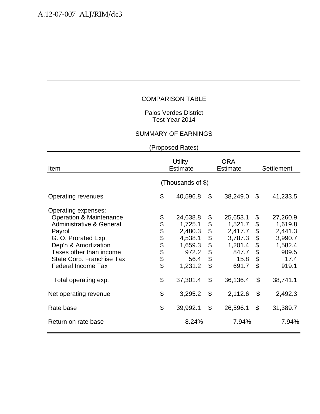Palos Verdes District Test Year 2014

#### SUMMARY OF EARNINGS

| Item                                                                                                                                                                                                                                                                    | <b>Utility</b><br>Estimate |                                                                                              |                                              | <b>ORA</b><br><b>Estimate</b>                                                              | <b>Settlement</b>                                  |                                                                                            |  |  |
|-------------------------------------------------------------------------------------------------------------------------------------------------------------------------------------------------------------------------------------------------------------------------|----------------------------|----------------------------------------------------------------------------------------------|----------------------------------------------|--------------------------------------------------------------------------------------------|----------------------------------------------------|--------------------------------------------------------------------------------------------|--|--|
|                                                                                                                                                                                                                                                                         | (Thousands of \$)          |                                                                                              |                                              |                                                                                            |                                                    |                                                                                            |  |  |
| Operating revenues                                                                                                                                                                                                                                                      | \$                         | 40,596.8                                                                                     | \$                                           | 38,249.0                                                                                   | \$                                                 | 41,233.5                                                                                   |  |  |
| Operating expenses:<br><b>Operation &amp; Maintenance</b><br><b>Administrative &amp; General</b><br>Payroll<br>G. O. Prorated Exp.<br>Dep'n & Amortization<br>Taxes other than income<br>State Corp. Franchise Tax<br><b>Federal Income Tax</b><br>Total operating exp. | \$<br>888888<br>\$         | 24,638.8<br>1,725.1<br>2,480.3<br>4,538.1<br>1,659.3<br>972.2<br>56.4<br>1,231.2<br>37,301.4 | \$<br>\$<br>\$<br>\$<br>\$<br>\$<br>\$<br>\$ | 25,653.1<br>1,521.7<br>2,417.7<br>3,787.3<br>1,201.4<br>847.7<br>15.8<br>691.7<br>36,136.4 | \$<br>\$<br>\$<br>\$<br>\$<br>\$<br>\$<br>\$<br>\$ | 27,260.9<br>1,619.8<br>2,441.3<br>3,990.7<br>1,582.4<br>909.5<br>17.4<br>919.1<br>38,741.1 |  |  |
| Net operating revenue                                                                                                                                                                                                                                                   | \$                         | 3,295.2                                                                                      | \$                                           | 2,112.6                                                                                    | \$                                                 | 2,492.3                                                                                    |  |  |
| Rate base                                                                                                                                                                                                                                                               | \$                         | 39,992.1                                                                                     | \$                                           | 26,596.1                                                                                   | \$                                                 | 31,389.7                                                                                   |  |  |
| Return on rate base                                                                                                                                                                                                                                                     |                            | 8.24%                                                                                        |                                              | 7.94%                                                                                      |                                                    | 7.94%                                                                                      |  |  |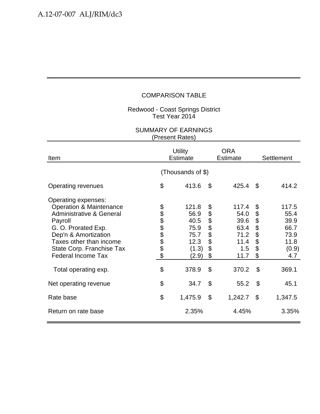#### Redwood - Coast Springs District Test Year 2014

| Item                                                                                                                                                                                                                                                                    | <b>Utility</b><br><b>Estimate</b> |                                                                          |                                                          | ORA<br><b>Estimate</b>                                                | <b>Settlement</b>                                                                        |                                                                        |  |  |
|-------------------------------------------------------------------------------------------------------------------------------------------------------------------------------------------------------------------------------------------------------------------------|-----------------------------------|--------------------------------------------------------------------------|----------------------------------------------------------|-----------------------------------------------------------------------|------------------------------------------------------------------------------------------|------------------------------------------------------------------------|--|--|
|                                                                                                                                                                                                                                                                         | (Thousands of \$)                 |                                                                          |                                                          |                                                                       |                                                                                          |                                                                        |  |  |
| Operating revenues                                                                                                                                                                                                                                                      | \$                                | 413.6                                                                    | \$                                                       | 425.4                                                                 | \$                                                                                       | 414.2                                                                  |  |  |
| Operating expenses:<br><b>Operation &amp; Maintenance</b><br><b>Administrative &amp; General</b><br>Payroll<br>G. O. Prorated Exp.<br>Dep'n & Amortization<br>Taxes other than income<br>State Corp. Franchise Tax<br><b>Federal Income Tax</b><br>Total operating exp. | <b>88888888</b><br>\$             | 121.8<br>56.9<br>40.5<br>75.9<br>75.7<br>12.3<br>(1.3)<br>(2.9)<br>378.9 | \$<br>\$<br>\$<br>\$<br>\$<br>\$<br>\$<br>$\mathfrak{S}$ | 117.4<br>54.0<br>39.6<br>63.4<br>71.2<br>11.4<br>1.5<br>11.7<br>370.2 | \$<br>\$<br>\$<br>$\ddot{\boldsymbol{\theta}}$<br>\$<br>\$<br>\$<br>\$<br>$\mathfrak{L}$ | 117.5<br>55.4<br>39.9<br>66.7<br>73.9<br>11.8<br>(0.9)<br>4.7<br>369.1 |  |  |
| Net operating revenue                                                                                                                                                                                                                                                   | \$                                | 34.7                                                                     | $\mathcal{L}$                                            | 55.2                                                                  | $\boldsymbol{\mathsf{S}}$                                                                | 45.1                                                                   |  |  |
| Rate base                                                                                                                                                                                                                                                               | \$                                | 1,475.9                                                                  | $\boldsymbol{\mathsf{S}}$                                | 1,242.7                                                               | \$                                                                                       | 1,347.5                                                                |  |  |
| Return on rate base                                                                                                                                                                                                                                                     |                                   | 2.35%                                                                    |                                                          | 4.45%                                                                 |                                                                                          | 3.35%                                                                  |  |  |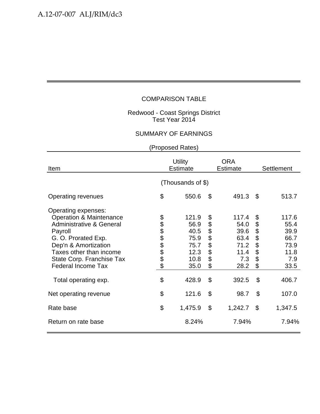#### Redwood - Coast Springs District Test Year 2014

# SUMMARY OF EARNINGS

| Item                                                                                                                                                                                                                                                                    | <b>Utility</b><br><b>Estimate</b> |                                                                        |                                                    | <b>ORA</b><br><b>Estimate</b>                                         | Settlement                                         |                                                                       |  |  |
|-------------------------------------------------------------------------------------------------------------------------------------------------------------------------------------------------------------------------------------------------------------------------|-----------------------------------|------------------------------------------------------------------------|----------------------------------------------------|-----------------------------------------------------------------------|----------------------------------------------------|-----------------------------------------------------------------------|--|--|
|                                                                                                                                                                                                                                                                         | (Thousands of \$)                 |                                                                        |                                                    |                                                                       |                                                    |                                                                       |  |  |
| Operating revenues                                                                                                                                                                                                                                                      | \$                                | 550.6                                                                  | $\mathcal{S}$                                      | 491.3                                                                 | \$                                                 | 513.7                                                                 |  |  |
| Operating expenses:<br><b>Operation &amp; Maintenance</b><br><b>Administrative &amp; General</b><br>Payroll<br>G. O. Prorated Exp.<br>Dep'n & Amortization<br>Taxes other than income<br>State Corp. Franchise Tax<br><b>Federal Income Tax</b><br>Total operating exp. | <b>88888888</b><br>\$             | 121.9<br>56.9<br>40.5<br>75.9<br>75.7<br>12.3<br>10.8<br>35.0<br>428.9 | \$<br>\$<br>\$<br>\$<br>\$<br>\$<br>\$<br>\$<br>\$ | 117.4<br>54.0<br>39.6<br>63.4<br>71.2<br>11.4<br>7.3<br>28.2<br>392.5 | \$<br>\$<br>\$<br>\$<br>\$<br>\$<br>\$<br>\$<br>\$ | 117.6<br>55.4<br>39.9<br>66.7<br>73.9<br>11.8<br>7.9<br>33.5<br>406.7 |  |  |
| Net operating revenue                                                                                                                                                                                                                                                   | \$                                | 121.6                                                                  | \$                                                 | 98.7                                                                  | $\mathfrak{L}$                                     | 107.0                                                                 |  |  |
| Rate base                                                                                                                                                                                                                                                               | \$                                | 1,475.9                                                                | \$                                                 | 1,242.7                                                               | \$                                                 | 1,347.5                                                               |  |  |
| Return on rate base                                                                                                                                                                                                                                                     |                                   | 8.24%                                                                  |                                                    | 7.94%                                                                 |                                                    | 7.94%                                                                 |  |  |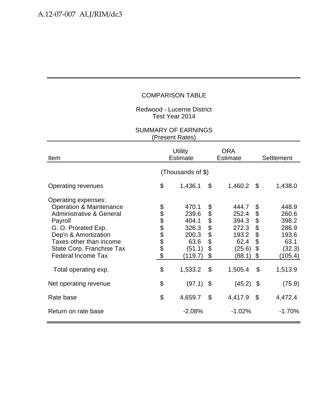Redwood - Lucerne District Test Year 2014

| Item                                                                                                                                                                                                                                                                    | <b>Utility</b><br><b>Estimate</b> |                                                                                   |                                                                           | <b>ORA</b><br><b>Estimate</b>                                                    | Settlement                                                                |                                                                                   |  |  |
|-------------------------------------------------------------------------------------------------------------------------------------------------------------------------------------------------------------------------------------------------------------------------|-----------------------------------|-----------------------------------------------------------------------------------|---------------------------------------------------------------------------|----------------------------------------------------------------------------------|---------------------------------------------------------------------------|-----------------------------------------------------------------------------------|--|--|
|                                                                                                                                                                                                                                                                         | (Thousands of \$)                 |                                                                                   |                                                                           |                                                                                  |                                                                           |                                                                                   |  |  |
| Operating revenues                                                                                                                                                                                                                                                      | \$                                | 1,436.1                                                                           | \$                                                                        | 1,460.2                                                                          | \$                                                                        | 1,438.0                                                                           |  |  |
| Operating expenses:<br><b>Operation &amp; Maintenance</b><br><b>Administrative &amp; General</b><br>Payroll<br>G. O. Prorated Exp.<br>Dep'n & Amortization<br>Taxes other than income<br>State Corp. Franchise Tax<br><b>Federal Income Tax</b><br>Total operating exp. | <b>88888888</b><br>\$             | 470.1<br>239.6<br>404.1<br>326.3<br>200.3<br>63.6<br>(51.1)<br>(119.7)<br>1,533.2 | \$<br>\$<br>\$<br>\$<br>\$<br>\$<br>\$<br>\$<br>$\boldsymbol{\mathsf{S}}$ | 444.7<br>252.4<br>394.3<br>272.3<br>193.2<br>62.4<br>(25.6)<br>(88.1)<br>1,505.4 | \$<br>\$<br>\$<br>\$<br>\$<br>\$<br>\$<br>\$<br>$\boldsymbol{\mathsf{S}}$ | 448.9<br>260.6<br>398.2<br>286.9<br>193.6<br>63.1<br>(32.3)<br>(105.4)<br>1,513.9 |  |  |
| Net operating revenue                                                                                                                                                                                                                                                   | \$                                | (97.1)                                                                            | $\boldsymbol{\mathsf{S}}$                                                 | (45.2)                                                                           | -\$                                                                       | (75.9)                                                                            |  |  |
| Rate base                                                                                                                                                                                                                                                               | \$                                | 4,659.7                                                                           | \$                                                                        | 4,417.9                                                                          | \$                                                                        | 4,472.4                                                                           |  |  |
| Return on rate base                                                                                                                                                                                                                                                     |                                   | $-2.08%$                                                                          |                                                                           | $-1.02%$                                                                         |                                                                           | $-1.70%$                                                                          |  |  |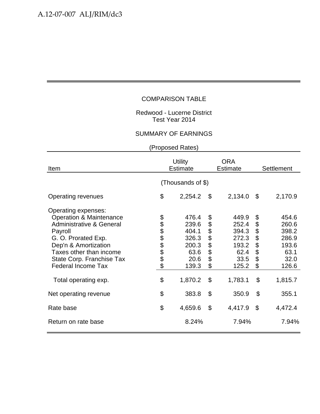#### Redwood - Lucerne District Test Year 2014

## SUMMARY OF EARNINGS

| Item                                                                                                                                                                                                                                                                    | <b>Utility</b><br><b>Estimate</b> |                                                                               |                                                    | <b>ORA</b><br><b>Estimate</b>                                                 | <b>Settlement</b>                                  |                                                                               |  |  |
|-------------------------------------------------------------------------------------------------------------------------------------------------------------------------------------------------------------------------------------------------------------------------|-----------------------------------|-------------------------------------------------------------------------------|----------------------------------------------------|-------------------------------------------------------------------------------|----------------------------------------------------|-------------------------------------------------------------------------------|--|--|
|                                                                                                                                                                                                                                                                         | (Thousands of \$)                 |                                                                               |                                                    |                                                                               |                                                    |                                                                               |  |  |
| Operating revenues                                                                                                                                                                                                                                                      | \$                                | 2,254.2                                                                       | \$                                                 | 2,134.0                                                                       | \$                                                 | 2,170.9                                                                       |  |  |
| Operating expenses:<br><b>Operation &amp; Maintenance</b><br><b>Administrative &amp; General</b><br>Payroll<br>G. O. Prorated Exp.<br>Dep'n & Amortization<br>Taxes other than income<br>State Corp. Franchise Tax<br><b>Federal Income Tax</b><br>Total operating exp. | <b>8888888</b><br>\$              | 476.4<br>239.6<br>404.1<br>326.3<br>200.3<br>63.6<br>20.6<br>139.3<br>1,870.2 | \$<br>\$<br>\$<br>\$<br>\$<br>\$<br>\$<br>\$<br>\$ | 449.9<br>252.4<br>394.3<br>272.3<br>193.2<br>62.4<br>33.5<br>125.2<br>1,783.1 | \$<br>\$<br>\$<br>\$<br>\$<br>\$<br>\$<br>\$<br>\$ | 454.6<br>260.6<br>398.2<br>286.9<br>193.6<br>63.1<br>32.0<br>126.6<br>1,815.7 |  |  |
| Net operating revenue                                                                                                                                                                                                                                                   | \$                                | 383.8                                                                         | \$                                                 | 350.9                                                                         | $\boldsymbol{\mathsf{S}}$                          | 355.1                                                                         |  |  |
| Rate base                                                                                                                                                                                                                                                               | \$                                | 4,659.6                                                                       | \$                                                 | 4,417.9                                                                       | $\mathcal{L}$                                      | 4,472.4                                                                       |  |  |
| Return on rate base                                                                                                                                                                                                                                                     |                                   | 8.24%                                                                         |                                                    | 7.94%                                                                         |                                                    | 7.94%                                                                         |  |  |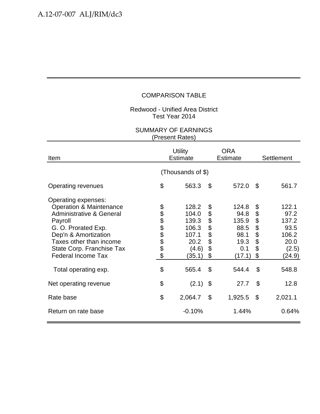#### Redwood - Unified Area District Test Year 2014

| Item                                                                                                                                                                                                                                                                    | <b>Utility</b><br><b>Estimate</b> |                                                                               |                                                       | <b>ORA</b><br><b>Estimate</b>                                            | Settlement                                         |                                                                             |  |  |
|-------------------------------------------------------------------------------------------------------------------------------------------------------------------------------------------------------------------------------------------------------------------------|-----------------------------------|-------------------------------------------------------------------------------|-------------------------------------------------------|--------------------------------------------------------------------------|----------------------------------------------------|-----------------------------------------------------------------------------|--|--|
|                                                                                                                                                                                                                                                                         | (Thousands of \$)                 |                                                                               |                                                       |                                                                          |                                                    |                                                                             |  |  |
| <b>Operating revenues</b>                                                                                                                                                                                                                                               | \$                                | 563.3                                                                         | $\mathcal{L}$                                         | 572.0                                                                    | \$                                                 | 561.7                                                                       |  |  |
| Operating expenses:<br><b>Operation &amp; Maintenance</b><br><b>Administrative &amp; General</b><br>Payroll<br>G. O. Prorated Exp.<br>Dep'n & Amortization<br>Taxes other than income<br>State Corp. Franchise Tax<br><b>Federal Income Tax</b><br>Total operating exp. | <b>88888888</b><br>\$             | 128.2<br>104.0<br>139.3<br>106.3<br>107.1<br>20.2<br>(4.6)<br>(35.1)<br>565.4 | \$<br>\$<br>\$<br>\$<br>$\ddot{\$}$<br>\$<br>\$<br>\$ | 124.8<br>94.8<br>135.9<br>88.5<br>98.1<br>19.3<br>0.1<br>(17.1)<br>544.4 | \$<br>\$<br>\$<br>\$<br>\$<br>\$<br>\$<br>\$<br>\$ | 122.1<br>97.2<br>137.2<br>93.5<br>106.2<br>20.0<br>(2.5)<br>(24.9)<br>548.8 |  |  |
| Net operating revenue                                                                                                                                                                                                                                                   | \$                                | (2.1)                                                                         | $\boldsymbol{\mathsf{S}}$                             | 27.7                                                                     | \$                                                 | 12.8                                                                        |  |  |
| Rate base                                                                                                                                                                                                                                                               | \$                                | 2,064.7                                                                       | \$                                                    | 1,925.5                                                                  | $\mathfrak{S}$                                     | 2,021.1                                                                     |  |  |
| Return on rate base                                                                                                                                                                                                                                                     |                                   | $-0.10%$                                                                      |                                                       | 1.44%                                                                    |                                                    | 0.64%                                                                       |  |  |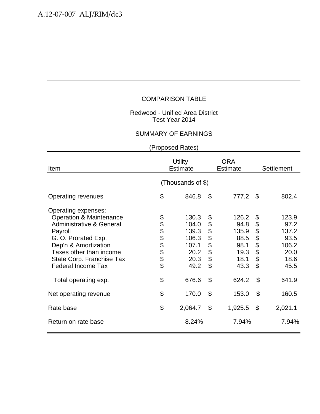#### Redwood - Unified Area District Test Year 2014

## SUMMARY OF EARNINGS

| Item                                                                                                                                                                                                                                                                    | <b>Utility</b><br><b>Estimate</b> |                                                                            |                                                    | <b>ORA</b><br><b>Estimate</b>                                           | Settlement                                                    |                                                                          |  |  |
|-------------------------------------------------------------------------------------------------------------------------------------------------------------------------------------------------------------------------------------------------------------------------|-----------------------------------|----------------------------------------------------------------------------|----------------------------------------------------|-------------------------------------------------------------------------|---------------------------------------------------------------|--------------------------------------------------------------------------|--|--|
|                                                                                                                                                                                                                                                                         | (Thousands of \$)                 |                                                                            |                                                    |                                                                         |                                                               |                                                                          |  |  |
| Operating revenues                                                                                                                                                                                                                                                      | \$                                | 846.8                                                                      | \$                                                 | 777.2                                                                   | \$                                                            | 802.4                                                                    |  |  |
| Operating expenses:<br><b>Operation &amp; Maintenance</b><br><b>Administrative &amp; General</b><br>Payroll<br>G. O. Prorated Exp.<br>Dep'n & Amortization<br>Taxes other than income<br>State Corp. Franchise Tax<br><b>Federal Income Tax</b><br>Total operating exp. | <b>88888888</b><br>\$             | 130.3<br>104.0<br>139.3<br>106.3<br>107.1<br>20.2<br>20.3<br>49.2<br>676.6 | \$<br>\$<br>\$<br>\$<br>\$<br>\$<br>\$<br>\$<br>\$ | 126.2<br>94.8<br>135.9<br>88.5<br>98.1<br>19.3<br>18.1<br>43.3<br>624.2 | \$<br>\$<br>\$<br>\$<br>\$<br>\$<br>\$<br>\$<br>$\mathcal{S}$ | 123.9<br>97.2<br>137.2<br>93.5<br>106.2<br>20.0<br>18.6<br>45.5<br>641.9 |  |  |
| Net operating revenue                                                                                                                                                                                                                                                   | \$                                | 170.0                                                                      | \$                                                 | 153.0                                                                   | $\boldsymbol{\mathsf{S}}$                                     | 160.5                                                                    |  |  |
| Rate base                                                                                                                                                                                                                                                               | \$                                | 2,064.7                                                                    | \$                                                 | 1,925.5                                                                 | \$                                                            | 2,021.1                                                                  |  |  |
| Return on rate base                                                                                                                                                                                                                                                     |                                   | 8.24%                                                                      |                                                    | 7.94%                                                                   |                                                               | 7.94%                                                                    |  |  |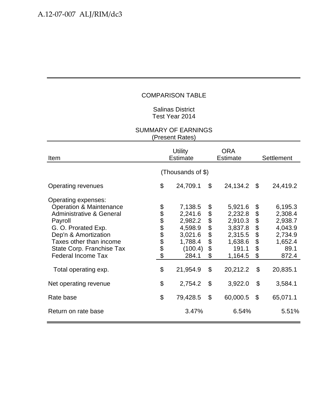## Salinas District Test Year 2014

| Item                                                                                                                                                                                                                                                                    |                       | <b>Utility</b><br><b>Estimate</b>                                                              |                                        | ORA<br><b>Estimate</b>                                                                         |                                              | Settlement                                                                                  |  |  |  |
|-------------------------------------------------------------------------------------------------------------------------------------------------------------------------------------------------------------------------------------------------------------------------|-----------------------|------------------------------------------------------------------------------------------------|----------------------------------------|------------------------------------------------------------------------------------------------|----------------------------------------------|---------------------------------------------------------------------------------------------|--|--|--|
|                                                                                                                                                                                                                                                                         | (Thousands of \$)     |                                                                                                |                                        |                                                                                                |                                              |                                                                                             |  |  |  |
| Operating revenues                                                                                                                                                                                                                                                      | \$                    | 24,709.1                                                                                       | \$                                     | 24,134.2                                                                                       | \$                                           | 24,419.2                                                                                    |  |  |  |
| Operating expenses:<br><b>Operation &amp; Maintenance</b><br><b>Administrative &amp; General</b><br>Payroll<br>G. O. Prorated Exp.<br>Dep'n & Amortization<br>Taxes other than income<br>State Corp. Franchise Tax<br><b>Federal Income Tax</b><br>Total operating exp. | <b>88888888</b><br>\$ | 7,138.5<br>2,241.6<br>2,982.2<br>4,598.9<br>3,021.6<br>1,788.4<br>(100.4)<br>284.1<br>21,954.9 | \$<br>\$<br>\$<br>\$<br>\$<br>\$<br>\$ | 5,921.6<br>2,232.8<br>2,910.3<br>3,837.8<br>2,315.5<br>1,638.6<br>191.1<br>1,164.5<br>20,212.2 | \$<br>\$<br>\$<br>\$<br>\$<br>\$<br>\$<br>\$ | 6,195.3<br>2,308.4<br>2,938.7<br>4,043.9<br>2,734.9<br>1,652.4<br>89.1<br>872.4<br>20,835.1 |  |  |  |
| Net operating revenue                                                                                                                                                                                                                                                   | \$                    | 2,754.2                                                                                        | \$                                     | 3,922.0                                                                                        | \$                                           | 3,584.1                                                                                     |  |  |  |
| Rate base                                                                                                                                                                                                                                                               | \$                    | 79,428.5                                                                                       | $\mathcal{L}$                          | 60,000.5                                                                                       | \$                                           | 65,071.1                                                                                    |  |  |  |
| Return on rate base                                                                                                                                                                                                                                                     |                       | 3.47%                                                                                          |                                        | 6.54%                                                                                          |                                              | 5.51%                                                                                       |  |  |  |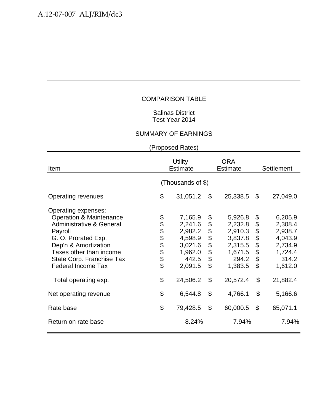## Salinas District Test Year 2014

# SUMMARY OF EARNINGS

| Item                                                                                                                                                                                                                                                                    | <b>Utility</b><br><b>Estimate</b> |                                                                                                |                                              | <b>ORA</b><br><b>Estimate</b>                                                                  | <b>Settlement</b>                                                                             |                                                                                                |  |  |
|-------------------------------------------------------------------------------------------------------------------------------------------------------------------------------------------------------------------------------------------------------------------------|-----------------------------------|------------------------------------------------------------------------------------------------|----------------------------------------------|------------------------------------------------------------------------------------------------|-----------------------------------------------------------------------------------------------|------------------------------------------------------------------------------------------------|--|--|
|                                                                                                                                                                                                                                                                         | (Thousands of \$)                 |                                                                                                |                                              |                                                                                                |                                                                                               |                                                                                                |  |  |
| <b>Operating revenues</b>                                                                                                                                                                                                                                               | \$                                | 31,051.2                                                                                       | \$                                           | 25,338.5                                                                                       | $\mathfrak{S}$                                                                                | 27,049.0                                                                                       |  |  |
| Operating expenses:<br><b>Operation &amp; Maintenance</b><br><b>Administrative &amp; General</b><br>Payroll<br>G. O. Prorated Exp.<br>Dep'n & Amortization<br>Taxes other than income<br>State Corp. Franchise Tax<br><b>Federal Income Tax</b><br>Total operating exp. | <b>8888888</b><br>\$              | 7,165.9<br>2,241.6<br>2,982.2<br>4,598.9<br>3,021.6<br>1,962.0<br>442.5<br>2,091.5<br>24,506.2 | \$<br>\$<br>\$<br>\$<br>\$<br>\$<br>\$<br>\$ | 5,926.8<br>2,232.8<br>2,910.3<br>3,837.8<br>2,315.5<br>1,671.5<br>294.2<br>1,383.5<br>20,572.4 | \$<br>$\, \, \raisebox{12pt}{$\scriptstyle \circ$}$<br>\$<br>\$<br>\$<br>\$<br>\$<br>\$<br>\$ | 6,205.9<br>2,308.4<br>2,938.7<br>4,043.9<br>2,734.9<br>1,724.4<br>314.2<br>1,612.0<br>21,882.4 |  |  |
| Net operating revenue                                                                                                                                                                                                                                                   | \$                                | 6,544.8                                                                                        | \$                                           | 4,766.1                                                                                        | \$                                                                                            | 5,166.6                                                                                        |  |  |
| Rate base                                                                                                                                                                                                                                                               | \$                                | 79,428.5                                                                                       | \$                                           | 60,000.5                                                                                       | $\boldsymbol{\mathsf{S}}$                                                                     | 65,071.1                                                                                       |  |  |
| Return on rate base                                                                                                                                                                                                                                                     |                                   | 8.24%                                                                                          |                                              | 7.94%                                                                                          |                                                                                               | 7.94%                                                                                          |  |  |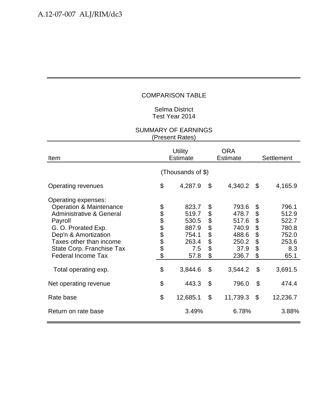## Selma District Test Year 2014

| Item                                                                                                                                                                                                                                                                    | <b>Utility</b><br><b>Estimate</b> |                                                                              |                                                                              | <b>ORA</b><br><b>Estimate</b>                                                  | Settlement                                                                |                                                                              |  |  |  |
|-------------------------------------------------------------------------------------------------------------------------------------------------------------------------------------------------------------------------------------------------------------------------|-----------------------------------|------------------------------------------------------------------------------|------------------------------------------------------------------------------|--------------------------------------------------------------------------------|---------------------------------------------------------------------------|------------------------------------------------------------------------------|--|--|--|
|                                                                                                                                                                                                                                                                         | (Thousands of \$)                 |                                                                              |                                                                              |                                                                                |                                                                           |                                                                              |  |  |  |
| <b>Operating revenues</b>                                                                                                                                                                                                                                               | \$                                | 4,287.9                                                                      | \$                                                                           | 4,340.2                                                                        | \$                                                                        | 4,165.9                                                                      |  |  |  |
| Operating expenses:<br><b>Operation &amp; Maintenance</b><br><b>Administrative &amp; General</b><br>Payroll<br>G. O. Prorated Exp.<br>Dep'n & Amortization<br>Taxes other than income<br>State Corp. Franchise Tax<br><b>Federal Income Tax</b><br>Total operating exp. | <b>88888888</b><br>\$             | 823.7<br>519.7<br>530.5<br>887.9<br>754.1<br>263.4<br>7.5<br>57.8<br>3,844.6 | \$<br>\$<br>\$<br>\$<br>\$<br>$\ddot{\boldsymbol{\theta}}$<br>\$<br>\$<br>\$ | 793.6<br>478.7<br>517.6<br>740.9<br>488.6<br>250.2<br>37.9<br>236.7<br>3,544.2 | \$<br>\$<br>\$<br>\$<br>\$<br>\$<br>\$<br>\$<br>$\boldsymbol{\mathsf{S}}$ | 796.1<br>512.9<br>522.7<br>780.8<br>752.0<br>253.6<br>8.3<br>65.1<br>3,691.5 |  |  |  |
| Net operating revenue                                                                                                                                                                                                                                                   | \$                                | 443.3                                                                        | \$                                                                           | 796.0                                                                          | \$                                                                        | 474.4                                                                        |  |  |  |
| Rate base                                                                                                                                                                                                                                                               | \$                                | 12,685.1                                                                     | $\mathcal{L}$                                                                | 11,739.3                                                                       | $\mathcal{L}$                                                             | 12,236.7                                                                     |  |  |  |
| Return on rate base                                                                                                                                                                                                                                                     |                                   | 3.49%                                                                        |                                                                              | 6.78%                                                                          |                                                                           | 3.88%                                                                        |  |  |  |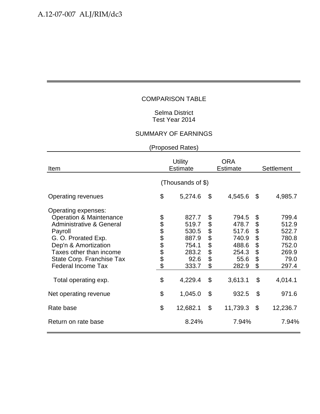## Selma District Test Year 2014

# SUMMARY OF EARNINGS

| Item                                                                                                                                                                                                                                                                    | <b>Utility</b><br><b>Estimate</b> |                                                                                |                                                    | <b>ORA</b><br><b>Estimate</b>                                                  | Settlement                                         |                                                                                |  |  |
|-------------------------------------------------------------------------------------------------------------------------------------------------------------------------------------------------------------------------------------------------------------------------|-----------------------------------|--------------------------------------------------------------------------------|----------------------------------------------------|--------------------------------------------------------------------------------|----------------------------------------------------|--------------------------------------------------------------------------------|--|--|
|                                                                                                                                                                                                                                                                         | (Thousands of \$)                 |                                                                                |                                                    |                                                                                |                                                    |                                                                                |  |  |
| <b>Operating revenues</b>                                                                                                                                                                                                                                               | \$                                | 5,274.6                                                                        | \$                                                 | 4,545.6                                                                        | \$                                                 | 4,985.7                                                                        |  |  |
| Operating expenses:<br><b>Operation &amp; Maintenance</b><br><b>Administrative &amp; General</b><br>Payroll<br>G. O. Prorated Exp.<br>Dep'n & Amortization<br>Taxes other than income<br>State Corp. Franchise Tax<br><b>Federal Income Tax</b><br>Total operating exp. | \$<br><b>8888888</b><br>\$        | 827.7<br>519.7<br>530.5<br>887.9<br>754.1<br>283.2<br>92.6<br>333.7<br>4,229.4 | \$<br>\$<br>\$<br>\$<br>\$<br>\$<br>\$<br>\$<br>\$ | 794.5<br>478.7<br>517.6<br>740.9<br>488.6<br>254.3<br>55.6<br>282.9<br>3,613.1 | \$<br>\$<br>\$<br>\$<br>\$<br>\$<br>\$<br>\$<br>\$ | 799.4<br>512.9<br>522.7<br>780.8<br>752.0<br>269.9<br>79.0<br>297.4<br>4,014.1 |  |  |
| Net operating revenue                                                                                                                                                                                                                                                   | \$                                | 1,045.0                                                                        | \$                                                 | 932.5                                                                          | \$                                                 | 971.6                                                                          |  |  |
| Rate base                                                                                                                                                                                                                                                               | \$                                | 12,682.1                                                                       | $\mathcal{L}$                                      | 11,739.3                                                                       | $\boldsymbol{\mathsf{S}}$                          | 12,236.7                                                                       |  |  |
| Return on rate base                                                                                                                                                                                                                                                     |                                   | 8.24%                                                                          |                                                    | 7.94%                                                                          |                                                    | 7.94%                                                                          |  |  |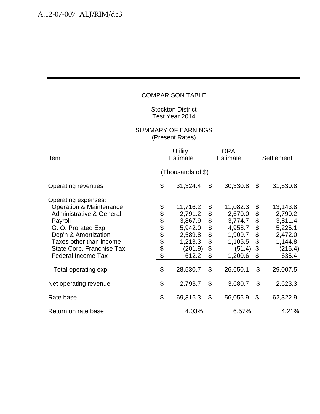## Stockton District Test Year 2014

| Item                                                                                                                                                                                                                                                                    |                       | <b>Utility</b><br><b>Estimate</b>                                                               |                                        | ORA<br><b>Estimate</b>                                                                           | Settlement                                         |                                                                                                 |  |  |  |
|-------------------------------------------------------------------------------------------------------------------------------------------------------------------------------------------------------------------------------------------------------------------------|-----------------------|-------------------------------------------------------------------------------------------------|----------------------------------------|--------------------------------------------------------------------------------------------------|----------------------------------------------------|-------------------------------------------------------------------------------------------------|--|--|--|
|                                                                                                                                                                                                                                                                         | (Thousands of \$)     |                                                                                                 |                                        |                                                                                                  |                                                    |                                                                                                 |  |  |  |
| Operating revenues                                                                                                                                                                                                                                                      | \$                    | 31,324.4                                                                                        | \$                                     | 30,330.8                                                                                         | \$                                                 | 31,630.8                                                                                        |  |  |  |
| Operating expenses:<br><b>Operation &amp; Maintenance</b><br><b>Administrative &amp; General</b><br>Payroll<br>G. O. Prorated Exp.<br>Dep'n & Amortization<br>Taxes other than income<br>State Corp. Franchise Tax<br><b>Federal Income Tax</b><br>Total operating exp. | <b>88888888</b><br>\$ | 11,716.2<br>2,791.2<br>3,867.9<br>5,942.0<br>2,589.8<br>1,213.3<br>(201.9)<br>612.2<br>28,530.7 | \$<br>\$<br>\$<br>\$<br>\$<br>\$<br>\$ | 11,082.3<br>2,670.0<br>3,774.7<br>4,958.7<br>1,909.7<br>1,105.5<br>(51.4)<br>1,200.6<br>26,650.1 | \$<br>\$<br>\$<br>\$<br>\$<br>\$<br>\$<br>\$<br>\$ | 13,143.8<br>2,790.2<br>3,811.4<br>5,225.1<br>2,472.0<br>1,144.8<br>(215.4)<br>635.4<br>29,007.5 |  |  |  |
| Net operating revenue                                                                                                                                                                                                                                                   | \$                    | 2,793.7                                                                                         | \$                                     | 3,680.7                                                                                          | \$                                                 | 2,623.3                                                                                         |  |  |  |
| Rate base                                                                                                                                                                                                                                                               | \$                    | 69,316.3                                                                                        | $\mathcal{L}$                          | 56,056.9                                                                                         | \$                                                 | 62,322.9                                                                                        |  |  |  |
| Return on rate base                                                                                                                                                                                                                                                     |                       | 4.03%                                                                                           |                                        | 6.57%                                                                                            |                                                    | 4.21%                                                                                           |  |  |  |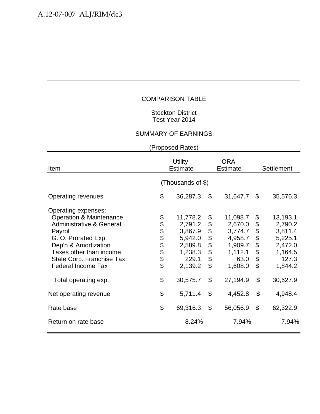## Stockton District Test Year 2014

## SUMMARY OF EARNINGS

| Item                                                                                                                                                                                                                                                                    | <b>Utility</b><br><b>Estimate</b> |                                                                                                 |                                              | <b>ORA</b><br><b>Estimate</b>                                                                  | <b>Settlement</b>                                  |                                                                                                 |  |  |
|-------------------------------------------------------------------------------------------------------------------------------------------------------------------------------------------------------------------------------------------------------------------------|-----------------------------------|-------------------------------------------------------------------------------------------------|----------------------------------------------|------------------------------------------------------------------------------------------------|----------------------------------------------------|-------------------------------------------------------------------------------------------------|--|--|
|                                                                                                                                                                                                                                                                         | (Thousands of \$)                 |                                                                                                 |                                              |                                                                                                |                                                    |                                                                                                 |  |  |
| <b>Operating revenues</b>                                                                                                                                                                                                                                               | \$                                | 36,287.3                                                                                        | \$                                           | 31,647.7                                                                                       | \$                                                 | 35,576.3                                                                                        |  |  |
| Operating expenses:<br><b>Operation &amp; Maintenance</b><br><b>Administrative &amp; General</b><br>Payroll<br>G. O. Prorated Exp.<br>Dep'n & Amortization<br>Taxes other than income<br>State Corp. Franchise Tax<br><b>Federal Income Tax</b><br>Total operating exp. | <b>8888888</b><br>\$              | 11,778.2<br>2,791.2<br>3,867.9<br>5,942.0<br>2,589.8<br>1,238.3<br>229.1<br>2,139.2<br>30,575.7 | \$<br>\$<br>\$<br>\$<br>\$<br>\$<br>\$<br>\$ | 11,098.7<br>2,670.0<br>3,774.7<br>4,958.7<br>1,909.7<br>1,112.1<br>63.0<br>1,608.0<br>27,194.9 | \$<br>\$<br>\$<br>\$<br>\$<br>\$<br>\$<br>\$<br>\$ | 13,193.1<br>2,790.2<br>3,811.4<br>5,225.1<br>2,472.0<br>1,164.5<br>127.3<br>1,844.2<br>30,627.9 |  |  |
| Net operating revenue                                                                                                                                                                                                                                                   | \$                                | 5,711.4                                                                                         | \$                                           | 4,452.8                                                                                        | \$                                                 | 4,948.4                                                                                         |  |  |
| Rate base                                                                                                                                                                                                                                                               | \$                                | 69,316.3                                                                                        | $\boldsymbol{\mathsf{S}}$                    | 56,056.9                                                                                       | \$                                                 | 62,322.9                                                                                        |  |  |
| Return on rate base                                                                                                                                                                                                                                                     |                                   | 8.24%                                                                                           |                                              | 7.94%                                                                                          |                                                    | 7.94%                                                                                           |  |  |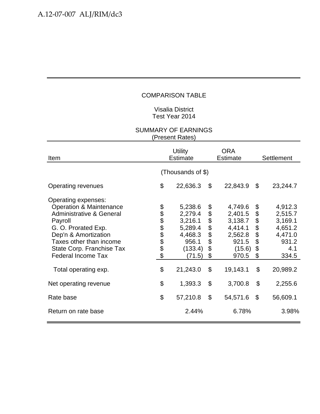## Visalia District Test Year 2014

| Item                                                                                                                                                                                                                                                                    |                       | <b>Utility</b><br><b>Estimate</b>                                                             |                                                    | ORA<br><b>Estimate</b>                                                                      | Settlement                                         |                                                                                          |  |  |  |  |
|-------------------------------------------------------------------------------------------------------------------------------------------------------------------------------------------------------------------------------------------------------------------------|-----------------------|-----------------------------------------------------------------------------------------------|----------------------------------------------------|---------------------------------------------------------------------------------------------|----------------------------------------------------|------------------------------------------------------------------------------------------|--|--|--|--|
|                                                                                                                                                                                                                                                                         | (Thousands of \$)     |                                                                                               |                                                    |                                                                                             |                                                    |                                                                                          |  |  |  |  |
| Operating revenues                                                                                                                                                                                                                                                      | \$                    | 22,636.3                                                                                      | \$                                                 | 22,843.9                                                                                    | \$                                                 | 23,244.7                                                                                 |  |  |  |  |
| Operating expenses:<br><b>Operation &amp; Maintenance</b><br><b>Administrative &amp; General</b><br>Payroll<br>G. O. Prorated Exp.<br>Dep'n & Amortization<br>Taxes other than income<br>State Corp. Franchise Tax<br><b>Federal Income Tax</b><br>Total operating exp. | <b>88888888</b><br>\$ | 5,238.6<br>2,279.4<br>3,216.1<br>5,289.4<br>4,468.3<br>956.1<br>(133.4)<br>(71.5)<br>21,243.0 | \$<br>\$<br>\$\$\$<br>$\dot{\$}$<br>\$<br>\$<br>\$ | 4,749.6<br>2,401.5<br>3,138.7<br>4,414.1<br>2,562.8<br>921.5<br>(15.6)<br>970.5<br>19,143.1 | \$<br>\$<br>\$<br>\$<br>\$<br>\$<br>\$<br>\$<br>\$ | 4,912.3<br>2,515.7<br>3,169.1<br>4,651.2<br>4,471.0<br>931.2<br>4.1<br>334.5<br>20,989.2 |  |  |  |  |
| Net operating revenue                                                                                                                                                                                                                                                   | \$                    | 1,393.3                                                                                       | \$                                                 | 3,700.8                                                                                     | \$                                                 | 2,255.6                                                                                  |  |  |  |  |
| Rate base                                                                                                                                                                                                                                                               | \$                    | 57,210.8                                                                                      | $\mathfrak{S}$                                     | 54,571.6                                                                                    | $\mathcal{L}$                                      | 56,609.1                                                                                 |  |  |  |  |
| Return on rate base                                                                                                                                                                                                                                                     |                       | 2.44%                                                                                         |                                                    | 6.78%                                                                                       |                                                    | 3.98%                                                                                    |  |  |  |  |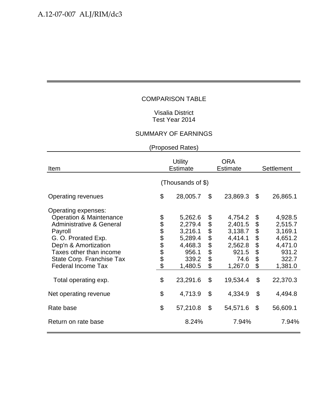## Visalia District Test Year 2014

# SUMMARY OF EARNINGS

| Item                                                                                                                                                                                                                                                                    |                       | <b>Utility</b><br><b>Estimate</b>                                                            |                                                             | <b>ORA</b><br><b>Estimate</b>                                                               | <b>Settlement</b>                                  |                                                                                              |  |  |  |  |
|-------------------------------------------------------------------------------------------------------------------------------------------------------------------------------------------------------------------------------------------------------------------------|-----------------------|----------------------------------------------------------------------------------------------|-------------------------------------------------------------|---------------------------------------------------------------------------------------------|----------------------------------------------------|----------------------------------------------------------------------------------------------|--|--|--|--|
|                                                                                                                                                                                                                                                                         | (Thousands of \$)     |                                                                                              |                                                             |                                                                                             |                                                    |                                                                                              |  |  |  |  |
| <b>Operating revenues</b>                                                                                                                                                                                                                                               | \$                    | 28,005.7                                                                                     | \$                                                          | 23,869.3                                                                                    | \$                                                 | 26,865.1                                                                                     |  |  |  |  |
| Operating expenses:<br><b>Operation &amp; Maintenance</b><br><b>Administrative &amp; General</b><br>Payroll<br>G. O. Prorated Exp.<br>Dep'n & Amortization<br>Taxes other than income<br>State Corp. Franchise Tax<br><b>Federal Income Tax</b><br>Total operating exp. | <b>88888888</b><br>\$ | 5,262.6<br>2,279.4<br>3,216.1<br>5,289.4<br>4,468.3<br>956.1<br>339.2<br>1,480.5<br>23,291.6 | \$<br>\$<br>\$<br>$\ddot{\$}$<br>\$<br>\$<br>\$<br>\$<br>\$ | 4,754.2<br>2,401.5<br>3,138.7<br>4,414.1<br>2,562.8<br>921.5<br>74.6<br>1,267.0<br>19,534.4 | \$<br>\$<br>\$<br>\$<br>\$<br>\$<br>\$<br>\$<br>\$ | 4,928.5<br>2,515.7<br>3,169.1<br>4,651.2<br>4,471.0<br>931.2<br>322.7<br>1,381.0<br>22,370.3 |  |  |  |  |
| Net operating revenue                                                                                                                                                                                                                                                   | \$                    | 4,713.9                                                                                      | \$                                                          | 4,334.9                                                                                     | \$                                                 | 4,494.8                                                                                      |  |  |  |  |
| Rate base                                                                                                                                                                                                                                                               | \$                    | 57,210.8                                                                                     | \$                                                          | 54,571.6                                                                                    | $\boldsymbol{\mathsf{S}}$                          | 56,609.1                                                                                     |  |  |  |  |
| Return on rate base                                                                                                                                                                                                                                                     |                       | 8.24%                                                                                        |                                                             | 7.94%                                                                                       |                                                    | 7.94%                                                                                        |  |  |  |  |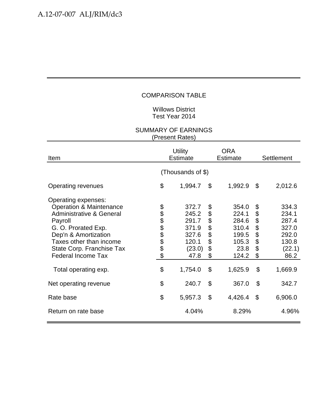## Willows District Test Year 2014

| Item                                                                                                                                                                                                                                                                    | <b>Utility</b><br><b>Estimate</b> |                                                                                 |                                                    | <b>ORA</b><br><b>Estimate</b>                                                  | Settlement                                         |                                                                                 |  |
|-------------------------------------------------------------------------------------------------------------------------------------------------------------------------------------------------------------------------------------------------------------------------|-----------------------------------|---------------------------------------------------------------------------------|----------------------------------------------------|--------------------------------------------------------------------------------|----------------------------------------------------|---------------------------------------------------------------------------------|--|
|                                                                                                                                                                                                                                                                         |                                   | (Thousands of \$)                                                               |                                                    |                                                                                |                                                    |                                                                                 |  |
| <b>Operating revenues</b>                                                                                                                                                                                                                                               | \$                                | 1,994.7                                                                         | \$                                                 | 1,992.9                                                                        | \$                                                 | 2,012.6                                                                         |  |
| Operating expenses:<br><b>Operation &amp; Maintenance</b><br><b>Administrative &amp; General</b><br>Payroll<br>G. O. Prorated Exp.<br>Dep'n & Amortization<br>Taxes other than income<br>State Corp. Franchise Tax<br><b>Federal Income Tax</b><br>Total operating exp. | <b>88888888</b><br>\$             | 372.7<br>245.2<br>291.7<br>371.9<br>327.6<br>120.1<br>(23.0)<br>47.8<br>1,754.0 | \$<br>\$<br>\$<br>\$<br>\$<br>\$<br>\$<br>\$<br>\$ | 354.0<br>224.1<br>284.6<br>310.4<br>199.5<br>105.3<br>23.8<br>124.2<br>1,625.9 | \$<br>\$<br>\$<br>\$<br>\$<br>\$<br>\$<br>\$<br>\$ | 334.3<br>234.1<br>287.4<br>327.0<br>292.0<br>130.8<br>(22.1)<br>86.2<br>1,669.9 |  |
| Net operating revenue                                                                                                                                                                                                                                                   | \$                                | 240.7                                                                           | \$                                                 | 367.0                                                                          | \$                                                 | 342.7                                                                           |  |
| Rate base                                                                                                                                                                                                                                                               | \$                                | 5,957.3                                                                         | $\mathfrak{S}$                                     | 4,426.4                                                                        | \$                                                 | 6,906.0                                                                         |  |
| Return on rate base                                                                                                                                                                                                                                                     |                                   | 4.04%                                                                           |                                                    | 8.29%                                                                          |                                                    | 4.96%                                                                           |  |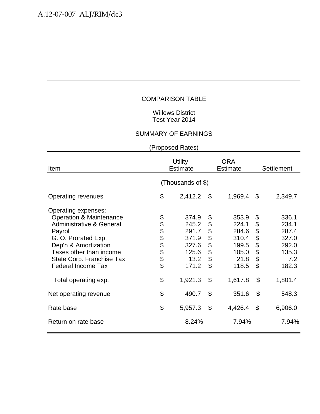## Willows District Test Year 2014

# SUMMARY OF EARNINGS

| Item                                                                                                                                                                                                                                                                    | <b>Utility</b><br><b>Estimate</b> |                                                                                |                                                    | <b>ORA</b><br><b>Estimate</b>                                                  | <b>Settlement</b>                                  |                                                                               |  |  |  |  |
|-------------------------------------------------------------------------------------------------------------------------------------------------------------------------------------------------------------------------------------------------------------------------|-----------------------------------|--------------------------------------------------------------------------------|----------------------------------------------------|--------------------------------------------------------------------------------|----------------------------------------------------|-------------------------------------------------------------------------------|--|--|--|--|
|                                                                                                                                                                                                                                                                         | (Thousands of \$)                 |                                                                                |                                                    |                                                                                |                                                    |                                                                               |  |  |  |  |
| Operating revenues                                                                                                                                                                                                                                                      | \$                                | 2,412.2                                                                        | \$                                                 | 1,969.4                                                                        | \$                                                 | 2,349.7                                                                       |  |  |  |  |
| Operating expenses:<br><b>Operation &amp; Maintenance</b><br><b>Administrative &amp; General</b><br>Payroll<br>G. O. Prorated Exp.<br>Dep'n & Amortization<br>Taxes other than income<br>State Corp. Franchise Tax<br><b>Federal Income Tax</b><br>Total operating exp. | <b>88888888</b><br>\$             | 374.9<br>245.2<br>291.7<br>371.9<br>327.6<br>125.6<br>13.2<br>171.2<br>1,921.3 | \$<br>\$<br>\$<br>\$<br>\$<br>\$<br>\$<br>\$<br>\$ | 353.9<br>224.1<br>284.6<br>310.4<br>199.5<br>105.0<br>21.8<br>118.5<br>1,617.8 | \$<br>\$<br>\$<br>\$<br>\$<br>\$<br>\$<br>\$<br>\$ | 336.1<br>234.1<br>287.4<br>327.0<br>292.0<br>135.3<br>7.2<br>182.3<br>1,801.4 |  |  |  |  |
| Net operating revenue                                                                                                                                                                                                                                                   | \$                                | 490.7                                                                          | \$                                                 | 351.6                                                                          | $\boldsymbol{\mathsf{S}}$                          | 548.3                                                                         |  |  |  |  |
| Rate base                                                                                                                                                                                                                                                               | \$                                | 5,957.3                                                                        | \$                                                 | 4,426.4                                                                        | \$                                                 | 6,906.0                                                                       |  |  |  |  |
| Return on rate base                                                                                                                                                                                                                                                     |                                   | 8.24%                                                                          |                                                    | 7.94%                                                                          |                                                    | 7.94%                                                                         |  |  |  |  |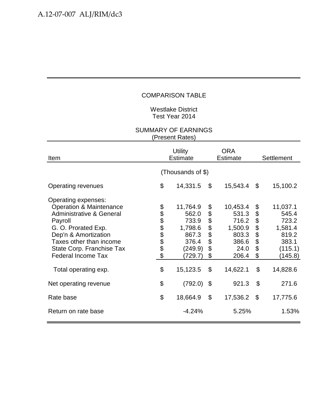Westlake District Test Year 2014

| Item                                                                                                                                                                                                                                                                    |                       | <b>Utility</b><br><b>Estimate</b>                                                         |                                              | <b>ORA</b><br><b>Estimate</b>                                                        | Settlement                                   |                                                                                           |  |
|-------------------------------------------------------------------------------------------------------------------------------------------------------------------------------------------------------------------------------------------------------------------------|-----------------------|-------------------------------------------------------------------------------------------|----------------------------------------------|--------------------------------------------------------------------------------------|----------------------------------------------|-------------------------------------------------------------------------------------------|--|
|                                                                                                                                                                                                                                                                         |                       | (Thousands of \$)                                                                         |                                              |                                                                                      |                                              |                                                                                           |  |
| Operating revenues                                                                                                                                                                                                                                                      | \$                    | 14,331.5                                                                                  | \$                                           | 15,543.4                                                                             | \$                                           | 15,100.2                                                                                  |  |
| Operating expenses:<br><b>Operation &amp; Maintenance</b><br><b>Administrative &amp; General</b><br>Payroll<br>G. O. Prorated Exp.<br>Dep'n & Amortization<br>Taxes other than income<br>State Corp. Franchise Tax<br><b>Federal Income Tax</b><br>Total operating exp. | <b>88888888</b><br>\$ | 11,764.9<br>562.0<br>733.9<br>1,798.6<br>867.3<br>376.4<br>(249.9)<br>(729.7)<br>15,123.5 | \$<br>\$<br>\$<br>\$<br>\$<br>\$<br>\$<br>\$ | 10,453.4<br>531.3<br>716.2<br>1,500.9<br>803.3<br>386.6<br>24.0<br>206.4<br>14,622.1 | \$<br>\$<br>\$<br>\$<br>\$<br>\$<br>\$<br>\$ | 11,037.1<br>545.4<br>723.2<br>1,581.4<br>819.2<br>383.1<br>(115.1)<br>(145.8)<br>14,828.6 |  |
| Net operating revenue                                                                                                                                                                                                                                                   | \$                    | (792.0)                                                                                   | \$                                           | 921.3                                                                                | $\mathfrak{S}$                               | 271.6                                                                                     |  |
| Rate base                                                                                                                                                                                                                                                               | \$                    | 18,664.9                                                                                  | $\mathcal{L}$                                | 17,536.2                                                                             | \$                                           | 17,775.6                                                                                  |  |
| Return on rate base                                                                                                                                                                                                                                                     |                       | $-4.24%$                                                                                  |                                              | 5.25%                                                                                |                                              | 1.53%                                                                                     |  |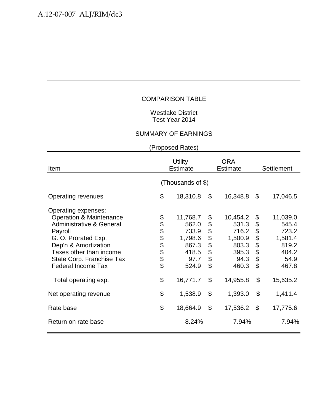## Westlake District Test Year 2014

## SUMMARY OF EARNINGS

| Item                                                                                                                                                                                                                                                                    |                      | <b>Utility</b><br><b>Estimate</b>                                                    |                                                             | <b>ORA</b><br><b>Estimate</b>                                                        | <b>Settlement</b>                                  |                                                                                      |  |  |  |  |  |
|-------------------------------------------------------------------------------------------------------------------------------------------------------------------------------------------------------------------------------------------------------------------------|----------------------|--------------------------------------------------------------------------------------|-------------------------------------------------------------|--------------------------------------------------------------------------------------|----------------------------------------------------|--------------------------------------------------------------------------------------|--|--|--|--|--|
|                                                                                                                                                                                                                                                                         | (Thousands of \$)    |                                                                                      |                                                             |                                                                                      |                                                    |                                                                                      |  |  |  |  |  |
| <b>Operating revenues</b>                                                                                                                                                                                                                                               | \$                   | 18,310.8                                                                             | \$                                                          | 16,348.8                                                                             | $\mathfrak{S}$                                     | 17,046.5                                                                             |  |  |  |  |  |
| Operating expenses:<br><b>Operation &amp; Maintenance</b><br><b>Administrative &amp; General</b><br>Payroll<br>G. O. Prorated Exp.<br>Dep'n & Amortization<br>Taxes other than income<br>State Corp. Franchise Tax<br><b>Federal Income Tax</b><br>Total operating exp. | <b>8888888</b><br>\$ | 11,768.7<br>562.0<br>733.9<br>1,798.6<br>867.3<br>418.5<br>97.7<br>524.9<br>16,771.7 | \$<br>\$<br>\$<br>$\ddot{\$}$<br>\$<br>\$<br>\$<br>\$<br>\$ | 10,454.2<br>531.3<br>716.2<br>1,500.9<br>803.3<br>395.3<br>94.3<br>460.3<br>14,955.8 | \$<br>\$<br>\$<br>\$<br>\$<br>\$<br>\$<br>\$<br>\$ | 11,039.0<br>545.4<br>723.2<br>1,581.4<br>819.2<br>404.2<br>54.9<br>467.8<br>15,635.2 |  |  |  |  |  |
| Net operating revenue                                                                                                                                                                                                                                                   | \$                   | 1,538.9                                                                              | \$                                                          | 1,393.0                                                                              | \$                                                 | 1,411.4                                                                              |  |  |  |  |  |
| Rate base                                                                                                                                                                                                                                                               | \$                   | 18,664.9                                                                             | \$                                                          | 17,536.2                                                                             | \$                                                 | 17,775.6                                                                             |  |  |  |  |  |
| Return on rate base                                                                                                                                                                                                                                                     |                      | 8.24%                                                                                |                                                             | 7.94%                                                                                |                                                    | 7.94%                                                                                |  |  |  |  |  |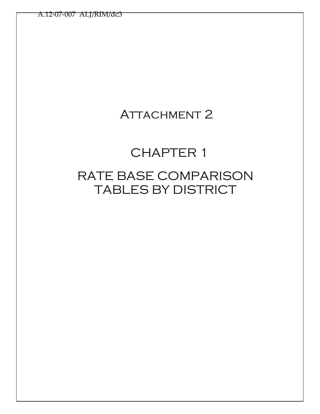# ATTACHMENT 2

# CHAPTER 1

# RATE BASE COMPARISON TABLES BY DISTRICT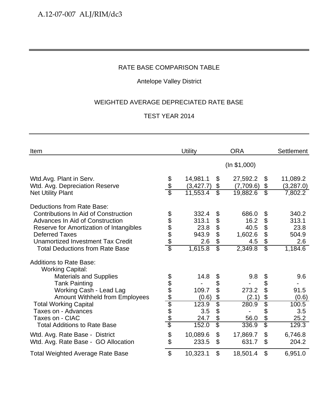# Antelope Valley District

# WEIGHTED AVERAGE DEPRECIATED RATE BASE

| Item                                                                                                                                                                                                                                                                                             |                                       | <b>Utility</b>                                          |                                                                                | <b>ORA</b>                                         |                                                                   | <b>Settlement</b>                                     |
|--------------------------------------------------------------------------------------------------------------------------------------------------------------------------------------------------------------------------------------------------------------------------------------------------|---------------------------------------|---------------------------------------------------------|--------------------------------------------------------------------------------|----------------------------------------------------|-------------------------------------------------------------------|-------------------------------------------------------|
|                                                                                                                                                                                                                                                                                                  |                                       |                                                         |                                                                                | (ln \$1,000)                                       |                                                                   |                                                       |
| Wtd.Avg. Plant in Serv.<br>Wtd. Avg. Depreciation Reserve<br><b>Net Utility Plant</b>                                                                                                                                                                                                            | \$<br>\$                              | 14,981.1<br>(3, 427.7)<br>11,553.4                      | \$<br>\$<br>$\overline{\$}$                                                    | 27,592.2<br>(7,709.6)<br>19,882.6                  | \$<br>\$<br>$\overline{\mathbb{S}}$                               | 11,089.2<br>(3,287.0)<br>7,802.2                      |
| Deductions from Rate Base:<br><b>Contributions In Aid of Construction</b><br>Advances In Aid of Construction<br>Reserve for Amortization of Intangibles<br><b>Deferred Taxes</b><br><b>Unamortized Investment Tax Credit</b><br><b>Total Deductions from Rate Base</b>                           | \$\$\$\$\$<br>$\overline{\mathbb{S}}$ | 332.4<br>313.1<br>23.8<br>943.9<br>2.6<br>1,615.8       | \$<br>\$<br>\$<br>\$<br>\$<br>$\overline{\$}$                                  | 686.0<br>16.2<br>40.5<br>1,602.6<br>4.5<br>2,349.8 | \$<br>\$<br>\$<br>\$<br>\$<br>$\overline{\mathbb{S}}$             | 340.2<br>313.1<br>23.8<br>504.9<br>2.6<br>1,184.6     |
| <b>Additions to Rate Base:</b><br><b>Working Capital:</b><br><b>Materials and Supplies</b><br><b>Tank Painting</b><br>Working Cash - Lead Lag<br>Amount Withheld from Employees<br><b>Total Working Capital</b><br>Taxes on - Advances<br>Taxes on - CIAC<br><b>Total Additions to Rate Base</b> |                                       | 14.8<br>109.7<br>(0.6)<br>123.9<br>3.5<br>24.7<br>152.0 | \$<br>\$<br>\$<br>\$<br>$\overline{\$}$<br>\$<br>\$<br>$\overline{\mathbb{S}}$ | 9.8<br>273.2<br>(2.1)<br>280.9<br>56.0<br>336.9    | \$<br>\$<br>\$<br>\$<br>\$<br>\$<br>\$<br>$\overline{\mathbb{S}}$ | 9.6<br>91.5<br>(0.6)<br>100.5<br>3.5<br>25.2<br>129.3 |
| Wtd. Avg. Rate Base - District<br>Wtd. Avg. Rate Base - GO Allocation                                                                                                                                                                                                                            | \$<br>\$                              | 10,089.6<br>233.5                                       | \$<br>\$                                                                       | 17,869.7<br>631.7                                  | \$<br>\$                                                          | 6,746.8<br>204.2                                      |
| <b>Total Weighted Average Rate Base</b>                                                                                                                                                                                                                                                          | \$                                    | 10,323.1                                                | \$                                                                             | 18,501.4                                           | \$                                                                | 6,951.0                                               |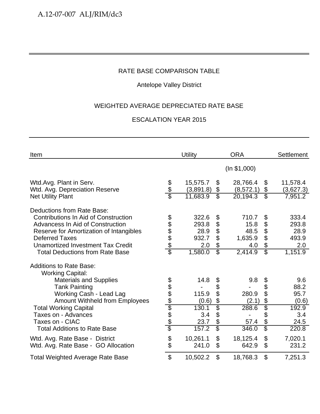# Antelope Valley District

# WEIGHTED AVERAGE DEPRECIATED RATE BASE

| Item                                                                                                   |                      | <b>Utility</b>        |                                | <b>ORA</b>             |                                 | <b>Settlement</b>     |
|--------------------------------------------------------------------------------------------------------|----------------------|-----------------------|--------------------------------|------------------------|---------------------------------|-----------------------|
|                                                                                                        |                      |                       |                                | (ln \$1,000)           |                                 |                       |
| Wtd.Avg. Plant in Serv.<br>Wtd. Avg. Depreciation Reserve                                              | $\frac{6}{6}$        | 15,575.7<br>(3,891.8) | \$<br>\$                       | 28,766.4<br>(8, 572.1) | \$<br>\$                        | 11,578.4<br>(3,627.3) |
| <b>Net Utility Plant</b>                                                                               |                      | 11,683.9              | $\overline{\mathcal{S}}$       | 20,194.3               | $\overline{\mathbb{S}}$         | 7,951.2               |
| Deductions from Rate Base:<br>Contributions In Aid of Construction<br>Advancess In Aid of Construction |                      | 322.6<br>293.8        | \$                             | 710.7<br>15.8          | \$<br>\$                        | 333.4<br>293.8        |
| Reserve for Amortization of Intangibles<br><b>Deferred Taxes</b>                                       | <u>ala a a a a</u>   | 28.9<br>932.7         | \$<br>\$<br>$\mathfrak{L}$     | 48.5<br>1,635.9        | \$<br>\$                        | 28.9<br>493.9         |
| Unamortized Investment Tax Credit<br><b>Total Deductions from Rate Base</b>                            |                      | 2.0<br>1,580.0        | \$<br>$\overline{\mathcal{S}}$ | 4.0<br>2,414.9         | \$<br>$\overline{\mathfrak{s}}$ | 2.0<br>1,151.9        |
| <b>Additions to Rate Base:</b><br><b>Working Capital:</b>                                              |                      |                       |                                |                        |                                 |                       |
| <b>Materials and Supplies</b><br><b>Tank Painting</b>                                                  |                      | 14.8                  | \$<br>\$                       | 9.8                    | \$<br>\$                        | 9.6<br>88.2           |
| Working Cash - Lead Lag<br><b>Amount Withheld from Employees</b>                                       |                      | 115.9<br>(0.6)        | $\mathfrak{L}$<br>\$           | 280.9<br>(2.1)         | \$<br>\$                        | 95.7<br>(0.6)         |
| <b>Total Working Capital</b><br>Taxes on - Advances                                                    | <u> 2010 App APP</u> | 130.1<br>3.4          | $\overline{\$}$<br>\$          | 288.6                  | \$<br>\$                        | 192.9<br>3.4          |
| Taxes on - CIAC<br><b>Total Additions to Rate Base</b>                                                 |                      | 23.7<br>157.2         | \$<br>$\overline{\mathcal{S}}$ | 57.4<br>346.0          | \$<br>\$                        | 24.5<br>220.8         |
| Wtd. Avg. Rate Base - District<br>Wtd. Avg. Rate Base - GO Allocation                                  | \$<br>\$             | 10,261.1<br>241.0     | \$<br>\$                       | 18,125.4<br>642.9      | \$<br>\$                        | 7,020.1<br>231.2      |
| <b>Total Weighted Average Rate Base</b>                                                                | $\mathfrak{S}$       | 10,502.2              | $\mathfrak{S}$                 | 18,768.3               | \$                              | 7,251.3               |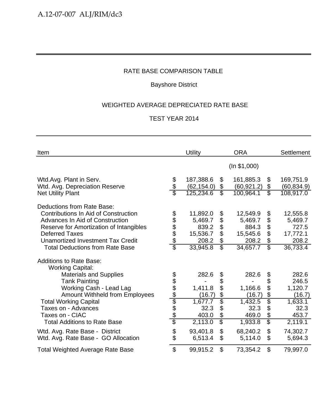# Bayshore District

# WEIGHTED AVERAGE DEPRECIATED RATE BASE

| Item                                                                                                                                                                                                                                                     |                          | <b>Utility</b>                                                |                                                         | <b>ORA</b>                                                    |                                     | <b>Settlement</b>                                             |
|----------------------------------------------------------------------------------------------------------------------------------------------------------------------------------------------------------------------------------------------------------|--------------------------|---------------------------------------------------------------|---------------------------------------------------------|---------------------------------------------------------------|-------------------------------------|---------------------------------------------------------------|
|                                                                                                                                                                                                                                                          |                          |                                                               |                                                         | (ln \$1,000)                                                  |                                     |                                                               |
| Wtd.Avg. Plant in Serv.<br>Wtd. Avg. Depreciation Reserve<br><b>Net Utility Plant</b>                                                                                                                                                                    | \$<br>$\frac{\$}{\$}$    | 187,388.6<br>(62, 154.0)<br>125,234.6                         | $\$\$<br>\$<br>$\overline{\mathcal{E}}$                 | 161,885.3<br>(60, 921.2)<br>100,964.1                         | \$<br>\$<br>$\overline{\mathbb{S}}$ | 169,751.9<br>(60, 834.9)<br>108,917.0                         |
| Deductions from Rate Base:<br>Contributions In Aid of Construction<br>Advances In Aid of Construction<br>Reserve for Amortization of Intangibles<br><b>Deferred Taxes</b><br>Unamortized Investment Tax Credit<br><b>Total Deductions from Rate Base</b> | \$<br>\$\$\$\$<br>\$     | 11,892.0<br>5,469.7<br>839.2<br>15,536.7<br>208.2<br>33,945.8 | \$<br>\$<br>\$<br>\$<br>\$<br>$\overline{\mathbb{S}}$   | 12,549.9<br>5,469.7<br>884.3<br>15,545.6<br>208.2<br>34,657.7 | \$<br>\$<br>\$<br>\$<br>\$<br>\$    | 12,555.8<br>5,469.7<br>727.5<br>17,772.1<br>208.2<br>36,733.4 |
| <b>Additions to Rate Base:</b><br><b>Working Capital:</b><br><b>Materials and Supplies</b><br><b>Tank Painting</b><br>Working Cash - Lead Lag<br><b>Amount Withheld from Employees</b>                                                                   | <u> අප අප ලේලා අප අප</u> | 282.6<br>1,411.8<br>(16.7)                                    | \$<br>\$<br>\$<br>$\frac{6}{5}$                         | 282.6<br>1,166.6<br>(16.7)                                    | \$<br>\$<br>\$<br>\$                | 282.6<br>246.5<br>1,120.7<br>(16.7)                           |
| <b>Total Working Capital</b><br>Taxes on - Advances<br>Taxes on - CIAC<br><b>Total Additions to Rate Base</b>                                                                                                                                            |                          | 1,677.7<br>32.3<br>403.0<br>2,113.0                           | $\boldsymbol{\theta}$<br>\$<br>$\overline{\mathcal{E}}$ | 1,432.5<br>32.3<br>469.0<br>1,933.8                           | \$<br>\$<br>\$<br>$\overline{\$}$   | 1,633.1<br>32.3<br>453.7<br>2,119.1                           |
| Wtd. Avg. Rate Base - District<br>Wtd. Avg. Rate Base - GO Allocation                                                                                                                                                                                    | \$<br>\$                 | 93,401.8<br>6,513.4                                           | $\mathfrak{S}$<br>\$                                    | 68,240.2<br>5,114.0                                           | $\mathfrak{S}$<br>\$                | 74,302.7<br>5,694.3                                           |
| <b>Total Weighted Average Rate Base</b>                                                                                                                                                                                                                  | \$                       | 99,915.2                                                      | $\mathfrak{S}$                                          | 73,354.2                                                      | \$                                  | 79,997.0                                                      |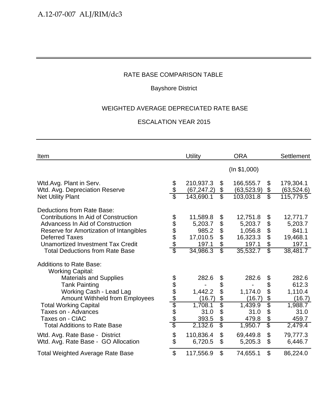# Bayshore District

# WEIGHTED AVERAGE DEPRECIATED RATE BASE

| Item                                                                                                                                                                                                                   |                        | Utility                                           |                                                   | <b>ORA</b>                                          |                               | Settlement                                        |
|------------------------------------------------------------------------------------------------------------------------------------------------------------------------------------------------------------------------|------------------------|---------------------------------------------------|---------------------------------------------------|-----------------------------------------------------|-------------------------------|---------------------------------------------------|
|                                                                                                                                                                                                                        |                        |                                                   |                                                   | (ln \$1,000)                                        |                               |                                                   |
| Wtd.Avg. Plant in Serv.<br>Wtd. Avg. Depreciation Reserve                                                                                                                                                              | \$<br>\$               | 210,937.3<br>(67, 247.2)                          | $\boldsymbol{\mathcal{S}}$<br>\$                  | 166,555.7<br>(63, 523.9)                            | \$<br>\$                      | 179,304.1<br>(63, 524.6)                          |
| <b>Net Utility Plant</b>                                                                                                                                                                                               |                        | 143,690.1                                         | $\overline{\mathcal{E}}$                          | 103,031.8                                           | $\overline{\mathcal{E}}$      | 115,779.5                                         |
| Deductions from Rate Base:<br><b>Contributions In Aid of Construction</b><br>Advancess In Aid of Construction<br>Reserve for Amortization of Intangibles<br><b>Deferred Taxes</b><br>Unamortized Investment Tax Credit | \$<br>\$\$\$\$         | 11,589.8<br>5,203.7<br>985.2<br>17,010.5<br>197.1 | \$<br>\$<br>\$<br>\$<br>$\boldsymbol{\mathsf{S}}$ | 12,751.8<br>5,203.7<br>1,056.8<br>16,323.3<br>197.1 | \$<br>\$<br>\$<br>\$<br>\$    | 12,771.7<br>5,203.7<br>841.1<br>19,468.1<br>197.1 |
| <b>Total Deductions from Rate Base</b>                                                                                                                                                                                 | $\overline{\$}$        | 34,986.3                                          | $\overline{\mathbb{S}}$                           | 35,532.7                                            | S)                            | 38,481.7                                          |
| <b>Additions to Rate Base:</b><br><b>Working Capital:</b>                                                                                                                                                              |                        |                                                   |                                                   |                                                     |                               |                                                   |
| <b>Materials and Supplies</b>                                                                                                                                                                                          |                        | 282.6                                             | \$                                                | 282.6                                               | \$                            | 282.6                                             |
| <b>Tank Painting</b><br>Working Cash - Lead Lag<br><b>Amount Withheld from Employees</b>                                                                                                                               | <u> අප අප ලේල අප අ</u> | 1,442.2<br>(16.7)                                 | \$<br>\$<br>\$                                    | 1,174.0<br>(16.7)                                   | \$<br>\$<br>\$                | 612.3<br>1,110.4<br>(16.7)                        |
| <b>Total Working Capital</b><br>Taxes on - Advances                                                                                                                                                                    |                        | 1,708.1<br>31.0                                   | $\overline{\$}$<br>\$                             | 1,439.9<br>31.0                                     | \$<br>\$                      | 1,988.7<br>31.0                                   |
| Taxes on - CIAC<br><b>Total Additions to Rate Base</b>                                                                                                                                                                 |                        | 393.5<br>2,132.6                                  | \$<br>$\overline{\$}$                             | 479.8<br>1,950.7                                    | \$<br>$\overline{\mathbb{S}}$ | 459.7<br>2,479.4                                  |
| Wtd. Avg. Rate Base - District<br>Wtd. Avg. Rate Base - GO Allocation                                                                                                                                                  | \$<br>\$               | 110,836.4<br>6,720.5                              | $\mathfrak{L}$<br>\$                              | 69,449.8<br>5,205.3                                 | \$<br>\$                      | 79,777.3<br>6,446.7                               |
| <b>Total Weighted Average Rate Base</b>                                                                                                                                                                                | \$                     | 117,556.9                                         | $\mathfrak{S}$                                    | 74,655.1                                            | \$                            | 86,224.0                                          |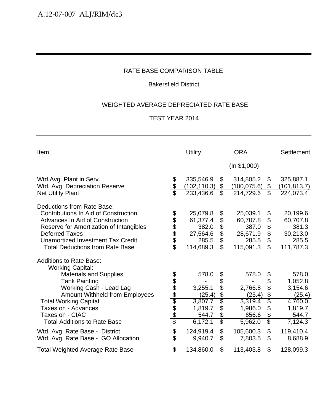# Bakersfield District

# WEIGHTED AVERAGE DEPRECIATED RATE BASE

| Item                                                                                                                                                                                                                                                                                                                                      |                                       | Utility                                                                           |                                                                                     | <b>ORA</b>                                                                        |                                                       | Settlement                                                                                   |
|-------------------------------------------------------------------------------------------------------------------------------------------------------------------------------------------------------------------------------------------------------------------------------------------------------------------------------------------|---------------------------------------|-----------------------------------------------------------------------------------|-------------------------------------------------------------------------------------|-----------------------------------------------------------------------------------|-------------------------------------------------------|----------------------------------------------------------------------------------------------|
|                                                                                                                                                                                                                                                                                                                                           |                                       |                                                                                   |                                                                                     | (ln \$1,000)                                                                      |                                                       |                                                                                              |
| Wtd.Avg. Plant in Serv.<br>Wtd. Avg. Depreciation Reserve<br><b>Net Utility Plant</b>                                                                                                                                                                                                                                                     | \$<br>\$                              | 335,546.9<br>(102, 110.3)<br>233,436.6                                            | \$<br>\$<br>$\overline{\$}$                                                         | 314,805.2<br>(100, 075.6)<br>214,729.6                                            | \$<br>\$<br>$\overline{\mathcal{S}}$                  | 325,887.1<br>(101, 813.7)<br>224,073.4                                                       |
| Deductions from Rate Base:<br><b>Contributions In Aid of Construction</b><br>Advances In Aid of Construction<br>Reserve for Amortization of Intangibles<br><b>Deferred Taxes</b><br>Unamortized Investment Tax Credit<br><b>Total Deductions from Rate Base</b>                                                                           | \$\$\$\$\$<br>$\overline{\mathbb{S}}$ | 25,079.8<br>61,377.4<br>382.0<br>27,564.6<br>285.5<br>114,689.3                   | \$<br>\$<br>\$<br>\$<br>\$<br>$\overline{\mathbb{S}}$                               | 25,039.1<br>60,707.8<br>387.0<br>28,671.9<br>285.5<br>115,091.3                   | \$<br>\$<br>\$<br>\$<br>\$<br>$\overline{\mathbb{S}}$ | 20,199.6<br>60,707.8<br>381.3<br>30,213.0<br>285.5<br>111,787.3                              |
| <b>Additions to Rate Base:</b><br><b>Working Capital:</b><br><b>Materials and Supplies</b><br><b>Tank Painting</b><br>Working Cash - Lead Lag<br><b>Amount Withheld from Employees</b><br><b>Total Working Capital</b><br>Taxes on - Advances<br>Taxes on - CIAC<br><b>Total Additions to Rate Base</b><br>Wtd. Avg. Rate Base - District | <u> අප අප ලේලා අප අ</u><br>\$         | 578.0<br>3,255.1<br>(25.4)<br>3,807.7<br>1,819.7<br>544.7<br>6,172.1<br>124,919.4 | \$<br>\$<br>\$<br>$\frac{1}{2}$<br>\$<br>\$<br>\$<br>$\overline{\mathcal{S}}$<br>\$ | 578.0<br>2,766.8<br>(25.4)<br>3,319.4<br>1,986.0<br>656.6<br>5,962.0<br>105,600.3 | \$<br>\$<br>\$<br>$rac{6}{3}$<br>\$<br>\$<br>\$<br>\$ | 578.0<br>1,052.8<br>3,154.6<br>(25.4)<br>4,760.0<br>1,819.7<br>544.7<br>7,124.3<br>119,410.4 |
| Wtd. Avg. Rate Base - GO Allocation<br><b>Total Weighted Average Rate Base</b>                                                                                                                                                                                                                                                            | \$<br>$\mathfrak{L}$                  | 9,940.7<br>134,860.0                                                              | \$<br>\$                                                                            | 7,803.5<br>113,403.8                                                              | \$<br>\$                                              | 8,688.9<br>128,099.3                                                                         |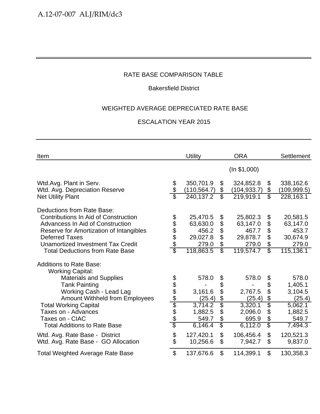## Bakersfield District

# WEIGHTED AVERAGE DEPRECIATED RATE BASE

| Item                                                                                                          |                      | <b>Utility</b>            |                         | <b>ORA</b>                |                            | <b>Settlement</b>         |
|---------------------------------------------------------------------------------------------------------------|----------------------|---------------------------|-------------------------|---------------------------|----------------------------|---------------------------|
|                                                                                                               |                      |                           |                         | (ln \$1,000)              |                            |                           |
| Wtd.Avg. Plant in Serv.<br>Wtd. Avg. Depreciation Reserve                                                     | \$                   | 350,701.9<br>(110, 564.7) | \$<br>\$                | 324,852.8<br>(104, 933.7) | \$<br>\$                   | 338,162.6<br>(109, 999.5) |
| <b>Net Utility Plant</b>                                                                                      |                      | 240,137.2                 | $\overline{\mathbb{S}}$ | 219,919.1                 | $\overline{\mathbb{S}}$    | 228,163.1                 |
| Deductions from Rate Base:<br><b>Contributions In Aid of Construction</b><br>Advancess In Aid of Construction | 8 8 8 8 9 8 9        | 25,470.5<br>63,630.0      | \$                      | 25,802.3<br>63,147.0      | \$<br>\$                   | 20,581.5<br>63,147.0      |
| Reserve for Amortization of Intangibles                                                                       |                      | 456.2                     | \$<br>\$                | 467.7                     | $\boldsymbol{\mathcal{L}}$ | 453.7                     |
| <b>Deferred Taxes</b>                                                                                         |                      | 29,027.8                  | \$                      | 29,878.7                  | \$                         | 30,674.9                  |
| Unamortized Investment Tax Credit                                                                             |                      | 279.0                     | \$                      | 279.0                     | \$                         | 279.0                     |
| <b>Total Deductions from Rate Base</b>                                                                        |                      | 118,863.5                 | $\overline{\mathbb{S}}$ | 119,574.7                 | $\overline{\mathbb{S}}$    | 115,136.1                 |
| <b>Additions to Rate Base:</b><br><b>Working Capital:</b>                                                     |                      |                           |                         |                           |                            |                           |
| <b>Materials and Supplies</b>                                                                                 |                      | 578.0                     | \$                      | 578.0                     | \$                         | 578.0                     |
| <b>Tank Painting</b>                                                                                          |                      |                           | \$                      |                           | \$                         | 1,405.1                   |
| Working Cash - Lead Lag                                                                                       |                      | 3,161.6                   | \$<br>\$                | 2,767.5                   | \$<br>\$                   | 3,104.5                   |
| <b>Amount Withheld from Employees</b><br><b>Total Working Capital</b>                                         | <u> 2010 App Ado</u> | (25.4)<br>3,714.2         | \$                      | (25.4)<br>3,320.1         | \$                         | (25.4)<br>5,062.1         |
| Taxes on - Advances                                                                                           |                      | 1,882.5                   | \$                      | 2,096.0                   | \$                         | 1,882.5                   |
| Taxes on - CIAC                                                                                               |                      | 549.7                     | \$                      | 695.9                     | \$                         | 549.7                     |
| <b>Total Additions to Rate Base</b>                                                                           |                      | 6,146.4                   | $\overline{\$}$         | 6,112.0                   | \$                         | 7,494.3                   |
| Wtd. Avg. Rate Base - District<br>Wtd. Avg. Rate Base - GO Allocation                                         | \$<br>\$             | 127,420.1<br>10,256.6     | \$<br>\$                | 106,456.4<br>7,942.7      | \$<br>\$                   | 120,521.3<br>9,837.0      |
| <b>Total Weighted Average Rate Base</b>                                                                       | $\mathfrak{S}$       | 137,676.6                 | \$                      | 114,399.1                 | \$                         | 130,358.3                 |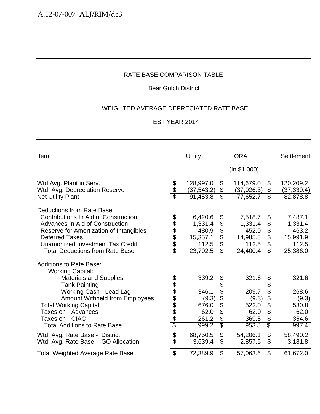## Bear Gulch District

# WEIGHTED AVERAGE DEPRECIATED RATE BASE

| Item                                                                                                                                                                                                                                                                   |                                            | <b>Utility</b>                                               |                                                       | <b>ORA</b>                                                   |                                                                                             | <b>Settlement</b>                                            |
|------------------------------------------------------------------------------------------------------------------------------------------------------------------------------------------------------------------------------------------------------------------------|--------------------------------------------|--------------------------------------------------------------|-------------------------------------------------------|--------------------------------------------------------------|---------------------------------------------------------------------------------------------|--------------------------------------------------------------|
|                                                                                                                                                                                                                                                                        |                                            |                                                              |                                                       | (ln \$1,000)                                                 |                                                                                             |                                                              |
| Wtd.Avg. Plant in Serv.<br>Wtd. Avg. Depreciation Reserve                                                                                                                                                                                                              | \$<br>\$                                   | 128,997.0<br>(37, 543.2)                                     | $\$\$<br>\$                                           | 114,679.0<br>(37, 026.3)                                     | \$<br>$\boldsymbol{\theta}$                                                                 | 120,209.2<br>(37, 330.4)                                     |
| <b>Net Utility Plant</b>                                                                                                                                                                                                                                               |                                            | 91,453.8                                                     | $\overline{\mathcal{S}}$                              | 77,652.7                                                     | $\overline{\mathbb{S}}$                                                                     | 82,878.8                                                     |
| Deductions from Rate Base:<br>Contributions In Aid of Construction<br><b>Advances In Aid of Construction</b><br>Reserve for Amortization of Intangibles<br><b>Deferred Taxes</b><br><b>Unamortized Investment Tax Credit</b><br><b>Total Deductions from Rate Base</b> | \$<br>\$\$\$\$<br>$\overline{\mathcal{E}}$ | 6,420.6<br>1,331.4<br>480.9<br>15,357.1<br>112.5<br>23,702.5 | \$<br>\$<br>\$<br>\$<br>\$<br>$\overline{\mathbb{S}}$ | 7,518.7<br>1,331.4<br>452.0<br>14,985.8<br>112.5<br>24,400.4 | \$<br>\$<br>$\boldsymbol{\theta}$<br>\$<br>$\boldsymbol{\theta}$<br>$\overline{\mathbb{S}}$ | 7,487.1<br>1,331.4<br>463.2<br>15,991.9<br>112.5<br>25,386.0 |
| <b>Additions to Rate Base:</b><br><b>Working Capital:</b>                                                                                                                                                                                                              |                                            |                                                              |                                                       |                                                              |                                                                                             |                                                              |
| <b>Materials and Supplies</b>                                                                                                                                                                                                                                          |                                            | 339.2                                                        | \$                                                    | 321.6                                                        | \$                                                                                          | 321.6                                                        |
| <b>Tank Painting</b>                                                                                                                                                                                                                                                   |                                            |                                                              | \$                                                    |                                                              | \$                                                                                          |                                                              |
| Working Cash - Lead Lag<br>Amount Withheld from Employees                                                                                                                                                                                                              |                                            | 346.1<br>(9.3)                                               | \$<br>\$                                              | 209.7<br>(9.3)                                               | \$<br>$\boldsymbol{\theta}$                                                                 | 268.6<br>(9.3)                                               |
| <b>Total Working Capital</b>                                                                                                                                                                                                                                           | <u> 2010 App Ado</u>                       | 676.0                                                        | $\overline{\$}$                                       | 522.0                                                        | \$                                                                                          | 580.8                                                        |
| Taxes on - Advances                                                                                                                                                                                                                                                    |                                            | 62.0                                                         | \$                                                    | 62.0                                                         | \$                                                                                          | 62.0                                                         |
| Taxes on - CIAC                                                                                                                                                                                                                                                        |                                            | 261.2                                                        | \$                                                    | 369.8                                                        | \$                                                                                          | 354.6                                                        |
| <b>Total Additions to Rate Base</b>                                                                                                                                                                                                                                    |                                            | 999.2                                                        | $\overline{\mathcal{S}}$                              | 953.8                                                        | $\overline{\mathcal{E}}$                                                                    | 997.4                                                        |
| Wtd. Avg. Rate Base - District                                                                                                                                                                                                                                         | \$<br>\$                                   | 68,750.5                                                     | \$<br>\$                                              | 54,206.1                                                     | $\boldsymbol{\mathsf{S}}$<br>$\mathcal{L}$                                                  | 58,490.2                                                     |
| Wtd. Avg. Rate Base - GO Allocation                                                                                                                                                                                                                                    |                                            | 3,639.4                                                      |                                                       | 2,857.5                                                      |                                                                                             | 3,181.8                                                      |
| <b>Total Weighted Average Rate Base</b>                                                                                                                                                                                                                                | $\mathfrak{S}$                             | 72,389.9                                                     | \$                                                    | 57,063.6                                                     | \$                                                                                          | 61,672.0                                                     |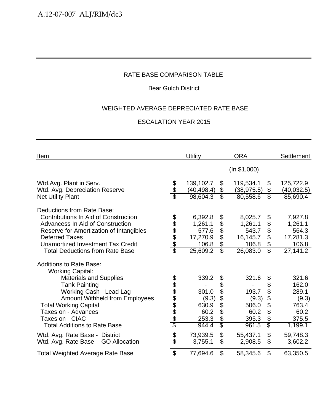## Bear Gulch District

## WEIGHTED AVERAGE DEPRECIATED RATE BASE

| Item                                                                                                                                                                                   |                        | <b>Utility</b>           |                               | <b>ORA</b>               |                               | <b>Settlement</b>                |
|----------------------------------------------------------------------------------------------------------------------------------------------------------------------------------------|------------------------|--------------------------|-------------------------------|--------------------------|-------------------------------|----------------------------------|
|                                                                                                                                                                                        |                        |                          |                               | (ln \$1,000)             |                               |                                  |
| Wtd.Avg. Plant in Serv.<br>Wtd. Avg. Depreciation Reserve                                                                                                                              | \$<br>\$               | 139,102.7<br>(40, 498.4) | \$<br>\$                      | 119,534.1<br>(38, 975.5) | \$<br>\$                      | 125,722.9<br>(40, 032.5)         |
| <b>Net Utility Plant</b>                                                                                                                                                               |                        | 98,604.3                 | $\overline{\mathcal{E}}$      | 80,558.6                 | $\overline{\mathbb{S}}$       | 85,690.4                         |
| Deductions from Rate Base:<br><b>Contributions In Aid of Construction</b><br>Advancess In Aid of Construction                                                                          | \$\$\$\$\$             | 6,392.8<br>1,261.1       | \$<br>\$                      | 8,025.7<br>1,261.1       | \$<br>\$                      | 7,927.8<br>1,261.1               |
| Reserve for Amortization of Intangibles                                                                                                                                                |                        | 577.6                    | \$                            | 543.7                    | \$                            | 564.3                            |
| <b>Deferred Taxes</b>                                                                                                                                                                  |                        | 17,270.9                 | \$                            | 16,145.7                 | \$                            | 17,281.3                         |
| Unamortized Investment Tax Credit<br><b>Total Deductions from Rate Base</b>                                                                                                            | $\overline{\$}$        | 106.8<br>25,609.2        | \$<br>$\overline{\mathbb{S}}$ | 106.8<br>26,083.0        | \$<br>$\overline{\mathbb{S}}$ | 106.8<br>27,141.2                |
| <b>Additions to Rate Base:</b><br><b>Working Capital:</b><br><b>Materials and Supplies</b><br><b>Tank Painting</b><br>Working Cash - Lead Lag<br><b>Amount Withheld from Employees</b> | <u> අප අප ලේල අප අ</u> | 339.2<br>301.0<br>(9.3)  | \$<br>\$<br>\$<br>\$          | 321.6<br>193.7<br>(9.3)  | \$<br>\$<br>\$<br>\$          | 321.6<br>162.0<br>289.1<br>(9.3) |
| <b>Total Working Capital</b>                                                                                                                                                           |                        | 630.9                    | $\overline{\$}$               | 506.0                    | Ġ.                            | 763.4                            |
| Taxes on - Advances<br>Taxes on - CIAC                                                                                                                                                 |                        | 60.2<br>253.3            | \$<br>\$                      | 60.2<br>395.3            | \$<br>\$                      | 60.2<br>375.5                    |
| <b>Total Additions to Rate Base</b>                                                                                                                                                    |                        | 944.4                    | $\overline{\mathcal{S}}$      | 961.5                    | \$                            | 1,199.1                          |
| Wtd. Avg. Rate Base - District<br>Wtd. Avg. Rate Base - GO Allocation                                                                                                                  | \$                     | 73,939.5<br>3,755.1      | \$<br>\$                      | 55,437.1<br>2,908.5      | \$<br>\$                      | 59,748.3<br>3,602.2              |
| <b>Total Weighted Average Rate Base</b>                                                                                                                                                | $\mathfrak{S}$         | 77,694.6                 | \$                            | 58,345.6                 | \$                            | 63,350.5                         |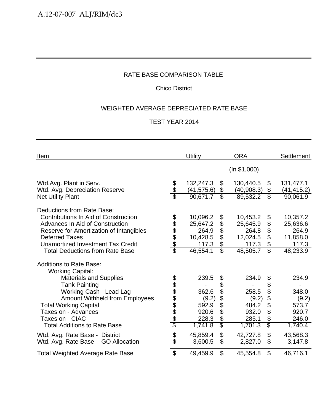# Chico District

# WEIGHTED AVERAGE DEPRECIATED RATE BASE

| Item                                                                                                                                                                                                                                                            |                        | <b>Utility</b>                                                 |                                                         | <b>ORA</b>                                                     |                                                                           | <b>Settlement</b>                                              |
|-----------------------------------------------------------------------------------------------------------------------------------------------------------------------------------------------------------------------------------------------------------------|------------------------|----------------------------------------------------------------|---------------------------------------------------------|----------------------------------------------------------------|---------------------------------------------------------------------------|----------------------------------------------------------------|
|                                                                                                                                                                                                                                                                 |                        |                                                                |                                                         | (ln \$1,000)                                                   |                                                                           |                                                                |
| Wtd.Avg. Plant in Serv.<br>Wtd. Avg. Depreciation Reserve                                                                                                                                                                                                       | \$<br>\$               | 132,247.3<br>(41, 575.6)                                       | \$<br>\$                                                | 130,440.5<br>(40,908.3)                                        | \$<br>\$                                                                  | 131,477.1<br>(41, 415.2)                                       |
| <b>Net Utility Plant</b>                                                                                                                                                                                                                                        |                        | 90,671.7                                                       | $\overline{\mathcal{S}}$                                | 89,532.2                                                       | $\overline{\mathbb{S}}$                                                   | 90,061.9                                                       |
| Deductions from Rate Base:<br><b>Contributions In Aid of Construction</b><br>Advances In Aid of Construction<br>Reserve for Amortization of Intangibles<br><b>Deferred Taxes</b><br>Unamortized Investment Tax Credit<br><b>Total Deductions from Rate Base</b> | 8 8 8 8 9 8 9          | 10,096.2<br>25,647.2<br>264.9<br>10,428.5<br>117.3<br>46,554.1 | \$<br>\$<br>\$<br>\$<br>\$<br>$\overline{\mathbb{S}}$   | 10,453.2<br>25,645.9<br>264.8<br>12,024.5<br>117.3<br>48,505.7 | \$<br>\$<br>\$<br>\$<br>$\boldsymbol{\theta}$<br>$\overline{\mathcal{S}}$ | 10,357.2<br>25,636.6<br>264.9<br>11,858.0<br>117.3<br>48,233.9 |
| <b>Additions to Rate Base:</b><br><b>Working Capital:</b><br><b>Materials and Supplies</b><br><b>Tank Painting</b><br>Working Cash - Lead Lag<br><b>Amount Withheld from Employees</b>                                                                          |                        | 239.5<br>362.6<br>(9.2)                                        | \$<br>\$<br>\$<br>\$                                    | 234.9<br>258.5<br>(9.2)                                        | \$<br>\$<br>\$<br>\$                                                      | 234.9<br>348.0<br>(9.2)                                        |
| <b>Total Working Capital</b><br>Taxes on - Advances<br>Taxes on - CIAC<br><b>Total Additions to Rate Base</b>                                                                                                                                                   | <u> අප අප ලේල අප අ</u> | 592.9<br>920.6<br>228.3<br>1,741.8                             | $\overline{\$}$<br>\$<br>\$<br>$\overline{\mathcal{S}}$ | 484.2<br>932.0<br>285.1<br>1,701.3                             | \$<br>\$<br>\$<br>\$                                                      | 573.7<br>920.7<br>246.0<br>1,740.4                             |
| Wtd. Avg. Rate Base - District<br>Wtd. Avg. Rate Base - GO Allocation                                                                                                                                                                                           | \$                     | 45,859.4<br>3,600.5                                            | \$<br>\$                                                | 42,727.8<br>2,827.0                                            | \$<br>\$                                                                  | 43,568.3<br>3,147.8                                            |
| <b>Total Weighted Average Rate Base</b>                                                                                                                                                                                                                         | \$                     | 49,459.9                                                       | \$                                                      | 45,554.8                                                       | \$                                                                        | 46,716.1                                                       |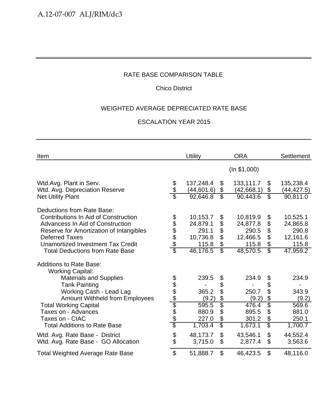# Chico District

# WEIGHTED AVERAGE DEPRECIATED RATE BASE

| Item                                                                                                   |                        | <b>Utility</b>          |                          | <b>ORA</b>              |                         | <b>Settlement</b>        |
|--------------------------------------------------------------------------------------------------------|------------------------|-------------------------|--------------------------|-------------------------|-------------------------|--------------------------|
|                                                                                                        |                        |                         |                          | (ln \$1,000)            |                         |                          |
| Wtd.Avg. Plant in Serv.<br>Wtd. Avg. Depreciation Reserve                                              | \$                     | 137,248.4<br>(44,601.6) | \$<br>\$                 | 133,111.7<br>(42,668.1) | \$<br>\$                | 135,238.4<br>(44, 427.5) |
| <b>Net Utility Plant</b>                                                                               |                        | 92,646.8                | $\overline{\mathbb{S}}$  | 90,443.6                | $\overline{\mathbb{S}}$ | $\overline{90}, 811.0$   |
| Deductions from Rate Base:<br>Contributions In Aid of Construction<br>Advancess In Aid of Construction | 888888                 | 10,153.7<br>24,879.1    | \$<br>\$                 | 10,819.9<br>24,877.8    | \$<br>\$                | 10,525.1<br>24,865.8     |
| Reserve for Amortization of Intangibles                                                                |                        | 291.1                   | \$                       | 290.5                   | \$                      | 290.8                    |
| <b>Deferred Taxes</b>                                                                                  |                        | 10,736.8                | \$                       | 12,466.5                | \$                      | 12,161.6                 |
| Unamortized Investment Tax Credit                                                                      |                        | 115.8                   | \$                       | 115.8                   | $\boldsymbol{\theta}$   | 115.8                    |
| <b>Total Deductions from Rate Base</b>                                                                 |                        | 46,176.5                | $\overline{\mathbb{S}}$  | 48,570.5                | $\overline{\mathbb{S}}$ | 47,959.2                 |
| <b>Additions to Rate Base:</b><br><b>Working Capital:</b>                                              |                        |                         |                          |                         |                         |                          |
| <b>Materials and Supplies</b>                                                                          |                        | 239.5                   | \$                       | 234.9                   | \$                      | 234.9                    |
| <b>Tank Painting</b>                                                                                   | <u> අප අප ලේල අප අ</u> |                         | \$                       |                         | \$                      |                          |
| Working Cash - Lead Lag                                                                                |                        | 365.2                   | \$                       | 250.7                   | \$                      | 343.9                    |
| <b>Amount Withheld from Employees</b>                                                                  |                        | (9.2)                   | \$                       | (9.2)                   | \$                      | (9.2)                    |
| <b>Total Working Capital</b>                                                                           |                        | 595.5                   | $\overline{\$}$          | 476.4                   | \$                      | 569.6                    |
| Taxes on - Advances                                                                                    |                        | 880.9                   | \$                       | 895.5                   | \$                      | 881.0                    |
| Taxes on - CIAC                                                                                        |                        | 227.0                   | \$                       | 301.2                   | \$                      | 250.1                    |
| <b>Total Additions to Rate Base</b>                                                                    |                        | 1,703.4                 | $\overline{\mathcal{E}}$ | 1,673.1                 | \$                      | 1,700.7                  |
| Wtd. Avg. Rate Base - District                                                                         | \$                     | 48,173.7                | \$                       | 43,546.1                | \$                      | 44,552.4                 |
| Wtd. Avg. Rate Base - GO Allocation                                                                    |                        | 3,715.0                 | \$                       | 2,877.4                 | \$                      | 3,563.6                  |
| <b>Total Weighted Average Rate Base</b>                                                                | $\mathfrak{S}$         | 51,888.7                | \$                       | 46,423.5                | \$                      | 48,116.0                 |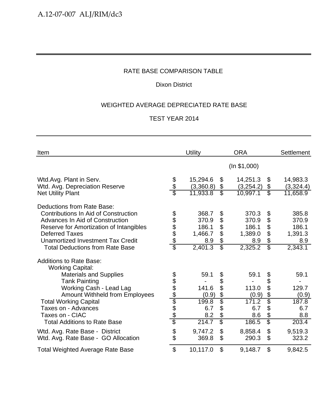# Dixon District

# WEIGHTED AVERAGE DEPRECIATED RATE BASE

| Item                                                                                                                                                                                                                                                                                                    |                     | <b>Utility</b>                                         |                                                                      | <b>ORA</b>                                             |                                                        | <b>Settlement</b>                                      |
|---------------------------------------------------------------------------------------------------------------------------------------------------------------------------------------------------------------------------------------------------------------------------------------------------------|---------------------|--------------------------------------------------------|----------------------------------------------------------------------|--------------------------------------------------------|--------------------------------------------------------|--------------------------------------------------------|
|                                                                                                                                                                                                                                                                                                         |                     |                                                        |                                                                      | (ln \$1,000)                                           |                                                        |                                                        |
| Wtd.Avg. Plant in Serv.<br>Wtd. Avg. Depreciation Reserve<br><b>Net Utility Plant</b>                                                                                                                                                                                                                   | \$<br>\$            | 15,294.6<br>(3,360.8)<br>11,933.8                      | \$<br>\$<br>$\overline{\mathcal{E}}$                                 | 14,251.3<br>(3,254.2)<br>10,997.1                      | \$<br>\$<br>$\overline{\mathbb{S}}$                    | 14,983.3<br>(3,324.4)<br>11,658.9                      |
| Deductions from Rate Base:<br>Contributions In Aid of Construction<br>Advances In Aid of Construction<br>Reserve for Amortization of Intangibles<br><b>Deferred Taxes</b><br>Unamortized Investment Tax Credit<br><b>Total Deductions from Rate Base</b>                                                | \$\$\$\$\$<br>\$    | 368.7<br>370.9<br>186.1<br>1,466.7<br>8.9<br>2,401.3   | \$<br>\$<br>\$<br>\$<br>\$<br>$\overline{\mathbb{S}}$                | 370.3<br>370.9<br>186.1<br>1,389.0<br>8.9<br>2,325.2   | \$<br>\$<br>\$<br>\$<br>\$<br>$\overline{\mathcal{S}}$ | 385.8<br>370.9<br>186.1<br>1,391.3<br>8.9<br>2,343.1   |
| <b>Additions to Rate Base:</b><br><b>Working Capital:</b><br><b>Materials and Supplies</b><br><b>Tank Painting</b><br>Working Cash - Lead Lag<br><b>Amount Withheld from Employees</b><br><b>Total Working Capital</b><br>Taxes on - Advances<br>Taxes on - CIAC<br><b>Total Additions to Rate Base</b> | <u> 2010 Alamad</u> | 59.1<br>141.6<br>(0.9)<br>199.8<br>6.7<br>8.2<br>214.7 | \$<br>\$<br>\$<br>$\frac{1}{2}$<br>$\overline{\$}$<br>\$<br>\$<br>\$ | 59.1<br>113.0<br>(0.9)<br>171.2<br>6.7<br>8.6<br>186.5 | \$<br>\$<br>\$<br>\$<br>\$<br>\$<br>\$<br>\$           | 59.1<br>129.7<br>(0.9)<br>187.8<br>6.7<br>8.8<br>203.4 |
| Wtd. Avg. Rate Base - District<br>Wtd. Avg. Rate Base - GO Allocation                                                                                                                                                                                                                                   | \$                  | 9,747.2<br>369.8                                       | \$<br>\$                                                             | 8,858.4<br>290.3                                       | \$<br>\$                                               | 9,519.3<br>323.2                                       |
| <b>Total Weighted Average Rate Base</b>                                                                                                                                                                                                                                                                 | \$                  | 10,117.0                                               | \$                                                                   | 9,148.7                                                | \$                                                     | 9,842.5                                                |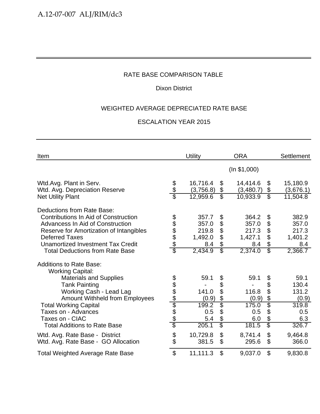# Dixon District

# WEIGHTED AVERAGE DEPRECIATED RATE BASE

| Item                                                                                                                                                                                                                                                             |                              | <b>Utility</b>                                       |                                                       | <b>ORA</b>                                           |                                               | Settlement                                           |
|------------------------------------------------------------------------------------------------------------------------------------------------------------------------------------------------------------------------------------------------------------------|------------------------------|------------------------------------------------------|-------------------------------------------------------|------------------------------------------------------|-----------------------------------------------|------------------------------------------------------|
|                                                                                                                                                                                                                                                                  |                              |                                                      |                                                       | (ln \$1,000)                                         |                                               |                                                      |
| Wtd.Avg. Plant in Serv.<br>Wtd. Avg. Depreciation Reserve                                                                                                                                                                                                        | \$<br>\$                     | 16,716.4<br>(3,756.8)                                | $\boldsymbol{\mathcal{S}}$<br>\$                      | 14,414.6<br>(3,480.7)                                | \$<br>\$                                      | 15,180.9<br>(3,676.1)                                |
| <b>Net Utility Plant</b>                                                                                                                                                                                                                                         |                              | 12,959.6                                             | $\overline{\mathcal{S}}$                              | 10,933.9                                             | $\overline{\mathcal{S}}$                      | 11,504.8                                             |
| Deductions from Rate Base:<br><b>Contributions In Aid of Construction</b><br>Advancess In Aid of Construction<br>Reserve for Amortization of Intangibles<br><b>Deferred Taxes</b><br>Unamortized Investment Tax Credit<br><b>Total Deductions from Rate Base</b> | <b>88888</b><br>\$           | 357.7<br>357.0<br>219.8<br>1,492.0<br>8.4<br>2,434.9 | \$<br>\$<br>\$<br>\$<br>\$<br>$\overline{\mathbb{S}}$ | 364.2<br>357.0<br>217.3<br>1,427.1<br>8.4<br>2,374.0 | \$<br>\$<br>\$<br>\$<br>\$<br>$\overline{\$}$ | 382.9<br>357.0<br>217.3<br>1,401.2<br>8.4<br>2,366.7 |
| <b>Additions to Rate Base:</b><br><b>Working Capital:</b>                                                                                                                                                                                                        |                              |                                                      |                                                       |                                                      |                                               |                                                      |
| <b>Materials and Supplies</b>                                                                                                                                                                                                                                    |                              | 59.1                                                 | \$                                                    | 59.1                                                 | \$                                            | 59.1                                                 |
| <b>Tank Painting</b>                                                                                                                                                                                                                                             |                              |                                                      | \$                                                    |                                                      | \$                                            | 130.4                                                |
| Working Cash - Lead Lag                                                                                                                                                                                                                                          |                              | 141.0                                                | \$                                                    | 116.8                                                | \$                                            | 131.2                                                |
| <b>Amount Withheld from Employees</b><br><b>Total Working Capital</b>                                                                                                                                                                                            | <u> 10 10 10 10 10 10 10</u> | (0.9)<br>199.2                                       | \$<br>$\overline{\$}$                                 | (0.9)<br>175.0                                       | \$<br>Ś                                       | (0.9)<br>319.8                                       |
| Taxes on - Advances                                                                                                                                                                                                                                              |                              | 0.5                                                  | \$                                                    | 0.5                                                  | \$                                            | 0.5                                                  |
| Taxes on - CIAC                                                                                                                                                                                                                                                  |                              | 5.4                                                  | \$                                                    | 6.0                                                  | \$                                            | 6.3                                                  |
| <b>Total Additions to Rate Base</b>                                                                                                                                                                                                                              |                              | 205.1                                                | \$                                                    | 181.5                                                | $\overline{\mathbb{S}}$                       | 326.7                                                |
| Wtd. Avg. Rate Base - District<br>Wtd. Avg. Rate Base - GO Allocation                                                                                                                                                                                            | \$<br>\$                     | 10,729.8<br>381.5                                    | $\mathfrak{S}$<br>$\mathfrak{S}$                      | 8,741.4<br>295.6                                     | \$<br>\$                                      | 9,464.8<br>366.0                                     |
| <b>Total Weighted Average Rate Base</b>                                                                                                                                                                                                                          | \$                           | 11,111.3                                             | $\mathfrak{S}$                                        | 9,037.0                                              | \$                                            | 9,830.8                                              |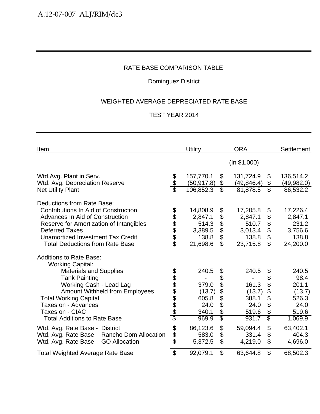# Dominguez District

# WEIGHTED AVERAGE DEPRECIATED RATE BASE

| Item                                                                                                                                                                                                                                                                          |                       | Utility                                                      |                                                        | <b>ORA</b>                                                   |                                                                                                                    | Settlement                                                   |
|-------------------------------------------------------------------------------------------------------------------------------------------------------------------------------------------------------------------------------------------------------------------------------|-----------------------|--------------------------------------------------------------|--------------------------------------------------------|--------------------------------------------------------------|--------------------------------------------------------------------------------------------------------------------|--------------------------------------------------------------|
|                                                                                                                                                                                                                                                                               |                       |                                                              |                                                        | (ln \$1,000)                                                 |                                                                                                                    |                                                              |
| Wtd.Avg. Plant in Serv.<br>Wtd. Avg. Depreciation Reserve                                                                                                                                                                                                                     | \$<br>\$              | 157,770.1<br>(50, 917.8)                                     | \$<br>\$                                               | 131,724.9<br>(49, 846.4)                                     | \$<br>\$                                                                                                           | 136,514.2<br>(49, 982.0)                                     |
| <b>Net Utility Plant</b>                                                                                                                                                                                                                                                      | \$                    | 106,852.3                                                    | $\overline{\mathbb{S}}$                                | 81,878.5                                                     | $\overline{\mathbb{S}}$                                                                                            | 86,532.2                                                     |
| Deductions from Rate Base:<br><b>Contributions In Aid of Construction</b><br><b>Advances In Aid of Construction</b><br>Reserve for Amortization of Intangibles<br><b>Deferred Taxes</b><br><b>Unamortized Investment Tax Credit</b><br><b>Total Deductions from Rate Base</b> | 888888                | 14,808.9<br>2,847.1<br>514.3<br>3,389.5<br>138.8<br>21,698.6 | \$<br>\$<br>\$<br>\$<br>\$<br>$\overline{\mathcal{S}}$ | 17,205.8<br>2,847.1<br>510.7<br>3,013.4<br>138.8<br>23,715.8 | \$<br>$\boldsymbol{\mathsf{S}}$<br>$\boldsymbol{\theta}$<br>\$<br>$\boldsymbol{\theta}$<br>$\overline{\mathbb{S}}$ | 17,226.4<br>2,847.1<br>231.2<br>3,756.6<br>138.8<br>24,200.0 |
| <b>Additions to Rate Base:</b><br><b>Working Capital:</b><br><b>Materials and Supplies</b><br><b>Tank Painting</b>                                                                                                                                                            |                       | 240.5                                                        | \$<br>\$                                               | 240.5                                                        | \$<br>\$                                                                                                           | 240.5<br>98.4                                                |
| Working Cash - Lead Lag<br><b>Amount Withheld from Employees</b>                                                                                                                                                                                                              |                       | 379.0<br>(13.7)                                              | \$<br>\$                                               | 161.3<br>(13.7)                                              | \$<br>\$                                                                                                           | 201.1<br>(13.7)                                              |
| <b>Total Working Capital</b><br>Taxes on - Advances<br>Taxes on - CIAC<br><b>Total Additions to Rate Base</b>                                                                                                                                                                 | <u> අප අප අප අප අ</u> | 605.8<br>24.0<br>340.1<br>969.9                              | $\overline{\$}$<br>\$<br>\$<br>$\overline{\mathbb{S}}$ | 388.1<br>24.0<br>519.6<br>931.7                              | \$<br>\$<br>\$<br>\$                                                                                               | 526.3<br>24.0<br>519.6<br>1,069.9                            |
| Wtd. Avg. Rate Base - District<br>Wtd. Avg. Rate Base - Rancho Dom Allocation<br>Wtd. Avg. Rate Base - GO Allocation                                                                                                                                                          | \$\$\$                | 86,123.6<br>583.0<br>5,372.5                                 | \$<br>\$<br>\$                                         | 59,094.4<br>331.4<br>4,219.0                                 | \$<br>\$<br>\$                                                                                                     | 63,402.1<br>404.3<br>4,696.0                                 |
| <b>Total Weighted Average Rate Base</b>                                                                                                                                                                                                                                       | \$                    | 92,079.1                                                     | \$                                                     | 63,644.8                                                     | \$                                                                                                                 | 68,502.3                                                     |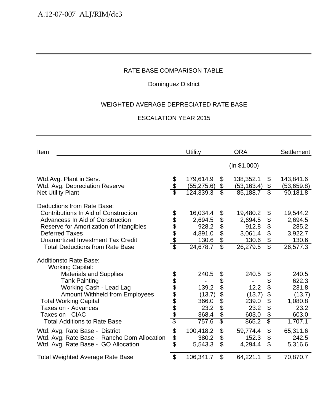# Dominguez District

# WEIGHTED AVERAGE DEPRECIATED RATE BASE

| Item                                                                                                                                                                                                                                                                    |                         | Utility                                                      |                                                        | <b>ORA</b>                                                   |                                                        | Settlement                                                   |
|-------------------------------------------------------------------------------------------------------------------------------------------------------------------------------------------------------------------------------------------------------------------------|-------------------------|--------------------------------------------------------------|--------------------------------------------------------|--------------------------------------------------------------|--------------------------------------------------------|--------------------------------------------------------------|
|                                                                                                                                                                                                                                                                         |                         |                                                              |                                                        | (ln \$1,000)                                                 |                                                        |                                                              |
| Wtd.Avg. Plant in Serv.<br>Wtd. Avg. Depreciation Reserve                                                                                                                                                                                                               | \$<br>\$                | 179,614.9<br>(55, 275.6)                                     | \$<br>\$                                               | 138,352.1<br>(53, 163.4)                                     | \$<br>\$                                               | 143,841.6<br>(53,659.8)                                      |
| <b>Net Utility Plant</b>                                                                                                                                                                                                                                                |                         | 124,339.3                                                    | $\overline{\mathbb{S}}$                                | 85,188.7                                                     | $\overline{\mathbb{S}}$                                | 90,181.8                                                     |
| Deductions from Rate Base:<br><b>Contributions In Aid of Construction</b><br>Advancess In Aid of Construction<br>Reserve for Amortization of Intangibles<br><b>Deferred Taxes</b><br><b>Unamortized Investment Tax Credit</b><br><b>Total Deductions from Rate Base</b> | <u> 1980 ABA</u>        | 16,034.4<br>2,694.5<br>928.2<br>4,891.0<br>130.6<br>24,678.7 | \$<br>\$<br>\$<br>\$<br>\$<br>$\overline{\mathcal{E}}$ | 19,480.2<br>2,694.5<br>912.8<br>3,061.4<br>130.6<br>26,279.5 | \$<br>\$<br>\$<br>\$<br>\$<br>$\overline{\mathcal{E}}$ | 19,544.2<br>2,694.5<br>285.2<br>3,922.7<br>130.6<br>26,577.3 |
| <b>Additionsto Rate Base:</b><br><b>Working Capital:</b>                                                                                                                                                                                                                |                         |                                                              |                                                        |                                                              |                                                        |                                                              |
| <b>Materials and Supplies</b>                                                                                                                                                                                                                                           |                         | 240.5                                                        | \$                                                     | 240.5                                                        | \$                                                     | 240.5                                                        |
| <b>Tank Painting</b>                                                                                                                                                                                                                                                    |                         |                                                              | \$                                                     |                                                              | \$                                                     | 622.3                                                        |
| Working Cash - Lead Lag<br><b>Amount Withheld from Employees</b>                                                                                                                                                                                                        |                         | 139.2<br>(13.7)                                              | \$<br>$\frac{1}{2}$                                    | 12.2<br>(13.7)                                               | \$<br>$\frac{1}{2}$                                    | 231.8<br>(13.7)                                              |
| <b>Total Working Capital</b><br>Taxes on - Advances<br>Taxes on - CIAC<br><b>Total Additions to Rate Base</b>                                                                                                                                                           | <u> අප අප ලේග අප අප</u> | 366.0<br>23.2<br>368.4<br>757.6                              | \$<br>\$<br>$\frac{1}{2}$<br>$\overline{\$}$           | 239.0<br>23.2<br>603.0<br>865.2                              | $\overline{\$}$<br>\$<br>\$<br>$\overline{\$}$         | 1,080.8<br>23.2<br>603.0<br>1,707.1                          |
| Wtd. Avg. Rate Base - District<br>Wtd. Avg. Rate Base - Rancho Dom Allocation<br>Wtd. Avg. Rate Base - GO Allocation                                                                                                                                                    | \$<br>\$<br>\$          | 100,418.2<br>380.2<br>5,543.3                                | \$<br>\$<br>\$                                         | 59,774.4<br>152.3<br>4,294.4                                 | \$<br>\$<br>\$                                         | 65,311.6<br>242.5<br>5,316.6                                 |
| <b>Total Weighted Average Rate Base</b>                                                                                                                                                                                                                                 | $\mathfrak{S}$          | 106,341.7                                                    | \$                                                     | 64,221.1                                                     | \$                                                     | 70,870.7                                                     |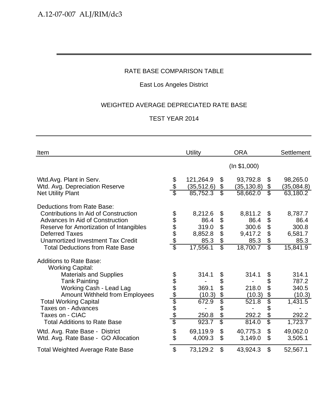# East Los Angeles District

# WEIGHTED AVERAGE DEPRECIATED RATE BASE

| Item                                                                                                                                                                                                                                                             |                           | Utility                                                 |                                                                | <b>ORA</b>                                              |                                                                           | <b>Settlement</b>                                       |
|------------------------------------------------------------------------------------------------------------------------------------------------------------------------------------------------------------------------------------------------------------------|---------------------------|---------------------------------------------------------|----------------------------------------------------------------|---------------------------------------------------------|---------------------------------------------------------------------------|---------------------------------------------------------|
|                                                                                                                                                                                                                                                                  |                           |                                                         |                                                                | (ln \$1,000)                                            |                                                                           |                                                         |
| Wtd.Avg. Plant in Serv.<br>Wtd. Avg. Depreciation Reserve<br><b>Net Utility Plant</b>                                                                                                                                                                            | \$<br>\$                  | 121,264.9<br>(35, 512.6)<br>85,752.3                    | \$<br>\$<br>$\overline{\mathcal{S}}$                           | 93,792.8<br>(35, 130.8)<br>58,662.0                     | \$<br>\$<br>$\overline{\mathcal{E}}$                                      | 98,265.0<br>(35, 084.8)<br>63,180.2                     |
| Deductions from Rate Base:<br>Contributions In Aid of Construction<br>Advances In Aid of Construction<br>Reserve for Amortization of Intangibles<br><b>Deferred Taxes</b><br><b>Unamortized Investment Tax Credit</b><br><b>Total Deductions from Rate Base</b>  | \$\$\$\$\$<br>\$          | 8,212.6<br>86.4<br>319.0<br>8,852.8<br>85.3<br>17,556.1 | \$<br>\$<br>\$<br>\$<br>$\boldsymbol{\theta}$<br>\$            | 8,811.2<br>86.4<br>300.6<br>9,417.2<br>85.3<br>18,700.7 | \$<br>\$<br>$\boldsymbol{\theta}$<br>\$<br>\$<br>$\overline{\mathcal{S}}$ | 8,787.7<br>86.4<br>300.8<br>6,581.7<br>85.3<br>15,841.9 |
| <b>Additions to Rate Base:</b><br><b>Working Capital:</b><br><b>Materials and Supplies</b><br><b>Tank Painting</b><br>Working Cash - Lead Lag<br><b>Amount Withheld from Employees</b><br><b>Total Working Capital</b><br>Taxes on - Advances<br>Taxes on - CIAC | <u> අප අප අප අප අ</u>     | 314.1<br>369.1<br>(10.3)<br>672.9<br>250.8              | \$<br>\$<br>\$<br>$\frac{1}{2}$<br>$\overline{\$}$<br>\$<br>\$ | 314.1<br>218.0<br>(10.3)<br>521.8<br>292.2              | \$<br>\$<br>\$<br>\$<br>\$<br>\$<br>\$                                    | 314.1<br>787.2<br>340.5<br>(10.3)<br>1,431.5<br>292.2   |
| <b>Total Additions to Rate Base</b><br>Wtd. Avg. Rate Base - District<br>Wtd. Avg. Rate Base - GO Allocation                                                                                                                                                     | \$<br>\$                  | 923.7<br>69,119.9<br>4,009.3                            | \$<br>$\mathfrak{L}$<br>\$                                     | 814.0<br>40,775.3<br>3,149.0                            | \$<br>$\mathfrak{L}$<br>\$                                                | 1,723.7<br>49,062.0<br>3,505.1                          |
| <b>Total Weighted Average Rate Base</b>                                                                                                                                                                                                                          | $\boldsymbol{\mathsf{S}}$ | 73,129.2                                                | \$                                                             | 43,924.3                                                | $\mathfrak{L}$                                                            | 52,567.1                                                |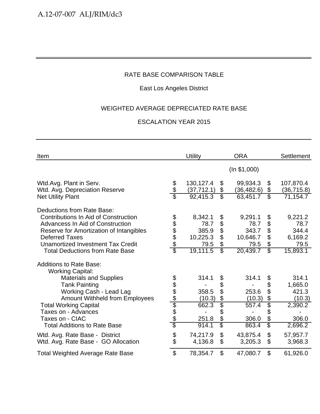# East Los Angeles District

## WEIGHTED AVERAGE DEPRECIATED RATE BASE

| Item                                                                                                                                                                            |                          | <b>Utility</b>           |                                      | <b>ORA</b>               |                                            | <b>Settlement</b>                   |
|---------------------------------------------------------------------------------------------------------------------------------------------------------------------------------|--------------------------|--------------------------|--------------------------------------|--------------------------|--------------------------------------------|-------------------------------------|
|                                                                                                                                                                                 |                          |                          |                                      | (ln \$1,000)             |                                            |                                     |
| Wtd.Avg. Plant in Serv.<br>Wtd. Avg. Depreciation Reserve                                                                                                                       | \$<br>\$                 | 130,127.4<br>(37, 712.1) | \$<br>\$                             | 99,934.3<br>(36,482.6)   | $\boldsymbol{\mathcal{S}}$<br>\$           | 107,870.4<br>(36, 715.8)            |
| <b>Net Utility Plant</b>                                                                                                                                                        |                          | 92,415.3                 | $\overline{\mathcal{E}}$             | 63,451.7                 | $\overline{\mathcal{S}}$                   | 71,154.7                            |
| Deductions from Rate Base:<br>Contributions In Aid of Construction<br><b>Advancess In Aid of Construction</b>                                                                   | \$                       | 8,342.1<br>78.7          | \$<br>\$                             | 9,291.1<br>78.7          | \$<br>\$                                   | 9,221.2<br>78.7                     |
| Reserve for Amortization of Intangibles                                                                                                                                         |                          | 385.9                    | \$                                   | 343.7                    | \$                                         | 344.4                               |
| <b>Deferred Taxes</b><br><b>Unamortized Investment Tax Credit</b>                                                                                                               | \$\$\$\$                 | 10,225.3<br>79.5         | \$<br>\$                             | 10,646.7<br>79.5         | \$<br>$\boldsymbol{\theta}$                | 6,169.2<br>79.5                     |
| <b>Total Deductions from Rate Base</b>                                                                                                                                          | $\overline{\mathcal{E}}$ | 19,111.5                 | $\overline{\mathbb{S}}$              | 20,439.7                 | $\overline{\mathcal{S}}$                   | 15,893.1                            |
| <b>Additions to Rate Base:</b><br><b>Working Capital:</b><br><b>Materials and Supplies</b><br><b>Tank Painting</b><br>Working Cash - Lead Lag<br>Amount Withheld from Employees | <u> 2010 App Ado</u>     | 314.1<br>358.5<br>(10.3) | \$<br>\$<br>\$<br>\$                 | 314.1<br>253.6<br>(10.3) | \$<br>\$<br>\$<br>$\boldsymbol{\theta}$    | 314.1<br>1,665.0<br>421.3<br>(10.3) |
| <b>Total Working Capital</b>                                                                                                                                                    |                          | 662.3                    | $\overline{\$}$                      | 557.4                    | \$                                         | 2,390.2                             |
| Taxes on - Advances<br>Taxes on - CIAC<br><b>Total Additions to Rate Base</b>                                                                                                   |                          | 251.8<br>914.1           | \$<br>\$<br>$\overline{\mathcal{S}}$ | 306.0<br>863.4           | \$<br>\$<br>$\overline{\mathbb{S}}$        | 306.0<br>2,696.2                    |
| Wtd. Avg. Rate Base - District<br>Wtd. Avg. Rate Base - GO Allocation                                                                                                           | \$<br>\$                 | 74,217.9<br>4,136.8      | \$<br>\$                             | 43,875.4<br>3,205.3      | $\boldsymbol{\mathsf{S}}$<br>$\mathcal{L}$ | 57,957.7<br>3,968.3                 |
| <b>Total Weighted Average Rate Base</b>                                                                                                                                         | $\mathfrak{S}$           | 78,354.7                 | \$                                   | 47,080.7                 | \$                                         | 61,926.0                            |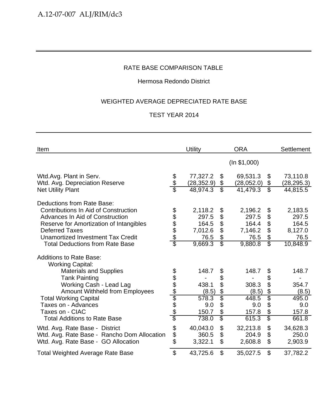## Hermosa Redondo District

## WEIGHTED AVERAGE DEPRECIATED RATE BASE

| Item                                                       |                        | Utility                 |                               | <b>ORA</b>             |                                | Settlement              |
|------------------------------------------------------------|------------------------|-------------------------|-------------------------------|------------------------|--------------------------------|-------------------------|
|                                                            |                        |                         |                               | (ln \$1,000)           |                                |                         |
| Wtd.Avg. Plant in Serv.                                    |                        | 77,327.2                | \$                            | 69,531.3               | \$                             | 73,110.8                |
| Wtd. Avg. Depreciation Reserve<br><b>Net Utility Plant</b> | န္<br>န                | (28, 352.9)<br>48,974.3 | \$<br>$\overline{\mathbb{S}}$ | (28,052.0)<br>41,479.3 | \$<br>$\overline{\mathcal{S}}$ | (28, 295.3)<br>44,815.5 |
| Deductions from Rate Base:                                 |                        |                         |                               |                        |                                |                         |
| <b>Contributions In Aid of Construction</b>                |                        | 2,118.2                 | \$                            | 2,196.2                | \$                             | 2,183.5                 |
| <b>Advances In Aid of Construction</b>                     |                        | 297.5                   | \$                            | 297.5                  | \$                             | 297.5                   |
| Reserve for Amortization of Intangibles                    |                        | 164.5                   | \$                            | 164.4                  | $\boldsymbol{\theta}$          | 164.5                   |
| <b>Deferred Taxes</b>                                      | 888888                 | 7,012.6                 | $\boldsymbol{\mathsf{S}}$     | 7,146.2                | \$                             | 8,127.0                 |
| <b>Unamortized Investment Tax Credit</b>                   |                        | 76.5                    | \$                            | 76.5                   | \$                             | 76.5                    |
| <b>Total Deductions from Rate Base</b>                     |                        | 9,669.3                 | $\overline{\mathcal{S}}$      | 9,880.8                | $\overline{\mathbb{S}}$        | 10,848.9                |
| <b>Additions to Rate Base:</b><br><b>Working Capital:</b>  |                        |                         |                               |                        |                                |                         |
| <b>Materials and Supplies</b>                              |                        | 148.7                   | \$                            | 148.7                  | \$                             | 148.7                   |
| <b>Tank Painting</b>                                       |                        |                         | \$                            |                        | \$                             |                         |
| Working Cash - Lead Lag                                    |                        | 438.1                   | \$                            | 308.3                  | \$                             | 354.7                   |
| <b>Amount Withheld from Employees</b>                      |                        | (8.5)                   | $rac{6}{5}$                   | (8.5)                  | \$                             | (8.5)                   |
| <b>Total Working Capital</b>                               |                        | 578.3                   |                               | 448.5                  | \$                             | 495.0                   |
| Taxes on - Advances                                        |                        | 9.0                     | \$                            | 9.0                    | \$                             | 9.0                     |
| Taxes on - CIAC                                            | <u> අප අප ලේග අප අ</u> | 150.7                   | \$                            | 157.8                  | \$                             | 157.8                   |
| <b>Total Additions to Rate Base</b>                        |                        | 738.0                   | $\overline{\$}$               | 615.3                  | $\overline{\mathbb{S}}$        | 661.8                   |
| Wtd. Avg. Rate Base - District                             | \$                     | 40,043.0                | \$                            | 32,213.8               | \$                             | 34,628.3                |
| Wtd. Avg. Rate Base - Rancho Dom Allocation                |                        | 360.5                   | \$                            | 204.9                  | \$                             | 250.0                   |
| Wtd. Avg. Rate Base - GO Allocation                        | \$<br>\$               | 3,322.1                 | $\mathfrak{L}$                | 2,608.8                | $\boldsymbol{\mathsf{S}}$      | 2,903.9                 |
| <b>Total Weighted Average Rate Base</b>                    | \$                     | 43,725.6                | $\mathfrak{L}$                | 35,027.5               | \$                             | 37,782.2                |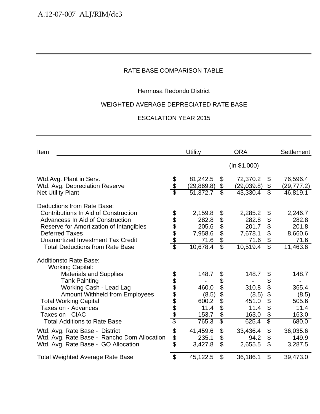## Hermosa Redondo District

#### WEIGHTED AVERAGE DEPRECIATED RATE BASE

| Item                                                       |                         | Utility                 |                          | <b>ORA</b>             |                                | <b>Settlement</b>       |
|------------------------------------------------------------|-------------------------|-------------------------|--------------------------|------------------------|--------------------------------|-------------------------|
|                                                            |                         |                         |                          | (ln \$1,000)           |                                |                         |
| Wtd.Avg. Plant in Serv.                                    | \$<br>\$                | 81,242.5                | \$                       | 72,370.2               | \$                             | 76,596.4                |
| Wtd. Avg. Depreciation Reserve<br><b>Net Utility Plant</b> |                         | (29, 869.8)<br>51,372.7 | \$<br>\$                 | (29,039.8)<br>43,330.4 | \$<br>$\overline{\mathcal{E}}$ | (29, 777.2)<br>46,819.1 |
| Deductions from Rate Base:                                 |                         |                         |                          |                        |                                |                         |
| <b>Contributions In Aid of Construction</b>                |                         | 2,159.8                 | \$                       | 2,285.2                | \$                             | 2,246.7                 |
| Advancess In Aid of Construction                           |                         | 282.8                   | \$                       | 282.8                  | $\boldsymbol{\theta}$          | 282.8                   |
| Reserve for Amortization of Intangibles                    |                         | 205.6                   | \$                       | 201.7                  | \$                             | 201.8                   |
| <b>Deferred Taxes</b>                                      | 888888                  | 7,958.6                 | \$                       | 7,678.1                | $\boldsymbol{\mathsf{S}}$      | 8,660.6                 |
| Unamortized Investment Tax Credit                          |                         | 71.6                    | \$                       | 71.6                   | $\boldsymbol{\theta}$          | 71.6                    |
| <b>Total Deductions from Rate Base</b>                     |                         | 10,678.4                | $\overline{\mathbb{S}}$  | 10,519.4               | $\overline{\mathcal{S}}$       | 11,463.6                |
| <b>Additionsto Rate Base:</b>                              |                         |                         |                          |                        |                                |                         |
| <b>Working Capital:</b>                                    |                         |                         |                          |                        |                                |                         |
| <b>Materials and Supplies</b>                              |                         | 148.7                   | \$                       | 148.7                  | \$                             | 148.7                   |
| <b>Tank Painting</b>                                       |                         |                         | \$                       |                        | \$                             |                         |
| Working Cash - Lead Lag                                    |                         | 460.0                   | \$                       | 310.8                  | \$                             | 365.4                   |
| <b>Amount Withheld from Employees</b>                      |                         | (8.5)                   | \$                       | (8.5)                  | \$                             | (8.5)                   |
| <b>Total Working Capital</b>                               |                         | 600.2                   | $\overline{\$}$          | 451.0                  | \$                             | 505.6                   |
| Taxes on - Advances                                        |                         | 11.4                    | \$                       | 11.4                   | \$                             | 11.4                    |
| Taxes on - CIAC                                            | <u> අප අප ලේග අප අප</u> | 153.7                   | \$                       | 163.0                  | \$                             | 163.0                   |
| <b>Total Additions to Rate Base</b>                        |                         | 765.3                   | $\overline{\mathcal{S}}$ | 625.4                  | $\overline{\$}$                | 680.0                   |
| Wtd. Avg. Rate Base - District                             |                         | 41,459.6                | \$                       | 33,436.4               | \$                             | 36,035.6                |
| Wtd. Avg. Rate Base - Rancho Dom Allocation                | \$                      | 235.1                   | \$                       | 94.2                   | \$                             | 149.9                   |
| Wtd. Avg. Rate Base - GO Allocation                        | \$                      | 3,427.8                 | \$                       | 2,655.5                | \$                             | 3,287.5                 |
| <b>Total Weighted Average Rate Base</b>                    | \$                      | 45,122.5                | \$                       | 36,186.1               | $\mathfrak{L}$                 | 39,473.0                |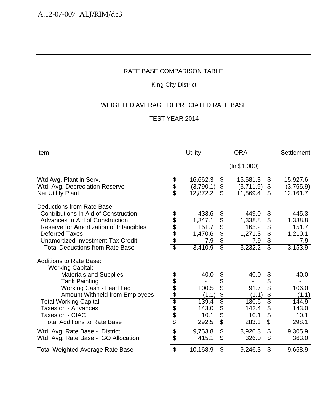## King City District

## WEIGHTED AVERAGE DEPRECIATED RATE BASE

| Item                                                                                                                                             |                           | <b>Utility</b>            |                                                              | <b>ORA</b>                |                                      | <b>Settlement</b>         |
|--------------------------------------------------------------------------------------------------------------------------------------------------|---------------------------|---------------------------|--------------------------------------------------------------|---------------------------|--------------------------------------|---------------------------|
|                                                                                                                                                  |                           |                           |                                                              | (ln \$1,000)              |                                      |                           |
| Wtd.Avg. Plant in Serv.<br>Wtd. Avg. Depreciation Reserve                                                                                        | \$<br>\$                  | 16,662.3<br>(3,790.1)     | $\boldsymbol{\mathcal{S}}$<br>\$<br>$\overline{\mathcal{S}}$ | 15,581.3<br>(3,711.9)     | \$<br>\$<br>$\overline{\mathcal{S}}$ | 15,927.6<br>(3,765.9)     |
| <b>Net Utility Plant</b>                                                                                                                         |                           | 12,872.2                  |                                                              | 11,869.4                  |                                      | $\overline{12,161.7}$     |
| Deductions from Rate Base:<br>Contributions In Aid of Construction<br>Advances In Aid of Construction<br>Reserve for Amortization of Intangibles |                           | 433.6<br>1,347.1<br>151.7 | \$<br>\$<br>\$                                               | 449.0<br>1,338.8<br>165.2 | \$<br>\$<br>\$                       | 445.3<br>1,338.8<br>151.7 |
| <b>Deferred Taxes</b><br>Unamortized Investment Tax Credit<br><b>Total Deductions from Rate Base</b>                                             | 888888                    | 1,470.6<br>7.9<br>3,410.9 | \$<br>$\boldsymbol{\theta}$<br>$\overline{\mathcal{S}}$      | 1,271.3<br>7.9<br>3,232.2 | \$<br>\$<br>$\overline{\mathcal{S}}$ | 1,210.1<br>7.9<br>3,153.9 |
| <b>Additions to Rate Base:</b><br><b>Working Capital:</b>                                                                                        |                           |                           |                                                              |                           |                                      |                           |
| <b>Materials and Supplies</b><br><b>Tank Painting</b>                                                                                            |                           | 40.0                      | \$<br>\$                                                     | 40.0                      | \$<br>\$                             | 40.0                      |
| Working Cash - Lead Lag<br><b>Amount Withheld from Employees</b>                                                                                 |                           | 100.5<br>(1.1)            | \$                                                           | 91.7<br>(1.1)             | \$<br>\$                             | 106.0<br>(1.1)            |
| <b>Total Working Capital</b><br>Taxes on - Advances<br>Taxes on - CIAC                                                                           | <u> අප අප ලේල අප අ</u>    | 139.4<br>143.0<br>10.1    | \$<br>\$<br>\$                                               | 130.6<br>142.4<br>10.1    | $\overline{\$}$<br>\$<br>\$          | 144.9<br>143.0<br>10.1    |
| <b>Total Additions to Rate Base</b>                                                                                                              |                           | 292.5                     | $\overline{\$}$                                              | 283.1                     | \$                                   | 298.1                     |
| Wtd. Avg. Rate Base - District<br>Wtd. Avg. Rate Base - GO Allocation                                                                            | \$                        | 9,753.8<br>415.1          | \$<br>\$                                                     | 8,920.3<br>326.0          | \$<br>\$                             | 9,305.9<br>363.0          |
| <b>Total Weighted Average Rate Base</b>                                                                                                          | $\boldsymbol{\mathsf{S}}$ | 10,168.9                  | \$                                                           | 9,246.3                   | \$                                   | 9,668.9                   |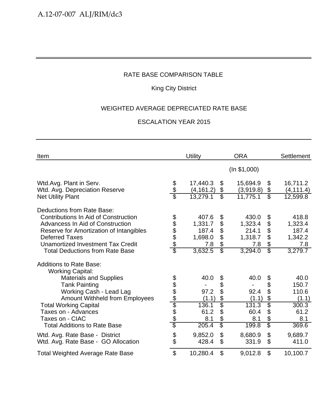## King City District

## WEIGHTED AVERAGE DEPRECIATED RATE BASE

| Item                                                       |                        | <b>Utility</b>         |                          | <b>ORA</b>            |                               | <b>Settlement</b>      |
|------------------------------------------------------------|------------------------|------------------------|--------------------------|-----------------------|-------------------------------|------------------------|
|                                                            |                        |                        |                          | (ln \$1,000)          |                               |                        |
| Wtd.Avg. Plant in Serv.                                    |                        | 17,440.3               | \$                       | 15,694.9              | \$                            | 16,711.2               |
| Wtd. Avg. Depreciation Reserve<br><b>Net Utility Plant</b> | \$<br>\$               | (4, 161.2)<br>13,279.1 | \$<br>\$                 | (3,919.8)<br>11,775.1 | \$<br>$\overline{\mathbb{S}}$ | (4, 111.4)<br>12,599.8 |
| Deductions from Rate Base:                                 |                        |                        |                          |                       |                               |                        |
| Contributions In Aid of Construction                       |                        | 407.6                  | \$                       | 430.0                 | \$                            | 418.8                  |
| Advancess In Aid of Construction                           |                        | 1,331.7                | \$                       | 1,323.4               | \$                            | 1,323.4                |
| Reserve for Amortization of Intangibles                    | 888888                 | 187.4                  | \$                       | 214.1                 | $\boldsymbol{\theta}$         | 187.4                  |
| <b>Deferred Taxes</b>                                      |                        | 1,698.0                | \$                       | 1,318.7               | $\boldsymbol{\mathsf{S}}$     | 1,342.2                |
| Unamortized Investment Tax Credit                          |                        | 7.8                    | \$                       | 7.8                   | $\boldsymbol{\theta}$         | 7.8                    |
| <b>Total Deductions from Rate Base</b>                     |                        | 3,632.5                | $\overline{\mathcal{S}}$ | 3,294.0               | $\overline{\mathcal{E}}$      | 3,279.7                |
| <b>Additions to Rate Base:</b>                             |                        |                        |                          |                       |                               |                        |
| <b>Working Capital:</b>                                    |                        |                        |                          |                       |                               |                        |
| <b>Materials and Supplies</b>                              |                        | 40.0                   | \$                       | 40.0                  | \$                            | 40.0                   |
| <b>Tank Painting</b>                                       |                        |                        | \$                       |                       | \$                            | 150.7                  |
| Working Cash - Lead Lag                                    |                        | 97.2                   | \$                       | 92.4                  | \$                            | 110.6                  |
| <b>Amount Withheld from Employees</b>                      | <u> අප අප ලේල අප අ</u> | (1.1)                  | \$                       | (1.1)                 | \$                            | (1.1)                  |
| <b>Total Working Capital</b>                               |                        | 136.1                  | \$                       | 131.3                 | \$                            | 300.3                  |
| Taxes on - Advances                                        |                        | 61.2                   | \$                       | 60.4                  | $\boldsymbol{\mathcal{L}}$    | 61.2                   |
| Taxes on - CIAC                                            |                        | 8.1                    | \$                       | 8.1                   | $\boldsymbol{\theta}$         | 8.1                    |
| <b>Total Additions to Rate Base</b>                        |                        | 205.4                  | $\overline{\mathcal{S}}$ | 199.8                 | $\overline{\mathbb{S}}$       | 369.6                  |
| Wtd. Avg. Rate Base - District                             |                        | 9,852.0                | \$                       | 8,680.9               | $\boldsymbol{\mathsf{S}}$     | 9,689.7                |
| Wtd. Avg. Rate Base - GO Allocation                        | \$                     | 428.4                  | $\mathfrak{S}$           | 331.9                 | $\mathfrak{S}$                | 411.0                  |
| <b>Total Weighted Average Rate Base</b>                    | $\mathfrak{S}$         | 10,280.4               | \$                       | 9,012.8               | \$                            | 10,100.7               |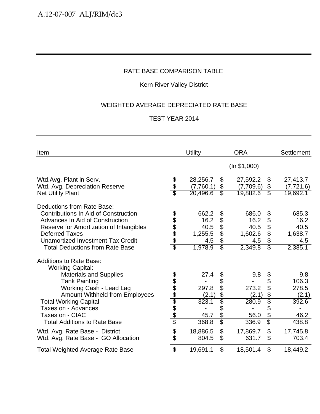## Kern River Valley District

## WEIGHTED AVERAGE DEPRECIATED RATE BASE

| Item                                                                                                                                                                                                                                                                                                    |                          | Utility                                            |                                                       | <b>ORA</b>                                         |                                                                                                  | <b>Settlement</b>                                        |
|---------------------------------------------------------------------------------------------------------------------------------------------------------------------------------------------------------------------------------------------------------------------------------------------------------|--------------------------|----------------------------------------------------|-------------------------------------------------------|----------------------------------------------------|--------------------------------------------------------------------------------------------------|----------------------------------------------------------|
|                                                                                                                                                                                                                                                                                                         |                          |                                                    |                                                       | (ln \$1,000)                                       |                                                                                                  |                                                          |
| Wtd.Avg. Plant in Serv.<br>Wtd. Avg. Depreciation Reserve<br><b>Net Utility Plant</b>                                                                                                                                                                                                                   | $\frac{6}{6}$            | 28,256.7<br>(7,760.1)<br>20,496.6                  | \$<br>\$<br>$\overline{\mathcal{E}}$                  | 27,592.2<br>(7,709.6)<br>19,882.6                  | \$<br>\$<br>$\overline{\mathcal{E}}$                                                             | 27,413.7<br>(7, 721.6)<br>19,692.1                       |
| Deductions from Rate Base:<br>Contributions In Aid of Construction<br>Advances In Aid of Construction<br>Reserve for Amortization of Intangibles<br><b>Deferred Taxes</b><br><b>Unamortized Investment Tax Credit</b><br><b>Total Deductions from Rate Base</b>                                         | \$\$\$\$\$<br>\$         | 662.2<br>16.2<br>40.5<br>1,255.5<br>4.5<br>1,978.9 | \$<br>\$<br>\$<br>\$<br>\$<br>$\overline{\mathbb{S}}$ | 686.0<br>16.2<br>40.5<br>1,602.6<br>4.5<br>2,349.8 | \$<br>\$<br>$\boldsymbol{\mathsf{S}}$<br>\$<br>$\boldsymbol{\theta}$<br>$\overline{\mathcal{S}}$ | 685.3<br>16.2<br>40.5<br>1,638.7<br>4.5<br>2,385.1       |
| <b>Additions to Rate Base:</b><br><b>Working Capital:</b><br><b>Materials and Supplies</b><br><b>Tank Painting</b><br>Working Cash - Lead Lag<br><b>Amount Withheld from Employees</b><br><b>Total Working Capital</b><br>Taxes on - Advances<br>Taxes on - CIAC<br><b>Total Additions to Rate Base</b> | <u> 2010 App App App</u> | 27.4<br>297.8<br>(2.1)<br>323.1<br>45.7<br>368.8   | \$<br>\$<br>\$<br>\$<br>\$<br>\$<br>\$<br>\$          | 9.8<br>273.2<br>(2.1)<br>280.9<br>56.0<br>336.9    | \$<br>\$<br>\$<br>\$<br>\$<br>\$<br>\$                                                           | 9.8<br>106.3<br>278.5<br>(2.1)<br>392.6<br>46.2<br>438.8 |
| Wtd. Avg. Rate Base - District<br>Wtd. Avg. Rate Base - GO Allocation                                                                                                                                                                                                                                   | \$<br>\$                 | 18,886.5<br>804.5                                  | \$<br>\$                                              | 17,869.7<br>631.7                                  | \$<br>\$                                                                                         | 17,745.8<br>703.4                                        |
| <b>Total Weighted Average Rate Base</b>                                                                                                                                                                                                                                                                 | \$                       | 19,691.1                                           | \$                                                    | 18,501.4                                           | $\boldsymbol{\mathsf{S}}$                                                                        | 18,449.2                                                 |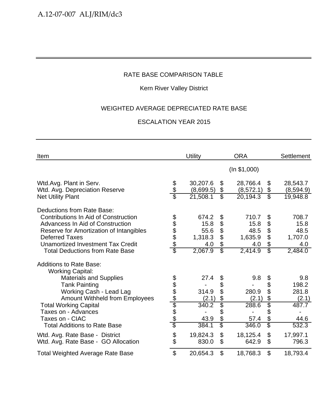## Kern River Valley District

## WEIGHTED AVERAGE DEPRECIATED RATE BASE

| Item                                                                                                               |                        | <b>Utility</b>         |                                                        | <b>ORA</b>             |                                                                  | <b>Settlement</b>              |
|--------------------------------------------------------------------------------------------------------------------|------------------------|------------------------|--------------------------------------------------------|------------------------|------------------------------------------------------------------|--------------------------------|
|                                                                                                                    |                        |                        |                                                        | (ln \$1,000)           |                                                                  |                                |
| Wtd.Avg. Plant in Serv.<br>Wtd. Avg. Depreciation Reserve                                                          | \$<br>\$               | 30,207.6<br>(8,699.5)  | \$<br>\$                                               | 28,766.4<br>(8, 572.1) | \$<br>\$                                                         | 28,543.7<br>(8,594.9)          |
| <b>Net Utility Plant</b>                                                                                           |                        | 21,508.1               | $\overline{\mathcal{S}}$                               | $\overline{20,194}.3$  | $\overline{\mathbb{S}}$                                          | 19,948.8                       |
| Deductions from Rate Base:<br>Contributions In Aid of Construction<br>Advancess In Aid of Construction             |                        | 674.2<br>15.8          | \$<br>\$                                               | 710.7<br>15.8          | \$<br>\$                                                         | 708.7<br>15.8                  |
| Reserve for Amortization of Intangibles<br><b>Deferred Taxes</b><br><b>Unamortized Investment Tax Credit</b>       | 898888                 | 55.6<br>1,318.3<br>4.0 | \$<br>\$<br>\$                                         | 48.5<br>1,635.9<br>4.0 | \$<br>$\boldsymbol{\mathsf{S}}$<br>\$                            | 48.5<br>1,707.0<br>4.0         |
| <b>Total Deductions from Rate Base</b>                                                                             |                        | 2,067.9                | $\overline{\mathbb{S}}$                                | 2,414.9                | $\overline{\mathbb{S}}$                                          | 2,484.0                        |
| <b>Additions to Rate Base:</b><br><b>Working Capital:</b>                                                          |                        |                        |                                                        |                        |                                                                  |                                |
| <b>Materials and Supplies</b><br><b>Tank Painting</b><br>Working Cash - Lead Lag<br>Amount Withheld from Employees |                        | 27.4<br>314.9<br>(2.1) | \$<br>\$<br>\$<br>\$                                   | 9.8<br>280.9<br>(2.1)  | \$<br>\$<br>\$<br>\$                                             | 9.8<br>198.2<br>281.8<br>(2.1) |
| <b>Total Working Capital</b><br>Taxes on - Advances<br>Taxes on - CIAC<br><b>Total Additions to Rate Base</b>      | <u> අප අප ලේල අප අ</u> | 340.2<br>43.9<br>384.1 | \$<br>\$<br>\$<br>$\overline{\mathbb{S}}$              | 288.6<br>57.4<br>346.0 | \$<br>\$<br>$\boldsymbol{\mathsf{S}}$<br>$\overline{\mathbb{S}}$ | 487.7<br>44.6<br>532.3         |
| Wtd. Avg. Rate Base - District<br>Wtd. Avg. Rate Base - GO Allocation                                              | \$                     | 19,824.3<br>830.0      | $\boldsymbol{\mathsf{S}}$<br>$\boldsymbol{\mathsf{S}}$ | 18,125.4<br>642.9      | \$<br>$\mathfrak{L}$                                             | 17,997.1<br>796.3              |
| <b>Total Weighted Average Rate Base</b>                                                                            | $\mathfrak{S}$         | 20,654.3               | $\mathfrak{S}$                                         | 18,768.3               | \$                                                               | 18,793.4                       |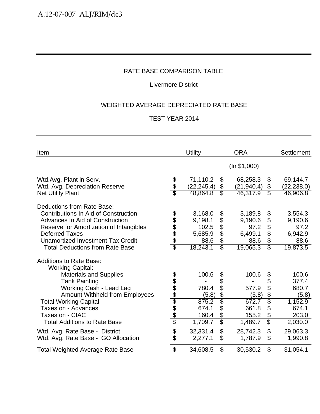## Livermore District

## WEIGHTED AVERAGE DEPRECIATED RATE BASE

| Item                                                                                                                                                                                                                                                            |                                 | Utility                                                    |                                       | <b>ORA</b>                                                |                                                                                             | <b>Settlement</b>                                         |
|-----------------------------------------------------------------------------------------------------------------------------------------------------------------------------------------------------------------------------------------------------------------|---------------------------------|------------------------------------------------------------|---------------------------------------|-----------------------------------------------------------|---------------------------------------------------------------------------------------------|-----------------------------------------------------------|
|                                                                                                                                                                                                                                                                 |                                 |                                                            |                                       | (ln \$1,000)                                              |                                                                                             |                                                           |
| Wtd.Avg. Plant in Serv.<br>Wtd. Avg. Depreciation Reserve<br><b>Net Utility Plant</b>                                                                                                                                                                           | \$                              | 71,110.2<br>(22, 245.4)<br>48,864.8                        | \$<br>\$<br>$\overline{\mathcal{E}}$  | 68,258.3<br>(21, 940.4)<br>46,317.9                       | \$<br>\$<br>$\overline{\mathcal{E}}$                                                        | 69,144.7<br>(22, 238.0)<br>46,906.8                       |
| Deductions from Rate Base:<br>Contributions In Aid of Construction<br>Advances In Aid of Construction<br>Reserve for Amortization of Intangibles<br><b>Deferred Taxes</b><br><b>Unamortized Investment Tax Credit</b><br><b>Total Deductions from Rate Base</b> | 898888                          | 3,168.0<br>9,198.1<br>102.5<br>5,685.9<br>88.6<br>18,243.1 | \$<br>\$<br>\$<br>\$<br>\$<br>\$      | 3,189.8<br>9,190.6<br>97.2<br>6,499.1<br>88.6<br>19,065.3 | \$<br>\$<br>$\boldsymbol{\theta}$<br>\$<br>$\boldsymbol{\theta}$<br>$\overline{\mathbb{S}}$ | 3,554.3<br>9,190.6<br>97.2<br>6,942.9<br>88.6<br>19,873.5 |
| <b>Additions to Rate Base:</b><br><b>Working Capital:</b><br><b>Materials and Supplies</b><br><b>Tank Painting</b><br>Working Cash - Lead Lag<br><b>Amount Withheld from Employees</b><br><b>Total Working Capital</b>                                          | <u> අප අප අප අප අ</u>           | 100.6<br>780.4<br>(5.8)<br>875.2                           | \$<br>\$<br>\$<br>$\frac{1}{2}$<br>\$ | 100.6<br>577.9<br>(5.8)<br>672.7                          | \$<br>\$<br>\$<br>\$<br>\$                                                                  | 100.6<br>377.4<br>680.7<br>(5.8)<br>1,152.9               |
| Taxes on - Advances<br>Taxes on - CIAC<br><b>Total Additions to Rate Base</b><br>Wtd. Avg. Rate Base - District                                                                                                                                                 | \$                              | 674.1<br>160.4<br>1,709.7<br>32,331.4                      | \$<br>\$<br>\$<br>\$                  | 661.8<br>155.2<br>1,489.7<br>28,742.3                     | \$<br>\$<br>\$<br>$\mathfrak{L}$                                                            | 674.1<br>203.0<br>2,030.0<br>29,063.3                     |
| Wtd. Avg. Rate Base - GO Allocation<br><b>Total Weighted Average Rate Base</b>                                                                                                                                                                                  | \$<br>$\boldsymbol{\mathsf{S}}$ | 2,277.1<br>34,608.5                                        | \$<br>\$                              | 1,787.9<br>30,530.2                                       | \$<br>$\mathfrak{L}$                                                                        | 1,990.8<br>31,054.1                                       |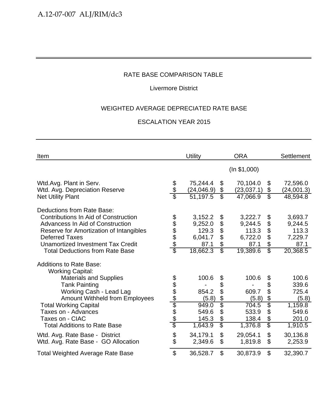## Livermore District

## WEIGHTED AVERAGE DEPRECIATED RATE BASE

| Item                                                                                                                                                                                                                                                             |                        | <b>Utility</b>                                             |                                                        | <b>ORA</b>                                                 |                                                                           | <b>Settlement</b>                                          |
|------------------------------------------------------------------------------------------------------------------------------------------------------------------------------------------------------------------------------------------------------------------|------------------------|------------------------------------------------------------|--------------------------------------------------------|------------------------------------------------------------|---------------------------------------------------------------------------|------------------------------------------------------------|
|                                                                                                                                                                                                                                                                  |                        |                                                            |                                                        | (ln \$1,000)                                               |                                                                           |                                                            |
| Wtd.Avg. Plant in Serv.<br>Wtd. Avg. Depreciation Reserve                                                                                                                                                                                                        | \$<br>\$               | 75,244.4<br>(24, 046.9)                                    | \$<br>\$                                               | 70,104.0<br>(23, 037.1)                                    | \$<br>\$                                                                  | 72,596.0<br>(24,001.3)                                     |
| <b>Net Utility Plant</b>                                                                                                                                                                                                                                         |                        | 51,197.5                                                   | $\overline{\mathcal{E}}$                               | 47,066.9                                                   | $\overline{\mathbb{S}}$                                                   | 48,594.8                                                   |
| Deductions from Rate Base:<br>Contributions In Aid of Construction<br>Advancess In Aid of Construction<br>Reserve for Amortization of Intangibles<br><b>Deferred Taxes</b><br><b>Unamortized Investment Tax Credit</b><br><b>Total Deductions from Rate Base</b> | 888888                 | 3,152.2<br>9,252.0<br>129.3<br>6,041.7<br>87.1<br>18,662.3 | \$<br>\$<br>\$<br>\$<br>\$<br>$\overline{\mathcal{E}}$ | 3,222.7<br>9,244.5<br>113.3<br>6,722.0<br>87.1<br>19,389.6 | \$<br>\$<br>$\boldsymbol{\theta}$<br>\$<br>\$<br>$\overline{\mathcal{E}}$ | 3,693.7<br>9,244.5<br>113.3<br>7,229.7<br>87.1<br>20,368.5 |
| <b>Additions to Rate Base:</b><br><b>Working Capital:</b><br><b>Materials and Supplies</b><br><b>Tank Painting</b><br>Working Cash - Lead Lag<br><b>Amount Withheld from Employees</b>                                                                           |                        | 100.6<br>854.2<br>(5.8)                                    | \$<br>\$<br>\$<br>\$                                   | 100.6<br>609.7<br>(5.8)                                    | \$<br>\$<br>\$<br>\$                                                      | 100.6<br>339.6<br>725.4<br>(5.8)                           |
| <b>Total Working Capital</b><br>Taxes on - Advances<br>Taxes on - CIAC<br><b>Total Additions to Rate Base</b>                                                                                                                                                    | <u> අප අප ලේල අප අ</u> | 949.0<br>549.6<br>145.3<br>1,643.9                         | Ġ.<br>\$<br>\$<br>$\overline{\mathcal{S}}$             | 704.5<br>533.9<br>138.4<br>1,376.8                         | \$<br>\$<br>$\boldsymbol{\theta}$<br>$\overline{\mathbb{S}}$              | 1,159.8<br>549.6<br>201.0<br>1,910.5                       |
| Wtd. Avg. Rate Base - District<br>Wtd. Avg. Rate Base - GO Allocation                                                                                                                                                                                            | \$                     | 34,179.1<br>2,349.6                                        | $\boldsymbol{\mathsf{S}}$<br>\$                        | 29,054.1<br>1,819.8                                        | $\boldsymbol{\mathsf{S}}$<br>$\mathfrak{S}$                               | 30,136.8<br>2,253.9                                        |
| <b>Total Weighted Average Rate Base</b>                                                                                                                                                                                                                          | $\mathfrak{S}$         | 36,528.7                                                   | \$                                                     | 30,873.9                                                   | \$                                                                        | 32,390.7                                                   |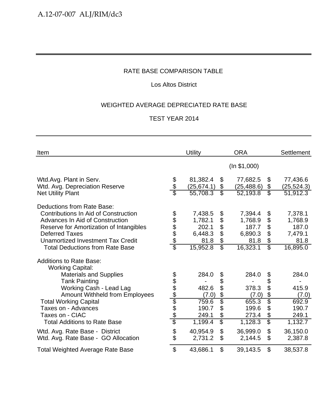## Los Altos District

## WEIGHTED AVERAGE DEPRECIATED RATE BASE

| Item                                                               |                           | <b>Utility</b>          |                          | <b>ORA</b>              |                          | <b>Settlement</b>       |
|--------------------------------------------------------------------|---------------------------|-------------------------|--------------------------|-------------------------|--------------------------|-------------------------|
|                                                                    |                           |                         |                          | (ln \$1,000)            |                          |                         |
| Wtd.Avg. Plant in Serv.<br>Wtd. Avg. Depreciation Reserve          | \$<br>\$                  | 81,382.4<br>(25, 674.1) | \$<br>\$                 | 77,682.5<br>(25, 488.6) | \$<br>\$                 | 77,436.6<br>(25, 524.3) |
| <b>Net Utility Plant</b>                                           |                           | 55,708.3                | $\overline{\mathcal{E}}$ | 52,193.8                | $\overline{\mathbb{S}}$  | $\overline{51,912.3}$   |
| Deductions from Rate Base:<br>Contributions In Aid of Construction |                           | 7,438.5                 | \$                       | 7,394.4                 | \$                       | 7,378.1                 |
| Advances In Aid of Construction                                    | 888888                    | 1,782.1                 | \$                       | 1,768.9                 | \$                       | 1,768.9                 |
| Reserve for Amortization of Intangibles                            |                           | 202.1                   | \$                       | 187.7                   | \$                       | 187.0                   |
| <b>Deferred Taxes</b>                                              |                           | 6,448.3                 | \$                       | 6,890.3                 | \$                       | 7,479.1                 |
| Unamortized Investment Tax Credit                                  |                           | 81.8                    | \$                       | 81.8                    | \$                       | 81.8                    |
| <b>Total Deductions from Rate Base</b>                             |                           | 15,952.8                | $\overline{\mathbb{S}}$  | 16,323.1                | $\overline{\mathcal{S}}$ | 16,895.0                |
| <b>Additions to Rate Base:</b><br><b>Working Capital:</b>          |                           |                         |                          |                         |                          |                         |
| <b>Materials and Supplies</b>                                      |                           | 284.0                   | \$                       | 284.0                   | \$                       | 284.0                   |
| <b>Tank Painting</b>                                               |                           |                         | \$                       |                         | \$                       |                         |
| Working Cash - Lead Lag                                            |                           | 482.6                   | \$                       | 378.3                   | \$                       | 415.9                   |
| <b>Amount Withheld from Employees</b>                              | <u> අප අප අප අප අ</u>     | (7.0)                   | \$                       | (7.0)                   | \$                       | (7.0)                   |
| <b>Total Working Capital</b>                                       |                           | 759.6                   | \$                       | 655.3                   | \$                       | 692.9                   |
| Taxes on - Advances                                                |                           | 190.7                   | \$                       | 199.6                   | \$                       | 190.7                   |
| Taxes on - CIAC                                                    |                           | 249.1                   | \$                       | 273.4                   | \$                       | 249.1                   |
| <b>Total Additions to Rate Base</b>                                |                           | 1,199.4                 | $\overline{\mathcal{S}}$ | 1,128.3                 | \$                       | 1,132.7                 |
| Wtd. Avg. Rate Base - District                                     |                           | 40,954.9                | $\mathfrak{L}$           | 36,999.0                | $\mathfrak{S}$           | 36,150.0                |
| Wtd. Avg. Rate Base - GO Allocation                                | \$                        | 2,731.2                 | \$                       | 2,144.5                 | \$                       | 2,387.8                 |
| <b>Total Weighted Average Rate Base</b>                            | $\boldsymbol{\mathsf{S}}$ | 43,686.1                | \$                       | 39,143.5                | \$                       | 38,537.8                |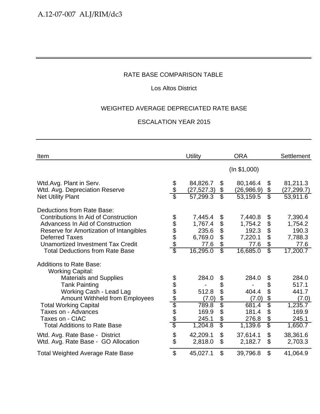## Los Altos District

## WEIGHTED AVERAGE DEPRECIATED RATE BASE

| Item                                                                                                                                                                                                                                                                    |                                            | Utility                                                    |                                                        | <b>ORA</b>                                                 |                                                                                              | <b>Settlement</b>                                          |
|-------------------------------------------------------------------------------------------------------------------------------------------------------------------------------------------------------------------------------------------------------------------------|--------------------------------------------|------------------------------------------------------------|--------------------------------------------------------|------------------------------------------------------------|----------------------------------------------------------------------------------------------|------------------------------------------------------------|
|                                                                                                                                                                                                                                                                         |                                            |                                                            |                                                        | (ln \$1,000)                                               |                                                                                              |                                                            |
| Wtd.Avg. Plant in Serv.<br>Wtd. Avg. Depreciation Reserve                                                                                                                                                                                                               | \$<br>\$                                   | 84,826.7<br>(27, 527.3)                                    | \$<br>\$                                               | 80,146.4<br>(26,986.9)                                     | \$<br>\$                                                                                     | 81,211.3<br>(27, 299.7)                                    |
| <b>Net Utility Plant</b>                                                                                                                                                                                                                                                |                                            | 57,299.3                                                   | $\overline{\mathcal{E}}$                               | 53,159.5                                                   | $\overline{\mathbb{S}}$                                                                      | 53,911.6                                                   |
| Deductions from Rate Base:<br>Contributions In Aid of Construction<br><b>Advancess In Aid of Construction</b><br>Reserve for Amortization of Intangibles<br><b>Deferred Taxes</b><br><b>Unamortized Investment Tax Credit</b><br><b>Total Deductions from Rate Base</b> | \$<br>\$\$\$\$<br>$\overline{\mathcal{E}}$ | 7,445.4<br>1,767.4<br>235.6<br>6,769.0<br>77.6<br>16,295.0 | \$<br>\$<br>\$<br>\$<br>\$<br>$\overline{\mathcal{E}}$ | 7,440.8<br>1,754.2<br>192.3<br>7,220.1<br>77.6<br>16,685.0 | \$<br>\$<br>$\boldsymbol{\theta}$<br>\$<br>$\boldsymbol{\theta}$<br>$\overline{\mathcal{S}}$ | 7,390.4<br>1,754.2<br>190.3<br>7,788.3<br>77.6<br>17,200.7 |
| <b>Additions to Rate Base:</b><br><b>Working Capital:</b><br><b>Materials and Supplies</b>                                                                                                                                                                              |                                            | 284.0                                                      | \$                                                     | 284.0                                                      | \$                                                                                           | 284.0                                                      |
| <b>Tank Painting</b>                                                                                                                                                                                                                                                    |                                            |                                                            | \$                                                     |                                                            | \$                                                                                           | 517.1                                                      |
| Working Cash - Lead Lag                                                                                                                                                                                                                                                 |                                            | 512.8                                                      | \$                                                     | 404.4                                                      | \$                                                                                           | 441.7                                                      |
| Amount Withheld from Employees                                                                                                                                                                                                                                          |                                            | (7.0)                                                      | \$                                                     | (7.0)                                                      | $\boldsymbol{\theta}$                                                                        | (7.0)                                                      |
| <b>Total Working Capital</b>                                                                                                                                                                                                                                            | <u> 2010 App Ado</u>                       | 789.8                                                      | $\overline{\$}$                                        | 681.4                                                      | \$                                                                                           | 1,235.7                                                    |
| Taxes on - Advances                                                                                                                                                                                                                                                     |                                            | 169.9                                                      | \$                                                     | 181.4                                                      | $\boldsymbol{\mathsf{S}}$                                                                    | 169.9                                                      |
| Taxes on - CIAC<br><b>Total Additions to Rate Base</b>                                                                                                                                                                                                                  |                                            | 245.1<br>1,204.8                                           | \$<br>$\overline{\mathcal{S}}$                         | 276.8<br>1,139.6                                           | \$<br>$\overline{\mathbb{S}}$                                                                | 245.1<br>1,650.7                                           |
|                                                                                                                                                                                                                                                                         |                                            |                                                            |                                                        |                                                            |                                                                                              |                                                            |
| Wtd. Avg. Rate Base - District<br>Wtd. Avg. Rate Base - GO Allocation                                                                                                                                                                                                   | \$<br>\$                                   | 42,209.1<br>2,818.0                                        | \$<br>\$                                               | 37,614.1<br>2,182.7                                        | $\boldsymbol{\mathsf{S}}$<br>\$                                                              | 38,361.6<br>2,703.3                                        |
| <b>Total Weighted Average Rate Base</b>                                                                                                                                                                                                                                 | $\mathfrak{S}$                             | 45,027.1                                                   | \$                                                     | 39,796.8                                                   | \$                                                                                           | 41,064.9                                                   |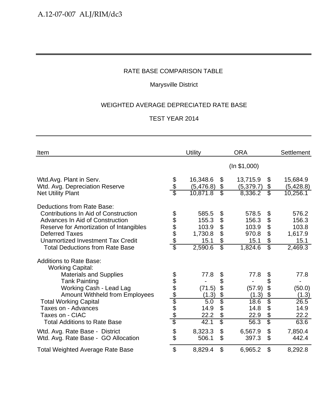## Marysville District

## WEIGHTED AVERAGE DEPRECIATED RATE BASE

| Item                                                                                                                                                                                                                                                            |                          | Utility                                               |                                                       | <b>ORA</b>                                          |                                                        | <b>Settlement</b>                                     |
|-----------------------------------------------------------------------------------------------------------------------------------------------------------------------------------------------------------------------------------------------------------------|--------------------------|-------------------------------------------------------|-------------------------------------------------------|-----------------------------------------------------|--------------------------------------------------------|-------------------------------------------------------|
|                                                                                                                                                                                                                                                                 |                          |                                                       |                                                       | (ln \$1,000)                                        |                                                        |                                                       |
| Wtd.Avg. Plant in Serv.<br>Wtd. Avg. Depreciation Reserve                                                                                                                                                                                                       | န္<br>န                  | 16,348.6<br>(5,476.8)<br>10,871.8                     | \$<br>\$<br>$\overline{\mathcal{E}}$                  | 13,715.9<br>(5,379.7)<br>8,336.2                    | \$<br>\$<br>$\overline{\mathcal{E}}$                   | 15,684.9<br>(5,428.8)<br>10,256.1                     |
| <b>Net Utility Plant</b>                                                                                                                                                                                                                                        |                          |                                                       |                                                       |                                                     |                                                        |                                                       |
| Deductions from Rate Base:<br><b>Contributions In Aid of Construction</b><br>Advances In Aid of Construction<br>Reserve for Amortization of Intangibles<br><b>Deferred Taxes</b><br>Unamortized Investment Tax Credit<br><b>Total Deductions from Rate Base</b> | \$\$\$\$\$<br>\$         | 585.5<br>155.3<br>103.9<br>1,730.8<br>15.1<br>2,590.6 | \$<br>\$<br>\$<br>\$<br>\$<br>$\overline{\mathbb{S}}$ | 578.5<br>156.3<br>103.9<br>970.8<br>15.1<br>1,824.6 | \$<br>\$<br>\$<br>\$<br>\$<br>$\overline{\mathcal{E}}$ | 576.2<br>156.3<br>103.8<br>1,617.9<br>15.1<br>2,469.3 |
| <b>Additions to Rate Base:</b>                                                                                                                                                                                                                                  |                          |                                                       |                                                       |                                                     |                                                        |                                                       |
| <b>Working Capital:</b><br><b>Materials and Supplies</b><br><b>Tank Painting</b><br>Working Cash - Lead Lag<br><b>Amount Withheld from Employees</b><br><b>Total Working Capital</b>                                                                            | <u> 1980 A 1980 A 19</u> | 77.8<br>(71.5)<br>(1.3)<br>5.0                        | \$<br>\$<br>\$<br>$\frac{6}{3}$                       | 77.8<br>(57.9)<br>(1.3)<br>18.6                     | \$<br>\$<br>\$<br>\$<br>$\dot{\$}$                     | 77.8<br>(50.0)<br>(1.3)<br>26.5                       |
| Taxes on - Advances<br>Taxes on - CIAC<br><b>Total Additions to Rate Base</b>                                                                                                                                                                                   |                          | 14.9<br>22.2<br>42.1                                  | \$<br>\$<br>\$                                        | 14.8<br>22.9<br>56.3                                | \$<br>\$<br>\$                                         | 14.9<br>22.2<br>63.6                                  |
| Wtd. Avg. Rate Base - District<br>Wtd. Avg. Rate Base - GO Allocation                                                                                                                                                                                           | \$<br>$\ddot{\$}$        | 8,323.3<br>506.1                                      | \$<br>\$                                              | 6,567.9<br>397.3                                    | \$<br>\$                                               | 7,850.4<br>442.4                                      |
| <b>Total Weighted Average Rate Base</b>                                                                                                                                                                                                                         | \$                       | 8,829.4                                               | \$                                                    | 6,965.2                                             | \$                                                     | 8,292.8                                               |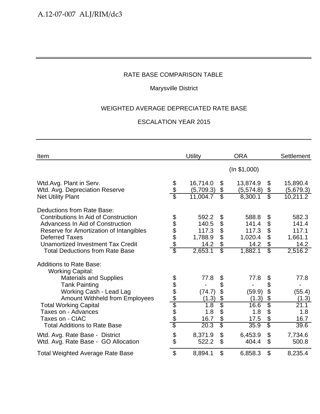## Marysville District

## WEIGHTED AVERAGE DEPRECIATED RATE BASE

| Item                                                                                                                                                     |                           | <b>Utility</b>                  |                                  | <b>ORA</b>              |                                                          | Settlement              |
|----------------------------------------------------------------------------------------------------------------------------------------------------------|---------------------------|---------------------------------|----------------------------------|-------------------------|----------------------------------------------------------|-------------------------|
|                                                                                                                                                          |                           |                                 |                                  | (ln \$1,000)            |                                                          |                         |
| Wtd.Avg. Plant in Serv.<br>Wtd. Avg. Depreciation Reserve                                                                                                | \$<br>\$                  | 16,714.0<br>(5,709.3)           | $\boldsymbol{\mathcal{S}}$<br>\$ | 13,874.9<br>(5,574.8)   | \$<br>\$                                                 | 15,890.4<br>(5,679.3)   |
| <b>Net Utility Plant</b>                                                                                                                                 |                           | 11,004.7                        | $\overline{\mathcal{S}}$         | 8,300.1                 | $\overline{\mathcal{S}}$                                 | 10,211.2                |
| Deductions from Rate Base:<br><b>Contributions In Aid of Construction</b><br>Advancess In Aid of Construction<br>Reserve for Amortization of Intangibles | 89888                     | 592.2<br>140.5<br>117.3         | \$<br>\$<br>\$                   | 588.8<br>141.4<br>117.3 | \$<br>\$<br>$\boldsymbol{\mathsf{S}}$                    | 582.3<br>141.4<br>117.1 |
| <b>Deferred Taxes</b><br>Unamortized Investment Tax Credit                                                                                               |                           | 1,788.9<br>14.2                 | \$<br>\$                         | 1,020.4<br>14.2         | \$<br>\$                                                 | 1,661.1<br>14.2         |
| <b>Total Deductions from Rate Base</b>                                                                                                                   |                           | 2,653.1                         | $\overline{\$}$                  | 1,882.1                 | $\overline{\mathbb{S}}$                                  | 2,516.2                 |
| <b>Additions to Rate Base:</b><br><b>Working Capital:</b>                                                                                                |                           |                                 |                                  |                         |                                                          |                         |
| <b>Materials and Supplies</b>                                                                                                                            |                           | 77.8                            | \$                               | 77.8                    | \$                                                       | 77.8                    |
| <b>Tank Painting</b><br>Working Cash - Lead Lag<br>Amount Withheld from Employees                                                                        |                           | (74.7)<br>(1.3)                 | \$<br>\$                         | (59.9)<br>(1.3)         | \$<br>\$<br>\$                                           | (55.4)<br>(1.3)         |
| <b>Total Working Capital</b><br>Taxes on - Advances<br>Taxes on - CIAC                                                                                   | <u> අප අප ලේල අප අ</u>    | $\overline{1.8}$<br>1.8<br>16.7 | $\frac{6}{3}$<br>\$<br>\$        | 16.6<br>1.8<br>17.5     | Š.<br>$\boldsymbol{\mathsf{S}}$<br>$\boldsymbol{\theta}$ | 21.1<br>1.8<br>16.7     |
| <b>Total Additions to Rate Base</b>                                                                                                                      |                           | 20.3                            | $\overline{\mathcal{S}}$         | 35.9                    | $\overline{\mathbb{S}}$                                  | 39.6                    |
| Wtd. Avg. Rate Base - District<br>Wtd. Avg. Rate Base - GO Allocation                                                                                    | \$                        | 8,371.9<br>522.2                | $\mathfrak{S}$<br>$\mathfrak{S}$ | 6,453.9<br>404.4        | $\boldsymbol{\mathsf{S}}$<br>$\mathfrak{S}$              | 7,734.6<br>500.8        |
| <b>Total Weighted Average Rate Base</b>                                                                                                                  | $\boldsymbol{\mathsf{S}}$ | 8,894.1                         | \$                               | 6,858.3                 | $\boldsymbol{\mathsf{S}}$                                | 8,235.4                 |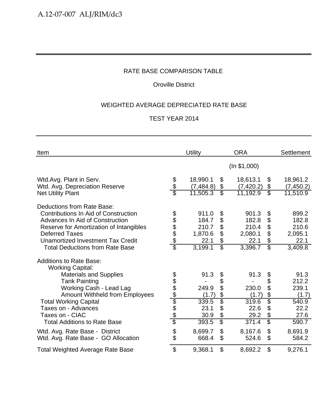## Oroville District

## WEIGHTED AVERAGE DEPRECIATED RATE BASE

| Item                                                                                                               |                           | <b>Utility</b>                 |                                   | <b>ORA</b>                     |                          | Settlement                     |
|--------------------------------------------------------------------------------------------------------------------|---------------------------|--------------------------------|-----------------------------------|--------------------------------|--------------------------|--------------------------------|
|                                                                                                                    |                           |                                |                                   | (ln \$1,000)                   |                          |                                |
| Wtd.Avg. Plant in Serv.<br>Wtd. Avg. Depreciation Reserve                                                          | \$<br>\$                  | 18,990.1<br>(7, 484.8)         | \$<br>\$                          | 18,613.1<br>(7,420.2)          | \$<br>\$                 | 18,961.2<br>(7, 450.2)         |
| <b>Net Utility Plant</b>                                                                                           |                           | 11,505.3                       | $\overline{\mathcal{E}}$          | 11,192.9                       | $\overline{\mathcal{E}}$ | 11,510.9                       |
| Deductions from Rate Base:<br>Contributions In Aid of Construction                                                 |                           | 911.0                          | \$                                | 901.3                          | \$                       | 899.2                          |
| Advances In Aid of Construction                                                                                    | \$\$\$\$\$                | 184.7                          | \$                                | 182.8                          | \$                       | 182.8                          |
| Reserve for Amortization of Intangibles                                                                            |                           | 210.7                          | \$                                | 210.4                          | \$                       | 210.6                          |
| <b>Deferred Taxes</b><br>Unamortized Investment Tax Credit                                                         |                           | 1,870.6<br>22.1                | \$<br>\$                          | 2,080.1<br>22.1                | \$<br>\$                 | 2,095.1<br>22.1                |
| <b>Total Deductions from Rate Base</b>                                                                             | $\overline{\mathfrak{s}}$ | 3,199.1                        | $\overline{\mathbb{S}}$           | 3,396.7                        | $\overline{\mathcal{E}}$ | 3,409.8                        |
| <b>Additions to Rate Base:</b><br><b>Working Capital:</b><br><b>Materials and Supplies</b><br><b>Tank Painting</b> |                           | 91.3                           | \$<br>\$                          | 91.3                           | \$<br>\$                 | 91.3<br>212.2                  |
| Working Cash - Lead Lag<br><b>Amount Withheld from Employees</b>                                                   |                           | 249.9<br>(1.7)                 | \$<br>\$                          | 230.0<br>(1.7)                 | \$<br>\$                 | 239.1<br>(1.7)                 |
| <b>Total Working Capital</b><br>Taxes on - Advances<br>Taxes on - CIAC<br><b>Total Additions to Rate Base</b>      |                           | 339.5<br>23.1<br>30.9<br>393.5 | \$<br>\$<br>\$<br>$\overline{\$}$ | 319.6<br>22.6<br>29.2<br>371.4 | \$<br>\$<br>\$<br>\$     | 540.9<br>22.2<br>27.6<br>590.7 |
| Wtd. Avg. Rate Base - District<br>Wtd. Avg. Rate Base - GO Allocation                                              | \$                        | 8,699.7<br>668.4               | $\mathfrak{S}$<br>\$              | 8,167.6<br>524.6               | \$<br>\$                 | 8,691.9<br>584.2               |
| <b>Total Weighted Average Rate Base</b>                                                                            | $\boldsymbol{\mathsf{S}}$ | 9,368.1                        | \$                                | 8,692.2                        | \$                       | 9,276.1                        |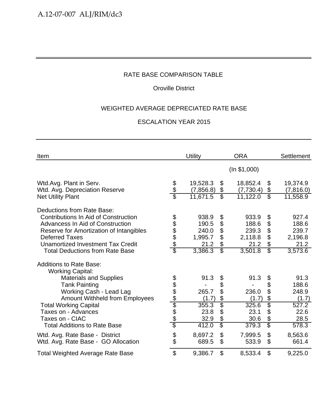## Oroville District

## WEIGHTED AVERAGE DEPRECIATED RATE BASE

| Item                                                                               |                           | <b>Utility</b>        |                          | <b>ORA</b>            |                             | <b>Settlement</b>     |
|------------------------------------------------------------------------------------|---------------------------|-----------------------|--------------------------|-----------------------|-----------------------------|-----------------------|
|                                                                                    |                           |                       |                          | (ln \$1,000)          |                             |                       |
| Wtd.Avg. Plant in Serv.<br>Wtd. Avg. Depreciation Reserve                          | \$<br>\$                  | 19,528.3<br>(7,856.8) | \$<br>\$                 | 18,852.4<br>(7,730.4) | \$<br>\$                    | 19,374.9<br>(7,816.0) |
| <b>Net Utility Plant</b>                                                           |                           | 11,671.5              | $\overline{\mathbb{S}}$  | 11,122.0              | $\overline{\mathbb{S}}$     | 11,558.9              |
| Deductions from Rate Base:<br>Contributions In Aid of Construction                 | 888888                    | 938.9                 | \$                       | 933.9                 | \$                          | 927.4                 |
| <b>Advancess In Aid of Construction</b><br>Reserve for Amortization of Intangibles |                           | 190.5<br>240.0        | \$<br>\$                 | 188.6<br>239.3        | \$<br>$\boldsymbol{\theta}$ | 188.6<br>239.7        |
| <b>Deferred Taxes</b>                                                              |                           | 1,995.7               | \$                       | 2,118.8               | \$                          | 2,196.8               |
| <b>Unamortized Investment Tax Credit</b>                                           |                           | 21.2                  | \$                       | 21.2                  | \$                          | 21.2                  |
| <b>Total Deductions from Rate Base</b>                                             |                           | 3,386.3               | $\overline{\mathbb{S}}$  | 3,501.8               | $\overline{\mathbb{S}}$     | 3,573.6               |
| <b>Additions to Rate Base:</b><br><b>Working Capital:</b>                          |                           |                       |                          |                       |                             |                       |
| <b>Materials and Supplies</b>                                                      |                           | 91.3                  | \$                       | 91.3                  | \$                          | 91.3                  |
| <b>Tank Painting</b>                                                               |                           |                       | \$                       |                       | \$                          | 188.6                 |
| Working Cash - Lead Lag                                                            |                           | 265.7                 | \$                       | 236.0                 | \$                          | 248.9                 |
| <b>Amount Withheld from Employees</b>                                              | <u> අප අප ලේල අප අ</u>    | (1.7)                 | \$                       | (1.7)                 | \$                          | (1.7)                 |
| <b>Total Working Capital</b>                                                       |                           | 355.3                 | \$                       | 325.6                 | \$                          | 527.2                 |
| Taxes on - Advances                                                                |                           | 23.8                  | \$                       | 23.1                  | \$                          | 22.6                  |
| Taxes on - CIAC                                                                    |                           | 32.9                  | \$                       | 30.6                  | \$                          | 28.5                  |
| <b>Total Additions to Rate Base</b>                                                |                           | 412.0                 | $\overline{\mathcal{S}}$ | 379.3                 | \$                          | 578.3                 |
| Wtd. Avg. Rate Base - District                                                     |                           | 8,697.2               | \$                       | 7,999.5               | \$                          | 8,563.6               |
| Wtd. Avg. Rate Base - GO Allocation                                                | \$                        | 689.5                 | \$                       | 533.9                 | $\mathfrak{L}$              | 661.4                 |
| <b>Total Weighted Average Rate Base</b>                                            | $\boldsymbol{\mathsf{S}}$ | 9,386.7               | \$                       | 8,533.4               | \$                          | 9,225.0               |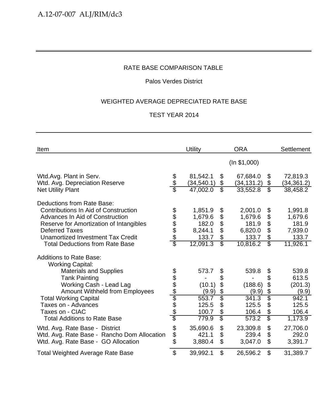### Palos Verdes District

#### WEIGHTED AVERAGE DEPRECIATED RATE BASE

| Item                                                      |                        | Utility     |                               | <b>ORA</b>   |                               | <b>Settlement</b> |
|-----------------------------------------------------------|------------------------|-------------|-------------------------------|--------------|-------------------------------|-------------------|
|                                                           |                        |             |                               | (ln \$1,000) |                               |                   |
| Wtd.Avg. Plant in Serv.                                   |                        | 81,542.1    | \$                            | 67,684.0     | \$                            | 72,819.3          |
| Wtd. Avg. Depreciation Reserve                            | \$<br>\$\$             | (34, 540.1) | \$<br>$\overline{\mathbb{S}}$ | (34, 131.2)  | \$<br>$\overline{\mathbb{S}}$ | (34, 361.2)       |
| <b>Net Utility Plant</b>                                  |                        | 47,002.0    |                               | 33,552.8     |                               | 38,458.2          |
| Deductions from Rate Base:                                |                        |             |                               |              |                               |                   |
| <b>Contributions In Aid of Construction</b>               | 888888                 | 1,851.9     | \$                            | 2,001.0      | \$                            | 1,991.8           |
| Advances In Aid of Construction                           |                        | 1,679.6     | \$                            | 1,679.6      | $\boldsymbol{\theta}$         | 1,679.6           |
| Reserve for Amortization of Intangibles                   |                        | 182.0       | \$                            | 181.9        | $\boldsymbol{\theta}$         | 181.9             |
| <b>Deferred Taxes</b>                                     |                        | 8,244.1     | \$                            | 6,820.0      | \$                            | 7,939.0           |
| <b>Unamortized Investment Tax Credit</b>                  |                        | 133.7       | \$                            | 133.7        | \$                            | 133.7             |
| <b>Total Deductions from Rate Base</b>                    |                        | 12,091.3    | $\overline{\mathcal{S}}$      | 10,816.2     | $\overline{\mathcal{E}}$      | 11,926.1          |
| <b>Additions to Rate Base:</b><br><b>Working Capital:</b> |                        |             |                               |              |                               |                   |
| <b>Materials and Supplies</b>                             |                        | 573.7       | \$                            | 539.8        | \$                            | 539.8             |
| <b>Tank Painting</b>                                      |                        |             | \$                            |              | \$                            | 613.5             |
| Working Cash - Lead Lag                                   |                        | (10.1)      | \$                            | (188.6)      | $\boldsymbol{\mathcal{L}}$    | (201.3)           |
| <b>Amount Withheld from Employees</b>                     |                        | (9.9)       | $\frac{1}{2}$                 | (9.9)        | \$                            | (9.9)             |
| <b>Total Working Capital</b>                              |                        | 553.7       | $\overline{\mathfrak{s}}$     | 341.3        | \$                            | 942.1             |
| Taxes on - Advances                                       |                        | 125.5       | \$                            | 125.5        | \$                            | 125.5             |
| Taxes on - CIAC                                           |                        | 100.7       | \$                            | 106.4        | \$                            | 106.4             |
| <b>Total Additions to Rate Base</b>                       | <u> 1980 1999 1999</u> | 779.9       | $\overline{\mathbb{S}}$       | 573.2        | $\overline{\mathbb{S}}$       | 1,173.9           |
| Wtd. Avg. Rate Base - District                            | \$                     | 35,690.6    | \$                            | 23,309.8     | \$                            | 27,706.0          |
| Wtd. Avg. Rate Base - Rancho Dom Allocation               |                        | 421.1       | \$                            | 239.4        | \$                            | 292.0             |
| Wtd. Avg. Rate Base - GO Allocation                       | \$<br>\$               | 3,880.4     | $\mathfrak{L}$                | 3,047.0      | \$                            | 3,391.7           |
| <b>Total Weighted Average Rate Base</b>                   | \$                     | 39,992.1    | $\mathfrak{L}$                | 26,596.2     | \$                            | 31,389.7          |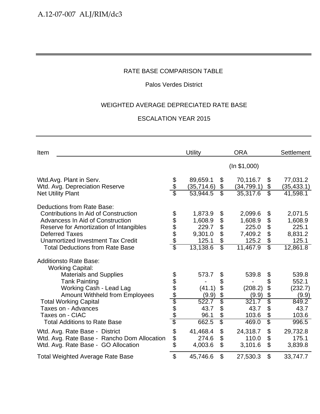## Palos Verdes District

## WEIGHTED AVERAGE DEPRECIATED RATE BASE

| Item                                                       |                           | Utility                 |                          | <b>ORA</b>              |                               | <b>Settlement</b>       |
|------------------------------------------------------------|---------------------------|-------------------------|--------------------------|-------------------------|-------------------------------|-------------------------|
|                                                            |                           |                         |                          | (ln \$1,000)            |                               |                         |
| Wtd.Avg. Plant in Serv.                                    | \$                        | 89,659.1                | \$                       | 70,116.7                | \$                            | 77,031.2                |
| Wtd. Avg. Depreciation Reserve<br><b>Net Utility Plant</b> | \$                        | (35, 714.6)<br>53,944.5 | \$<br>S                  | (34, 799.1)<br>35,317.6 | \$<br>$\overline{\mathbb{S}}$ | (35, 433.1)<br>41,598.1 |
| <b>Deductions from Rate Base:</b>                          |                           |                         |                          |                         |                               |                         |
| <b>Contributions In Aid of Construction</b>                |                           | 1,873.9                 | \$                       | 2,099.6                 | \$                            | 2,071.5                 |
| Advancess In Aid of Construction                           |                           | 1,608.9                 | \$                       | 1,608.9                 | \$                            | 1,608.9                 |
| Reserve for Amortization of Intangibles                    |                           | 229.7                   | \$                       | 225.0                   | $\boldsymbol{\mathsf{S}}$     | 225.1                   |
| <b>Deferred Taxes</b>                                      | \$\$\$\$\$                | 9,301.0                 | \$                       | 7,409.2                 | \$                            | 8,831.2                 |
| <b>Unamortized Investment Tax Credit</b>                   |                           | 125.1                   | \$                       | 125.2                   | \$                            | 125.1                   |
| <b>Total Deductions from Rate Base</b>                     | $\overline{\mathfrak{s}}$ | 13,138.6                | $\overline{\mathcal{E}}$ | 11,467.9                | $\overline{\mathcal{E}}$      | 12,861.8                |
| <b>Additionsto Rate Base:</b><br><b>Working Capital:</b>   |                           |                         |                          |                         |                               |                         |
| <b>Materials and Supplies</b>                              |                           | 573.7                   | \$                       | 539.8                   | \$                            | 539.8                   |
| <b>Tank Painting</b>                                       |                           |                         | \$                       |                         | \$                            | 552.1                   |
| Working Cash - Lead Lag                                    |                           | (41.1)                  | \$                       | (208.2)                 | $\boldsymbol{\mathsf{S}}$     | (232.7)                 |
| <b>Amount Withheld from Employees</b>                      |                           | (9.9)                   |                          | (9.9)                   | \$                            | (9.9)                   |
| <b>Total Working Capital</b>                               |                           | 522.7                   | $\frac{6}{3}$            | 321.7                   | \$                            | 849.2                   |
| Taxes on - Advances                                        |                           | 43.7                    | \$                       | 43.7                    | \$                            | 43.7                    |
| Taxes on - CIAC                                            |                           | 96.1                    | \$                       | 103.6                   | \$                            | 103.6                   |
| <b>Total Additions to Rate Base</b>                        |                           | 662.5                   | $\overline{\mathcal{S}}$ | 469.0                   | $\overline{\mathbb{S}}$       | 996.5                   |
| Wtd. Avg. Rate Base - District                             | \$                        | 41,468.4                | \$                       | 24,318.7                | $\boldsymbol{\theta}$         | 29,732.8                |
| Wtd. Avg. Rate Base - Rancho Dom Allocation                |                           | 274.6                   | \$                       | 110.0                   | \$                            | 175.1                   |
| Wtd. Avg. Rate Base - GO Allocation                        | \$<br>\$                  | 4,003.6                 | \$                       | 3,101.6                 | $\boldsymbol{\mathsf{S}}$     | 3,839.8                 |
| <b>Total Weighted Average Rate Base</b>                    | $\mathfrak{L}$            | 45,746.6                | \$                       | 27,530.3                | $\mathfrak{L}$                | 33,747.7                |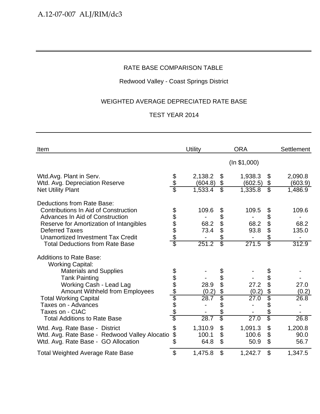## Redwood Valley - Coast Springs District

## WEIGHTED AVERAGE DEPRECIATED RATE BASE

| Item                                                                                                                                                                                                                                                                                             |                                 | Utility                        |                                                        | <b>ORA</b>                     |                                                        | <b>Settlement</b>               |
|--------------------------------------------------------------------------------------------------------------------------------------------------------------------------------------------------------------------------------------------------------------------------------------------------|---------------------------------|--------------------------------|--------------------------------------------------------|--------------------------------|--------------------------------------------------------|---------------------------------|
|                                                                                                                                                                                                                                                                                                  |                                 |                                |                                                        | (ln \$1,000)                   |                                                        |                                 |
| Wtd.Avg. Plant in Serv.<br>Wtd. Avg. Depreciation Reserve<br><b>Net Utility Plant</b>                                                                                                                                                                                                            | \$<br>\$<br>\$                  | 2,138.2<br>(604.8)<br>1,533.4  | \$<br>\$<br>\$                                         | 1,938.3<br>(602.5)<br>1,335.8  | \$<br>\$<br>$\overline{\mathcal{E}}$                   | 2,090.8<br>(603.9)<br>1,486.9   |
| Deductions from Rate Base:<br><b>Contributions In Aid of Construction</b><br>Advances In Aid of Construction<br>Reserve for Amortization of Intangibles<br><b>Deferred Taxes</b><br><b>Unamortized Investment Tax Credit</b><br><b>Total Deductions from Rate Base</b>                           | <b>88888</b><br>$\overline{\$}$ | 109.6<br>68.2<br>73.4<br>251.2 | \$<br>\$<br>\$<br>\$<br>\$<br>$\overline{\mathcal{S}}$ | 109.5<br>68.2<br>93.8<br>271.5 | \$<br>\$<br>\$<br>\$<br>\$<br>$\overline{\mathcal{E}}$ | 109.6<br>68.2<br>135.0<br>312.9 |
| <b>Additions to Rate Base:</b><br><b>Working Capital:</b><br><b>Materials and Supplies</b><br><b>Tank Painting</b><br>Working Cash - Lead Lag<br>Amount Withheld from Employees<br><b>Total Working Capital</b><br>Taxes on - Advances<br>Taxes on - CIAC<br><b>Total Additions to Rate Base</b> | <u> අප අප අප අප අ</u>           | 28.9<br>(0.2)<br>28.7<br>28.7  | \$<br>\$<br>\$<br>\$<br>\$<br>\$<br>\$<br>\$           | 27.2<br>(0.2)<br>27.0<br>27.0  | \$<br>\$<br>\$<br>\$<br>\$<br>\$<br>\$                 | 27.0<br>(0.2)<br>26.8<br>26.8   |
| Wtd. Avg. Rate Base - District<br>Wtd. Avg. Rate Base - Redwood Valley Alocatio<br>Wtd. Avg. Rate Base - GO Allocation                                                                                                                                                                           | \$<br>\$<br>\$                  | 1,310.9<br>100.1<br>64.8       | \$<br>\$<br>$\mathfrak{L}$                             | 1,091.3<br>100.6<br>50.9       | \$<br>\$<br>\$                                         | 1,200.8<br>90.0<br>56.7         |
| <b>Total Weighted Average Rate Base</b>                                                                                                                                                                                                                                                          | \$                              | 1,475.8                        | \$                                                     | 1,242.7                        | \$                                                     | 1,347.5                         |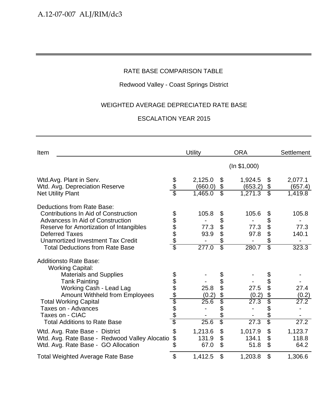## Redwood Valley - Coast Springs District

## WEIGHTED AVERAGE DEPRECIATED RATE BASE

| Item                                                                                                                                                                                                                                                                                                   |                                        | Utility                        |                                                                      | <b>ORA</b>                                 |                                                        | Settlement                      |
|--------------------------------------------------------------------------------------------------------------------------------------------------------------------------------------------------------------------------------------------------------------------------------------------------------|----------------------------------------|--------------------------------|----------------------------------------------------------------------|--------------------------------------------|--------------------------------------------------------|---------------------------------|
|                                                                                                                                                                                                                                                                                                        |                                        |                                |                                                                      | (ln \$1,000)                               |                                                        |                                 |
| Wtd.Avg. Plant in Serv.<br>Wtd. Avg. Depreciation Reserve<br><b>Net Utility Plant</b>                                                                                                                                                                                                                  | \$<br>\$<br>\$                         | 2,125.0<br>(660.0)<br>1,465.0  | \$<br>\$<br>$\overline{\mathcal{E}}$                                 | 1,924.5<br>(653.2)<br>1,271.3              | \$<br>\$<br>$\overline{\mathcal{S}}$                   | 2,077.1<br>(657.4)<br>1,419.8   |
| Deductions from Rate Base:<br><b>Contributions In Aid of Construction</b><br>Advancess In Aid of Construction<br>Reserve for Amortization of Intangibles<br><b>Deferred Taxes</b><br>Unamortized Investment Tax Credit<br><b>Total Deductions from Rate Base</b>                                       | \$\$\$\$\$<br>$\overline{\mathcal{C}}$ | 105.8<br>77.3<br>93.9<br>277.0 | \$<br>\$<br>\$<br>\$<br>\$<br>$\overline{\mathbb{S}}$                | 105.6<br>77.3<br>97.8<br>280.7             | \$<br>\$<br>\$<br>\$<br>\$<br>$\overline{\mathcal{S}}$ | 105.8<br>77.3<br>140.1<br>323.3 |
| <b>Additionsto Rate Base:</b><br><b>Working Capital:</b><br><b>Materials and Supplies</b><br><b>Tank Painting</b><br>Working Cash - Lead Lag<br><b>Amount Withheld from Employees</b><br><b>Total Working Capital</b><br>Taxes on - Advances<br>Taxes on - CIAC<br><b>Total Additions to Rate Base</b> | \$\$\$\$\$\$\$\$\$<br>\$               | 25.8<br>(0.2)<br>25.6<br>25.6  | \$<br>\$<br>\$<br>\$<br>\$<br>\$<br>$\frac{1}{2}$<br>$\overline{\$}$ | 27.5<br>(0.2)<br>$\overline{27.3}$<br>27.3 | \$<br>\$<br>\$<br>\$<br>\$<br>\$<br>\$                 | 27.4<br>(0.2)<br>27.2<br>27.2   |
| Wtd. Avg. Rate Base - District<br>Wtd. Avg. Rate Base - Redwood Valley Alocatio<br>Wtd. Avg. Rate Base - GO Allocation                                                                                                                                                                                 | \$<br>\$<br>\$                         | 1,213.6<br>131.9<br>67.0       | \$<br>\$<br>$\mathfrak{L}$                                           | 1,017.9<br>134.1<br>51.8                   | \$<br>\$<br>\$                                         | 1,123.7<br>118.8<br>64.2        |
| <b>Total Weighted Average Rate Base</b>                                                                                                                                                                                                                                                                | \$                                     | 1,412.5                        | $\mathfrak{L}$                                                       | 1,203.8                                    | \$                                                     | 1,306.6                         |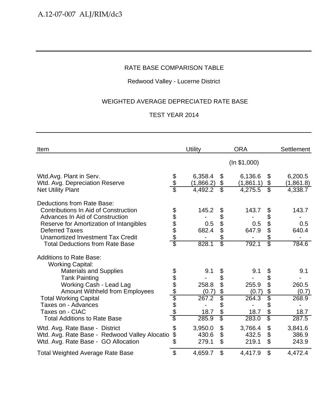## Redwood Valley - Lucerne District

## WEIGHTED AVERAGE DEPRECIATED RATE BASE

| Item                                                                                                                                                                                                                                                                                                    |                              | Utility                                         |                                                                    | <b>ORA</b>                                      |                                                        | Settlement                                      |
|---------------------------------------------------------------------------------------------------------------------------------------------------------------------------------------------------------------------------------------------------------------------------------------------------------|------------------------------|-------------------------------------------------|--------------------------------------------------------------------|-------------------------------------------------|--------------------------------------------------------|-------------------------------------------------|
|                                                                                                                                                                                                                                                                                                         |                              |                                                 |                                                                    | (ln \$1,000)                                    |                                                        |                                                 |
| Wtd.Avg. Plant in Serv.<br>Wtd. Avg. Depreciation Reserve<br><b>Net Utility Plant</b>                                                                                                                                                                                                                   | \$                           | 6,358.4<br>(1,866.2)<br>4,492.2                 | \$<br>\$<br>\$                                                     | 6,136.6<br>(1,861.1)<br>4,275.5                 | \$<br>\$<br>$\overline{\mathcal{E}}$                   | 6,200.5<br>(1,861.8)<br>4,338.7                 |
| Deductions from Rate Base:<br><b>Contributions In Aid of Construction</b><br>Advances In Aid of Construction<br>Reserve for Amortization of Intangibles<br><b>Deferred Taxes</b><br>Unamortized Investment Tax Credit<br><b>Total Deductions from Rate Base</b>                                         | <u>alaa aa</u>               | 145.2<br>0.5<br>682.4<br>828.1                  | \$<br>\$<br>\$<br>\$<br>\$<br>\$                                   | 143.7<br>0.5<br>647.9<br>792.1                  | \$<br>\$<br>\$<br>\$<br>\$<br>$\overline{\mathcal{S}}$ | 143.7<br>0.5<br>640.4<br>784.6                  |
| <b>Additions to Rate Base:</b><br><b>Working Capital:</b><br><b>Materials and Supplies</b><br><b>Tank Painting</b><br>Working Cash - Lead Lag<br><b>Amount Withheld from Employees</b><br><b>Total Working Capital</b><br>Taxes on - Advances<br>Taxes on - CIAC<br><b>Total Additions to Rate Base</b> | <u> 10 10 10 10 10 10 10</u> | 9.1<br>258.8<br>(0.7)<br>267.2<br>18.7<br>285.9 | \$<br>\$<br>\$<br>\$<br>\$<br>\$<br>\$<br>$\overline{\mathcal{E}}$ | 9.1<br>255.9<br>(0.7)<br>264.3<br>18.7<br>283.0 | \$<br>\$<br>\$<br>\$<br>\$<br>\$<br>\$<br>\$           | 9.1<br>260.5<br>(0.7)<br>268.9<br>18.7<br>287.5 |
| Wtd. Avg. Rate Base - District<br>Wtd. Avg. Rate Base - Redwood Valley Alocatio<br>Wtd. Avg. Rate Base - GO Allocation                                                                                                                                                                                  | \$<br>\$<br>\$               | 3,950.0<br>430.6<br>279.1                       | \$<br>\$<br>\$                                                     | 3,766.4<br>432.5<br>219.1                       | \$<br>\$<br>\$                                         | 3,841.6<br>386.9<br>243.9                       |
| <b>Total Weighted Average Rate Base</b>                                                                                                                                                                                                                                                                 | \$                           | 4,659.7                                         | \$                                                                 | 4,417.9                                         | \$                                                     | 4,472.4                                         |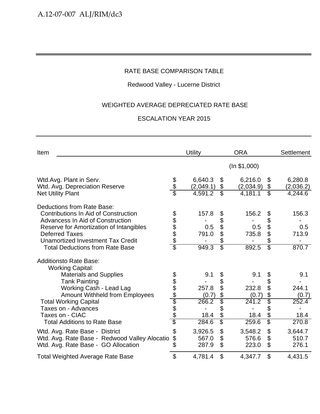## Redwood Valley - Lucerne District

## WEIGHTED AVERAGE DEPRECIATED RATE BASE

| Item                                                                                                                                                                                                                                                                                                   |                                | Utility                                         |                                                        | <b>ORA</b>                                                   |                                                                   | Settlement                                      |
|--------------------------------------------------------------------------------------------------------------------------------------------------------------------------------------------------------------------------------------------------------------------------------------------------------|--------------------------------|-------------------------------------------------|--------------------------------------------------------|--------------------------------------------------------------|-------------------------------------------------------------------|-------------------------------------------------|
|                                                                                                                                                                                                                                                                                                        |                                |                                                 |                                                        | (ln \$1,000)                                                 |                                                                   |                                                 |
| Wtd.Avg. Plant in Serv.<br>Wtd. Avg. Depreciation Reserve<br><b>Net Utility Plant</b>                                                                                                                                                                                                                  | န<br>န                         | 6,640.3<br>(2,049.1)<br>4,591.2                 | \$<br>\$<br>$\overline{\mathbb{S}}$                    | 6,216.0<br>(2,034.9)<br>4,181.1                              | \$<br>$\boldsymbol{\theta}$<br>$\overline{\mathcal{E}}$           | 6,280.8<br>(2,036.2)<br>4,244.6                 |
| Deductions from Rate Base:<br><b>Contributions In Aid of Construction</b><br>Advancess In Aid of Construction<br>Reserve for Amortization of Intangibles<br><b>Deferred Taxes</b><br>Unamortized Investment Tax Credit<br><b>Total Deductions from Rate Base</b>                                       | 888888                         | 157.8<br>0.5<br>791.0<br>949.3                  | \$<br>\$<br>\$<br>\$<br>\$<br>$\overline{\mathcal{E}}$ | 156.2<br>0.5<br>735.8<br>892.5                               | \$<br>\$<br>\$<br>\$<br>\$<br>$\overline{\mathcal{E}}$            | 156.3<br>0.5<br>713.9<br>870.7                  |
| <b>Additionsto Rate Base:</b><br><b>Working Capital:</b><br><b>Materials and Supplies</b><br><b>Tank Painting</b><br>Working Cash - Lead Lag<br><b>Amount Withheld from Employees</b><br><b>Total Working Capital</b><br>Taxes on - Advances<br>Taxes on - CIAC<br><b>Total Additions to Rate Base</b> | <u> 2010 A A A A A A A A A</u> | 9.1<br>257.8<br>(0.7)<br>266.2<br>18.4<br>284.6 | \$<br>\$<br>\$<br>\$<br>\$<br>\$<br>\$<br>\$           | 9.1<br>232.8<br>(0.7)<br>$\overline{241.2}$<br>18.4<br>259.6 | \$<br>\$<br>\$<br>\$<br>\$<br>\$<br>\$<br>$\overline{\mathbb{S}}$ | 9.1<br>244.1<br>(0.7)<br>252.4<br>18.4<br>270.8 |
| Wtd. Avg. Rate Base - District<br>Wtd. Avg. Rate Base - Redwood Valley Alocatio<br>Wtd. Avg. Rate Base - GO Allocation                                                                                                                                                                                 | \$<br>\$<br>\$                 | 3,926.5<br>567.0<br>287.9                       | \$<br>\$<br>\$                                         | 3,548.2<br>576.6<br>223.0                                    | \$<br>\$<br>\$                                                    | 3,644.7<br>510.7<br>276.1                       |
| <b>Total Weighted Average Rate Base</b>                                                                                                                                                                                                                                                                | \$                             | 4,781.4                                         | \$                                                     | 4,347.7                                                      | \$                                                                | 4,431.5                                         |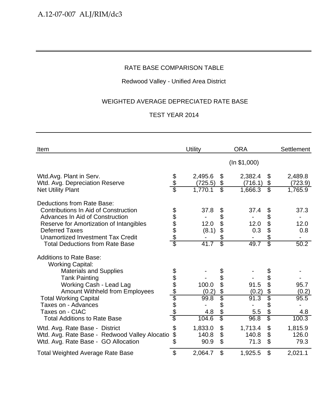## Redwood Valley - Unified Area District

## WEIGHTED AVERAGE DEPRECIATED RATE BASE

| Item                                                                                                                                                                                                                                                                                                    |                              | Utility                                |                                                        | <b>ORA</b>                           |                                                        | Settlement                            |
|---------------------------------------------------------------------------------------------------------------------------------------------------------------------------------------------------------------------------------------------------------------------------------------------------------|------------------------------|----------------------------------------|--------------------------------------------------------|--------------------------------------|--------------------------------------------------------|---------------------------------------|
|                                                                                                                                                                                                                                                                                                         |                              |                                        |                                                        | (ln \$1,000)                         |                                                        |                                       |
| Wtd.Avg. Plant in Serv.<br>Wtd. Avg. Depreciation Reserve<br><b>Net Utility Plant</b>                                                                                                                                                                                                                   | \$<br>\$                     | 2,495.6<br>(725.5)<br>1,770.1          | \$<br>\$<br>$\overline{\$}$                            | 2,382.4<br>(716.1)<br>1,666.3        | \$<br>\$<br>$\overline{\mathcal{E}}$                   | 2,489.8<br>(723.9)<br>1,765.9         |
| Deductions from Rate Base:<br><b>Contributions In Aid of Construction</b><br>Advances In Aid of Construction<br>Reserve for Amortization of Intangibles<br><b>Deferred Taxes</b><br><b>Unamortized Investment Tax Credit</b><br><b>Total Deductions from Rate Base</b>                                  | <u>alaa aa aa aa</u>         | 37.8<br>12.0<br>(8.1)<br>41.7          | \$<br>\$<br>\$<br>\$<br>\$<br>$\overline{\mathcal{S}}$ | 37.4<br>12.0<br>0.3<br>49.7          | \$<br>\$<br>\$<br>\$<br>\$<br>$\overline{\mathcal{E}}$ | 37.3<br>12.0<br>0.8<br>50.2           |
| <b>Additions to Rate Base:</b><br><b>Working Capital:</b><br><b>Materials and Supplies</b><br><b>Tank Painting</b><br>Working Cash - Lead Lag<br><b>Amount Withheld from Employees</b><br><b>Total Working Capital</b><br>Taxes on - Advances<br>Taxes on - CIAC<br><b>Total Additions to Rate Base</b> | <u> 10 10 10 10 10 10 10</u> | 100.0<br>(0.2)<br>99.8<br>4.8<br>104.6 | \$<br>\$<br>\$<br>\$<br>\$<br>\$<br>\$<br>\$           | 91.5<br>(0.2)<br>91.3<br>5.5<br>96.8 | \$<br>\$<br>\$<br>\$<br>\$<br>\$<br>\$                 | 95.7<br>(0.2)<br>95.5<br>4.8<br>100.3 |
| Wtd. Avg. Rate Base - District<br>Wtd. Avg. Rate Base - Redwood Valley Alocatio<br>Wtd. Avg. Rate Base - GO Allocation                                                                                                                                                                                  | \$<br>\$<br>\$               | 1,833.0<br>140.8<br>90.9               | \$<br>\$<br>\$                                         | 1,713.4<br>140.8<br>71.3             | \$<br>\$<br>\$                                         | 1,815.9<br>126.0<br>79.3              |
| <b>Total Weighted Average Rate Base</b>                                                                                                                                                                                                                                                                 | \$                           | 2,064.7                                | \$                                                     | 1,925.5                              | \$                                                     | 2,021.1                               |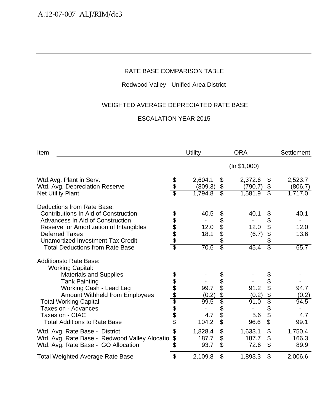## Redwood Valley - Unified Area District

## WEIGHTED AVERAGE DEPRECIATED RATE BASE

| Item                                                                                                                                                                                                                                                                                                   |                | Utility                               |                                                        | <b>ORA</b>                                                                        |                | Settlement                                     |
|--------------------------------------------------------------------------------------------------------------------------------------------------------------------------------------------------------------------------------------------------------------------------------------------------------|----------------|---------------------------------------|--------------------------------------------------------|-----------------------------------------------------------------------------------|----------------|------------------------------------------------|
|                                                                                                                                                                                                                                                                                                        |                |                                       |                                                        | (ln \$1,000)                                                                      |                |                                                |
| Wtd.Avg. Plant in Serv.<br>Wtd. Avg. Depreciation Reserve<br><b>Net Utility Plant</b>                                                                                                                                                                                                                  | န<br>န         | 2,604.1<br>(809.3)<br>1,794.8         | \$<br>\$<br>$\overline{\mathcal{E}}$                   | 2,372.6<br>\$<br>\$<br>(790.7)<br>$\overline{\mathcal{E}}$<br>1,581.9             |                | 2,523.7<br>(806.7)<br>1,717.0                  |
| Deductions from Rate Base:<br><b>Contributions In Aid of Construction</b><br>Advancess In Aid of Construction<br>Reserve for Amortization of Intangibles<br><b>Deferred Taxes</b><br><b>Unamortized Investment Tax Credit</b><br><b>Total Deductions from Rate Base</b>                                | 89888          | 40.5<br>12.0<br>18.1<br>70.6          | \$<br>\$<br>\$<br>\$<br>\$<br>$\overline{\mathcal{E}}$ | 40.1<br>\$<br>\$<br>12.0<br>\$<br>(6.7)<br>\$<br>$\overline{\mathcal{E}}$<br>45.4 | \$             | 40.1<br>12.0<br>13.6<br>$\overline{a}$<br>65.7 |
| <b>Additionsto Rate Base:</b><br><b>Working Capital:</b><br><b>Materials and Supplies</b><br><b>Tank Painting</b><br>Working Cash - Lead Lag<br><b>Amount Withheld from Employees</b><br><b>Total Working Capital</b><br>Taxes on - Advances<br>Taxes on - CIAC<br><b>Total Additions to Rate Base</b> |                | 99.7<br>(0.2)<br>99.5<br>4.7<br>104.2 | \$<br>\$<br>\$<br>\$<br>\$<br>\$<br>\$<br>\$           | 91.2<br>\$<br>(0.2)<br>91.0<br>\$<br>\$<br>5.6<br>\$<br>96.6                      | \$<br>\$<br>\$ | 94.7<br>(0.2)<br>94.5<br>4.7<br>99.1           |
| Wtd. Avg. Rate Base - District<br>Wtd. Avg. Rate Base - Redwood Valley Alocatio<br>Wtd. Avg. Rate Base - GO Allocation                                                                                                                                                                                 | \$<br>\$<br>\$ | 1,828.4<br>187.7<br>93.7              | \$<br>\$<br>\$                                         | \$<br>1,633.1<br>\$<br>187.7<br>\$<br>72.6                                        |                | 1,750.4<br>166.3<br>89.9                       |
| <b>Total Weighted Average Rate Base</b>                                                                                                                                                                                                                                                                | \$             | 2,109.8                               | \$                                                     | \$<br>1,893.3                                                                     |                | 2,006.6                                        |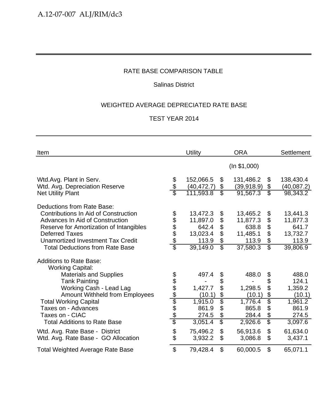## Salinas District

## WEIGHTED AVERAGE DEPRECIATED RATE BASE

| Item                                                                                                  |                           | <b>Utility</b>             |                                       | <b>ORA</b>                 |                                   | <b>Settlement</b>          |
|-------------------------------------------------------------------------------------------------------|---------------------------|----------------------------|---------------------------------------|----------------------------|-----------------------------------|----------------------------|
|                                                                                                       |                           |                            |                                       | (ln \$1,000)               |                                   |                            |
| Wtd.Avg. Plant in Serv.<br>Wtd. Avg. Depreciation Reserve                                             | $\frac{6}{9}$             | 152,066.5<br>(40, 472.7)   | \$<br>\$                              | 131,486.2<br>(39, 918.9)   | \$<br>\$                          | 138,430.4<br>(40,087.2)    |
| <b>Net Utility Plant</b>                                                                              |                           | 111,593.8                  | $\overline{\mathcal{E}}$              | 91,567.3                   | $\overline{\mathbb{S}}$           | 98,343.2                   |
| Deductions from Rate Base:<br>Contributions In Aid of Construction<br>Advances In Aid of Construction |                           | 13,472.3<br>11,897.0       | \$<br>\$                              | 13,465.2<br>11,877.3       | \$<br>\$                          | 13,441.3<br>11,877.3       |
| Reserve for Amortization of Intangibles<br><b>Deferred Taxes</b><br>Unamortized Investment Tax Credit | 888888                    | 642.4<br>13,023.4<br>113.9 | \$<br>\$<br>$\boldsymbol{\mathsf{S}}$ | 638.8<br>11,485.1<br>113.9 | \$<br>\$<br>$\boldsymbol{\theta}$ | 641.7<br>13,732.7<br>113.9 |
| <b>Total Deductions from Rate Base</b>                                                                |                           | 39,149.0                   | $\overline{\mathbb{S}}$               | 37,580.3                   | $\overline{\mathbb{S}}$           | 39,806.9                   |
| <b>Additions to Rate Base:</b><br><b>Working Capital:</b>                                             |                           |                            |                                       |                            |                                   |                            |
| <b>Materials and Supplies</b><br><b>Tank Painting</b><br>Working Cash - Lead Lag                      |                           | 497.4<br>1,427.7           | \$<br>\$<br>\$                        | 488.0<br>1,298.5           | \$<br>\$<br>\$                    | 488.0<br>124.1<br>1,359.2  |
| <b>Amount Withheld from Employees</b><br><b>Total Working Capital</b><br>Taxes on - Advances          | <u> අප අප ලේල අප අ</u>    | (10.1)<br>1,915.0<br>861.9 | $\frac{1}{2}$<br>\$<br>\$             | (10.1)<br>1,776.4<br>865.8 | \$<br>\$<br>\$                    | (10.1)<br>1,961.2<br>861.9 |
| Taxes on - CIAC<br><b>Total Additions to Rate Base</b>                                                |                           | 274.5<br>3,051.4           | \$<br>$\overline{\mathcal{S}}$        | 284.4<br>2,926.6           | \$<br>\$                          | 274.5<br>3,097.6           |
| Wtd. Avg. Rate Base - District<br>Wtd. Avg. Rate Base - GO Allocation                                 | \$                        | 75,496.2<br>3,932.2        | $\mathfrak{L}$<br>\$                  | 56,913.6<br>3,086.8        | \$<br>\$                          | 61,634.0<br>3,437.1        |
| <b>Total Weighted Average Rate Base</b>                                                               | $\boldsymbol{\mathsf{S}}$ | 79,428.4                   | $\mathfrak{S}$                        | 60,000.5                   | \$                                | 65,071.1                   |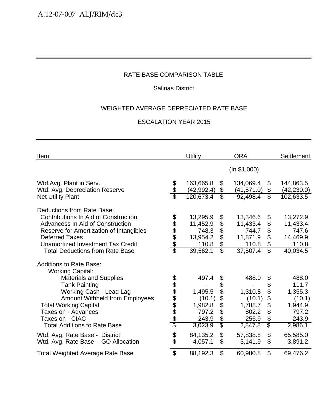## Salinas District

## WEIGHTED AVERAGE DEPRECIATED RATE BASE

| Item                                                                      |                        | <b>Utility</b>           |                          | <b>ORA</b>               |                         | <b>Settlement</b>        |
|---------------------------------------------------------------------------|------------------------|--------------------------|--------------------------|--------------------------|-------------------------|--------------------------|
|                                                                           |                        |                          |                          | (ln \$1,000)             |                         |                          |
| Wtd.Avg. Plant in Serv.<br>Wtd. Avg. Depreciation Reserve                 | \$<br>\$               | 163,665.8<br>(42, 992.4) | \$<br>\$                 | 134,069.4<br>(41, 571.0) | \$<br>\$                | 144,863.5<br>(42, 230.0) |
| <b>Net Utility Plant</b>                                                  |                        | 120,673.4                | $\overline{\mathcal{E}}$ | 92,498.4                 | $\overline{\mathbb{S}}$ | 102,633.5                |
| Deductions from Rate Base:<br><b>Contributions In Aid of Construction</b> |                        | 13,295.9                 | \$                       | 13,346.6                 | \$                      | 13,272.9                 |
| Advancess In Aid of Construction                                          |                        | 11,452.9                 | \$                       | 11,433.4                 | \$                      | 11,433.4                 |
| Reserve for Amortization of Intangibles                                   | \$\$\$\$\$             | 748.3                    | \$                       | 744.7                    | \$                      | 747.6                    |
| <b>Deferred Taxes</b>                                                     |                        | 13,954.2                 | \$                       | 11,871.9                 | \$                      | 14,469.9                 |
| Unamortized Investment Tax Credit                                         |                        | 110.8                    | \$                       | 110.8                    | $\boldsymbol{\theta}$   | 110.8                    |
| <b>Total Deductions from Rate Base</b>                                    | $\overline{\$}$        | 39,562.1                 | $\overline{\mathbb{S}}$  | 37,507.4                 | $\overline{\mathbb{S}}$ | 40,034.5                 |
| <b>Additions to Rate Base:</b><br><b>Working Capital:</b>                 |                        |                          |                          |                          |                         |                          |
| <b>Materials and Supplies</b>                                             |                        | 497.4                    | \$                       | 488.0                    | \$                      | 488.0                    |
| <b>Tank Painting</b>                                                      |                        |                          | \$                       |                          | \$                      | 111.7                    |
| Working Cash - Lead Lag                                                   |                        | 1,495.5                  | \$                       | 1,310.8                  | \$                      | 1,355.3                  |
| <b>Amount Withheld from Employees</b>                                     | <u> අප අප ලේල අප අ</u> | (10.1)                   | \$                       | (10.1)                   | \$                      | (10.1)                   |
| <b>Total Working Capital</b>                                              |                        | 1,982.8                  | $\overline{\$}$          | 1,788.7                  | \$                      | 1,944.9                  |
| Taxes on - Advances                                                       |                        | 797.2                    | \$                       | 802.2                    | \$                      | 797.2                    |
| Taxes on - CIAC                                                           |                        | 243.9                    | \$                       | 256.9                    | \$                      | 243.9                    |
| <b>Total Additions to Rate Base</b>                                       |                        | 3,023.9                  | $\overline{\mathcal{S}}$ | 2,847.8                  | \$                      | 2,986.1                  |
| Wtd. Avg. Rate Base - District<br>Wtd. Avg. Rate Base - GO Allocation     | \$                     | 84,135.2<br>4,057.1      | \$<br>\$                 | 57,838.8<br>3,141.9      | \$<br>\$                | 65,585.0<br>3,891.2      |
| <b>Total Weighted Average Rate Base</b>                                   | $\mathfrak{S}$         | 88,192.3                 | \$                       | 60,980.8                 | \$                      | 69,476.2                 |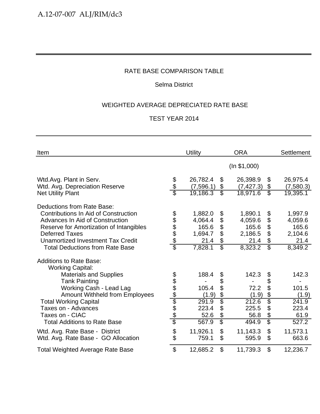## Selma District

## WEIGHTED AVERAGE DEPRECIATED RATE BASE

| Item                                                                                                                                                                                                                                                                                                                                                                | Utility                                                                                                                                                  | <b>ORA</b>                                                                                                                               | <b>Settlement</b>                                                      |
|---------------------------------------------------------------------------------------------------------------------------------------------------------------------------------------------------------------------------------------------------------------------------------------------------------------------------------------------------------------------|----------------------------------------------------------------------------------------------------------------------------------------------------------|------------------------------------------------------------------------------------------------------------------------------------------|------------------------------------------------------------------------|
|                                                                                                                                                                                                                                                                                                                                                                     |                                                                                                                                                          | (ln \$1,000)                                                                                                                             |                                                                        |
| \$<br>\$<br>Wtd.Avg. Plant in Serv.<br>Wtd. Avg. Depreciation Reserve                                                                                                                                                                                                                                                                                               | 26,782.4<br>\$<br>(7,596.1)<br>\$<br>$\overline{\mathcal{S}}$                                                                                            | 26,398.9<br>\$<br>\$<br>(7, 427.3)<br>$\overline{\mathbb{S}}$                                                                            | 26,975.4<br>(7,580.3)                                                  |
| <b>Net Utility Plant</b><br>Deductions from Rate Base:<br><b>Contributions In Aid of Construction</b><br><b>88888</b><br>Advances In Aid of Construction<br>Reserve for Amortization of Intangibles<br><b>Deferred Taxes</b><br>Unamortized Investment Tax Credit<br>\$<br><b>Total Deductions from Rate Base</b>                                                   | 19,186.3<br>1,882.0<br>\$<br>\$<br>4,064.4<br>\$<br>165.6<br>\$<br>1,694.7<br>\$<br>21.4<br>$\overline{\mathcal{S}}$<br>7,828.1                          | 18,971.6<br>1,890.1<br>\$<br>\$<br>4,059.6<br>\$<br>165.6<br>\$<br>2,186.5<br>\$<br>21.4<br>$\overline{\mathbb{S}}$<br>8,323.2           | 19,395.1<br>1,997.9<br>4,059.6<br>165.6<br>2,104.6<br>21.4<br>8,349.2  |
| <b>Additions to Rate Base:</b><br><b>Working Capital:</b><br><b>Materials and Supplies</b><br><u> අප අප ලේල අප අ</u><br><b>Tank Painting</b><br>Working Cash - Lead Lag<br><b>Amount Withheld from Employees</b><br><b>Total Working Capital</b><br>Taxes on - Advances<br>Taxes on - CIAC<br><b>Total Additions to Rate Base</b><br>Wtd. Avg. Rate Base - District | 188.4<br>\$<br>\$<br>105.4<br>\$<br>(1.9)<br>$\overline{\$}$<br>291.9<br>\$<br>223.4<br>\$<br>52.6<br>$\overline{\mathbb{S}}$<br>567.9<br>\$<br>11,926.1 | 142.3<br>\$<br>\$<br>\$<br>72.2<br>\$<br>(1.9)<br>$\overline{\$}$<br>212.6<br>225.5<br>\$<br>\$<br>56.8<br>\$<br>494.9<br>\$<br>11,143.3 | 142.3<br>101.5<br>(1.9)<br>241.9<br>223.4<br>61.9<br>527.2<br>11,573.1 |
| \$<br>Wtd. Avg. Rate Base - GO Allocation<br>$\boldsymbol{\mathsf{S}}$<br><b>Total Weighted Average Rate Base</b>                                                                                                                                                                                                                                                   | \$<br>759.1<br>\$<br>12,685.2                                                                                                                            | \$<br>595.9<br>\$<br>11,739.3                                                                                                            | 663.6<br>12,236.7                                                      |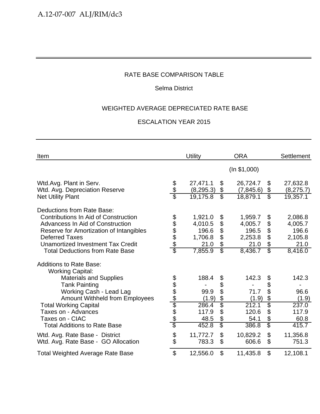## Selma District

## WEIGHTED AVERAGE DEPRECIATED RATE BASE

| Item                                                                                                                                                     |                        | <b>Utility</b>              |                          | <b>ORA</b>                  |                         | <b>Settlement</b>           |
|----------------------------------------------------------------------------------------------------------------------------------------------------------|------------------------|-----------------------------|--------------------------|-----------------------------|-------------------------|-----------------------------|
|                                                                                                                                                          |                        |                             |                          | (ln \$1,000)                |                         |                             |
| Wtd.Avg. Plant in Serv.<br>Wtd. Avg. Depreciation Reserve                                                                                                | \$<br>अर               | 27,471.1<br>(8, 295.3)      | \$<br>\$                 | 26,724.7<br>(7,845.6)       | \$<br>\$                | 27,632.8<br>(8, 275.7)      |
| <b>Net Utility Plant</b>                                                                                                                                 |                        | 19,175.8                    | $\overline{\mathcal{E}}$ | 18,879.1                    | $\overline{\mathbb{S}}$ | 19,357.1                    |
| Deductions from Rate Base:<br>Contributions In Aid of Construction<br><b>Advancess In Aid of Construction</b><br>Reserve for Amortization of Intangibles |                        | 1,921.0<br>4,010.5<br>196.6 | \$<br>\$<br>\$           | 1,959.7<br>4,005.7<br>196.5 | \$<br>\$<br>\$          | 2,086.8<br>4,005.7<br>196.6 |
| <b>Deferred Taxes</b><br><b>Unamortized Investment Tax Credit</b>                                                                                        | 888888                 | 1,706.8<br>21.0             | \$<br>\$                 | 2,253.8<br>21.0             | \$<br>\$                | 2,105.8<br>21.0             |
| <b>Total Deductions from Rate Base</b>                                                                                                                   |                        | 7,855.9                     | $\overline{\mathbb{S}}$  | 8,436.7                     | $\overline{\mathbb{S}}$ | 8,416.0                     |
| <b>Additions to Rate Base:</b><br><b>Working Capital:</b>                                                                                                |                        |                             |                          |                             |                         |                             |
| <b>Materials and Supplies</b>                                                                                                                            |                        | 188.4                       | \$                       | 142.3                       | \$                      | 142.3                       |
| <b>Tank Painting</b><br>Working Cash - Lead Lag<br><b>Amount Withheld from Employees</b>                                                                 |                        | 99.9<br>(1.9)               | \$<br>\$<br>\$           | 71.7<br>(1.9)               | \$<br>\$<br>\$          | 96.6<br>(1.9)               |
| <b>Total Working Capital</b><br>Taxes on - Advances<br>Taxes on - CIAC                                                                                   | <u> අප අප ලේල අප අ</u> | 286.4<br>117.9<br>48.5      | \$<br>\$<br>\$           | 212.1<br>120.6<br>54.1      | \$<br>\$<br>\$          | 237.0<br>117.9<br>60.8      |
| <b>Total Additions to Rate Base</b>                                                                                                                      |                        | 452.8                       | $\overline{\mathcal{S}}$ | 386.8                       | \$                      | 415.7                       |
| Wtd. Avg. Rate Base - District<br>Wtd. Avg. Rate Base - GO Allocation                                                                                    | \$                     | 11,772.7<br>783.3           | \$<br>\$                 | 10,829.2<br>606.6           | \$<br>\$                | 11,356.8<br>751.3           |
| <b>Total Weighted Average Rate Base</b>                                                                                                                  | $\mathfrak{S}$         | 12,556.0                    | \$                       | 11,435.8                    | \$                      | 12,108.1                    |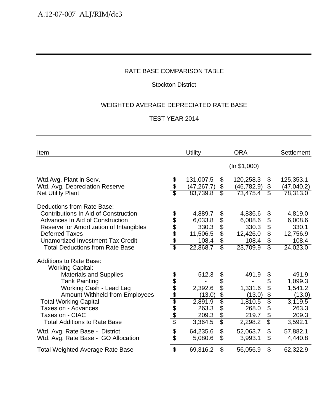## Stockton District

## WEIGHTED AVERAGE DEPRECIATED RATE BASE

| Item                                                                                                                                                                                                                                                     |                           | <b>Utility</b>                                               |                                                       | <b>ORA</b>                                                   |                                                        | <b>Settlement</b>                                                         |
|----------------------------------------------------------------------------------------------------------------------------------------------------------------------------------------------------------------------------------------------------------|---------------------------|--------------------------------------------------------------|-------------------------------------------------------|--------------------------------------------------------------|--------------------------------------------------------|---------------------------------------------------------------------------|
|                                                                                                                                                                                                                                                          |                           |                                                              |                                                       | (ln \$1,000)                                                 |                                                        |                                                                           |
| Wtd.Avg. Plant in Serv.<br>Wtd. Avg. Depreciation Reserve                                                                                                                                                                                                | \$<br>\$                  | 131,007.5<br>(47, 267.7)                                     | \$<br>\$<br>$\overline{\mathcal{E}}$                  | 120,258.3<br>(46, 782.9)                                     | \$<br>\$<br>$\overline{\mathbb{S}}$                    | 125,353.1<br>(47,040.2)                                                   |
| <b>Net Utility Plant</b>                                                                                                                                                                                                                                 |                           | 83,739.8                                                     |                                                       | 73,475.4                                                     |                                                        | 78,313.0                                                                  |
| Deductions from Rate Base:<br>Contributions In Aid of Construction<br>Advances In Aid of Construction<br>Reserve for Amortization of Intangibles<br><b>Deferred Taxes</b><br>Unamortized Investment Tax Credit<br><b>Total Deductions from Rate Base</b> | \$\$\$\$\$<br>\$          | 4,889.7<br>6,033.8<br>330.3<br>11,506.5<br>108.4<br>22,868.7 | \$<br>\$<br>\$<br>\$<br>\$<br>$\overline{\mathbb{S}}$ | 4,836.6<br>6,008.6<br>330.3<br>12,426.0<br>108.4<br>23,709.9 | \$<br>\$<br>\$<br>\$<br>\$<br>$\overline{\mathcal{S}}$ | 4,819.0<br>6,008.6<br>330.1<br>12,756.9<br>108.4<br>$\overline{24,023}.0$ |
| <b>Additions to Rate Base:</b><br><b>Working Capital:</b>                                                                                                                                                                                                |                           |                                                              |                                                       |                                                              |                                                        |                                                                           |
| <b>Materials and Supplies</b><br><b>Tank Painting</b><br>Working Cash - Lead Lag<br><b>Amount Withheld from Employees</b>                                                                                                                                |                           | 512.3<br>2,392.6<br>(13.0)                                   | \$<br>\$<br>\$                                        | 491.9<br>1,331.6<br>(13.0)                                   | \$<br>\$<br>\$<br>\$                                   | 491.9<br>1,099.3<br>1,541.2<br>(13.0)                                     |
| <b>Total Working Capital</b><br>Taxes on - Advances<br>Taxes on - CIAC<br><b>Total Additions to Rate Base</b>                                                                                                                                            | <u> අප අප ලේල අප අ</u>    | 2,891.9<br>263.3<br>209.3<br>3,364.5                         | $rac{6}{3}$<br>\$<br>\$<br>$\overline{\mathcal{S}}$   | 1,810.5<br>268.0<br>219.7<br>2,298.2                         | \$<br>\$<br>\$<br>\$                                   | 3,119.5<br>263.3<br>209.3<br>3,592.1                                      |
| Wtd. Avg. Rate Base - District<br>Wtd. Avg. Rate Base - GO Allocation                                                                                                                                                                                    | \$                        | 64,235.6<br>5,080.6                                          | $\mathfrak{L}$<br>\$                                  | 52,063.7<br>3,993.1                                          | \$<br>\$                                               | 57,882.1<br>4,440.8                                                       |
| <b>Total Weighted Average Rate Base</b>                                                                                                                                                                                                                  | $\boldsymbol{\mathsf{S}}$ | 69,316.2                                                     | $\mathfrak{L}$                                        | 56,056.9                                                     | \$                                                     | 62,322.9                                                                  |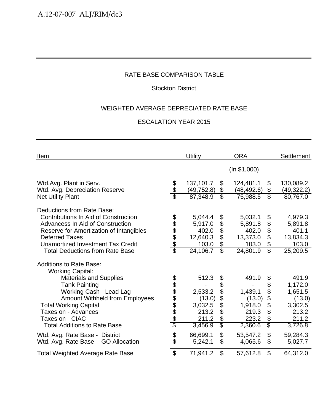## Stockton District

## WEIGHTED AVERAGE DEPRECIATED RATE BASE

| Item                                                                                                                                                                                                                                                             |                                            | <b>Utility</b>                                               |                                               | <b>ORA</b>                                                   |                                                                                              | <b>Settlement</b>                                            |
|------------------------------------------------------------------------------------------------------------------------------------------------------------------------------------------------------------------------------------------------------------------|--------------------------------------------|--------------------------------------------------------------|-----------------------------------------------|--------------------------------------------------------------|----------------------------------------------------------------------------------------------|--------------------------------------------------------------|
|                                                                                                                                                                                                                                                                  |                                            |                                                              |                                               | (ln \$1,000)                                                 |                                                                                              |                                                              |
| Wtd.Avg. Plant in Serv.<br>Wtd. Avg. Depreciation Reserve                                                                                                                                                                                                        | \$<br>\$                                   | 137,101.7<br>(49, 752.8)                                     | \$<br>\$                                      | 124,481.1<br>(48, 492.6)                                     | \$<br>$\$\$                                                                                  | 130,089.2<br>(49, 322.2)                                     |
| <b>Net Utility Plant</b>                                                                                                                                                                                                                                         |                                            | 87,348.9                                                     | \$                                            | 75,988.5                                                     | $\overline{\mathbb{S}}$                                                                      | 80,767.0                                                     |
| Deductions from Rate Base:<br>Contributions In Aid of Construction<br><b>Advancess In Aid of Construction</b><br>Reserve for Amortization of Intangibles<br><b>Deferred Taxes</b><br>Unamortized Investment Tax Credit<br><b>Total Deductions from Rate Base</b> | \$<br>\$\$\$\$<br>$\overline{\mathcal{E}}$ | 5,044.4<br>5,917.0<br>402.0<br>12,640.3<br>103.0<br>24,106.7 | \$<br>\$<br>\$<br>\$<br>\$<br>$\overline{\$}$ | 5,032.1<br>5,891.8<br>402.0<br>13,373.0<br>103.0<br>24,801.9 | \$<br>\$<br>$\boldsymbol{\theta}$<br>\$<br>$\boldsymbol{\theta}$<br>$\overline{\mathcal{S}}$ | 4,979.3<br>5,891.8<br>401.1<br>13,834.3<br>103.0<br>25,209.5 |
| <b>Additions to Rate Base:</b><br><b>Working Capital:</b>                                                                                                                                                                                                        |                                            |                                                              |                                               |                                                              |                                                                                              |                                                              |
| <b>Materials and Supplies</b>                                                                                                                                                                                                                                    |                                            | 512.3                                                        | \$                                            | 491.9                                                        | \$                                                                                           | 491.9                                                        |
| <b>Tank Painting</b>                                                                                                                                                                                                                                             |                                            |                                                              | \$                                            |                                                              | \$                                                                                           | 1,172.0                                                      |
| Working Cash - Lead Lag                                                                                                                                                                                                                                          |                                            | 2,533.2                                                      | \$<br>\$                                      | 1,439.1                                                      | \$<br>$\boldsymbol{\mathsf{S}}$                                                              | 1,651.5                                                      |
| Amount Withheld from Employees<br><b>Total Working Capital</b>                                                                                                                                                                                                   | <u> 2010 App Ado</u>                       | (13.0)<br>3,032.5                                            | $\overline{\$}$                               | (13.0)<br>1,918.0                                            | \$                                                                                           | (13.0)<br>3,302.5                                            |
| Taxes on - Advances                                                                                                                                                                                                                                              |                                            | 213.2                                                        | \$                                            | 219.3                                                        | $\boldsymbol{\mathsf{S}}$                                                                    | 213.2                                                        |
| Taxes on - CIAC                                                                                                                                                                                                                                                  |                                            | 211.2                                                        | \$                                            | 223.2                                                        | \$                                                                                           | 211.2                                                        |
| <b>Total Additions to Rate Base</b>                                                                                                                                                                                                                              |                                            | 3,456.9                                                      | $\overline{\mathcal{S}}$                      | 2,360.6                                                      | $\overline{\mathbb{S}}$                                                                      | 3,726.8                                                      |
| Wtd. Avg. Rate Base - District                                                                                                                                                                                                                                   | \$                                         | 66,699.1                                                     | \$                                            | 53,547.2                                                     | $\boldsymbol{\mathsf{S}}$                                                                    | 59,284.3                                                     |
| Wtd. Avg. Rate Base - GO Allocation                                                                                                                                                                                                                              | \$                                         | 5,242.1                                                      | \$                                            | 4,065.6                                                      | $\mathcal{L}$                                                                                | 5,027.7                                                      |
| <b>Total Weighted Average Rate Base</b>                                                                                                                                                                                                                          | $\mathfrak{S}$                             | 71,941.2                                                     | \$                                            | 57,612.8                                                     | \$                                                                                           | 64,312.0                                                     |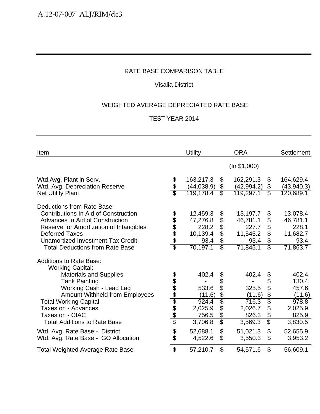## Visalia District

## WEIGHTED AVERAGE DEPRECIATED RATE BASE

| Item                                                                    |                           | <b>Utility</b>           |                                  | <b>ORA</b>               |                           | <b>Settlement</b>        |
|-------------------------------------------------------------------------|---------------------------|--------------------------|----------------------------------|--------------------------|---------------------------|--------------------------|
|                                                                         |                           |                          |                                  | (ln \$1,000)             |                           |                          |
| Wtd.Avg. Plant in Serv.<br>Wtd. Avg. Depreciation Reserve               | \$                        | 163,217.3<br>(44, 038.9) | $\boldsymbol{\mathcal{S}}$<br>\$ | 162,291.3<br>(42, 994.2) | \$<br>\$                  | 164,629.4<br>(43, 940.3) |
| <b>Net Utility Plant</b>                                                |                           | 119,178.4                | $\overline{\mathcal{E}}$         | 119,297.1                | $\overline{\mathbb{S}}$   | 120,689.1                |
| Deductions from Rate Base:                                              |                           |                          |                                  |                          |                           |                          |
| Contributions In Aid of Construction<br>Advances In Aid of Construction | \$\$\$\$\$                | 12,459.3                 | \$                               | 13,197.7<br>46,781.1     | \$                        | 13,078.4                 |
| Reserve for Amortization of Intangibles                                 |                           | 47,276.8<br>228.2        | \$<br>\$                         | 227.7                    | \$<br>\$                  | 46,781.1<br>228.1        |
| <b>Deferred Taxes</b>                                                   |                           | 10,139.4                 | \$                               | 11,545.2                 | \$                        | 11,682.7                 |
| Unamortized Investment Tax Credit                                       |                           | 93.4                     | \$                               | 93.4                     | \$                        | 93.4                     |
| <b>Total Deductions from Rate Base</b>                                  | \$                        | 70,197.1                 | $\overline{\mathbb{S}}$          | 71,845.1                 | $\overline{\mathcal{S}}$  | 71,863.7                 |
| <b>Additions to Rate Base:</b><br><b>Working Capital:</b>               |                           |                          |                                  |                          |                           |                          |
| <b>Materials and Supplies</b>                                           |                           | 402.4                    | \$                               | 402.4                    | \$                        | 402.4                    |
| <b>Tank Painting</b>                                                    |                           |                          | \$                               |                          | \$                        | 130.4                    |
| Working Cash - Lead Lag                                                 |                           | 533.6                    | \$                               | 325.5                    | \$                        | 457.6                    |
| <b>Amount Withheld from Employees</b>                                   | <u> අප අප අප අප අ</u>     | (11.6)                   | \$                               | (11.6)                   | \$                        | (11.6)                   |
| <b>Total Working Capital</b>                                            |                           | 924.4                    | \$                               | 716.3                    | $\overline{\mathfrak{s}}$ | 978.8                    |
| Taxes on - Advances                                                     |                           | 2,025.9                  | \$                               | 2,026.7                  | \$                        | 2,025.9                  |
| Taxes on - CIAC                                                         |                           | 756.5                    | \$                               | 826.3                    | \$                        | 825.9                    |
| <b>Total Additions to Rate Base</b>                                     |                           | 3,706.8                  | $\overline{\mathcal{S}}$         | 3,569.3                  | \$                        | 3,830.5                  |
| Wtd. Avg. Rate Base - District                                          |                           | 52,688.1                 | $\mathfrak{L}$                   | 51,021.3                 | $\boldsymbol{\mathsf{S}}$ | 52,655.9                 |
| Wtd. Avg. Rate Base - GO Allocation                                     | \$                        | 4,522.6                  | \$                               | 3,550.3                  | \$                        | 3,953.2                  |
| <b>Total Weighted Average Rate Base</b>                                 | $\boldsymbol{\mathsf{S}}$ | 57,210.7                 | \$                               | 54,571.6                 | \$                        | 56,609.1                 |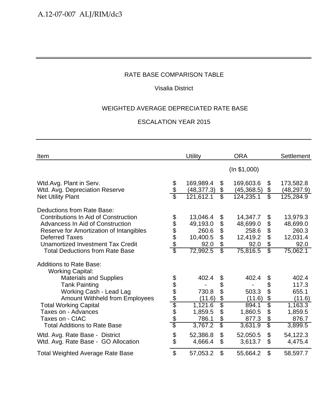## Visalia District

## WEIGHTED AVERAGE DEPRECIATED RATE BASE

| Item                                                                                                                                                                                                                   |                        | <b>Utility</b>                                    |                                | <b>ORA</b>                                        |                            | <b>Settlement</b>                                 |
|------------------------------------------------------------------------------------------------------------------------------------------------------------------------------------------------------------------------|------------------------|---------------------------------------------------|--------------------------------|---------------------------------------------------|----------------------------|---------------------------------------------------|
|                                                                                                                                                                                                                        |                        |                                                   |                                | (ln \$1,000)                                      |                            |                                                   |
| Wtd.Avg. Plant in Serv.<br>Wtd. Avg. Depreciation Reserve                                                                                                                                                              | \$<br>\$               | 169,989.4<br>(48, 377.3)                          | \$<br>\$                       | 169,603.6<br>(45,368.5)                           | \$<br>\$                   | 173,582.8<br>(48, 297.9)                          |
| <b>Net Utility Plant</b>                                                                                                                                                                                               |                        | 121,612.1                                         | $\overline{\mathcal{E}}$       | 124,235.1                                         | $\overline{\mathbb{S}}$    | 125,284.9                                         |
| Deductions from Rate Base:<br><b>Contributions In Aid of Construction</b><br>Advancess In Aid of Construction<br>Reserve for Amortization of Intangibles<br><b>Deferred Taxes</b><br>Unamortized Investment Tax Credit | 888888                 | 13,046.4<br>49,193.0<br>260.6<br>10,400.5<br>92.0 | \$<br>\$<br>\$<br>\$<br>\$     | 14,347.7<br>48,699.0<br>258.6<br>12,419.2<br>92.0 | \$<br>\$<br>\$<br>\$<br>\$ | 13,979.3<br>48,699.0<br>260.3<br>12,031.4<br>92.0 |
| <b>Total Deductions from Rate Base</b>                                                                                                                                                                                 |                        | 72,992.5                                          | $\overline{\mathbb{S}}$        | 75,816.5                                          | $\overline{\mathbb{S}}$    | 75,062.1                                          |
| <b>Additions to Rate Base:</b><br><b>Working Capital:</b>                                                                                                                                                              |                        |                                                   |                                |                                                   |                            |                                                   |
| <b>Materials and Supplies</b>                                                                                                                                                                                          |                        | 402.4                                             | \$                             | 402.4                                             | \$                         | 402.4                                             |
| <b>Tank Painting</b><br>Working Cash - Lead Lag<br><b>Amount Withheld from Employees</b>                                                                                                                               | <u> අප අප ලේල අප අ</u> | 730.8<br>(11.6)                                   | \$<br>\$<br>\$                 | 503.3<br>(11.6)                                   | \$<br>\$<br>\$             | 117.3<br>655.1<br>(11.6)                          |
| <b>Total Working Capital</b>                                                                                                                                                                                           |                        | 1,121.6                                           | $\overline{\$}$                | 894.1                                             | \$                         | 1,163.3                                           |
| Taxes on - Advances                                                                                                                                                                                                    |                        | 1,859.5                                           | \$                             | 1,860.5                                           | \$                         | 1,859.5                                           |
| Taxes on - CIAC<br><b>Total Additions to Rate Base</b>                                                                                                                                                                 |                        | 786.1<br>3,767.2                                  | \$<br>$\overline{\mathcal{S}}$ | 877.3<br>3,631.9                                  | \$<br>\$                   | 876.7<br>3,899.5                                  |
|                                                                                                                                                                                                                        |                        |                                                   |                                |                                                   |                            |                                                   |
| Wtd. Avg. Rate Base - District<br>Wtd. Avg. Rate Base - GO Allocation                                                                                                                                                  | \$                     | 52,386.8<br>4,666.4                               | \$<br>\$                       | 52,050.5<br>3,613.7                               | \$<br>\$                   | 54,122.3<br>4,475.4                               |
| <b>Total Weighted Average Rate Base</b>                                                                                                                                                                                | $\mathfrak{S}$         | 57,053.2                                          | \$                             | 55,664.2                                          | \$                         | 58,597.7                                          |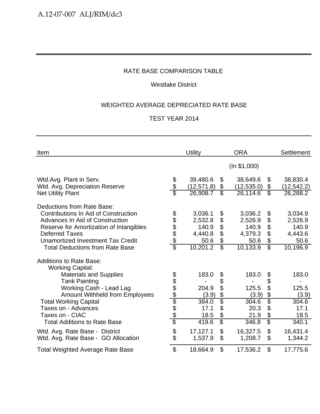## Westlake District

## WEIGHTED AVERAGE DEPRECIATED RATE BASE

| Item                                                                                                                                                                                                                                                                                                    |                      | <b>Utility</b>                                             |                                                                                           | <b>ORA</b>                                                 |                                                        | <b>Settlement</b>                                          |
|---------------------------------------------------------------------------------------------------------------------------------------------------------------------------------------------------------------------------------------------------------------------------------------------------------|----------------------|------------------------------------------------------------|-------------------------------------------------------------------------------------------|------------------------------------------------------------|--------------------------------------------------------|------------------------------------------------------------|
|                                                                                                                                                                                                                                                                                                         |                      |                                                            |                                                                                           | (ln \$1,000)                                               |                                                        |                                                            |
| Wtd.Avg. Plant in Serv.<br>Wtd. Avg. Depreciation Reserve<br><b>Net Utility Plant</b>                                                                                                                                                                                                                   | \$<br>\$             | 39,480.6<br>(12, 571.8)<br>26,908.7                        | $\boldsymbol{\mathcal{S}}$<br>\$<br>$\overline{\mathcal{E}}$                              | 38,649.6<br>(12, 535.0)<br>26,114.6                        | \$<br>\$<br>$\overline{\mathcal{E}}$                   | 38,830.4<br>(12, 542.2)<br>26,288.2                        |
| Deductions from Rate Base:<br>Contributions In Aid of Construction<br>Advances In Aid of Construction<br>Reserve for Amortization of Intangibles<br><b>Deferred Taxes</b><br>Unamortized Investment Tax Credit<br><b>Total Deductions from Rate Base</b>                                                | \$\$\$\$\$<br>\$     | 3,036.1<br>2,532.8<br>140.9<br>4,440.8<br>50.6<br>10,201.2 | \$<br>\$<br>\$<br>\$<br>\$<br>$\overline{\mathbb{S}}$                                     | 3,036.2<br>2,526.9<br>140.9<br>4,379.3<br>50.6<br>10,133.9 | \$<br>\$<br>\$<br>\$<br>\$<br>$\overline{\mathcal{S}}$ | 3,034.9<br>2,526.9<br>140.9<br>4,443.6<br>50.6<br>10,196.9 |
| <b>Additions to Rate Base:</b><br><b>Working Capital:</b><br><b>Materials and Supplies</b><br><b>Tank Painting</b><br>Working Cash - Lead Lag<br><b>Amount Withheld from Employees</b><br><b>Total Working Capital</b><br>Taxes on - Advances<br>Taxes on - CIAC<br><b>Total Additions to Rate Base</b> | <u> 2010 Ado Ado</u> | 183.0<br>204.9<br>(3.9)<br>384.0<br>17.1<br>18.5<br>419.6  | \$<br>\$<br>\$<br>$\frac{1}{2}$<br>$\overline{\$}$<br>\$<br>\$<br>$\overline{\mathbb{S}}$ | 183.0<br>125.5<br>(3.9)<br>304.6<br>20.3<br>21.9<br>346.8  | \$<br>\$<br>\$<br>\$<br>\$<br>\$<br>\$<br>\$           | 183.0<br>125.5<br>(3.9)<br>304.6<br>17.1<br>18.5<br>340.1  |
| Wtd. Avg. Rate Base - District<br>Wtd. Avg. Rate Base - GO Allocation                                                                                                                                                                                                                                   | \$                   | 17,127.1<br>1,537.9                                        | $\mathfrak{S}$<br>\$                                                                      | 16,327.5<br>1,208.7                                        | \$<br>\$                                               | 16,431.4<br>1,344.2                                        |
| <b>Total Weighted Average Rate Base</b>                                                                                                                                                                                                                                                                 | $\mathfrak{L}$       | 18,664.9                                                   | $\mathfrak{L}$                                                                            | 17,536.2                                                   | \$                                                     | 17,775.6                                                   |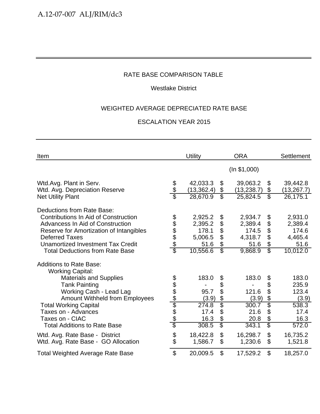## Westlake District

## WEIGHTED AVERAGE DEPRECIATED RATE BASE

| Item                                                                                                                                                                                   |                      | <b>Utility</b>                 |                                            | <b>ORA</b>                     |                                                              | <b>Settlement</b>                |
|----------------------------------------------------------------------------------------------------------------------------------------------------------------------------------------|----------------------|--------------------------------|--------------------------------------------|--------------------------------|--------------------------------------------------------------|----------------------------------|
|                                                                                                                                                                                        |                      |                                |                                            | (ln \$1,000)                   |                                                              |                                  |
| Wtd.Avg. Plant in Serv.<br>Wtd. Avg. Depreciation Reserve                                                                                                                              | \$<br>अर्            | 42,033.3<br>(13, 362.4)        | \$<br>\$                                   | 39,063.2<br>(13, 238.7)        | \$<br>\$                                                     | 39,442.8<br>(13, 267.7)          |
| <b>Net Utility Plant</b>                                                                                                                                                               |                      | 28,670.9                       | \$                                         | 25,824.5                       | $\overline{\mathcal{S}}$                                     | 26,175.1                         |
| Deductions from Rate Base:<br>Contributions In Aid of Construction<br>Advancess In Aid of Construction                                                                                 | 888888               | 2,925.2<br>2,395.2             | \$<br>\$                                   | 2,934.7<br>2,389.4             | \$<br>\$                                                     | 2,931.0<br>2,389.4               |
| Reserve for Amortization of Intangibles                                                                                                                                                |                      | 178.1                          | \$                                         | 174.5                          | $\boldsymbol{\theta}$                                        | 174.6                            |
| <b>Deferred Taxes</b>                                                                                                                                                                  |                      | 5,006.5                        | \$                                         | 4,318.7                        | $\mathfrak{L}$                                               | 4,465.4                          |
| <b>Unamortized Investment Tax Credit</b><br><b>Total Deductions from Rate Base</b>                                                                                                     |                      | 51.6<br>10,556.6               | \$<br>$\overline{\mathbb{S}}$              | 51.6<br>9,868.9                | \$<br>$\overline{\mathcal{S}}$                               | 51.6<br>10,012.0                 |
| <b>Additions to Rate Base:</b><br><b>Working Capital:</b><br><b>Materials and Supplies</b><br><b>Tank Painting</b><br>Working Cash - Lead Lag<br><b>Amount Withheld from Employees</b> | <u> 2010 App Ado</u> | 183.0<br>95.7<br>(3.9)         | \$<br>\$<br>\$<br>\$                       | 183.0<br>121.6<br>(3.9)        | \$<br>\$<br>\$<br>\$                                         | 183.0<br>235.9<br>123.4<br>(3.9) |
| <b>Total Working Capital</b><br>Taxes on - Advances<br>Taxes on - CIAC<br><b>Total Additions to Rate Base</b>                                                                          |                      | 274.8<br>17.4<br>16.3<br>308.5 | Ġ.<br>\$<br>\$<br>$\overline{\mathcal{S}}$ | 300.7<br>21.6<br>20.8<br>343.1 | \$<br>\$<br>$\boldsymbol{\theta}$<br>$\overline{\mathbb{S}}$ | 538.3<br>17.4<br>16.3<br>572.0   |
| Wtd. Avg. Rate Base - District<br>Wtd. Avg. Rate Base - GO Allocation                                                                                                                  | \$                   | 18,422.8<br>1,586.7            | $\boldsymbol{\mathsf{S}}$<br>\$            | 16,298.7<br>1,230.6            | \$<br>\$                                                     | 16,735.2<br>1,521.8              |
| <b>Total Weighted Average Rate Base</b>                                                                                                                                                | $\mathfrak{S}$       | 20,009.5                       | \$                                         | 17,529.2                       | \$                                                           | 18,257.0                         |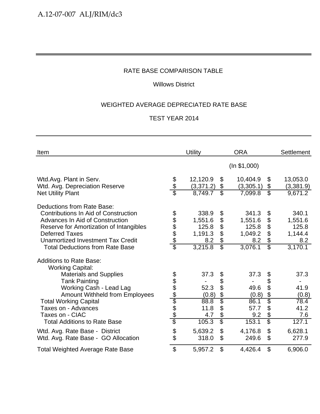## Willows District

## WEIGHTED AVERAGE DEPRECIATED RATE BASE

| Item                                                                                                                                                                                                                                                                                                                                      |                                         | Utility                                                          |                                                                      | <b>ORA</b>                                                       |                                                                 | Settlement                                                       |
|-------------------------------------------------------------------------------------------------------------------------------------------------------------------------------------------------------------------------------------------------------------------------------------------------------------------------------------------|-----------------------------------------|------------------------------------------------------------------|----------------------------------------------------------------------|------------------------------------------------------------------|-----------------------------------------------------------------|------------------------------------------------------------------|
|                                                                                                                                                                                                                                                                                                                                           |                                         |                                                                  |                                                                      | (ln \$1,000)                                                     |                                                                 |                                                                  |
| Wtd.Avg. Plant in Serv.<br>Wtd. Avg. Depreciation Reserve<br><b>Net Utility Plant</b>                                                                                                                                                                                                                                                     | \$<br>\$<br>$\overline{\mathfrak{s}}$   | 12,120.9<br>(3, 371.2)<br>8,749.7                                | \$<br>\$<br>$\overline{\$}$                                          | 10,404.9<br>(3,305.1)<br>7,099.8                                 | \$<br>\$<br>$\overline{\mathcal{E}}$                            | 13,053.0<br>(3,381.9)<br>9,671.2                                 |
| Deductions from Rate Base:<br><b>Contributions In Aid of Construction</b><br>Advances In Aid of Construction<br>Reserve for Amortization of Intangibles<br><b>Deferred Taxes</b><br>Unamortized Investment Tax Credit<br><b>Total Deductions from Rate Base</b>                                                                           | \$\$\$\$\$<br>$\overline{\mathfrak{s}}$ | 338.9<br>1,551.6<br>125.8<br>1,191.3<br>8.2<br>3,215.8           | \$<br>\$<br>$\ddot{\$}$<br>\$<br>\$<br>$\overline{\mathbb{S}}$       | 341.3<br>1,551.6<br>125.8<br>1,049.2<br>8.2<br>3,076.1           | \$<br>\$<br>\$<br>\$<br>\$<br>$\overline{\mathcal{E}}$          | 340.1<br>1,551.6<br>125.8<br>1,144.4<br>8.2<br>3,170.1           |
| <b>Additions to Rate Base:</b><br><b>Working Capital:</b><br><b>Materials and Supplies</b><br><b>Tank Painting</b><br>Working Cash - Lead Lag<br><b>Amount Withheld from Employees</b><br><b>Total Working Capital</b><br>Taxes on - Advances<br>Taxes on - CIAC<br><b>Total Additions to Rate Base</b><br>Wtd. Avg. Rate Base - District | <u> 2010 App A App</u>                  | 37.3<br>52.3<br>(0.8)<br>88.8<br>11.8<br>4.7<br>105.3<br>5,639.2 | \$<br>\$<br>\$<br>$\frac{6}{3}$<br>\$<br>\$<br>$\overline{\$}$<br>\$ | 37.3<br>49.6<br>(0.8)<br>86.1<br>57.7<br>9.2<br>153.1<br>4,176.8 | \$<br>\$<br>\$<br>\$<br>$\overline{\$}$<br>\$<br>\$<br>\$<br>\$ | 37.3<br>41.9<br>(0.8)<br>78.4<br>41.2<br>7.6<br>127.1<br>6,628.1 |
| Wtd. Avg. Rate Base - GO Allocation                                                                                                                                                                                                                                                                                                       | \$                                      | 318.0                                                            | \$                                                                   | 249.6                                                            | \$                                                              | 277.9                                                            |
| <b>Total Weighted Average Rate Base</b>                                                                                                                                                                                                                                                                                                   | \$                                      | 5,957.2                                                          | \$                                                                   | 4,426.4                                                          | \$                                                              | 6,906.0                                                          |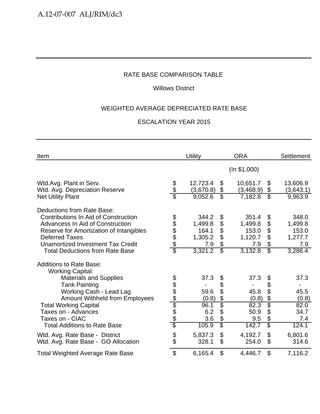## Willows District

## WEIGHTED AVERAGE DEPRECIATED RATE BASE

| Item                                                                                                   |                        | <b>Utility</b>        |                          | <b>ORA</b>            |                         | <b>Settlement</b>     |
|--------------------------------------------------------------------------------------------------------|------------------------|-----------------------|--------------------------|-----------------------|-------------------------|-----------------------|
|                                                                                                        |                        |                       |                          | (ln \$1,000)          |                         |                       |
| Wtd.Avg. Plant in Serv.<br>Wtd. Avg. Depreciation Reserve                                              | \$<br>\$               | 12,723.4<br>(3,670.8) | \$<br>\$                 | 10,651.7<br>(3,468.9) | \$<br>\$                | 13,606.9<br>(3,643.1) |
| <b>Net Utility Plant</b>                                                                               |                        | 9,052.6               | $\overline{\mathbb{S}}$  | 7,182.8               | $\overline{\mathbb{S}}$ | 9,963.9               |
| Deductions from Rate Base:<br>Contributions In Aid of Construction<br>Advancess In Aid of Construction | 888888                 | 344.2<br>1,499.8      | \$<br>\$                 | 351.4<br>1,499.8      | \$<br>\$                | 348.0<br>1,499.8      |
| Reserve for Amortization of Intangibles                                                                |                        | 164.1                 | \$                       | 153.0                 | \$                      | 153.0                 |
| <b>Deferred Taxes</b>                                                                                  |                        | 1,305.2               | \$                       | 1,120.7               | \$                      | 1,277.7               |
| <b>Unamortized Investment Tax Credit</b>                                                               |                        | 7.9                   | \$                       | 7.9                   | \$                      | 7.9                   |
| <b>Total Deductions from Rate Base</b>                                                                 |                        | 3,321.2               | $\overline{\mathcal{E}}$ | 3,132.8               | $\overline{\mathbb{S}}$ | 3,286.4               |
| <b>Additions to Rate Base:</b><br><b>Working Capital:</b>                                              |                        |                       |                          |                       |                         |                       |
| <b>Materials and Supplies</b>                                                                          |                        | 37.3                  | \$                       | 37.3                  | \$                      | 37.3                  |
| <b>Tank Painting</b>                                                                                   | <u> අප අප ලේල අප අ</u> |                       | \$                       |                       | \$                      |                       |
| Working Cash - Lead Lag                                                                                |                        | 59.6                  | \$                       | 45.8                  | \$                      | 45.5                  |
| <b>Amount Withheld from Employees</b>                                                                  |                        | (0.8)                 | \$                       | (0.8)                 | \$                      | (0.8)                 |
| <b>Total Working Capital</b>                                                                           |                        | 96.1                  | $\overline{\$}$          | 82.3                  | \$                      | 82.0                  |
| Taxes on - Advances                                                                                    |                        | 6.2                   | \$                       | 50.9                  | \$                      | 34.7                  |
| Taxes on - CIAC                                                                                        |                        | 3.6                   | \$                       | 9.5                   | \$                      | 7.4                   |
| <b>Total Additions to Rate Base</b>                                                                    |                        | 105.9                 | $\overline{\mathcal{S}}$ | 142.7                 | \$                      | 124.1                 |
| Wtd. Avg. Rate Base - District                                                                         | \$                     | 5,837.3               | \$                       | 4,192.7               | \$                      | 6,801.6               |
| Wtd. Avg. Rate Base - GO Allocation                                                                    |                        | 328.1                 | \$                       | 254.0                 | \$                      | 314.6                 |
| <b>Total Weighted Average Rate Base</b>                                                                | $\mathfrak{S}$         | 6,165.4               | \$                       | 4,446.7               | \$                      | 7,116.2               |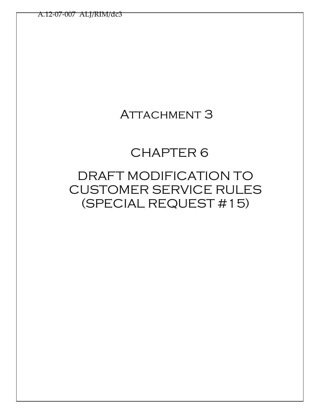## **ATTACHMENT 3**

# CHAPTER 6

# DRAFT MODIFICATION TO CUSTOMER SERVICE RULES (SPECIAL REQUEST #15)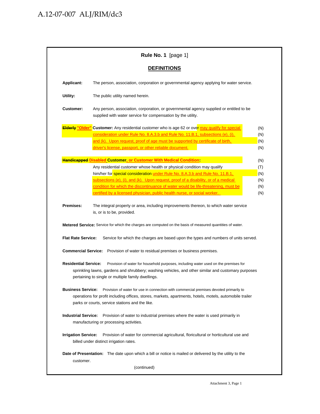|                             | <b>DEFINITIONS</b>                                                                                                                                                                                                                                    |            |
|-----------------------------|-------------------------------------------------------------------------------------------------------------------------------------------------------------------------------------------------------------------------------------------------------|------------|
| Applicant:                  | The person, association, corporation or governmental agency applying for water service.                                                                                                                                                               |            |
| Utility:                    | The public utility named herein.                                                                                                                                                                                                                      |            |
| <b>Customer:</b>            | Any person, association, corporation, or governmental agency supplied or entitled to be<br>supplied with water service for compensation by the utility.                                                                                               |            |
|                             | <b>Elderly "Older"</b> Customer: Any residential customer who is age 62 or over may qualify for special                                                                                                                                               | (N)        |
|                             | consideration under Rule No. 8.A.3.b and Rule No. 11.B.1, subsections (e), (i),                                                                                                                                                                       | (N)        |
|                             | and (k). Upon request, proof of age must be supported by certificate of birth,<br>driver's license, passport, or other reliable document.                                                                                                             | (N)<br>(N) |
|                             |                                                                                                                                                                                                                                                       |            |
|                             | <b>Handicapped Disabled Customer, or Customer With Medical Condition:</b>                                                                                                                                                                             | (N)        |
|                             | Any residential customer whose health or physical condition may qualify                                                                                                                                                                               | (T)        |
|                             | him/her for special consideration under Rule No. 8.A.3.b and Rule No. 11.B.1.                                                                                                                                                                         | (N)        |
|                             | subsections $(e)$ , $(i)$ , and $(k)$ . Upon request, proof of a disability, or of a medical                                                                                                                                                          | (N)        |
|                             | condition for which the discontinuance of water would be life-threatening, must be                                                                                                                                                                    | (N)        |
|                             | certified by a licensed physician, public health nurse, or social worker.                                                                                                                                                                             | (N)        |
| Premises:                   | The integral property or area, including improvements thereon, to which water service                                                                                                                                                                 |            |
|                             | is, or is to be, provided.                                                                                                                                                                                                                            |            |
|                             | <b>Metered Service:</b> Service for which the charges are computed on the basis of measured quantities of water.                                                                                                                                      |            |
| <b>Flat Rate Service:</b>   | Service for which the charges are based upon the types and numbers of units served.                                                                                                                                                                   |            |
|                             | <b>Commercial Service:</b> Provision of water to residual premises or business premises.                                                                                                                                                              |            |
| <b>Residential Service:</b> | Provision of water for household purposes, including water used on the premises for<br>sprinkling lawns, gardens and shrubbery; washing vehicles, and other similar and customary purposes<br>pertaining to single or multiple family dwellings.      |            |
| <b>Business Service:</b>    | Provision of water for use in connection with commercial premises devoted primarily to<br>operations for profit including offices, stores, markets, apartments, hotels, motels, automobile trailer<br>parks or courts, service stations and the like. |            |
| <b>Industrial Service:</b>  | Provision of water to industrial premises where the water is used primarily in<br>manufacturing or processing activities.                                                                                                                             |            |
| <b>Irrigation Service:</b>  | Provision of water for commercial agricultural, floricultural or horticultural use and<br>billed under distinct irrigation rates.                                                                                                                     |            |
|                             | <b>Date of Presentation:</b> The date upon which a bill or notice is mailed or delivered by the utility to the                                                                                                                                        |            |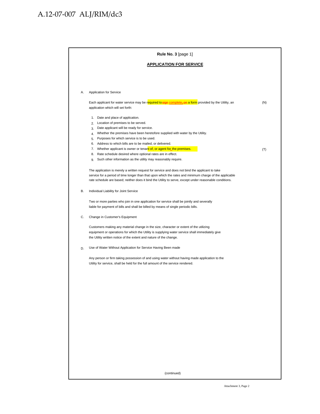## A.12-07-007 ALJ/RIM/dc3

|    | Rule No. 3 [page 1]                                                                                                                           |     |
|----|-----------------------------------------------------------------------------------------------------------------------------------------------|-----|
|    | <b>APPLICATION FOR SERVICE</b>                                                                                                                |     |
|    |                                                                                                                                               |     |
| Α. | Application for Service                                                                                                                       |     |
|    | Each applicant for water service may be required to sign complete, on a form provided by the Utility, an<br>application which will set forth: | (N) |
|    | Date and place of application.<br>1.                                                                                                          |     |
|    | Location of premises to be served.<br>2.                                                                                                      |     |
|    | Date applicant will be ready for service.<br>3.                                                                                               |     |
|    | Whether the premises have been heretofore supplied with water by the Utility.<br>4.                                                           |     |
|    | Purposes for which service is to be used.<br>5.                                                                                               |     |
|    | Address to which bills are to be mailed, or delivered.<br>6.                                                                                  |     |
|    | 7. Whether applicant is owner or tenant of, or agent for the premises.                                                                        | (T) |
|    | 8. Rate schedule desired where optional rates are in effect.<br>Such other information as the utility may reasonably require.<br>9.           |     |
|    |                                                                                                                                               |     |
|    | The application is merely a written request for service and does not bind the applicant to take                                               |     |
|    | service for a period of time longer than that upon which the rates and minimum charge of the applicable                                       |     |
|    | rate schedule are based; neither does it bind the Utility to serve, except under reasonable conditions.                                       |     |
| В. | Individual Liability for Joint Service                                                                                                        |     |
|    | Two or more parties who join in one application for service shall be jointly and severally                                                    |     |
|    | liable for payment of bills and shall be billed by means of single periodic bills.                                                            |     |
| С. | Change in Customer's Equipment                                                                                                                |     |
|    | Customers making any material change in the size, character or extent of the utilizing                                                        |     |
|    | equipment or operations for which the Utility is supplying water service shall immediately give                                               |     |
|    | the Utility written notice of the extent and nature of the change.                                                                            |     |
| D. | Use of Water Without Application for Service Having Been made                                                                                 |     |
|    | Any person or firm taking possession of and using water without having made application to the                                                |     |
|    | Utility for service, shall be held for the full amount of the service rendered.                                                               |     |
|    |                                                                                                                                               |     |
|    |                                                                                                                                               |     |
|    |                                                                                                                                               |     |
|    |                                                                                                                                               |     |
|    |                                                                                                                                               |     |
|    |                                                                                                                                               |     |
|    |                                                                                                                                               |     |
|    |                                                                                                                                               |     |
|    |                                                                                                                                               |     |
|    |                                                                                                                                               |     |
|    |                                                                                                                                               |     |
|    |                                                                                                                                               |     |
|    |                                                                                                                                               |     |
|    |                                                                                                                                               |     |
|    |                                                                                                                                               |     |
|    |                                                                                                                                               |     |
|    |                                                                                                                                               |     |
|    | (continued)                                                                                                                                   |     |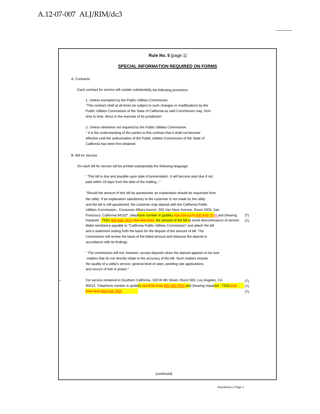| Rule No. 5 [page 1]                                                                                                                                                                                                                                                                                                                                                                                                                                                                                                                                                                                                                                                                                                                                                                                                                                                                               |                   |
|---------------------------------------------------------------------------------------------------------------------------------------------------------------------------------------------------------------------------------------------------------------------------------------------------------------------------------------------------------------------------------------------------------------------------------------------------------------------------------------------------------------------------------------------------------------------------------------------------------------------------------------------------------------------------------------------------------------------------------------------------------------------------------------------------------------------------------------------------------------------------------------------------|-------------------|
| <b>SPECIAL INFORMATION REQUIRED ON FORMS</b>                                                                                                                                                                                                                                                                                                                                                                                                                                                                                                                                                                                                                                                                                                                                                                                                                                                      |                   |
| A. Contracts                                                                                                                                                                                                                                                                                                                                                                                                                                                                                                                                                                                                                                                                                                                                                                                                                                                                                      |                   |
| Each contract for service will contain substantially the following provisions:                                                                                                                                                                                                                                                                                                                                                                                                                                                                                                                                                                                                                                                                                                                                                                                                                    |                   |
| 1. Unless exempted by the Public Utilities Commission,<br>"This contract shall at all times be subject to such changes or modifications by the<br>Public Utilities Commission of the State of California as said Commission may, from<br>time to time, direct in the exercise of its jurisdiction"                                                                                                                                                                                                                                                                                                                                                                                                                                                                                                                                                                                                |                   |
| 2. Unless otherwise not required by the Public Utilities Commission,<br>"It is the understanding of the parties to this contract that it shall not become<br>effective until the authorization of the Public Utilities Commission of the State of<br>California has been first obtained.                                                                                                                                                                                                                                                                                                                                                                                                                                                                                                                                                                                                          |                   |
| <b>B. Bill for Service</b>                                                                                                                                                                                                                                                                                                                                                                                                                                                                                                                                                                                                                                                                                                                                                                                                                                                                        |                   |
| On each bill for service will be printed substantially the following language:                                                                                                                                                                                                                                                                                                                                                                                                                                                                                                                                                                                                                                                                                                                                                                                                                    |                   |
| " This bill is due and payable upon date of presentation. It will become past due if not<br>paid within 19 days from the date of the mailing"                                                                                                                                                                                                                                                                                                                                                                                                                                                                                                                                                                                                                                                                                                                                                     |                   |
| "Should the amount of this bill be questioned, an explanation should be requested from<br>the utility. If an explanation satisfactory to the customer is not made by the utility<br>and the bill is still questioned, the customer may deposit with the California Public<br>Utilities Commission, Consumer Affairs branch, 505 Van Ness Avenue, Room 2003, San<br>Francisco, California 94102 <sup>*</sup> , telephone number is (public) 415-703-1170 800-649-7570 and (hearing<br>impaired - TDD) 866-836-7825-415-703-2032, the amount of the bill to avoid discontinuance of service.<br>Make remittance payable to "California Public Utilities Commission" and attach the bill<br>and a statement setting forth the basis for the dispute of the amount of bill. The<br>Commission will review the basis of the billed amount and disburse the deposit in<br>accordance with its findings. | (T)<br>(T)        |
| " The commission will not, however, accept deposits when the deposit appears to be over<br>matters that do not directly relate to the accuracy of the bill. Such matters include<br>the quality of a utility's service, general level of rates, pending rate applications,<br>and source of fuel or power."                                                                                                                                                                                                                                                                                                                                                                                                                                                                                                                                                                                       |                   |
| For service rendered in Southern California, 320 W 4th Street, Room 500, Los Angeles, CA<br>90013, Telephone number is (public) 213-576-7118 800-365-0550 and (hearing impaired - TDD)-213-<br>576-7110-866-836-7825                                                                                                                                                                                                                                                                                                                                                                                                                                                                                                                                                                                                                                                                              | (T)<br>(T)<br>(T) |
|                                                                                                                                                                                                                                                                                                                                                                                                                                                                                                                                                                                                                                                                                                                                                                                                                                                                                                   |                   |
|                                                                                                                                                                                                                                                                                                                                                                                                                                                                                                                                                                                                                                                                                                                                                                                                                                                                                                   |                   |
|                                                                                                                                                                                                                                                                                                                                                                                                                                                                                                                                                                                                                                                                                                                                                                                                                                                                                                   |                   |
|                                                                                                                                                                                                                                                                                                                                                                                                                                                                                                                                                                                                                                                                                                                                                                                                                                                                                                   |                   |
|                                                                                                                                                                                                                                                                                                                                                                                                                                                                                                                                                                                                                                                                                                                                                                                                                                                                                                   |                   |
| (continued)                                                                                                                                                                                                                                                                                                                                                                                                                                                                                                                                                                                                                                                                                                                                                                                                                                                                                       |                   |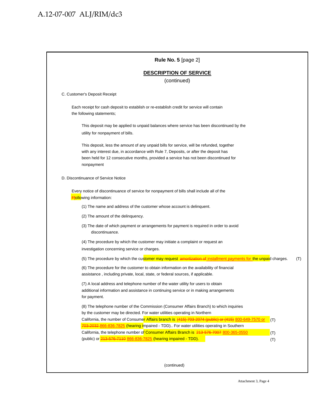| <b>DESCRIPTION OF SERVICE</b><br>(continued)<br>C. Customer's Deposit Receipt<br>Each receipt for cash deposit to establish or re-establish credit for service will contain<br>the following statements;<br>This deposit may be applied to unpaid balances where service has been discontinued by the<br>utility for nonpayment of bills.<br>This deposit, less the amount of any unpaid bills for service, will be refunded, together<br>with any interest due, in accordance with Rule 7, Deposits, or after the deposit has<br>been held for 12 consecutive months, provided a service has not been discontinued for<br>nonpayment<br>D. Discontinuance of Service Notice<br>Every notice of discontinuance of service for nonpayment of bills shall include all of the<br><b>Fiollo</b> wing information:<br>(1) The name and address of the customer whose account is delinquent.<br>(2) The amount of the delinguency.<br>(3) The date of which payment or arrangements for payment is required in order to avoid<br>discontinuance.<br>(4) The procedure by which the customer may initiate a complaint or request an<br>investigation concerning service or charges.<br>(5) The procedure by which the customer may request amortization of installment payments for the unpaid charges.<br>(T)<br>(6) The procedure for the customer to obtain information on the availability of financial<br>assistance, including private, local, state, or federal sources, if applicable.<br>(7) A local address and telephone number of the water utility for users to obtain<br>additional information and assistance in continuing service or in making arrangements<br>for payment.<br>(8) The telephone number of the Commission (Consumer Affairs Branch) to which inquiries<br>by the customer may be directed. For water utilities operating in Northern<br>California, the number of Consumer Affairs branch is (415) 703-2074 (public) or (415) 800-649-7570 or<br>(T)<br>703-2032-866-836-7825 (hearing impaired - TDD) For water utilities operating in Southern<br>California, the telephone number of Consumer Affairs Branch is 213-576-7007 800-365-0550<br>(T)<br>(public) or 213-576-7110 866-836-7825 (hearing impaired - TDD).<br>(T) | Rule No. 5 [page 2] |
|---------------------------------------------------------------------------------------------------------------------------------------------------------------------------------------------------------------------------------------------------------------------------------------------------------------------------------------------------------------------------------------------------------------------------------------------------------------------------------------------------------------------------------------------------------------------------------------------------------------------------------------------------------------------------------------------------------------------------------------------------------------------------------------------------------------------------------------------------------------------------------------------------------------------------------------------------------------------------------------------------------------------------------------------------------------------------------------------------------------------------------------------------------------------------------------------------------------------------------------------------------------------------------------------------------------------------------------------------------------------------------------------------------------------------------------------------------------------------------------------------------------------------------------------------------------------------------------------------------------------------------------------------------------------------------------------------------------------------------------------------------------------------------------------------------------------------------------------------------------------------------------------------------------------------------------------------------------------------------------------------------------------------------------------------------------------------------------------------------------------------------------------------------------------------------------------------------------------------------------------------------|---------------------|
|                                                                                                                                                                                                                                                                                                                                                                                                                                                                                                                                                                                                                                                                                                                                                                                                                                                                                                                                                                                                                                                                                                                                                                                                                                                                                                                                                                                                                                                                                                                                                                                                                                                                                                                                                                                                                                                                                                                                                                                                                                                                                                                                                                                                                                                         |                     |
|                                                                                                                                                                                                                                                                                                                                                                                                                                                                                                                                                                                                                                                                                                                                                                                                                                                                                                                                                                                                                                                                                                                                                                                                                                                                                                                                                                                                                                                                                                                                                                                                                                                                                                                                                                                                                                                                                                                                                                                                                                                                                                                                                                                                                                                         |                     |
|                                                                                                                                                                                                                                                                                                                                                                                                                                                                                                                                                                                                                                                                                                                                                                                                                                                                                                                                                                                                                                                                                                                                                                                                                                                                                                                                                                                                                                                                                                                                                                                                                                                                                                                                                                                                                                                                                                                                                                                                                                                                                                                                                                                                                                                         |                     |
|                                                                                                                                                                                                                                                                                                                                                                                                                                                                                                                                                                                                                                                                                                                                                                                                                                                                                                                                                                                                                                                                                                                                                                                                                                                                                                                                                                                                                                                                                                                                                                                                                                                                                                                                                                                                                                                                                                                                                                                                                                                                                                                                                                                                                                                         |                     |
|                                                                                                                                                                                                                                                                                                                                                                                                                                                                                                                                                                                                                                                                                                                                                                                                                                                                                                                                                                                                                                                                                                                                                                                                                                                                                                                                                                                                                                                                                                                                                                                                                                                                                                                                                                                                                                                                                                                                                                                                                                                                                                                                                                                                                                                         |                     |
|                                                                                                                                                                                                                                                                                                                                                                                                                                                                                                                                                                                                                                                                                                                                                                                                                                                                                                                                                                                                                                                                                                                                                                                                                                                                                                                                                                                                                                                                                                                                                                                                                                                                                                                                                                                                                                                                                                                                                                                                                                                                                                                                                                                                                                                         |                     |
|                                                                                                                                                                                                                                                                                                                                                                                                                                                                                                                                                                                                                                                                                                                                                                                                                                                                                                                                                                                                                                                                                                                                                                                                                                                                                                                                                                                                                                                                                                                                                                                                                                                                                                                                                                                                                                                                                                                                                                                                                                                                                                                                                                                                                                                         |                     |
|                                                                                                                                                                                                                                                                                                                                                                                                                                                                                                                                                                                                                                                                                                                                                                                                                                                                                                                                                                                                                                                                                                                                                                                                                                                                                                                                                                                                                                                                                                                                                                                                                                                                                                                                                                                                                                                                                                                                                                                                                                                                                                                                                                                                                                                         |                     |
|                                                                                                                                                                                                                                                                                                                                                                                                                                                                                                                                                                                                                                                                                                                                                                                                                                                                                                                                                                                                                                                                                                                                                                                                                                                                                                                                                                                                                                                                                                                                                                                                                                                                                                                                                                                                                                                                                                                                                                                                                                                                                                                                                                                                                                                         |                     |
|                                                                                                                                                                                                                                                                                                                                                                                                                                                                                                                                                                                                                                                                                                                                                                                                                                                                                                                                                                                                                                                                                                                                                                                                                                                                                                                                                                                                                                                                                                                                                                                                                                                                                                                                                                                                                                                                                                                                                                                                                                                                                                                                                                                                                                                         |                     |
|                                                                                                                                                                                                                                                                                                                                                                                                                                                                                                                                                                                                                                                                                                                                                                                                                                                                                                                                                                                                                                                                                                                                                                                                                                                                                                                                                                                                                                                                                                                                                                                                                                                                                                                                                                                                                                                                                                                                                                                                                                                                                                                                                                                                                                                         |                     |
|                                                                                                                                                                                                                                                                                                                                                                                                                                                                                                                                                                                                                                                                                                                                                                                                                                                                                                                                                                                                                                                                                                                                                                                                                                                                                                                                                                                                                                                                                                                                                                                                                                                                                                                                                                                                                                                                                                                                                                                                                                                                                                                                                                                                                                                         |                     |
|                                                                                                                                                                                                                                                                                                                                                                                                                                                                                                                                                                                                                                                                                                                                                                                                                                                                                                                                                                                                                                                                                                                                                                                                                                                                                                                                                                                                                                                                                                                                                                                                                                                                                                                                                                                                                                                                                                                                                                                                                                                                                                                                                                                                                                                         |                     |
|                                                                                                                                                                                                                                                                                                                                                                                                                                                                                                                                                                                                                                                                                                                                                                                                                                                                                                                                                                                                                                                                                                                                                                                                                                                                                                                                                                                                                                                                                                                                                                                                                                                                                                                                                                                                                                                                                                                                                                                                                                                                                                                                                                                                                                                         |                     |
|                                                                                                                                                                                                                                                                                                                                                                                                                                                                                                                                                                                                                                                                                                                                                                                                                                                                                                                                                                                                                                                                                                                                                                                                                                                                                                                                                                                                                                                                                                                                                                                                                                                                                                                                                                                                                                                                                                                                                                                                                                                                                                                                                                                                                                                         |                     |
|                                                                                                                                                                                                                                                                                                                                                                                                                                                                                                                                                                                                                                                                                                                                                                                                                                                                                                                                                                                                                                                                                                                                                                                                                                                                                                                                                                                                                                                                                                                                                                                                                                                                                                                                                                                                                                                                                                                                                                                                                                                                                                                                                                                                                                                         |                     |
|                                                                                                                                                                                                                                                                                                                                                                                                                                                                                                                                                                                                                                                                                                                                                                                                                                                                                                                                                                                                                                                                                                                                                                                                                                                                                                                                                                                                                                                                                                                                                                                                                                                                                                                                                                                                                                                                                                                                                                                                                                                                                                                                                                                                                                                         |                     |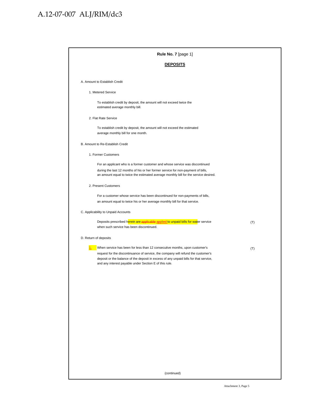| <b>DEPOSITS</b>                                                                                                                                                                                                                                                                                                    |     |
|--------------------------------------------------------------------------------------------------------------------------------------------------------------------------------------------------------------------------------------------------------------------------------------------------------------------|-----|
|                                                                                                                                                                                                                                                                                                                    |     |
| A. Amount to Establish Credit                                                                                                                                                                                                                                                                                      |     |
| 1. Metered Service                                                                                                                                                                                                                                                                                                 |     |
| To establish credit by deposit, the amount will not exceed twice the<br>estimated average monthly bill.                                                                                                                                                                                                            |     |
| 2. Flat Rate Service                                                                                                                                                                                                                                                                                               |     |
| To establish credit by deposit, the amount will not exceed the estimated<br>average monthly bill for one month.                                                                                                                                                                                                    |     |
| B. Amount to Re-Establish Credit                                                                                                                                                                                                                                                                                   |     |
| 1. Former Customers                                                                                                                                                                                                                                                                                                |     |
| For an applicant who is a former customer and whose service was discontinued<br>during the last 12 months of his or her former service for non-payment of bills,<br>an amount equal to twice the estimated average monthly bill for the service desired.                                                           |     |
| 2. Present Customers                                                                                                                                                                                                                                                                                               |     |
| For a customer whose service has been discontinued for non-payments of bills,<br>an amount equal to twice his or her average monthly bill for that service.                                                                                                                                                        |     |
| C. Applicability to Unpaid Accounts                                                                                                                                                                                                                                                                                |     |
| Deposits prescribed herein are applicable applied to unpaid bills for water service<br>when such service has been discontinued.                                                                                                                                                                                    | (T) |
| D. Return of deposits                                                                                                                                                                                                                                                                                              |     |
| When service has been for less than 12 consecutive months, upon customer's<br>request for the discontinuance of service, the company will refund the customer's<br>deposit or the balance of the deposit in excess of any unpaid bills for that service,<br>and any interest payable under Section E of this rule. | (T) |
|                                                                                                                                                                                                                                                                                                                    |     |
|                                                                                                                                                                                                                                                                                                                    |     |
|                                                                                                                                                                                                                                                                                                                    |     |
|                                                                                                                                                                                                                                                                                                                    |     |
|                                                                                                                                                                                                                                                                                                                    |     |
|                                                                                                                                                                                                                                                                                                                    |     |
|                                                                                                                                                                                                                                                                                                                    |     |
|                                                                                                                                                                                                                                                                                                                    |     |
|                                                                                                                                                                                                                                                                                                                    |     |
| (continued)                                                                                                                                                                                                                                                                                                        |     |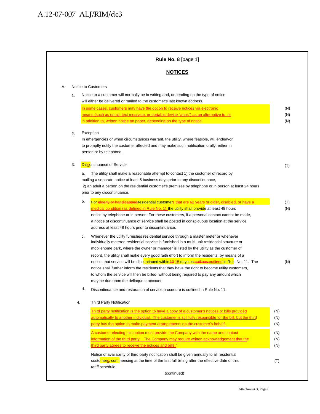|    |          | Rule No. 8 [page 1]                                                                                                                                                                                                                                                                                                                                                                 |                   |
|----|----------|-------------------------------------------------------------------------------------------------------------------------------------------------------------------------------------------------------------------------------------------------------------------------------------------------------------------------------------------------------------------------------------|-------------------|
|    |          | <b>NOTICES</b>                                                                                                                                                                                                                                                                                                                                                                      |                   |
| Α. |          | Notice to Customers                                                                                                                                                                                                                                                                                                                                                                 |                   |
|    | 1.       | Notice to a customer will normally be in writing and, depending on the type of notice,<br>will either be delivered or mailed to the customer's last known address.                                                                                                                                                                                                                  |                   |
|    |          | In some cases, customers may have the option to receive notices via electronic<br>means (such as email, text message, or portable device "apps") as an alternative to, or<br>in addition to, written notice on paper, depending on the type of notice.                                                                                                                              | (N)<br>(N)<br>(N) |
|    | 2.       | Exception<br>In emergencies or when circumstances warrant, the utility, where feasible, will endeavor<br>to promptly notify the customer affected and may make such notification orally, either in<br>person or by telephone.                                                                                                                                                       |                   |
|    | 3.<br>a. | <b>Discontinuance of Service</b><br>The utility shall make a reasonable attempt to contact 1) the customer of record by<br>mailing a separate notice at least 5 business days prior to any discontinuance,<br>2) an adult a person on the residential customer's premises by telephone or in person at least 24 hours<br>prior to any discontinuance.                               | (T)               |
|    | b.       | For elderly or handicapped residential customers that are 62 years or older, disabled, or have a                                                                                                                                                                                                                                                                                    | (T)               |
|    |          | <u>medical condition (as defined in Rule No. 1), the utility shall provide</u> at least 48 hours<br>notice by telephone or in person. For these customers, if a personal contact cannot be made,<br>a notice of discontinuance of service shall be posted in conspicuous location at the service<br>address at least 48 hours prior to discontinuance.                              | (N)               |
|    | c.       | Whenever the utility furnishes residential service through a master meter or whenever<br>individually metered residential service is furnished in a multi-unit residential structure or<br>mobilehome park, where the owner or manager is listed by the utility as the customer of<br>record, the utility shall make every good faith effort to inform the residents, by means of a |                   |
|    |          | notice, that service will be discontinued within 10 15 days as outlines outlined in Rule No. 11. The<br>notice shall further inform the residents that they have the right to become utility customers,<br>to whom the service will then be billed, without being required to pay any amount which<br>may be due upon the delinquent account.                                       | (N)               |
|    | d.       | Discontinuance and restoration of service procedure is outlined in Rule No. 11.                                                                                                                                                                                                                                                                                                     |                   |
|    | 4.       | <b>Third Party Notification</b>                                                                                                                                                                                                                                                                                                                                                     |                   |
|    |          | Third party notification is the option to have a copy of a customer's notices or bills provided<br>automatically to another individual. The customer is still fully responsible for the bill, but the third<br>party has the option to make payment arrangements on the customer's behalf.                                                                                          | (N)<br>(N)<br>(N) |
|    |          | A customer electing this option must provide the Company with the name and contact<br><u>information of the third party. The Company may require written acknowledgement that the</u><br>third party agrees to receive the notices and bills."                                                                                                                                      | (N)<br>(N)<br>(N) |
|    |          | Notice of availability of third party notification shall be given annually to all residential<br>customers, commencing at the time of the first full billing after the effective date of this                                                                                                                                                                                       | (T)               |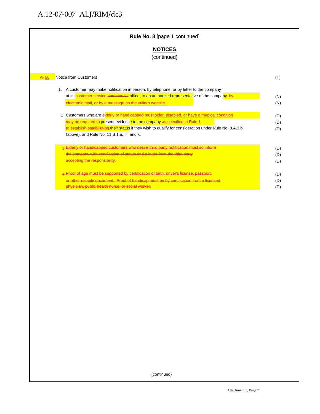### A. B. Notice from Customers (T) (T) 1. A customer may make notification in person, by telephone, or by letter to the company at its customer service commercial office, to an authorized representative of the company, by and the service electronic mail, or by a message on the utility's website. The matrix of the state of the state of the utility's website. 2. Customers who are elderly or handicapped must older, disabled, or have a medical condition (D) (D) may be required to present evidence to the company as specified in Rule 1 and 1 and 1 (D) to establish establishing their status if they wish to qualify for consideration under Rule No. 8.A.3.b (D) (above), and Rule No. 11.B.1.e., i., and k. 3 Elderly or handicapped customers who desire third party notification must so inform (D) (D) (D) the company with certification of status and a letter from the third party (D) (D) (D) accepting the responsibility. (D) accepting the responsibility. (D) 4 Proof of age must be supported by certification of birth, driver's license, passport, entitled and the control of D) (D) or other reliable document. Proof of handicap must be by certification from a licensed (D) physician, public health nurse, or social worker. (D) contained the contained of the contact of the contact of  $(D)$ **Rule No. 8** [page 1 continued] **NOTICES** (continued)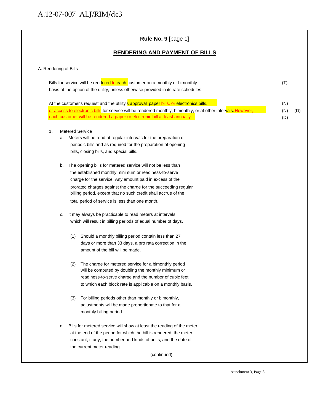A. Rendering of Bills

### Bills for service will be rendered to each customer on a monthly or bimonthly discussed and the control of T) basis at the option of the utility, unless otherwise provided in its rate schedules. At the customer's request and the utility's approval, paper **bills**, or electronics bills, and the customer's request and the utility's approval, paper bills, excluding to the customer's request and the utility's approval, or access to electronic bills for service will be rendered monthly, bimonthly, or at other intervals. However, (N) (D) each customer will be rendered a paper or electronic bill at least annually.  $\qquad \qquad \qquad \qquad \qquad \qquad \textbf{(D)}$ 1. Metered Service a. Meters will be read at regular intervals for the preparation of periodic bills and as required for the preparation of opening bills, closing bills, and special bills. b. The opening bills for metered service will not be less than the established monthly minimum or readiness-to-serve charge for the service. Any amount paid in excess of the prorated charges against the charge for the succeeding regular billing period, except that no such credit shall accrue of the total period of service is less than one month. c. It may always be practicable to read meters at intervals which will result in billing periods of equal number of days. (1) Should a monthly billing period contain less than 27 days or more than 33 days, a pro rata correction in the amount of the bill will be made. (2) The charge for metered service for a bimonthly period will be computed by doubling the monthly minimum or readiness-to-serve charge and the number of cubic feet to which each block rate is applicable on a monthly basis. (3) For billing periods other than monthly or bimonthly, **Rule No. 9** [page 1] **RENDERING AND PAYMENT OF BILLS**

- adjustments will be made proportionate to that for a monthly billing period.
- d. Bills for metered service will show at least the reading of the meter at the end of the period for which the bill is rendered, the meter constant, if any, the number and kinds of units, and the date of the current meter reading.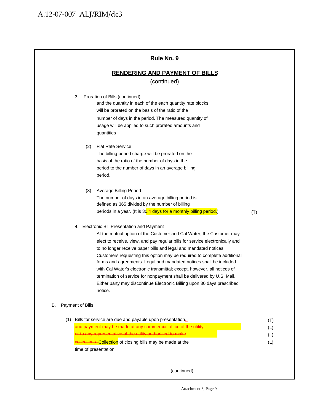|     | Rule No. 9                                                                                                                                                                                                                                                                                                                                                                                                                                                                                                                                                                                                                                                           |                          |
|-----|----------------------------------------------------------------------------------------------------------------------------------------------------------------------------------------------------------------------------------------------------------------------------------------------------------------------------------------------------------------------------------------------------------------------------------------------------------------------------------------------------------------------------------------------------------------------------------------------------------------------------------------------------------------------|--------------------------|
|     | <b>RENDERING AND PAYMENT OF BILLS</b>                                                                                                                                                                                                                                                                                                                                                                                                                                                                                                                                                                                                                                |                          |
|     | (continued)                                                                                                                                                                                                                                                                                                                                                                                                                                                                                                                                                                                                                                                          |                          |
|     | Proration of Bills (continued)<br>3.<br>and the quantity in each of the each quantity rate blocks<br>will be prorated on the basis of the ratio of the<br>number of days in the period. The measured quantity of<br>usage will be applied to such prorated amounts and<br>quantities                                                                                                                                                                                                                                                                                                                                                                                 |                          |
|     | <b>Flat Rate Service</b><br>(2)<br>The billing period charge will be prorated on the<br>basis of the ratio of the number of days in the<br>period to the number of days in an average billing<br>period.                                                                                                                                                                                                                                                                                                                                                                                                                                                             |                          |
|     | (3)<br><b>Average Billing Period</b><br>The number of days in an average billing period is<br>defined as 365 divided by the number of billing<br>periods in a year. (It is 30-4 days for a monthly billing period.)<br>(T)                                                                                                                                                                                                                                                                                                                                                                                                                                           |                          |
|     | 4. Electronic Bill Presentation and Payment<br>At the mutual option of the Customer and Cal Water, the Customer may<br>elect to receive, view, and pay regular bills for service electronically and<br>to no longer receive paper bills and legal and mandated notices.<br>Customers requesting this option may be required to complete additional<br>forms and agreements. Legal and mandated notices shall be included<br>with Cal Water's electronic transmittal; except, however, all notices of<br>termination of service for nonpayment shall be delivered by U.S. Mail.<br>Either party may discontinue Electronic Billing upon 30 days prescribed<br>notice. |                          |
| В.  | Payment of Bills                                                                                                                                                                                                                                                                                                                                                                                                                                                                                                                                                                                                                                                     |                          |
| (1) | Bills for service are due and payable upon presentation.<br>and payment may be made at any commercial office of the utility<br>or to any representative of the utility authorized to make<br>collections. Collection of closing bills may be made at the                                                                                                                                                                                                                                                                                                                                                                                                             | (T)<br>(L)<br>(L)<br>(L) |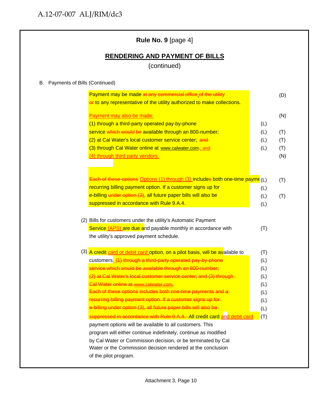### **Rule No. 9** [page 4]

### **RENDERING AND PAYMENT OF BILLS**

(continued)

### B. Payments of Bills (Continued)

| Payment may also be made:                                                                                                                            |     |
|------------------------------------------------------------------------------------------------------------------------------------------------------|-----|
| (1) through a third-party operated pay-by-phone                                                                                                      | (L) |
| service which would be available through an 800-number;                                                                                              | (L) |
| (2) at Cal Water's local customer service center; and-                                                                                               | (L) |
| (3) through Cal Water online at www.calwater.com-; and                                                                                               | (L) |
| (4) through third party vendors.                                                                                                                     |     |
|                                                                                                                                                      |     |
| Each of these options Options (1) through (3) includes both one-time payme (L)                                                                       |     |
| recurring billing payment option. If a customer signs up for                                                                                         | (L) |
| e-billing under option (3), all future paper bills will also be                                                                                      | (L) |
| suppressed in accordance with Rule 9.A.4.                                                                                                            | (L) |
| the utility's approved payment schedule.                                                                                                             |     |
|                                                                                                                                                      |     |
|                                                                                                                                                      | (T) |
| customers. (1) through a third-party operated pay-by-phone                                                                                           | (L) |
| service which would be available through an 800-number;                                                                                              | (L) |
| (3) A credit card or debit card option, on a pilot basis, will be available to<br>(2) at Cal Water's local customer service center; and (3) through- | (L) |
| Cal Water online at www.calwater.com.                                                                                                                | (L) |
| Each of these options includes both one-time payments and a-                                                                                         | (L) |
| recurring billing payment option. If a customer signs up for-                                                                                        | (L) |
| e-billing under option (3), all future paper bills will also be-                                                                                     | (L) |
| suppressed in accordance with Rule 9.A.4. All credit card and debit card                                                                             | (T) |
| payment options will be available to all customers. This                                                                                             |     |
| program will either continue indefinitely, continue as modified                                                                                      |     |
| by Cal Water or Commission decision, or be terminated by Cal                                                                                         |     |
| Water or the Commission decision rendered at the conclusion                                                                                          |     |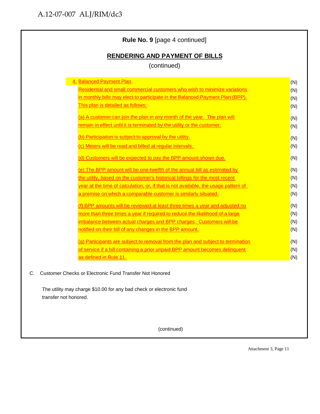| (continued)                                                                         |     |
|-------------------------------------------------------------------------------------|-----|
| <b>Balanced Payment Plan</b>                                                        | (N) |
| Residential and small commercial customers who wish to minimize variations          | (N) |
| in monthly bills may elect to participate in the Balanced Payment Plan (BPP).       | (N) |
| This plan is detailed as follows:                                                   | (N) |
| (a) A customer can join the plan in any month of the year. The plan will            | (N) |
| remain in effect until it is terminated by the utility or the customer.             | (N) |
| (b) Participation is subject to approval by the utility.                            | (N) |
| (c) Meters will be read and billed at regular intervals.                            | (N) |
| (d) Customers will be expected to pay the BPP amount shown due.                     | (N) |
| (e) The BPP amount will be one-twelfth of the annual bill as estimated by           | (N) |
| the utility, based on the customer's historical billings for the most recent        | (N) |
| year at the time of calculation, or, if that is not available, the usage pattern of | (N) |
| a premise on which a comparable customer is similarly situated.                     | (N) |
| (f) BPP amounts will be reviewed at least three times a year and adjusted no        | (N) |
| more than three times a year if required to reduce the likelihood of a large        | (N) |
| imbalance between actual charges and BPP charges. Customers will be                 | (N) |
| notified on their bill of any changes in the BPP amount.                            | (N) |
| (g) Participants are subject to removal from the plan and subject to termination    | (N) |
| of service if a bill containing a prior unpaid BPP amount becomes delinquent        | (N) |
| as defined in Rule 11.                                                              | (N) |

(continued)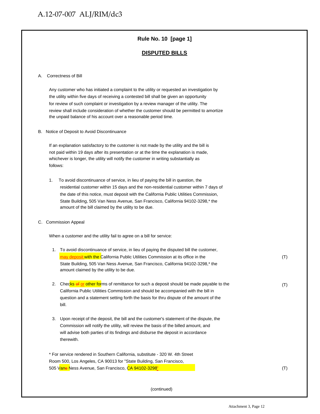### **Rule No. 10 [page 1]**

#### **DISPUTED BILLS**

#### A. Correctness of Bill

Any customer who has initiated a complaint to the utility or requested an investigation by the utility within five days of receiving a contested bill shall be given an opportunity for review of such complaint or investigation by a review manager of the utility. The review shall include consideration of whether the customer should be permitted to amortize the unpaid balance of his account over a reasonable period time.

B. Notice of Deposit to Avoid Discontinuance

 If an explanation satisfactory to the customer is not made by the utility and the bill is not paid within 19 days after its presentation or at the time the explanation is made, whichever is longer, the utility will notify the customer in writing substantially as follows:

1. To avoid discontinuance of service, in lieu of paying the bill in question, the residential customer within 15 days and the non-residential customer within 7 days of the date of this notice, must deposit with the California Public Utilities Commission, State Building, 505 Van Ness Avenue, San Francisco, California 94102-3298,\* the amount of the bill claimed by the utility to be due.

C. Commission Appeal

When a customer and the utility fail to agree on a bill for service:

| 1. | To avoid discontinuance of service, in lieu of paying the disputed bill the customer,<br>may deposit with the California Public Utilities Commission at its office in the | (T) |
|----|---------------------------------------------------------------------------------------------------------------------------------------------------------------------------|-----|
|    | State Building, 505 Van Ness Avenue, San Francisco, California 94102-3298,* the<br>amount claimed by the utility to be due.                                               |     |
| 2. | Checks of or other forms of remittance for such a deposit should be made payable to the                                                                                   | (T) |
|    | California Public Utilities Commission and should be accompanied with the bill in                                                                                         |     |
|    | question and a statement setting forth the basis for thru dispute of the amount of the                                                                                    |     |
|    | bill.                                                                                                                                                                     |     |
| 3. | Upon receipt of the deposit, the bill and the customer's statement of the dispute, the                                                                                    |     |
|    | Commission will notify the utility, will review the basis of the billed amount, and                                                                                       |     |
|    | will advise both parties of its findings and disburse the deposit in accordance                                                                                           |     |
|    | therewith.                                                                                                                                                                |     |
|    | * For service rendered in Southern California, substitute - 320 W. 4th Street                                                                                             |     |
|    | Room 500, Los Angeles, CA 90013 for "State Building, San Francisco,                                                                                                       |     |
|    | 505 Vane Ness Avenue, San Francisco, CA 94102-3298"                                                                                                                       | (T) |
|    |                                                                                                                                                                           |     |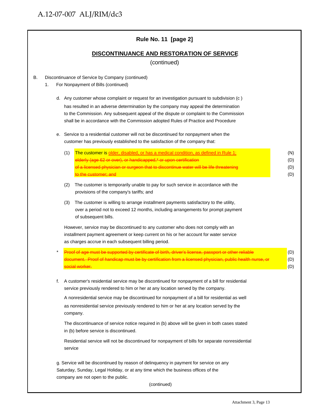|    |    |         | Rule No. 11 [page 2]                                                                                                                                                                                                                                                                                                                                                |                          |
|----|----|---------|---------------------------------------------------------------------------------------------------------------------------------------------------------------------------------------------------------------------------------------------------------------------------------------------------------------------------------------------------------------------|--------------------------|
|    |    |         | <b>DISCONTINUANCE AND RESTORATION OF SERVICE</b><br>(continued)                                                                                                                                                                                                                                                                                                     |                          |
| В. | 1. |         | Discontinuance of Service by Company (continued)<br>For Nonpayment of Bills (continued)                                                                                                                                                                                                                                                                             |                          |
|    |    |         | d. Any customer whose complaint or request for an investigation pursuant to subdivision (c)<br>has resulted in an adverse determination by the company may appeal the determination<br>to the Commission. Any subsequent appeal of the dispute or complaint to the Commission<br>shall be in accordance with the Commission adopted Rules of Practice and Procedure |                          |
|    | е. |         | Service to a residential customer will not be discontinued for nonpayment when the<br>customer has previously established to the satisfaction of the company that:                                                                                                                                                                                                  |                          |
|    |    | (1)     | The customer is older, disabled, or has a medical condition, as defined in Rule 1;<br>elderly (age 62 or over), or handicapped,* or upon certification<br>of a licensed physician or surgeon that to discontinue water will be life threatening<br>to the customer; and                                                                                             | (N)<br>(D)<br>(D)<br>(D) |
|    |    | (2)     | The customer is temporarily unable to pay for such service in accordance with the<br>provisions of the company's tariffs; and                                                                                                                                                                                                                                       |                          |
|    |    | (3)     | The customer is willing to arrange installment payments satisfactory to the utility,<br>over a period not to exceed 12 months, including arrangements for prompt payment<br>of subsequent bills.                                                                                                                                                                    |                          |
|    |    |         | However, service may be discontinued to any customer who does not comply with an<br>installment payment agreement or keep current on his or her account for water service<br>as charges accrue in each subsequent billing period.                                                                                                                                   |                          |
|    |    |         | sument. Proof of handicap must be by certification from a lic<br>social worker.                                                                                                                                                                                                                                                                                     | (D)<br>(D)<br>(D)        |
|    | f. |         | A customer's residential service may be discontinued for nonpayment of a bill for residential<br>service previously rendered to him or her at any location served by the company.                                                                                                                                                                                   |                          |
|    |    |         | A nonresidential service may be discontinued for nonpayment of a bill for residential as well<br>as nonresidential service previously rendered to him or her at any location served by the<br>company.                                                                                                                                                              |                          |
|    |    |         | The discontinuance of service notice required in (b) above will be given in both cases stated<br>in (b) before service is discontinued.                                                                                                                                                                                                                             |                          |
|    |    | service | Residential service will not be discontinued for nonpayment of bills for separate nonresidential                                                                                                                                                                                                                                                                    |                          |
|    |    |         | g. Service will be discontinued by reason of delinquency in payment for service on any<br>Saturday, Sunday, Legal Holiday, or at any time which the business offices of the<br>company are not open to the public.<br>(continued)                                                                                                                                   |                          |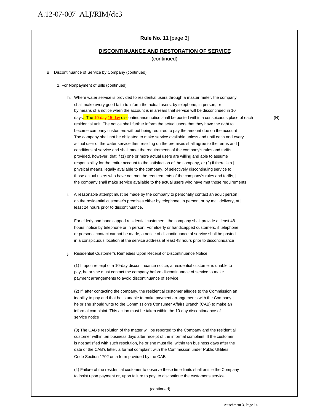#### **Rule No. 11** [page 3]

#### **DISCONTINUANCE AND RESTORATION OF SERVICE**

(continued)

- B. Discontinuance of Service by Company (continued)
	- 1. For Nonpayment of Bills (continued)
		- h. Where water service is provided to residential users through a master meter, the company shall make every good faith to inform the actual users, by telephone, in person, or by means of a notice when the account is in arrears that service will be discontinued in 10 days. The 10-day 15-day discontinuance notice shall be posted within a conspicuous place of each (N) residential unit. The notice shall further inform the actual users that they have the right to become company customers without being required to pay the amount due on the account The company shall not be obligated to make service available unless and until each and every actual user of the water service then residing on the premises shall agree to the terms and | conditions of service and shall meet the requirements of the company's rules and tariffs provided, however, that if (1) one or more actual users are willing and able to assume responsibility for the entire account to the satisfaction of the company, or  $(2)$  if there is a  $|$ physical means, legally available to the company, of selectively discontinuing service to | those actual users who have not met the requirements of the company's rules and tariffs, | the company shall make service available to the actual users who have met those requirements
		- i. A reasonable attempt must be made by the company to personally contact an adult person | on the residential customer's premises either by telephone, in person, or by mail delivery, at | least 24 hours prior to discontinuance.

For elderly and handicapped residential customers, the company shall provide at least 48 hours' notice by telephone or in person. For elderly or handicapped customers, if telephone or personal contact cannot be made, a notice of discontinuance of service shall be posted in a conspicuous location at the service address at least 48 hours prior to discontinuance

Residential Customer's Remedies Upon Receipt of Discontinuance Notice

(1) If upon receipt of a 10-day discontinuance notice, a residential customer is unable to pay, he or she must contact the company before discontinuance of service to make payment arrangements to avoid discontinuance of service.

(2) If, after contacting the company, the residential customer alleges to the Commission an inability to pay and that he is unable to make payment arrangements with the Company | he or she should write to the Commission's Consumer Affairs Branch (CAB) to make an informal complaint. This action must be taken within the 10-day discontinuance of service notice

(3) The CAB's resolution of the matter will be reported to the Company and the residential customer within ten business days after receipt of the informal complaint. If the customer is not satisfied with such resolution, he or she must file, within ten business days after the date of the CAB's letter, a formal complaint with the Commission under Public Utilities Code Section 1702 on a form provided by the CAB

(4) Failure of the residential customer to observe these time limits shall entitle the Company to insist upon payment or, upon failure to pay, to discontinue the customer's service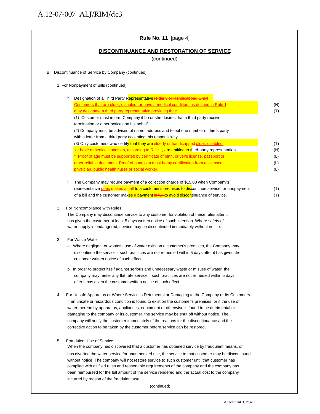|    | Rule No. 11 [page 4]                                                                                                                                                            |            |
|----|---------------------------------------------------------------------------------------------------------------------------------------------------------------------------------|------------|
|    | <b>DISCONTINUANCE AND RESTORATION OF SERVICE</b><br>(continued)                                                                                                                 |            |
|    | B. Discontinuance of Service by Company (continued)                                                                                                                             |            |
|    | 1. For Nonpayment of Bills (continued)                                                                                                                                          |            |
|    | k. Designation of a Third Party Representative (elderly or Handicapped Only)                                                                                                    |            |
|    | Customers that are older, disabled, or have a medical condition, as defined in Rule 1                                                                                           | (N)        |
|    | may designate a third party representative providing that:                                                                                                                      | (T)        |
|    | (1) Customer must inform Company if he or she desires that a third party receive                                                                                                |            |
|    | termination or other notices on his behalf.                                                                                                                                     |            |
|    | (2) Company must be advised of name, address and telephone number of thirds party                                                                                               |            |
|    | with a letter from a third party accepting this responsibility.                                                                                                                 |            |
|    | (3) Only customers who certify that they are elderly or handicapped older, disabled,                                                                                            | (T)        |
|    | or have a medical condition, according to Rule 1, are entitled to third-party representation.                                                                                   | (N)        |
|    | * Proof of age must be supported by certificate of birth, driver's license, passport or<br>other reliable document. Proof of handicap must be by certification from a licensed  | (L)<br>(L) |
|    | physician, public health nurse or social worker.                                                                                                                                | (L)        |
|    |                                                                                                                                                                                 |            |
|    | I.<br>The Company may require payment of a collection charge of \$15.00 when Company's                                                                                          |            |
|    | representative goes makes a call to a customer's premises to discontinue service for nonpayment                                                                                 | (T)        |
|    | of a bill and the customer makes a payment in full to avoid discontinuance of service.                                                                                          | (T)        |
| 2. | For Noncompliance with Rules                                                                                                                                                    |            |
|    | The Company may discontinue service to any customer for violation of these rules after it                                                                                       |            |
|    | has given the customer at least 5 days written notice of such intention. Where safety of<br>water supply is endangered; service may be discontinued immediately without notice. |            |
| 3. | For Waste Water                                                                                                                                                                 |            |
|    | a. Where negligent or wasteful use of water exits on a customer's premises, the Company may                                                                                     |            |
|    | discontinue the service if such practices are not remedied within 5 days after it has given the                                                                                 |            |
|    | customer written notice of such effect.                                                                                                                                         |            |
|    | b. In order to protect itself against serious and unnecessary waste or misuse of water, the                                                                                     |            |
|    | company may meter any flat rate service if such practices are not remedied within 5 days                                                                                        |            |
|    | after it has given the customer written notice of such effect.                                                                                                                  |            |
| 4. | For Unsafe Apparatus or Where Service is Detrimental or Damaging to the Company or Its Customers                                                                                |            |
|    | If an unsafe or hazardous condition is found to exist on the customer's premises, or if the use of                                                                              |            |
|    | water thereon by apparatus, appliances, equipment or otherwise is found to be detrimental or                                                                                    |            |
|    | damaging to the company or its customer, the service may be shut off without notice. The                                                                                        |            |
|    | company will notify the customer immediately of the reasons for the discontinuance and the                                                                                      |            |
|    | corrective action to be taken by the customer before service can be restored.                                                                                                   |            |
| 5. | <b>Fraudulent Use of Service</b>                                                                                                                                                |            |
|    | When the company has discovered that a customer has obtained service by fraudulent means, or                                                                                    |            |
|    | has diverted the water service for unauthorized use, the service to that customer may be discontinued                                                                           |            |
|    | without notice. The company will not restore service to such customer until that customer has                                                                                   |            |
|    | complied with all filed rules and reasonable requirements of the company and the company has                                                                                    |            |
|    | been reimbursed for the full amount of the service rendered and the actual cost to the company<br>incurred by reason of the fraudulent use.                                     |            |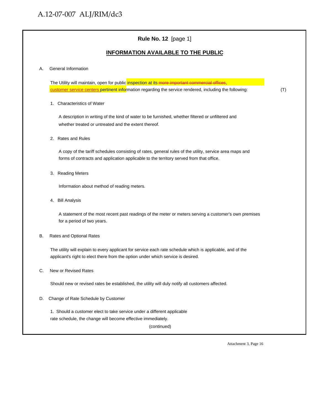### **Rule No. 12** [page 1]

#### **INFORMATION AVAILABLE TO THE PUBLIC**

#### A. General Information

The Utility will maintain, open for public inspection at its more important commercial offices, customer service centers pertinent information regarding the service rendered, including the following: (T)

1. Characteristics of Water

A description in writing of the kind of water to be furnished, whether filtered or unfiltered and whether treated or untreated and the extent thereof.

2. Rates and Rules

A copy of the tariff schedules consisting of rates, general rules of the utility, service area maps and forms of contracts and application applicable to the territory served from that office.

3. Reading Meters

Information about method of reading meters.

4. Bill Analysis

A statement of the most recent past readings of the meter or meters serving a customer's own premises for a period of two years.

#### B. Rates and Optional Rates

The utility will explain to every applicant for service each rate schedule which is applicable, and of the applicant's right to elect there from the option under which service is desired.

C. New or Revised Rates

Should new or revised rates be established, the utility will duly notify all customers affected.

D. Change of Rate Schedule by Customer

1. Should a customer elect to take service under a different applicable rate schedule, the change will become effective immediately.

(continued)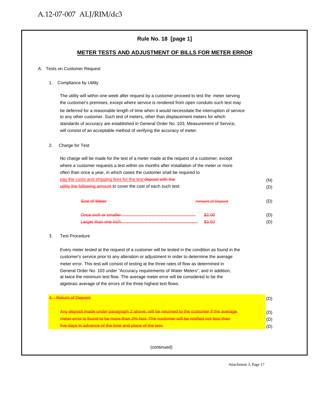### **Rule No. 18 [page 1]**

#### **METER TESTS AND ADJUSTMENT OF BILLS FOR METER ERROR**

#### A. Tests on Customer Request

#### 1. Compliance by Utility

The utility will within one week after request by a customer proceed to test the meter serving the customer's premises, except where service is rendered from open conduits such test may be deferred for a reasonable length of time when it would necessitate the interruption of service to any other customer. Such test of meters, other than displacement meters for which standards of accuracy are established in General Order No. 103, Measurement of Service, will consist of an acceptable method of verifying the accuracy of meter.

#### 2. Charge for Test

| No charge will be made for the test of a meter made at the request of a customer, except   |     |
|--------------------------------------------------------------------------------------------|-----|
| where a customer requests a test within six months after installation of the meter or more |     |
| often than once a year, in which cases the customer shall be required to                   |     |
| pay the costs and shipping fees for the test deposit with the                              | (N) |
| utility the following amount to cover the cost of each such test:                          | (D) |
|                                                                                            |     |

| Size of Meter        | <b>Amount of Deposit</b> |  |
|----------------------|--------------------------|--|
| Once inch or emailer | \$2.00                   |  |
|                      | \$3.50                   |  |

#### 3. Test Procedure

Every meter tested at the request of a customer will be tested in the condition as found in the customer's service prior to any alteration or adjustment in order to determine the average meter error. This test will consist of testing at the three rates of flow as determined in General Order No. 103 under "Accuracy requirements of Water Meters", and in addition, at twice the minimum test flow. The average meter error will be considered to be the algebraic average of the errors of the three highest test flows.

| <del>4. Return of Deposit-</del>                                                                                                                                                       |  |
|----------------------------------------------------------------------------------------------------------------------------------------------------------------------------------------|--|
| Any deposit made under paragraph 2 above, will be returned to the customer if the average<br>meter error is found to be more than 2% fast. The customer will be notified not less than |  |
| five days in advance of the time and place of the test.                                                                                                                                |  |

(continued)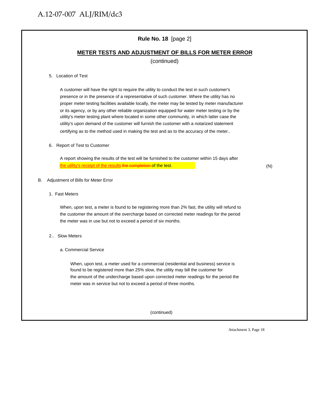### **Rule No. 18** [page 2]

#### **METER TESTS AND ADJUSTMENT OF BILLS FOR METER ERROR**

(continued)

#### 5. Location of Test

A customer will have the right to require the utility to conduct the test in such customer's presence or in the presence of a representative of such customer. Where the utility has no proper meter testing facilities available locally, the meter may be tested by meter manufacturer or its agency, or by any other reliable organization equipped for water meter testing or by the utility's meter testing plant where located in some other community, in which latter case the utility's upon demand of the customer will furnish the customer with a notarized statement certifying as to the method used in making the test and as to the accuracy of the meter..

#### 6. Report of Test to Customer

A report showing the results of the test will be furnished to the customer within 15 days after the utility's receipt of the results the completion of the test. The utility's receipt of the results (N)

#### B. Adjustment of Bills for Meter Error

1. Fast Meters

When, upon test, a meter is found to be registering more than 2% fast, the utility will refund to the customer the amount of the overcharge based on corrected meter readings for the period the meter was in use but not to exceed a period of six months.

- 2.. Slow Meters
	- a. Commercial Service

When, upon test, a meter used for a commercial (residential and business) service is found to be registered more than 25% slow, the utility may bill the customer for the amount of the undercharge based upon corrected meter readings for the period the meter was in service but not to exceed a period of three months.

(continued)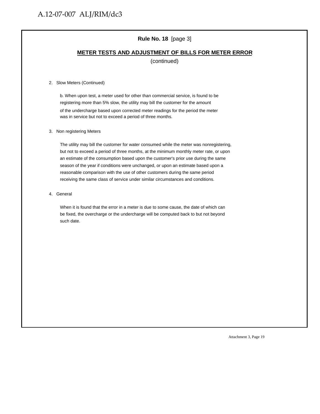### **Rule No. 18** [page 3]

#### **METER TESTS AND ADJUSTMENT OF BILLS FOR METER ERROR** .

(continued)

#### 2. Slow Meters (Continued)

b. When upon test, a meter used for other than commercial service, is found to be registering more than 5% slow, the utility may bill the customer for the amount of the undercharge based upon corrected meter readings for the period the meter was in service but not to exceed a period of three months.

#### 3. Non registering Meters

The utility may bill the customer for water consumed while the meter was nonregistering, but not to exceed a period of three months, at the minimum monthly meter rate, or upon an estimate of the consumption based upon the customer's prior use during the same season of the year if conditions were unchanged, or upon an estimate based upon a reasonable comparison with the use of other customers during the same period receiving the same class of service under similar circumstances and conditions.

4. General

When it is found that the error in a meter is due to some cause, the date of which can be fixed, the overcharge or the undercharge will be computed back to but not beyond such date.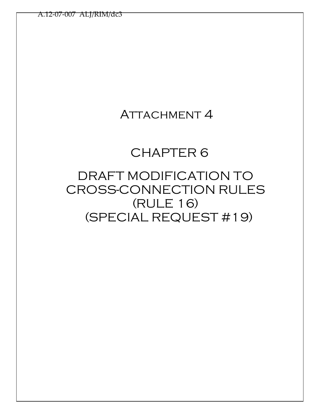## ATTACHMENT 4

## CHAPTER 6

## DRAFT MODIFICATION TO CROSS-CONNECTION RULES (RULE 16) (SPECIAL REQUEST #19)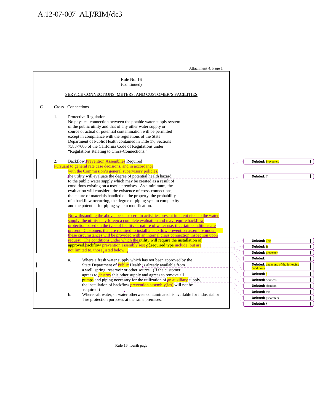|    |    | Attachment 4, Page 1                                                                                                                                                                                                                                                                                                                                                                                                                                      |                                                   |
|----|----|-----------------------------------------------------------------------------------------------------------------------------------------------------------------------------------------------------------------------------------------------------------------------------------------------------------------------------------------------------------------------------------------------------------------------------------------------------------|---------------------------------------------------|
|    |    | Rule No. 16<br>(Continued)<br>SERVICE CONNECTIONS, METERS, AND CUSTOMER'S FACILITIES                                                                                                                                                                                                                                                                                                                                                                      |                                                   |
| C. |    | Cross - Connections                                                                                                                                                                                                                                                                                                                                                                                                                                       |                                                   |
|    | 1. | Protective Regulation<br>No physical connection between the potable water supply system<br>of the public utility and that of any other water supply or<br>source of actual or potential contamination will be permitted<br>except in compliance with the regulations of the State<br>Department of Public Health contained in Title 17, Sections<br>7583-7605 of the California Code of Regulations under<br>"Regulations Relating to Cross-Connections." |                                                   |
|    | 2. | <b>Backflow Prevention Assemblies Required</b><br>Pursuant to general rate case decisions, and in accordance<br>with the Commission's general supervisory policies,                                                                                                                                                                                                                                                                                       | $\blacksquare$<br>Deleted: Preventers             |
|    |    | the utility will evaluate the degree of potential health hazard<br>to the public water supply which may be created as a result of                                                                                                                                                                                                                                                                                                                         | П<br>Deleted: T                                   |
|    |    | conditions existing on a user's premises. As a minimum, the                                                                                                                                                                                                                                                                                                                                                                                               |                                                   |
|    |    | evaluation will consider: the existence of cross-connections,<br>the nature of materials handled on the property, the probability                                                                                                                                                                                                                                                                                                                         |                                                   |
|    |    | of a backflow occurring, the degree of piping system complexity<br>and the potential for piping system modification.                                                                                                                                                                                                                                                                                                                                      |                                                   |
|    |    | Notwithstanding the above, because certain activities present inherent risks to the water                                                                                                                                                                                                                                                                                                                                                                 |                                                   |
|    |    | supply, the utility may forego a complete evaluation and may require backflow<br>protection based on the type of facility or nature of water use, if certain conditions are                                                                                                                                                                                                                                                                               |                                                   |
|    |    | present. Customers that are required to install a backflow prevention assembly under                                                                                                                                                                                                                                                                                                                                                                      |                                                   |
|    |    | these circumstances will be provided with an internal cross connection inspection upon<br>request. The conditions under which the utility will require the installation of                                                                                                                                                                                                                                                                                | Deleted: The<br>$\mathbf{I}$                      |
|    |    | approved backflow prevention assembly(ies) of required type include, but are                                                                                                                                                                                                                                                                                                                                                                              | $\mathbf{I}$<br>Deleted: B                        |
|    |    | not limited to, those listed below.                                                                                                                                                                                                                                                                                                                                                                                                                       | L<br>Deleted: preventer                           |
|    |    | Where a fresh water supply which has not been approved by the<br>a.                                                                                                                                                                                                                                                                                                                                                                                       | Deleted:<br>П                                     |
|    |    | State Department of <b>Public</b> Health is already available from<br>a well, spring, reservoir or other source. (If the customer                                                                                                                                                                                                                                                                                                                         | Deleted: under any of the following<br>conditions |
|    |    | agrees to <b>destroy</b> this other supply and agrees to remove all                                                                                                                                                                                                                                                                                                                                                                                       | L<br>Deleted: :                                   |
|    |    | <b>pumps</b> and piping necessary for the utilization of an auxiliary supply,                                                                                                                                                                                                                                                                                                                                                                             | Г<br><b>Deleted: Services</b>                     |
|    |    | the installation of backflow <b>prevention</b> assembly(ies) will not be<br>required.)                                                                                                                                                                                                                                                                                                                                                                    | $\Gamma$<br>Deleted: abandon                      |
|    |    | Where salt water, or water otherwise contaminated, is available for industrial or<br>b.                                                                                                                                                                                                                                                                                                                                                                   | $\mathbf{I}$<br>Deleted: this                     |
|    |    | fire protection purposes at the same premises.                                                                                                                                                                                                                                                                                                                                                                                                            | $\mathbf{I}$<br><b>Deleted:</b> preventers        |
|    |    |                                                                                                                                                                                                                                                                                                                                                                                                                                                           | Deleted: ¶                                        |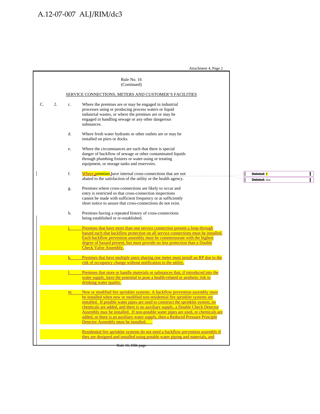Attachment 4, Page 2 Rule No. 16 (Continued) SERVICE CONNECTIONS, METERS AND CUSTOMER'S FACILITIES C. 2. c. Where the premises are or may be engaged in industrial processes using or producing process waters or liquid industrial wastes, or where the premises are or may be engaged in handling sewage or any other dangerous substances. d. Where fresh water hydrants or other outlets are or may be installed on piers or docks. e. Where the circumstances are such that there is special danger of backflow of sewage or other contaminated liquids through plumbing fixtures or water-using or treating equipment, or storage tanks and reservoirs. f. Where premises have internal cross-connections that are not **Deleted:** P  $\mathbf{I}$  abated to the satisfaction of the utility or the health agency. **Deleted:** that Г g. Premises where cross-connections are likely to occur and entry is restricted so that cross-connection inspections cannot be made with sufficient frequency or at sufficiently short notice to assure that cross-connections do not exist. h. Premises having a repeated history of cross-connections being established or re-established. Premises that have more than one service connection present a loop-through hazard such that backflow protection on all service connections must be installed. Each backflow prevention assembly must be commensurate with the highest degree of hazard present, but must provide no less protection than a Double Check Valve Assembly. Premises that have multiple users sharing one meter must install an RP due to the risk of occupancy change without notification to the utility. Premises that store or handle materials or substances that, if introduced into the water supply, have the potential to pose a health-related or aesthetic risk to drinking water quality. m. New or modified fire sprinkler systems: A backflow prevention assembly must be installed when new or modified non-residential fire sprinkler systems are installed. If potable water pipes are used to construct the sprinkler system, no chemicals are added, and there is no auxiliary supply, a Double Check Detector Assembly may be installed. If non-potable water pipes are used, or chemicals are added, or there is an auxiliary water supply, then a Reduced Pressure Principle Detector Assembly must be installed. Residential fire sprinkler systems do not need a backflow prevention assembly if they are designed and installed using potable water piping and materials, and Rule 16, fifth page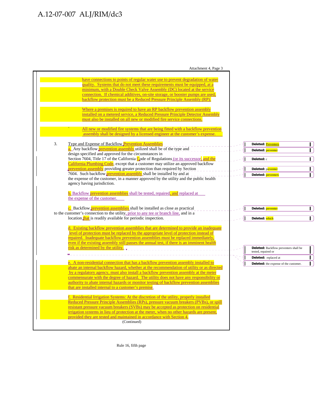| Attachment 4, Page 3                                                                                                                                                                                                                                                                                                                                                                                                                                                                                                       |                                                              |              |
|----------------------------------------------------------------------------------------------------------------------------------------------------------------------------------------------------------------------------------------------------------------------------------------------------------------------------------------------------------------------------------------------------------------------------------------------------------------------------------------------------------------------------|--------------------------------------------------------------|--------------|
| have connections to points of regular water use to prevent degradation of water<br>quality. Systems that do not meet these requirements must be equipped, at a<br>minimum, with a Double Check Valve Assembly (DC) located at the service<br>connection. If chemical additives, on-site storage, or booster pumps are used,<br>backflow protection must be a Reduced Pressure Principle Assembly (RP).                                                                                                                     |                                                              |              |
| Where a premises is required to have an RP backflow prevention assembly<br>installed on a metered service, a Reduced Pressure Principle Detector Assembly<br>must also be installed on all new or modified fire service connections.                                                                                                                                                                                                                                                                                       |                                                              |              |
| All new or modified fire systems that are being fitted with a backflow prevention<br>assembly shall be designed by a licensed engineer at the customer's expense.                                                                                                                                                                                                                                                                                                                                                          |                                                              |              |
| 3.<br>Type and Expense of Backflow Prevention Assemblies<br>a. Any backflow <b>prevention assembly</b> utilized shall be of the type and<br>design specified and approved for the circumstances in                                                                                                                                                                                                                                                                                                                         | Deleted: Preventers<br>Deleted: preventer                    |              |
| Section 7604, Title 17 of the California $C_0$ ode of Regulations (or its successor, and the<br>California Plumbing Code, except that a customer may utilize an approved backflow                                                                                                                                                                                                                                                                                                                                          | Deleted: c                                                   | $\mathbf{I}$ |
| prevention assembly providing greater protection than required by Section<br>7604. Such backflow prevention assembly shall be installed by and at<br>the expense of the customer, in a manner approved by the utility and the public health<br>agency having jurisdiction.                                                                                                                                                                                                                                                 | Deleted: preventer<br>Deleted: preventers                    | L            |
| <b>b.</b> Backflow <b>prevention assemblies</b> shall be tested, repaired, and replaced at<br>the expense of the customer.                                                                                                                                                                                                                                                                                                                                                                                                 |                                                              |              |
| c. Backflow prevention assemblies shall be installed as close as practical<br>to the customer's connection to the utility, prior to any tee or branch line, and in a<br>location that is readily available for periodic inspection.                                                                                                                                                                                                                                                                                        | Deleted: preventer<br>Deleted: which                         |              |
| d. Existing backflow prevention assemblies that are determined to provide an inadequate<br>level of protection must be replaced by the appropriate level of protection instead of<br>repaired. Inadequate backflow prevention assemblies must be replaced immediately,<br>even if the existing assembly still passes the annual test, if there is an imminent health                                                                                                                                                       |                                                              |              |
| risk as determined by the utility.                                                                                                                                                                                                                                                                                                                                                                                                                                                                                         | Deleted: Backflow preventers shall be<br>tested, repaired or |              |
|                                                                                                                                                                                                                                                                                                                                                                                                                                                                                                                            | Deleted: replaced at                                         |              |
| e. A non-residential connection that has a backflow prevention assembly installed to<br>abate an internal backflow hazard, whether at the recommendation of utility or as directed<br>by a regulatory agency, must also install a backflow prevention assembly at the meter<br>commensurate with the degree of hazard. The utility does not have any responsibility or<br>authority to abate internal hazards or monitor testing of backflow prevention assemblies<br>that are installed internal to a customer's premise. | Deleted: the expense of the customer.                        |              |
| f. Residential Irrigation Systems: At the discretion of the utility, properly installed<br>Reduced Pressure Principle Assemblies (RPs), pressure vacuum breakers (PVBs), or spill<br>resistant pressure vacuum breakers (SVBs) may be accepted as protection on residential<br>irrigation systems in lieu of protection at the meter, when no other hazards are present,<br>provided they are tested and maintained in accordance with Section 4.<br>(Continued)                                                           |                                                              |              |
|                                                                                                                                                                                                                                                                                                                                                                                                                                                                                                                            |                                                              |              |

Rule 16, fifth page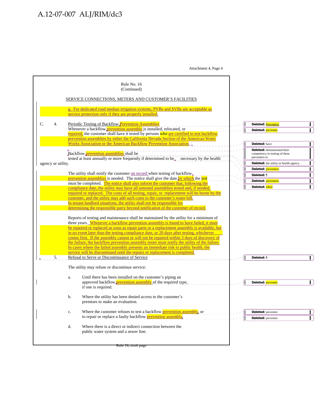|                    | Rule No. 16<br>(Continued)                                                                                                                                                                                                                                                                                                                                                                                                                                                                                                                                                                                                                                                                                                                                                                                    |                                                                                                                          |                              |
|--------------------|---------------------------------------------------------------------------------------------------------------------------------------------------------------------------------------------------------------------------------------------------------------------------------------------------------------------------------------------------------------------------------------------------------------------------------------------------------------------------------------------------------------------------------------------------------------------------------------------------------------------------------------------------------------------------------------------------------------------------------------------------------------------------------------------------------------|--------------------------------------------------------------------------------------------------------------------------|------------------------------|
|                    | SERVICE CONNECTIONS, METERS AND CUSTOMER'S FACILITIES                                                                                                                                                                                                                                                                                                                                                                                                                                                                                                                                                                                                                                                                                                                                                         |                                                                                                                          |                              |
|                    | g. For dedicated road median irrigation systems, PVBs and SVBs are acceptable as<br>service protection only if they are properly installed.                                                                                                                                                                                                                                                                                                                                                                                                                                                                                                                                                                                                                                                                   |                                                                                                                          |                              |
| C.<br>4.           | Periodic Testing of Backflow Prevention Assemblies<br>Whenever a backflow <b>prevention</b> assembly is installed, relocated, or<br>repaired, the customer shall have it tested by persons who are certified to test backflow<br>prevention assemblies by either the California Nevada Section of the American Water<br>Works Association or the American Backflow Prevention Association.                                                                                                                                                                                                                                                                                                                                                                                                                    | Deleted: Preventers<br>Deleted: preventer<br>Deleted: have                                                               | L                            |
| agency or utility. | Backflow prevention assemblies shall be<br>tested at least annually or more frequently if determined to be <sub>x</sub> necessary by the health                                                                                                                                                                                                                                                                                                                                                                                                                                                                                                                                                                                                                                                               | Deleted: demonstrated their<br>competency in testing of these<br>preventers to<br>Deleted: the utility or health agency. | $\mathbf{I}$                 |
|                    | The utility shall notify the customer on record when testing of backflow.                                                                                                                                                                                                                                                                                                                                                                                                                                                                                                                                                                                                                                                                                                                                     | Deleted: preventers<br>Deleted: ¶                                                                                        | $\mathbf{I}$<br>$\mathbf{I}$ |
|                    | prevention assemblies is needed. The notice shall give the date by which the test<br>must be completed. The notice shall also inform the customer that, following the                                                                                                                                                                                                                                                                                                                                                                                                                                                                                                                                                                                                                                         | Deleted: preventers                                                                                                      | $\mathbf{I}$                 |
|                    | compliance date, the utility may have all untested assemblies tested and, if needed,<br>repaired or replaced. The costs of all testing, repair, or replacement will be borne by the<br>customer, and the utility may add such costs to the customer's water bill.<br>In tenant-landlord situations, the utility shall not be responsible for<br>determining the responsible party beyond notification of the customer of record.<br>Reports of testing and maintenance shall be maintained by the utility for a minimum of<br>three years. Whenever a backflow prevention assembly is found to have failed, it must<br>be repaired or replaced as soon as repair parts or a replacement assembly is available, but<br>in no event later than the testing compliance date, or 20 days after testing, whichever | Deleted: when                                                                                                            |                              |
| 5.                 | comes first. If the assembly cannot or will not be repaired within 3 days of discovery of<br>the failure, the backflow prevention assembly tester must notify the utility of the failure.<br>In cases where the failed assembly presents an immediate risk to public health, the<br>service will be discontinued until the repairs or replacement is completed.<br>Refusal to Serve or Discontinuance of Service                                                                                                                                                                                                                                                                                                                                                                                              | Deleted: ¶                                                                                                               |                              |
|                    | The utility may refuse or discontinue service:                                                                                                                                                                                                                                                                                                                                                                                                                                                                                                                                                                                                                                                                                                                                                                |                                                                                                                          |                              |
|                    | Until there has been installed on the customer's piping an<br>a.<br>approved backflow <b>prevention assembly</b> of the required type,<br>if one is required.                                                                                                                                                                                                                                                                                                                                                                                                                                                                                                                                                                                                                                                 | Deleted: preventer                                                                                                       | L                            |
|                    | b.<br>Where the utility has been denied access to the customer's<br>premises to make an evaluation.                                                                                                                                                                                                                                                                                                                                                                                                                                                                                                                                                                                                                                                                                                           |                                                                                                                          |                              |
|                    | Where the customer refuses to test a backflow prevention assembly, or<br>c.<br>to repair or replace a faulty backflow prevention assembly.                                                                                                                                                                                                                                                                                                                                                                                                                                                                                                                                                                                                                                                                    | Deleted: preventer<br>Deleted: preventer                                                                                 | $\mathbf{I}$                 |
|                    | d.<br>Where there is a direct or indirect connection between the<br>public water system and a sewer line.                                                                                                                                                                                                                                                                                                                                                                                                                                                                                                                                                                                                                                                                                                     |                                                                                                                          |                              |
|                    | <del>Rule 16, sıxtir pag</del>                                                                                                                                                                                                                                                                                                                                                                                                                                                                                                                                                                                                                                                                                                                                                                                |                                                                                                                          |                              |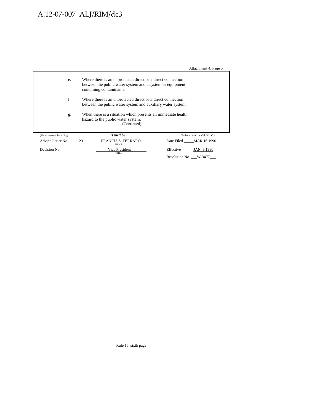Attachment 4, Page 5

|                             |                                                                                                                            |                                                                                                                                                      | $\ldots$                        |  |  |  |
|-----------------------------|----------------------------------------------------------------------------------------------------------------------------|------------------------------------------------------------------------------------------------------------------------------------------------------|---------------------------------|--|--|--|
| e.                          |                                                                                                                            | Where there is an unprotected direct or indirect connection<br>between the public water system and a system or equipment<br>containing contaminants. |                                 |  |  |  |
| f.                          | Where there is an unprotected direct or indirect connection<br>between the public water system and auxiliary water system. |                                                                                                                                                      |                                 |  |  |  |
| g.                          | When there is a situation which presents an immediate health<br>hazard to the public water system.<br>(Continued)          |                                                                                                                                                      |                                 |  |  |  |
| (To be inserted by utility) |                                                                                                                            | <b>Issued by</b>                                                                                                                                     | (To be inserted by Cal. P.U.C.) |  |  |  |
| Advice Letter No. 1129      |                                                                                                                            | FRANCIS S. FERRARO<br><b>NAME</b>                                                                                                                    | Date Filed MAR 16 1990          |  |  |  |
| Decision No.                |                                                                                                                            | Vice President<br>TITLE                                                                                                                              | Effective JAN 9 1990            |  |  |  |
|                             |                                                                                                                            |                                                                                                                                                      | Resolution No. ___W-3477        |  |  |  |

Rule 16, sixth page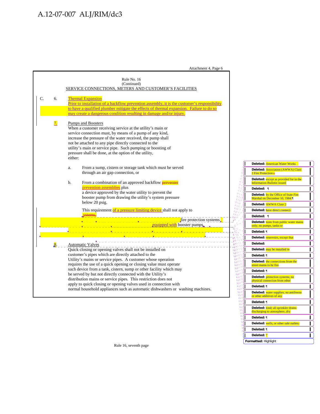Attachment 4, Page 6

**Deleted:** ¶

 $\sum_{mn}$ 

**WU** 

"∭

M.

**Deleted:** ¶ **Deleted:** 7 **Formatted:** Highlight

**Deleted:** wells, or other safe outlets.

 $\bf \overline{D}$ 

 $\Gamma$  $\Gamma$ 

 $\bf{\overline{1}}$ 

| Rule No. 16                                                                                                                                                                                                                                                                                                                                                                                                                 |                                                                                                            |
|-----------------------------------------------------------------------------------------------------------------------------------------------------------------------------------------------------------------------------------------------------------------------------------------------------------------------------------------------------------------------------------------------------------------------------|------------------------------------------------------------------------------------------------------------|
| (Continued)<br>SERVICE CONNECTIONS, METERS AND CUSTOMER'S FACILITIES                                                                                                                                                                                                                                                                                                                                                        |                                                                                                            |
| C.<br>6.<br><b>Thermal Expansion</b><br>Prior to installation of a backflow prevention assembly, it is the customer's responsibility<br>to have a qualified plumber mitigate the effects of thermal expansion. Failure to do so<br>may create a dangerous condition resulting in damage and/or injury.                                                                                                                      |                                                                                                            |
| $\overline{7}$ .<br>Pumps and Boosters<br>When a customer receiving service at the utility's main or<br>service connection must, by means of a pump of any kind,<br>increase the pressure of the water received, the pump shall<br>not be attached to any pipe directly connected to the<br>utility's main or service pipe. Such pumping or boosting of<br>pressure shall be done, at the option of the utility,<br>either: |                                                                                                            |
| From a sump, cistern or storage tank which must be served<br>a.                                                                                                                                                                                                                                                                                                                                                             | Deleted: American Water Works                                                                              |
| through an air gap connection, or                                                                                                                                                                                                                                                                                                                                                                                           | Deleted: Association (AWWA) Class<br>2 Fire Protection s                                                   |
| From a combination of an approved backflow <b>preventer</b><br>b.                                                                                                                                                                                                                                                                                                                                                           | Deleted: except as provided for in the<br><b>Information Bulletin issued</b>                               |
| prevention assemblies plus                                                                                                                                                                                                                                                                                                                                                                                                  | Deleted: ¶                                                                                                 |
| a device approved by the water utility to prevent the<br>booster pump from drawing the utility's system pressure                                                                                                                                                                                                                                                                                                            | Deleted: by the Office of State Fire<br>Marshal on December 10, 1984.                                      |
| below 20 psig.                                                                                                                                                                                                                                                                                                                                                                                                              | $I_{II}$<br>Deleted: AWWA Class 2<br>$I_{III}$                                                             |
| This requirement of a pressure limiting device shall not apply to                                                                                                                                                                                                                                                                                                                                                           | $\iota_H$<br>Deleted: have direct connect-<br>$t_{HI}$                                                     |
|                                                                                                                                                                                                                                                                                                                                                                                                                             | $\eta_{II}$<br>Deleted: ¶<br>י ואי                                                                         |
| fire protection systems.<br><u> 2008 - 2009 - 2009 - 2009 - 2009 - 2009 - 2009 - 2009 - 2009 - 2009 - 2009 - 2009 - 2009 - 2009 - 2009 - 200</u><br>equipped with booster pumps.                                                                                                                                                                                                                                            | Deleted: tions from public water mains<br>only; no pumps, tanks or                                         |
|                                                                                                                                                                                                                                                                                                                                                                                                                             | Deleted: ¶                                                                                                 |
|                                                                                                                                                                                                                                                                                                                                                                                                                             | $\mathbf{V}$<br>Deleted: reservoirs, except that<br>IW D                                                   |
| <b>Automatic Valves</b>                                                                                                                                                                                                                                                                                                                                                                                                     | i M<br>Deleted:<br>in W I                                                                                  |
| Quick closing or opening valves shall not be installed on                                                                                                                                                                                                                                                                                                                                                                   | in in<br>Deleted: may be installed in<br>$100\,M_{\odot}$                                                  |
| customer's pipes which are directly attached to the                                                                                                                                                                                                                                                                                                                                                                         | $\mathbf{u}\mathbf{\hat{y}}(0)$<br>$m^{111/3}$<br>Deleted: ¶                                               |
| Utility's mains or service pipes. A customer whose operation                                                                                                                                                                                                                                                                                                                                                                | $00^{111}$<br>Deleted: the connections from the                                                            |
| requires the use of a quick opening or closing value must operate                                                                                                                                                                                                                                                                                                                                                           | <b>HWIII</b><br><b>HWITTI</b><br>street mains to he fire<br>$m_{HM}$                                       |
| such device from a tank, cistern, sump or other facility which may                                                                                                                                                                                                                                                                                                                                                          | murrill.<br>Deleted: ¶                                                                                     |
| be served by but not directly connected with the Utility's<br>distribution mains or service pipes. This restriction does not                                                                                                                                                                                                                                                                                                | $100^{11}$<br>Deleted: protection systems; no<br>$m_{HI}$<br><b>MAIL</b><br>physical connection from other |
| apply to quick closing or opening valves used in connection with                                                                                                                                                                                                                                                                                                                                                            | <b>MAN</b><br><b>MAIL</b><br>Deleted: ¶                                                                    |
| normal household appliances such as automatic dishwashers or washing machines.                                                                                                                                                                                                                                                                                                                                              | <b>WILD</b><br>umU<br>Deleted: water supplies; no antifreeze<br>mm V<br>or other additives of any          |
|                                                                                                                                                                                                                                                                                                                                                                                                                             | <b>MW11</b><br><b>WIN</b> <sup>1</sup><br>Deleted: ¶                                                       |
|                                                                                                                                                                                                                                                                                                                                                                                                                             | <b>WW</b><br>um'<br>Deleted: kind; all sprinkler drains                                                    |
|                                                                                                                                                                                                                                                                                                                                                                                                                             | <b>WW</b><br>discharging to atmosphere, dry<br><b>mul</b>                                                  |

Rule 16, seventh page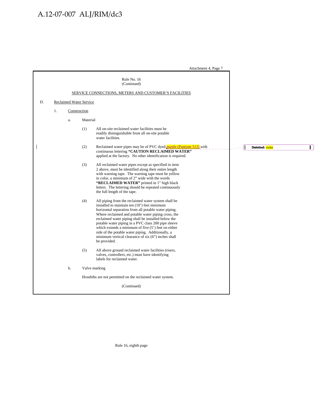Attachment 4, Page 7

|    |    |    | Rule No. 16<br>(Continued)                                                                                                                                                                                                                                                                                                                                                                                                                                                                                                    |                                 |
|----|----|----|-------------------------------------------------------------------------------------------------------------------------------------------------------------------------------------------------------------------------------------------------------------------------------------------------------------------------------------------------------------------------------------------------------------------------------------------------------------------------------------------------------------------------------|---------------------------------|
|    |    |    | SERVICE CONNECTIONS, METERS AND CUSTOMER'S FACILITIES                                                                                                                                                                                                                                                                                                                                                                                                                                                                         |                                 |
| D. |    |    | <b>Reclaimed Water Service</b>                                                                                                                                                                                                                                                                                                                                                                                                                                                                                                |                                 |
|    | 1. |    | Construction                                                                                                                                                                                                                                                                                                                                                                                                                                                                                                                  |                                 |
|    |    | a. | Material                                                                                                                                                                                                                                                                                                                                                                                                                                                                                                                      |                                 |
|    |    |    | (1)<br>All on-site reclaimed water facilities must be<br>readily distinguishable from all on-site potable<br>water facilities.                                                                                                                                                                                                                                                                                                                                                                                                |                                 |
|    |    |    | (2)<br>Reclaimed water pipes may be of PVC dyed purple (Pantone 512) with<br>continuous lettering "CAUTION RECLAIMED WATER"<br>applied at the factory. No other identification is required.                                                                                                                                                                                                                                                                                                                                   | $\mathbf{I}$<br>Deleted: violet |
|    |    |    | (3)<br>All reclaimed water pipes except as specified in item<br>2 above, must be identified along their entire length<br>with warning tape. The warning tape must be yellow<br>in color, a minimum of 2" wide with the words<br>"RECLAIMED WATER" printed in 1" high black<br>letters. The lettering should be repeated continuously<br>the full length of the tape.                                                                                                                                                          |                                 |
|    |    |    | (4)<br>All piping from the reclaimed water system shall be<br>installed to maintain ten (10') feet minimum<br>horizontal separation from all potable water piping.<br>Where reclaimed and potable water piping cross, the<br>reclaimed water piping shall be installed below the<br>potable water piping in a PVC class 200 pipe sleeve<br>which extends a minimum of five $(5')$ feet on either<br>side of the potable water piping. Additionally, a<br>minimum vertical clearance of six $(6)$ inches shall<br>be provided. |                                 |
|    |    |    | (5)<br>All above ground reclaimed water facilities (risers,<br>valves, controllers, etc.) must have identifying<br>labels for reclaimed water.                                                                                                                                                                                                                                                                                                                                                                                |                                 |
|    |    | b. | Valve marking                                                                                                                                                                                                                                                                                                                                                                                                                                                                                                                 |                                 |
|    |    |    | Hosebibs are not permitted on the reclaimed water system.                                                                                                                                                                                                                                                                                                                                                                                                                                                                     |                                 |
|    |    |    | (Continued)                                                                                                                                                                                                                                                                                                                                                                                                                                                                                                                   |                                 |

Rule 16, eighth page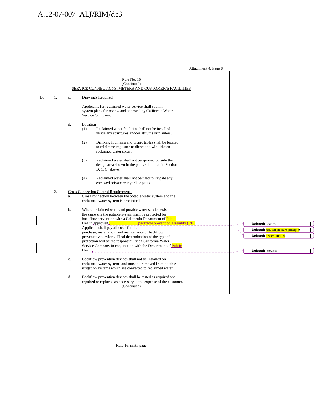Attachment 4, Page 8

|    |    |    | Rule No. 16<br>(Continued)<br>SERVICE CONNECTIONS, METERS AND CUSTOMER'S FACILITIES                                                                                                                                                                          |                                     |              |
|----|----|----|--------------------------------------------------------------------------------------------------------------------------------------------------------------------------------------------------------------------------------------------------------------|-------------------------------------|--------------|
| D. | 1. | c. | Drawings Required                                                                                                                                                                                                                                            |                                     |              |
|    |    |    | Applicants for reclaimed water service shall submit<br>system plans for review and approval by California Water<br>Service Company.                                                                                                                          |                                     |              |
|    |    | d. | Location<br>Reclaimed water facilities shall not be installed<br>(1)<br>inside any structures, indoor atriums or planters.                                                                                                                                   |                                     |              |
|    |    |    | (2)<br>Drinking fountains and picnic tables shall be located<br>to minimize exposure to direct and wind blown<br>reclaimed water spray.                                                                                                                      |                                     |              |
|    |    |    | Reclaimed water shall not be sprayed outside the<br>(3)<br>design area shown in the plans submitted in Section<br>D. 1. C. above.                                                                                                                            |                                     |              |
|    |    |    | (4)<br>Reclaimed water shall not be used to irrigate any<br>enclosed private rear yard or patio.                                                                                                                                                             |                                     |              |
|    | 2. |    | <b>Cross Connection Control Requirements</b>                                                                                                                                                                                                                 |                                     |              |
|    |    | a. | Cross connection between the potable water system and the<br>reclaimed water system is prohibited.                                                                                                                                                           |                                     |              |
|    |    | b. | Where reclaimed water and potable water service exist on<br>the same site the potable system shall be protected for<br>backflow prevention with a California Department of Public<br>Health approved $\frac{1}{\sqrt{P}}$ backflow prevention assembly (RP). | <b>Deleted:</b> Services            |              |
|    |    |    | Applicant shall pay all costs for the<br>purchase, installation, and maintenance of backflow                                                                                                                                                                 | Deleted: reduced pressure principle | L            |
|    |    |    | preventative devices. Final determination of the type of                                                                                                                                                                                                     | Deleted: device (RPPD)              |              |
|    |    |    | protection will be the responsibility of California Water<br>Service Company in conjunction with the Department of Public                                                                                                                                    |                                     |              |
|    |    |    | $\text{Health}_{\epsilon}$                                                                                                                                                                                                                                   | <b>Deleted: Services</b>            | $\mathbf{I}$ |
|    |    | c. | Backflow prevention devices shall not be installed on<br>reclaimed water systems and must be removed from potable<br>irrigation systems which are converted to reclaimed water.                                                                              |                                     |              |
|    |    | d. | Backflow prevention devices shall be tested as required and<br>repaired or replaced as necessary at the expense of the customer.<br>(Continued)                                                                                                              |                                     |              |

Rule 16, ninth page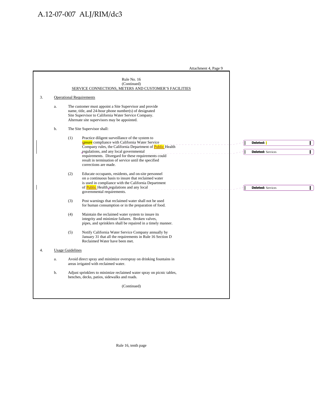Attachment 4, Page 9

|    |    |                         | Rule No. 16<br>(Continued)<br>SERVICE CONNECTIONS, METERS AND CUSTOMER'S FACILITIES                                                                                                                                                                                                                                                                 |                                                  |
|----|----|-------------------------|-----------------------------------------------------------------------------------------------------------------------------------------------------------------------------------------------------------------------------------------------------------------------------------------------------------------------------------------------------|--------------------------------------------------|
| 3. |    |                         | <b>Operational Requirements</b>                                                                                                                                                                                                                                                                                                                     |                                                  |
|    | a. |                         | The customer must appoint a Site Supervisor and provide<br>name, title, and 24-hour phone number(s) of designated<br>Site Supervisor to California Water Service Company.<br>Alternate site supervisors may be appointed.                                                                                                                           |                                                  |
|    | b. |                         | The Site Supervisor shall:                                                                                                                                                                                                                                                                                                                          |                                                  |
|    |    | (1)                     | Practice diligent surveillance of the system to<br>ensure compliance with California Water Service<br>Company rules, the California Department of Public Health<br>regulations, and any local governmental<br>requirements. Disregard for these requirements could<br>result in termination of service until the specified<br>corrections are made. | L<br>Deleted: i<br>L<br><b>Deleted:</b> Services |
|    |    | (2)                     | Educate occupants, residents, and on-site personnel<br>on a continuous basis to insure that reclaimed water<br>is used in compliance with the California Department<br>of <b>Public</b> Health regulations and any local<br>governmental requirements.                                                                                              | $\mathbf{I}$<br><b>Deleted:</b> Services         |
|    |    | (3)                     | Post warnings that reclaimed water shall not be used<br>for human consumption or in the preparation of food.                                                                                                                                                                                                                                        |                                                  |
|    |    | (4)                     | Maintain the reclaimed water system to insure its<br>integrity and minimize failures. Broken valves,<br>pipes, and sprinklers shall be repaired in a timely manner.                                                                                                                                                                                 |                                                  |
|    |    | (5)                     | Notify California Water Service Company annually by<br>January 31 that all the requirements in Rule 16 Section D<br>Reclaimed Water have been met.                                                                                                                                                                                                  |                                                  |
| 4. |    | <b>Usage Guidelines</b> |                                                                                                                                                                                                                                                                                                                                                     |                                                  |
|    | a. |                         | Avoid direct spray and minimize overspray on drinking fountains in<br>areas irrigated with reclaimed water.                                                                                                                                                                                                                                         |                                                  |
|    | b. |                         | Adjust sprinklers to minimize reclaimed water spray on picnic tables,<br>benches, decks, patios, sidewalks and roads.                                                                                                                                                                                                                               |                                                  |
|    |    |                         | (Continued)                                                                                                                                                                                                                                                                                                                                         |                                                  |

Rule 16, tenth page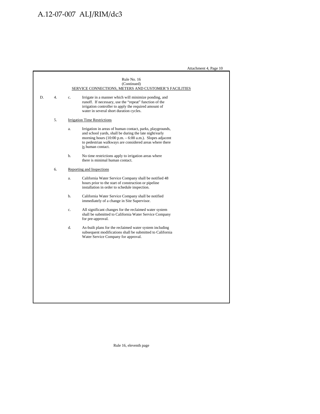Attachment 4, Page 10

|    |    |    | Rule No. 16<br>(Continued)<br>SERVICE CONNECTIONS, METERS AND CUSTOMER'S FACILITIES                                                                                                                                                                                               |
|----|----|----|-----------------------------------------------------------------------------------------------------------------------------------------------------------------------------------------------------------------------------------------------------------------------------------|
| D. | 4. | c. | Irrigate in a manner which will minimize ponding, and<br>runoff. If necessary, use the "repeat" function of the<br>irrigation controller to apply the required amount of<br>water in several short duration cycles.                                                               |
|    | 5. |    | <b>Irrigation Time Restrictions</b>                                                                                                                                                                                                                                               |
|    |    | a. | Irrigation in areas of human contact, parks, playgrounds,<br>and school yards, shall be during the late night/early<br>morning hours $(10:00 \text{ p.m.} - 6:00 \text{ a.m.})$ . Slopes adjacent<br>to pedestrian walkways are considered areas where there<br>is human contact. |
|    |    | b. | No time restrictions apply to irrigation areas where<br>there is minimal human contact.                                                                                                                                                                                           |
|    | 6. |    | Reporting and Inspections                                                                                                                                                                                                                                                         |
|    |    | a. | California Water Service Company shall be notified 48<br>hours prior to the start of construction or pipeline<br>installation in order to schedule inspection.                                                                                                                    |
|    |    | h. | California Water Service Company shall be notified<br>immediately of a change in Site Supervisor.                                                                                                                                                                                 |
|    |    | c. | All significant changes for the reclaimed water system<br>shall be submitted to California Water Service Company<br>for pre-approval.                                                                                                                                             |
|    |    | d. | As-built plans for the reclaimed water system including<br>subsequent modifications shall be submitted to California<br>Water Service Company for approval.                                                                                                                       |
|    |    |    |                                                                                                                                                                                                                                                                                   |
|    |    |    |                                                                                                                                                                                                                                                                                   |
|    |    |    |                                                                                                                                                                                                                                                                                   |
|    |    |    |                                                                                                                                                                                                                                                                                   |
|    |    |    |                                                                                                                                                                                                                                                                                   |
|    |    |    |                                                                                                                                                                                                                                                                                   |
|    |    |    |                                                                                                                                                                                                                                                                                   |

Rule 16, eleventh page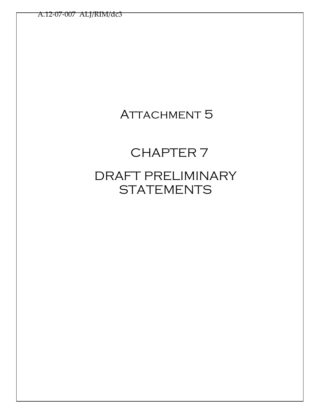## ATTACHMENT 5

# CHAPTER 7 DRAFT PRELIMINARY **STATEMENTS**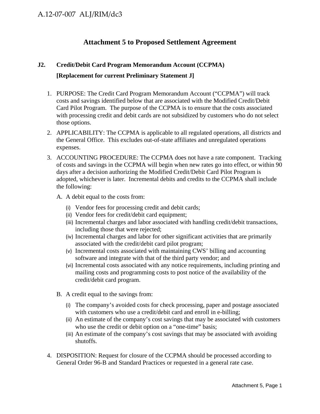### **Attachment 5 to Proposed Settlement Agreement**

### **J2. Credit/Debit Card Program Memorandum Account (CCPMA)**

### **[Replacement for current Preliminary Statement J]**

- 1. PURPOSE: The Credit Card Program Memorandum Account ("CCPMA") will track costs and savings identified below that are associated with the Modified Credit/Debit Card Pilot Program. The purpose of the CCPMA is to ensure that the costs associated with processing credit and debit cards are not subsidized by customers who do not select those options.
- 2. APPLICABILITY: The CCPMA is applicable to all regulated operations, all districts and the General Office. This excludes out-of-state affiliates and unregulated operations expenses.
- 3. ACCOUNTING PROCEDURE: The CCPMA does not have a rate component. Tracking of costs and savings in the CCPMA will begin when new rates go into effect, or within 90 days after a decision authorizing the Modified Credit/Debit Card Pilot Program is adopted, whichever is later. Incremental debits and credits to the CCPMA shall include the following:
	- A. A debit equal to the costs from:
		- (i) Vendor fees for processing credit and debit cards;
		- (ii) Vendor fees for credit/debit card equipment;
		- (iii) Incremental charges and labor associated with handling credit/debit transactions, including those that were rejected;
		- (iv) Incremental charges and labor for other significant activities that are primarily associated with the credit/debit card pilot program;
		- (v) Incremental costs associated with maintaining CWS' billing and accounting software and integrate with that of the third party vendor; and
		- (vi) Incremental costs associated with any notice requirements, including printing and mailing costs and programming costs to post notice of the availability of the credit/debit card program.
	- B. A credit equal to the savings from:
		- (i) The company's avoided costs for check processing, paper and postage associated with customers who use a credit/debit card and enroll in e-billing;
		- (ii) An estimate of the company's cost savings that may be associated with customers who use the credit or debit option on a "one-time" basis;
		- (iii) An estimate of the company's cost savings that may be associated with avoiding shutoffs.
- 4. DISPOSITION: Request for closure of the CCPMA should be processed according to General Order 96-B and Standard Practices or requested in a general rate case.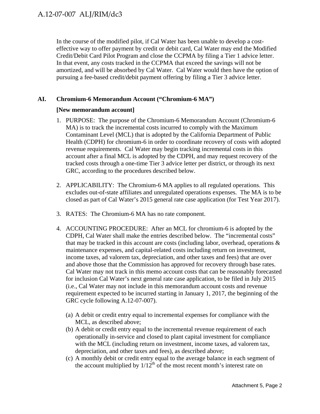In the course of the modified pilot, if Cal Water has been unable to develop a costeffective way to offer payment by credit or debit card, Cal Water may end the Modified Credit/Debit Card Pilot Program and close the CCPMA by filing a Tier 1 advice letter. In that event, any costs tracked in the CCPMA that exceed the savings will not be amortized, and will be absorbed by Cal Water. Cal Water would then have the option of pursuing a fee-based credit/debit payment offering by filing a Tier 3 advice letter.

### **AI. Chromium-6 Memorandum Account ("Chromium-6 MA")**

### **[New memorandum account]**

- 1. PURPOSE: The purpose of the Chromium-6 Memorandum Account (Chromium-6 MA) is to track the incremental costs incurred to comply with the Maximum Contaminant Level (MCL) that is adopted by the California Department of Public Health (CDPH) for chromium-6 in order to coordinate recovery of costs with adopted revenue requirements. Cal Water may begin tracking incremental costs in this account after a final MCL is adopted by the CDPH, and may request recovery of the tracked costs through a one-time Tier 3 advice letter per district, or through its next GRC, according to the procedures described below.
- 2. APPLICABILITY: The Chromium-6 MA applies to all regulated operations. This excludes out-of-state affiliates and unregulated operations expenses. The MA is to be closed as part of Cal Water's 2015 general rate case application (for Test Year 2017).
- 3. RATES: The Chromium-6 MA has no rate component.
- 4. ACCOUNTING PROCEDURE: After an MCL for chromium-6 is adopted by the CDPH, Cal Water shall make the entries described below. The "incremental costs" that may be tracked in this account are costs (including labor, overhead, operations  $\&$ maintenance expenses, and capital-related costs including return on investment, income taxes, ad valorem tax, depreciation, and other taxes and fees) that are over and above those that the Commission has approved for recovery through base rates. Cal Water may not track in this memo account costs that can be reasonably forecasted for inclusion Cal Water's next general rate case application, to be filed in July 2015 (i.e., Cal Water may not include in this memorandum account costs and revenue requirement expected to be incurred starting in January 1, 2017, the beginning of the GRC cycle following A.12-07-007).
	- (a) A debit or credit entry equal to incremental expenses for compliance with the MCL, as described above;
	- (b) A debit or credit entry equal to the incremental revenue requirement of each operationally in-service and closed to plant capital investment for compliance with the MCL (including return on investment, income taxes, ad valorem tax, depreciation, and other taxes and fees), as described above;
	- (c) A monthly debit or credit entry equal to the average balance in each segment of the account multiplied by  $1/12^{th}$  of the most recent month's interest rate on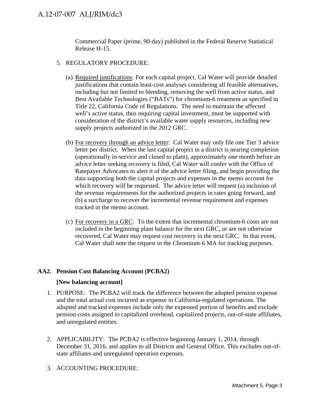Commercial Paper (prime, 90-day) published in the Federal Reserve Statistical Release H-15.

- 5. REGULATORY PROCEDURE:
	- (a) Required justifications: For each capital project, Cal Water will provide detailed justifications that contain least-cost analyses considering all feasible alternatives, including but not limited to blending, removing the well from active status, and Best Available Technologies ("BATs") for chromium-6 treatment as specified in Title 22, California Code of Regulations. The need to maintain the affected well's active status, thus requiring capital investment, must be supported with consideration of the district's available water supply resources, including new supply projects authorized in the 2012 GRC.
	- (b) For recovery through an advice letter: Cal Water may only file one Tier 3 advice letter per district. When the last capital project in a district is nearing completion (operationally in-service and closed to plant), approximately one month before an advice letter seeking recovery is filed, Cal Water will confer with the Office of Ratepayer Advocates to alert it of the advice letter filing, and begin providing the data supporting both the capital projects and expenses in the memo account for which recovery will be requested. The advice letter will request (a) inclusion of the revenue requirements for the authorized projects in rates going forward, and (b) a surcharge to recover the incremental revenue requirement and expenses tracked in the memo account.
	- (c) For recovery in a GRC: To the extent that incremental chromium-6 costs are not included in the beginning plant balance for the next GRC, or are not otherwise recovered, Cal Water may request cost recovery in the next GRC. In that event, Cal Water shall note the request in the Chromium-6 MA for tracking purposes.

### **AA2. Pension Cost Balancing Account (PCBA2)**

### **[New balancing account]**

- 1. PURPOSE: The PCBA2 will track the difference between the adopted pension expense and the total actual cost incurred as expense in California-regulated operations. The adopted and tracked expenses include only the expensed portion of benefits and exclude pension costs assigned to capitalized overhead, capitalized projects, out-of-state affiliates, and unregulated entities.
- 2. APPLICABILITY: The PCBA2 is effective beginning January 1, 2014, through December 31, 2016, and applies to all Districts and General Office. This excludes out-ofstate affiliates and unregulated operation expenses.
- 3. ACCOUNTING PROCEDURE: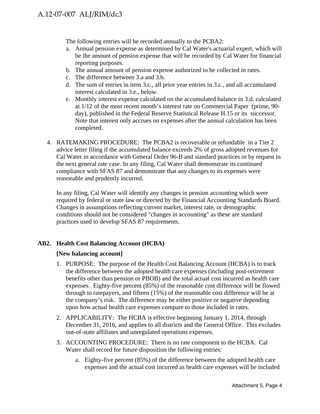The following entries will be recorded annually to the PCBA2:

- a. Annual pension expense as determined by Cal Water's actuarial expert, which will be the amount of pension expense that will be recorded by Cal Water for financial reporting purposes.
- b. The annual amount of pension expense authorized to be collected in rates.
- c. The difference between 3.a and 3.b.
- d. The sum of entries in item 3.c., all prior year entries in 3.c., and all accumulated interest calculated in 3.e., below.
- e. Monthly interest expense calculated on the accumulated balance in 3.d. calculated at 1/12 of the most recent month's interest rate on Commercial Paper (prime, 90 day), published in the Federal Reserve Statistical Release H.15 or its successor. Note that interest only accrues on expenses after the annual calculation has been completed.
- 4. RATEMAKING PROCEDURE: The PCBA2 is recoverable or refundable in a Tier 2 advice letter filing if the accumulated balance exceeds 2% of gross adopted revenues for Cal Water in accordance with General Order 96-B and standard practices or by request in the next general rate case. In any filing, Cal Water shall demonstrate its continued compliance with SFAS 87 and demonstrate that any changes to its expenses were reasonable and prudently incurred.

In any filing, Cal Water will identify any changes in pension accounting which were required by federal or state law or directed by the Financial Accounting Standards Board. Changes in assumptions reflecting current market, interest rate, or demographic conditions should not be considered "changes in accounting" as these are standard practices used to develop SFAS 87 requirements.

### **AB2. Health Cost Balancing Account (HCBA)**

### **[New balancing account]**

- 1. PURPOSE: The purpose of the Health Cost Balancing Account (HCBA) is to track the difference between the adopted health care expenses (including post-retirement benefits other than pension or PBOB) and the total actual cost incurred as health care expenses. Eighty-five percent (85%) of the reasonable cost difference will be flowed through to ratepayers, and fifteen (15%) of the reasonable cost difference will be at the company's risk. The difference may be either positive or negative depending upon how actual health care expenses compare to those included in rates.
- 2. APPLICABILITY: The HCBA is effective beginning January 1, 2014, through December 31, 2016, and applies to all districts and the General Office. This excludes out-of-state affiliates and unregulated operations expenses.
- 3. ACCOUNTING PROCEDURE: There is no rate component to the HCBA. Cal Water shall record for future disposition the following entries:
	- a. Eighty-five percent (85%) of the difference between the adopted health care expenses and the actual cost incurred as health care expenses will be included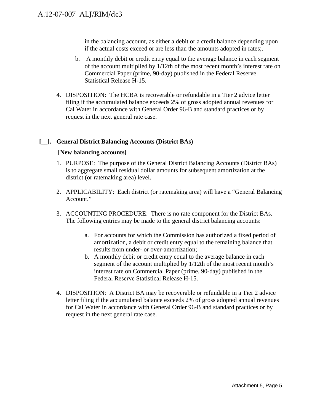in the balancing account, as either a debit or a credit balance depending upon if the actual costs exceed or are less than the amounts adopted in rates;.

- b. A monthly debit or credit entry equal to the average balance in each segment of the account multiplied by 1/12th of the most recent month's interest rate on Commercial Paper (prime, 90-day) published in the Federal Reserve Statistical Release H-15.
- 4. DISPOSITION: The HCBA is recoverable or refundable in a Tier 2 advice letter filing if the accumulated balance exceeds 2% of gross adopted annual revenues for Cal Water in accordance with General Order 96-B and standard practices or by request in the next general rate case.

### **[\_\_]. General District Balancing Accounts (District BAs)**

### **[New balancing accounts]**

- 1. PURPOSE: The purpose of the General District Balancing Accounts (District BAs) is to aggregate small residual dollar amounts for subsequent amortization at the district (or ratemaking area) level.
- 2. APPLICABILITY: Each district (or ratemaking area) will have a "General Balancing Account."
- 3. ACCOUNTING PROCEDURE: There is no rate component for the District BAs. The following entries may be made to the general district balancing accounts:
	- a. For accounts for which the Commission has authorized a fixed period of amortization, a debit or credit entry equal to the remaining balance that results from under- or over-amortization;
	- b. A monthly debit or credit entry equal to the average balance in each segment of the account multiplied by 1/12th of the most recent month's interest rate on Commercial Paper (prime, 90-day) published in the Federal Reserve Statistical Release H-15.
- 4. DISPOSITION: A District BA may be recoverable or refundable in a Tier 2 advice letter filing if the accumulated balance exceeds 2% of gross adopted annual revenues for Cal Water in accordance with General Order 96-B and standard practices or by request in the next general rate case.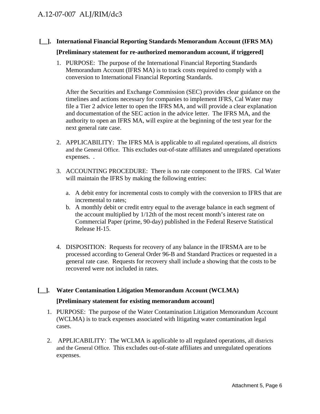## **[\_\_]. International Financial Reporting Standards Memorandum Account (IFRS MA)**

### **[Preliminary statement for re-authorized memorandum account, if triggered]**

1. PURPOSE: The purpose of the International Financial Reporting Standards Memorandum Account (IFRS MA) is to track costs required to comply with a conversion to International Financial Reporting Standards.

After the Securities and Exchange Commission (SEC) provides clear guidance on the timelines and actions necessary for companies to implement IFRS, Cal Water may file a Tier 2 advice letter to open the IFRS MA, and will provide a clear explanation and documentation of the SEC action in the advice letter. The IFRS MA, and the authority to open an IFRS MA, will expire at the beginning of the test year for the next general rate case.

- 2. APPLICABILITY: The IFRS MA is applicable to all regulated operations, all districts and the General Office. This excludes out-of-state affiliates and unregulated operations expenses. .
- 3. ACCOUNTING PROCEDURE: There is no rate component to the IFRS. Cal Water will maintain the IFRS by making the following entries:
	- a. A debit entry for incremental costs to comply with the conversion to IFRS that are incremental to rates;
	- b. A monthly debit or credit entry equal to the average balance in each segment of the account multiplied by 1/12th of the most recent month's interest rate on Commercial Paper (prime, 90-day) published in the Federal Reserve Statistical Release H-15.
- 4. DISPOSITION: Requests for recovery of any balance in the IFRSMA are to be processed according to General Order 96-B and Standard Practices or requested in a general rate case. Requests for recovery shall include a showing that the costs to be recovered were not included in rates.
- **[\_\_]. Water Contamination Litigation Memorandum Account (WCLMA) [Preliminary statement for existing memorandum account]** 
	- 1. PURPOSE: The purpose of the Water Contamination Litigation Memorandum Account (WCLMA) is to track expenses associated with litigating water contamination legal cases.
	- 2. APPLICABILITY: The WCLMA is applicable to all regulated operations, all districts and the General Office. This excludes out-of-state affiliates and unregulated operations expenses.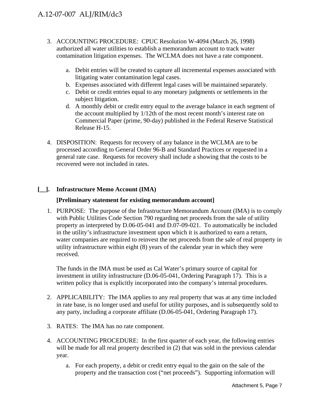- 3. ACCOUNTING PROCEDURE: CPUC Resolution W-4094 (March 26, 1998) authorized all water utilities to establish a memorandum account to track water contamination litigation expenses. The WCLMA does not have a rate component.
	- a. Debit entries will be created to capture all incremental expenses associated with litigating water contamination legal cases.
	- b. Expenses associated with different legal cases will be maintained separately.
	- c. Debit or credit entries equal to any monetary judgments or settlements in the subject litigation.
	- d. A monthly debit or credit entry equal to the average balance in each segment of the account multiplied by 1/12th of the most recent month's interest rate on Commercial Paper (prime, 90-day) published in the Federal Reserve Statistical Release H-15.
- 4. DISPOSITION: Requests for recovery of any balance in the WCLMA are to be processed according to General Order 96-B and Standard Practices or requested in a general rate case. Requests for recovery shall include a showing that the costs to be recovered were not included in rates.

### **[\_\_]. Infrastructure Memo Account (IMA)**

### **[Preliminary statement for existing memorandum account]**

1. PURPOSE: The purpose of the Infrastructure Memorandum Account (IMA) is to comply with Public Utilities Code Section 790 regarding net proceeds from the sale of utility property as interpreted by D.06-05-041 and D.07-09-021. To automatically be included in the utility's infrastructure investment upon which it is authorized to earn a return, water companies are required to reinvest the net proceeds from the sale of real property in utility infrastructure within eight (8) years of the calendar year in which they were received.

The funds in the IMA must be used as Cal Water's primary source of capital for investment in utility infrastructure (D.06-05-041, Ordering Paragraph 17). This is a written policy that is explicitly incorporated into the company's internal procedures.

- 2. APPLICABILITY: The IMA applies to any real property that was at any time included in rate base, is no longer used and useful for utility purposes, and is subsequently sold to any party, including a corporate affiliate (D.06-05-041, Ordering Paragraph 17).
- 3. RATES: The IMA has no rate component.
- 4. ACCOUNTING PROCEDURE: In the first quarter of each year, the following entries will be made for all real property described in  $(2)$  that was sold in the previous calendar year.
	- a. For each property, a debit or credit entry equal to the gain on the sale of the property and the transaction cost ("net proceeds"). Supporting information will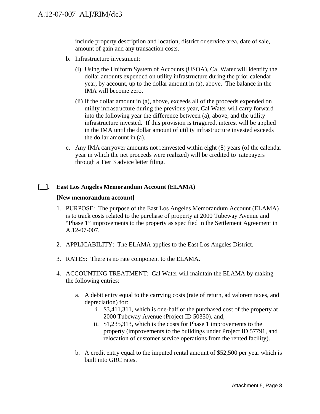include property description and location, district or service area, date of sale, amount of gain and any transaction costs.

- b. Infrastructure investment:
	- (i) Using the Uniform System of Accounts (USOA), Cal Water will identify the dollar amounts expended on utility infrastructure during the prior calendar year, by account, up to the dollar amount in (a), above. The balance in the IMA will become zero.
	- (ii) If the dollar amount in (a), above, exceeds all of the proceeds expended on utility infrastructure during the previous year, Cal Water will carry forward into the following year the difference between (a), above, and the utility infrastructure invested. If this provision is triggered, interest will be applied in the IMA until the dollar amount of utility infrastructure invested exceeds the dollar amount in (a).
- c. Any IMA carryover amounts not reinvested within eight (8) years (of the calendar year in which the net proceeds were realized) will be credited to ratepayers through a Tier 3 advice letter filing.

## **[\_\_]. East Los Angeles Memorandum Account (ELAMA)**

## **[New memorandum account]**

- 1. PURPOSE: The purpose of the East Los Angeles Memorandum Account (ELAMA) is to track costs related to the purchase of property at 2000 Tubeway Avenue and "Phase 1" improvements to the property as specified in the Settlement Agreement in A.12-07-007.
- 2. APPLICABILITY: The ELAMA applies to the East Los Angeles District.
- 3. RATES: There is no rate component to the ELAMA.
- 4. ACCOUNTING TREATMENT: Cal Water will maintain the ELAMA by making the following entries:
	- a. A debit entry equal to the carrying costs (rate of return, ad valorem taxes, and depreciation) for:
		- i. \$3,411,311, which is one-half of the purchased cost of the property at 2000 Tubeway Avenue (Project ID 50350), and;
		- ii. \$1,235,313, which is the costs for Phase 1 improvements to the property (improvements to the buildings under Project ID 57791, and relocation of customer service operations from the rented facility).
	- b. A credit entry equal to the imputed rental amount of \$52,500 per year which is built into GRC rates.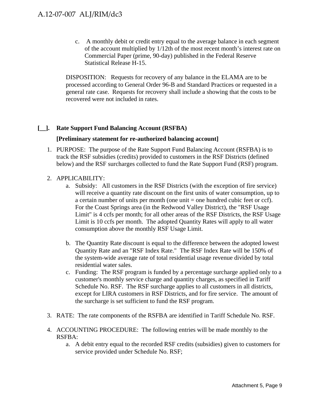c. A monthly debit or credit entry equal to the average balance in each segment of the account multiplied by 1/12th of the most recent month's interest rate on Commercial Paper (prime, 90-day) published in the Federal Reserve Statistical Release H-15.

DISPOSITION: Requests for recovery of any balance in the ELAMA are to be processed according to General Order 96-B and Standard Practices or requested in a general rate case. Requests for recovery shall include a showing that the costs to be recovered were not included in rates.

## **[\_\_]. Rate Support Fund Balancing Account (RSFBA)**

## **[Preliminary statement for re-authorized balancing account]**

1. PURPOSE: The purpose of the Rate Support Fund Balancing Account (RSFBA) is to track the RSF subsidies (credits) provided to customers in the RSF Districts (defined below) and the RSF surcharges collected to fund the Rate Support Fund (RSF) program.

## 2. APPLICABILITY:

- a. Subsidy: All customers in the RSF Districts (with the exception of fire service) will receive a quantity rate discount on the first units of water consumption, up to a certain number of units per month (one unit = one hundred cubic feet or ccf). For the Coast Springs area (in the Redwood Valley District), the "RSF Usage Limit" is 4 ccfs per month; for all other areas of the RSF Districts, the RSF Usage Limit is 10 ccfs per month. The adopted Quantity Rates will apply to all water consumption above the monthly RSF Usage Limit.
- b. The Quantity Rate discount is equal to the difference between the adopted lowest Quantity Rate and an "RSF Index Rate." The RSF Index Rate will be 150% of the system-wide average rate of total residential usage revenue divided by total residential water sales.
- c. Funding: The RSF program is funded by a percentage surcharge applied only to a customer's monthly service charge and quantity charges, as specified in Tariff Schedule No. RSF. The RSF surcharge applies to all customers in all districts, except for LIRA customers in RSF Districts, and for fire service. The amount of the surcharge is set sufficient to fund the RSF program.
- 3. RATE: The rate components of the RSFBA are identified in Tariff Schedule No. RSF.
- 4. ACCOUNTING PROCEDURE: The following entries will be made monthly to the RSFBA:
	- a. A debit entry equal to the recorded RSF credits (subsidies) given to customers for service provided under Schedule No. RSF;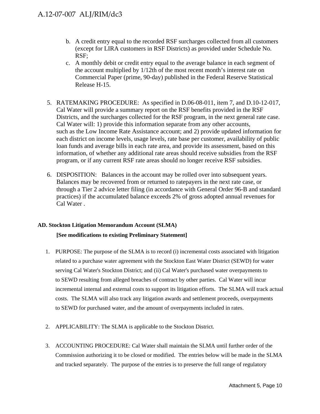- b. A credit entry equal to the recorded RSF surcharges collected from all customers (except for LIRA customers in RSF Districts) as provided under Schedule No. RSF;
- c. A monthly debit or credit entry equal to the average balance in each segment of the account multiplied by 1/12th of the most recent month's interest rate on Commercial Paper (prime, 90-day) published in the Federal Reserve Statistical Release H-15.
- 5. RATEMAKING PROCEDURE: As specified in D.06-08-011, item 7, and D.10-12-017, Cal Water will provide a summary report on the RSF benefits provided in the RSF Districts, and the surcharges collected for the RSF program, in the next general rate case. Cal Water will: 1) provide this information separate from any other accounts, such as the Low Income Rate Assistance account; and 2) provide updated information for each district on income levels, usage levels, rate base per customer, availability of public loan funds and average bills in each rate area, and provide its assessment, based on this information, of whether any additional rate areas should receive subsidies from the RSF program, or if any current RSF rate areas should no longer receive RSF subsidies.
- 6. DISPOSITION: Balances in the account may be rolled over into subsequent years. Balances may be recovered from or returned to ratepayers in the next rate case, or through a Tier 2 advice letter filing (in accordance with General Order 96-B and standard practices) if the accumulated balance exceeds 2% of gross adopted annual revenues for Cal Water .

## **AD. Stockton Litigation Memorandum Account (SLMA)**

## **[See modifications to existing Preliminary Statement]**

- 1. PURPOSE: The purpose of the SLMA is to record (i) incremental costs associated with litigation related to a purchase water agreement with the Stockton East Water District (SEWD) for water serving Cal Water's Stockton District; and (ii) Cal Water's purchased water overpayments to to SEWD resulting from alleged breaches of contract by other parties. Cal Water will incur incremental internal and external costs to support its litigation efforts. The SLMA will track actual costs. The SLMA will also track any litigation awards and settlement proceeds, overpayments to SEWD for purchased water, and the amount of overpayments included in rates.
- 2. APPLICABILITY: The SLMA is applicable to the Stockton District.
- 3. ACCOUNTING PROCEDURE: Cal Water shall maintain the SLMA until further order of the Commission authorizing it to be closed or modified. The entries below will be made in the SLMA and tracked separately. The purpose of the entries is to preserve the full range of regulatory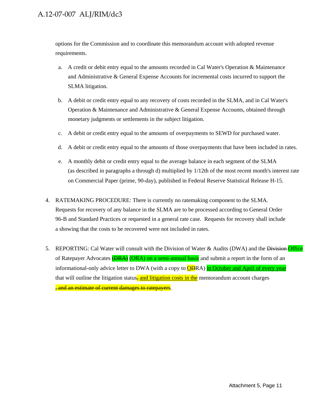## A.12-07-007 ALJ/RIM/dc3

options for the Commission and to coordinate this memorandum account with adopted revenue requirements.

- a. A credit or debit entry equal to the amounts recorded in Cal Water's Operation  $\&$  Maintenance and Administrative & General Expense Accounts for incremental costs incurred to support the SLMA litigation.
- b. A debit or credit entry equal to any recovery of costs recorded in the SLMA, and in Cal Water's Operation & Maintenance and Administrative & General Expense Accounts, obtained through monetary judgments or settlements in the subject litigation.
- c. A debit or credit entry equal to the amounts of overpayments to SEWD for purchased water.
- d. A debit or credit entry equal to the amounts of those overpayments that have been included in rates.
- e. A monthly debit or credit entry equal to the average balance in each segment of the SLMA (as described in paragraphs a through d) multiplied by 1/12th of the most recent month's interest rate on Commercial Paper (prime, 90-day), published in Federal Reserve Statistical Release H-15.
- 4. RATEMAKING PROCEDURE: There is currently no ratemaking component to the SLMA. Requests for recovery of any balance in the SLMA are to be processed according to General Order 96-B and Standard Practices or requested in a general rate case. Requests for recovery shall include a showing that the costs to be recovered were not included in rates.
- 5. REPORTING: Cal Water will consult with the Division of Water & Audits (DWA) and the Division Office of Ratepayer Advocates **(DRA)** (ORA) on a semi-annual basis and submit a report in the form of an informational-only advice letter to DWA (with a copy to **OD**RA) in October and April of every year that will outline the litigation status, and litigation costs in the memorandum account charges , and an estimate of current damages to ratepayers.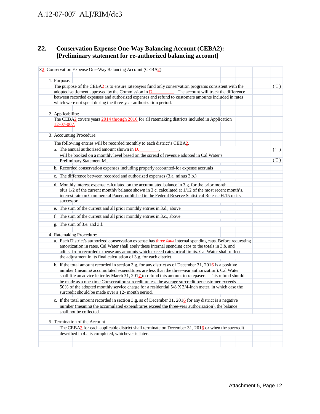## A.12-07-007 ALJ/RIM/dc3

## **Z2. Conservation Expense One-Way Balancing Account (CEBA2): [Preliminary statement for re-authorized balancing account]**

|  |                                                | Z2. Conservation Expense One-Way Balancing Account (CEBA2)                                                                                                                                                 |  |  |     |
|--|------------------------------------------------|------------------------------------------------------------------------------------------------------------------------------------------------------------------------------------------------------------|--|--|-----|
|  |                                                |                                                                                                                                                                                                            |  |  |     |
|  | 1. Purpose:                                    |                                                                                                                                                                                                            |  |  |     |
|  |                                                | The purpose of the CEBA2 is to ensure ratepayers fund only conservation programs consistent with the                                                                                                       |  |  | (T) |
|  |                                                | adopted settlement approved by the Commission in $D$ . The account will track the difference                                                                                                               |  |  |     |
|  |                                                | between recorded expenses and authorized expenses and refund to customers amounts included in rates                                                                                                        |  |  |     |
|  |                                                | which were not spent during the three-year authorization period.                                                                                                                                           |  |  |     |
|  |                                                |                                                                                                                                                                                                            |  |  |     |
|  | 2. Applicability:                              | The CEBA2 covers years 2014 through 2016 for all ratemaking districts included in Application                                                                                                              |  |  |     |
|  | 12-07-007.                                     |                                                                                                                                                                                                            |  |  |     |
|  |                                                |                                                                                                                                                                                                            |  |  |     |
|  | 3. Accounting Procedure:                       |                                                                                                                                                                                                            |  |  |     |
|  |                                                | The following entries will be recorded monthly to each district's CEBA2.                                                                                                                                   |  |  |     |
|  | a. The annual authorized amount shown in $D$ . |                                                                                                                                                                                                            |  |  | (T) |
|  |                                                | will be booked on a monthly level based on the spread of revenue adopted in Cal Water's                                                                                                                    |  |  |     |
|  | Preliminary Statement M.,                      |                                                                                                                                                                                                            |  |  | (T) |
|  |                                                | b. Recorded conservation expenses including properly accounted-for expense accruals                                                                                                                        |  |  |     |
|  |                                                | c. The difference between recorded and authorized expenses (3.a. minus 3.b.)                                                                                                                               |  |  |     |
|  |                                                |                                                                                                                                                                                                            |  |  |     |
|  |                                                | d. Monthly interest expense calculated on the accumulated balance in 3.g. for the prior month                                                                                                              |  |  |     |
|  |                                                | plus $1/2$ of the current monthly balance shown in 3.c. calculated at $1/12$ of the most recent month's.                                                                                                   |  |  |     |
|  |                                                | interest rate on Commercial Paper, published in the Federal Reserve Statistical Release H.15 or its                                                                                                        |  |  |     |
|  | successor.                                     |                                                                                                                                                                                                            |  |  |     |
|  |                                                | e. The sum of the current and all prior monthly entries in 3.d., above                                                                                                                                     |  |  |     |
|  |                                                | f. The sum of the current and all prior monthly entries in 3.c., above                                                                                                                                     |  |  |     |
|  | g. The sum of 3.e. and 3.f.                    |                                                                                                                                                                                                            |  |  |     |
|  |                                                |                                                                                                                                                                                                            |  |  |     |
|  | 4. Ratemaking Procedure:                       |                                                                                                                                                                                                            |  |  |     |
|  |                                                | a. Each District's authorized conservation expense has three four internal spending caps. Before requesting                                                                                                |  |  |     |
|  |                                                | amortization in rates, Cal Water shall apply these internal spending caps to the totals in 3.b. and                                                                                                        |  |  |     |
|  |                                                | adjust from recorded expense any amounts which exceed categorical limits. Cal Water shall reflect                                                                                                          |  |  |     |
|  |                                                | the adjustment in its final calculation of 3.g. for each district.                                                                                                                                         |  |  |     |
|  |                                                | b. If the total amount recorded in section 3.g. for any district as of December 31, 2016 is a positive                                                                                                     |  |  |     |
|  |                                                | number (meaning accumulated expenditures are less than the three-vear authorization). Cal Water<br>shall file an advice letter by March $31, 2012$ to refund this amount to ratepayers. This refund should |  |  |     |
|  |                                                | be made as a one-time Conservation surcredit unless the average surcredit per customer exceeds                                                                                                             |  |  |     |
|  |                                                | 50% of the adopted monthly service charge for a residential 5/8 X 3/4-inch meter, in which case the                                                                                                        |  |  |     |
|  |                                                | surcredit should be made over a 12- month period.                                                                                                                                                          |  |  |     |
|  |                                                |                                                                                                                                                                                                            |  |  |     |
|  |                                                | c. If the total amount recorded in section 3.g. as of December 31, $2016$ for any district is a negative<br>number (meaning the accumulated expenditures exceed the three-year authorization), the balance |  |  |     |
|  | shall not be collected.                        |                                                                                                                                                                                                            |  |  |     |
|  |                                                |                                                                                                                                                                                                            |  |  |     |
|  | 5. Termination of the Account                  |                                                                                                                                                                                                            |  |  |     |
|  |                                                | The CEBA2 for each applicable district shall terminate on December 31, $2016$ or when the surcredit                                                                                                        |  |  |     |
|  |                                                | described in 4.a is completed, whichever is later.                                                                                                                                                         |  |  |     |
|  |                                                |                                                                                                                                                                                                            |  |  |     |
|  |                                                |                                                                                                                                                                                                            |  |  |     |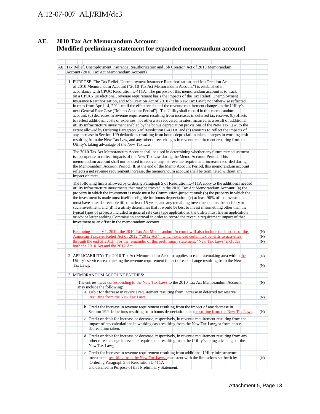## **AE. 2010 Tax Act Memorandum Account: [Modified preliminary statement for expanded memorandum account]**

|  |                  | AE. Tax Relief, Unemployment Insurance Reauthorization and Job Creation Act of 2010 Memorandum                                                                                                                             |     |
|--|------------------|----------------------------------------------------------------------------------------------------------------------------------------------------------------------------------------------------------------------------|-----|
|  |                  | Account (2010 Tax Act Memorandum Account)                                                                                                                                                                                  |     |
|  |                  |                                                                                                                                                                                                                            |     |
|  |                  | 1. PURPOSE: The Tax Relief, Unemployment Insurance Reauthorization, and Job Creation Act                                                                                                                                   |     |
|  |                  | of 2010 Memorandum Account ("2010 Tax Act Memorandum Account") is established in                                                                                                                                           |     |
|  |                  | accordance with CPUC Resolution L-411A. The purpose of this memorandum account is to track                                                                                                                                 |     |
|  |                  | on a CPUC-jurisdictional, revenue requirement basis the impacts of the Tax Relief, Unemployment                                                                                                                            |     |
|  |                  | Insurance Reauthorization, and Job Creation Act of 2010 ("The New Tax Law") not otherwise reflected                                                                                                                        |     |
|  |                  | in rates from April 14, 2011 until the effective date of the revenue requirement changes in the Utility's                                                                                                                  |     |
|  |                  | next General Rate Case ("Memo Account Period"). The Utility shall record in this memorandum                                                                                                                                |     |
|  |                  | account: (a) decreases in revenue requirement resulting from increases in deferred tax reserve; (b) offsets                                                                                                                |     |
|  |                  | to reflect additional costs or expenses, not otherwise recovered in rates, incurred as a result of additional<br>utility infrastructure investment enabled by the bonus depreciation provisions of the New Tax Law, to the |     |
|  |                  | extent allowed by Ordering Paragraph 5 of Resolution L-411A; and (c) amounts to reflect the impacts of                                                                                                                     |     |
|  |                  | any decrease in Section 199 deductions resulting from bonus depreciation taken, changes in working cash                                                                                                                    |     |
|  |                  | resulting from the New Tax Law, and any other direct changes in revenue requirement resulting from the                                                                                                                     |     |
|  |                  | Utility's taking advantage of the New Tax Law.                                                                                                                                                                             |     |
|  |                  |                                                                                                                                                                                                                            |     |
|  |                  | The 2010 Tax Act Memorandum Account shall be used in determining whether any future rate adjustment                                                                                                                        |     |
|  |                  | is appropriate to reflect impacts of the New Tax Law during the Memo Account Period. This                                                                                                                                  |     |
|  |                  | memorandum account shall not be used to recover any net revenue requirement increase recorded during<br>the Memorandum Account Period. If, at the end of the Memo Account Period, this memorandum account                  |     |
|  |                  | reflects a net revenue requirement increase, the memorandum account shall be terminated without any                                                                                                                        |     |
|  |                  | impact on rates.                                                                                                                                                                                                           |     |
|  |                  |                                                                                                                                                                                                                            |     |
|  |                  | The following limits allowed by Ordering Paragraph 5 of Resolution L-411A apply to the additional needed                                                                                                                   |     |
|  |                  | utility infrastructure investments that may be tracked in the 2010 Tax Act Memorandum Account: (a) the                                                                                                                     |     |
|  |                  | property in which the investment is made must be Commission-jurisdictional; (b) the property in which the                                                                                                                  |     |
|  |                  | the investment is made must itself be eligible for bonus depreciation; (c) at least 90% of the investment                                                                                                                  |     |
|  |                  | must have a tax depreciable life of at least 15 years, and any remaining investments must be ancillary to<br>such investment; and (d) if a utility determines that it would be best to invest in something other than the  |     |
|  |                  | typical types of projects included in general rate case type applications, the utility must file an application                                                                                                            |     |
|  |                  | or advice letter seeking Commission approval in order to record the revenue requirement impact of that                                                                                                                     |     |
|  |                  | investment as an offset in the memorandum account.                                                                                                                                                                         |     |
|  |                  |                                                                                                                                                                                                                            |     |
|  |                  | Beginning January 1, 2014, the 2010 Tax Act Memorandum Account will also include the impacts of the                                                                                                                        | (N) |
|  |                  | American Taxpayer Relief Act of 2012 ("2012 Act"), which extended certain tax benefits to activities                                                                                                                       | (N) |
|  |                  | through the end of 2013. For the remainder of this preliminary statement, "New Tax Laws" includes                                                                                                                          | (N) |
|  |                  | both the 2010 Act and the 2012 Act.                                                                                                                                                                                        |     |
|  |                  |                                                                                                                                                                                                                            |     |
|  |                  | 2. APPLICABILITY: The 2010 Tax Act Memorandum Account applies to each ratemaking area within the                                                                                                                           | (N) |
|  |                  | Utility's service areas tracking the revenue requirement impact of each change resulting from the New                                                                                                                      |     |
|  | Tax Law <u>s</u> |                                                                                                                                                                                                                            | (N) |
|  |                  | 3. MEMORANDUM ACCOUNT ENTRIES:                                                                                                                                                                                             |     |
|  |                  |                                                                                                                                                                                                                            |     |
|  |                  | The entries made corresponding to the New Tax Laws to the 2010 Tax Act Memorandum Account                                                                                                                                  | (N) |
|  |                  | may include the following:                                                                                                                                                                                                 |     |
|  |                  | a. Debit for decrease in revenue requirement resulting from increase in deferred tax reserve                                                                                                                               |     |
|  |                  | resulting from the New Tax Laws.                                                                                                                                                                                           | (N) |
|  |                  |                                                                                                                                                                                                                            |     |
|  |                  | b. Credit for increase in revenue requirement resulting from the impact of any decrease in                                                                                                                                 |     |
|  |                  | Section 199 deductions resulting from bonus depreciation taken resulting from the New Tax Laws.                                                                                                                            | (N) |
|  |                  | c. Credit or debit for increase or decrease, respectively, in revenue requirement resulting from the                                                                                                                       |     |
|  |                  | impact of any calculations in working cash resulting from the New Tax Laws or from bonus                                                                                                                                   |     |
|  |                  | depreciation taken.                                                                                                                                                                                                        |     |
|  |                  | d. Credit or debit for increase or decrease, respectively, in revenue requirement resulting from any                                                                                                                       |     |
|  |                  | other direct change in revenue requirement resulting from the Utility's taking advantage of the                                                                                                                            |     |
|  |                  | New Tax Laws.                                                                                                                                                                                                              |     |
|  |                  |                                                                                                                                                                                                                            |     |
|  |                  | e. Credit for increase in revenue requirement resulting from additional Utility infrastructure                                                                                                                             |     |
|  |                  | investment, resulting from the New Tax Laws, consistent with the limitations set forth by                                                                                                                                  | (N) |
|  |                  | Ordering Paragraph 5 of Resolution L-411A<br>and detailed in Purpose of this Preliminary Statement.                                                                                                                        |     |
|  |                  |                                                                                                                                                                                                                            |     |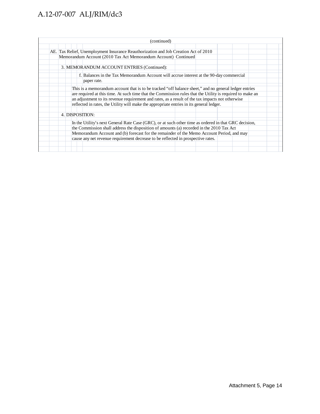## A.12-07-007 ALJ/RIM/dc3

|  |  | (continued)                                                                                               |  |  |  |
|--|--|-----------------------------------------------------------------------------------------------------------|--|--|--|
|  |  |                                                                                                           |  |  |  |
|  |  | AE. Tax Relief, Unemployment Insurance Reauthorization and Job Creation Act of 2010                       |  |  |  |
|  |  | Memorandum Account (2010 Tax Act Memorandum Account) Continued                                            |  |  |  |
|  |  |                                                                                                           |  |  |  |
|  |  | 3. MEMORANDUM ACCOUNT ENTRIES (Continued):                                                                |  |  |  |
|  |  | f. Balances in the Tax Memorandum Account will accrue interest at the 90-day commercial                   |  |  |  |
|  |  | paper rate.                                                                                               |  |  |  |
|  |  | This is a memorandum account that is to be tracked "off balance sheet," and no general ledger entries     |  |  |  |
|  |  | are required at this time. At such time that the Commission rules that the Utility is required to make an |  |  |  |
|  |  | an adjustment to its revenue requirement and rates, as a result of the tax impacts not otherwise          |  |  |  |
|  |  | reflected in rates, the Utility will make the appropriate entries in its general ledger.                  |  |  |  |
|  |  |                                                                                                           |  |  |  |
|  |  | 4. DISPOSITION:                                                                                           |  |  |  |
|  |  |                                                                                                           |  |  |  |
|  |  | In the Utility's next General Rate Case (GRC), or at such other time as ordered in that GRC decision,     |  |  |  |
|  |  | the Commission shall address the disposition of amounts (a) recorded in the 2010 Tax Act                  |  |  |  |
|  |  | Memorandum Account and (b) forecast for the remainder of the Memo Account Period, and may                 |  |  |  |
|  |  | cause any net revenue requirement decrease to be reflected in prospective rates.                          |  |  |  |
|  |  |                                                                                                           |  |  |  |
|  |  |                                                                                                           |  |  |  |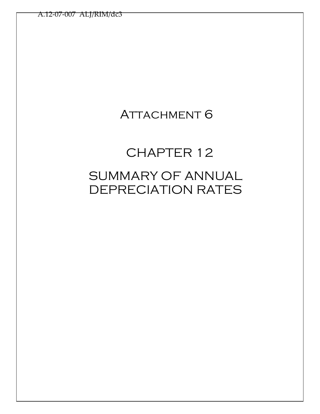## **ATTACHMENT 6**

# CHAPTER 12 SUMMARY OF ANNUAL DEPRECIATION RATES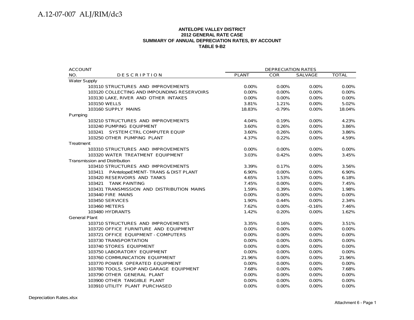#### **ANTELOPE VALLEY DISTRICT 2012 GENERAL RATE CASE SUMMARY OF ANNUAL DEPRECIATION RATES, BY ACCOUNT TABLE 9-B2**

| <b>ACCOUNT</b>                              |              | DEPRECIATION RATES |          |              |
|---------------------------------------------|--------------|--------------------|----------|--------------|
| NO.<br><b>DESCRIPTION</b>                   | <b>PLANT</b> | <b>COR</b>         | SALVAGE  | <b>TOTAL</b> |
| <b>Water Supply</b>                         |              |                    |          |              |
| 103110 STRUCTURES AND IMPROVEMENTS          | 0.00%        | $0.00\%$           | $0.00\%$ | 0.00%        |
| 103120 COLLECTING AND IMPOUNDING RESERVOIRS | $0.00\%$     | $0.00\%$           | $0.00\%$ | $0.00\%$     |
| 103130 LAKE, RIVER AND OTHER INTAKES        | 0.00%        | 0.00%              | 0.00%    | 0.00%        |
| 103150 WELLS                                | 3.81%        | 1.21%              | 0.00%    | 5.02%        |
| 103160 SUPPLY MAINS                         | 18.83%       | $-0.79%$           | 0.00%    | 18.04%       |
| Pumping                                     |              |                    |          |              |
| 103210 STRUCTURES AND IMPROVEMENTS          | 4.04%        | 0.19%              | 0.00%    | 4.23%        |
| 103240 PUMPING EQUIPMENT                    | 3.60%        | 0.26%              | $0.00\%$ | 3.86%        |
| 103241 SYSTEM CTRL COMPUTER EQUIP           | 3.60%        | 0.26%              | 0.00%    | 3.86%        |
| 103250 OTHER PUMPING PLANT                  | 4.37%        | 0.22%              | 0.00%    | 4.59%        |
| Treatment                                   |              |                    |          |              |
| 103310 STRUCTURES AND IMPROVEMENTS          | 0.00%        | 0.00%              | 0.00%    | 0.00%        |
| 103320 WATER TREATMENT EQUIPMENT            | 3.03%        | 0.42%              | 0.00%    | 3.45%        |
| <b>Transmission and Distribution</b>        |              |                    |          |              |
| 103410 STRUCTURES AND IMPROVEMENTS          | 3.39%        | 0.17%              | 0.00%    | 3.56%        |
| 103411 PAntelopeEMENT-TRANS & DIST PLANT    | 6.90%        | $0.00\%$           | $0.00\%$ | 6.90%        |
| 103420 RESERVOIRS AND TANKS                 | 4.65%        | 1.53%              | 0.00%    | 6.18%        |
| 103421 TANK PAINTING                        | 7.45%        | 0.00%              | $0.00\%$ | 7.45%        |
| 103431 TRANSMISSION AND DISTRIBUTION MAINS  | 1.59%        | 0.39%              | 0.00%    | 1.98%        |
| 103440 FIRE MAINS                           | 0.00%        | 0.00%              | 0.00%    | 0.00%        |
| 103450 SERVICES                             | 1.90%        | 0.44%              | 0.00%    | 2.34%        |
| 103460 METERS                               | 7.62%        | 0.00%              | $-0.16%$ | 7.46%        |
| 103480 HYDRANTS                             | 1.42%        | 0.20%              | 0.00%    | 1.62%        |
| <b>General Plant</b>                        |              |                    |          |              |
| 103710 STRUCTURES AND IMPROVEMENTS          | 3.35%        | 0.16%              | 0.00%    | 3.51%        |
| 103720 OFFICE FURNITURE AND EQUIPMENT       | 0.00%        | 0.00%              | 0.00%    | 0.00%        |
| 103721 OFFICE EQUIPMENT - COMPUTERS         | $0.00\%$     | 0.00%              | 0.00%    | $0.00\%$     |
| 103730 TRANSPORTATION                       | 0.00%        | 0.00%              | 0.00%    | 0.00%        |
| 103740 STORES EQUIPMENT                     | 0.00%        | 0.00%              | 0.00%    | $0.00\%$     |
| 103750 LABORATORY EQUIPMENT                 | $0.00\%$     | 0.00%              | $0.00\%$ | $0.00\%$     |
| 103760 COMMUNICATION EQUIPMENT              | 21.96%       | 0.00%              | 0.00%    | 21.96%       |
| 103770 POWER OPERATED EQUIPMENT             | $0.00\%$     | 0.00%              | $0.00\%$ | 0.00%        |
| 103780 TOOLS, SHOP AND GARAGE EQUIPMENT     | 7.68%        | 0.00%              | 0.00%    | 7.68%        |
| 103790 OTHER GENERAL PLANT                  | 0.00%        | 0.00%              | 0.00%    | 0.00%        |
| 103900 OTHER TANGIBLE PLANT                 | 0.00%        | 0.00%              | 0.00%    | 0.00%        |
| 103910 UTILITY PLANT PURCHASED              | 0.00%        | 0.00%              | 0.00%    | 0.00%        |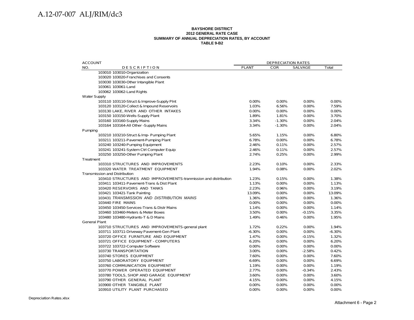#### **BAYSHORE DISTRICT 2012 GENERAL RATE CASE SUMMARY OF ANNUAL DEPRECIATION RATES, BY ACCOUNT TABLE 9-B2**

| <b>ACCOUNT</b>                                                  |              | <b>DEPRECIATION RATES</b> |                |          |
|-----------------------------------------------------------------|--------------|---------------------------|----------------|----------|
| NO.<br><b>DESCRIPTION</b>                                       | <b>PLANT</b> | <b>COR</b>                | <b>SALVAGE</b> | Total    |
| 103010 103010-Organization                                      |              |                           |                |          |
| 103020 103020-Franchises and Consents                           |              |                           |                |          |
| 103030 103030-Other Intangible Plant                            |              |                           |                |          |
| 103061 103061-Land                                              |              |                           |                |          |
| 103062 103062-Land Rights                                       |              |                           |                |          |
| <b>Water Supply</b>                                             |              |                           |                |          |
| 103110 103110-Struct & Improve-Supply Pint                      | 0.00%        | 0.00%                     | 0.00%          | 0.00%    |
| 103120 103120-Collect & Impound Reservoirs                      | 1.03%        | 6.56%                     | 0.00%          | 7.59%    |
| 103130 LAKE, RIVER AND OTHER INTAKES                            | 0.00%        | 0.00%                     | 0.00%          | 0.00%    |
| 103150 103150-Wells-Supply Plant                                | 1.89%        | 1.81%                     | 0.00%          | 3.70%    |
| 103160 103160-Supply Mains                                      | 3.34%        | $-1.30%$                  | 0.00%          | 2.04%    |
| 103164 103164-All Other - Supply Mains                          | 3.34%        | $-1.30%$                  | 0.00%          | 2.04%    |
| Pumping                                                         |              |                           |                |          |
| 103210 103210-Struct & Imp- Pumping Plant                       | 5.65%        | 1.15%                     | 0.00%          | 6.80%    |
| 103211 103211-Pavement-Pumping Plant                            | 6.78%        | 0.00%                     | 0.00%          | 6.78%    |
| 103240 103240-Pumping Equipment                                 | 2.46%        | 0.11%                     | 0.00%          | 2.57%    |
| 103241 103241-System Ctrl Computer Equip                        | 2.46%        | 0.11%                     | 0.00%          | 2.57%    |
| 103250 103250-Other Pumping Plant                               | 2.74%        | 0.25%                     | 0.00%          | 2.99%    |
| Treatment                                                       |              |                           |                |          |
| 103310 STRUCTURES AND IMPROVEMENTS                              | 2.23%        | 0.10%                     | 0.00%          | 2.33%    |
| 103320 WATER TREATMENT EQUIPMENT                                | 1.94%        | 0.08%                     | 0.00%          | 2.02%    |
| Transmission and Distribution                                   |              |                           |                |          |
| 103410 STRUCTURES AND IMPROVEMENTS-tranmission and distribution | 1.23%        | 0.15%                     | 0.00%          | 1.38%    |
| 103411 103411-Pavement-Trans & Dist Plant                       | 1.13%        | 0.00%                     | 0.00%          | 1.13%    |
| 103420 RESERVOIRS AND TANKS                                     | 2.23%        | 0.96%                     | 0.00%          | 3.19%    |
| 103421 103421-Tank Painting                                     | 13.09%       | 0.00%                     | 0.00%          | 13.09%   |
| 103431 TRANSMISSION AND DISTRIBUTION MAINS                      | 1.36%        | 0.00%                     | 0.00%          | 1.36%    |
| 103440 FIRE MAINS                                               | 0.00%        | 0.00%                     | 0.00%          | 0.00%    |
| 103450 103450-Services-Trans & Distr Mains                      | 1.14%        | 0.00%                     | 0.00%          | 1.14%    |
| 103460 103460-Meters & Meter Boxes                              | 3.50%        | 0.00%                     | $-0.15%$       | 3.35%    |
| 103480 103480-Hydrants-T & D Mains                              | 1.49%        | 0.46%                     | 0.00%          | 1.95%    |
| <b>General Plant</b>                                            |              |                           |                |          |
| 103710 STRUCTURES AND IMPROVEMENTS-general plant                | 1.72%        | 0.22%                     | 0.00%          | 1.94%    |
| 103711 103711-Driveway Pavement-Gen Plant                       | $-6.30%$     | 0.00%                     | 0.00%          | $-6.30%$ |
| 103720 OFFICE FURNITURE AND EQUIPMENT                           | 1.47%        | 0.00%                     | $-0.15%$       | 1.32%    |
| 103721 OFFICE EQUIPMENT - COMPUTERS                             | 6.20%        | 0.00%                     | 0.00%          | 6.20%    |
| 103722 103722-Computer Software                                 | 0.00%        | 0.00%                     | 0.00%          | 0.00%    |
| 103730 TRANSPORTATION                                           | 3.00%        | 0.00%                     | $-2.58%$       | 0.42%    |
| 103740 STORES EQUIPMENT                                         | 7.60%        | 0.00%                     | 0.00%          | 7.60%    |
| 103750 LABORATORY EQUIPMENT                                     | 6.69%        | 0.00%                     | 0.00%          | 6.69%    |
| 103760 COMMUNICATION EQUIPMENT                                  | 1.19%        | 0.00%                     | 0.00%          | 1.19%    |
| 103770 POWER OPERATED EQUIPMENT                                 | 2.77%        | 0.00%                     | $-0.34%$       | 2.43%    |
| 103780 TOOLS, SHOP AND GARAGE EQUIPMENT                         | 3.60%        | 0.00%                     | 0.00%          | 3.60%    |
| 103790 OTHER GENERAL PLANT                                      | 4.15%        | 0.00%                     | 0.00%          | 4.15%    |
| 103900 OTHER TANGIBLE PLANT                                     | 0.00%        | 0.00%                     | 0.00%          | 0.00%    |
|                                                                 |              |                           |                | 0.00%    |
| 103910 UTILITY PLANT PURCHASED                                  | 0.00%        | 0.00%                     | $0.00\%$       |          |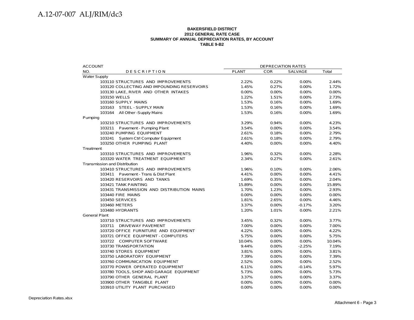#### **BAKERSFIELD DISTRICT 2012 GENERAL RATE CASE SUMMARY OF ANNUAL DEPRECIATION RATES, BY ACCOUNT TABLE 9-B2**

| <b>ACCOUNT</b>                              |              | <b>DEPRECIATION RATES</b> |          |        |
|---------------------------------------------|--------------|---------------------------|----------|--------|
| NO.<br><b>DESCRIPTION</b>                   | <b>PLANT</b> | COR                       | SALVAGE  | Total  |
| <b>Water Supply</b>                         |              |                           |          |        |
| 103110 STRUCTURES AND IMPROVEMENTS          | 2.22%        | 0.22%                     | $0.00\%$ | 2.44%  |
| 103120 COLLECTING AND IMPOUNDING RESERVOIRS | 1.45%        | 0.27%                     | 0.00%    | 1.72%  |
| 103130 LAKE, RIVER AND OTHER INTAKES        | $0.00\%$     | 0.00%                     | 0.00%    | 0.00%  |
| 103150 WELLS                                | 1.22%        | 1.51%                     | 0.00%    | 2.73%  |
| 103160 SUPPLY MAINS                         | 1.53%        | 0.16%                     | 0.00%    | 1.69%  |
| 103163 STEEL - SUPPLY MAIN                  | 1.53%        | 0.16%                     | 0.00%    | 1.69%  |
| 103164 All Other -Supply Mains              | 1.53%        | 0.16%                     | 0.00%    | 1.69%  |
| Pumping                                     |              |                           |          |        |
| 103210 STRUCTURES AND IMPROVEMENTS          | 3.29%        | 0.94%                     | 0.00%    | 4.23%  |
| 103211 Pavement - Pumping Plant             | 3.54%        | 0.00%                     | 0.00%    | 3.54%  |
| 103240 PUMPING EQUIPMENT                    | 2.61%        | 0.18%                     | 0.00%    | 2.79%  |
| 103241 System Ctrl Computer Equipment       | 2.61%        | 0.18%                     | 0.00%    | 2.79%  |
| 103250 OTHER PUMPING PLANT                  | 4.40%        | 0.00%                     | 0.00%    | 4.40%  |
| Treatment                                   |              |                           |          |        |
| 103310 STRUCTURES AND IMPROVEMENTS          | 1.96%        | 0.32%                     | $0.00\%$ | 2.28%  |
| 103320 WATER TREATMENT EQUIPMENT            | 2.34%        | 0.27%                     | 0.00%    | 2.61%  |
| <b>Transmission and Distribution</b>        |              |                           |          |        |
| 103410 STRUCTURES AND IMPROVEMENTS          | 1.96%        | 0.10%                     | 0.00%    | 2.06%  |
| 103411 Pavement - Trans & Dist Plant        | 4.41%        | 0.00%                     | 0.00%    | 4.41%  |
| 103420 RESERVOIRS AND TANKS                 | 1.69%        | 0.35%                     | $0.00\%$ | 2.04%  |
| 103421 TANK PAINTING                        | 15.89%       | 0.00%                     | $0.00\%$ | 15.89% |
| 103431 TRANSMISSION AND DISTRIBUTION MAINS  | 1.70%        | 1.23%                     | 0.00%    | 2.93%  |
| 103440 FIRE MAINS                           | 0.00%        | 0.00%                     | 0.00%    | 0.00%  |
| 103450 SERVICES                             | 1.81%        | 2.65%                     | 0.00%    | 4.46%  |
| 103460 METERS                               | 3.37%        | 0.00%                     | $-0.17%$ | 3.20%  |
| 103480 HYDRANTS                             | 1.20%        | 1.01%                     | 0.00%    | 2.21%  |
| <b>General Plant</b>                        |              |                           |          |        |
| 103710 STRUCTURES AND IMPROVEMENTS          | 3.45%        | 0.32%                     | 0.00%    | 3.77%  |
| 103711 DRIVEWAY PAVEMENT                    | 7.00%        | 0.00%                     | 0.00%    | 7.00%  |
| 103720 OFFICE FURNITURE AND EQUIPMENT       | 4.22%        | 0.00%                     | 0.00%    | 4.22%  |
| 103721 OFFICE EQUIPMENT - COMPUTERS         | 5.75%        | 0.00%                     | 0.00%    | 5.75%  |
| 103722 COMPUTER SOFTWARE                    | 10.04%       | 0.00%                     | 0.00%    | 10.04% |
| 103730 TRANSPORTATION                       | 9.44%        | $0.00\%$                  | $-2.25%$ | 7.19%  |
| 103740 STORES EQUIPMENT                     | 3.81%        | 0.00%                     | 0.00%    | 3.81%  |
| 103750 LABORATORY EQUIPMENT                 | 7.39%        | 0.00%                     | 0.00%    | 7.39%  |
| 103760 COMMUNICATION EQUIPMENT              | 2.52%        | 0.00%                     | 0.00%    | 2.52%  |
| 103770 POWER OPERATED EQUIPMENT             | 6.11%        | 0.00%                     | $-0.14%$ | 5.97%  |
| 103780 TOOLS, SHOP AND GARAGE EQUIPMENT     | 5.73%        | 0.00%                     | 0.00%    | 5.73%  |
| 103790 OTHER GENERAL PLANT                  | 3.37%        | 0.00%                     | 0.00%    | 3.37%  |
| 103900 OTHER TANGIBLE PLANT                 | 0.00%        | 0.00%                     | 0.00%    | 0.00%  |
| 103910 UTILITY PLANT PURCHASED              | 0.00%        | 0.00%                     | 0.00%    | 0.00%  |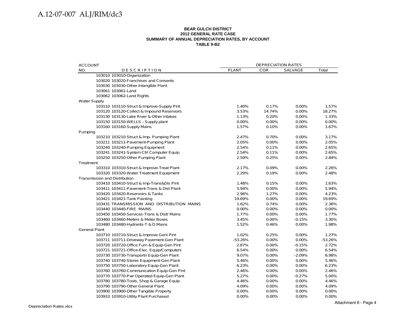#### **BEAR GULCH DISTRICT 2012 GENERAL RATE CASE SUMMARY OF ANNUAL DEPRECIATION RATES, BY ACCOUNT TABLE 9-B2**

| <b>ACCOUNT</b>                             |              | DEPRECIATION RATES |          |           |
|--------------------------------------------|--------------|--------------------|----------|-----------|
| NO.<br><b>DESCRIPTION</b>                  | <b>PLANT</b> | <b>COR</b>         | SALVAGE  | Total     |
| 103010 103010-Organization                 |              |                    |          |           |
| 103020 103020-Franchises and Consents      |              |                    |          |           |
| 103030 103030-Other Intangible Plant       |              |                    |          |           |
| 103061 103061-Land                         |              |                    |          |           |
| 103062 103062-Land Rights                  |              |                    |          |           |
| <b>Water Supply</b>                        |              |                    |          |           |
| 103110 103110-Struct & Improve-Supply Pint | 1.40%        | 0.17%              | 0.00%    | 1.57%     |
| 103120 103120-Collect & Impound Reservoirs | 3.53%        | 14.74%             | 0.00%    | 18.27%    |
| 103130 103130-Lake River & Other Intakes   | 1.13%        | 0.20%              | 0.00%    | 1.33%     |
| 103150 103150-WELLS - Supply plant         | 0.00%        | 0.00%              | 0.00%    | 0.00%     |
| 103160 103160-Supply Mains                 | 1.57%        | 0.10%              | 0.00%    | 1.67%     |
| Pumping                                    |              |                    |          |           |
| 103210 103210-Struct & Imp- Pumping Plant  | 2.47%        | 0.70%              | $0.00\%$ | 3.17%     |
| 103211 103211-Pavement-Pumping Plant       | 2.05%        | 0.00%              | 0.00%    | 2.05%     |
| 103240 103240-Pumping Equipment            | 2.54%        | 0.11%              | 0.00%    | 2.65%     |
| 103241 103241-System Ctrl Computer Equip   | 2.54%        | 0.11%              | 0.00%    | 2.65%     |
| 103250 103250-Other Pumping Plant          | 2.59%        | 0.25%              | 0.00%    | 2.84%     |
| Treatment                                  |              |                    |          |           |
| 103310 103310-Struct & Improve-Treat Plant | 2.17%        | 0.09%              | 0.00%    | 2.26%     |
| 103320 103320-Water Treatment Equipment    | 2.29%        | 0.19%              | 0.00%    | 2.48%     |
| <b>Transmission and Distribution</b>       |              |                    |          |           |
| 103410 103410-Struct & Imp-Trans&Dis Plnt  | 1.48%        | 0.15%              | 0.00%    | 1.63%     |
| 103411 103411-Pavement-Trans & Dist Plant  | 5.94%        | 0.00%              | 0.00%    | 5.94%     |
| 103420 103420-Reservoirs & Tanks           | 2.96%        | 1.27%              | 0.00%    | 4.23%     |
| 103421 103421-Tank Painting                | 19.69%       | 0.00%              | 0.00%    | 19.69%    |
| 103431 TRANSMISSION AND DISTRIBUTION MAINS | 1.62%        | 0.74%              | 0.00%    | 2.36%     |
| 103440 103440-FIRE MAINS                   | 0.00%        | 0.00%              | 0.00%    | 0.00%     |
| 103450 103450-Services-Trans & Distr Mains | 1.77%        | 0.00%              | 0.00%    | 1.77%     |
| 103460 103460-Meters & Meter Boxes         | 3.45%        | 0.00%              | $-0.15%$ | 3.30%     |
| 103480 103480-Hydrants-T & D Mains         | 1.52%        | 0.46%              | 0.00%    | 1.98%     |
| <b>General Plant</b>                       |              |                    |          |           |
| 103710 103710-Struct & Improve Genl Plnt   | 1.02%        | 0.25%              | 0.00%    | 1.27%     |
| 103711 103711-Driveway Pavement-Gen Plant  | $-53.26%$    | 0.00%              | 0.00%    | $-53.26%$ |
| 103720 103720-Office Furn & Equip-Gen Plnt | 2.87%        | 0.00%              | $-0.15%$ | 2.72%     |
| 103721 103721-Office-Elec. Equip/Computers | 6.54%        | 0.00%              | 0.00%    | 6.54%     |
| 103730 103730-Transportn Equip-Gen Plant   | 9.07%        | 0.00%              | $-2.09%$ | 6.98%     |
| 103740 103740-Stores Equipment-Gen Plant   | 5.46%        | 0.00%              | 0.00%    | 5.46%     |
| 103750 103750-Laboratory Equip-Gen Plant   | 6.23%        | 0.00%              | 0.00%    | 6.23%     |
| 103760 103760-Communication Equip-Gen Plnt | 2.46%        | 0.00%              | 0.00%    | 2.46%     |
| 103770 103770-Pwr Operated Equip-Gen Plant | 5.27%        | 0.00%              | $-0.27%$ | 5.00%     |
| 103780 103780-Tools, Shop & Garage Equip   | 4.46%        | 0.00%              | 0.00%    | 4.46%     |
| 103790 103790-Other General Plant          | 4.09%        | 0.00%              | 0.00%    | 4.09%     |
| 103900 103900-Other Tangible Property      | 0.00%        | 0.00%              | 0.00%    | 0.00%     |
| 103910 103910-Utility Plant Purchased      | 0.00%        | 0.00%              | 0.00%    | 0.00%     |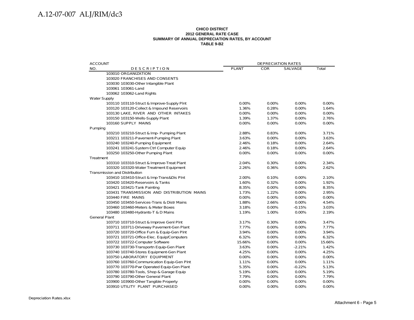#### **CHICO DISTRICT 2012 GENERAL RATE CASE SUMMARY OF ANNUAL DEPRECIATION RATES, BY ACCOUNT TABLE 9-B2**

| <b>ACCOUNT</b>                             |              | <b>DEPRECIATION RATES</b> |          |        |
|--------------------------------------------|--------------|---------------------------|----------|--------|
| NO.<br>DESCRIPTION                         | <b>PLANT</b> | <b>COR</b>                | SALVAGE  | Total  |
| 103010 ORGANIZATION                        |              |                           |          |        |
| 103020 FRANCHISES AND CONSENTS             |              |                           |          |        |
| 103030 103030-Other Intangible Plant       |              |                           |          |        |
| 103061 103061-Land                         |              |                           |          |        |
| 103062 103062-Land Rights                  |              |                           |          |        |
| <b>Water Supply</b>                        |              |                           |          |        |
| 103110 103110-Struct & Improve-Supply Plnt | 0.00%        | 0.00%                     | 0.00%    | 0.00%  |
| 103120 103120-Collect & Impound Reservoirs | 1.36%        | 0.28%                     | 0.00%    | 1.64%  |
| 103130 LAKE, RIVER AND OTHER INTAKES       | 0.00%        | 0.00%                     | 0.00%    | 0.00%  |
| 103150 103150-Wells-Supply Plant           | 1.39%        | 1.37%                     | 0.00%    | 2.76%  |
| 103160 SUPPLY MAINS                        | 0.00%        | 0.00%                     | 0.00%    | 0.00%  |
| Pumping                                    |              |                           |          |        |
| 103210 103210-Struct & Imp- Pumping Plant  | 2.88%        | 0.83%                     | 0.00%    | 3.71%  |
| 103211 103211-Pavement-Pumping Plant       | 3.63%        | 0.00%                     | 0.00%    | 3.63%  |
| 103240 103240-Pumping Equipment            | 2.46%        | 0.18%                     | 0.00%    | 2.64%  |
| 103241 103241-System Ctrl Computer Equip   | 2.46%        | 0.18%                     | 0.00%    | 2.64%  |
| 103250 103250-Other Pumping Plant          | $0.00\%$     | 0.00%                     | $0.00\%$ | 0.00%  |
| Treatment                                  |              |                           |          |        |
| 103310 103310-Struct & Improve-Treat Plant | 2.04%        | 0.30%                     | 0.00%    | 2.34%  |
| 103320 103320-Water Treatment Equipment    | 2.26%        | 0.36%                     | 0.00%    | 2.62%  |
| Transmission and Distribution              |              |                           |          |        |
| 103410 103410-Struct & Imp-Trans&Dis Plnt  | 2.00%        | 0.10%                     | 0.00%    | 2.10%  |
| 103420 103420-Reservoirs & Tanks           | 1.60%        | 0.32%                     | 0.00%    | 1.92%  |
| 103421 103421-Tank Painting                | 8.35%        | 0.00%                     | 0.00%    | 8.35%  |
| 103431 TRANSMISSION AND DISTRIBUTION MAINS | 1.73%        | 1.22%                     | 0.00%    | 2.95%  |
| 103440 FIRE MAINS                          | 0.00%        | 0.00%                     | 0.00%    | 0.00%  |
| 103450 103450-Services-Trans & Distr Mains | 1.88%        | 2.66%                     | 0.00%    | 4.54%  |
| 103460 103460-Meters & Meter Boxes         | 3.18%        | 0.00%                     | $-0.15%$ | 3.03%  |
| 103480 103480-Hydrants-T & D Mains         | 1.19%        | 1.00%                     | $0.00\%$ | 2.19%  |
| <b>General Plant</b>                       |              |                           |          |        |
| 103710 103710-Struct & Improve Genl Plnt   | 3.17%        | 0.30%                     | 0.00%    | 3.47%  |
| 103711 103711-Driveway Pavement-Gen Plant  | 7.77%        | 0.00%                     | 0.00%    | 7.77%  |
| 103720 103720-Office Furn & Equip-Gen Plnt | 3.94%        | 0.00%                     | 0.00%    | 3.94%  |
| 103721 103721-Office-Elec. Equip/Computers | 6.32%        | 0.00%                     | $0.00\%$ | 6.32%  |
| 103722 103722-Computer Software            | 15.66%       | 0.00%                     | 0.00%    | 15.66% |
| 103730 103730-Transportn Equip-Gen Plant   | 3.63%        | 0.00%                     | $-2.21%$ | 1.42%  |
| 103740 103740-Stores Equipment-Gen Plant   | 4.25%        | 0.00%                     | 0.00%    | 4.25%  |
| 103750 LABORATORY EQUIPMENT                | 0.00%        | 0.00%                     | 0.00%    | 0.00%  |
| 103760 103760-Communication Equip-Gen PInt | 1.11%        | 0.00%                     | 0.00%    | 1.11%  |
| 103770 103770-Pwr Operated Equip-Gen Plant | 5.35%        | 0.00%                     | $-0.22%$ | 5.13%  |
| 103780 103780-Tools, Shop & Garage Equip   | 5.19%        | 0.00%                     | 0.00%    | 5.19%  |
| 103790 103790-Other General Plant          | 7.79%        | 0.00%                     | 0.00%    | 7.79%  |
| 103900 103900-Other Tangible Property      | $0.00\%$     | 0.00%                     | 0.00%    | 0.00%  |
| 103910 UTILITY PLANT PURCHASED             | 0.00%        | 0.00%                     | 0.00%    | 0.00%  |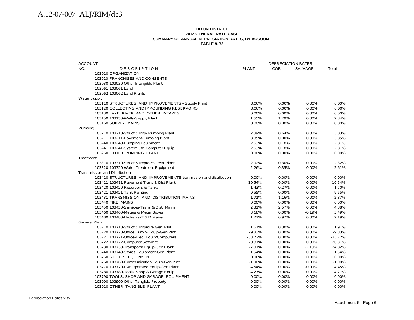#### **DIXON DISTRICT 2012 GENERAL RATE CASE SUMMARY OF ANNUAL DEPRECIATION RATES, BY ACCOUNT TABLE 9-B2**

| <b>ACCOUNT</b>       |                                                                 |              | <b>DEPRECIATION RATES</b> |                |           |
|----------------------|-----------------------------------------------------------------|--------------|---------------------------|----------------|-----------|
| NO.                  | <b>DESCRIPTION</b>                                              | <b>PLANT</b> | <b>COR</b>                | <b>SALVAGE</b> | Total     |
|                      | 103010 ORGANIZATION                                             |              |                           |                |           |
|                      | 103020 FRANCHISES AND CONSENTS                                  |              |                           |                |           |
|                      | 103030 103030-Other Intangible Plant                            |              |                           |                |           |
|                      | 103061 103061-Land                                              |              |                           |                |           |
|                      | 103062 103062-Land Rights                                       |              |                           |                |           |
| <b>Water Supply</b>  |                                                                 |              |                           |                |           |
|                      | 103110 STRUCTURES AND IMPROVEMENTS - Supply Plant               | 0.00%        | 0.00%                     | 0.00%          | 0.00%     |
|                      | 103120 COLLECTING AND IMPOUNDING RESERVOIRS                     | 0.00%        | $0.00\%$                  | $0.00\%$       | $0.00\%$  |
|                      | 103130 LAKE, RIVER AND OTHER INTAKES                            | 0.00%        | 0.00%                     | 0.00%          | 0.00%     |
|                      | 103150 103150-Wells-Supply Plant                                | 1.55%        | 1.29%                     | 0.00%          | 2.84%     |
|                      | 103160 SUPPLY MAINS                                             | 0.00%        | $0.00\%$                  | 0.00%          | 0.00%     |
| Pumping              |                                                                 |              |                           |                |           |
|                      | 103210 103210-Struct & Imp- Pumping Plant                       | 2.39%        | 0.64%                     | 0.00%          | 3.03%     |
|                      | 103211 103211-Pavement-Pumping Plant                            | 3.85%        | $0.00\%$                  | $0.00\%$       | 3.85%     |
|                      | 103240 103240-Pumping Equipment                                 | 2.63%        | 0.18%                     | 0.00%          | 2.81%     |
|                      | 103241 103241-System Ctrl Computer Equip                        | 2.63%        | 0.18%                     | $0.00\%$       | 2.81%     |
|                      | 103250 OTHER PUMPING PLANT                                      | 0.00%        | $0.00\%$                  | 0.00%          | 0.00%     |
| Treatment            |                                                                 |              |                           |                |           |
|                      | 103310 103310-Struct & Improve-Treat Plant                      | 2.02%        | 0.30%                     | 0.00%          | 2.32%     |
|                      | 103320 103320-Water Treatment Equipment                         | 2.26%        | 0.35%                     | 0.00%          | 2.61%     |
|                      | <b>Transmission and Distribution</b>                            |              |                           |                |           |
|                      | 103410 STRUCTURES AND IMPROVEMENTS-tranmission and distribution | 0.00%        | 0.00%                     | 0.00%          | 0.00%     |
|                      | 103411 103411-Pavement-Trans & Dist Plant                       | 10.54%       | 0.00%                     | 0.00%          | 10.54%    |
|                      | 103420 103420-Reservoirs & Tanks                                | 1.43%        | 0.27%                     | 0.00%          | 1.70%     |
|                      | 103421 103421-Tank Painting                                     | 9.55%        | 0.00%                     | 0.00%          | 9.55%     |
|                      | 103431 TRANSMISSION AND DISTRIBUTION MAINS                      | 1.71%        | 1.16%                     | 0.00%          | 2.87%     |
|                      | 103440 FIRE MAINS                                               | 0.00%        | $0.00\%$                  | $0.00\%$       | 0.00%     |
|                      | 103450 103450-Services-Trans & Distr Mains                      | 2.31%        | 2.57%                     | 0.00%          | 4.88%     |
|                      | 103460 103460-Meters & Meter Boxes                              | 3.68%        | 0.00%                     | $-0.19%$       | 3.49%     |
|                      | 103480 103480-Hydrants-T & D Mains                              | 1.22%        | 0.97%                     | 0.00%          | 2.19%     |
| <b>General Plant</b> |                                                                 |              |                           |                |           |
|                      | 103710 103710-Struct & Improve Genl Plnt                        | 1.61%        | 0.30%                     | 0.00%          | 1.91%     |
|                      | 103720 103720-Office Furn & Equip-Gen Plnt                      | $-9.83%$     | $0.00\%$                  | $0.00\%$       | $-9.83%$  |
|                      | 103721 103721-Office-Elec. Equip/Computers                      | $-33.72%$    | 0.00%                     | 0.00%          | $-33.72%$ |
|                      | 103722 103722-Computer Software                                 | 20.31%       | $0.00\%$                  | $0.00\%$       | 20.31%    |
|                      | 103730 103730-Transportn Equip-Gen Plant                        | 27.01%       | 0.00%                     | $-2.19%$       | 24.82%    |
|                      | 103740 103740-Stores Equipment-Gen Plant                        | 1.54%        | 0.00%                     | 0.00%          | 1.54%     |
|                      | 103750 STORES EQUIPMENT                                         | 0.00%        | $0.00\%$                  | 0.00%          | $0.00\%$  |
|                      | 103760 103760-Communication Equip-Gen Plnt                      | $-1.90%$     | 0.00%                     | 0.00%          | $-1.90%$  |
|                      | 103770 103770-Pwr Operated Equip-Gen Plant                      | 4.54%        | $0.00\%$                  | $-0.09%$       | 4.45%     |
|                      | 103780 103780-Tools, Shop & Garage Equip                        | 4.27%        | $0.00\%$                  | 0.00%          | 4.27%     |
|                      | 103790 TOOLS, SHOP AND GARAGE EQUIPMENT                         | 0.00%        | $0.00\%$                  | 0.00%          | 0.00%     |
|                      | 103900 103900-Other Tangible Property                           | 0.00%        | $0.00\%$                  | $0.00\%$       | 0.00%     |
|                      | 103910 OTHER TANGIBLE PLANT                                     | 0.00%        | 0.00%                     | 0.00%          | 0.00%     |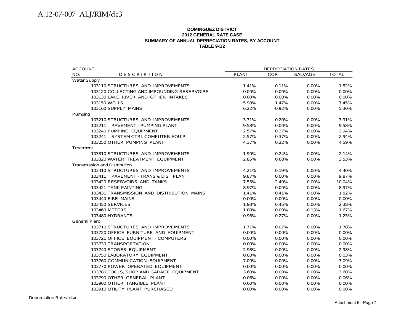#### **DOMINGUEZ DISTRICT 2012 GENERAL RATE CASESUMMARY OF ANNUAL DEPRECIATION RATES, BY ACCOUNT TABLE 9-B2**

| <b>ACCOUNT</b>                              |              | <b>DEPRECIATION RATES</b> |          |              |
|---------------------------------------------|--------------|---------------------------|----------|--------------|
| NO.<br><b>DESCRIPTION</b>                   | <b>PLANT</b> | <b>COR</b>                | SALVAGE  | <b>TOTAL</b> |
| <b>Water Supply</b>                         |              |                           |          |              |
| 103110 STRUCTURES AND IMPROVEMENTS          | 1.41%        | 0.11%                     | 0.00%    | 1.52%        |
| 103120 COLLECTING AND IMPOUNDING RESERVOIRS | 0.00%        | $0.00\%$                  | 0.00%    | 0.00%        |
| 103130 LAKE, RIVER AND OTHER INTAKES        | $0.00\%$     | $0.00\%$                  | $0.00\%$ | 0.00%        |
| 103150 WELLS                                | 5.98%        | 1.47%                     | 0.00%    | 7.45%        |
| 103160 SUPPLY MAINS                         | 6.22%        | $-0.92%$                  | 0.00%    | 5.30%        |
| Pumping                                     |              |                           |          |              |
| 103210 STRUCTURES AND IMPROVEMENTS          | 3.71%        | 0.20%                     | 0.00%    | 3.91%        |
| 103211 PAVEMENT - PUMPING PLANT             | 9.58%        | 0.00%                     | 0.00%    | 9.58%        |
| 103240 PUMPING EQUIPMENT                    | 2.57%        | 0.37%                     | $0.00\%$ | 2.94%        |
| 103241 SYSTEM CTRL COMPUTER EQUIP           | 2.57%        | 0.37%                     | 0.00%    | 2.94%        |
| 103250 OTHER PUMPING PLANT                  | 4.37%        | 0.22%                     | $0.00\%$ | 4.59%        |
| Treatment                                   |              |                           |          |              |
| 103310 STRUCTURES AND IMPROVEMENTS          | 1.90%        | 0.24%                     | 0.00%    | 2.14%        |
| 103320 WATER TREATMENT EQUIPMENT            | 2.85%        | 0.68%                     | 0.00%    | 3.53%        |
| <b>Transmission and Distribution</b>        |              |                           |          |              |
| 103410 STRUCTURES AND IMPROVEMENTS          | 4.21%        | 0.19%                     | 0.00%    | 4.40%        |
| 103411 PAVEMENT - TRANS & DIST PLANT        | 9.87%        | 0.00%                     | 0.00%    | 9.87%        |
| 103420 RESERVOIRS AND TANKS                 | 7.55%        | 2.49%                     | 0.00%    | 10.04%       |
| 103421 TANK PAINTING                        | 8.97%        | $0.00\%$                  | 0.00%    | 8.97%        |
| 103431 TRANSMISSION AND DISTRIBUTION MAINS  | 1.41%        | 0.41%                     | 0.00%    | 1.82%        |
| 103440 FIRE MAINS                           | 0.00%        | 0.00%                     | 0.00%    | 0.00%        |
| <b>103450 SERVICES</b>                      | 1.93%        | 0.45%                     | 0.00%    | 2.38%        |
| 103460 METERS                               | 1.80%        | $0.00\%$                  | $-0.13%$ | 1.67%        |
| 103480 HYDRANTS                             | 0.98%        | 0.27%                     | 0.00%    | 1.25%        |
| <b>General Plant</b>                        |              |                           |          |              |
| 103710 STRUCTURES AND IMPROVEMENTS          | 1.71%        | 0.07%                     | $0.00\%$ | 1.78%        |
| 103720 OFFICE FURNITURE AND EQUIPMENT       | 0.00%        | 0.00%                     | 0.00%    | 0.00%        |
| 103721 OFFICE EQUIPMENT - COMPUTERS         | $0.00\%$     | 0.00%                     | 0.00%    | 0.00%        |
| 103730 TRANSPORTATION                       | $0.00\%$     | 0.00%                     | 0.00%    | 0.00%        |
| 103740 STORES EQUIPMENT                     | 2.98%        | 0.00%                     | 0.00%    | 2.98%        |
| 103750 LABORATORY EQUIPMENT                 | 0.03%        | 0.00%                     | 0.00%    | 0.03%        |
| 103760 COMMUNICATION EQUIPMENT              | 7.09%        | 0.00%                     | 0.00%    | 7.09%        |
| 103770 POWER OPERATED EQUIPMENT             | 0.00%        | 0.00%                     | 0.00%    | 0.00%        |
| 103780 TOOLS, SHOP AND GARAGE EQUIPMENT     | 3.60%        | 0.00%                     | 0.00%    | 3.60%        |
| 103790 OTHER GENERAL PLANT                  | $-0.06%$     | 0.00%                     | 0.00%    | $-0.06%$     |
| 103900 OTHER TANGIBLE PLANT                 | 0.00%        | $0.00\%$                  | 0.00%    | 0.00%        |
| 103910 UTILITY PLANT PURCHASED              | 0.00%        | 0.00%                     | 0.00%    | 0.00%        |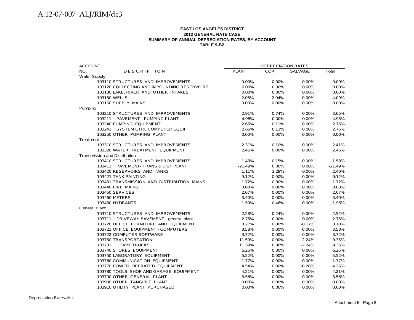#### **EAST LOS ANGELES DISTRICT2012 GENERAL RATE CASE SUMMARY OF ANNUAL DEPRECIATION RATES, BY ACCOUNT TABLE 9-B2**

| <b>ACCOUNT</b>                              |              | <b>DEPRECIATION RATES</b> |          |           |
|---------------------------------------------|--------------|---------------------------|----------|-----------|
| NO.<br><b>DESCRIPTION</b>                   | <b>PLANT</b> | <b>COR</b>                | SALVAGE  | Total     |
| <b>Water Supply</b>                         |              |                           |          |           |
| 103110 STRUCTURES AND IMPROVEMENTS          | 0.00%        | 0.00%                     | 0.00%    | 0.00%     |
| 103120 COLLECTING AND IMPOUNDING RESERVOIRS | 0.00%        | 0.00%                     | 0.00%    | 0.00%     |
| 103130 LAKE, RIVER AND OTHER INTAKES        | 0.00%        | 0.00%                     | 0.00%    | 0.00%     |
| 103150 WELLS                                | 2.05%        | 2.04%                     | $0.00\%$ | 4.09%     |
| 103160 SUPPLY MAINS                         | 0.00%        | 0.00%                     | 0.00%    | 0.00%     |
| Pumping                                     |              |                           |          |           |
| 103210 STRUCTURES AND IMPROVEMENTS          | 2.91%        | 0.74%                     | 0.00%    | 3.65%     |
| 103211 PAVEMENT - PUMPING PLANT             | 4.98%        | 0.00%                     | 0.00%    | 4.98%     |
| 103240 PUMPING EQUIPMENT                    | 2.65%        | 0.11%                     | 0.00%    | 2.76%     |
| 103241 SYSTEM CTRL COMPUTER EQUIP           | 2.65%        | 0.11%                     | 0.00%    | 2.76%     |
| 103250 OTHER PUMPING PLANT                  | 0.00%        | 0.00%                     | 0.00%    | 0.00%     |
| Treatment                                   |              |                           |          |           |
| 103310 STRUCTURES AND IMPROVEMENTS          | 2.31%        | 0.10%                     | 0.00%    | 2.41%     |
| 103320 WATER TREATMENT EQUIPMENT            | 2.46%        | 0.00%                     | 0.00%    | 2.46%     |
| <b>Transmission and Distribution</b>        |              |                           |          |           |
| 103410 STRUCTURES AND IMPROVEMENTS          | 1.43%        | 0.15%                     | 0.00%    | 1.58%     |
| 103411 PAVEMENT-TRANS & DIST PLANT          | $-21.49%$    | 0.00%                     | 0.00%    | $-21.49%$ |
| 103420 RESERVOIRS AND TANKS                 | 1.11%        | 1.29%                     | 0.00%    | 2.40%     |
| 103421 TANK PAINTING                        | 9.12%        | 0.00%                     | 0.00%    | 9.12%     |
| 103431 TRANSMISSION AND DISTRIBUTION MAINS  | 1.72%        | 0.00%                     | 0.00%    | 1.72%     |
| 103440 FIRE MAINS                           | 0.00%        | 0.00%                     | 0.00%    | 0.00%     |
| <b>103450 SERVICES</b>                      | 2.07%        | 0.00%                     | 0.00%    | 2.07%     |
| 103460 METERS                               | 3.40%        | 0.00%                     | 0.00%    | 3.40%     |
| 103480 HYDRANTS                             | 1.50%        | 0.46%                     | 0.00%    | 1.96%     |
| <b>General Plant</b>                        |              |                           |          |           |
| 103710 STRUCTURES AND IMPROVEMENTS          | 2.28%        | 0.24%                     | 0.00%    | 2.52%     |
| 103711 DRIVEWAY PAVEMENT - general plant    | 2.75%        | 0.00%                     | $0.00\%$ | 2.75%     |
| 103720 OFFICE FURNITURE AND EQUIPMENT       | 3.27%        | 0.00%                     | $-0.17%$ | 3.10%     |
| 103721 OFFICE EQUIPMENT - COMPUTERS         | 3.58%        | 0.00%                     | 0.00%    | 3.58%     |
| 103722 COMPUTER SOFTWARE                    | 3.72%        | 0.00%                     | 0.00%    | 3.72%     |
| 103730 TRANSPORTATION                       | 11.59%       | 0.00%                     | $-2.24%$ | 9.35%     |
| 103731 HEAVY TRUCKS                         | 11.59%       | 0.00%                     | $-2.24%$ | 9.35%     |
| 103740 STORES EQUIPMENT                     | 6.25%        | 0.00%                     | 0.00%    | 6.25%     |
| 103750 LABORATORY EQUIPMENT                 | 5.52%        | 0.00%                     | 0.00%    | 5.52%     |
| 103760 COMMUNICATION EQUIPMENT              | 1.77%        | 0.00%                     | 0.00%    | 1.77%     |
| 103770 POWER OPERATED EQUIPMENT             | 4.54%        | 0.00%                     | $-0.28%$ | 4.26%     |
| 103780 TOOLS, SHOP AND GARAGE EQUIPMENT     | 4.21%        | 0.00%                     | $0.00\%$ | 4.21%     |
| 103790 OTHER GENERAL PLANT                  | 3.56%        | 0.00%                     | 0.00%    | 3.56%     |
| 103900 OTHER TANGIBLE PLANT                 | 0.00%        | 0.00%                     | 0.00%    | 0.00%     |
| 103910 UTILITY PLANT PURCHASED              | 0.00%        | 0.00%                     | 0.00%    | 0.00%     |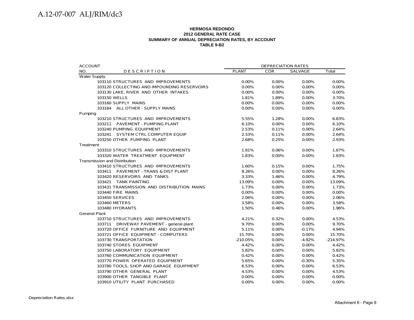#### **HERMOSA REDONDO2012 GENERAL RATE CASE SUMMARY OF ANNUAL DEPRECIATION RATES, BY ACCOUNT TABLE 9-B2**

| <b>PLANT</b><br><b>COR</b><br>SALVAGE<br>Total<br>NO.<br><b>DESCRIPTION</b><br><b>Water Supply</b><br>103110 STRUCTURES AND IMPROVEMENTS<br>0.00%<br>0.00%<br>0.00%<br>0.00%<br>$0.00\%$<br>0.00%<br>0.00%<br>103120 COLLECTING AND IMPOUNDING RESERVOIRS<br>0.00%<br>103130 LAKE, RIVER AND OTHER INTAKES<br>0.00%<br>0.00%<br>0.00%<br>0.00%<br>103150 WELLS<br>1.81%<br>1.89%<br>0.00%<br>3.70%<br>103160 SUPPLY MAINS<br>0.00%<br>$0.00\%$<br>$0.00\%$<br>$0.00\%$<br>103164 ALL OTHER - SUPPLY MAINS<br>0.00%<br>0.00%<br>0.00%<br>0.00%<br>Pumping<br>103210 STRUCTURES AND IMPROVEMENTS<br>6.83%<br>5.55%<br>1.28%<br>0.00%<br>0.00%<br>103211 PAVEMENT - PUMPING PLANT<br>6.10%<br>0.00%<br>6.10%<br>103240 PUMPING EQUIPMENT<br>0.00%<br>2.53%<br>0.11%<br>2.64%<br>103241 SYSTEM CTRL COMPUTER EQUIP<br>2.53%<br>0.11%<br>$0.00\%$<br>2.64%<br>103250 OTHER PUMPING PLANT<br>2.68%<br>0.00%<br>2.93%<br>0.25%<br>Treatment<br>103310 STRUCTURES AND IMPROVEMENTS<br>0.00%<br>1.87%<br>1.81%<br>0.06%<br>103320 WATER TREATMENT EQUIPMENT<br>1.83%<br>0.00%<br>0.00%<br>1.83%<br><b>Transmission and Distribution</b><br>103410 STRUCTURES AND IMPROVEMENTS<br>1.60%<br>0.15%<br>0.00%<br>1.75%<br>0.00%<br>103411 PAVEMENT - TRANS & DIST PLANT<br>8.26%<br>0.00%<br>8.26%<br>103420 RESERVOIRS AND TANKS<br>3.33%<br>$0.00\%$<br>4.79%<br>1.46%<br>103421 TANK PAINTING<br>0.00%<br>13.09%<br>0.00%<br>13.09%<br>103431 TRANSMISSION AND DISTRIBUTION MAINS<br>1.73%<br>0.00%<br>0.00%<br>1.73%<br>103440 FIRE MAINS<br>0.00%<br>0.00%<br>0.00%<br>0.00%<br><b>103450 SERVICES</b><br>2.06%<br>0.00%<br>0.00%<br>2.06%<br>3.58%<br>0.00%<br>103460 METERS<br>0.00%<br>3.58%<br>103480 HYDRANTS<br>0.00%<br>1.50%<br>0.46%<br>1.96%<br><b>General Plant</b> |
|-----------------------------------------------------------------------------------------------------------------------------------------------------------------------------------------------------------------------------------------------------------------------------------------------------------------------------------------------------------------------------------------------------------------------------------------------------------------------------------------------------------------------------------------------------------------------------------------------------------------------------------------------------------------------------------------------------------------------------------------------------------------------------------------------------------------------------------------------------------------------------------------------------------------------------------------------------------------------------------------------------------------------------------------------------------------------------------------------------------------------------------------------------------------------------------------------------------------------------------------------------------------------------------------------------------------------------------------------------------------------------------------------------------------------------------------------------------------------------------------------------------------------------------------------------------------------------------------------------------------------------------------------------------------------------------------------------------------------------------------------------------------------|
|                                                                                                                                                                                                                                                                                                                                                                                                                                                                                                                                                                                                                                                                                                                                                                                                                                                                                                                                                                                                                                                                                                                                                                                                                                                                                                                                                                                                                                                                                                                                                                                                                                                                                                                                                                       |
|                                                                                                                                                                                                                                                                                                                                                                                                                                                                                                                                                                                                                                                                                                                                                                                                                                                                                                                                                                                                                                                                                                                                                                                                                                                                                                                                                                                                                                                                                                                                                                                                                                                                                                                                                                       |
|                                                                                                                                                                                                                                                                                                                                                                                                                                                                                                                                                                                                                                                                                                                                                                                                                                                                                                                                                                                                                                                                                                                                                                                                                                                                                                                                                                                                                                                                                                                                                                                                                                                                                                                                                                       |
|                                                                                                                                                                                                                                                                                                                                                                                                                                                                                                                                                                                                                                                                                                                                                                                                                                                                                                                                                                                                                                                                                                                                                                                                                                                                                                                                                                                                                                                                                                                                                                                                                                                                                                                                                                       |
|                                                                                                                                                                                                                                                                                                                                                                                                                                                                                                                                                                                                                                                                                                                                                                                                                                                                                                                                                                                                                                                                                                                                                                                                                                                                                                                                                                                                                                                                                                                                                                                                                                                                                                                                                                       |
|                                                                                                                                                                                                                                                                                                                                                                                                                                                                                                                                                                                                                                                                                                                                                                                                                                                                                                                                                                                                                                                                                                                                                                                                                                                                                                                                                                                                                                                                                                                                                                                                                                                                                                                                                                       |
|                                                                                                                                                                                                                                                                                                                                                                                                                                                                                                                                                                                                                                                                                                                                                                                                                                                                                                                                                                                                                                                                                                                                                                                                                                                                                                                                                                                                                                                                                                                                                                                                                                                                                                                                                                       |
|                                                                                                                                                                                                                                                                                                                                                                                                                                                                                                                                                                                                                                                                                                                                                                                                                                                                                                                                                                                                                                                                                                                                                                                                                                                                                                                                                                                                                                                                                                                                                                                                                                                                                                                                                                       |
|                                                                                                                                                                                                                                                                                                                                                                                                                                                                                                                                                                                                                                                                                                                                                                                                                                                                                                                                                                                                                                                                                                                                                                                                                                                                                                                                                                                                                                                                                                                                                                                                                                                                                                                                                                       |
|                                                                                                                                                                                                                                                                                                                                                                                                                                                                                                                                                                                                                                                                                                                                                                                                                                                                                                                                                                                                                                                                                                                                                                                                                                                                                                                                                                                                                                                                                                                                                                                                                                                                                                                                                                       |
|                                                                                                                                                                                                                                                                                                                                                                                                                                                                                                                                                                                                                                                                                                                                                                                                                                                                                                                                                                                                                                                                                                                                                                                                                                                                                                                                                                                                                                                                                                                                                                                                                                                                                                                                                                       |
|                                                                                                                                                                                                                                                                                                                                                                                                                                                                                                                                                                                                                                                                                                                                                                                                                                                                                                                                                                                                                                                                                                                                                                                                                                                                                                                                                                                                                                                                                                                                                                                                                                                                                                                                                                       |
|                                                                                                                                                                                                                                                                                                                                                                                                                                                                                                                                                                                                                                                                                                                                                                                                                                                                                                                                                                                                                                                                                                                                                                                                                                                                                                                                                                                                                                                                                                                                                                                                                                                                                                                                                                       |
|                                                                                                                                                                                                                                                                                                                                                                                                                                                                                                                                                                                                                                                                                                                                                                                                                                                                                                                                                                                                                                                                                                                                                                                                                                                                                                                                                                                                                                                                                                                                                                                                                                                                                                                                                                       |
|                                                                                                                                                                                                                                                                                                                                                                                                                                                                                                                                                                                                                                                                                                                                                                                                                                                                                                                                                                                                                                                                                                                                                                                                                                                                                                                                                                                                                                                                                                                                                                                                                                                                                                                                                                       |
|                                                                                                                                                                                                                                                                                                                                                                                                                                                                                                                                                                                                                                                                                                                                                                                                                                                                                                                                                                                                                                                                                                                                                                                                                                                                                                                                                                                                                                                                                                                                                                                                                                                                                                                                                                       |
|                                                                                                                                                                                                                                                                                                                                                                                                                                                                                                                                                                                                                                                                                                                                                                                                                                                                                                                                                                                                                                                                                                                                                                                                                                                                                                                                                                                                                                                                                                                                                                                                                                                                                                                                                                       |
|                                                                                                                                                                                                                                                                                                                                                                                                                                                                                                                                                                                                                                                                                                                                                                                                                                                                                                                                                                                                                                                                                                                                                                                                                                                                                                                                                                                                                                                                                                                                                                                                                                                                                                                                                                       |
|                                                                                                                                                                                                                                                                                                                                                                                                                                                                                                                                                                                                                                                                                                                                                                                                                                                                                                                                                                                                                                                                                                                                                                                                                                                                                                                                                                                                                                                                                                                                                                                                                                                                                                                                                                       |
|                                                                                                                                                                                                                                                                                                                                                                                                                                                                                                                                                                                                                                                                                                                                                                                                                                                                                                                                                                                                                                                                                                                                                                                                                                                                                                                                                                                                                                                                                                                                                                                                                                                                                                                                                                       |
|                                                                                                                                                                                                                                                                                                                                                                                                                                                                                                                                                                                                                                                                                                                                                                                                                                                                                                                                                                                                                                                                                                                                                                                                                                                                                                                                                                                                                                                                                                                                                                                                                                                                                                                                                                       |
|                                                                                                                                                                                                                                                                                                                                                                                                                                                                                                                                                                                                                                                                                                                                                                                                                                                                                                                                                                                                                                                                                                                                                                                                                                                                                                                                                                                                                                                                                                                                                                                                                                                                                                                                                                       |
|                                                                                                                                                                                                                                                                                                                                                                                                                                                                                                                                                                                                                                                                                                                                                                                                                                                                                                                                                                                                                                                                                                                                                                                                                                                                                                                                                                                                                                                                                                                                                                                                                                                                                                                                                                       |
|                                                                                                                                                                                                                                                                                                                                                                                                                                                                                                                                                                                                                                                                                                                                                                                                                                                                                                                                                                                                                                                                                                                                                                                                                                                                                                                                                                                                                                                                                                                                                                                                                                                                                                                                                                       |
|                                                                                                                                                                                                                                                                                                                                                                                                                                                                                                                                                                                                                                                                                                                                                                                                                                                                                                                                                                                                                                                                                                                                                                                                                                                                                                                                                                                                                                                                                                                                                                                                                                                                                                                                                                       |
|                                                                                                                                                                                                                                                                                                                                                                                                                                                                                                                                                                                                                                                                                                                                                                                                                                                                                                                                                                                                                                                                                                                                                                                                                                                                                                                                                                                                                                                                                                                                                                                                                                                                                                                                                                       |
|                                                                                                                                                                                                                                                                                                                                                                                                                                                                                                                                                                                                                                                                                                                                                                                                                                                                                                                                                                                                                                                                                                                                                                                                                                                                                                                                                                                                                                                                                                                                                                                                                                                                                                                                                                       |
|                                                                                                                                                                                                                                                                                                                                                                                                                                                                                                                                                                                                                                                                                                                                                                                                                                                                                                                                                                                                                                                                                                                                                                                                                                                                                                                                                                                                                                                                                                                                                                                                                                                                                                                                                                       |
| 103710 STRUCTURES AND IMPROVEMENTS<br>4.21%<br>0.32%<br>0.00%<br>4.53%                                                                                                                                                                                                                                                                                                                                                                                                                                                                                                                                                                                                                                                                                                                                                                                                                                                                                                                                                                                                                                                                                                                                                                                                                                                                                                                                                                                                                                                                                                                                                                                                                                                                                                |
| 103711 DRIVEWAY PAVEMENT - general plant<br>9.70%<br>0.00%<br>0.00%<br>9.70%                                                                                                                                                                                                                                                                                                                                                                                                                                                                                                                                                                                                                                                                                                                                                                                                                                                                                                                                                                                                                                                                                                                                                                                                                                                                                                                                                                                                                                                                                                                                                                                                                                                                                          |
| 103720 OFFICE FURNITURE AND EQUIPMENT<br>5.11%<br>0.00%<br>$-0.17%$<br>4.94%                                                                                                                                                                                                                                                                                                                                                                                                                                                                                                                                                                                                                                                                                                                                                                                                                                                                                                                                                                                                                                                                                                                                                                                                                                                                                                                                                                                                                                                                                                                                                                                                                                                                                          |
| $0.00\%$<br>103721 OFFICE EQUIPMENT - COMPUTERS<br>15.70%<br>0.00%<br>15.70%                                                                                                                                                                                                                                                                                                                                                                                                                                                                                                                                                                                                                                                                                                                                                                                                                                                                                                                                                                                                                                                                                                                                                                                                                                                                                                                                                                                                                                                                                                                                                                                                                                                                                          |
| 103730 TRANSPORTATION<br>$-210.05%$<br>0.00%<br>$-4.92%$<br>$-214.97%$                                                                                                                                                                                                                                                                                                                                                                                                                                                                                                                                                                                                                                                                                                                                                                                                                                                                                                                                                                                                                                                                                                                                                                                                                                                                                                                                                                                                                                                                                                                                                                                                                                                                                                |
| 103740 STORES EQUIPMENT<br>4.42%<br>0.00%<br>0.00%<br>4.42%                                                                                                                                                                                                                                                                                                                                                                                                                                                                                                                                                                                                                                                                                                                                                                                                                                                                                                                                                                                                                                                                                                                                                                                                                                                                                                                                                                                                                                                                                                                                                                                                                                                                                                           |
| 103750 LABORATORY EQUIPMENT<br>0.00%<br>5.82%<br>0.00%<br>5.82%                                                                                                                                                                                                                                                                                                                                                                                                                                                                                                                                                                                                                                                                                                                                                                                                                                                                                                                                                                                                                                                                                                                                                                                                                                                                                                                                                                                                                                                                                                                                                                                                                                                                                                       |
| 103760 COMMUNICATION EQUIPMENT<br>0.00%<br>0.42%<br>0.00%<br>0.42%                                                                                                                                                                                                                                                                                                                                                                                                                                                                                                                                                                                                                                                                                                                                                                                                                                                                                                                                                                                                                                                                                                                                                                                                                                                                                                                                                                                                                                                                                                                                                                                                                                                                                                    |
| 103770 POWER OPERATED EQUIPMENT<br>5.65%<br>0.00%<br>$-0.30%$<br>5.35%                                                                                                                                                                                                                                                                                                                                                                                                                                                                                                                                                                                                                                                                                                                                                                                                                                                                                                                                                                                                                                                                                                                                                                                                                                                                                                                                                                                                                                                                                                                                                                                                                                                                                                |
| 103780 TOOLS, SHOP AND GARAGE EQUIPMENT<br>6.53%<br>6.53%<br>0.00%<br>0.00%                                                                                                                                                                                                                                                                                                                                                                                                                                                                                                                                                                                                                                                                                                                                                                                                                                                                                                                                                                                                                                                                                                                                                                                                                                                                                                                                                                                                                                                                                                                                                                                                                                                                                           |
| 103790 OTHER GENERAL PLANT<br>4.53%<br>0.00%<br>0.00%<br>4.53%                                                                                                                                                                                                                                                                                                                                                                                                                                                                                                                                                                                                                                                                                                                                                                                                                                                                                                                                                                                                                                                                                                                                                                                                                                                                                                                                                                                                                                                                                                                                                                                                                                                                                                        |
| 103900 OTHER TANGIBLE PLANT<br>0.00%<br>0.00%<br>0.00%<br>0.00%                                                                                                                                                                                                                                                                                                                                                                                                                                                                                                                                                                                                                                                                                                                                                                                                                                                                                                                                                                                                                                                                                                                                                                                                                                                                                                                                                                                                                                                                                                                                                                                                                                                                                                       |
| 0.00%<br>0.00%<br>0.00%<br>0.00%<br>103910 UTILITY PLANT PURCHASED                                                                                                                                                                                                                                                                                                                                                                                                                                                                                                                                                                                                                                                                                                                                                                                                                                                                                                                                                                                                                                                                                                                                                                                                                                                                                                                                                                                                                                                                                                                                                                                                                                                                                                    |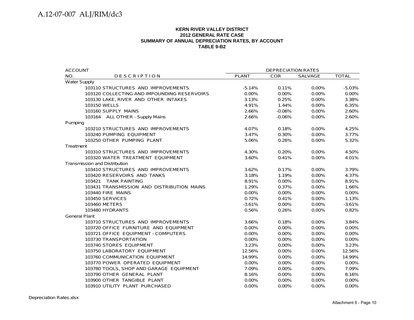#### **KERN RIVER VALLEY DISTRICT2012 GENERAL RATE CASE SUMMARY OF ANNUAL DEPRECIATION RATES, BY ACCOUNT TABLE 9-B2**

| <b>ACCOUNT</b>                              | <b>DEPRECIATION RATES</b> |            |          |              |  |  |
|---------------------------------------------|---------------------------|------------|----------|--------------|--|--|
| NO.<br><b>DESCRIPTION</b>                   | <b>PLANT</b>              | <b>COR</b> | SALVAGE  | <b>TOTAL</b> |  |  |
| <b>Water Supply</b>                         |                           |            |          |              |  |  |
| 103110 STRUCTURES AND IMPROVEMENTS          | $-5.14%$                  | 0.11%      | 0.00%    | $-5.03%$     |  |  |
| 103120 COLLECTING AND IMPOUNDING RESERVOIRS | $0.00\%$                  | $0.00\%$   | 0.00%    | 0.00%        |  |  |
| 103130 LAKE, RIVER AND OTHER INTAKES        | 3.13%                     | 0.25%      | 0.00%    | 3.38%        |  |  |
| 103150 WELLS                                | 4.91%                     | 1.44%      | 0.00%    | 6.35%        |  |  |
| 103160 SUPPLY MAINS                         | 2.66%                     | $-0.06%$   | 0.00%    | 2.60%        |  |  |
| 103164 ALL OTHER - Supply Mains             | 2.66%                     | $-0.06%$   | 0.00%    | 2.60%        |  |  |
| Pumping                                     |                           |            |          |              |  |  |
| 103210 STRUCTURES AND IMPROVEMENTS          | 4.07%                     | 0.18%      | 0.00%    | 4.25%        |  |  |
| 103240 PUMPING EQUIPMENT                    | 3.47%                     | 0.30%      | 0.00%    | 3.77%        |  |  |
| 103250 OTHER PUMPING PLANT                  | 5.06%                     | 0.26%      | 0.00%    | 5.32%        |  |  |
| Treatment                                   |                           |            |          |              |  |  |
| 103310 STRUCTURES AND IMPROVEMENTS          | 4.30%                     | 0.20%      | 0.00%    | 4.50%        |  |  |
| 103320 WATER TREATMENT EQUIPMENT            | 3.60%                     | 0.41%      | 0.00%    | 4.01%        |  |  |
| <b>Transmission and Distribution</b>        |                           |            |          |              |  |  |
| 103410 STRUCTURES AND IMPROVEMENTS          | 3.62%                     | 0.17%      | 0.00%    | 3.79%        |  |  |
| 103420 RESERVOIRS AND TANKS                 | 3.18%                     | 1.19%      | 0.00%    | 4.37%        |  |  |
| 103421 TANK PAINTING                        | 8.91%                     | 0.00%      | 0.00%    | 8.91%        |  |  |
| 103431 TRANSMISSION AND DISTRIBUTION MAINS  | 1.29%                     | 0.37%      | 0.00%    | 1.66%        |  |  |
| 103440 FIRE MAINS                           | 0.00%                     | 0.00%      | 0.00%    | 0.00%        |  |  |
| 103450 SERVICES                             | 0.72%                     | 0.41%      | 0.00%    | 1.13%        |  |  |
| 103460 METERS                               | $-3.61%$                  | 0.00%      | 0.00%    | $-3.61%$     |  |  |
| 103480 HYDRANTS                             | 0.56%                     | 0.26%      | 0.00%    | 0.82%        |  |  |
| <b>General Plant</b>                        |                           |            |          |              |  |  |
| 103710 STRUCTURES AND IMPROVEMENTS          | 3.66%                     | 0.18%      | 0.00%    | 3.84%        |  |  |
| 103720 OFFICE FURNITURE AND EQUIPMENT       | 0.00%                     | $0.00\%$   | 0.00%    | 0.00%        |  |  |
| 103721 OFFICE EQUIPMENT - COMPUTERS         | 0.00%                     | 0.00%      | 0.00%    | 0.00%        |  |  |
| 103730 TRANSPORTATION                       | 0.00%                     | 0.00%      | 0.00%    | 0.00%        |  |  |
| 103740 STORES EQUIPMENT                     | 3.23%                     | 0.00%      | 0.00%    | 3.23%        |  |  |
| 103750 LABORATORY EQUIPMENT                 | 12.56%                    | $0.00\%$   | $0.00\%$ | 12.56%       |  |  |
| 103760 COMMUNICATION EQUIPMENT              | 14.99%                    | $0.00\%$   | 0.00%    | 14.99%       |  |  |
| 103770 POWER OPERATED EQUIPMENT             | 0.00%                     | 0.00%      | 0.00%    | 0.00%        |  |  |
| 103780 TOOLS, SHOP AND GARAGE EQUIPMENT     | 7.09%                     | 0.00%      | 0.00%    | 7.09%        |  |  |
| 103790 OTHER GENERAL PLANT                  | 8.16%                     | $0.00\%$   | 0.00%    | 8.16%        |  |  |
| 103900 OTHER TANGIBLE PLANT                 | $0.00\%$                  | $0.00\%$   | 0.00%    | $0.00\%$     |  |  |
| 103910 UTILITY PLANT PURCHASED              | 0.00%                     | 0.00%      | 0.00%    | 0.00%        |  |  |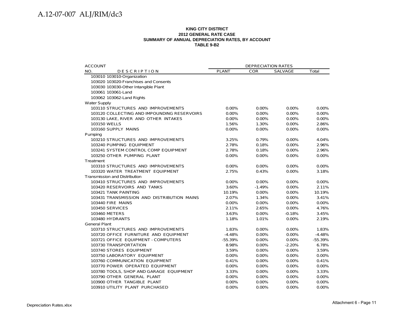#### **KING CITY DISTRICT 2012 GENERAL RATE CASE SUMMARY OF ANNUAL DEPRECIATION RATES, BY ACCOUNT TABLE 9-B2**

| <b>ACCOUNT</b>                              | <b>DEPRECIATION RATES</b> |            |          |           |
|---------------------------------------------|---------------------------|------------|----------|-----------|
| NO.<br><b>DESCRIPTION</b>                   | <b>PLANT</b>              | <b>COR</b> | SALVAGE  | Total     |
| 103010 103010-Organization                  |                           |            |          |           |
| 103020 103020-Franchises and Consents       |                           |            |          |           |
| 103030 103030-Other Intangible Plant        |                           |            |          |           |
| 103061 103061-Land                          |                           |            |          |           |
| 103062 103062-Land Rights                   |                           |            |          |           |
| <b>Water Supply</b>                         |                           |            |          |           |
| 103110 STRUCTURES AND IMPROVEMENTS          | 0.00%                     | 0.00%      | 0.00%    | 0.00%     |
| 103120 COLLECTING AND IMPOUNDING RESERVOIRS | 0.00%                     | 0.00%      | 0.00%    | 0.00%     |
| 103130 LAKE, RIVER AND OTHER INTAKES        | 0.00%                     | 0.00%      | 0.00%    | 0.00%     |
| 103150 WELLS                                | 1.56%                     | 1.30%      | 0.00%    | 2.86%     |
| 103160 SUPPLY MAINS                         | 0.00%                     | 0.00%      | $0.00\%$ | 0.00%     |
| Pumping                                     |                           |            |          |           |
| 103210 STRUCTURES AND IMPROVEMENTS          | 3.25%                     | 0.79%      | $0.00\%$ | 4.04%     |
| 103240 PUMPING EQUIPMENT                    | 2.78%                     | 0.18%      | $0.00\%$ | 2.96%     |
| 103241 SYSTEM CONTROL COMP EQUIPMENT        | 2.78%                     | 0.18%      | 0.00%    | 2.96%     |
| 103250 OTHER PUMPING PLANT                  | 0.00%                     | $0.00\%$   | 0.00%    | 0.00%     |
| Treatment                                   |                           |            |          |           |
| 103310 STRUCTURES AND IMPROVEMENTS          | 0.00%                     | 0.00%      | 0.00%    | 0.00%     |
| 103320 WATER TREATMENT EQUIPMENT            | 2.75%                     | 0.43%      | $0.00\%$ | 3.18%     |
| <b>Transmission and Distribution</b>        |                           |            |          |           |
| 103410 STRUCTURES AND IMPROVEMENTS          | $0.00\%$                  | 0.00%      | $0.00\%$ | 0.00%     |
| 103420 RESERVOIRS AND TANKS                 | 3.60%                     | $-1.49%$   | $0.00\%$ | 2.11%     |
| 103421 TANK PAINTING                        | 10.19%                    | 0.00%      | 0.00%    | 10.19%    |
| 103431 TRANSMISSION AND DISTRIBUTION MAINS  | 2.07%                     | 1.34%      | 0.00%    | 3.41%     |
| 103440 FIRE MAINS                           | 0.00%                     | 0.00%      | 0.00%    | 0.00%     |
| 103450 SERVICES                             | 2.11%                     | 2.65%      | 0.00%    | 4.76%     |
| 103460 METERS                               | 3.63%                     | 0.00%      | $-0.18%$ | 3.45%     |
| 103480 HYDRANTS                             | 1.18%                     | 1.01%      | 0.00%    | 2.19%     |
| <b>General Plant</b>                        |                           |            |          |           |
| 103710 STRUCTURES AND IMPROVEMENTS          | 1.83%                     | 0.00%      | 0.00%    | 1.83%     |
| 103720 OFFICE FURNITURE AND EQUIPMENT       | $-4.48%$                  | 0.00%      | 0.00%    | $-4.48%$  |
| 103721 OFFICE EQUIPMENT - COMPUTERS         | $-55.39%$                 | 0.00%      | 0.00%    | $-55.39%$ |
| 103730 TRANSPORTATION                       | 8.98%                     | 0.00%      | $-2.20%$ | 6.78%     |
| 103740 STORES EQUIPMENT                     | 3.59%                     | 0.00%      | 0.00%    | 3.59%     |
| 103750 LABORATORY EQUIPMENT                 | 0.00%                     | 0.00%      | 0.00%    | 0.00%     |
| 103760 COMMUNICATION EQUIPMENT              | 0.41%                     | $0.00\%$   | $0.00\%$ | 0.41%     |
| 103770 POWER OPERATED EQUIPMENT             | 0.00%                     | 0.00%      | $0.00\%$ | 0.00%     |
| 103780 TOOLS, SHOP AND GARAGE EQUIPMENT     | 3.33%                     | $0.00\%$   | 0.00%    | 3.33%     |
| 103790 OTHER GENERAL PLANT                  | 0.00%                     | $0.00\%$   | $0.00\%$ | 0.00%     |
| 103900 OTHER TANGIBLE PLANT                 | 0.00%                     | 0.00%      | 0.00%    | 0.00%     |
| 103910 UTILITY PLANT PURCHASED              | 0.00%                     | 0.00%      | $0.00\%$ | 0.00%     |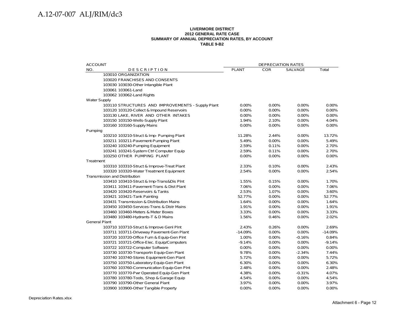#### **LIVERMORE DISTRICT 2012 GENERAL RATE CASE SUMMARY OF ANNUAL DEPRECIATION RATES, BY ACCOUNT TABLE 9-B2**

| <b>ACCOUNT</b>                                    |                    | <b>DEPRECIATION RATES</b> |                |                    |
|---------------------------------------------------|--------------------|---------------------------|----------------|--------------------|
| NO.<br><b>DESCRIPTION</b>                         | <b>PLANT</b>       | <b>COR</b>                | <b>SALVAGE</b> | Total              |
| 103010 ORGANIZATION                               |                    |                           |                |                    |
| 103020 FRANCHISES AND CONSENTS                    |                    |                           |                |                    |
| 103030 103030-Other Intangible Plant              |                    |                           |                |                    |
| 103061 103061-Land                                |                    |                           |                |                    |
| 103062 103062-Land Rights                         |                    |                           |                |                    |
| <b>Water Supply</b>                               |                    |                           |                |                    |
| 103110 STRUCTURES AND IMPROVEMENTS - Supply Plant | $0.00\%$           | 0.00%                     | $0.00\%$       | $0.00\%$           |
| 103120 103120-Collect & Impound Reservoirs        | 0.00%              | 0.00%                     | 0.00%          | 0.00%              |
| 103130 LAKE, RIVER AND OTHER INTAKES              | 0.00%              | 0.00%                     | 0.00%          | 0.00%              |
| 103150 103150-Wells-Supply Plant                  | 1.94%              | 2.10%                     | 0.00%          | 4.04%              |
| 103160 103160-Supply Mains                        | 0.00%              | 0.00%                     | 0.00%          | 0.00%              |
| Pumping                                           |                    |                           |                |                    |
| 103210 103210-Struct & Imp- Pumping Plant         | 11.28%             | 2.44%                     | 0.00%          | 13.72%             |
| 103211 103211-Pavement-Pumping Plant              | 5.49%              | 0.00%                     | 0.00%          | 5.49%              |
| 103240 103240-Pumping Equipment                   | 2.59%              | 0.11%                     | 0.00%          | 2.70%              |
| 103241 103241-System Ctrl Computer Equip          | 2.59%              | 0.11%                     | 0.00%          | 2.70%              |
| 103250 OTHER PUMPING PLANT                        | 0.00%              | 0.00%                     | 0.00%          | 0.00%              |
| Treatment                                         |                    |                           |                |                    |
| 103310 103310-Struct & Improve-Treat Plant        | 2.33%              | 0.10%                     | 0.00%          | 2.43%              |
| 103320 103320-Water Treatment Equipment           | 2.54%              | 0.00%                     | 0.00%          | 2.54%              |
| <b>Transmission and Distribution</b>              |                    |                           |                |                    |
| 103410 103410-Struct & Imp-Trans&Dis PInt         | 1.55%              | 0.15%                     | 0.00%          | 1.70%              |
| 103411 103411-Pavement-Trans & Dist Plant         | 7.06%              | 0.00%                     | 0.00%          | 7.06%              |
| 103420 103420-Reservoirs & Tanks                  | 2.53%              | 1.07%                     | 0.00%          | 3.60%              |
| 103421 103421-Tank Painting                       | 52.77%             | 0.00%                     | 0.00%          | 52.77%             |
| 103431 Transmission & Distribution Mains          | 1.64%              | 0.00%                     | 0.00%          | 1.64%              |
| 103450 103450-Services-Trans & Distr Mains        | 1.91%              | 0.00%                     | 0.00%          | 1.91%              |
| 103460 103460-Meters & Meter Boxes                | 3.33%              | 0.00%                     | $0.00\%$       | 3.33%              |
| 103480 103480-Hydrants-T & D Mains                | 1.56%              | 0.46%                     | 0.00%          | 2.02%              |
| <b>General Plant</b>                              |                    |                           |                |                    |
| 103710 103710-Struct & Improve Genl Pint          | 2.43%<br>$-14.09%$ | 0.26%<br>0.00%            | 0.00%<br>0.00% | 2.69%<br>$-14.09%$ |
| 103711 103711-Driveway Pavement-Gen Plant         |                    |                           |                |                    |
| 103720 103720-Office Furn & Equip-Gen Plnt        | 1.00%              | $0.00\%$<br>0.00%         | $-0.16%$       | 0.84%<br>$-9.14%$  |
| 103721 103721-Office-Elec. Equip/Computers        | $-9.14%$           |                           | 0.00%          |                    |
| 103722 103722-Computer Software                   | 0.00%              | 0.00%                     | 0.00%          | 0.00%              |
| 103730 103730-Transportn Equip-Gen Plant          | 9.78%              | 0.00%                     | $-2.34%$       | 7.44%              |
| 103740 103740-Stores Equipment-Gen Plant          | 5.72%              | 0.00%                     | 0.00%          | 5.72%              |
| 103750 103750-Laboratory Equip-Gen Plant          | 6.30%              | 0.00%                     | 0.00%          | 6.30%              |
| 103760 103760-Communication Equip-Gen PInt        | 2.48%              | 0.00%                     | 0.00%          | 2.48%              |
| 103770 103770-Pwr Operated Equip-Gen Plant        | 4.38%              | 0.00%                     | $-0.31%$       | 4.07%              |
| 103780 103780-Tools, Shop & Garage Equip          | 4.54%              | 0.00%                     | 0.00%          | 4.54%              |
| 103790 103790-Other General Plant                 | 3.97%              | $0.00\%$                  | $0.00\%$       | 3.97%              |
| 103900 103900-Other Tangible Property             | 0.00%              | 0.00%                     | 0.00%          | 0.00%              |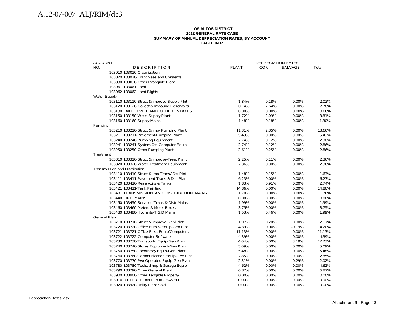#### **LOS ALTOS DISTRICT 2012 GENERAL RATE CASE SUMMARY OF ANNUAL DEPRECIATION RATES, BY ACCOUNT TABLE 9-B2**

| <b>DEPRECIATION RATES</b>                                                                                                                                                                                                                                                                                                                |                                                                                                                                                                                                                                                                                                                                  |  |  |
|------------------------------------------------------------------------------------------------------------------------------------------------------------------------------------------------------------------------------------------------------------------------------------------------------------------------------------------|----------------------------------------------------------------------------------------------------------------------------------------------------------------------------------------------------------------------------------------------------------------------------------------------------------------------------------|--|--|
| SALVAGE                                                                                                                                                                                                                                                                                                                                  | Total                                                                                                                                                                                                                                                                                                                            |  |  |
|                                                                                                                                                                                                                                                                                                                                          |                                                                                                                                                                                                                                                                                                                                  |  |  |
|                                                                                                                                                                                                                                                                                                                                          |                                                                                                                                                                                                                                                                                                                                  |  |  |
|                                                                                                                                                                                                                                                                                                                                          |                                                                                                                                                                                                                                                                                                                                  |  |  |
|                                                                                                                                                                                                                                                                                                                                          |                                                                                                                                                                                                                                                                                                                                  |  |  |
|                                                                                                                                                                                                                                                                                                                                          |                                                                                                                                                                                                                                                                                                                                  |  |  |
|                                                                                                                                                                                                                                                                                                                                          |                                                                                                                                                                                                                                                                                                                                  |  |  |
|                                                                                                                                                                                                                                                                                                                                          | 2.02%                                                                                                                                                                                                                                                                                                                            |  |  |
|                                                                                                                                                                                                                                                                                                                                          | 7.78%                                                                                                                                                                                                                                                                                                                            |  |  |
|                                                                                                                                                                                                                                                                                                                                          | 0.00%                                                                                                                                                                                                                                                                                                                            |  |  |
|                                                                                                                                                                                                                                                                                                                                          | 3.81%                                                                                                                                                                                                                                                                                                                            |  |  |
|                                                                                                                                                                                                                                                                                                                                          | 1.30%                                                                                                                                                                                                                                                                                                                            |  |  |
|                                                                                                                                                                                                                                                                                                                                          |                                                                                                                                                                                                                                                                                                                                  |  |  |
|                                                                                                                                                                                                                                                                                                                                          | 13.66%                                                                                                                                                                                                                                                                                                                           |  |  |
|                                                                                                                                                                                                                                                                                                                                          | 5.43%                                                                                                                                                                                                                                                                                                                            |  |  |
|                                                                                                                                                                                                                                                                                                                                          | 2.86%                                                                                                                                                                                                                                                                                                                            |  |  |
|                                                                                                                                                                                                                                                                                                                                          | 2.86%                                                                                                                                                                                                                                                                                                                            |  |  |
|                                                                                                                                                                                                                                                                                                                                          | 2.86%                                                                                                                                                                                                                                                                                                                            |  |  |
|                                                                                                                                                                                                                                                                                                                                          |                                                                                                                                                                                                                                                                                                                                  |  |  |
|                                                                                                                                                                                                                                                                                                                                          | 2.36%                                                                                                                                                                                                                                                                                                                            |  |  |
|                                                                                                                                                                                                                                                                                                                                          | 2.36%                                                                                                                                                                                                                                                                                                                            |  |  |
|                                                                                                                                                                                                                                                                                                                                          |                                                                                                                                                                                                                                                                                                                                  |  |  |
|                                                                                                                                                                                                                                                                                                                                          | 1.63%<br>6.23%                                                                                                                                                                                                                                                                                                                   |  |  |
|                                                                                                                                                                                                                                                                                                                                          |                                                                                                                                                                                                                                                                                                                                  |  |  |
|                                                                                                                                                                                                                                                                                                                                          | 2.74%                                                                                                                                                                                                                                                                                                                            |  |  |
|                                                                                                                                                                                                                                                                                                                                          | 14.86%<br>1.70%                                                                                                                                                                                                                                                                                                                  |  |  |
|                                                                                                                                                                                                                                                                                                                                          | 0.00%                                                                                                                                                                                                                                                                                                                            |  |  |
|                                                                                                                                                                                                                                                                                                                                          | 1.99%                                                                                                                                                                                                                                                                                                                            |  |  |
|                                                                                                                                                                                                                                                                                                                                          | 3.75%                                                                                                                                                                                                                                                                                                                            |  |  |
|                                                                                                                                                                                                                                                                                                                                          | 1.99%                                                                                                                                                                                                                                                                                                                            |  |  |
|                                                                                                                                                                                                                                                                                                                                          |                                                                                                                                                                                                                                                                                                                                  |  |  |
|                                                                                                                                                                                                                                                                                                                                          | 2.17%                                                                                                                                                                                                                                                                                                                            |  |  |
|                                                                                                                                                                                                                                                                                                                                          | 4.20%                                                                                                                                                                                                                                                                                                                            |  |  |
|                                                                                                                                                                                                                                                                                                                                          | 11.13%                                                                                                                                                                                                                                                                                                                           |  |  |
|                                                                                                                                                                                                                                                                                                                                          | 4.39%                                                                                                                                                                                                                                                                                                                            |  |  |
|                                                                                                                                                                                                                                                                                                                                          | 12.23%                                                                                                                                                                                                                                                                                                                           |  |  |
|                                                                                                                                                                                                                                                                                                                                          | 5.09%                                                                                                                                                                                                                                                                                                                            |  |  |
|                                                                                                                                                                                                                                                                                                                                          | 5.48%                                                                                                                                                                                                                                                                                                                            |  |  |
|                                                                                                                                                                                                                                                                                                                                          | 2.85%                                                                                                                                                                                                                                                                                                                            |  |  |
|                                                                                                                                                                                                                                                                                                                                          | 2.02%                                                                                                                                                                                                                                                                                                                            |  |  |
|                                                                                                                                                                                                                                                                                                                                          | 4.62%                                                                                                                                                                                                                                                                                                                            |  |  |
|                                                                                                                                                                                                                                                                                                                                          | 6.82%                                                                                                                                                                                                                                                                                                                            |  |  |
|                                                                                                                                                                                                                                                                                                                                          | 0.00%                                                                                                                                                                                                                                                                                                                            |  |  |
|                                                                                                                                                                                                                                                                                                                                          | 0.00%                                                                                                                                                                                                                                                                                                                            |  |  |
|                                                                                                                                                                                                                                                                                                                                          | 0.00%                                                                                                                                                                                                                                                                                                                            |  |  |
| <b>COR</b><br>0.18%<br>7.64%<br>0.00%<br>2.09%<br>$-0.18%$<br>2.35%<br>0.00%<br>0.12%<br>0.12%<br>0.25%<br>0.11%<br>0.00%<br>0.15%<br>0.00%<br>0.91%<br>0.00%<br>0.00%<br>0.00%<br>0.00%<br>0.00%<br>0.46%<br>0.20%<br>0.00%<br>0.00%<br>0.00%<br>0.00%<br>0.00%<br>0.00%<br>0.00%<br>0.00%<br>0.00%<br>0.00%<br>0.00%<br>0.00%<br>0.00% | 0.00%<br>0.00%<br>0.00%<br>0.00%<br>0.00%<br>0.00%<br>0.00%<br>0.00%<br>0.00%<br>0.00%<br>0.00%<br>0.00%<br>0.00%<br>0.00%<br>0.00%<br>0.00%<br>0.00%<br>0.00%<br>0.00%<br>0.00%<br>$0.00\%$<br>0.00%<br>$-0.19%$<br>0.00%<br>0.00%<br>8.19%<br>0.00%<br>0.00%<br>0.00%<br>$-0.29%$<br>0.00%<br>0.00%<br>0.00%<br>0.00%<br>0.00% |  |  |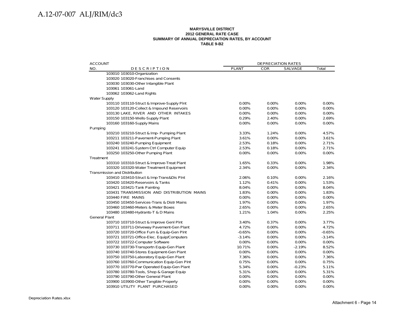#### **MARYSVILLE DISTRICT 2012 GENERAL RATE CASE SUMMARY OF ANNUAL DEPRECIATION RATES, BY ACCOUNT TABLE 9-B2**

| <b>ACCOUNT</b>                             |              | <b>DEPRECIATION RATES</b> |          |          |
|--------------------------------------------|--------------|---------------------------|----------|----------|
| NO.<br><b>DESCRIPTION</b>                  | <b>PLANT</b> | <b>COR</b>                | SALVAGE  | Total    |
| 103010 103010-Organization                 |              |                           |          |          |
| 103020 103020-Franchises and Consents      |              |                           |          |          |
| 103030 103030-Other Intangible Plant       |              |                           |          |          |
| 103061 103061-Land                         |              |                           |          |          |
| 103062 103062-Land Rights                  |              |                           |          |          |
| <b>Water Supply</b>                        |              |                           |          |          |
| 103110 103110-Struct & Improve-Supply Pint | 0.00%        | 0.00%                     | 0.00%    | 0.00%    |
| 103120 103120-Collect & Impound Reservoirs | 0.00%        | 0.00%                     | 0.00%    | 0.00%    |
| 103130 LAKE, RIVER AND OTHER INTAKES       | 0.00%        | 0.00%                     | 0.00%    | $0.00\%$ |
| 103150 103150-Wells-Supply Plant           | 0.29%        | 2.40%                     | 0.00%    | 2.69%    |
| 103160 103160-Supply Mains                 | 0.00%        | 0.00%                     | 0.00%    | 0.00%    |
| Pumping                                    |              |                           |          |          |
| 103210 103210-Struct & Imp- Pumping Plant  | 3.33%        | 1.24%                     | 0.00%    | 4.57%    |
| 103211 103211-Pavement-Pumping Plant       | 3.61%        | $0.00\%$                  | 0.00%    | 3.61%    |
| 103240 103240-Pumping Equipment            | 2.53%        | 0.18%                     | 0.00%    | 2.71%    |
| 103241 103241-System Ctrl Computer Equip   | 2.53%        | 0.18%                     | 0.00%    | 2.71%    |
| 103250 103250-Other Pumping Plant          | 0.00%        | $0.00\%$                  | $0.00\%$ | 0.00%    |
| Treatment                                  |              |                           |          |          |
| 103310 103310-Struct & Improve-Treat Plant | 1.65%        | 0.33%                     | 0.00%    | 1.98%    |
| 103320 103320-Water Treatment Equipment    | 2.34%        | 0.00%                     | 0.00%    | 2.34%    |
| <b>Transmission and Distribution</b>       |              |                           |          |          |
| 103410 103410-Struct & Imp-Trans&Dis Plnt  | 2.06%        | 0.10%                     | 0.00%    | 2.16%    |
| 103420 103420-Reservoirs & Tanks           | 1.12%        | 0.41%                     | 0.00%    | 1.53%    |
| 103421 103421-Tank Painting                | 8.04%        | 0.00%                     | 0.00%    | 8.04%    |
| 103431 TRANSMISSION AND DISTRIBUTION MAINS | 1.83%        | 0.00%                     | 0.00%    | 1.83%    |
| 103440 FIRE MAINS                          | 0.00%        | 0.00%                     | 0.00%    | 0.00%    |
| 103450 103450-Services-Trans & Distr Mains | 1.97%        | 0.00%                     | 0.00%    | 1.97%    |
| 103460 103460-Meters & Meter Boxes         | 2.65%        | 0.00%                     | 0.00%    | 2.65%    |
| 103480 103480-Hydrants-T & D Mains         | 1.21%        | 1.04%                     | 0.00%    | 2.25%    |
| <b>General Plant</b>                       |              |                           |          |          |
| 103710 103710-Struct & Improve Genl Plnt   | 3.40%        | 0.37%                     | 0.00%    | 3.77%    |
| 103711 103711-Driveway Pavement-Gen Plant  | 4.72%        | 0.00%                     | 0.00%    | 4.72%    |
| 103720 103720-Office Furn & Equip-Gen Plnt | $-0.65%$     | 0.00%                     | 0.00%    | $-0.65%$ |
| 103721 103721-Office-Elec. Equip/Computers | $-3.14%$     | $0.00\%$                  | 0.00%    | $-3.14%$ |
| 103722 103722-Computer Software            | 0.00%        | 0.00%                     | 0.00%    | 0.00%    |
| 103730 103730-Transportn Equip-Gen Plant   | 10.71%       | 0.00%                     | $-2.19%$ | 8.52%    |
| 103740 103740-Stores Equipment-Gen Plant   | 0.00%        | 0.00%                     | 0.00%    | 0.00%    |
| 103750 103750-Laboratory Equip-Gen Plant   | 7.36%        | 0.00%                     | 0.00%    | 7.36%    |
| 103760 103760-Communication Equip-Gen PInt | 0.75%        | 0.00%                     | 0.00%    | 0.75%    |
| 103770 103770-Pwr Operated Equip-Gen Plant | 5.34%        | 0.00%                     | $-0.23%$ | 5.11%    |
| 103780 103780-Tools, Shop & Garage Equip   | 5.31%        | 0.00%                     | 0.00%    | 5.31%    |
| 103790 103790-Other General Plant          | 0.00%        | 0.00%                     | 0.00%    | 0.00%    |
| 103900 103900-Other Tangible Property      | 0.00%        | 0.00%                     | 0.00%    | 0.00%    |
| 103910 UTILITY PLANT PURCHASED             | 0.00%        | 0.00%                     | 0.00%    | 0.00%    |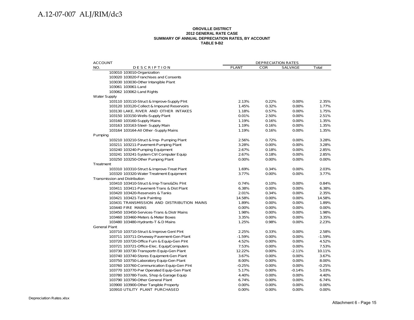#### **OROVILLE DISTRICT 2012 GENERAL RATE CASE SUMMARY OF ANNUAL DEPRECIATION RATES, BY ACCOUNT TABLE 9-B2**

| <b>ACCOUNT</b>                       |                                            |              | <b>DEPRECIATION RATES</b> |                |          |
|--------------------------------------|--------------------------------------------|--------------|---------------------------|----------------|----------|
| NO.                                  | <b>DESCRIPTION</b>                         | <b>PLANT</b> | <b>COR</b>                | <b>SALVAGE</b> | Total    |
|                                      | 103010 103010-Organization                 |              |                           |                |          |
|                                      | 103020 103020-Franchises and Consents      |              |                           |                |          |
|                                      | 103030 103030-Other Intangible Plant       |              |                           |                |          |
|                                      | 103061 103061-Land                         |              |                           |                |          |
|                                      | 103062 103062-Land Rights                  |              |                           |                |          |
| <b>Water Supply</b>                  |                                            |              |                           |                |          |
|                                      | 103110 103110-Struct & Improve-Supply Plnt | 2.13%        | 0.22%                     | 0.00%          | 2.35%    |
|                                      | 103120 103120-Collect & Impound Reservoirs | 1.45%        | 0.32%                     | 0.00%          | 1.77%    |
|                                      | 103130 LAKE, RIVER AND OTHER INTAKES       | 1.18%        | 0.57%                     | 0.00%          | 1.75%    |
|                                      | 103150 103150-Wells-Supply Plant           | 0.01%        | 2.50%                     | 0.00%          | 2.51%    |
|                                      | 103160 103160-Supply Mains                 | 1.19%        | 0.16%                     | 0.00%          | 1.35%    |
|                                      | 103163 103163-Steel- Supply Main           | 1.19%        | 0.16%                     | 0.00%          | 1.35%    |
|                                      | 103164 103164-All Other -Supply Mains      | 1.19%        | 0.16%                     | 0.00%          | 1.35%    |
| Pumping                              |                                            |              |                           |                |          |
|                                      | 103210 103210-Struct & Imp- Pumping Plant  | 2.56%        | 0.72%                     | 0.00%          | 3.28%    |
|                                      | 103211 103211-Pavement-Pumping Plant       | 3.28%        | 0.00%                     | 0.00%          | 3.28%    |
|                                      | 103240 103240-Pumping Equipment            | 2.67%        | 0.18%                     | 0.00%          | 2.85%    |
|                                      | 103241 103241-System Ctrl Computer Equip   | 2.67%        | 0.18%                     | 0.00%          | 2.85%    |
|                                      | 103250 103250-Other Pumping Plant          | 0.00%        | 0.00%                     | 0.00%          | 0.00%    |
| Treatment                            |                                            |              |                           |                |          |
|                                      | 103310 103310-Struct & Improve-Treat Plant | 1.69%        | 0.34%                     | 0.00%          | 2.03%    |
|                                      | 103320 103320-Water Treatment Equipment    | 3.77%        | 0.00%                     | 0.00%          | 3.77%    |
| <b>Transmission and Distribution</b> |                                            |              |                           |                |          |
|                                      | 103410 103410-Struct & Imp-Trans&Dis Plnt  | 0.74%        | 0.10%                     | 0.00%          | 0.84%    |
|                                      | 103411 103411-Pavement-Trans & Dist Plant  | 6.38%        | 0.00%                     | 0.00%          | 6.38%    |
|                                      | 103420 103420-Reservoirs & Tanks           | 2.01%        | 0.34%                     | 0.00%          | 2.35%    |
|                                      | 103421 103421-Tank Painting                | 14.58%       | 0.00%                     | 0.00%          | 14.58%   |
|                                      | 103431 TRANSMISSION AND DISTRIBUTION MAINS | 1.89%        | 0.00%                     | 0.00%          | 1.89%    |
|                                      | 103440 FIRE MAINS                          | 0.00%        | 0.00%                     | 0.00%          | 0.00%    |
|                                      | 103450 103450-Services-Trans & Distr Mains | 1.98%        | 0.00%                     | 0.00%          | 1.98%    |
|                                      | 103460 103460-Meters & Meter Boxes         | 3.35%        | 0.00%                     | 0.00%          | 3.35%    |
|                                      | 103480 103480-Hydrants-T & D Mains         | 1.25%        | 0.98%                     | 0.00%          | 2.23%    |
| <b>General Plant</b>                 |                                            |              |                           |                |          |
|                                      | 103710 103710-Struct & Improve Genl Pint   | 2.25%        | 0.33%                     | 0.00%          | 2.58%    |
|                                      | 103711 103711-Driveway Pavement-Gen Plant  | $-1.59%$     | 0.00%                     | 0.00%          | $-1.59%$ |
|                                      | 103720 103720-Office Furn & Equip-Gen Plnt | 4.52%        | 0.00%                     | 0.00%          | 4.52%    |
|                                      | 103721 103721-Office-Elec. Equip/Computers | 7.53%        | 0.00%                     | 0.00%          | 7.53%    |
|                                      | 103730 103730-Transportn Equip-Gen Plant   | 12.22%       | 0.00%                     | $-2.11%$       | 10.11%   |
|                                      | 103740 103740-Stores Equipment-Gen Plant   | 3.67%        | 0.00%                     | 0.00%          | 3.67%    |
|                                      | 103750 103750-Laboratory Equip-Gen Plant   | 8.00%        | 0.00%                     | 0.00%          | 8.00%    |
|                                      | 103760 103760-Communication Equip-Gen PInt | $-0.25%$     | 0.00%                     | 0.00%          | $-0.25%$ |
|                                      | 103770 103770-Pwr Operated Equip-Gen Plant | 5.17%        | 0.00%                     | $-0.14%$       | 5.03%    |
|                                      | 103780 103780-Tools, Shop & Garage Equip   | 4.40%        | 0.00%                     | 0.00%          | 4.40%    |
|                                      | 103790 103790-Other General Plant          | 6.74%        | 0.00%                     | 0.00%          | 6.74%    |
|                                      | 103900 103900-Other Tangible Property      | 0.00%        | 0.00%                     | 0.00%          | 0.00%    |
|                                      | 103910 UTILITY PLANT PURCHASED             | 0.00%        | 0.00%                     | 0.00%          | 0.00%    |
|                                      |                                            |              |                           |                |          |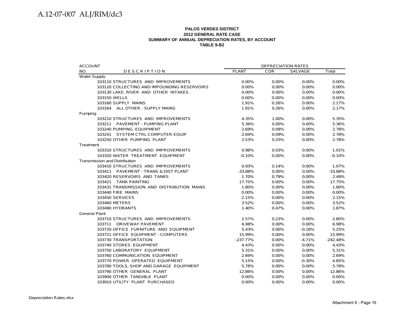#### **PALOS VERDES DISTRICT2012 GENERAL RATE CASE SUMMARY OF ANNUAL DEPRECIATION RATES, BY ACCOUNT TABLE 9-B2**

| <b>ACCOUNT</b>                              |              | <b>DEPRECIATION RATES</b> |                |            |
|---------------------------------------------|--------------|---------------------------|----------------|------------|
| NO.<br><b>DESCRIPTION</b>                   | <b>PLANT</b> | <b>COR</b>                | <b>SALVAGE</b> | Total      |
| <b>Water Supply</b>                         |              |                           |                |            |
| 103110 STRUCTURES AND IMPROVEMENTS          | $0.00\%$     | $0.00\%$                  | $0.00\%$       | 0.00%      |
| 103120 COLLECTING AND IMPOUNDING RESERVOIRS | 0.00%        | $0.00\%$                  | 0.00%          | 0.00%      |
| 103130 LAKE, RIVER AND OTHER INTAKES        | 0.00%        | 0.00%                     | 0.00%          | 0.00%      |
| 103150 WELLS                                | 0.00%        | 0.00%                     | 0.00%          | 0.00%      |
| 103160 SUPPLY MAINS                         | 1.91%        | 0.26%                     | 0.00%          | 2.17%      |
| 103164 ALL OTHER - SUPPLY MAINS             | 1.91%        | 0.26%                     | 0.00%          | 2.17%      |
| Pumping                                     |              |                           |                |            |
| 103210 STRUCTURES AND IMPROVEMENTS          | 4.35%        | 1.00%                     | 0.00%          | 5.35%      |
| 103211 PAVEMENT - PUMPING PLANT             | 5.36%        | 0.00%                     | 0.00%          | 5.36%      |
| 103240 PUMPING EQUIPMENT                    | 2.69%        | 0.09%                     | $0.00\%$       | 2.78%      |
| 103241 SYSTEM CTRL COMPUTER EQUIP           | 2.69%        | 0.09%                     | 0.00%          | 2.78%      |
| 103250 OTHER PUMPING PLANT                  | 2.53%        | 0.25%                     | 0.00%          | 2.78%      |
| Treatment                                   |              |                           |                |            |
| 103310 STRUCTURES AND IMPROVEMENTS          | 0.98%        | 0.03%                     | 0.00%          | 1.01%      |
| 103320 WATER TREATMENT EQUIPMENT            | $-0.10%$     | 0.00%                     | 0.00%          | $-0.10%$   |
| Transmission and Distribution               |              |                           |                |            |
| 103410 STRUCTURES AND IMPROVEMENTS          | 0.93%        | 0.14%                     | $0.00\%$       | 1.07%      |
| 103411 PAVEMENT - TRANS & DIST PLANT        | $-33.88%$    | 0.00%                     | 0.00%          | $-33.88%$  |
| 103420 RESERVOIRS AND TANKS                 | 1.70%        | 0.79%                     | 0.00%          | 2.49%      |
| 103421 TANK PAINTING                        | 17.75%       | 0.00%                     | 0.00%          | 17.75%     |
| 103431 TRANSMISSION AND DISTRIBUTION MAINS  | 1.80%        | 0.00%                     | 0.00%          | 1.80%      |
| 103440 FIRE MAINS                           | 0.00%        | 0.00%                     | 0.00%          | 0.00%      |
| 103450 SERVICES                             | 2.15%        | 0.00%                     | 0.00%          | 2.15%      |
| 103460 METERS                               | 3.52%        | 0.00%                     | 0.00%          | 3.52%      |
| 103480 HYDRANTS                             | 1.40%        | 0.47%                     | $0.00\%$       | 1.87%      |
| <b>General Plant</b>                        |              |                           |                |            |
| 103710 STRUCTURES AND IMPROVEMENTS          | 2.57%        | 0.23%                     | 0.00%          | 2.80%      |
| 103711 DRIVEWAY PAVEMENT                    | 6.98%        | 0.00%                     | $0.00\%$       | 6.98%      |
| 103720 OFFICE FURNITURE AND EQUIPMENT       | 5.43%        | 0.00%                     | $-0.18%$       | 5.25%      |
| 103721 OFFICE EQUIPMENT - COMPUTERS         | 15.99%       | 0.00%                     | 0.00%          | 15.99%     |
| 103730 TRANSPORTATION                       | $-237.77%$   | 0.00%                     | $-4.71%$       | $-242.48%$ |
| 103740 STORES EQUIPMENT                     | 4.43%        | 0.00%                     | 0.00%          | 4.43%      |
| 103750 LABORATORY EQUIPMENT                 | 5.31%        | 0.00%                     | $0.00\%$       | 5.31%      |
| 103760 COMMUNICATION EQUIPMENT              | 2.69%        | 0.00%                     | 0.00%          | 2.69%      |
| 103770 POWER OPERATED EQUIPMENT             | 5.15%        | 0.00%                     | $-0.30%$       | 4.85%      |
| 103780 TOOLS, SHOP AND GARAGE EQUIPMENT     | 5.78%        | $0.00\%$                  | $0.00\%$       | 5.78%      |
| 103790 OTHER GENERAL PLANT                  | 12.86%       | 0.00%                     | 0.00%          | 12.86%     |
| 103900 OTHER TANGIBLE PLANT                 | 0.00%        | 0.00%                     | 0.00%          | 0.00%      |
| 103910 UTILITY PLANT PURCHASED              | 0.00%        | 0.00%                     | 0.00%          | 0.00%      |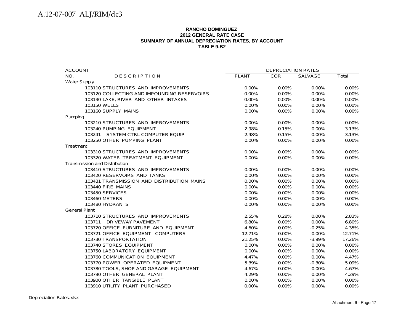#### **RANCHO DOMINGUEZ 2012 GENERAL RATE CASE SUMMARY OF ANNUAL DEPRECIATION RATES, BY ACCOUNT TABLE 9-B2**

| <b>ACCOUNT</b>                              | <b>DEPRECIATION RATES</b> |            |                |          |  |
|---------------------------------------------|---------------------------|------------|----------------|----------|--|
| NO.<br><b>DESCRIPTION</b>                   | <b>PLANT</b>              | <b>COR</b> | <b>SALVAGE</b> | Total    |  |
| <b>Water Supply</b>                         |                           |            |                |          |  |
| 103110 STRUCTURES AND IMPROVEMENTS          | 0.00%                     | $0.00\%$   | 0.00%          | $0.00\%$ |  |
| 103120 COLLECTING AND IMPOUNDING RESERVOIRS | 0.00%                     | 0.00%      | 0.00%          | 0.00%    |  |
| 103130 LAKE, RIVER AND OTHER INTAKES        | 0.00%                     | 0.00%      | 0.00%          | 0.00%    |  |
| 103150 WELLS                                | $0.00\%$                  | $0.00\%$   | $0.00\%$       | $0.00\%$ |  |
| 103160 SUPPLY MAINS                         | 0.00%                     | 0.00%      | 0.00%          | 0.00%    |  |
| Pumping                                     |                           |            |                |          |  |
| 103210 STRUCTURES AND IMPROVEMENTS          | 0.00%                     | $0.00\%$   | 0.00%          | 0.00%    |  |
| 103240 PUMPING EQUIPMENT                    | 2.98%                     | 0.15%      | 0.00%          | 3.13%    |  |
| 103241 SYSTEM CTRL COMPUTER EQUIP           | 2.98%                     | 0.15%      | 0.00%          | 3.13%    |  |
| 103250 OTHER PUMPING PLANT                  | 0.00%                     | 0.00%      | 0.00%          | 0.00%    |  |
| Treatment                                   |                           |            |                |          |  |
| 103310 STRUCTURES AND IMPROVEMENTS          | 0.00%                     | 0.00%      | 0.00%          | 0.00%    |  |
| 103320 WATER TREATMENT EQUIPMENT            | 0.00%                     | 0.00%      | 0.00%          | $0.00\%$ |  |
| <b>Transmission and Distribution</b>        |                           |            |                |          |  |
| 103410 STRUCTURES AND IMPROVEMENTS          | 0.00%                     | 0.00%      | 0.00%          | 0.00%    |  |
| 103420 RESERVOIRS AND TANKS                 | 0.00%                     | 0.00%      | 0.00%          | 0.00%    |  |
| 103431 TRANSMISSION AND DISTRIBUTION MAINS  | $0.00\%$                  | $0.00\%$   | 0.00%          | 0.00%    |  |
| 103440 FIRE MAINS                           | $0.00\%$                  | $0.00\%$   | 0.00%          | 0.00%    |  |
| <b>103450 SERVICES</b>                      | 0.00%                     | 0.00%      | 0.00%          | 0.00%    |  |
| 103460 METERS                               | 0.00%                     | 0.00%      | 0.00%          | 0.00%    |  |
| 103480 HYDRANTS                             | $0.00\%$                  | $0.00\%$   | $0.00\%$       | $0.00\%$ |  |
| <b>General Plant</b>                        |                           |            |                |          |  |
| 103710 STRUCTURES AND IMPROVEMENTS          | 2.55%                     | 0.28%      | 0.00%          | 2.83%    |  |
| 103711 DRIVEWAY PAVEMENT                    | 6.80%                     | 0.00%      | 0.00%          | 6.80%    |  |
| 103720 OFFICE FURNITURE AND EQUIPMENT       | 4.60%                     | $0.00\%$   | $-0.25%$       | 4.35%    |  |
| 103721 OFFICE EQUIPMENT - COMPUTERS         | 12.71%                    | 0.00%      | 0.00%          | 12.71%   |  |
| 103730 TRANSPORTATION                       | 21.25%                    | 0.00%      | $-3.99%$       | 17.26%   |  |
| 103740 STORES EQUIPMENT                     | 0.00%                     | 0.00%      | 0.00%          | 0.00%    |  |
| 103750 LABORATORY EQUIPMENT                 | $0.00\%$                  | $0.00\%$   | $0.00\%$       | $0.00\%$ |  |
| 103760 COMMUNICATION EQUIPMENT              | 4.47%                     | 0.00%      | 0.00%          | 4.47%    |  |
| 103770 POWER OPERATED EQUIPMENT             | 5.39%                     | 0.00%      | $-0.30%$       | 5.09%    |  |
| 103780 TOOLS, SHOP AND GARAGE EQUIPMENT     | 4.67%                     | 0.00%      | 0.00%          | 4.67%    |  |
| 103790 OTHER GENERAL PLANT                  | 4.29%                     | 0.00%      | 0.00%          | 4.29%    |  |
| 103900 OTHER TANGIBLE PLANT                 | 0.00%                     | 0.00%      | 0.00%          | 0.00%    |  |
| 103910 UTILITY PLANT PURCHASED              | $0.00\%$                  | 0.00%      | 0.00%          | 0.00%    |  |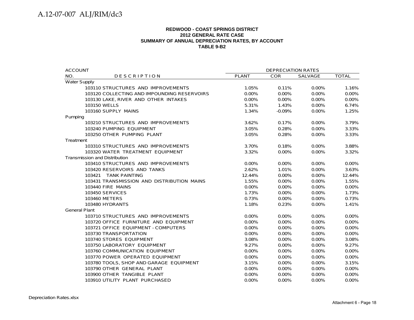#### **REDWOOD - COAST SPRINGS DISTRICT2012 GENERAL RATE CASE SUMMARY OF ANNUAL DEPRECIATION RATES, BY ACCOUNT TABLE 9-B2**

| <b>ACCOUNT</b>                              |              | <b>DEPRECIATION RATES</b> |          |              |
|---------------------------------------------|--------------|---------------------------|----------|--------------|
| NO.<br><b>DESCRIPTION</b>                   | <b>PLANT</b> | <b>COR</b>                | SALVAGE  | <b>TOTAL</b> |
| <b>Water Supply</b>                         |              |                           |          |              |
| 103110 STRUCTURES AND IMPROVEMENTS          | 1.05%        | 0.11%                     | $0.00\%$ | 1.16%        |
| 103120 COLLECTING AND IMPOUNDING RESERVOIRS | 0.00%        | 0.00%                     | 0.00%    | 0.00%        |
| 103130 LAKE, RIVER AND OTHER INTAKES        | 0.00%        | 0.00%                     | 0.00%    | 0.00%        |
| 103150 WELLS                                | 5.31%        | 1.43%                     | 0.00%    | 6.74%        |
| 103160 SUPPLY MAINS                         | 1.34%        | $-0.09%$                  | 0.00%    | 1.25%        |
| Pumping                                     |              |                           |          |              |
| 103210 STRUCTURES AND IMPROVEMENTS          | 3.62%        | 0.17%                     | $0.00\%$ | 3.79%        |
| 103240 PUMPING EQUIPMENT                    | 3.05%        | 0.28%                     | 0.00%    | 3.33%        |
| 103250 OTHER PUMPING PLANT                  | 3.05%        | 0.28%                     | 0.00%    | 3.33%        |
| Treatment                                   |              |                           |          |              |
| 103310 STRUCTURES AND IMPROVEMENTS          | 3.70%        | 0.18%                     | $0.00\%$ | 3.88%        |
| 103320 WATER TREATMENT EQUIPMENT            | 3.32%        | 0.00%                     | 0.00%    | 3.32%        |
| <b>Transmission and Distribution</b>        |              |                           |          |              |
| 103410 STRUCTURES AND IMPROVEMENTS          | $0.00\%$     | $0.00\%$                  | $0.00\%$ | $0.00\%$     |
| 103420 RESERVOIRS AND TANKS                 | 2.62%        | 1.01%                     | 0.00%    | 3.63%        |
| 103421 TANK PAINTING                        | 12.44%       | 0.00%                     | 0.00%    | 12.44%       |
| 103431 TRANSMISSION AND DISTRIBUTION MAINS  | 1.55%        | 0.00%                     | 0.00%    | 1.55%        |
| 103440 FIRE MAINS                           | 0.00%        | 0.00%                     | 0.00%    | 0.00%        |
| <b>103450 SERVICES</b>                      | 1.73%        | 0.00%                     | 0.00%    | 1.73%        |
| 103460 METERS                               | 0.73%        | 0.00%                     | 0.00%    | 0.73%        |
| 103480 HYDRANTS                             | 1.18%        | 0.23%                     | 0.00%    | 1.41%        |
| <b>General Plant</b>                        |              |                           |          |              |
| 103710 STRUCTURES AND IMPROVEMENTS          | $0.00\%$     | 0.00%                     | 0.00%    | 0.00%        |
| 103720 OFFICE FURNITURE AND EQUIPMENT       | 0.00%        | 0.00%                     | 0.00%    | 0.00%        |
| 103721 OFFICE EQUIPMENT - COMPUTERS         | $0.00\%$     | 0.00%                     | 0.00%    | 0.00%        |
| 103730 TRANSPORTATION                       | $0.00\%$     | 0.00%                     | $0.00\%$ | 0.00%        |
| 103740 STORES EQUIPMENT                     | 3.08%        | 0.00%                     | 0.00%    | 3.08%        |
| 103750 LABORATORY EQUIPMENT                 | 9.27%        | 0.00%                     | 0.00%    | 9.27%        |
| 103760 COMMUNICATION EQUIPMENT              | $0.00\%$     | 0.00%                     | 0.00%    | 0.00%        |
| 103770 POWER OPERATED EQUIPMENT             | $0.00\%$     | 0.00%                     | 0.00%    | 0.00%        |
| 103780 TOOLS, SHOP AND GARAGE EQUIPMENT     | 3.15%        | 0.00%                     | 0.00%    | 3.15%        |
| 103790 OTHER GENERAL PLANT                  | 0.00%        | 0.00%                     | 0.00%    | 0.00%        |
| 103900 OTHER TANGIBLE PLANT                 | 0.00%        | 0.00%                     | 0.00%    | 0.00%        |
| 103910 UTILITY PLANT PURCHASED              | 0.00%        | 0.00%                     | 0.00%    | 0.00%        |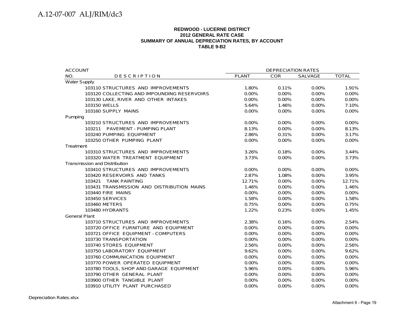#### **REDWOOD - LUCERNE DISTRICT2012 GENERAL RATE CASE SUMMARY OF ANNUAL DEPRECIATION RATES, BY ACCOUNT TABLE 9-B2**

| <b>ACCOUNT</b>                              |              | <b>DEPRECIATION RATES</b> |          |              |  |  |
|---------------------------------------------|--------------|---------------------------|----------|--------------|--|--|
| NO.<br><b>DESCRIPTION</b>                   | <b>PLANT</b> | <b>COR</b>                | SALVAGE  | <b>TOTAL</b> |  |  |
| <b>Water Supply</b>                         |              |                           |          |              |  |  |
| 103110 STRUCTURES AND IMPROVEMENTS          | 1.80%        | 0.11%                     | 0.00%    | 1.91%        |  |  |
| 103120 COLLECTING AND IMPOUNDING RESERVOIRS | $0.00\%$     | $0.00\%$                  | 0.00%    | 0.00%        |  |  |
| 103130 LAKE, RIVER AND OTHER INTAKES        | 0.00%        | 0.00%                     | 0.00%    | 0.00%        |  |  |
| 103150 WELLS                                | 5.64%        | 1.46%                     | 0.00%    | 7.10%        |  |  |
| 103160 SUPPLY MAINS                         | 0.00%        | 0.00%                     | 0.00%    | 0.00%        |  |  |
| Pumping                                     |              |                           |          |              |  |  |
| 103210 STRUCTURES AND IMPROVEMENTS          | 0.00%        | $0.00\%$                  | $0.00\%$ | 0.00%        |  |  |
| 103211 PAVEMENT - PUMPING PLANT             | 8.13%        | $0.00\%$                  | 0.00%    | 8.13%        |  |  |
| 103240 PUMPING EQUIPMENT                    | 2.86%        | 0.31%                     | 0.00%    | 3.17%        |  |  |
| 103250 OTHER PUMPING PLANT                  | 0.00%        | $0.00\%$                  | 0.00%    | 0.00%        |  |  |
| Treatment                                   |              |                           |          |              |  |  |
| 103310 STRUCTURES AND IMPROVEMENTS          | 3.26%        | 0.18%                     | 0.00%    | 3.44%        |  |  |
| 103320 WATER TREATMENT EQUIPMENT            | 3.73%        | 0.00%                     | 0.00%    | 3.73%        |  |  |
| <b>Transmission and Distribution</b>        |              |                           |          |              |  |  |
| 103410 STRUCTURES AND IMPROVEMENTS          | 0.00%        | $0.00\%$                  | $0.00\%$ | $0.00\%$     |  |  |
| 103420 RESERVOIRS AND TANKS                 | 2.87%        | 1.08%                     | 0.00%    | 3.95%        |  |  |
| 103421 TANK PAINTING                        | 12.71%       | 0.00%                     | 0.00%    | 12.71%       |  |  |
| 103431 TRANSMISSION AND DISTRIBUTION MAINS  | 1.46%        | 0.00%                     | 0.00%    | 1.46%        |  |  |
| 103440 FIRE MAINS                           | 0.00%        | 0.00%                     | 0.00%    | 0.00%        |  |  |
| <b>103450 SERVICES</b>                      | 1.58%        | 0.00%                     | 0.00%    | 1.58%        |  |  |
| 103460 METERS                               | 0.75%        | $0.00\%$                  | $0.00\%$ | 0.75%        |  |  |
| 103480 HYDRANTS                             | 1.22%        | 0.23%                     | 0.00%    | 1.45%        |  |  |
| <b>General Plant</b>                        |              |                           |          |              |  |  |
| 103710 STRUCTURES AND IMPROVEMENTS          | 2.38%        | 0.16%                     | $0.00\%$ | 2.54%        |  |  |
| 103720 OFFICE FURNITURE AND EQUIPMENT       | 0.00%        | 0.00%                     | 0.00%    | 0.00%        |  |  |
| 103721 OFFICE EQUIPMENT - COMPUTERS         | 0.00%        | 0.00%                     | 0.00%    | 0.00%        |  |  |
| 103730 TRANSPORTATION                       | $0.00\%$     | $0.00\%$                  | $0.00\%$ | $0.00\%$     |  |  |
| 103740 STORES EQUIPMENT                     | 2.56%        | $0.00\%$                  | $0.00\%$ | 2.56%        |  |  |
| 103750 LABORATORY EQUIPMENT                 | 9.62%        | 0.00%                     | 0.00%    | 9.62%        |  |  |
| 103760 COMMUNICATION EQUIPMENT              | 0.00%        | 0.00%                     | 0.00%    | 0.00%        |  |  |
| 103770 POWER OPERATED EQUIPMENT             | 0.00%        | 0.00%                     | 0.00%    | 0.00%        |  |  |
| 103780 TOOLS, SHOP AND GARAGE EQUIPMENT     | 5.96%        | 0.00%                     | 0.00%    | 5.96%        |  |  |
| 103790 OTHER GENERAL PLANT                  | 0.00%        | 0.00%                     | 0.00%    | $0.00\%$     |  |  |
| 103900 OTHER TANGIBLE PLANT                 | 0.00%        | $0.00\%$                  | 0.00%    | $0.00\%$     |  |  |
| 103910 UTILITY PLANT PURCHASED              | 0.00%        | 0.00%                     | 0.00%    | 0.00%        |  |  |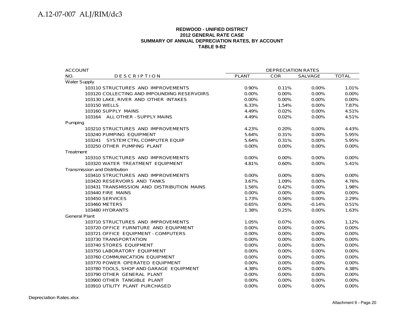#### **REDWOOD - UNIFIED DISTRICT2012 GENERAL RATE CASE SUMMARY OF ANNUAL DEPRECIATION RATES, BY ACCOUNT TABLE 9-B2**

| <b>ACCOUNT</b>                              | <b>DEPRECIATION RATES</b> |            |          |              |  |  |
|---------------------------------------------|---------------------------|------------|----------|--------------|--|--|
| NO.<br><b>DESCRIPTION</b>                   | <b>PLANT</b>              | <b>COR</b> | SALVAGE  | <b>TOTAL</b> |  |  |
| <b>Water Supply</b>                         |                           |            |          |              |  |  |
| 103110 STRUCTURES AND IMPROVEMENTS          | 0.90%                     | 0.11%      | 0.00%    | 1.01%        |  |  |
| 103120 COLLECTING AND IMPOUNDING RESERVOIRS | 0.00%                     | 0.00%      | 0.00%    | 0.00%        |  |  |
| 103130 LAKE, RIVER AND OTHER INTAKES        | 0.00%                     | 0.00%      | 0.00%    | 0.00%        |  |  |
| 103150 WELLS                                | 6.33%                     | 1.54%      | $0.00\%$ | 7.87%        |  |  |
| 103160 SUPPLY MAINS                         | 4.49%                     | 0.02%      | 0.00%    | 4.51%        |  |  |
| 103164 ALL OTHER - SUPPLY MAINS             | 4.49%                     | 0.02%      | 0.00%    | 4.51%        |  |  |
| Pumping                                     |                           |            |          |              |  |  |
| 103210 STRUCTURES AND IMPROVEMENTS          | 4.23%                     | 0.20%      | 0.00%    | 4.43%        |  |  |
| 103240 PUMPING EQUIPMENT                    | 5.64%                     | 0.31%      | 0.00%    | 5.95%        |  |  |
| 103241 SYSTEM CTRL COMPUTER EQUIP           | 5.64%                     | 0.31%      | 0.00%    | 5.95%        |  |  |
| 103250 OTHER PUMPING PLANT                  | 0.00%                     | 0.00%      | 0.00%    | $0.00\%$     |  |  |
| Treatment                                   |                           |            |          |              |  |  |
| 103310 STRUCTURES AND IMPROVEMENTS          | 0.00%                     | 0.00%      | 0.00%    | 0.00%        |  |  |
| 103320 WATER TREATMENT EQUIPMENT            | 4.81%                     | 0.60%      | 0.00%    | 5.41%        |  |  |
| <b>Transmission and Distribution</b>        |                           |            |          |              |  |  |
| 103410 STRUCTURES AND IMPROVEMENTS          | 0.00%                     | 0.00%      | 0.00%    | 0.00%        |  |  |
| 103420 RESERVOIRS AND TANKS                 | 3.67%                     | 1.09%      | 0.00%    | 4.76%        |  |  |
| 103431 TRANSMISSION AND DISTRIBUTION MAINS  | 1.56%                     | 0.42%      | 0.00%    | 1.98%        |  |  |
| 103440 FIRE MAINS                           | 0.00%                     | $0.00\%$   | $0.00\%$ | 0.00%        |  |  |
| 103450 SERVICES                             | 1.73%                     | 0.56%      | 0.00%    | 2.29%        |  |  |
| 103460 METERS                               | 0.65%                     | 0.00%      | $-0.14%$ | 0.51%        |  |  |
| 103480 HYDRANTS                             | 1.38%                     | 0.25%      | 0.00%    | 1.63%        |  |  |
| <b>General Plant</b>                        |                           |            |          |              |  |  |
| 103710 STRUCTURES AND IMPROVEMENTS          | 1.05%                     | 0.07%      | 0.00%    | 1.12%        |  |  |
| 103720 OFFICE FURNITURE AND EQUIPMENT       | 0.00%                     | 0.00%      | 0.00%    | 0.00%        |  |  |
| 103721 OFFICE EQUIPMENT - COMPUTERS         | 0.00%                     | $0.00\%$   | $0.00\%$ | $0.00\%$     |  |  |
| 103730 TRANSPORTATION                       | 0.00%                     | 0.00%      | 0.00%    | 0.00%        |  |  |
| 103740 STORES EQUIPMENT                     | 0.00%                     | 0.00%      | 0.00%    | 0.00%        |  |  |
| 103750 LABORATORY EQUIPMENT                 | 0.00%                     | 0.00%      | 0.00%    | 0.00%        |  |  |
| 103760 COMMUNICATION EQUIPMENT              | 0.00%                     | $0.00\%$   | 0.00%    | 0.00%        |  |  |
| 103770 POWER OPERATED EQUIPMENT             | 0.00%                     | 0.00%      | 0.00%    | 0.00%        |  |  |
| 103780 TOOLS, SHOP AND GARAGE EQUIPMENT     | 4.38%                     | 0.00%      | 0.00%    | 4.38%        |  |  |
| 103790 OTHER GENERAL PLANT                  | 0.00%                     | 0.00%      | 0.00%    | 0.00%        |  |  |
| 103900 OTHER TANGIBLE PLANT                 | 0.00%                     | $0.00\%$   | 0.00%    | $0.00\%$     |  |  |
| 103910 UTILITY PLANT PURCHASED              | 0.00%                     | 0.00%      | 0.00%    | 0.00%        |  |  |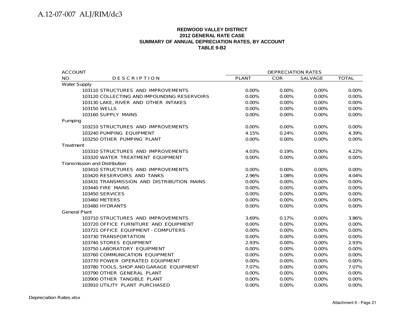#### **REDWOOD VALLEY DISTRICT 2012 GENERAL RATE CASESUMMARY OF ANNUAL DEPRECIATION RATES, BY ACCOUNT TABLE 9-B2**

| <b>ACCOUNT</b>                              | <b>DEPRECIATION RATES</b> |            |          |              |
|---------------------------------------------|---------------------------|------------|----------|--------------|
| NO.<br><b>DESCRIPTION</b>                   | <b>PLANT</b>              | <b>COR</b> | SALVAGE  | <b>TOTAL</b> |
| <b>Water Supply</b>                         |                           |            |          |              |
| 103110 STRUCTURES AND IMPROVEMENTS          | $0.00\%$                  | $0.00\%$   | $0.00\%$ | 0.00%        |
| 103120 COLLECTING AND IMPOUNDING RESERVOIRS | 0.00%                     | 0.00%      | 0.00%    | $0.00\%$     |
| 103130 LAKE, RIVER AND OTHER INTAKES        | 0.00%                     | 0.00%      | 0.00%    | 0.00%        |
| 103150 WELLS                                | 0.00%                     | 0.00%      | 0.00%    | 0.00%        |
| 103160 SUPPLY MAINS                         | 0.00%                     | 0.00%      | 0.00%    | 0.00%        |
| Pumping                                     |                           |            |          |              |
| 103210 STRUCTURES AND IMPROVEMENTS          | $0.00\%$                  | $0.00\%$   | 0.00%    | 0.00%        |
| 103240 PUMPING EQUIPMENT                    | 4.15%                     | 0.24%      | 0.00%    | 4.39%        |
| 103250 OTHER PUMPING PLANT                  | 0.00%                     | 0.00%      | 0.00%    | 0.00%        |
| Treatment                                   |                           |            |          |              |
| 103310 STRUCTURES AND IMPROVEMENTS          | 4.03%                     | 0.19%      | 0.00%    | 4.22%        |
| 103320 WATER TREATMENT EQUIPMENT            | 0.00%                     | 0.00%      | 0.00%    | 0.00%        |
| <b>Transmission and Distribution</b>        |                           |            |          |              |
| 103410 STRUCTURES AND IMPROVEMENTS          | 0.00%                     | 0.00%      | 0.00%    | 0.00%        |
| 103420 RESERVOIRS AND TANKS                 | 2.96%                     | 1.08%      | 0.00%    | 4.04%        |
| 103431 TRANSMISSION AND DISTRIBUTION MAINS  | 0.00%                     | 0.00%      | 0.00%    | 0.00%        |
| 103440 FIRE MAINS                           | 0.00%                     | 0.00%      | 0.00%    | 0.00%        |
| 103450 SERVICES                             | 0.00%                     | 0.00%      | 0.00%    | 0.00%        |
| 103460 METERS                               | 0.00%                     | 0.00%      | 0.00%    | 0.00%        |
| 103480 HYDRANTS                             | 0.00%                     | 0.00%      | 0.00%    | 0.00%        |
| <b>General Plant</b>                        |                           |            |          |              |
| 103710 STRUCTURES AND IMPROVEMENTS          | 3.69%                     | 0.17%      | $0.00\%$ | 3.86%        |
| 103720 OFFICE FURNITURE AND EQUIPMENT       | 0.00%                     | 0.00%      | 0.00%    | 0.00%        |
| 103721 OFFICE EQUIPMENT - COMPUTERS         | 0.00%                     | 0.00%      | 0.00%    | 0.00%        |
| 103730 TRANSPORTATION                       | 0.00%                     | 0.00%      | 0.00%    | 0.00%        |
| 103740 STORES EQUIPMENT                     | 2.93%                     | 0.00%      | 0.00%    | 2.93%        |
| 103750 LABORATORY EQUIPMENT                 | 0.00%                     | 0.00%      | 0.00%    | 0.00%        |
| 103760 COMMUNICATION EQUIPMENT              | 0.00%                     | 0.00%      | 0.00%    | 0.00%        |
| 103770 POWER OPERATED EQUIPMENT             | 0.00%                     | 0.00%      | 0.00%    | 0.00%        |
| 103780 TOOLS, SHOP AND GARAGE EQUIPMENT     | 7.07%                     | 0.00%      | 0.00%    | 7.07%        |
| 103790 OTHER GENERAL PLANT                  | 0.00%                     | 0.00%      | 0.00%    | 0.00%        |
| 103900 OTHER TANGIBLE PLANT                 | 0.00%                     | 0.00%      | 0.00%    | 0.00%        |
| 103910 UTILITY PLANT PURCHASED              | 0.00%                     | 0.00%      | 0.00%    | 0.00%        |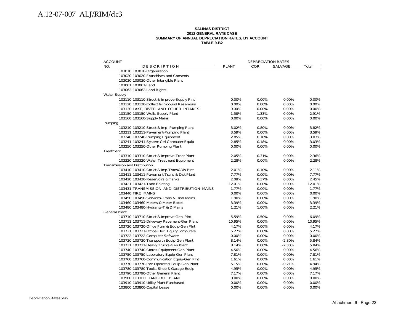#### **SALINAS DISTRICT 2012 GENERAL RATE CASE SUMMARY OF ANNUAL DEPRECIATION RATES, BY ACCOUNT TABLE 9-B2**

| <b>ACCOUNT</b>                             | <b>DEPRECIATION RATES</b> |            |          |        |
|--------------------------------------------|---------------------------|------------|----------|--------|
| NO.<br>DESCRIPTION                         | <b>PLANT</b>              | <b>COR</b> | SALVAGE  | Total  |
| 103010 103010-Organization                 |                           |            |          |        |
| 103020 103020-Franchises and Consents      |                           |            |          |        |
| 103030 103030-Other Intangible Plant       |                           |            |          |        |
| 103061 103061-Land                         |                           |            |          |        |
| 103062 103062-Land Rights                  |                           |            |          |        |
| <b>Water Supply</b>                        |                           |            |          |        |
| 103110 103110-Struct & Improve-Supply Pint | 0.00%                     | 0.00%      | 0.00%    | 0.00%  |
| 103120 103120-Collect & Impound Reservoirs | 0.00%                     | 0.00%      | 0.00%    | 0.00%  |
| 103130 LAKE, RIVER AND OTHER INTAKES       | 0.00%                     | 0.00%      | 0.00%    | 0.00%  |
| 103150 103150-Wells-Supply Plant           | 1.58%                     | 1.33%      | 0.00%    | 2.91%  |
| 103160 103160-Supply Mains                 | 0.00%                     | 0.00%      | 0.00%    | 0.00%  |
| Pumping                                    |                           |            |          |        |
| 103210 103210-Struct & Imp- Pumping Plant  | 3.02%                     | 0.80%      | 0.00%    | 3.82%  |
| 103211 103211-Pavement-Pumping Plant       | 3.59%                     | 0.00%      | 0.00%    | 3.59%  |
| 103240 103240-Pumping Equipment            | 2.85%                     | 0.18%      | 0.00%    | 3.03%  |
| 103241 103241-System Ctrl Computer Equip   | 2.85%                     | 0.18%      | $0.00\%$ | 3.03%  |
| 103250 103250-Other Pumping Plant          | 0.00%                     | 0.00%      | 0.00%    | 0.00%  |
| Treatment                                  |                           |            |          |        |
| 103310 103310-Struct & Improve-Treat Plant | 2.05%                     | 0.31%      | 0.00%    | 2.36%  |
| 103320 103320-Water Treatment Equipment    | 2.28%                     | 0.00%      | 0.00%    | 2.28%  |
| <b>Transmission and Distribution</b>       |                           |            |          |        |
| 103410 103410-Struct & Imp-Trans&Dis PInt  | 2.01%                     | 0.10%      | 0.00%    | 2.11%  |
| 103411 103411-Pavement-Trans & Dist Plant  | 7.77%                     | 0.00%      | 0.00%    | 7.77%  |
| 103420 103420-Reservoirs & Tanks           | 2.08%                     | 0.37%      | 0.00%    | 2.45%  |
| 103421 103421-Tank Painting                | 12.01%                    | 0.00%      | 0.00%    | 12.01% |
| 103431 TRANSMISSION AND DISTRIBUTION MAINS | 1.77%                     | 0.00%      | 0.00%    | 1.77%  |
| 103440 FIRE MAINS                          | 0.00%                     | 0.00%      | 0.00%    | 0.00%  |
| 103450 103450-Services-Trans & Distr Mains | 1.90%                     | 0.00%      | 0.00%    | 1.90%  |
| 103460 103460-Meters & Meter Boxes         | 3.39%                     | 0.00%      | 0.00%    | 3.39%  |
| 103480 103480-Hydrants-T & D Mains         | 1.21%                     | 1.00%      | 0.00%    | 2.21%  |
| <b>General Plant</b>                       |                           |            |          |        |
| 103710 103710-Struct & Improve Genl PInt   | 5.59%                     | 0.50%      | 0.00%    | 6.09%  |
| 103711 103711-Driveway Pavement-Gen Plant  | 10.95%                    | $0.00\%$   | $0.00\%$ | 10.95% |
| 103720 103720-Office Furn & Equip-Gen PInt | 4.17%                     | 0.00%      | 0.00%    | 4.17%  |
| 103721 103721-Office-Elec. Equip/Computers | 5.27%                     | 0.00%      | 0.00%    | 5.27%  |
| 103722 103722-Computer Software            | 0.00%                     | $0.00\%$   | 0.00%    | 0.00%  |
| 103730 103730-Transportn Equip-Gen Plant   | 8.14%                     | 0.00%      | $-2.30%$ | 5.84%  |
| 103731 103731-Heavy Trucks-Gen Plant       | 8.14%                     | 0.00%      | $-2.30%$ | 5.84%  |
| 103740 103740-Stores Equipment-Gen Plant   | 4.56%                     | $0.00\%$   | $0.00\%$ | 4.56%  |
| 103750 103750-Laboratory Equip-Gen Plant   | 7.81%                     | 0.00%      | 0.00%    | 7.81%  |
| 103760 103760-Communication Equip-Gen Plnt | 1.61%                     | 0.00%      | 0.00%    | 1.61%  |
| 103770 103770-Pwr Operated Equip-Gen Plant | 5.15%                     | $0.00\%$   | $-0.21%$ | 4.94%  |
| 103780 103780-Tools, Shop & Garage Equip   | 4.95%                     | 0.00%      | 0.00%    | 4.95%  |
| 103790 103790-Other General Plant          | 7.17%                     | $0.00\%$   | 0.00%    | 7.17%  |
| 103900 OTHER TANGIBLE PLANT                | 0.00%                     | 0.00%      | 0.00%    | 0.00%  |
| 103910 103910-Utility Plant Purchased      | 0.00%                     | 0.00%      | 0.00%    | 0.00%  |
| 103800 103800-Capital Lease                | 0.00%                     | 0.00%      | 0.00%    | 0.00%  |
|                                            |                           |            |          |        |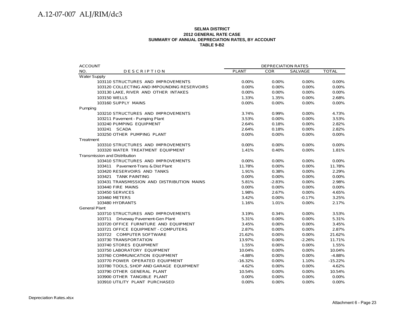#### **SELMA DISTRICT2012 GENERAL RATE CASE SUMMARY OF ANNUAL DEPRECIATION RATES, BY ACCOUNT TABLE 9-B2**

| <b>ACCOUNT</b>                              | DEPRECIATION RATES |          |                |              |
|---------------------------------------------|--------------------|----------|----------------|--------------|
| NO.<br><b>DESCRIPTION</b>                   | <b>PLANT</b>       | COR      | <b>SALVAGE</b> | <b>TOTAL</b> |
| <b>Water Supply</b>                         |                    |          |                |              |
| 103110 STRUCTURES AND IMPROVEMENTS          | 0.00%              | 0.00%    | 0.00%          | $0.00\%$     |
| 103120 COLLECTING AND IMPOUNDING RESERVOIRS | 0.00%              | $0.00\%$ | 0.00%          | 0.00%        |
| 103130 LAKE, RIVER AND OTHER INTAKES        | 0.00%              | 0.00%    | 0.00%          | $0.00\%$     |
| 103150 WELLS                                | 1.33%              | 1.35%    | 0.00%          | 2.68%        |
| 103160 SUPPLY MAINS                         | 0.00%              | $0.00\%$ | 0.00%          | 0.00%        |
| Pumping                                     |                    |          |                |              |
| 103210 STRUCTURES AND IMPROVEMENTS          | 3.74%              | 0.99%    | 0.00%          | 4.73%        |
| 103211 Pavement - Pumping Plant             | 3.53%              | $0.00\%$ | 0.00%          | 3.53%        |
| 103240 PUMPING EQUIPMENT                    | 2.64%              | 0.18%    | 0.00%          | 2.82%        |
| 103241 SCADA                                | 2.64%              | 0.18%    | 0.00%          | 2.82%        |
| 103250 OTHER PUMPING PLANT                  | 0.00%              | $0.00\%$ | 0.00%          | 0.00%        |
| Treatment                                   |                    |          |                |              |
| 103310 STRUCTURES AND IMPROVEMENTS          | 0.00%              | 0.00%    | 0.00%          | 0.00%        |
| 103320 WATER TREATMENT EQUIPMENT            | 1.41%              | 0.40%    | 0.00%          | 1.81%        |
| Transmission and Distribution               |                    |          |                |              |
| 103410 STRUCTURES AND IMPROVEMENTS          | 0.00%              | 0.00%    | 0.00%          | 0.00%        |
| 103411 Pavement-Trans & Dist Plant          | 11.78%             | $0.00\%$ | 0.00%          | 11.78%       |
| 103420 RESERVOIRS AND TANKS                 | 1.91%              | 0.38%    | 0.00%          | 2.29%        |
| 103421 TANK PAINTING                        | 0.00%              | $0.00\%$ | 0.00%          | $0.00\%$     |
| 103431 TRANSMISSION AND DISTRIBUTION MAINS  | 5.81%              | $-2.83%$ | 0.00%          | 2.98%        |
| 103440 FIRE MAINS                           | 0.00%              | 0.00%    | 0.00%          | 0.00%        |
| <b>103450 SERVICES</b>                      | 1.98%              | 2.67%    | 0.00%          | 4.65%        |
| 103460 METERS                               | 3.42%              | $0.00\%$ | $-0.17%$       | 3.25%        |
| 103480 HYDRANTS                             | 1.16%              | 1.01%    | 0.00%          | 2.17%        |
| <b>General Plant</b>                        |                    |          |                |              |
| 103710 STRUCTURES AND IMPROVEMENTS          | 3.19%              | 0.34%    | 0.00%          | 3.53%        |
| 103711 Driveway Pavement-Gen Plant          | 5.31%              | 0.00%    | 0.00%          | 5.31%        |
| 103720 OFFICE FURNITURE AND EQUIPMENT       | 3.45%              | $0.00\%$ | 0.00%          | 3.45%        |
| 103721 OFFICE EQUIPMENT - COMPUTERS         | 2.87%              | $0.00\%$ | 0.00%          | 2.87%        |
| 103722 COMPUTER SOFTWARE                    | 21.62%             | 0.00%    | 0.00%          | 21.62%       |
| 103730 TRANSPORTATION                       | 13.97%             | 0.00%    | $-2.26%$       | 11.71%       |
| 103740 STORES EQUIPMENT                     | 1.55%              | 0.00%    | 0.00%          | 1.55%        |
| 103750 LABORATORY EQUIPMENT                 | 10.04%             | $0.00\%$ | 0.00%          | 10.04%       |
| 103760 COMMUNICATION EQUIPMENT              | $-4.88%$           | 0.00%    | 0.00%          | -4.88%       |
| 103770 POWER OPERATED EQUIPMENT             | $-16.32%$          | 0.00%    | 1.10%          | $-15.22%$    |
| 103780 TOOLS, SHOP AND GARAGE EQUIPMENT     | 4.62%              | $0.00\%$ | 0.00%          | 4.62%        |
| 103790 OTHER GENERAL PLANT                  | 10.54%             | 0.00%    | 0.00%          | 10.54%       |
| 103900 OTHER TANGIBLE PLANT                 | 0.00%              | $0.00\%$ | 0.00%          | 0.00%        |
| 103910 UTILITY PLANT PURCHASED              | 0.00%              | 0.00%    | 0.00%          | 0.00%        |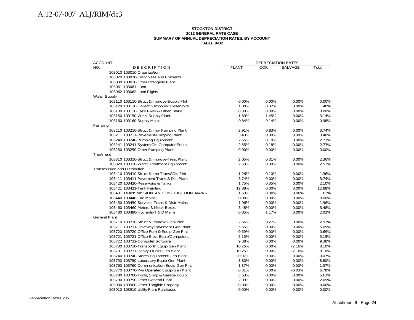#### **STOCKTON DISTRICT 2012 GENERAL RATE CASE SUMMARY OF ANNUAL DEPRECIATION RATES, BY ACCOUNT TABLE 9-B2**

| <b>ACCOUNT</b>                             |              | <b>DEPRECIATION RATES</b> |                |          |  |
|--------------------------------------------|--------------|---------------------------|----------------|----------|--|
| NO.<br>DESCRIPTION                         | <b>PLANT</b> | <b>COR</b>                | <b>SALVAGE</b> | Total    |  |
| 103010 103010-Organization                 |              |                           |                |          |  |
| 103020 103020-Franchises and Consents      |              |                           |                |          |  |
| 103030 103030-Other Intangible Plant       |              |                           |                |          |  |
| 103061 103061-Land                         |              |                           |                |          |  |
| 103062 103062-Land Rights                  |              |                           |                |          |  |
| <b>Water Supply</b>                        |              |                           |                |          |  |
| 103110 103110-Struct & Improve-Supply Pint | 0.00%        | 0.00%                     | 0.00%          | 0.00%    |  |
| 103120 103120-Collect & Impound Reservoirs | 1.08%        | 0.32%                     | 0.00%          | 1.40%    |  |
| 103130 103130-Lake River & Other Intake    | 0.00%        | 0.00%                     | 0.00%          | 0.00%    |  |
| 103150 103150-Wells-Supply Plant           | 1.69%        | 1.45%                     | 0.00%          | 3.14%    |  |
| 103160 103160-Supply Mains                 | 0.84%        | 0.14%                     | 0.00%          | 0.98%    |  |
| Pumping                                    |              |                           |                |          |  |
| 103210 103210-Struct & Imp- Pumping Plant  | 2.91%        | 0.83%                     | 0.00%          | 3.74%    |  |
| 103211 103211-Pavement-Pumping Plant       | 3.40%        | 0.00%                     | 0.00%          | 3.40%    |  |
| 103240 103240-Pumping Equipment            | 2.55%        | 0.18%                     | 0.00%          | 2.73%    |  |
| 103241 103241-System Ctrl Computer Equip   | 2.55%        | 0.18%                     | 0.00%          | 2.73%    |  |
| 103250 103250-Other Pumping Plant          | 0.00%        | 0.00%                     | 0.00%          | 0.00%    |  |
| Treatment                                  |              |                           |                |          |  |
| 103310 103310-Struct & Improve-Treat Plant | 2.05%        | 0.31%                     | 0.00%          | 2.36%    |  |
| 103320 103320-Water Treatment Equipment    | 2.53%        | 0.00%                     | 0.00%          | 2.53%    |  |
| Transmission and Distribution              |              |                           |                |          |  |
| 103410 103410-Struct & Imp-Trans&Dis Plnt  | 1.26%        | 0.10%                     | 0.00%          | 1.36%    |  |
| 103411 103411-Pavement-Trans & Dist Plant  | $-3.74%$     | 0.00%                     | 0.00%          | $-3.74%$ |  |
| 103420 103420-Reservoirs & Tanks           | 1.75%        | 0.35%                     | 0.00%          | 2.10%    |  |
| 103421 103421-Tank Painting                | 12.88%       | 0.00%                     | 0.00%          | 12.88%   |  |
| 103431 TRANSMISSION AND DISTRIBUTION MAINS | 1.63%        | 0.00%                     | 0.00%          | 1.63%    |  |
| 103440 103440-Fire Mains                   | 0.00%        | 0.00%                     | 0.00%          | 0.00%    |  |
| 103450 103450-Services-Trans & Distr Mains | 1.96%        | 0.00%                     | 0.00%          | 1.96%    |  |
| 103460 103460-Meters & Meter Boxes         | 3.48%        | 0.00%                     | 0.00%          | 3.48%    |  |
| 103480 103480-Hydrants-T & D Mains         | 0.85%        | 1.17%                     | 0.00%          | 2.02%    |  |
| <b>General Plant</b>                       |              |                           |                |          |  |
| 103710 103710-Struct & Improve Genl PInt   | 2.66%        | 0.27%                     | 0.00%          | 2.93%    |  |
| 103711 103711-Driveway Pavement-Gen Plant  | 5.65%        | 0.00%                     | 0.00%          | 5.65%    |  |
| 103720 103720-Office Furn & Equip-Gen Plnt | $-0.69%$     | 0.00%                     | 0.00%          | $-0.69%$ |  |
| 103721 103721-Office-Elec. Equip/Computers | 5.15%        | 0.00%                     | 0.00%          | 5.15%    |  |
| 103722 103722-Computer Software            | 9.38%        | 0.00%                     | 0.00%          | 9.38%    |  |
| 103730 103730-Transportn Equip-Gen Plant   | 10.26%       | 0.00%                     | $-2.16%$       | 8.10%    |  |
| 103731 103731-Heavy Trucks-Gen Plant       | 10.26%       | 0.00%                     | $-2.16%$       | 8.10%    |  |
| 103740 103740-Stores Equipment-Gen Plant   | $-0.07%$     |                           | 0.00%          | $-0.07%$ |  |
| 103750 103750-Laboratory Equip-Gen Plant   | 8.80%        | 0.00%<br>0.00%            | 0.00%          | 8.80%    |  |
| 103760 103760-Communication Equip-Gen Plnt | 1.37%        |                           | 0.00%          | 1.37%    |  |
|                                            |              | 0.00%                     |                |          |  |
| 103770 103770-Pwr Operated Equip-Gen Plant | 6.81%        | 0.00%                     | $-0.03%$       | 6.78%    |  |
| 103780 103780-Tools, Shop & Garage Equip   | 5.63%        | 0.00%                     | 0.00%          | 5.63%    |  |
| 103790 103790-Other General Plant          | 2.09%        | 0.00%                     | 0.00%          | 2.09%    |  |
| 103900 103900-Other Tangible Property      | 0.00%        | 0.00%                     | 0.00%          | 0.00%    |  |
| 103910 103910-Utility Plant Purchased      | 0.00%        | 0.00%                     | 0.00%          | 0.00%    |  |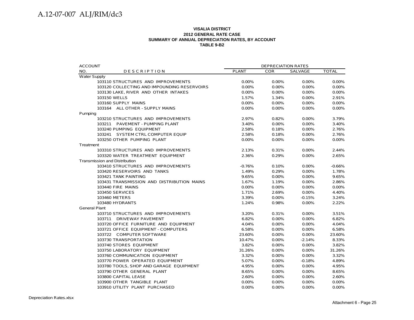#### **VISALIA DISTRICT2012 GENERAL RATE CASE SUMMARY OF ANNUAL DEPRECIATION RATES, BY ACCOUNT TABLE 9-B2**

| <b>ACCOUNT</b>                              |              | <b>DEPRECIATION RATES</b> |          |              |  |
|---------------------------------------------|--------------|---------------------------|----------|--------------|--|
| NO.<br><b>DESCRIPTION</b>                   | <b>PLANT</b> | <b>COR</b>                | SALVAGE  | <b>TOTAL</b> |  |
| <b>Water Supply</b>                         |              |                           |          |              |  |
| 103110 STRUCTURES AND IMPROVEMENTS          | 0.00%        | 0.00%                     | 0.00%    | 0.00%        |  |
| 103120 COLLECTING AND IMPOUNDING RESERVOIRS | 0.00%        | 0.00%                     | 0.00%    | 0.00%        |  |
| 103130 LAKE, RIVER AND OTHER INTAKES        | 0.00%        | 0.00%                     | 0.00%    | 0.00%        |  |
| 103150 WELLS                                | 1.57%        | 1.34%                     | 0.00%    | 2.91%        |  |
| 103160 SUPPLY MAINS                         | 0.00%        | 0.00%                     | 0.00%    | 0.00%        |  |
| 103164 ALL OTHER - SUPPLY MAINS             | 0.00%        | 0.00%                     | 0.00%    | 0.00%        |  |
| Pumping                                     |              |                           |          |              |  |
| 103210 STRUCTURES AND IMPROVEMENTS          | 2.97%        | 0.82%                     | 0.00%    | 3.79%        |  |
| 103211 PAVEMENT - PUMPING PLANT             | 3.40%        | 0.00%                     | 0.00%    | 3.40%        |  |
| 103240 PUMPING EQUIPMENT                    | 2.58%        | 0.18%                     | 0.00%    | 2.76%        |  |
| 103241 SYSTEM CTRL COMPUTER EQUIP           | 2.58%        | 0.18%                     | 0.00%    | 2.76%        |  |
| 103250 OTHER PUMPING PLANT                  | 0.00%        | $0.00\%$                  | 0.00%    | 0.00%        |  |
| Treatment                                   |              |                           |          |              |  |
| 103310 STRUCTURES AND IMPROVEMENTS          | 2.13%        | 0.31%                     | 0.00%    | 2.44%        |  |
| 103320 WATER TREATMENT EQUIPMENT            | 2.36%        | 0.29%                     | 0.00%    | 2.65%        |  |
| <b>Transmission and Distribution</b>        |              |                           |          |              |  |
| 103410 STRUCTURES AND IMPROVEMENTS          | $-0.76%$     | 0.10%                     | 0.00%    | $-0.66%$     |  |
| 103420 RESERVOIRS AND TANKS                 | 1.49%        | 0.29%                     | 0.00%    | 1.78%        |  |
| 103421 TANK PAINTING                        | 9.65%        | 0.00%                     | 0.00%    | 9.65%        |  |
| 103431 TRANSMISSION AND DISTRIBUTION MAINS  | 1.67%        | 1.19%                     | 0.00%    | 2.86%        |  |
| 103440 FIRE MAINS                           | 0.00%        | 0.00%                     | 0.00%    | 0.00%        |  |
| 103450 SERVICES                             | 1.71%        | 2.69%                     | 0.00%    | 4.40%        |  |
| 103460 METERS                               | 3.39%        | $0.00\%$                  | $-0.15%$ | 3.24%        |  |
| 103480 HYDRANTS                             | 1.24%        | 0.98%                     | 0.00%    | 2.22%        |  |
| <b>General Plant</b>                        |              |                           |          |              |  |
| 103710 STRUCTURES AND IMPROVEMENTS          | 3.20%        | 0.31%                     | 0.00%    | 3.51%        |  |
| 103711 DRIVEWAY PAVEMENT                    | 6.82%        | $0.00\%$                  | 0.00%    | 6.82%        |  |
| 103720 OFFICE FURNITURE AND EQUIPMENT       | 4.04%        | $0.00\%$                  | 0.00%    | 4.04%        |  |
| 103721 OFFICE EQUIPMENT - COMPUTERS         | 6.58%        | 0.00%                     | 0.00%    | 6.58%        |  |
| 103722 COMPUTER SOFTWARE                    | 23.60%       | 0.00%                     | 0.00%    | 23.60%       |  |
| 103730 TRANSPORTATION                       | 10.47%       | $0.00\%$                  | $-2.14%$ | 8.33%        |  |
| 103740 STORES EQUIPMENT                     | 3.82%        | 0.00%                     | 0.00%    | 3.82%        |  |
| 103750 LABORATORY EQUIPMENT                 | 31.26%       | 0.00%                     | 0.00%    | 31.26%       |  |
| 103760 COMMUNICATION EQUIPMENT              | 3.32%        | $0.00\%$                  | 0.00%    | 3.32%        |  |
| 103770 POWER OPERATED EQUIPMENT             | 5.07%        | $0.00\%$                  | $-0.18%$ | 4.89%        |  |
| 103780 TOOLS, SHOP AND GARAGE EQUIPMENT     | 4.95%        | $0.00\%$                  | 0.00%    | 4.95%        |  |
| 103790 OTHER GENERAL PLANT                  | 8.65%        | $0.00\%$                  | 0.00%    | 8.65%        |  |
| 103800 CAPITAL LEASE                        | 2.60%        | 0.00%                     | 0.00%    | 2.60%        |  |
| 103900 OTHER TANGIBLE PLANT                 | 0.00%        | 0.00%                     | 0.00%    | 0.00%        |  |
| 103910 UTILITY PLANT PURCHASED              | 0.00%        | 0.00%                     | 0.00%    | 0.00%        |  |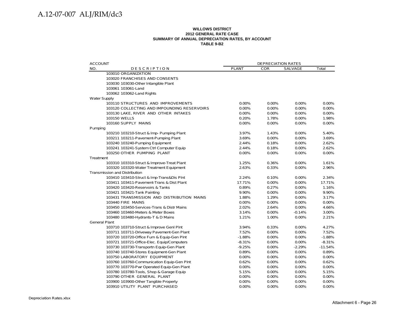#### **WILLOWS DISTRICT 2012 GENERAL RATE CASE SUMMARY OF ANNUAL DEPRECIATION RATES, BY ACCOUNT TABLE 9-B2**

| <b>ACCOUNT</b>                              |              | <b>DEPRECIATION RATES</b> |                |           |  |
|---------------------------------------------|--------------|---------------------------|----------------|-----------|--|
| NO.<br><b>DESCRIPTION</b>                   | <b>PLANT</b> | <b>COR</b>                | <b>SALVAGE</b> | Total     |  |
| 103010 ORGANIZATION                         |              |                           |                |           |  |
| 103020 FRANCHISES AND CONSENTS              |              |                           |                |           |  |
| 103030 103030-Other Intangible Plant        |              |                           |                |           |  |
| 103061 103061-Land                          |              |                           |                |           |  |
| 103062 103062-Land Rights                   |              |                           |                |           |  |
| <b>Water Supply</b>                         |              |                           |                |           |  |
| 103110 STRUCTURES AND IMPROVEMENTS          | 0.00%        | 0.00%                     | 0.00%          | $0.00\%$  |  |
| 103120 COLLECTING AND IMPOUNDING RESERVOIRS | 0.00%        | 0.00%                     | 0.00%          | 0.00%     |  |
| 103130 LAKE, RIVER AND OTHER INTAKES        | 0.00%        | 0.00%                     | 0.00%          | 0.00%     |  |
| 103150 WELLS                                | 0.20%        | 1.78%                     | 0.00%          | 1.98%     |  |
| 103160 SUPPLY MAINS                         | 0.00%        | 0.00%                     | 0.00%          | 0.00%     |  |
| Pumping                                     |              |                           |                |           |  |
| 103210 103210-Struct & Imp- Pumping Plant   | 3.97%        | 1.43%                     | 0.00%          | 5.40%     |  |
| 103211 103211-Pavement-Pumping Plant        | 3.69%        | 0.00%                     | 0.00%          | 3.69%     |  |
| 103240 103240-Pumping Equipment             | 2.44%        | 0.18%                     | 0.00%          | 2.62%     |  |
| 103241 103241-System Ctrl Computer Equip    | 2.44%        | 0.18%                     | 0.00%          | 2.62%     |  |
| 103250 OTHER PUMPING PLANT                  | $0.00\%$     | 0.00%                     | 0.00%          | $0.00\%$  |  |
| Treatment                                   |              |                           |                |           |  |
| 103310 103310-Struct & Improve-Treat Plant  | 1.25%        | 0.36%                     | 0.00%          | 1.61%     |  |
| 103320 103320-Water Treatment Equipment     | 2.63%        | 0.33%                     | 0.00%          | 2.96%     |  |
| Transmission and Distribution               |              |                           |                |           |  |
| 103410 103410-Struct & Imp-Trans&Dis Plnt   | 2.24%        | 0.10%                     | 0.00%          | 2.34%     |  |
| 103411 103411-Pavement-Trans & Dist Plant   | 17.71%       | 0.00%                     | 0.00%          | 17.71%    |  |
| 103420 103420-Reservoirs & Tanks            | 0.89%        | 0.27%                     | 0.00%          | 1.16%     |  |
| 103421 103421-Tank Painting                 | 9.90%        | 0.00%                     | 0.00%          | 9.90%     |  |
| 103431 TRANSMISSION AND DISTRIBUTION MAINS  | 1.88%        | 1.29%                     | 0.00%          | 3.17%     |  |
| 103440 FIRE MAINS                           | 0.00%        | 0.00%                     | 0.00%          | 0.00%     |  |
| 103450 103450-Services-Trans & Distr Mains  | 2.02%        | 2.64%                     | 0.00%          | 4.66%     |  |
| 103460 103460-Meters & Meter Boxes          | 3.14%        | 0.00%                     | $-0.14%$       | 3.00%     |  |
| 103480 103480-Hydrants-T & D Mains          | 1.21%        | 1.00%                     | 0.00%          | 2.21%     |  |
| <b>General Plant</b>                        |              |                           |                |           |  |
| 103710 103710-Struct & Improve Genl Plnt    | 3.94%        | 0.33%                     | 0.00%          | 4.27%     |  |
| 103711 103711-Driveway Pavement-Gen Plant   | 7.52%        | 0.00%                     | 0.00%          | 7.52%     |  |
| 103720 103720-Office Furn & Equip-Gen Plnt  | $-1.88%$     | 0.00%                     | 0.00%          | $-1.88%$  |  |
| 103721 103721-Office-Elec. Equip/Computers  | $-8.31%$     | 0.00%                     | 0.00%          | $-8.31%$  |  |
| 103730 103730-Transportn Equip-Gen Plant    | $-9.25%$     | 0.00%                     | $-2.29%$       | $-11.54%$ |  |
| 103740 103740-Stores Equipment-Gen Plant    | 0.89%        | 0.00%                     | 0.00%          | 0.89%     |  |
| 103750 LABORATORY EQUIPMENT                 | 0.00%        | 0.00%                     | 0.00%          | $0.00\%$  |  |
| 103760 103760-Communication Equip-Gen Plnt  | 0.62%        | 0.00%                     | 0.00%          | 0.62%     |  |
| 103770 103770-Pwr Operated Equip-Gen Plant  | 0.00%        | 0.00%                     | 0.00%          | 0.00%     |  |
| 103780 103780-Tools, Shop & Garage Equip    | 5.15%        | 0.00%                     | 0.00%          | 5.15%     |  |
| 103790 OTHER GENERAL PLANT                  | 0.00%        | 0.00%                     | 0.00%          | 0.00%     |  |
| 103900 103900-Other Tangible Property       | 0.00%        | 0.00%                     | 0.00%          | $0.00\%$  |  |
| 103910 UTILITY PLANT PURCHASED              | 0.00%        | 0.00%                     | 0.00%          | 0.00%     |  |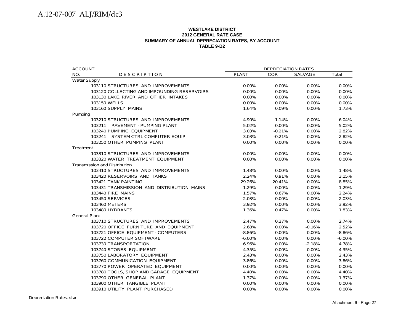#### **WESTLAKE DISTRICT 2012 GENERAL RATE CASE SUMMARY OF ANNUAL DEPRECIATION RATES, BY ACCOUNT TABLE 9-B2**

| <b>ACCOUNT</b>                              | <b>DEPRECIATION RATES</b> |            |                |           |
|---------------------------------------------|---------------------------|------------|----------------|-----------|
| NO.<br><b>DESCRIPTION</b>                   | <b>PLANT</b>              | <b>COR</b> | <b>SALVAGE</b> | Total     |
| <b>Water Supply</b>                         |                           |            |                |           |
| 103110 STRUCTURES AND IMPROVEMENTS          | 0.00%                     | 0.00%      | 0.00%          | 0.00%     |
| 103120 COLLECTING AND IMPOUNDING RESERVOIRS | $0.00\%$                  | $0.00\%$   | 0.00%          | 0.00%     |
| 103130 LAKE, RIVER AND OTHER INTAKES        | $0.00\%$                  | $0.00\%$   | 0.00%          | 0.00%     |
| 103150 WELLS                                | 0.00%                     | $0.00\%$   | 0.00%          | 0.00%     |
| 103160 SUPPLY MAINS                         | 1.64%                     | 0.09%      | 0.00%          | 1.73%     |
| Pumping                                     |                           |            |                |           |
| 103210 STRUCTURES AND IMPROVEMENTS          | 4.90%                     | 1.14%      | 0.00%          | 6.04%     |
| 103211 PAVEMENT - PUMPING PLANT             | 5.02%                     | 0.00%      | 0.00%          | 5.02%     |
| 103240 PUMPING EQUIPMENT                    | 3.03%                     | $-0.21%$   | 0.00%          | 2.82%     |
| 103241 SYSTEM CTRL COMPUTER EQUIP           | 3.03%                     | $-0.21%$   | $0.00\%$       | 2.82%     |
| 103250 OTHER PUMPING PLANT                  | 0.00%                     | $0.00\%$   | 0.00%          | 0.00%     |
| Treatment                                   |                           |            |                |           |
| 103310 STRUCTURES AND IMPROVEMENTS          | 0.00%                     | $0.00\%$   | 0.00%          | 0.00%     |
| 103320 WATER TREATMENT EQUIPMENT            | 0.00%                     | 0.00%      | 0.00%          | 0.00%     |
| <b>Transmission and Distribution</b>        |                           |            |                |           |
| 103410 STRUCTURES AND IMPROVEMENTS          | 1.48%                     | $0.00\%$   | $0.00\%$       | 1.48%     |
| 103420 RESERVOIRS AND TANKS                 | 2.24%                     | 0.91%      | 0.00%          | 3.15%     |
| 103421 TANK PAINTING                        | 29.26%                    | $-20.41%$  | 0.00%          | 8.85%     |
| 103431 TRANSMISSION AND DISTRIBUTION MAINS  | 1.29%                     | 0.00%      | 0.00%          | 1.29%     |
| 103440 FIRE MAINS                           | 1.57%                     | 0.67%      | $0.00\%$       | 2.24%     |
| 103450 SERVICES                             | 2.03%                     | 0.00%      | 0.00%          | 2.03%     |
| 103460 METERS                               | 3.92%                     | $0.00\%$   | 0.00%          | 3.92%     |
| 103480 HYDRANTS                             | 1.36%                     | 0.47%      | 0.00%          | 1.83%     |
| <b>General Plant</b>                        |                           |            |                |           |
| 103710 STRUCTURES AND IMPROVEMENTS          | 2.47%                     | 0.27%      | 0.00%          | 2.74%     |
| 103720 OFFICE FURNITURE AND EQUIPMENT       | 2.68%                     | 0.00%      | $-0.16%$       | 2.52%     |
| 103721 OFFICE EQUIPMENT - COMPUTERS         | $-8.86%$                  | 0.00%      | $0.00\%$       | $-8.86%$  |
| 103722 COMPUTER SOFTWARE                    | $-6.00\%$                 | $0.00\%$   | 0.00%          | $-6.00\%$ |
| 103730 TRANSPORTATION                       | 6.96%                     | 0.00%      | $-2.18%$       | 4.78%     |
| 103740 STORES EQUIPMENT                     | $-4.35%$                  | 0.00%      | 0.00%          | $-4.35%$  |
| 103750 LABORATORY EQUIPMENT                 | 2.43%                     | 0.00%      | 0.00%          | 2.43%     |
| 103760 COMMUNICATION EQUIPMENT              | $-3.86%$                  | 0.00%      | 0.00%          | $-3.86%$  |
| 103770 POWER OPERATED EQUIPMENT             | 0.00%                     | 0.00%      | 0.00%          | 0.00%     |
| 103780 TOOLS, SHOP AND GARAGE EQUIPMENT     | 4.40%                     | $0.00\%$   | 0.00%          | 4.40%     |
| 103790 OTHER GENERAL PLANT                  | $-1.37%$                  | 0.00%      | $0.00\%$       | $-1.37%$  |
| 103900 OTHER TANGIBLE PLANT                 | 0.00%                     | $0.00\%$   | 0.00%          | 0.00%     |
| 103910 UTILITY PLANT PURCHASED              | 0.00%                     | 0.00%      | 0.00%          | 0.00%     |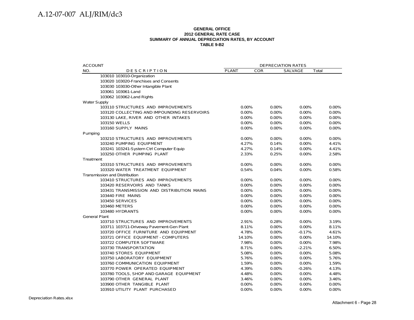#### **GENERAL OFFICE 2012 GENERAL RATE CASE SUMMARY OF ANNUAL DEPRECIATION RATES, BY ACCOUNT TABLE 9-B2**

| <b>ACCOUNT</b>                              | DEPRECIATION RATES  |          |                |        |
|---------------------------------------------|---------------------|----------|----------------|--------|
| NO.<br><b>DESCRIPTION</b>                   | <b>PLANT</b><br>COR |          | <b>SALVAGE</b> | Total  |
| 103010 103010-Organization                  |                     |          |                |        |
| 103020 103020-Franchises and Consents       |                     |          |                |        |
| 103030 103030-Other Intangible Plant        |                     |          |                |        |
| 103061 103061-Land                          |                     |          |                |        |
| 103062 103062-Land Rights                   |                     |          |                |        |
| <b>Water Supply</b>                         |                     |          |                |        |
| 103110 STRUCTURES AND IMPROVEMENTS          | 0.00%               | 0.00%    | 0.00%          | 0.00%  |
| 103120 COLLECTING AND IMPOUNDING RESERVOIRS | 0.00%               | 0.00%    | 0.00%          | 0.00%  |
| 103130 LAKE, RIVER AND OTHER INTAKES        | 0.00%               | 0.00%    | 0.00%          | 0.00%  |
| 103150 WELLS                                | $0.00\%$            | 0.00%    | 0.00%          | 0.00%  |
| 103160 SUPPLY MAINS                         | 0.00%               | 0.00%    | 0.00%          | 0.00%  |
| Pumping                                     |                     |          |                |        |
| 103210 STRUCTURES AND IMPROVEMENTS          | $0.00\%$            | 0.00%    | 0.00%          | 0.00%  |
| 103240 PUMPING EQUIPMENT                    | 4.27%               | 0.14%    | 0.00%          | 4.41%  |
| 103241 103241-System Ctrl Computer Equip    | 4.27%               | 0.14%    | 0.00%          | 4.41%  |
| 103250 OTHER PUMPING PLANT                  | 2.33%               | 0.25%    | 0.00%          | 2.58%  |
| Treatment                                   |                     |          |                |        |
| 103310 STRUCTURES AND IMPROVEMENTS          | 0.00%               | 0.00%    | 0.00%          | 0.00%  |
| 103320 WATER TREATMENT EQUIPMENT            | 0.54%               | 0.04%    | 0.00%          | 0.58%  |
| Transmission and Distribution               |                     |          |                |        |
| 103410 STRUCTURES AND IMPROVEMENTS          | 0.00%               | 0.00%    | 0.00%          | 0.00%  |
| 103420 RESERVOIRS AND TANKS                 | 0.00%               | 0.00%    | 0.00%          | 0.00%  |
| 103431 TRANSMISSION AND DISTRIBUTION MAINS  | 0.00%               | 0.00%    | 0.00%          | 0.00%  |
| 103440 FIRE MAINS                           | 0.00%               | 0.00%    | 0.00%          | 0.00%  |
| 103450 SERVICES                             | 0.00%               | 0.00%    | 0.00%          | 0.00%  |
| 103460 METERS                               | 0.00%               | 0.00%    | 0.00%          | 0.00%  |
| 103480 HYDRANTS                             | 0.00%               | 0.00%    | 0.00%          | 0.00%  |
| <b>General Plant</b>                        |                     |          |                |        |
| 103710 STRUCTURES AND IMPROVEMENTS          | 2.91%               | 0.28%    | 0.00%          | 3.19%  |
| 103711 103711-Driveway Pavement-Gen Plant   | 8.11%               | 0.00%    | 0.00%          | 8.11%  |
| 103720 OFFICE FURNITURE AND EQUIPMENT       | 4.78%               | 0.00%    | $-0.17%$       | 4.61%  |
| 103721 OFFICE EQUIPMENT - COMPUTERS         | 14.10%              | 0.00%    | 0.00%          | 14.10% |
| 103722 COMPUTER SOFTWARE                    | 7.98%               | 0.00%    | 0.00%          | 7.98%  |
| 103730 TRANSPORTATION                       | 8.71%               | $0.00\%$ | $-2.21%$       | 6.50%  |
| 103740 STORES EQUIPMENT                     | 5.08%               | 0.00%    | 0.00%          | 5.08%  |
| 103750 LABORATORY EQUIPMENT                 | 5.76%               | 0.00%    | 0.00%          | 5.76%  |
| 103760 COMMUNICATION EQUIPMENT              | 1.59%               | 0.00%    | 0.00%          | 1.59%  |
| 103770 POWER OPERATED EQUIPMENT             | 4.39%               | 0.00%    | $-0.26%$       | 4.13%  |
| 103780 TOOLS, SHOP AND GARAGE EQUIPMENT     | 4.48%               | 0.00%    | 0.00%          | 4.48%  |
| 103790 OTHER GENERAL PLANT                  | 3.46%               | $0.00\%$ | 0.00%          | 3.46%  |
| 103900 OTHER TANGIBLE PLANT                 | 0.00%               | 0.00%    | 0.00%          | 0.00%  |
| 103910 UTILITY PLANT PURCHASED              | 0.00%               | 0.00%    | 0.00%          | 0.00%  |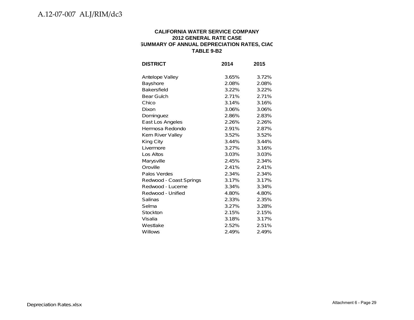#### **CALIFORNIA WATER SERVICE COMPANY 2012 GENERAL RATE CASE SUMMARY OF ANNUAL DEPRECIATION RATES, CIAC TABLE 9-B2**

| <b>DISTRICT</b>         | 2014  | 2015  |
|-------------------------|-------|-------|
| Antelope Valley         | 3.65% | 3.72% |
| Bayshore                | 2.08% | 2.08% |
| <b>Bakersfield</b>      | 3.22% | 3.22% |
| <b>Bear Gulch</b>       | 2.71% | 2.71% |
| Chico                   | 3.14% | 3.16% |
| Dixon                   | 3.06% | 3.06% |
| Dominguez               | 2.86% | 2.83% |
| East Los Angeles        | 2.26% | 2.26% |
| Hermosa Redondo         | 2.91% | 2.87% |
| Kern River Valley       | 3.52% | 3.52% |
| King City               | 3.44% | 3.44% |
| Livermore               | 3.27% | 3.16% |
| Los Altos               | 3.03% | 3.03% |
| Marysville              | 2.45% | 2.34% |
| Oroville                | 2.41% | 2.41% |
| Palos Verdes            | 2.34% | 2.34% |
| Redwood - Coast Springs | 3.17% | 3.17% |
| Redwood - Lucerne       | 3.34% | 3.34% |
| Redwood - Unified       | 4.80% | 4.80% |
| Salinas                 | 2.33% | 2.35% |
| Selma                   | 3.27% | 3.28% |
| Stockton                | 2.15% | 2.15% |
| Visalia                 | 3.18% | 3.17% |
| Westlake                | 2.52% | 2.51% |
| Willows                 | 2.49% | 2.49% |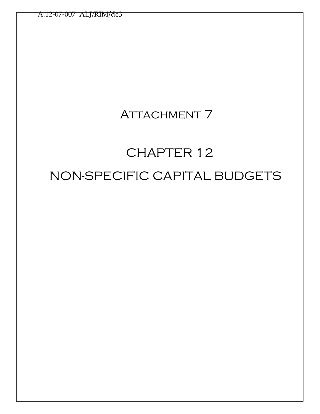## ATTACHMENT 7

# CHAPTER 12 NON-SPECIFIC CAPITAL BUDGETS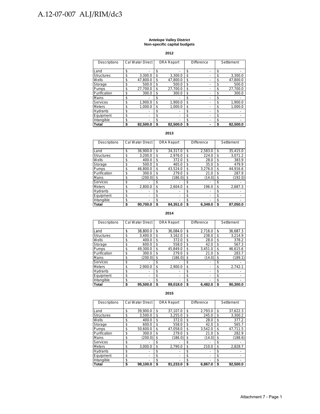#### **Antelope Valley District Non-specific capital budgets**

**2012**

| Descriptions      | Cal Water Direct | <b>DRA Report</b> | <b>Difference</b> | Settlement     |
|-------------------|------------------|-------------------|-------------------|----------------|
| Land              | \$               | \$<br>٠           | \$                | \$             |
| <b>Structures</b> | \$<br>3.300.0    | \$<br>3.300.0     | \$                | \$<br>3,300.0  |
| Wells             | \$<br>47.800.0   | \$<br>47.800.0    | \$                | \$<br>47.800.0 |
| Storage           | \$<br>500.0      | \$<br>500.0       | \$                | \$<br>500.0    |
| Pumps             | \$<br>27.700.0   | \$<br>27.700.0    | \$                | \$<br>27.700.0 |
| Purification      | \$<br>300.0      | \$<br>300.0       | \$                | \$<br>300.0    |
| <b>Mains</b>      | \$               | \$                | \$                | \$             |
| Services          | \$<br>1.900.0    | \$<br>1.900.0     | \$                | \$<br>1.900.0  |
| <b>Meters</b>     | \$<br>1.000.0    | \$<br>1.000.0     | \$                | \$<br>1.000.0  |
| Hydrants          | \$               | \$<br>-           | \$                | \$             |
| Equipment         | \$               | \$<br>-           | \$                | \$             |
| Intangible        | \$               | \$<br>-           | \$                | \$             |
| <b>Total</b>      | \$<br>82.500.0   | \$<br>82.500.0    | \$                | \$<br>82.500.0 |

#### **2013**

| Descriptions      | Cal Water Direct | <b>DRA Report</b>              | <b>Difference</b> |    | Settlement |
|-------------------|------------------|--------------------------------|-------------------|----|------------|
|                   |                  |                                |                   |    |            |
| Land              | \$<br>36.900.0   | \$<br>34.317.0                 | \$<br>2.583.0     | \$ | 35,415.0   |
| <b>Structures</b> | \$<br>3.200.0    | \$<br>2,976.0                  | \$<br>224.0       | \$ | 3.071.2    |
| Wells             | \$<br>400.0      | \$<br>372.0                    | \$<br>28.0        | \$ | 383.9      |
| Storage           | \$<br>500.0      | \$<br>465.0                    | \$<br>35.0        | \$ | 479.9      |
| Pumps             | \$<br>46.800.0   | \$<br>43.524.0                 | \$<br>3,276.0     | \$ | 44.916.6   |
| Purification      | \$<br>300.0      | \$<br>279.0                    | \$<br>21.0        | \$ | 287.9      |
| Mains             | \$<br>(200.0)    | \$<br>(186.0)                  | \$<br>(14.0)      | \$ | (192.0)    |
| <b>Services</b>   | \$               | \$                             | \$                | \$ |            |
| <b>Meters</b>     | \$<br>2.800.0    | \$<br>2.604.0                  | \$<br>196.0       | \$ | 2.687.3    |
| <b>Hydrants</b>   | \$               | \$                             | \$                | \$ |            |
| Equipment         | \$               | \$<br>$\overline{\phantom{0}}$ | \$                | \$ | -          |
| Intangible        | \$               | \$<br>٠                        | \$                | \$ | -          |
| <b>Total</b>      | \$<br>90.700.0   | \$<br>84.351.0                 | \$<br>6.349.0     | S  | 87.050.0   |

**2014**

| <b>Descriptions</b> | Cal Water Direct | <b>DRA Report</b> | <b>Difference</b> |    | Settlement |
|---------------------|------------------|-------------------|-------------------|----|------------|
|                     |                  |                   |                   |    |            |
| Land                | \$<br>38,800.0   | \$<br>36.084.0    | \$<br>2.716.0     | \$ | 36,687.3   |
| <b>Structures</b>   | \$<br>3.400.0    | \$<br>3.162.0     | \$<br>238.0       | \$ | 3.214.9    |
| Wells               | \$<br>400.0      | \$<br>372.0       | \$<br>28.0        | \$ | 378.2      |
| Storage             | \$<br>600.0      | \$<br>558.0       | \$<br>42.0        | \$ | 567.3      |
| Pumps               | \$<br>49.300.0   | \$<br>45.849.0    | \$<br>3,451.0     | \$ | 46.615.6   |
| Purification        | \$<br>300.0      | \$<br>279.0       | \$<br>21.0        | \$ | 283.7      |
| Mains               | \$<br>(200.0)    | \$<br>(186.0)     | \$<br>(14.0)      | \$ | (189.1)    |
| Services            | \$               | \$                | \$                | S  |            |
| <b>Meters</b>       | \$<br>2.900.0    | \$<br>2,900.0     | \$                | \$ | 2.742.1    |
| <b>Hydrants</b>     | \$<br>٠          | \$<br>۰           | \$<br>-           | \$ |            |
| Equipment           | \$               | \$<br>-           | \$                | \$ | -          |
| Intangible          | \$               | \$<br>۰           | \$                | \$ | -          |
| Total               | \$<br>95.500.0   | \$<br>89,018.0    | \$<br>6.482.0     |    | 90.300.0   |

| <b>Descriptions</b> | Cal Water Direct | <b>DRA Report</b> | Difference    | Settlement     |
|---------------------|------------------|-------------------|---------------|----------------|
| Land                | \$<br>39.900.0   | \$<br>37.107.0    | \$<br>2.793.0 | \$<br>37.622.3 |
| Structures          | \$<br>3.500.0    | \$<br>3,255.0     | \$<br>245.0   | \$<br>3,300.2  |
| Wells               | \$<br>400.0      | \$<br>372.0       | \$<br>28.0    | \$<br>377.2    |
| Storage             | \$<br>600.0      | \$<br>558.0       | \$<br>42.0    | \$<br>565.7    |
| Pumps               | \$<br>50.600.0   | \$<br>47.058.0    | \$<br>3.542.0 | \$<br>47,711.5 |
| Purification        | \$<br>300.0      | \$<br>279.0       | \$<br>21.0    | \$<br>282.9    |
| <b>Mains</b>        | \$<br>(200.0)    | \$<br>(186.0)     | \$<br>(14.0)  | \$<br>(188.6)  |
| <b>Services</b>     | \$               | \$                | \$            | \$             |
| <b>Meters</b>       | \$<br>3.000.0    | \$<br>2.790.0     | \$<br>210.0   | \$<br>2,828.7  |
| <b>Hydrants</b>     | \$               | \$                | \$            | \$             |
| Equipment           | \$<br>-          | \$                | \$            | \$             |
| Intangible          | \$<br>-          | \$                | \$            | \$             |
| Total               | \$<br>98,100.0   | \$<br>91.233.0    | \$<br>6.867.0 | \$<br>92.500.0 |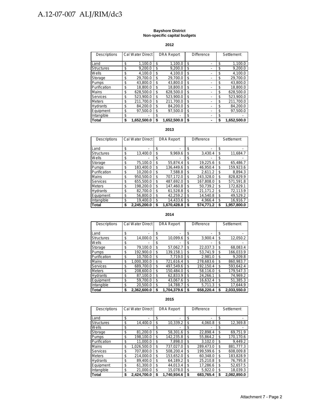#### **Bayshore District Non-specific capital budgets**

#### **2012**

| Descriptions      | Cal Water Direct  |    | <b>DRA Report</b> | <b>Difference</b> |     | Settlement  |
|-------------------|-------------------|----|-------------------|-------------------|-----|-------------|
| Land              | \$<br>1.100.0     | \$ | 1.100.0           | \$                | \$  | 1.100.0     |
| <b>Structures</b> | \$<br>9.200.0     | \$ | 9.200.0           | \$                | \$  | 9.200.0     |
| Wells             | \$<br>4,100.0     | \$ | 4.100.0           | \$                | \$  | 4,100.0     |
| Storage           | \$<br>29.700.0    | \$ | 29.700.0          | \$                | \$  | 29.700.0    |
| Pumps             | \$<br>43.800.0    | \$ | 43.800.0          | \$                | \$  | 43.800.0    |
| Purification      | \$<br>18.800.0    | \$ | 18.800.0          | \$                | \$  | 18.800.0    |
| Mains             | \$<br>628.500.0   | \$ | 628.500.0         | \$                | \$  | 628.500.0   |
| Services          | \$<br>523.900.0   | \$ | 523.900.0         | \$                | \$. | 523.900.0   |
| <b>Meters</b>     | \$<br>211.700.0   | \$ | 211.700.0         | \$                | \$  | 211.700.0   |
| Hydrants          | \$<br>84.200.0    | \$ | 84.200.0          | \$                | \$  | 84.200.0    |
| Equipment         | \$<br>97.500.0    | \$ | 97.500.0          | \$                | \$  | 97.500.0    |
| Intangible        | \$                | \$ |                   | \$                | \$  |             |
| Total             | \$<br>1,652,500.0 | S  | 1.652.500.0       | \$                | S   | 1,652,500.0 |

#### **2013**

| Descriptions      | Cal Water Direct  | <b>DRA Report</b> | <b>Difference</b> |    | Settlement  |
|-------------------|-------------------|-------------------|-------------------|----|-------------|
| Land              | \$                | \$                | \$                | \$ |             |
| <b>Structures</b> | \$<br>13.400.0    | \$<br>9,969.6     | \$<br>3,430.4     | \$ | 11,684.7    |
| Wells             | \$                | \$                | \$                | \$ |             |
| Storage           | \$<br>75.100.0    | \$<br>55.874.4    | \$<br>19.225.6    | \$ | 65.486.7    |
| Pumps             | \$<br>183.400.0   | \$<br>136.449.6   | \$<br>46.950.4    | \$ | 159.923.6   |
| Purification      | \$<br>10.200.0    | \$<br>7.588.8     | \$<br>2.611.2     | \$ | 8.894.3     |
| Mains             | \$<br>950.500.0   | \$<br>707.172.0   | \$<br>243.328.0   | \$ | 828.829.9   |
| <b>Services</b>   | \$<br>655.500.0   | \$<br>487.692.0   | \$<br>167.808.0   | \$ | 571.591.8   |
| <b>Meters</b>     | \$<br>198.200.0   | \$<br>147.460.8   | \$<br>50.739.2    | \$ | 172.829.1   |
| <b>Hydrants</b>   | \$<br>82.700.0    | \$<br>61.528.8    | \$<br>21,171.2    | \$ | 72,113.9    |
| Equipment         | \$<br>56,800.0    | \$<br>42.259.2    | \$<br>14.540.8    | \$ | 49.529.2    |
| Intangible        | \$<br>19.400.0    | \$<br>14.433.6    | \$<br>4.966.4     | \$ | 16,916.7    |
| Total             | \$<br>2.245.200.0 | \$<br>1.670.428.8 | \$<br>574.771.2   | S  | 1.957.800.0 |

#### **2014**

| Descriptions      | Cal Water Direct  | <b>DRA Report</b> | <b>Difference</b> | Settlement      |
|-------------------|-------------------|-------------------|-------------------|-----------------|
| Land              | \$                | \$<br>٠           | \$                | \$              |
| <b>Structures</b> | \$<br>14,000.0    | \$<br>10.099.6    | \$<br>3.900.4     | \$<br>12,050.2  |
| Wells             | \$                | \$                | \$                | \$              |
| Storage           | \$<br>79.100.0    | \$<br>57.062.7    | \$<br>22,037.3    | \$<br>68.083.4  |
| Pumps             | \$<br>192.900.0   | \$<br>139.158.1   | \$<br>53.741.9    | \$<br>166.033.9 |
| Purification      | \$<br>10.700.0    | \$<br>7.719.0     | \$<br>2.981.0     | \$<br>9.209.8   |
| Mains             | \$<br>1.000.300.0 | \$<br>721.616.4   | \$<br>278.683.6   | \$<br>860.983.7 |
| Services          | \$<br>689.700.0   | \$<br>497.549.6   | \$<br>192.150.4   | \$<br>593.642.4 |
| <b>Meters</b>     | \$<br>208.600.0   | \$<br>150.484.0   | \$<br>58.116.0    | \$<br>179,547.3 |
| <b>Hydrants</b>   | \$<br>87.100.0    | \$<br>62.833.9    | \$<br>24.266.1    | \$<br>74.969.2  |
| Equipment         | \$<br>59.700.0    | \$<br>43.067.6    | \$<br>16.632.4    | \$<br>51.385.3  |
| Intangible        | \$<br>20.500.0    | \$<br>14.788.7    | \$<br>5.711.3     | \$<br>17.644.9  |
| Total             | \$<br>2.362.600.0 | \$<br>1.704.379.6 | \$<br>658.220.4   | 2.033.550.0     |

#### **2015**

| Descriptions      | Cal Water Direct  | <b>DRA Report</b> |    | <b>Difference</b> |    | Settlement  |
|-------------------|-------------------|-------------------|----|-------------------|----|-------------|
| Land              | \$                | \$                | \$ |                   | \$ |             |
| <b>Structures</b> | \$<br>14.400.0    | \$<br>10.339.2    | \$ | 4.060.8           | \$ | 12.369.8    |
| Wells             | \$                | \$                | \$ |                   | \$ |             |
| Storage           | \$<br>81.200.0    | \$<br>58.301.6    | \$ | 22.898.4          | \$ | 69.751.9    |
| <b>Pumps</b>      | \$<br>198.100.0   | \$<br>142.235.8   | \$ | 55.864.2          | \$ | 170,170.6   |
| Purification      | \$<br>11.000.0    | \$<br>7.898.0     | \$ | 3.102.0           | \$ | 9.449.2     |
| Mains             | \$<br>1.026.500.0 | \$<br>737.027.0   | \$ | 289.473.0         | \$ | 881.777.3   |
| Services          | \$<br>707.800.0   | \$<br>508.200.4   | \$ | 199.599.6         | \$ | 608.009.8   |
| <b>Meters</b>     | \$<br>214.000.0   | \$<br>153.652.0   | \$ | 60.348.0          | \$ | 183.828.9   |
| <b>Hydrants</b>   | \$<br>89.400.0    | \$<br>64,189.2    | \$ | 25.210.8          | \$ | 76,795.8    |
| Equipment         | \$<br>61.300.0    | \$<br>44,013.4    | \$ | 17.286.6          | \$ | 52.657.5    |
| Intangible        | \$<br>21.000.0    | \$<br>15.078.0    | \$ | 5.922.0           | \$ | 18.039.3    |
| Total             | \$<br>2.424.700.0 | \$<br>1.740.934.6 | S  | 683.765.4         | S  | 2.082.850.0 |

#### Attachment 7 - Page 2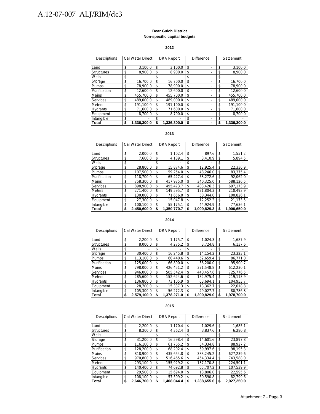#### **Bear Gulch District Non-specific capital budgets**

#### **2012**

| Descriptions      | Cal Water Direct  | <b>DRA Report</b> | <b>Difference</b> | Settlement      |
|-------------------|-------------------|-------------------|-------------------|-----------------|
| Land              | \$<br>3.100.0     | \$<br>3.100.0     | \$                | \$<br>3.100.0   |
| <b>Structures</b> | \$<br>8.900.0     | \$<br>8.900.0     | \$                | \$<br>8.900.0   |
| Wells             | \$                | \$                | \$                | \$              |
| Storage           | \$<br>16.700.0    | \$<br>16.700.0    | \$                | \$<br>16.700.0  |
| Pumps             | \$<br>78.900.0    | \$<br>78.900.0    | \$                | \$<br>78.900.0  |
| Purification      | \$<br>12.600.0    | \$<br>12.600.0    | \$                | \$<br>12.600.0  |
| Mains             | \$<br>455.700.0   | \$<br>455.700.0   | \$                | \$<br>455.700.0 |
| Services          | \$<br>489.000.0   | \$<br>489.000.0   | \$                | \$<br>489.000.0 |
| <b>Meters</b>     | \$<br>191.100.0   | \$<br>191.100.0   | \$                | \$<br>191,100.0 |
| Hydrants          | \$<br>71,600.0    | \$<br>71.600.0    | \$                | \$<br>71,600.0  |
| Equipment         | \$<br>8.700.0     | \$<br>8.700.0     | \$                | \$<br>8.700.0   |
| Intangible        | \$                | \$                | \$                | \$              |
| Total             | \$<br>1,336,300.0 | 1.336.300.0       | \$                | 1.336.300.0     |

#### **2013**

| Descriptions      | <b>Cal Water Direct</b> |    | <b>DRA Report</b> | <b>Difference</b> |    | Settlement  |
|-------------------|-------------------------|----|-------------------|-------------------|----|-------------|
|                   |                         |    |                   |                   |    |             |
| Land              | \$<br>2.000.0           | \$ | 1.102.4           | \$<br>897.6       | \$ | 1,551.2     |
| <b>Structures</b> | \$<br>7,600.0           | \$ | 4.189.1           | \$<br>3,410.9     | \$ | 5,894.5     |
| Wells             | \$                      | \$ |                   | \$                | \$ |             |
| Storage           | \$<br>28.800.0          | \$ | 15.874.6          | \$<br>12.925.4    | \$ | 22.336.9    |
| Pumps             | \$<br>107.500.0         | \$ | 59.254.0          | \$<br>48.246.0    | \$ | 83.375.4    |
| Purification      | \$<br>118.700.0         | \$ | 65.427.4          | \$<br>53.272.6    | \$ | 92.062.0    |
| <b>Mains</b>      | \$<br>758.300.0         | \$ | 417.975.0         | \$<br>340.325.0   | \$ | 588,126.5   |
| Services          | \$<br>898.900.0         | \$ | 495.473.7         | \$<br>403.426.3   | \$ | 697.173.9   |
| <b>Meters</b>     | \$<br>271.400.0         | \$ | 149.595.7         | \$<br>121.804.3   | \$ | 210.493.9   |
| <b>Hydrants</b>   | \$<br>130.000.0         | \$ | 71.656.0          | \$<br>58.344.0    | \$ | 100.826.1   |
| Equipment         | \$<br>27.300.0          | \$ | 15.047.8          | \$<br>12.252.2    | \$ | 21,173.5    |
| Intangible        | \$<br>100.100.0         | \$ | 55.175.1          | \$<br>44.924.9    | \$ | 77.636.1    |
| <b>Total</b>      | \$<br>2.450.600.0       | S  | 1.350.770.7       | \$<br>1.099.829.3 | S  | 1.900.650.0 |

#### **2014**

| Descriptions      |    | Cal Water Direct |    | <b>DRA Report</b> |    | <b>Difference</b> | Settlement      |
|-------------------|----|------------------|----|-------------------|----|-------------------|-----------------|
|                   |    |                  |    |                   |    |                   |                 |
| Land              | \$ | 2.200.0          | \$ | 1.175.7           | \$ | 1,024.3           | \$<br>1.687.9   |
| <b>Structures</b> | \$ | 8.000.0          | \$ | 4.275.2           | \$ | 3.724.8           | \$<br>6.137.6   |
| Wells             | \$ |                  | \$ |                   | \$ |                   | \$              |
| Storage           | \$ | 30.400.0         | \$ | 16,245.8          | \$ | 14.154.2          | \$<br>23.323.1  |
| Pumps             | \$ | 113.100.0        | \$ | 60.440.6          | \$ | 52.659.4          | \$<br>86.771.0  |
| Purification      | \$ | 125,000.0        | \$ | 66.800.0          | \$ | 58.200.0          | \$<br>95.900.7  |
| <b>Mains</b>      | \$ | 798.000.0        | \$ | 426.451.2         | \$ | 371.548.8         | \$<br>612.230.1 |
| Services          | \$ | 946.000.0        | \$ | 505.542.4         | \$ | 440.457.6         | \$<br>725.776.5 |
| <b>Meters</b>     | \$ | 285.600.0        | \$ | 152.624.6         | \$ | 132.975.4         | \$<br>219.113.9 |
| <b>Hydrants</b>   | \$ | 136.800.0        | \$ | 73.105.9          | \$ | 63.694.1          | \$<br>104.953.7 |
| Equipment         | \$ | 28.700.0         | \$ | 15.337.3          | \$ | 13.362.7          | \$<br>22.018.8  |
| Intangible        | \$ | 105.300.0        | \$ | 56.272.3          | \$ | 49.027.7          | \$<br>80.786.8  |
| Total             | S  | 2,579,100.0      | S  | 1.378.271.0       | S  | 1.200.829.0       | 1.978.700.0     |

| Descriptions      | Cal Water Direct  | <b>DRA Report</b> | Difference        | Settlement      |
|-------------------|-------------------|-------------------|-------------------|-----------------|
| Land              | \$<br>2.200.0     | \$<br>1.170.4     | \$<br>1.029.6     | \$<br>1.685.1   |
| <b>Structures</b> | \$<br>8.200.0     | \$<br>4.362.4     | \$<br>3.837.6     | \$<br>6.280.8   |
| Wells             | \$                | \$                | \$                | \$              |
| Storage           | \$<br>31.200.0    | \$<br>16.598.4    | \$<br>14.601.6    | \$<br>23.897.8  |
| <b>Pumps</b>      | \$<br>116.100.0   | \$<br>61.765.2    | \$<br>54.334.8    | \$<br>88.927.2  |
| Purification      | \$<br>128,200.0   | \$<br>68.202.4    | \$<br>59.997.6    | \$<br>98.195.3  |
| Mains             | \$<br>818.900.0   | \$<br>435.654.8   | \$<br>383.245.2   | \$<br>627.239.6 |
| Services          | \$<br>970.800.0   | \$<br>516.465.6   | \$<br>454.334.4   | \$<br>743.588.0 |
| <b>Meters</b>     | \$<br>293,100.0   | \$<br>155.929.2   | \$<br>137,170.8   | \$<br>224,501.1 |
| Hydrants          | \$<br>140.400.0   | \$<br>74.692.8    | \$<br>65.707.2    | \$<br>107.539.9 |
| Equipment         | \$<br>29.500.0    | \$<br>15.694.0    | \$<br>13.806.0    | \$<br>22.595.6  |
| Intangible        | \$<br>108.100.0   | \$<br>57.509.2    | \$<br>50.590.8    | \$<br>82.799.6  |
| <b>Total</b>      | \$<br>2.646,700.0 | \$<br>1,408,044.4 | \$<br>1.238.655.6 | 2.027.250.0     |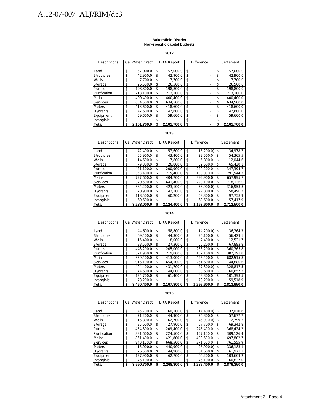#### **Bakersfield District Non-specific capital budgets**

**2012**

| Descriptions      | <b>Cal Water Direct</b> |    | <b>DRA Report</b> | <b>Difference</b> |    | Settlement  |
|-------------------|-------------------------|----|-------------------|-------------------|----|-------------|
|                   |                         |    |                   |                   |    |             |
| Land              | \$<br>57.000.0          | \$ | 57.000.0          | \$                | \$ | 57,000.0    |
| <b>Structures</b> | \$<br>42.900.0          | \$ | 42.900.0          | \$                | \$ | 42.900.0    |
| Wells             | \$<br>7.700.0           | \$ | 7.700.0           | \$                | \$ | 7.700.0     |
| Storage           | \$<br>26.500.0          | \$ | 26.500.0          | \$                | \$ | 26,500.0    |
| Pumps             | \$<br>198.800.0         | \$ | 198.800.0         | \$                | \$ | 198.800.0   |
| Purification      | \$<br>213.100.0         | \$ | 213.100.0         | \$                | \$ | 213.100.0   |
| <b>Mains</b>      | \$<br>400.400.0         | \$ | 400.400.0         | \$                | \$ | 400.400.0   |
| Services          | \$<br>634.500.0         | \$ | 634.500.0         | \$                | \$ | 634.500.0   |
| <b>Meters</b>     | \$<br>418.600.0         | \$ | 418.600.0         | \$                | \$ | 418,600.0   |
| <b>Hydrants</b>   | \$<br>42,600.0          | \$ | 42.600.0          | \$                | \$ | 42,600.0    |
| Equipment         | \$<br>59.600.0          | \$ | 59.600.0          | \$                | \$ | 59.600.0    |
| Intangible        | \$                      | \$ |                   | \$                | \$ |             |
| <b>Total</b>      | \$<br>2.101.700.0       | S  | 2.101.700.0       | \$                | S  | 2,101,700.0 |

#### **2013**

| Descriptions      | <b>Cal Water Direct</b> |    | <b>DRA Report</b> | <b>Difference</b> |    | Settlement  |
|-------------------|-------------------------|----|-------------------|-------------------|----|-------------|
|                   |                         |    |                   |                   |    |             |
| Land              | \$<br>42.400.0          | \$ | 57.600.0          | \$<br>(15, 200.0) | \$ | 34.978.7    |
| <b>Structures</b> | \$<br>65.900.0          | \$ | 43.400.0          | \$<br>22.500.0    | \$ | 54.365.5    |
| Wells             | \$<br>14.600.0          | \$ | 7.800.0           | \$<br>6.800.0     | \$ | 12.044.6    |
| Storage           | \$<br>79.300.0          | \$ | 26.800.0          | \$<br>52.500.0    | \$ | 65.420.1    |
| Pumps             | \$<br>421.100.0         | \$ | 200.900.0         | \$<br>220.200.0   | \$ | 347.394.7   |
| Purification      | \$<br>353.400.0         | \$ | 215.400.0         | \$<br>138.000.0   | S  | 291.544.3   |
| Mains             | \$<br>797.600.0         | \$ | 404.700.0         | \$<br>392.900.0   | \$ | 657.995.7   |
| Services          | \$<br>870.500.0         | \$ | 641.400.0         | \$<br>229.100.0   | S  | 718.136.0   |
| <b>Meters</b>     | \$<br>384.200.0         | \$ | 423.100.0         | \$<br>(38.900.0)  | \$ | 316.953.3   |
| <b>Hydrants</b>   | \$<br>70.900.0          | \$ | 43.100.0          | \$<br>27.800.0    | S. | 58.490.3    |
| Equipment         | \$<br>118.500.0         | \$ | 60.200.0          | \$<br>58.300.0    | \$ | 97.758.9    |
| Intangible        | \$<br>69.600.0          | \$ |                   | \$<br>69.600.0    | \$ | 57.417.9    |
| Total             | \$<br>3.288.000.0       | S  | 2.124.400.0       | \$<br>1.163.600.0 | S  | 2.712.500.0 |

#### **2014**

| Descriptions      | <b>Cal Water Direct</b> |    | <b>DRA Report</b> | <b>Difference</b> |    | Settlement  |
|-------------------|-------------------------|----|-------------------|-------------------|----|-------------|
| Land              | \$<br>44.600.0          | \$ | 58.800.0          | \$<br>(14.200.0)  | \$ | 36.264.2    |
| <b>Structures</b> | \$<br>69.400.0          | \$ | 44.300.0          | \$<br>25,100.0    | \$ | 56.429.1    |
| Wells             | \$<br>15.400.0          | \$ | 8.000.0           | \$<br>7.400.0     | \$ | 12.521.7    |
| Storage           | \$<br>83.500.0          | \$ | 27.300.0          | \$<br>56.200.0    | \$ | 67.893.8    |
| <b>Pumps</b>      | \$<br>443.200.0         | \$ | 205.000.0         | \$<br>238.200.0   | \$ | 360.365.8   |
| Purification      | \$<br>371.900.0         | \$ | 219.800.0         | \$<br>152.100.0   | \$ | 302.391.8   |
| Mains             | \$<br>839.400.0         | \$ | 413.000.0         | \$<br>426.400.0   | \$ | 682.515.8   |
| <b>Services</b>   | \$<br>916.100.0         | \$ | 654.500.0         | \$<br>261.600.0   | \$ | 744.880.6   |
| <b>Meters</b>     | \$<br>404.400.0         | \$ | 431.700.0         | \$<br>(27.300.0)  | \$ | 328.817.5   |
| <b>Hydrants</b>   | \$<br>74.600.0          | \$ | 44.000.0          | \$<br>30.600.0    | \$ | 60.657.2    |
| Equipment         | \$<br>124.700.0         | \$ | 61.400.0          | \$<br>63.300.0    | \$ | 101.393.5   |
| Intangible        | \$<br>73.200.0          | \$ |                   | \$<br>73,200.0    | \$ | 59,518.9    |
| Total             | \$<br>3.460.400.0       | S  | 2.167.800.0       | \$<br>1.292.600.0 | S  | 2.813.650.0 |

| Descriptions      | Cal Water Direct  |     | <b>DRA Report</b> | <b>Difference</b> | Settlement        |
|-------------------|-------------------|-----|-------------------|-------------------|-------------------|
| Land              | \$<br>45.700.0    | \$  | 60.100.0          | \$<br>(14.400.0)  | \$<br>37,020.6    |
| <b>Structures</b> | \$<br>71.200.0    | \$  | 44.900.0          | \$<br>26.300.0    | \$<br>57.677.7    |
| Wells             | \$<br>15.800.0    | \$  | 62.700.0          | \$<br>(46.900.0)  | \$<br>12.799.3    |
| Storage           | \$<br>85.600.0    | \$  | 27.900.0          | \$<br>57.700.0    | \$<br>69.342.8    |
| Pumps             | \$<br>454.800.0   | \$  | 209.400.0         | \$<br>245.400.0   | \$<br>368.424.2   |
| Purification      | \$<br>381.600.0   | \$  | 224.500.0         | \$<br>157.100.0   | \$<br>309.126.4   |
| Mains             | \$<br>861.400.0   | \$. | 421.800.0         | \$<br>439.600.0   | \$<br>697.802.7   |
| <b>Services</b>   | \$<br>940.100.0   | \$  | 668.500.0         | \$<br>271.600.0   | \$<br>761.555.9   |
| <b>Meters</b>     | \$<br>415.000.0   | \$  | 440.900.0         | \$<br>(25.900.0)  | \$<br>336.183.1   |
| <b>Hydrants</b>   | \$<br>76.500.0    | \$  | 44.900.0          | \$<br>31.600.0    | \$<br>61.971.1    |
| Equipment         | \$<br>127.900.0   | \$  | 62.700.0          | \$<br>65.200.0    | \$<br>103.609.2   |
| Intangible        | \$<br>75.100.0    | \$  |                   | \$<br>75.100.0    | \$<br>60.837.0    |
| <b>Total</b>      | \$<br>3.550.700.0 | \$  | 2.268.300.0       | \$<br>1.282.400.0 | \$<br>2.876.350.0 |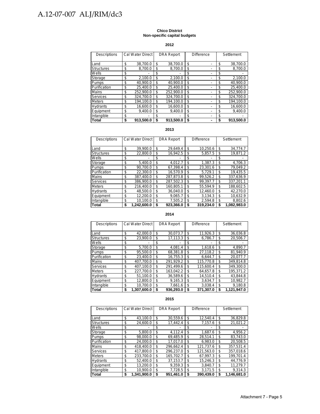#### **Chico District Non-specific capital budgets**

**2012**

| Descriptions      | Cal Water Direct | <b>DRA Report</b> | <b>Difference</b> |    | Settlement |
|-------------------|------------------|-------------------|-------------------|----|------------|
| Land              | \$<br>38.700.0   | \$<br>38.700.0    | \$                | \$ | 38.700.0   |
|                   |                  |                   |                   |    |            |
| <b>Structures</b> | \$<br>8,700.0    | \$<br>8.700.0     | \$                | \$ | 8,700.0    |
| Wells             | \$               | \$                | \$                | \$ |            |
| Storage           | \$<br>2,100.0    | \$<br>2.100.0     | \$                | \$ | 2,100.0    |
| Pumps             | \$<br>40.900.0   | \$<br>40.900.0    | \$                | \$ | 40.900.0   |
| Purification      | \$<br>25.400.0   | \$<br>25.400.0    | \$                | S  | 25,400.0   |
| Mains             | \$<br>252.900.0  | \$<br>252.900.0   | \$                | \$ | 252.900.0  |
| Services          | \$<br>324,700.0  | \$<br>324.700.0   | \$                | \$ | 324,700.0  |
| <b>Meters</b>     | \$<br>194.100.0  | \$<br>194.100.0   | \$                | \$ | 194.100.0  |
| Hydrants          | \$<br>16.600.0   | \$<br>16.600.0    | \$                | \$ | 16.600.0   |
| Equipment         | \$<br>9.400.0    | \$<br>9.400.0     | \$                | \$ | 9.400.0    |
| Intangible        | \$               | \$                | \$                | \$ |            |
| Total             | \$<br>913.500.0  | \$<br>913.500.0   | \$                |    | 913,500.0  |

#### **2013**

| Descriptions      | Cal Water Direct  | <b>DRA Report</b> | <b>Difference</b> |     | Settlement  |
|-------------------|-------------------|-------------------|-------------------|-----|-------------|
| Land              | \$<br>39.900.0    | \$<br>29.649.4    | \$<br>10.250.6    | \$  | 34.774.7    |
| <b>Structures</b> | \$<br>22.800.0    | \$<br>16.942.5    | \$<br>5.857.5     | \$  | 19.871.2    |
| Wells             | \$                | \$                | \$                | \$  |             |
| Storage           | \$<br>5.400.0     | \$<br>4.012.7     | \$<br>1.387.3     | \$  | 4.706.3     |
| Pumps             | \$<br>90.700.0    | \$<br>67.398.4    | \$<br>23.301.6    | \$  | 79.049.2    |
| Purification      | \$<br>22.300.0    | \$<br>16.570.9    | \$<br>5.729.1     | \$  | 19.435.5    |
| Mains             | \$<br>387,400.0   | \$<br>287.873.8   | \$<br>99.526.2    | \$  | 337.636.9   |
| Services          | \$<br>386.900.0   | \$<br>287.502.3   | \$<br>99.397.7    | \$. | 337.201.1   |
| <b>Meters</b>     | \$<br>216.400.0   | \$<br>160.805.1   | \$<br>55.594.9    | \$  | 188.602.5   |
| Hydrants          | \$<br>48.500.0    | \$<br>36.040.0    | \$<br>12.460.0    | \$  | 42.270.0    |
| Equipment         | \$<br>12.200.0    | \$<br>9.065.7     | \$<br>3.134.3     | \$  | 10.632.9    |
| Intangible        | \$<br>10.100.0    | \$<br>7.505.2     | \$<br>2.594.8     | \$  | 8,802.6     |
| Total             | \$<br>1.242.600.0 | \$<br>923.366.0   | \$<br>319.234.0   | S   | 1.082.983.0 |

#### **2014**

| Descriptions      | Cal Water Direct  |    | <b>DRA Report</b> | <b>Difference</b> | Settlement        |
|-------------------|-------------------|----|-------------------|-------------------|-------------------|
|                   |                   |    |                   |                   |                   |
| Land              | \$<br>42.000.0    | \$ | 30.073.7          | \$<br>11.926.3    | \$<br>36,036.8    |
| <b>Structures</b> | \$<br>23.900.0    | \$ | 17.113.3          | \$<br>6.786.7     | \$<br>20,506.7    |
| Wells             | \$                | \$ |                   | \$                | \$                |
| Storage           | \$<br>5.700.0     | \$ | 4.081.4           | \$<br>1.618.6     | \$<br>4.890.7     |
| Pumps             | \$<br>95.500.0    | \$ | 68.381.8          | \$<br>27,118.2    | \$<br>81.940.9    |
| Purification      | \$<br>23.400.0    | \$ | 16.755.3          | \$<br>6.644.7     | \$<br>20.077.7    |
| <b>Mains</b>      | \$<br>407.700.0   | \$ | 291.929.2         | \$<br>115.770.8   | \$<br>349.814.8   |
| Services          | \$<br>407.100.0   | \$ | 291.499.6         | \$<br>115.600.4   | \$<br>349.300.0   |
| <b>Meters</b>     | \$<br>227.700.0   | \$ | 163.042.2         | \$<br>64.657.8    | \$<br>195.371.2   |
| <b>Hydrants</b>   | \$<br>51.100.0    | \$ | 36.589.6          | \$<br>14.510.4    | \$<br>43.844.8    |
| Equipment         | \$<br>12.800.0    | \$ | 9.165.3           | \$<br>3.634.7     | \$<br>10,982.7    |
| Intangible        | \$<br>10.700.0    | \$ | 7.661.6           | \$<br>3.038.4     | \$<br>9.180.8     |
| Total             | \$<br>1,307,600.0 | S  | 936.293.0         | \$<br>371,307.0   | \$<br>1.121.947.0 |

| <b>Descriptions</b> | <b>Cal Water Direct</b> | <b>DRA Report</b> | <b>Difference</b> | Settlement        |
|---------------------|-------------------------|-------------------|-------------------|-------------------|
| Land                | \$<br>43.100.0          | \$<br>30.559.6    | \$<br>12.540.4    | \$<br>36,829.8    |
| <b>Structures</b>   | \$<br>24.600.0          | \$<br>17.442.4    | \$<br>7.157.6     | \$<br>21,021.2    |
| Wells               | \$                      | \$                | \$                | \$                |
| Storage             | \$<br>5.800.0           | \$<br>4.112.4     | \$<br>1.687.6     | \$<br>4,956.2     |
| Pumps               | \$<br>98.000.0          | \$<br>69.485.9    | \$<br>28.514.1    | \$<br>83.743.0    |
| Purification        | \$<br>24.000.0          | \$<br>17.017.0    | \$<br>6.983.0     | \$<br>20.508.5    |
| Mains               | \$<br>418.400.0         | \$<br>296.662.4   | \$<br>121.737.6   | \$<br>357.531.4   |
| Services            | \$<br>417.800.0         | \$<br>296.237.0   | \$<br>121.563.0   | \$<br>357.018.6   |
| <b>Meters</b>       | \$<br>233.700.0         | \$<br>165.702.7   | \$<br>67.997.3    | \$<br>199.701.4   |
| <b>Hydrants</b>     | \$<br>52.400.0          | \$<br>37.153.7    | \$<br>15.246.3    | \$<br>44,776.9    |
| Equipment           | \$<br>13.200.0          | \$<br>9.359.3     | \$<br>3.840.7     | \$<br>11.279.7    |
| Intangible          | \$<br>10,900.0          | \$<br>7.728.5     | \$<br>3.171.5     | \$<br>9.314.3     |
| <b>Total</b>        | \$<br>1.341.900.0       | \$<br>951.461.0   | \$<br>390.439.0   | \$<br>1.146.681.0 |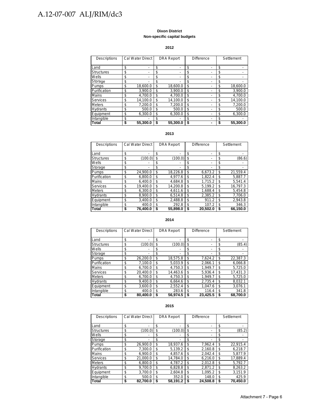#### **Dixon District Non-specific capital budgets**

#### **2012**

| Descriptions      | Cal Water Direct | <b>DRA Report</b>              | <b>Difference</b> | Settlement     |
|-------------------|------------------|--------------------------------|-------------------|----------------|
| Land              | \$               | \$<br>$\blacksquare$           | \$                | \$             |
| <b>Structures</b> | \$               | \$<br>$\overline{\phantom{0}}$ | \$                | \$             |
| Wells             | \$               | \$<br>-                        | \$                | \$             |
| Storage           | \$               | \$<br>-                        | \$                | \$             |
| Pumps             | \$<br>18.600.0   | \$<br>18.600.0                 | \$                | \$<br>18.600.0 |
| Purification      | \$<br>3.900.0    | \$<br>3.900.0                  | \$                | \$<br>3,900.0  |
| Mains             | \$<br>4.700.0    | \$<br>4.700.0                  | \$                | \$<br>4,700.0  |
| Services          | \$<br>14.100.0   | \$<br>14.100.0                 | \$                | \$<br>14.100.0 |
| <b>Meters</b>     | \$<br>7.200.0    | \$<br>7.200.0                  | \$                | \$<br>7,200.0  |
| Hydrants          | \$<br>500.0      | \$<br>500.0                    | \$                | \$<br>500.0    |
| Equipment         | \$<br>6.300.0    | \$<br>6.300.0                  | \$                | \$<br>6.300.0  |
| Intangible        | \$               | \$                             | \$                | \$             |
| Total             | \$<br>55,300.0   | \$<br>55.300.0                 | \$                | 55,300.0       |

#### **2013**

| Descriptions      | Cal Water Direct | <b>DRA Report</b>    | <b>Difference</b> | Settlement     |
|-------------------|------------------|----------------------|-------------------|----------------|
|                   |                  |                      |                   |                |
| Land              | \$               | \$                   | \$                | \$             |
| <b>Structures</b> | \$<br>(100.0)    | \$<br>(100.0)        | \$                | \$<br>(86.6)   |
| Wells             | \$               | \$<br>$\blacksquare$ | \$                | \$             |
| Storage           | \$               | \$<br>$\blacksquare$ | \$                | \$             |
| Pumps             | \$<br>24.900.0   | \$<br>18.226.8       | \$<br>6.673.2     | \$<br>21,559.4 |
| Purification      | \$<br>6.800.0    | \$<br>4.977.6        | \$<br>1.822.4     | \$<br>5,887.7  |
| Mains             | \$<br>6.400.0    | \$<br>4.684.8        | \$<br>1.715.2     | \$<br>5.541.4  |
| Services          | \$<br>19.400.0   | \$<br>14.200.8       | \$<br>5.199.2     | \$<br>16,797.3 |
| <b>Meters</b>     | \$<br>6.300.0    | \$<br>4.611.6        | \$<br>1.688.4     | \$<br>5.454.8  |
| <b>Hydrants</b>   | \$<br>8.900.0    | \$<br>6.514.8        | \$<br>2.385.2     | \$<br>7.706.0  |
| Equipment         | \$<br>3.400.0    | \$<br>2.488.8        | \$<br>911.2       | \$<br>2,943.8  |
| Intangible        | \$<br>400.0      | \$<br>292.8          | \$<br>107.2       | \$<br>346.3    |
| <b>Total</b>      | \$<br>76.400.0   | \$<br>55.898.0       | \$<br>20.502.0    | \$<br>66,150.0 |

#### **2014**

| Descriptions      | Cal Water Direct | <b>DRA Report</b> | Difference | Settlement   |
|-------------------|------------------|-------------------|------------|--------------|
| Land              | \$               | \$                | \$         | \$           |
|                   |                  |                   |            |              |
| <b>Structures</b> | \$<br>(100.0)    | \$<br>(100.0)     | \$         | \$<br>(85.4) |
| Wells             | \$               | \$                | \$         | \$           |
| Storage           | \$               | \$                | \$         | \$           |
| Pumps             | \$               | \$                | \$         | \$           |
|                   | 26,200.0         | 18,575.8          | 7.624.2    | 22,387.3     |
| Purification      | \$               | \$                | \$         | \$           |
|                   | 7.100.0          | 5.033.9           | 2.066.1    | 6.066.8      |
| Mains             | \$               | \$                | \$         | \$           |
|                   | 6.700.0          | 4.750.3           | 1.949.7    | 5.725.0      |
| Services          | \$               | 14.463.6          | \$         | \$           |
|                   | 20.400.0         | \$                | 5.936.4    | 17,431.3     |
| <b>Meters</b>     | \$               | \$                | 1.949.7    | \$           |
|                   | 6.700.0          | 4.750.3           | \$         | 5,725.0      |
| <b>Hydrants</b>   | \$               | \$                | \$         | \$           |
|                   | 9.400.0          | 6,664.6           | 2.735.4    | 8.032.1      |
| Equipment         | \$               | \$                | \$         | \$           |
|                   | 3.600.0          | 2.552.4           | 1,047.6    | 3.076.1      |
| Intangible        | \$               | \$                | \$         | \$           |
|                   | 400.0            | 283.6             | 116.4      | 341.8        |
| Total             | \$               | 56.974.5          | \$         | 68.700.0     |
|                   | 80.400.0         | S                 | 23.425.5   | S            |

#### **2015**

| Descriptions      | Cal Water Direct | <b>DRA Report</b>              | <b>Difference</b> |          | Settlement |          |
|-------------------|------------------|--------------------------------|-------------------|----------|------------|----------|
| Land              | \$               | \$<br>$\overline{\phantom{0}}$ | \$                |          | \$         |          |
| <b>Structures</b> | \$<br>(100.0)    | \$<br>(100.0)                  | \$                |          | \$         | (85.2)   |
| Wells             | \$               | \$                             | \$                |          | \$         |          |
| Storage           | \$               | \$<br>$\blacksquare$           | \$                |          | \$         |          |
| <b>Pumps</b>      | \$<br>26.900.0   | \$<br>18,937.6                 | \$                | 7.962.4  | \$         | 22,915.4 |
| Purification      | \$<br>7.300.0    | \$<br>5,139.2                  | \$                | 2,160.8  | \$         | 6,218.7  |
| Mains             | \$<br>6.900.0    | \$<br>4.857.6                  | \$                | 2.042.4  | \$         | 5.877.9  |
| Services          | \$<br>21.000.0   | \$<br>14.784.0                 | \$                | 6.216.0  | \$         | 17,889.4 |
| <b>Meters</b>     | \$<br>6.800.0    | \$<br>4,787.2                  | \$                | 2.012.8  | \$         | 5,792.7  |
| <b>Hydrants</b>   | \$<br>9.700.0    | \$<br>6.828.8                  | \$                | 2.871.2  | \$         | 8,263.2  |
| Equipment         | \$<br>3.700.0    | \$<br>2,604.8                  | \$                | 1.095.2  | \$         | 3,151.9  |
| Intangible        | \$<br>500.0      | \$<br>352.0                    | \$                | 148.0    | \$         | 425.9    |
| Total             | \$<br>82.700.0   | \$<br>58.191.2                 | S                 | 24.508.8 | \$         | 70,450.0 |

#### Attachment 7 - Page 6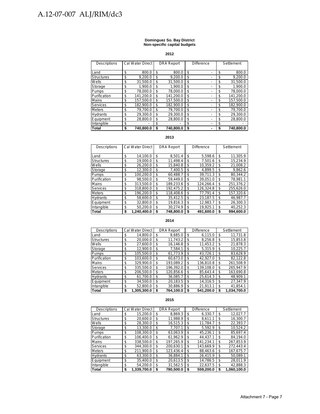#### **Dominguez So. Bay District Non-specific capital budgets**

**2012**

| Descriptions      | Cal Water Direct |    | <b>DRA Report</b> | <b>Difference</b> | Settlement |           |
|-------------------|------------------|----|-------------------|-------------------|------------|-----------|
|                   |                  |    |                   |                   |            |           |
| Land              | \$<br>800.0      | \$ | 800.0             | \$                | \$         | 800.0     |
| <b>Structures</b> | \$<br>9.200.0    | \$ | 9.200.0           | \$                | \$         | 9.200.0   |
| Wells             | \$<br>31.500.0   | \$ | 31.500.0          | \$                | \$         | 31,500.0  |
| Storage           | \$<br>1.900.0    | \$ | 1.900.0           | \$                | \$         | 1.900.0   |
| Pumps             | \$<br>78.000.0   | \$ | 78.000.0          | \$                | \$         | 78.000.0  |
| Purification      | \$<br>141.200.0  | \$ | 141.200.0         | \$                | \$         | 141.200.0 |
| Mains             | \$<br>157.500.0  | \$ | 157.500.0         | \$                | \$         | 157.500.0 |
| Services          | \$<br>182.900.0  | \$ | 182.900.0         | \$                | \$         | 182.900.0 |
| <b>Meters</b>     | \$<br>79.700.0   | \$ | 79.700.0          | \$                | \$         | 79.700.0  |
| Hydrants          | \$<br>29.300.0   | \$ | 29.300.0          | \$                | \$         | 29.300.0  |
| Equipment         | \$<br>28.800.0   | \$ | 28.800.0          | \$                | \$         | 28.800.0  |
| Intangible        | \$               | \$ |                   | \$                | \$         |           |
| Total             | \$<br>740.800.0  | S  | 740.800.0         | \$                |            | 740.800.0 |

#### **2013**

| Descriptions      | Cal Water Direct  | <b>DRA Report</b> | <b>Difference</b> | Settlement      |
|-------------------|-------------------|-------------------|-------------------|-----------------|
|                   |                   |                   |                   |                 |
| ILand             | \$<br>14.100.0    | \$<br>8,501.4     | \$<br>5.598.6     | \$<br>11.305.9  |
| <b>Structures</b> | \$<br>19.000.0    | \$<br>11.498.4    | \$<br>7.501.6     | \$<br>15.234.9  |
| Wells             | \$<br>26.200.0    | \$<br>15.840.8    | \$<br>10.359.2    | \$<br>21.008.2  |
| Storage           | \$<br>12.300.0    | \$<br>7.400.5     | \$<br>4.899.5     | \$<br>9.862.6   |
| <b>Pumps</b>      | \$<br>100.200.0   | \$<br>60.488.7    | \$<br>39.711.3    | \$<br>80.344.2  |
| Purification      | \$<br>98.500.0    | \$<br>59.449.0    | \$<br>39.051.0    | \$<br>78.981.1  |
| <b>Mains</b>      | \$<br>313.500.0   | \$<br>189.233.6   | \$<br>124.266.4   | \$<br>251.376.2 |
| Services          | \$<br>318,800.0   | \$<br>192.475.2   | \$<br>126.324.8   | \$<br>255.626.0 |
| <b>Meters</b>     | \$<br>196.200.0   | \$<br>118.408.6   | \$<br>77.791.4    | \$<br>157.320.6 |
| <b>Hydrants</b>   | \$<br>58.600.0    | \$<br>35.412.5    | \$<br>23.187.5    | \$<br>46.987.7  |
| Equipment         | \$<br>32.800.0    | \$<br>19.816.3    | \$<br>12.983.7    | \$<br>26.300.3  |
| Intangible        | \$<br>50.200.0    | \$<br>30.274.9    | \$<br>19.925.1    | \$<br>40,252.3  |
| <b>Total</b>      | \$<br>1.240.400.0 | \$<br>748.800.0   | \$<br>491.600.0   | \$<br>994.600.0 |

#### **2014**

| Descriptions      |    | Cal Water Direct |    | <b>DRA Report</b> |    | Difference |    | Settlement  |
|-------------------|----|------------------|----|-------------------|----|------------|----|-------------|
| Land              | S  | 14.800.0         | S  | 8.685.0           | \$ | 6.115.0    | S  | 11.731.8    |
| <b>Structures</b> | \$ | 20.000.0         | \$ | 11,743.2          | \$ | 8,256.8    | \$ | 15,853.8    |
| Wells             | \$ | 27,600.0         | \$ | 16,146.8          | \$ | 11,453.2   | S  | 21,878.3    |
| Storage           | \$ | 12.900.0         | \$ | 7.584.1           | \$ | 5.315.9    | S  | 10.225.7    |
| Pumps             | \$ | 105,500.0        | \$ | 61,773.9          | \$ | 43.726.1   | \$ | 83,628.9    |
| Purification      | \$ | 103,600.0        | \$ | 60.673.0          | \$ | 42.927.0   | S  | 82.122.8    |
| Mains             | \$ | 329.900.0        | \$ | 193.089.2         | \$ | 136.810.8  | \$ | 261,508.9   |
| <b>Services</b>   | \$ | 335,500.0        | \$ | 196.392.0         | \$ | 139,108.0  | \$ | 265,947.9   |
| <b>Meters</b>     | \$ | 206,500.0        | \$ | 120,856.6         | \$ | 85.643.4   | S  | 163,690.8   |
| <b>Hydrants</b>   | \$ | 61.700.0         | \$ | 36.085.7          | \$ | 25.614.3   | \$ | 48.909.1    |
| Equipment         | \$ | 34,500.0         | \$ | 20,183.5          | \$ | 14,316.5   | \$ | 27,347.9    |
| Intangible        | \$ | 52,800.0         | \$ | 30,886.9          | \$ | 21,913.1   | \$ | 41,854.1    |
| Total             | \$ | 1,305,300.0      |    | 764,100.0         | S  | 541,200.0  |    | 1,034,700.0 |

| Descriptions      | <b>Cal Water Direct</b> |    | <b>DRA Report</b> | Difference      |    | Settlement  |
|-------------------|-------------------------|----|-------------------|-----------------|----|-------------|
| Land              | \$<br>15.200.0          | \$ | 8.869.3           | \$<br>6.330.7   | \$ | 12.027.7    |
| <b>Structures</b> | \$<br>20.600.0          | \$ | 11,988.9          | \$<br>8.611.1   | \$ | 16,300.7    |
| Wells             | \$<br>28.300.0          | \$ | 16.515.3          | \$<br>11.784.7  | \$ | 22,393.7    |
| Storage           | \$<br>13,300.0          | \$ | 7.707.1           | \$<br>5.592.9   | \$ | 10,524.2    |
| Pumps             | \$<br>108.300.0         | \$ | 63.063.9          | \$<br>45.236.1  | \$ | 85,697.4    |
| Purification      | \$<br>106.400.0         | \$ | 61.962.9          | \$<br>44.437.1  | \$ | 84.194.0    |
| Mains             | \$<br>338,500.0         | \$ | 197,265.9         | \$<br>141,234.1 | \$ | 267,853.9   |
| <b>Services</b>   | \$<br>344.300.0         | \$ | 200.630.1         | \$<br>143.669.9 | \$ | 272.443.4   |
| <b>Meters</b>     | \$<br>211.900.0         | \$ | 123.436.4         | \$<br>88.463.6  | \$ | 167.675.7   |
| <b>Hydrants</b>   | \$<br>63,300.0          | \$ | 36,884.1          | \$<br>26,415.9  | \$ | 50,089.1    |
| Equipment         | \$<br>35,400.0          | \$ | 20,613.5          | \$<br>14,786.5  | \$ | 28,011.9    |
| Intangible        | \$<br>54.200.0          | \$ | 31,562.5          | \$<br>22,637.5  | \$ | 42,888.3    |
| <b>Total</b>      | \$<br>1.339.700.0       | S  | 780,500.0         | \$<br>559.200.0 | S  | 1.060.100.0 |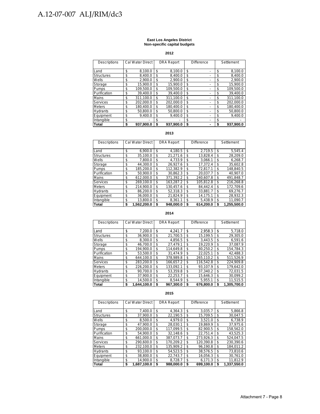#### **East Los Angeles District Non-specific capital budgets**

**2012**

| Descriptions      | Cal Water Direct |    | <b>DRA Report</b> | <b>Difference</b> |  | Settlement |           |
|-------------------|------------------|----|-------------------|-------------------|--|------------|-----------|
|                   |                  |    |                   |                   |  |            |           |
| Land              | \$<br>8,100.0    | \$ | 8.100.0           | \$                |  | \$         | 8,100.0   |
| <b>Structures</b> | \$<br>8.400.0    | \$ | 8.400.0           | \$                |  | \$         | 8.400.0   |
| Wells             | \$<br>2.900.0    | \$ | 2.900.0           | \$                |  | \$         | 2.900.0   |
| Storage           | \$<br>15.900.0   | \$ | 15.900.0          | \$                |  | \$         | 15,900.0  |
| Pumps             | \$<br>109.500.0  | \$ | 109.500.0         | \$                |  | \$         | 109.500.0 |
| Purification      | \$<br>39.400.0   | \$ | 39.400.0          | \$                |  | \$         | 39.400.0  |
| Mains             | \$<br>311,100.0  | \$ | 311.100.0         | \$                |  | \$         | 311,100.0 |
| <b>Services</b>   | \$<br>202.000.0  | \$ | 202.000.0         | \$                |  | \$         | 202,000.0 |
| <b>Meters</b>     | \$<br>180.400.0  | \$ | 180.400.0         | \$                |  | \$         | 180.400.0 |
| <b>Hydrants</b>   | \$<br>50.800.0   | \$ | 50.800.0          | \$                |  | \$         | 50.800.0  |
| Equipment         | \$<br>9.400.0    | \$ | 9.400.0           | \$                |  | \$         | 9.400.0   |
| Intangible        | \$               | \$ |                   | \$                |  | \$         |           |
| <b>Total</b>      | \$<br>937.900.0  | S  | 937.900.0         | \$                |  | S          | 937.900.0 |

#### **2013**

| Descriptions      | <b>Cal Water Direct</b> | <b>DRA Report</b> | Difference |           | Settlement |             |
|-------------------|-------------------------|-------------------|------------|-----------|------------|-------------|
|                   |                         |                   |            |           |            |             |
| Land              | \$<br>6.900.0           | \$<br>4,180.5     | S          | 2.719.5   | \$         | 5.545.4     |
| <b>Structures</b> | \$<br>35.100.0          | \$<br>21.271.6    | \$         | 13.828.4  | \$         | 28.209.0    |
| Wells             | \$<br>7.800.0           | \$<br>4.733.9     | \$         | 3.066.1   | \$         | 6.268.7     |
| Storage           | \$<br>44.300.0          | \$<br>26.927.6    | \$         | 17.372.4  | \$         | 35.602.8    |
| Pumps             | \$<br>185.200.0         | \$<br>112.382.9   | \$         | 72.817.1  | \$         | 148.840.5   |
| Purification      | \$<br>50.900.0          | \$<br>30.862.3    | \$         | 20.037.7  | S          | 40.907.0    |
| Mains             | \$<br>612.000.0         | \$<br>371.392.2   | \$         | 240.607.8 | \$         | 491.848.7   |
| <b>Services</b>   | \$<br>269.100.0         | \$<br>163.287.2   | \$         | 105.812.8 | \$         | 216.268.8   |
| <b>Meters</b>     | \$<br>214.900.0         | \$<br>130.457.6   | \$         | 84.442.4  | S          | 172.709.6   |
| <b>Hydrants</b>   | \$<br>86.200.0          | \$<br>52,318.3    | \$         | 33.881.7  | \$         | 69.276.7    |
| Equipment         | \$<br>36.000.0          | \$<br>21,824.9    | \$         | 14.175.1  | \$         | 28.932.3    |
| Intangible        | \$<br>13.800.0          | \$<br>8.361.1     | \$         | 5.438.9   | \$         | 11.090.7    |
| <b>Total</b>      | \$<br>1.562.200.0       | \$<br>948.000.0   | \$         | 614.200.0 | S          | 1.255.500.0 |

#### **2014**

| Descriptions      | Cal Water Direct  | <b>DRA Report</b> | Difference |           | Settlement |             |
|-------------------|-------------------|-------------------|------------|-----------|------------|-------------|
|                   |                   |                   |            |           |            |             |
| Land              | \$<br>7.200.0     | \$<br>4,241.7     | \$         | 2,958.3   | \$         | 5,718.0     |
| <b>Structures</b> | \$<br>36.900.0    | \$<br>21.700.5    | \$         | 15.199.5  | \$         | 29.305.0    |
| Wells             | \$<br>8.300.0     | \$<br>4.856.5     | \$         | 3.443.5   | \$         | 6.591.6     |
| Storage           | \$<br>46.700.0    | \$<br>27.479.1    | \$         | 19.220.9  | \$         | 37.087.9    |
| Pumps             | \$<br>194,900.0   | \$<br>114.649.8   | \$         | 80,250.2  | \$         | 154.784.3   |
| Purification      | \$<br>53.500.0    | \$<br>31.474.9    | \$         | 22,025.1  | \$         | 42,488.3    |
| Mains             | \$<br>644.100.0   | \$<br>378.989.8   | \$         | 265.110.2 | \$         | 511.526.9   |
| Services          | \$<br>283.200.0   | \$<br>166.657.2   | \$         | 116.542.8 | \$         | 224.909.8   |
| <b>Meters</b>     | \$<br>226.200.0   | \$<br>133.092.1   | \$         | 93.107.9  | \$         | 179.642.0   |
| <b>Hydrants</b>   | \$<br>90.700.0    | \$<br>53.359.8    | \$         | 37.340.2  | \$         | 72.031.5    |
| Equipment         | \$<br>37.900.0    | \$<br>22.253.7    | \$         | 15.646.3  | \$         | 30.099.2    |
| Intangible        | \$<br>14.500.0    | \$<br>8.544.9     | \$         | 5,955.1   | \$         | 11,515.5    |
| Total             | \$<br>1.644.100.0 | \$<br>967.300.0   | \$         | 676.800.0 | S          | 1.305.700.0 |

| Descriptions      | Cal Water Direct  |     | <b>DRA Report</b> | <b>Difference</b> |           | Settlement |             |
|-------------------|-------------------|-----|-------------------|-------------------|-----------|------------|-------------|
|                   |                   |     |                   |                   |           |            |             |
| Land              | \$<br>7.400.0     | \$  | 4.364.3           | \$                | 3.035.7   | \$         | 5,866.8     |
| <b>Structures</b> | \$<br>37.900.0    | \$  | 22.190.5          | \$                | 15.709.5  | \$         | 30.047.5    |
| Wells             | \$<br>8.500.0     | \$  | 4.979.0           | \$                | 3.521.0   | \$         | 6.738.9     |
| Storage           | \$<br>47.900.0    | \$  | 28.030.1          | \$                | 19.869.9  | \$         | 37.975.6    |
| Pumps             | \$<br>200.000.0   | \$  | 117.099.5         | \$                | 82.900.5  | \$         | 158.562.0   |
| Purification      | \$<br>54.900.0    | \$  | 32.148.6          | \$                | 22.751.4  | \$         | 43.525.3    |
| Mains             | \$<br>661.000.0   | \$  | 387.073.7         | \$                | 273.926.3 | \$         | 524.047.5   |
| Services          | \$<br>290.600.0   | \$. | 170.209.2         | \$                | 120.390.8 | \$         | 230.390.6   |
| <b>Meters</b>     | \$<br>232.100.0   | \$  | 135.909.2         | \$                | 96.190.8  | \$         | 184.011.2   |
| <b>Hydrants</b>   | \$<br>93.100.0    | \$  | 54,523.5          | \$                | 38.576.5  | \$         | 73,810.6    |
| Equipment         | \$<br>38.800.0    | \$  | 22.743.7          | \$                | 16.056.3  | \$         | 30.761.0    |
| Intangible        | \$<br>14.900.0    | \$  | 8,728.7           | \$                | 6.171.3   | \$         | 11.812.9    |
| <b>Total</b>      | \$<br>1,687,100.0 | \$  | 988.000.0         | \$                | 699,100.0 | \$         | 1.337.550.0 |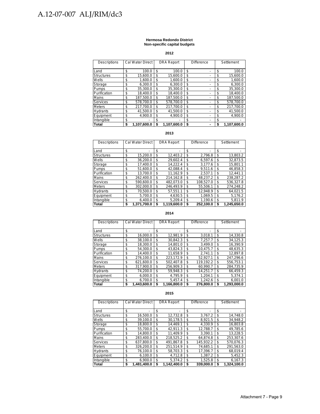#### **Hermosa Redondo District Non-specific capital budgets**

**2012**

| <b>Descriptions</b> | <b>Cal Water Direct</b> |    | <b>DRA Report</b> | <b>Difference</b> |   |    | Settlement  |
|---------------------|-------------------------|----|-------------------|-------------------|---|----|-------------|
|                     |                         |    |                   |                   |   |    |             |
| Land                | \$<br>100.0             | \$ | 100.0             | \$                |   | \$ | 100.0       |
| <b>Structures</b>   | \$<br>15.600.0          | \$ | 15.600.0          | \$                | - | \$ | 15,600.0    |
| Wells               | \$<br>1.600.0           | \$ | 1.600.0           | \$                |   | \$ | 1,600.0     |
| Storage             | \$<br>6.300.0           | \$ | 6.300.0           | \$                |   | \$ | 6.300.0     |
| Pumps               | \$<br>35.300.0          | \$ | 35.300.0          | \$                | - | \$ | 35.300.0    |
| Purification        | \$<br>18.400.0          | \$ | 18.400.0          | \$                | - | \$ | 18.400.0    |
| <b>Mains</b>        | \$<br>187.500.0         | \$ | 187.500.0         | \$                |   | \$ | 187.500.0   |
| <b>Services</b>     | \$<br>578.700.0         | \$ | 578.700.0         | \$                |   | \$ | 578.700.0   |
| <b>Meters</b>       | \$<br>217.700.0         | \$ | 217.700.0         | \$                |   | \$ | 217.700.0   |
| <b>Hydrants</b>     | \$<br>41.500.0          | \$ | 41.500.0          | \$                |   | \$ | 41,500.0    |
| Equipment           | \$<br>4.900.0           | \$ | 4.900.0           | \$                | - | \$ | 4.900.0     |
| Intangible          | \$                      | S  |                   | \$                |   | \$ |             |
| <b>Total</b>        | \$<br>1.107.600.0       |    | 1.107.600.0       | \$                |   | S  | 1.107.600.0 |

#### **2013**

| Descriptions      | Cal Water Direct  | <b>DRA Report</b> | <b>Difference</b> | Settlement |             |
|-------------------|-------------------|-------------------|-------------------|------------|-------------|
|                   |                   |                   |                   |            |             |
| Land              | \$                | \$<br>٠           | \$                | \$         |             |
| <b>Structures</b> | \$<br>15.200.0    | \$<br>12.403.2    | \$<br>2.796.8     | \$         | 13.803.2    |
| Wells             | \$<br>36,200.0    | \$<br>29.602.4    | \$<br>6.597.6     | \$         | 32.873.5    |
| Storage           | \$<br>17.400.0    | \$<br>14.222.4    | \$<br>3.177.6     | \$         | 15.801.1    |
| Pumps             | \$<br>51.600.0    | \$<br>42.088.4    | \$<br>9.511.6     | \$         | 46.858.3    |
| Purification      | \$<br>13.700.0    | \$<br>11.162.9    | \$<br>2.537.1     | \$         | 12.441.1    |
| Mains             | \$<br>262.400.0   | \$<br>214.162.8   | \$<br>48.237.2    | \$         | 238.287.2   |
| Services          | \$<br>590.600.0   | \$<br>482.073.0   | \$<br>108.527.0   | \$         | 536.327.8   |
| <b>Meters</b>     | \$<br>302.000.0   | \$<br>246.493.9   | \$<br>55.506.1    | \$         | 274.248.2   |
| <b>Hydrants</b>   | \$<br>70.500.0    | \$<br>57.551.1    | \$<br>12,948.9    | \$         | 64.021.5    |
| Equipment         | \$<br>5.700.0     | \$<br>4.630.5     | \$<br>1.069.5     | \$         | 5.176.2     |
| Intangible        | \$<br>6.400.0     | \$<br>5.209.4     | \$<br>1.190.6     | \$         | 5,811.9     |
| Total             | \$<br>1.371.700.0 | \$<br>1.119.600.0 | \$<br>252.100.0   |            | 1.245.650.0 |

#### **2014**

| <b>Descriptions</b> | Cal Water Direct  |    | <b>DRA Report</b> | <b>Difference</b> |           | Settlement |             |
|---------------------|-------------------|----|-------------------|-------------------|-----------|------------|-------------|
| Land                | \$                | \$ |                   | \$                |           | \$         |             |
| <b>Structures</b>   | \$<br>16.000.0    | \$ | 12.981.9          | \$                | 3,018.1   | \$         | 14,330.8    |
| Wells               | \$<br>38.100.0    | \$ | 30.842.3          | \$                | 7.257.7   | \$         | 34.125.3    |
| Storage             | \$<br>18,300.0    | \$ | 14,801.0          | \$                | 3,499.0   | \$         | 16,390.9    |
| Pumps               | \$<br>54.300.0    | \$ | 43.824.3          | \$                | 10.475.7  | \$         | 48.635.3    |
| Purification        | \$<br>14.400.0    | \$ | 11.658.9          | \$                | 2.741.1   | \$         | 12.897.8    |
| <b>Mains</b>        | \$<br>276.100.0   | \$ | 223.172.9         | \$                | 52.927.1  | \$         | 247.296.6   |
| <b>Services</b>     | \$<br>621.600.0   | \$ | 502.407.8         | \$                | 119.192.2 | \$         | 556.753.1   |
| <b>Meters</b>       | \$<br>317.900.0   | \$ | 256.909.3         | \$                | 60.990.7  | \$         | 284.735.9   |
| <b>Hydrants</b>     | \$<br>74.200.0    | S. | 59.948.3          | \$                | 14.251.7  | \$         | 66.459.3    |
| Equipment           | \$<br>6.000.0     | \$ | 4.795.9           | \$                | 1.204.1   | \$         | 5.374.1     |
| Intangible          | \$<br>6.700.0     | \$ | 5.457.4           | \$                | 1.242.6   | \$         | 6.001.0     |
| Total               | \$<br>1,443,600.0 | \$ | 1,166,800.0       | \$                | 276,800.0 | S          | 1,293,000.0 |

| Descriptions      | Cal Water Direct  |    | <b>DRA Report</b> |    | Difference | Settlement        |
|-------------------|-------------------|----|-------------------|----|------------|-------------------|
| Land              | \$                | \$ |                   | \$ |            | \$                |
| <b>Structures</b> | \$<br>16.500.0    | \$ | 12.732.8          | \$ | 3.767.2    | \$<br>14.748.0    |
| Wells             | \$<br>39.100.0    | \$ | 30.178.5          | \$ | 8.921.5    | \$<br>34.948.2    |
| Storage           | \$<br>18.800.0    | \$ | 14.469.1          | \$ | 4.330.9    | \$<br>16,803.8    |
| <b>Pumps</b>      | \$<br>55.700.0    | \$ | 42.911.3          | \$ | 12.788.7   | \$<br>49.785.6    |
| Purification      | \$<br>14.800.0    | \$ | 11.409.9          | \$ | 3.390.1    | \$<br>13.228.5    |
| <b>Mains</b>      | \$<br>283.400.0   | \$ | 218.525.2         | \$ | 64.874.8   | \$<br>253.307.6   |
| Services          | \$<br>637.800.0   | \$ | 491.867.8         | \$ | 145.932.2  | \$<br>570.076.3   |
| <b>Meters</b>     | \$<br>326.200.0   | \$ | 251.514.9         | \$ | 74.685.1   | \$<br>291.563.0   |
| <b>Hydrants</b>   | \$<br>76.100.0    | \$ | 58.703.3          | \$ | 17.396.7   | \$<br>68.019.4    |
| Equipment         | \$<br>6.100.0     | \$ | 4.712.8           | \$ | 1.387.2    | \$<br>5.452.3     |
| Intangible        | \$<br>6.900.0     | \$ | 5.374.2           | \$ | 1.525.8    | \$<br>6.167.3     |
| Total             | \$<br>1.481.400.0 | S  | 1.142.400.0       | S  | 339.000.0  | \$<br>1.324.100.0 |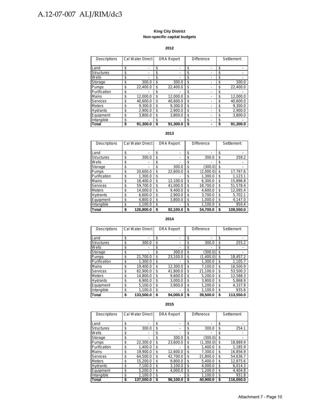#### **King City District Non-specific capital budgets**

#### **2012**

| Descriptions      | Cal Water Direct | <b>DRA Report</b> |                          | <b>Difference</b> | Settlement     |
|-------------------|------------------|-------------------|--------------------------|-------------------|----------------|
| Land              | \$<br>-          | \$                | -                        | \$                | \$<br>-        |
| <b>Structures</b> | \$               | \$                | $\overline{\phantom{0}}$ | \$                | \$             |
| Wells             | \$               | \$                |                          | \$                | \$             |
| Storage           | \$<br>300.0      | \$                | 300.0                    | \$                | \$<br>300.0    |
| Pumps             | \$<br>22.400.0   | \$                | 22.400.0                 | \$                | \$<br>22.400.0 |
| Purification      | \$               | \$                |                          | \$                | \$             |
| <b>Mains</b>      | \$<br>12.000.0   | \$                | 12.000.0                 | \$                | \$<br>12.000.0 |
| Services          | \$<br>40.600.0   | \$                | 40.600.0                 | \$                | \$<br>40.600.0 |
| <b>Meters</b>     | \$<br>9.300.0    | \$                | 9.300.0                  | \$                | \$<br>9.300.0  |
| <b>Hydrants</b>   | \$<br>2.900.0    | \$                | 2.900.0                  | \$                | \$<br>2,900.0  |
| Equipment         | \$<br>3.800.0    | \$                | 3.800.0                  | \$                | \$<br>3.800.0  |
| Intangible        | \$               | S                 |                          | \$                | \$             |
| Total             | \$<br>91.300.0   | \$                | 91.300.0                 | \$                | 91.300.0       |

#### **2013**

| Descriptions      | <b>Cal Water Direct</b> | <b>DRA Report</b>                  |    | Difference | Settlement |           |
|-------------------|-------------------------|------------------------------------|----|------------|------------|-----------|
| Land              | \$                      | \$<br>$\overline{\phantom{0}}$     | \$ |            | \$         |           |
| <b>Structures</b> | \$<br>300.0             | \$<br>٠                            | \$ | 300.0      | \$         | 259.2     |
| Wells             | \$                      | \$<br>$\qquad \qquad \blacksquare$ | \$ |            | \$         |           |
| Storage           | \$                      | \$<br>300.0                        | \$ | (300.0)    | \$         |           |
| Pumps             | \$<br>20.600.0          | \$<br>22.600.0                     | \$ | (2.000.0)  | \$         | 17,797.6  |
| Purification      | \$<br>1.300.0           | \$<br>-                            | \$ | 1.300.0    | \$         | 1.123.1   |
| Mains             | \$<br>18.400.0          | \$<br>12.100.0                     | \$ | 6.300.0    | \$         | 15,896.8  |
| <b>Services</b>   | \$<br>59,700.0          | \$<br>41.000.0                     | \$ | 18,700.0   | \$         | 51,578.4  |
| <b>Meters</b>     | \$<br>14.000.0          | \$<br>9.400.0                      | \$ | 4.600.0    | \$         | 12.095.4  |
| Hydrants          | \$<br>6.600.0           | \$<br>2,900.0                      | \$ | 3.700.0    | \$         | 5,702.1   |
| Equipment         | \$<br>4.800.0           | \$<br>3.800.0                      | \$ | 1.000.0    | \$         | 4.147.0   |
| Intangible        | \$<br>1.100.0           | \$<br>-                            | \$ | 1.100.0    | \$         | 950.4     |
| <b>Total</b>      | \$<br>126.800.0         | \$<br>92.100.0                     | \$ | 34.700.0   | \$         | 109.550.0 |

#### **2014**

| <b>Descriptions</b> | Cal Water Direct |    | <b>DRA Report</b>        | <b>Difference</b> | Settlement |           |
|---------------------|------------------|----|--------------------------|-------------------|------------|-----------|
|                     |                  |    |                          |                   |            |           |
| Land                | \$               | \$ | -                        | \$                | \$         |           |
| <b>Structures</b>   | \$<br>300.0      | \$ | $\overline{\phantom{a}}$ | \$<br>300.0       | \$         | 255.2     |
| Wells               | \$               | \$ | -                        | \$                | \$         |           |
| Storage             | \$<br>-          | \$ | 300.0                    | \$<br>(300.0)     | \$         |           |
| Pumps               | \$<br>21.700.0   | \$ | 23,100.0                 | \$<br>(1.400.0)   | \$         | 18,457.2  |
| Purification        | \$<br>1.300.0    | \$ |                          | \$<br>1.300.0     | \$         | 1.105.7   |
| Mains               | \$<br>19.400.0   | \$ | 12.300.0                 | \$<br>7.100.0     | \$         | 16.500.9  |
| <b>Services</b>     | \$<br>62.900.0   | \$ | 41.800.0                 | \$<br>21.100.0    | \$         | 53.500.3  |
| <b>Meters</b>       | \$<br>14.800.0   | \$ | 9.600.0                  | \$<br>5.200.0     | \$         | 12,588.3  |
| Hydrants            | \$<br>6.900.0    | \$ | 3,000.0                  | \$<br>3,900.0     | \$         | 5,868.9   |
| Equipment           | \$<br>5.100.0    | \$ | 3.900.0                  | \$<br>1.200.0     | \$         | 4.337.9   |
| Intangible          | \$<br>1.100.0    | \$ |                          | \$<br>1.100.0     | \$         | 935.6     |
| Total               | \$<br>133,500.0  | S  | 94,000.0                 | \$<br>39,500.0    | S          | 113,550.0 |

| Descriptions    | Cal Water Direct |           | <b>DRA Report</b> | <b>Difference</b> | Settlement |           |  |
|-----------------|------------------|-----------|-------------------|-------------------|------------|-----------|--|
| Land            | \$               |           | \$                | \$                | \$         |           |  |
| Structures      | \$               | 300.0     | \$<br>-           | \$<br>300.0       | \$         | 254.1     |  |
| Wells           | \$               |           | \$                | \$                | \$         |           |  |
| Storage         | \$               |           | \$<br>300.0       | \$<br>(300.0)     | \$         |           |  |
| Pumps           | \$               | 22.300.0  | \$<br>23,600.0    | \$<br>(1,300.0)   | \$         | 18,889.9  |  |
| Purification    | \$               | 1.400.0   | \$                | \$<br>1.400.0     | \$         | 1.185.9   |  |
| Mains           | \$               | 19.900.0  | \$<br>12.600.0    | \$<br>7.300.0     | \$         | 16,856.9  |  |
| <b>Services</b> | \$               | 64.500.0  | \$<br>42.700.0    | \$<br>21.800.0    | \$         | 54.636.7  |  |
| <b>Meters</b>   | \$               | 15.200.0  | \$<br>9.800.0     | \$<br>5.400.0     | \$         | 12.875.6  |  |
| Hydrants        | \$               | 7.100.0   | \$<br>3.100.0     | \$<br>4.000.0     | \$         | 6.014.3   |  |
| Equipment       | \$               | 5.200.0   | \$<br>4.000.0     | \$<br>1.200.0     | \$         | 4.404.8   |  |
| Intangible      | \$               | 1.100.0   | \$                | \$<br>1.100.0     | \$         | 931.8     |  |
| Total           | \$               | 137,000.0 | \$<br>96,100.0    | \$<br>40.900.0    | \$         | 116.050.0 |  |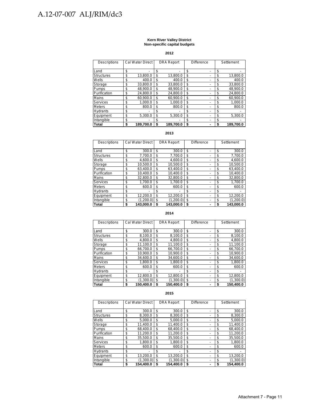#### **Kern River Valley District Non-specific capital budgets**

**2012**

| Descriptions      | Cal Water Direct |    | <b>DRA Report</b> | <b>Difference</b> |    | Settlement |
|-------------------|------------------|----|-------------------|-------------------|----|------------|
| Land              | \$               | \$ | ٠                 | \$                | \$ |            |
| <b>Structures</b> | \$<br>13.800.0   | \$ | 13.800.0          | \$                | \$ | 13.800.0   |
| Wells             | \$<br>400.0      | \$ | 400.0             | \$                | \$ | 400.0      |
| Storage           | \$<br>33.800.0   | \$ | 33.800.0          | \$                | \$ | 33.800.0   |
| Pumps             | \$<br>48.900.0   | \$ | 48.900.0          | \$                | \$ | 48.900.0   |
| Purification      | \$<br>24.800.0   | \$ | 24.800.0          | \$                | \$ | 24.800.0   |
| <b>Mains</b>      | \$<br>60.900.0   | \$ | 60.900.0          | \$                | \$ | 60.900.0   |
| Services          | \$<br>1.000.0    | \$ | 1.000.0           | \$                | \$ | 1,000.0    |
| <b>Meters</b>     | \$<br>800.0      | \$ | 800.0             | \$                | \$ | 800.0      |
| <b>Hydrants</b>   | \$               | \$ |                   | \$                | \$ |            |
| Equipment         | \$<br>5,300.0    | \$ | 5.300.0           | \$                | \$ | 5,300.0    |
| Intangible        | \$               | \$ |                   | \$                | \$ |            |
| Total             | \$<br>189.700.0  | S  | 189.700.0         | \$                | S  | 189.700.0  |

#### **2013**

| Descriptions      | <b>Cal Water Direct</b> | <b>DRA Report</b> | Difference | Settlement |           |
|-------------------|-------------------------|-------------------|------------|------------|-----------|
|                   |                         |                   |            |            |           |
| Land              | \$<br>300.0             | \$<br>300.0       | \$         | \$         | 300.0     |
| <b>Structures</b> | \$<br>7.700.0           | \$<br>7.700.0     | \$         | \$         | 7.700.0   |
| Wells             | \$<br>4.600.0           | \$<br>4.600.0     | \$         | \$         | 4.600.0   |
| Storage           | \$<br>10.500.0          | \$<br>10.500.0    | \$         | \$         | 10.500.0  |
| Pumps             | \$<br>63.400.0          | \$<br>63.400.0    | \$         | \$         | 63.400.0  |
| Purification      | \$<br>10.400.0          | \$<br>10.400.0    | \$         | \$         | 10.400.0  |
| Mains             | \$<br>32.800.0          | \$<br>32.800.0    | \$         | \$         | 32.800.0  |
| <b>Services</b>   | \$<br>1.700.0           | \$<br>1.700.0     | \$         | \$         | 1,700.0   |
| <b>Meters</b>     | \$<br>600.0             | \$<br>600.0       | \$         | \$         | 600.0     |
| <b>Hydrants</b>   | \$                      | \$                | \$         | \$         |           |
| Equipment         | \$<br>12.200.0          | \$<br>12.200.0    | \$         | \$         | 12.200.0  |
| Intangible        | \$<br>(1.200.0)         | \$<br>(1.200.0)   | \$         | \$         | (1.200.0) |
| Total             | \$<br>143,000.0         | \$<br>143.000.0   | \$         |            | 143,000.0 |

#### **2014**

| <b>Descriptions</b> | <b>Cal Water Direct</b> |    | <b>DRA Report</b> | Difference |  | Settlement      |
|---------------------|-------------------------|----|-------------------|------------|--|-----------------|
| Land                | \$<br>300.0             | \$ | 300.0             | \$         |  | \$<br>300.0     |
| <b>Structures</b>   | \$<br>8,100.0           | \$ | 8,100.0           | \$         |  | \$<br>8,100.0   |
| Wells               | \$<br>4.800.0           | \$ | 4.800.0           | \$         |  | \$<br>4.800.0   |
| Storage             | \$<br>11.100.0          | \$ | 11.100.0          | \$         |  | \$<br>11.100.0  |
| Pumps               | \$<br>66.700.0          | \$ | 66.700.0          | \$         |  | \$<br>66.700.0  |
| Purification        | \$<br>10.900.0          | \$ | 10.900.0          | \$         |  | \$<br>10.900.0  |
| Mains               | \$<br>34.600.0          | \$ | 34.600.0          | \$         |  | \$<br>34.600.0  |
| <b>Services</b>     | \$<br>1.800.0           | \$ | 1.800.0           | \$         |  | \$<br>1.800.0   |
| <b>Meters</b>       | \$<br>600.0             | \$ | 600.0             | \$         |  | \$<br>600.0     |
| <b>Hydrants</b>     | \$                      | \$ |                   | \$         |  | \$              |
| Equipment           | \$<br>12.800.0          | \$ | 12.800.0          | \$         |  | \$<br>12.800.0  |
| Intangible          | \$<br>(1,300.0)         | \$ | (1,300.0)         | \$         |  | \$<br>(1,300.0) |
| Total               | \$<br>150.400.0         | S  | 150.400.0         | \$         |  | \$<br>150.400.0 |

| <b>Descriptions</b> | <b>Cal Water Direct</b> | <b>DRA Report</b> | <b>Difference</b>              | Settlement      |
|---------------------|-------------------------|-------------------|--------------------------------|-----------------|
|                     |                         |                   |                                |                 |
| Land                | \$<br>300.0             | \$<br>300.0       | \$<br>-                        | \$<br>300.0     |
| <b>Structures</b>   | \$<br>8.300.0           | \$<br>8.300.0     | \$<br>-                        | \$<br>8.300.0   |
| Wells               | \$<br>5.000.0           | \$<br>5.000.0     | \$<br>٠                        | \$<br>5.000.0   |
| Storage             | \$<br>11.400.0          | \$<br>11.400.0    | \$                             | \$<br>11.400.0  |
| Pumps               | \$<br>68.400.0          | \$<br>68.400.0    | \$                             | \$<br>68,400.0  |
| Purification        | \$<br>11.200.0          | \$<br>11.200.0    | \$<br>-                        | \$<br>11.200.0  |
| <b>Mains</b>        | \$<br>35.500.0          | \$<br>35.500.0    | \$<br>٠                        | \$<br>35.500.0  |
| Services            | \$<br>1.800.0           | \$<br>1.800.0     | \$<br>$\overline{\phantom{a}}$ | \$<br>1.800.0   |
| <b>Meters</b>       | \$<br>600.0             | \$<br>600.0       | \$                             | \$<br>600.0     |
| <b>Hydrants</b>     | \$                      | \$                | \$                             | \$              |
| Equipment           | \$<br>13.200.0          | \$<br>13.200.0    | \$                             | \$<br>13.200.0  |
| Intangible          | \$<br>(1.300.0)         | \$<br>(1,300.0)   | \$<br>٠                        | \$<br>(1,300.0) |
| <b>Total</b>        | \$<br>154.400.0         | \$<br>154.400.0   | \$                             | \$<br>154.400.0 |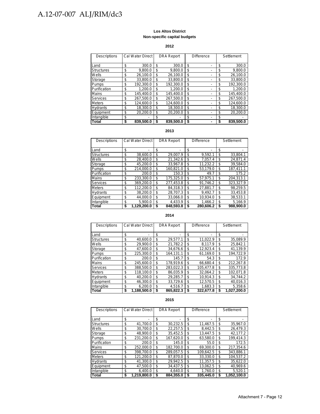#### **Los Altos District Non-specific capital budgets**

#### **2012**

| <b>Descriptions</b> | Cal Water Direct |    | <b>DRA Report</b> | <b>Difference</b> | Settlement |           |
|---------------------|------------------|----|-------------------|-------------------|------------|-----------|
|                     |                  |    |                   |                   |            |           |
| Land                | \$<br>300.0      | \$ | 300.0             | \$                | \$         | 300.0     |
| <b>Structures</b>   | \$<br>9.800.0    | \$ | 9.800.0           | \$                | \$         | 9.800.0   |
| Wells               | \$<br>26.100.0   | \$ | 26.100.0          | \$                | \$         | 26,100.0  |
| Storage             | \$<br>33.800.0   | \$ | 33.800.0          | \$                | \$         | 33.800.0  |
| <b>Pumps</b>        | \$<br>192.300.0  | \$ | 192.300.0         | \$                | \$         | 192.300.0 |
| Purification        | \$<br>1.200.0    | \$ | 1.200.0           | \$                | \$         | 1.200.0   |
| Mains               | \$<br>145.400.0  | \$ | 145.400.0         | \$                | \$         | 145.400.0 |
| <b>Services</b>     | \$<br>267.500.0  | \$ | 267.500.0         | \$                | S          | 267.500.0 |
| <b>Meters</b>       | \$<br>124.600.0  | \$ | 124.600.0         | \$                | \$         | 124.600.0 |
| <b>Hydrants</b>     | \$<br>18.300.0   | \$ | 18.300.0          | \$                | S          | 18.300.0  |
| Equipment           | \$<br>20.200.0   | \$ | 20.200.0          | \$                | \$         | 20.200.0  |
| Intangible          | \$               | \$ |                   | \$                | \$         |           |
| <b>Total</b>        | \$<br>839.500.0  | S  | 839.500.0         | \$                |            | 839,500.0 |

#### **2013**

| Descriptions      | Cal Water Direct  |    | <b>DRA Report</b> | <b>Difference</b> |           |     | Settlement |
|-------------------|-------------------|----|-------------------|-------------------|-----------|-----|------------|
| Land              | \$                | \$ |                   | \$                |           | \$  |            |
| <b>Structures</b> | \$<br>38.600.0    | \$ | 29.007.9          | \$                | 9.592.1   | \$  | 33.804.1   |
| Wells             | \$<br>28.400.0    | \$ | 21.342.6          | \$                | 7.057.4   | \$  | 24.871.4   |
| Storage           | \$<br>45,200.0    | \$ | 33.967.8          | \$                | 11.232.2  | \$  | 39.584.0   |
| <b>Pumps</b>      | \$<br>214.000.0   | \$ | 160.821.0         | \$                | 53.179.0  | \$  | 187.411.1  |
| Purification      | \$<br>200.0       | \$ | 150.3             | \$                | 49.7      | \$  | 175.2      |
| Mains             | \$<br>233.300.0   | \$ | 175.325.0         | \$                | 57.975.1  | \$  | 204.313.1  |
| <b>Services</b>   | \$<br>369.200.0   | \$ | 277.453.8         | \$                | 91.746.2  | \$. | 323.327.9  |
| <b>Meters</b>     | \$<br>112.200.0   | \$ | 84.318.3          | \$                | 27.881.7  | \$  | 98.259.5   |
| <b>Hydrants</b>   | \$<br>38.200.0    | \$ | 28.707.3          | \$                | 9.492.7   | \$  | 33.453.8   |
| Equipment         | \$<br>44.000.0    | \$ | 33.066.0          | \$                | 10.934.0  | \$  | 38.533.1   |
| Intangible        | \$<br>5.900.0     | \$ | 4.433.9           | \$                | 1.466.2   | \$  | 5,166.9    |
| <b>Total</b>      | \$<br>1.129.200.0 | S  | 848,593.8         | \$                | 280.606.2 | S   | 988.900.0  |

#### **2014**

| Descriptions      | Cal Water Direct  |    | <b>DRA Report</b> | <b>Difference</b> | Settlement |             |
|-------------------|-------------------|----|-------------------|-------------------|------------|-------------|
| Land              | \$                | \$ | -                 | \$                | \$         |             |
| <b>Structures</b> | \$<br>40.600.0    | \$ | 29.577.1          | \$<br>11.022.9    | \$         | 35,089.9    |
| Wells             | \$<br>29.900.0    | \$ | 21.782.2          | \$<br>8.117.9     | \$         | 25.842.1    |
| Storage           | \$<br>47.600.0    | \$ | 34.676.6          | \$<br>12,923.4    | \$         | 41,139.9    |
| Pumps             | \$<br>225.300.0   | \$ | 164.131.1         | \$<br>61.169.0    | \$         | 194.722.9   |
| Purification      | \$<br>200.0       | \$ | 145.7             | \$<br>54.3        | \$         | 172.9       |
| <b>Mains</b>      | \$<br>245.600.0   | \$ | 178.919.6         | \$<br>66.680.4    | \$         | 212.267.8   |
| <b>Services</b>   | \$<br>388.500.0   | \$ | 283.022.3         | \$<br>105.477.8   | \$         | 335.773.8   |
| <b>Meters</b>     | \$<br>118.100.0   | \$ | 86.035.9          | \$<br>32.064.2    | \$         | 102,071.8   |
| <b>Hydrants</b>   | \$<br>40.200.0    | \$ | 29.285.7          | \$<br>10.914.3    | \$         | 34.744.2    |
| Equipment         | \$<br>46.300.0    | \$ | 33.729.6          | \$<br>12.570.5    | \$         | 40,016.3    |
| Intangible        | \$<br>6.200.0     | \$ | 4.516.7           | \$<br>1.683.3     | \$         | 5.358.6     |
| Total             | \$<br>1,188,500.0 | S  | 865,822.3         | \$<br>322,677.8   | \$         | 1,027,200.0 |

| <b>Descriptions</b> | Cal Water Direct  | <b>DRA Report</b> | <b>Difference</b> |    | Settlement  |
|---------------------|-------------------|-------------------|-------------------|----|-------------|
|                     |                   |                   |                   |    |             |
| Land                | \$                | \$                | \$                | \$ |             |
| <b>Structures</b>   | \$<br>41.700.0    | \$<br>30.232.5    | \$<br>11.467.5    | \$ | 35.967.0    |
| Wells               | \$<br>30.700.0    | \$<br>22.257.5    | \$<br>8.442.5     | S  | 26.479.3    |
| Storage             | \$<br>48.900.0    | \$<br>35.452.5    | \$<br>13.447.5    | \$ | 42.177.2    |
| Pumps               | \$<br>231.200.0   | \$<br>167.620.0   | \$<br>63.580.0    | \$ | 199.414.3   |
| Purification        | \$<br>200.0       | \$<br>145.0       | \$<br>55.0        | \$ | 172.5       |
| Mains               | \$<br>252.000.0   | \$<br>182.700.0   | \$<br>69.300.0    | \$ | 217.354.6   |
| <b>Services</b>     | \$<br>398.700.0   | \$<br>289.057.5   | \$<br>109.642.5   | \$ | 343.886.1   |
| <b>Meters</b>       | \$<br>121.200.0   | \$<br>87.870.0    | \$<br>33.330.0    | \$ | 104.537.2   |
| <b>Hydrants</b>     | \$<br>41.300.0    | \$<br>29.942.5    | \$<br>11.357.5    | \$ | 35.622.0    |
| Equipment           | \$<br>47.500.0    | \$<br>34.437.5    | \$<br>13.062.5    | \$ | 40.969.6    |
| Intangible          | \$<br>6.400.0     | \$<br>4.640.0     | \$<br>1.760.0     | \$ | 5.520.1     |
| <b>Total</b>        | \$<br>1.219.800.0 | \$<br>884.355.0   | \$<br>335.445.0   | \$ | 1.052.100.0 |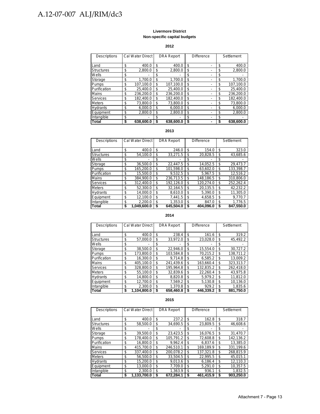#### **Livermore District Non-specific capital budgets**

#### **2012**

| Descriptions      | Cal Water Direct |    | <b>DRA Report</b> | <b>Difference</b> |    | Settlement |
|-------------------|------------------|----|-------------------|-------------------|----|------------|
|                   |                  |    |                   |                   |    |            |
| Land              | \$<br>400.0      | \$ | 400.0             | \$                | \$ | 400.0      |
| <b>Structures</b> | \$<br>2.800.0    | \$ | 2.800.0           | \$                | \$ | 2,800.0    |
| Wells             | \$               | \$ |                   | \$                | \$ |            |
| Storage           | \$<br>1.700.0    | \$ | 1,700.0           | \$                | \$ | 1.700.0    |
| Pumps             | \$<br>107.100.0  | \$ | 107.100.0         | \$                | \$ | 107.100.0  |
| Purification      | \$<br>25.400.0   | \$ | 25.400.0          | \$                | \$ | 25.400.0   |
| Mains             | \$<br>236.200.0  | \$ | 236.200.0         | \$                | \$ | 236.200.0  |
| Services          | \$<br>182.400.0  | \$ | 182.400.0         | \$                | \$ | 182.400.0  |
| <b>Meters</b>     | \$<br>73.800.0   | \$ | 73.800.0          | \$                | S  | 73.800.0   |
| Hydrants          | \$<br>6.000.0    | \$ | 6.000.0           | \$                | \$ | 6.000.0    |
| Equipment         | \$<br>2.800.0    | \$ | 2.800.0           | \$                | \$ | 2.800.0    |
| Intangible        | \$               | \$ |                   | \$                | \$ |            |
| Total             | \$<br>638.600.0  | S  | 638.600.0         | \$                |    | 638.600.0  |

#### **2013**

| Descriptions      | Cal Water Direct  |    | <b>DRA Report</b> | <b>Difference</b> |    | Settlement |
|-------------------|-------------------|----|-------------------|-------------------|----|------------|
|                   |                   |    |                   |                   |    |            |
| Land              | \$<br>400.0       | \$ | 246.0             | \$<br>154.0       | \$ | 323.0      |
| <b>Structures</b> | \$<br>54,100.0    | \$ | 33.271.5          | \$<br>20,828.5    | \$ | 43,685.6   |
| Wells             | \$                | \$ |                   | \$                | \$ |            |
| Storage           | \$<br>36.500.0    | \$ | 22.447.5          | \$<br>14.052.5    | \$ | 29.473.7   |
| Pumps             | \$<br>165.200.0   | \$ | 101.598.0         | \$<br>63.602.0    | \$ | 133.398.7  |
| Purification      | \$<br>15.500.0    | \$ | 9.532.5           | \$<br>5.967.5     | \$ | 12.516.2   |
| Mains             | \$<br>384.900.0   | \$ | 236.713.5         | \$<br>148.186.5   | \$ | 310.806.0  |
| <b>Services</b>   | \$<br>312.400.0   | \$ | 192.126.0         | \$<br>120.274.0   | \$ | 252.262.4  |
| <b>Meters</b>     | \$<br>52.300.0    | \$ | 32.164.5          | \$<br>20.135.5    | \$ | 42.232.2   |
| <b>Hydrants</b>   | \$<br>14.000.0    | \$ | 8.610.0           | \$<br>5.390.0     | \$ | 11.305.0   |
| Equipment         | \$<br>12.100.0    | \$ | 7.441.5           | \$<br>4.658.5     | \$ | 9.770.7    |
| Intangible        | \$<br>2.200.0     | \$ | 1.353.0           | \$<br>847.0       | \$ | 1.776.5    |
| Total             | \$<br>1.049.600.0 | S  | 645.504.0         | \$<br>404.096.0   | S  | 847.550.0  |

#### **2014**

| Descriptions    | Cal Water Direct  |    | <b>DRA Report</b> | <b>Difference</b> |    | Settlement |
|-----------------|-------------------|----|-------------------|-------------------|----|------------|
|                 |                   |    |                   |                   |    |            |
| Land            | \$<br>400.0       | \$ | 238.4             | \$<br>161.6       | \$ | 319.2      |
| Structures      | \$<br>57,000.0    | \$ | 33,972.0          | \$<br>23,028.0    | \$ | 45,492.2   |
| Wells           | \$                | \$ |                   | \$                | \$ |            |
| Storage         | \$<br>38.500.0    | \$ | 22.946.0          | \$<br>15.554.0    | \$ | 30.727.2   |
| Pumps           | \$<br>173.800.0   | \$ | 103.584.8         | \$<br>70.215.2    | \$ | 138,711.2  |
| Purification    | \$<br>16.300.0    | \$ | 9.714.8           | \$<br>6.585.2     | \$ | 13.009.2   |
| <b>Mains</b>    | \$<br>405.100.0   | \$ | 241.439.6         | \$<br>163.660.4   | \$ | 323.313.7  |
| Services        | \$<br>328.800.0   | \$ | 195.964.8         | \$<br>132.835.2   | \$ | 262.418.0  |
| <b>Meters</b>   | \$<br>55.100.0    | \$ | 32.839.6          | \$<br>22.260.4    | \$ | 43.975.8   |
| <b>Hydrants</b> | \$<br>14.800.0    | \$ | 8.820.8           | \$<br>5.979.2     | \$ | 11,812.0   |
| Equipment       | \$<br>12.700.0    | \$ | 7.569.2           | \$<br>5.130.8     | \$ | 10.136.0   |
| Intangible      | \$<br>2.300.0     | \$ | 1.370.8           | \$<br>929.2       | \$ | 1.835.6    |
| Total           | \$<br>1,104,800.0 | S  | 658.460.8         | \$<br>446.339.2   | S  | 881.750.0  |

| <b>Descriptions</b> | Cal Water Direct  |    | <b>DRA Report</b> | <b>Difference</b> |    | Settlement |
|---------------------|-------------------|----|-------------------|-------------------|----|------------|
|                     |                   |    |                   |                   |    |            |
| Land                | \$<br>400.0       | \$ | 237.2             | \$<br>162.8       | \$ | 318.7      |
| Structures          | \$<br>58.500.0    | \$ | 34.690.5          | \$<br>23.809.5    | \$ | 46.608.6   |
| Wells               | \$                | \$ |                   | \$                | S  |            |
| Storage             | \$<br>39.500.0    | \$ | 23.423.5          | \$<br>16.076.5    | \$ | 31,470.7   |
| Pumps               | \$<br>178.400.0   | \$ | 105.791.2         | \$<br>72.608.8    | \$ | 142.136.2  |
| Purification        | \$<br>16.800.0    | \$ | 9.962.4           | \$<br>6.837.6     | \$ | 13.385.0   |
| Mains               | \$<br>415.700.0   | \$ | 246.510.1         | \$<br>169.189.9   | \$ | 331.199.6  |
| <b>Services</b>     | \$<br>337.400.0   | \$ | 200,078.2         | \$<br>137.321.8   | \$ | 268.815.9  |
| <b>Meters</b>       | \$<br>56.500.0    | \$ | 33.504.5          | \$<br>22.995.5    | \$ | 45.015.1   |
| <b>Hydrants</b>     | \$<br>15.200.0    | \$ | 9.013.6           | \$<br>6.186.4     | \$ | 12.110.3   |
| Equipment           | \$<br>13.000.0    | \$ | 7.709.0           | \$<br>5.291.0     | \$ | 10,357.5   |
| Intangible          | \$<br>2.300.0     | \$ | 1.363.9           | \$<br>936.1       | \$ | 1.832.5    |
| Total               | \$<br>1.133.700.0 | S  | 672.284.1         | \$<br>461.415.9   | \$ | 903.250.0  |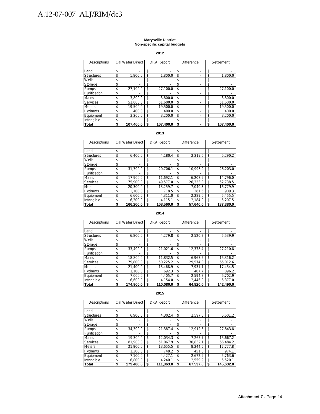#### **Marysville District Non-specific capital budgets**

**2012**

| <b>Descriptions</b> | <b>Cal Water Direct</b> |    | <b>DRA Report</b> | <b>Difference</b> |    | Settlement |
|---------------------|-------------------------|----|-------------------|-------------------|----|------------|
| Land                | \$                      | \$ | -                 | \$                | \$ |            |
| <b>Structures</b>   | \$<br>1.800.0           | \$ | 1.800.0           | \$                | \$ | 1,800.0    |
| Wells               | \$                      | \$ |                   | \$                | \$ |            |
| Storage             | \$                      | \$ | ٠                 | \$                | \$ |            |
| Pumps               | \$<br>27,100.0          | \$ | 27,100.0          | \$                | \$ | 27,100.0   |
| Purification        | \$                      | \$ |                   | \$                | \$ |            |
| Mains               | \$<br>3,800.0           | \$ | 3.800.0           | \$                | \$ | 3.800.0    |
| Services            | \$<br>51.600.0          | \$ | 51.600.0          | \$                | \$ | 51.600.0   |
| <b>Meters</b>       | \$<br>19.500.0          | \$ | 19.500.0          | \$                | \$ | 19.500.0   |
| <b>Hydrants</b>     | \$<br>400.0             | \$ | 400.0             | \$                | \$ | 400.0      |
| Equipment           | \$<br>3.200.0           | \$ | 3.200.0           | \$                | \$ | 3.200.0    |
| Intangible          | \$                      | S  |                   | \$                | \$ |            |
| Total               | \$<br>107,400.0         | S  | 107,400.0         | \$                | S  | 107,400.0  |

#### **2013**

| Descriptions      | <b>Cal Water Direct</b> | <b>DRA Report</b> | <b>Difference</b> | Settlement     |
|-------------------|-------------------------|-------------------|-------------------|----------------|
| Land              | \$                      | \$<br>-           | \$                | \$             |
| <b>Structures</b> | \$<br>6,400.0           | \$<br>4,180.4     | \$<br>2,219.6     | \$<br>5,290.2  |
| Wells             | \$                      | \$                | \$                | \$             |
| Storage           | \$                      | \$<br>-           | \$                | \$             |
| Pumps             | \$<br>31.700.0          | \$<br>20.706.1    | \$<br>10.993.9    | \$<br>26.203.0 |
| Purification      | \$                      | \$                | \$                | \$             |
| <b>Mains</b>      | \$<br>17,900.0          | \$<br>11.692.1    | \$<br>6.207.9     | \$<br>14.796.0 |
| Services          | \$<br>75.900.0          | \$<br>49.577.0    | \$<br>26.323.0    | \$<br>62.738.5 |
| <b>Meters</b>     | \$<br>20.300.0          | \$<br>13.259.7    | \$<br>7.040.3     | \$<br>16.779.9 |
| <b>Hydrants</b>   | \$<br>1.100.0           | \$<br>718.5       | \$<br>381.5       | \$<br>909.3    |
| Equipment         | \$<br>6.600.0           | \$<br>4.311.0     | \$<br>2,289.0     | \$<br>5,455.5  |
| Intangible        | \$<br>6.300.0           | \$<br>4.115.1     | \$<br>2,184.9     | \$<br>5,207.5  |
| <b>Total</b>      | \$<br>166.200.0         | 108.560.0         | \$<br>57,640.0    | 137.380.0      |

#### **2014**

| Descriptions      | Cal Water Direct |    | <b>DRA Report</b> | <b>Difference</b> | Settlement      |
|-------------------|------------------|----|-------------------|-------------------|-----------------|
| Land              | \$               | \$ |                   | \$                | \$              |
| <b>Structures</b> | \$<br>6,800.0    | \$ | 4,279.8           | \$<br>2.520.2     | \$<br>5,539.9   |
| Wells             | \$               | S  |                   | \$                | \$              |
| Storage           | \$               | S  |                   | \$                | \$              |
| Pumps             | \$<br>33,400.0   | \$ | 21,021.6          | \$<br>12,378.4    | \$<br>27,210.8  |
| Purification      | \$               | S  |                   | \$                | \$              |
| Mains             | \$<br>18.800.0   | \$ | 11.832.5          | \$<br>6.967.5     | \$<br>15,316.2  |
| Services          | \$<br>79.800.0   | \$ | 50.225.2          | \$<br>29.574.8    | \$<br>65,012.6  |
| <b>Meters</b>     | \$<br>21.400.0   | \$ | 13.468.9          | \$<br>7,931.1     | \$<br>17.434.5  |
| <b>Hydrants</b>   | \$<br>1.100.0    | \$ | 692.3             | \$<br>407.7       | \$<br>896.2     |
| Equipment         | \$<br>7.000.0    | \$ | 4.405.7           | \$<br>2.594.3     | \$<br>5.702.9   |
| Intangible        | \$<br>6.600.0    | \$ | 4.154.0           | \$<br>2.446.0     | \$<br>5,377.0   |
| Total             | \$<br>174.900.0  | \$ | 110.080.0         | \$<br>64.820.0    | \$<br>142.490.0 |

| Descriptions      | Cal Water Direct | <b>DRA Report</b> | <b>Difference</b> | Settlement      |
|-------------------|------------------|-------------------|-------------------|-----------------|
| Land              | \$               | \$                | \$                | \$              |
| <b>Structures</b> | \$<br>6.900.0    | \$<br>4.302.4     | \$<br>2,597.6     | \$<br>5,601.2   |
| Wells             | \$               | \$                | \$                | \$              |
| Storage           | \$               | \$                | \$                | \$              |
| Pumps             | \$<br>34.300.0   | \$<br>21.387.4    | \$<br>12.912.6    | \$<br>27,843.8  |
| Purification      | \$               | \$                | \$                | \$              |
| Mains             | \$<br>19.300.0   | \$<br>12.034.3    | \$<br>7.265.7     | \$<br>15.667.2  |
| Services          | \$<br>81.900.0   | \$<br>51.067.9    | \$<br>30.832.1    | \$<br>66.484.2  |
| <b>Meters</b>     | \$<br>21.900.0   | \$<br>13,655.5    | \$<br>8.244.5     | \$<br>17,777.8  |
| <b>Hydrants</b>   | \$<br>1.200.0    | \$<br>748.2       | \$<br>451.8       | \$<br>974.1     |
| Equipment         | \$<br>7.100.0    | \$<br>4.427.1     | \$<br>2.672.9     | \$<br>5,763.6   |
| Intangible        | \$<br>6.800.0    | \$<br>4.240.1     | \$<br>2.559.9     | \$<br>5.520.1   |
| Total             | \$<br>179.400.0  | \$<br>111.863.0   | \$<br>67.537.0    | \$<br>145.632.0 |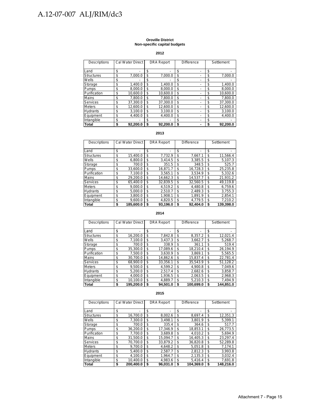#### **Oroville District Non-specific capital budgets**

#### **2012**

| Descriptions      | Cal Water Direct | <b>DRA Report</b> | <b>Difference</b> | Settlement     |
|-------------------|------------------|-------------------|-------------------|----------------|
| Land              | \$               | \$                | \$                | \$             |
| <b>Structures</b> | \$<br>7.000.0    | \$<br>7.000.0     | \$                | \$<br>7.000.0  |
| Wells             | \$               | \$                | \$                | \$             |
| Storage           | \$<br>1.400.0    | \$<br>1.400.0     | \$                | \$<br>1,400.0  |
| Pumps             | \$<br>8.000.0    | \$<br>8.000.0     | \$<br>-           | \$<br>8.000.0  |
| Purification      | \$<br>10.600.0   | \$<br>10.600.0    | \$                | \$<br>10,600.0 |
| Mains             | \$<br>7.800.0    | \$<br>7.800.0     | \$                | \$<br>7.800.0  |
| Services          | \$<br>37.300.0   | \$<br>37.300.0    | \$                | \$<br>37,300.0 |
| Meters            | \$<br>12.600.0   | \$<br>12.600.0    | \$                | \$<br>12,600.0 |
| <b>Hydrants</b>   | \$<br>3.100.0    | \$<br>3.100.0     | \$                | \$<br>3,100.0  |
| Equipment         | \$<br>4.400.0    | \$<br>4.400.0     | \$                | \$<br>4.400.0  |
| Intangible        | \$               | \$                | \$                | \$             |
| Total             | \$<br>92.200.0   | \$<br>92.200.0    | \$                | \$<br>92.200.0 |

#### **2013**

| <b>Descriptions</b> | Cal Water Direct | <b>DRA Report</b> | <b>Difference</b> |          | Settlement |           |
|---------------------|------------------|-------------------|-------------------|----------|------------|-----------|
| Land                | \$<br>-          | \$<br>-           | \$                |          | \$         |           |
| <b>Structures</b>   | \$<br>15,400.0   | \$<br>7.732.9     | \$                | 7.667.1  | \$         | 11,566.4  |
| Wells               | \$<br>6.800.0    | \$<br>3.414.5     | \$                | 3.385.5  | \$         | 5,107.3   |
| Storage             | \$<br>700.0      | \$<br>351.5       | \$                | 348.5    | \$         | 525.7     |
| Pumps               | \$<br>33.600.0   | \$<br>16.871.7    | \$                | 16.728.3 | \$         | 25,235.8  |
| Purification        | \$<br>7.100.0    | \$<br>3.565.1     | \$                | 3.534.9  | \$         | 5.332.6   |
| <b>Mains</b>        | \$<br>29.200.0   | \$<br>14.662.3    | \$                | 14.537.7 | \$         | 21.931.2  |
| <b>Services</b>     | \$<br>65.400.0   | \$<br>32,839.5    | \$                | 32,560.5 | \$         | 49,119.8  |
| <b>Meters</b>       | \$<br>9.000.0    | \$<br>4.519.2     | \$                | 4.480.8  | \$         | 6.759.6   |
| <b>Hydrants</b>     | \$<br>5.000.0    | \$<br>2.510.7     | \$                | 2.489.3  | \$         | 3,755.3   |
| Equipment           | \$<br>3.800.0    | \$<br>1.908.1     | \$                | 1.891.9  | \$         | 2.854.1   |
| Intangible          | \$<br>9.600.0    | \$<br>4.820.5     | \$                | 4.779.5  | \$         | 7.210.2   |
| <b>Total</b>        | \$<br>185.600.0  | \$<br>93.196.0    | \$                | 92.404.0 | S          | 139.398.0 |

#### **2014**

| Descriptions      | <b>Cal Water Direct</b> | <b>DRA Report</b> | <b>Difference</b> |           | Settlement |           |
|-------------------|-------------------------|-------------------|-------------------|-----------|------------|-----------|
| Land              | \$                      | \$                | \$                |           | \$         |           |
| <b>Structures</b> | \$<br>16.200.0          | \$<br>7.842.8     | \$                | 8,357.2   | \$         | 12,021.4  |
| Wells             | \$<br>7.100.0           | \$<br>3.437.3     | \$                | 3.662.7   | \$         | 5.268.7   |
| Storage           | \$<br>700.0             | \$<br>338.9       | \$                | 361.1     | \$         | 519.4     |
| Pumps             | \$<br>35.300.0          | \$<br>17.089.6    | \$                | 18.210.4  | \$         | 26.194.9  |
| Purification      | \$<br>7.500.0           | \$<br>3.630.9     | \$                | 3.869.1   | \$         | 5,565.5   |
| Mains             | \$<br>30.700.0          | \$<br>14.862.6    | \$                | 15.837.4  | \$         | 22,781.4  |
| <b>Services</b>   | \$<br>68,900.0          | \$<br>33,356.1    | \$                | 35.543.9  | \$         | 51,128.2  |
| <b>Meters</b>     | \$<br>9.500.0           | \$<br>4.599.2     | \$                | 4.900.8   | \$         | 7,049.6   |
| <b>Hydrants</b>   | \$<br>5,200.0           | \$<br>2.517.4     | \$                | 2.682.6   | \$         | 3,858.7   |
| Equipment         | \$<br>4.000.0           | \$<br>1.936.5     | \$                | 2.063.5   | \$         | 2.968.3   |
| Intangible        | \$<br>10.100.0          | \$<br>4.889.7     | \$                | 5.210.3   | \$         | 7,494.9   |
| <b>Total</b>      | \$<br>195,200.0         | \$<br>94.501.0    | \$                | 100.699.0 | \$         | 144.851.0 |

| Descriptions      | <b>Cal Water Direct</b> | <b>DRA Report</b> | <b>Difference</b> |           | Settlement      |
|-------------------|-------------------------|-------------------|-------------------|-----------|-----------------|
| Land              | \$                      | \$<br>٠           | \$                |           | \$              |
| <b>Structures</b> | \$<br>16.700.0          | \$<br>8.002.6     | \$                | 8.697.4   | \$<br>12,351.3  |
| Wells             | \$<br>7.300.0           | \$<br>3.498.1     | \$                | 3.801.9   | \$<br>5,399.1   |
| Storage           | \$<br>700.0             | \$<br>335.4       | \$                | 364.6     | \$<br>517.7     |
| Pumps             | \$<br>36,200.0          | \$<br>17.346.9    | \$                | 18,853.1  | \$<br>26,773.5  |
| Purification      | \$<br>7.700.0           | \$<br>3.689.8     | \$                | 4.010.2   | \$<br>5.694.9   |
| Mains             | \$<br>31.500.0          | \$<br>15.094.7    | \$                | 16.405.3  | \$<br>23.297.4  |
| <b>Services</b>   | \$<br>70.700.0          | \$<br>33.879.2    | \$                | 36.820.8  | \$<br>52.289.8  |
| <b>Meters</b>     | \$<br>9.700.0           | \$<br>4,648.2     | \$                | 5.051.8   | \$<br>7.174.1   |
| <b>Hydrants</b>   | \$<br>5.400.0           | \$<br>2.587.7     | \$                | 2.812.3   | \$<br>3.993.8   |
| Equipment         | \$<br>4.100.0           | \$<br>1.964.7     | \$                | 2,135.3   | \$<br>3,032.4   |
| Intangible        | \$<br>10.400.0          | \$<br>4.983.6     | \$                | 5.416.4   | \$<br>7,691.8   |
| Total             | \$<br>200.400.0         | \$<br>96.031.0    | \$                | 104.369.0 | \$<br>148.216.0 |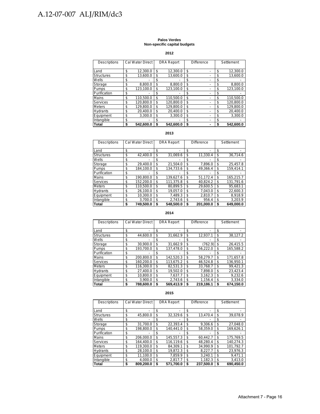#### **Palos Verdes Non-specific capital budgets**

**2012**

| <b>Descriptions</b> | <b>Cal Water Direct</b> |    | <b>DRA Report</b> | <b>Difference</b> |    | Settlement |
|---------------------|-------------------------|----|-------------------|-------------------|----|------------|
|                     |                         |    |                   |                   |    |            |
| Land                | \$<br>12.300.0          | \$ | 12.300.0          | \$                | \$ | 12,300.0   |
| <b>Structures</b>   | \$<br>13.600.0          | \$ | 13.600.0          | \$                | \$ | 13,600.0   |
| Wells               | \$                      | \$ |                   | \$                | \$ |            |
| Storage             | \$<br>8.800.0           | \$ | 8.800.0           | \$                | \$ | 8.800.0    |
| <b>Pumps</b>        | \$<br>123.100.0         | \$ | 123.100.0         | \$                | \$ | 123.100.0  |
| Purification        | \$                      | \$ |                   | \$                | \$ |            |
| <b>Mains</b>        | \$<br>110.500.0         | \$ | 110.500.0         | \$                | \$ | 110.500.0  |
| Services            | \$<br>120.800.0         | \$ | 120.800.0         | \$                | \$ | 120.800.0  |
| <b>Meters</b>       | \$<br>129.800.0         | \$ | 129.800.0         | \$                | \$ | 129.800.0  |
| <b>Hydrants</b>     | \$<br>20.400.0          | \$ | 20.400.0          | \$                | \$ | 20,400.0   |
| Equipment           | \$<br>3.300.0           | \$ | 3.300.0           | \$                | \$ | 3.300.0    |
| Intangible          | \$                      | \$ |                   | \$                | \$ |            |
| Total               | \$<br>542.600.0         | S  | 542.600.0         | \$                | S  | 542.600.0  |

#### **2013**

| Descriptions      | <b>Cal Water Direct</b> | <b>DRA Report</b> | <b>Difference</b> |    | Settlement |
|-------------------|-------------------------|-------------------|-------------------|----|------------|
| Land              | \$                      | \$<br>۰           | \$                | \$ |            |
| <b>Structures</b> | \$<br>42,400.0          | \$<br>31.069.6    | \$<br>11,330.4    | \$ | 36,714.6   |
| Wells             | \$                      | \$                | \$                | \$ |            |
| Storage           | \$<br>29.400.0          | \$<br>21.504.0    | \$<br>7.896.0     | \$ | 25,457.8   |
| Pumps             | \$<br>184.100.0         | \$<br>134.733.6   | \$<br>49.366.4    | \$ | 159.414.1  |
| Purification      | \$                      | \$                | \$                | S. |            |
| Mains             | \$<br>190.800.0         | \$<br>139.627.6   | \$<br>51.172.4    | \$ | 165.215.7  |
| <b>Services</b>   | \$<br>152.200.0         | \$<br>111.375.8   | \$<br>40.824.2    | \$ | 131.791.6  |
| <b>Meters</b>     | \$<br>110.500.0         | \$<br>80,899.5    | \$<br>29.600.5    | \$ | 95.683.1   |
| <b>Hydrants</b>   | \$<br>26.100.0          | \$<br>19.057.0    | \$<br>7.043.0     | \$ | 22.600.3   |
| Equipment         | \$<br>10.300.0          | \$<br>7.489.3     | \$<br>2.810.7     | \$ | 8.918.9    |
| Intangible        | \$<br>3.700.0           | \$<br>2,743.6     | \$<br>956.4       | \$ | 3.203.9    |
| Total             | \$<br>749.500.0         | \$<br>548.500.0   | \$<br>201.000.0   |    | 649.000.0  |

#### **2014**

| Descriptions      | <b>Cal Water Direct</b> | <b>DRA Report</b> | <b>Difference</b> |    | Settlement |
|-------------------|-------------------------|-------------------|-------------------|----|------------|
| Land              | \$                      | \$                | \$                | \$ |            |
| <b>Structures</b> | \$<br>44.600.0          | \$<br>31,662.9    | \$<br>12,937.1    | \$ | 38,127.2   |
| Wells             | \$                      | \$                | \$                | \$ |            |
| Storage           | \$<br>30.900.0          | \$<br>31.662.9    | \$<br>(762.9)     | \$ | 26,415.5   |
| Pumps             | \$<br>193,700.0         | \$<br>137.478.0   | \$<br>56.222.0    | \$ | 165.588.2  |
| Purification      | \$                      | \$                | \$                | S  |            |
| Mains             | \$<br>200.800.0         | \$<br>142.520.3   | \$<br>58.279.7    | \$ | 171,657.8  |
| <b>Services</b>   | \$<br>160.200.0         | \$<br>113.675.2   | \$<br>46.524.8    | \$ | 136.950.1  |
| <b>Meters</b>     | \$<br>116.300.0         | \$<br>82.531.3    | \$<br>33.768.7    | \$ | 99.421.3   |
| Hydrants          | \$<br>27,400.0          | \$<br>19,502.0    | \$<br>7,898.0     | \$ | 23,423.4   |
| Equipment         | \$<br>10.800.0          | \$<br>7.637.7     | \$<br>3.162.3     | \$ | 9.232.6    |
| Intangible        | \$<br>3.900.0           | \$<br>2.743.6     | \$<br>1.156.4     | \$ | 3.334.0    |
| Total             | \$<br>788.600.0         | \$<br>569.413.9   | \$<br>219.186.1   | \$ | 674.150.0  |

| Descriptions      | <b>Cal Water Direct</b> |    | <b>DRA Report</b> |    | Difference | Settlement      |  |  |
|-------------------|-------------------------|----|-------------------|----|------------|-----------------|--|--|
| Land              | \$<br>۰                 | \$ |                   | \$ |            | \$              |  |  |
| <b>Structures</b> | \$<br>45.800.0          | \$ | 32.329.6          | \$ | 13.470.4   | \$<br>39.078.9  |  |  |
| Wells             | \$                      | \$ |                   | \$ |            | \$              |  |  |
| Storage           | \$<br>31.700.0          | \$ | 22.393.4          | \$ | 9.306.6    | \$<br>27.048.0  |  |  |
| Pumps             | \$<br>198,800.0         | \$ | 140.441.0         | \$ | 58,359.0   | \$<br>169,626.1 |  |  |
| Purification      | \$                      | \$ |                   | \$ |            | \$              |  |  |
| Mains             | \$<br>206.000.0         | \$ | 145.557.3         | \$ | 60.442.7   | \$<br>175,769.5 |  |  |
| <b>Services</b>   | \$<br>164.400.0         | \$ | 116.119.6         | \$ | 48.280.4   | \$<br>140.274.3 |  |  |
| <b>Meters</b>     | \$<br>119.300.0         | \$ | 84.309.1          | \$ | 34.990.9   | \$<br>101.792.7 |  |  |
| <b>Hydrants</b>   | \$<br>28.100.0          | \$ | 19.872.3          | \$ | 8.227.7    | \$<br>23,976.3  |  |  |
| Equipment         | \$<br>11.100.0          | \$ | 7.859.9           | \$ | 3.240.1    | \$<br>9.471.1   |  |  |
| Intangible        | \$<br>4.000.0           | \$ | 2.817.7           | \$ | 1.182.3    | \$<br>3.413.0   |  |  |
| <b>Total</b>      | \$<br>809.200.0         | \$ | 571.700.0         | \$ | 237.500.0  | \$<br>690.450.0 |  |  |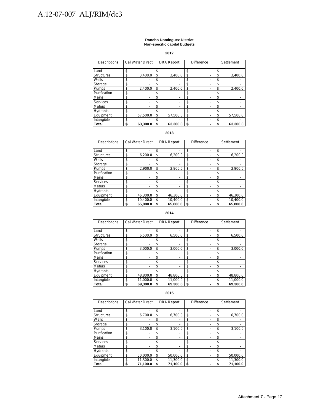#### **Rancho Dominguez District Non-specific capital budgets**

**2012**

| Descriptions      | <b>Cal Water Direct</b> |    | <b>DRA Report</b> | <b>Difference</b> |   | Settlement     |
|-------------------|-------------------------|----|-------------------|-------------------|---|----------------|
| Land              | \$                      | S. |                   | \$                |   | \$             |
| <b>Structures</b> | \$<br>3,400.0           | \$ | 3,400.0           | \$                |   | \$<br>3,400.0  |
| Wells             | \$                      | S  |                   | \$                |   | \$             |
| Storage           | \$                      | S  |                   | \$                |   | \$             |
| Pumps             | \$<br>2.400.0           | \$ | 2.400.0           | \$                |   | \$<br>2.400.0  |
| Purification      | \$                      | \$ |                   | \$                |   | \$             |
| Mains             | \$                      | \$ | -                 | \$                |   | \$             |
| Services          | \$                      | \$ |                   | \$                |   | \$             |
| <b>Meters</b>     | \$                      | \$ | ٠                 | \$                | - | \$             |
| <b>Hydrants</b>   | \$                      | \$ |                   | \$                |   | \$             |
| Equipment         | \$<br>57,500.0          | \$ | 57.500.0          | \$                |   | \$<br>57.500.0 |
| Intangible        | \$                      | \$ |                   | \$                |   | \$             |
| <b>Total</b>      | \$<br>63,300.0          | S  | 63.300.0          | \$                | - | 63,300.0       |

#### **2013**

| <b>Descriptions</b> | <b>Cal Water Direct</b> | <b>DRA Report</b> | <b>Difference</b> | Settlement     |
|---------------------|-------------------------|-------------------|-------------------|----------------|
| Land                | \$                      | \$<br>-           | \$                | \$             |
| <b>Structures</b>   | \$<br>6,200.0           | \$<br>6,200.0     | \$                | \$<br>6,200.0  |
| Wells               | \$                      | \$<br>٠           | \$                | \$             |
| Storage             | \$                      | \$                | \$                | \$             |
| Pumps               | \$<br>2.900.0           | \$<br>2.900.0     | \$                | \$<br>2,900.0  |
| Purification        | \$                      | \$                | \$                | \$             |
| Mains               | \$                      | \$<br>-           | \$                | \$             |
| <b>Services</b>     | \$                      | \$                | \$                | \$             |
| <b>Meters</b>       | \$                      | \$<br>-           | \$                | \$             |
| <b>Hydrants</b>     | \$                      | \$                | \$                | \$             |
| Equipment           | \$<br>46,300.0          | \$<br>46,300.0    | \$                | \$<br>46,300.0 |
| Intangible          | \$<br>10,400.0          | \$<br>10,400.0    | \$                | \$<br>10,400.0 |
| <b>Total</b>        | \$<br>65.800.0          | \$<br>65.800.0    | \$                | 65.800.0       |

#### **2014**

| <b>Descriptions</b> | <b>Cal Water Direct</b> |    | <b>DRA Report</b> | <b>Difference</b> |   | Settlement |          |
|---------------------|-------------------------|----|-------------------|-------------------|---|------------|----------|
|                     |                         |    |                   |                   |   |            |          |
| Land                | \$                      | \$ |                   | \$                |   | \$         |          |
| <b>Structures</b>   | \$<br>6,500.0           | \$ | 6,500.0           | \$                |   | \$         | 6,500.0  |
| Wells               | \$                      | S  |                   | \$                |   | \$         |          |
| Storage             | \$                      | \$ |                   | \$                |   | \$         |          |
| Pumps               | \$<br>3.000.0           | \$ | 3.000.0           | \$                |   | \$         | 3.000.0  |
| Purification        | \$                      | \$ |                   | \$                |   | S          |          |
| Mains               | \$                      | \$ |                   | \$                | - | \$         |          |
| <b>Services</b>     | \$                      | \$ |                   | \$                | - | \$         |          |
| <b>Meters</b>       | \$<br>-                 | \$ |                   | \$                |   | \$         |          |
| <b>Hydrants</b>     | \$                      | \$ |                   | \$                |   | \$         |          |
| Equipment           | \$<br>48,800.0          | \$ | 48,800.0          | \$                |   | \$         | 48,800.0 |
| Intangible          | \$<br>11,000.0          | \$ | 11.000.0          | \$                | ۰ | \$         | 11,000.0 |
| Total               | \$<br>69.300.0          | S  | 69,300.0          | \$                |   |            | 69.300.0 |

| Descriptions      | <b>Cal Water Direct</b> | <b>DRA Report</b> | <b>Difference</b>              | Settlement |          |
|-------------------|-------------------------|-------------------|--------------------------------|------------|----------|
|                   |                         |                   |                                |            |          |
| Land              | \$                      | \$                | \$<br>-                        | \$         |          |
| <b>Structures</b> | \$<br>6,700.0           | \$<br>6,700.0     | \$<br>-                        | \$         | 6,700.0  |
| Wells             | \$                      | \$                | \$<br>-                        | \$         |          |
| Storage           | \$                      | \$                | \$<br>-                        | \$         |          |
| Pumps             | \$<br>3.100.0           | \$<br>3,100.0     | \$<br>$\overline{\phantom{0}}$ | \$         | 3,100.0  |
| Purification      | \$                      | \$                | \$                             | \$         |          |
| Mains             | \$                      | \$                | \$<br>-                        | \$         |          |
| <b>Services</b>   | \$                      | \$                | \$<br>-                        | \$         |          |
| <b>Meters</b>     | \$                      | \$                | \$<br>-                        | \$         |          |
| <b>Hydrants</b>   | \$                      | \$                | \$                             | \$         |          |
| Equipment         | \$<br>50,000.0          | \$<br>50,000.0    | \$                             | \$         | 50,000.0 |
| Intangible        | \$<br>11.300.0          | \$<br>11,300.0    | \$<br>-                        | \$         | 11,300.0 |
| Total             | \$<br>71,100.0          | \$<br>71.100.0    | \$                             | \$         | 71.100.0 |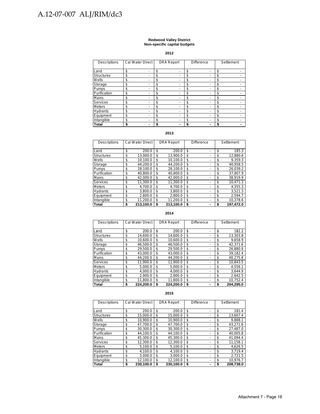#### **Redwood Valley District Non-specific capital budgets**

**2012**

| Descriptions      | Cal Water Direct |    | <b>DRA Report</b> | <b>Difference</b> |    | Settlement |
|-------------------|------------------|----|-------------------|-------------------|----|------------|
|                   |                  |    |                   |                   |    |            |
| Land              | \$               | \$ |                   | \$                | \$ |            |
| <b>Structures</b> | \$               | \$ |                   | \$                | \$ |            |
| Wells             | \$               | \$ |                   | \$                | \$ |            |
| Storage           | \$               | \$ |                   | \$                | \$ |            |
| Pumps             | \$               | \$ |                   | \$                | \$ |            |
| Purification      | \$               | \$ |                   | \$                | \$ |            |
| Mains             | \$               | \$ |                   | \$                | \$ |            |
| <b>Services</b>   | \$               | \$ |                   | \$                | \$ |            |
| <b>Meters</b>     | \$               | \$ |                   | \$                | \$ |            |
| Hydrants          | \$               | \$ |                   | \$                | \$ |            |
| Equipment         | \$               | \$ |                   | \$                | \$ |            |
| Intangible        | \$               | \$ |                   | \$                | \$ |            |
| Total             | \$               | S  |                   |                   | S  |            |

#### **2013**

| Descriptions      | <b>Cal Water Direct</b> | <b>DRA Report</b> | <b>Difference</b> | Settlement     |
|-------------------|-------------------------|-------------------|-------------------|----------------|
| Land              | \$<br>200.0             | \$<br>200.0       | \$                | \$<br>185.3    |
| <b>Structures</b> | \$<br>13.900.0          | \$<br>13.900.0    | \$                | \$<br>12.880.6 |
| Wells             | \$<br>10.100.0          | \$<br>10.100.0    | \$                | \$<br>9.359.3  |
| Storage           | \$<br>44.200.0          | \$<br>44.200.0    | \$                | \$<br>40.958.5 |
| Pumps             | \$<br>28.100.0          | \$<br>28.100.0    | \$                | \$<br>26.039.2 |
| Purification      | \$<br>40.800.0          | 40.800.0<br>\$    | \$                | \$<br>37.807.9 |
| Mains             | \$<br>42.000.0          | 42.000.0<br>\$    | \$                | \$<br>38.919.9 |
| <b>Services</b>   | \$<br>11.300.0          | \$<br>11.300.0    | \$                | \$<br>10.471.3 |
| <b>Meters</b>     | \$<br>4.700.0           | \$<br>4.700.0     | \$                | \$<br>4.355.3  |
| <b>Hydrants</b>   | \$<br>3.800.0           | \$<br>3.800.0     | \$                | \$<br>3.521.3  |
| Equipment         | \$<br>2.800.0           | \$<br>2.800.0     | \$                | \$<br>2.594.7  |
| Intangible        | \$<br>11.200.0          | \$<br>11,200.0    | \$                | 10.378.6<br>\$ |
| Total             | 213.100.0<br>\$         | 213.100.0<br>S    | \$                | 197.472.0<br>S |

**2014**

| Descriptions      | Cal Water Direct | <b>DRA Report</b> | Difference |    | Settlement |
|-------------------|------------------|-------------------|------------|----|------------|
|                   |                  |                   |            |    |            |
| Land              | \$<br>200.0      | \$<br>200.0       | \$<br>-    | \$ | 182.2      |
| <b>Structures</b> | \$<br>14.600.0   | \$<br>14.600.0    | \$<br>-    | \$ | 13.303.8   |
| Wells             | \$<br>10.600.0   | \$<br>10.600.0    | \$<br>-    | \$ | 9.658.9    |
| Storage           | \$<br>46.500.0   | \$<br>46.500.0    | \$<br>-    | \$ | 42.371.6   |
| Pumps             | \$<br>29.500.0   | \$<br>29.500.0    | \$         | \$ | 26.880.9   |
| Purification      | \$<br>43.000.0   | \$<br>43.000.0    | \$         | \$ | 39.182.4   |
| Mains             | \$<br>44.200.0   | \$<br>44.200.0    | \$         | \$ | 40.275.8   |
| <b>Services</b>   | \$<br>11.900.0   | \$<br>11.900.0    | \$<br>-    | \$ | 10.843.5   |
| <b>Meters</b>     | \$<br>5.000.0    | \$<br>5.000.0     | \$         | \$ | 4,556.1    |
| <b>Hydrants</b>   | \$<br>4.000.0    | \$<br>4.000.0     | \$         | \$ | 3.644.9    |
| Equipment         | \$<br>2.900.0    | \$<br>2.900.0     | \$         | \$ | 2.642.5    |
| Intangible        | \$<br>11.800.0   | \$<br>11,800.0    | \$         | \$ | 10.752.4   |
| Total             | \$<br>224.200.0  | \$<br>224.200.0   | \$         | S  | 204.295.0  |

| Descriptions      | Cal Water Direct |     | <b>DRA Report</b> | <b>Difference</b> | Settlement      |
|-------------------|------------------|-----|-------------------|-------------------|-----------------|
| Land              | \$<br>200.0      | \$  | 200.0             | \$<br>۰           | \$<br>181.4     |
| <b>Structures</b> | \$<br>15.000.0   | \$  | 15.000.0          | \$<br>۰           | \$<br>13.607.4  |
| Wells             | \$<br>10.900.0   | \$  | 10,900.0          | \$<br>٠           | \$<br>9.888.1   |
| Storage           | \$<br>47.700.0   | \$  | 47,700.0          | \$<br>-           | \$<br>43.271.6  |
| Pumps             | \$<br>30.300.0   | \$  | 30.300.0          | \$<br>۰           | \$<br>27.487.0  |
| Purification      | \$<br>44.100.0   | \$  | 44,100.0          | \$<br>٠           | \$<br>40.005.8  |
| Mains             | \$<br>45,300.0   | \$  | 45.300.0          | \$                | \$<br>41.094.4  |
| <b>Services</b>   | \$<br>12.300.0   | \$  | 12.300.0          | \$<br>۰           | \$<br>11.158.1  |
| <b>Meters</b>     | \$<br>5.100.0    | \$  | 5,100.0           | \$<br>-           | \$<br>4,626.5   |
| <b>Hydrants</b>   | \$<br>4.100.0    | \$  | 4.100.0           | \$                | \$<br>3.719.4   |
| Equipment         | \$<br>3.000.0    | \$. | 3.000.0           | \$<br>-           | \$<br>2.721.5   |
| Intangible        | \$<br>12,100.0   | \$  | 12,100.0          | \$<br>٠           | \$<br>10,976.7  |
| <b>Total</b>      | \$<br>230.100.0  | \$  | 230.100.0         | \$                | \$<br>208.738.0 |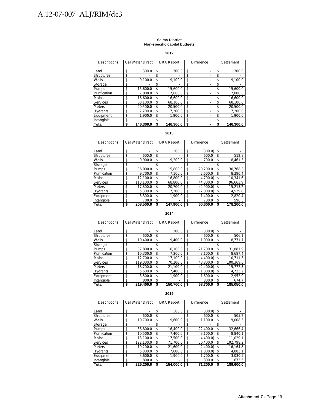#### **Selma District Non-specific capital budgets**

**2012**

| <b>Descriptions</b> | <b>Cal Water Direct</b> |    | <b>DRA Report</b> | <b>Difference</b> |    | Settlement |
|---------------------|-------------------------|----|-------------------|-------------------|----|------------|
|                     |                         |    |                   |                   |    |            |
| Land                | \$<br>300.0             | \$ | 300.0             | \$                | \$ | 300.0      |
| <b>Structures</b>   | \$                      | \$ |                   | \$                | \$ |            |
| Wells               | \$<br>9.100.0           | \$ | 9.100.0           | \$                | \$ | 9.100.0    |
| Storage             | \$                      | \$ |                   | \$                | \$ |            |
| Pumps               | \$<br>15,600.0          | \$ | 15.600.0          | \$<br>-           | \$ | 15.600.0   |
| Purification        | \$<br>7.000.0           | \$ | 7.000.0           | \$                | \$ | 7.000.0    |
| <b>Mains</b>        | \$<br>16.600.0          | \$ | 16.600.0          | \$                | \$ | 16.600.0   |
| <b>Services</b>     | \$<br>68.100.0          | \$ | 68.100.0          | \$                | \$ | 68.100.0   |
| <b>Meters</b>       | \$<br>20.500.0          | \$ | 20.500.0          | \$                | \$ | 20.500.0   |
| <b>Hydrants</b>     | \$<br>7.200.0           | \$ | 7.200.0           | \$                | \$ | 7.200.0    |
| Equipment           | \$<br>1.900.0           | \$ | 1.900.0           | \$                | \$ | 1.900.0    |
| Intangible          | \$                      | \$ |                   | \$                | \$ |            |
| <b>Total</b>        | \$<br>146.300.0         | S  | 146.300.0         | \$                | S  | 146.300.0  |

#### **2013**

| Descriptions      | <b>Cal Water Direct</b> | <b>DRA Report</b> | Difference |           | Settlement |           |
|-------------------|-------------------------|-------------------|------------|-----------|------------|-----------|
|                   |                         |                   |            |           |            |           |
| Land              | \$                      | \$<br>300.0       | \$         | (300.0)   | \$         |           |
| <b>Structures</b> | \$<br>600.0             | \$<br>-           | \$         | 600.0     | \$         | 512.8     |
| Wells             | \$<br>9.900.0           | \$<br>9.200.0     | \$         | 700.0     | \$         | 8,461.3   |
| Storage           | \$                      | \$                | \$         |           | \$         |           |
| <b>Pumps</b>      | \$<br>36.000.0          | \$<br>15,800.0    | \$         | 20.200.0  | \$         | 30,768.3  |
| Purification      | \$<br>9.700.0           | \$<br>7.100.0     | \$         | 2.600.0   | \$         | 8.290.4   |
| Mains             | \$<br>12.100.0          | \$<br>16.800.0    | \$         | (4.700.0) | \$         | 10.341.6  |
| <b>Services</b>   | \$<br>113.100.0         | \$<br>68.800.0    | \$         | 44.300.0  | \$         | 96.663.9  |
| <b>Meters</b>     | \$<br>17.800.0          | \$<br>20.700.0    | \$         | (2.900.0) | \$         | 15.213.2  |
| <b>Hydrants</b>   | \$<br>5.300.0           | \$<br>7.300.0     | \$         | (2.000.0) | \$         | 4.529.8   |
| Equipment         | \$<br>3.300.0           | \$<br>1.900.0     | \$         | 1.400.0   | \$         | 2.820.4   |
| Intangible        | \$<br>700.0             | \$                | \$         | 700.0     | \$         | 598.3     |
| Total             | \$<br>208.500.0         | \$<br>147.900.0   | \$         | 60.600.0  | S          | 178.200.0 |

#### **2014**

| <b>Descriptions</b> | <b>Cal Water Direct</b> | <b>DRA Report</b> | <b>Difference</b> |           |    | Settlement |
|---------------------|-------------------------|-------------------|-------------------|-----------|----|------------|
|                     |                         |                   |                   |           |    |            |
| Land                | \$                      | \$<br>300.0       | S                 | (300.0)   | \$ |            |
| <b>Structures</b>   | \$<br>600.0             | \$                | \$                | 600.0     | \$ | 506.1      |
| Wells               | \$<br>10.400.0          | \$<br>9.400.0     | \$                | 1.000.0   | \$ | 8,771.7    |
| Storage             | \$                      | \$                | \$                |           | S  |            |
| Pumps               | \$<br>37.800.0          | \$<br>16,100.0    | \$                | 21,700.0  | \$ | 31,881.9   |
| Purification        | \$<br>10.300.0          | \$<br>7.200.0     | \$                | 3.100.0   | \$ | 8.687.4    |
| Mains               | \$<br>12.700.0          | \$<br>17.100.0    | \$                | (4.400.0) | \$ | 10.711.6   |
| Services            | \$<br>119.000.0         | \$<br>70.200.0    | \$                | 48,800.0  | \$ | 100.369.0  |
| <b>Meters</b>       | \$<br>18.700.0          | \$<br>21.100.0    | \$                | (2.400.0) | \$ | 15.772.3   |
| <b>Hydrants</b>     | \$<br>5.600.0           | \$<br>7.400.0     | \$                | (1,800.0) | \$ | 4,723.2    |
| Equipment           | \$<br>3.500.0           | \$<br>1.900.0     | \$                | 1.600.0   | \$ | 2.952.0    |
| Intangible          | \$<br>800.0             | \$                | \$                | 800.0     | \$ | 674.7      |
| Total               | \$<br>219.400.0         | \$<br>150.700.0   | \$                | 68.700.0  | \$ | 185.050.0  |

| <b>Descriptions</b> | <b>Cal Water Direct</b> | <b>DRA Report</b> | Difference      |    | Settlement |
|---------------------|-------------------------|-------------------|-----------------|----|------------|
|                     |                         |                   |                 |    |            |
| Land                | \$                      | \$<br>300.0       | \$<br>(300.0)   | \$ |            |
| <b>Structures</b>   | \$<br>600.0             | \$                | \$<br>600.0     | \$ | 505.2      |
| Wells               | \$<br>10.700.0          | \$<br>9.600.0     | \$<br>1.100.0   | \$ | 9.008.5    |
| Storage             | \$                      | \$                | \$              | \$ |            |
| Pumps               | \$<br>38.800.0          | \$<br>16.400.0    | \$<br>22.400.0  | \$ | 32,666.4   |
| Purification        | \$<br>10.500.0          | \$<br>7.400.0     | \$<br>3.100.0   | \$ | 8.840.1    |
| Mains               | \$<br>13.100.0          | \$<br>17.500.0    | \$<br>(4.400.0) | \$ | 11.029.1   |
| <b>Services</b>     | \$<br>122.100.0         | \$<br>71.700.0    | \$<br>50.400.0  | \$ | 102,798.2  |
| <b>Meters</b>       | \$<br>19.200.0          | \$<br>21.600.0    | \$<br>(2,400.0) | \$ | 16.164.8   |
| <b>Hydrants</b>     | \$<br>5.800.0           | \$<br>7.600.0     | \$<br>(1.800.0) | S. | 4.883.1    |
| Equipment           | \$<br>3.600.0           | \$<br>1.900.0     | \$<br>1.700.0   | \$ | 3.030.9    |
| Intangible          | \$<br>800.0             | \$                | \$<br>800.0     | \$ | 673.5      |
| <b>Total</b>        | \$<br>225.200.0         | \$<br>154.000.0   | \$<br>71.200.0  | \$ | 189.600.0  |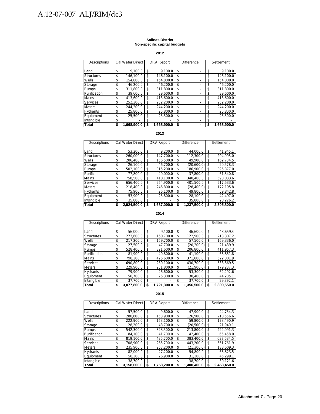#### **Salinas District Non-specific capital budgets**

**2012**

| <b>Descriptions</b> | Cal Water Direct  | <b>DRA</b> Report | <b>Difference</b> | Settlement        |
|---------------------|-------------------|-------------------|-------------------|-------------------|
| Land                | \$<br>9.100.0     | \$<br>9.100.0     | \$                | \$<br>9.100.0     |
| <b>Structures</b>   | \$<br>146.100.0   | \$<br>146.100.0   | \$                | \$<br>146.100.0   |
| Wells               | \$<br>154.800.0   | \$<br>154.800.0   | \$                | \$<br>154.800.0   |
| Storage             | \$<br>46.200.0    | \$<br>46.200.0    | \$                | \$<br>46,200.0    |
| Pumps               | \$<br>311,800.0   | \$<br>311,800.0   | \$<br>-           | \$<br>311,800.0   |
| Purification        | \$<br>39.600.0    | \$<br>39.600.0    | \$<br>-           | \$<br>39,600.0    |
| Mains               | \$<br>413.600.0   | \$<br>413.600.0   | \$<br>-           | \$<br>413.600.0   |
| Services            | \$<br>252,200.0   | \$<br>252,200.0   | \$                | \$<br>252,200.0   |
| <b>Meters</b>       | \$<br>244.200.0   | \$<br>244.200.0   | \$<br>٠           | \$<br>244.200.0   |
| <b>Hydrants</b>     | \$<br>25.800.0    | \$<br>25.800.0    | \$                | \$<br>25.800.0    |
| Equipment           | \$<br>25.500.0    | \$<br>25.500.0    | \$                | \$<br>25.500.0    |
| Intangible          | \$                | \$                | \$                | \$                |
| Total               | \$<br>1.668.900.0 | \$<br>1.668.900.0 | \$<br>-           | \$<br>1.668.900.0 |

#### **2013**

| Descriptions      | <b>Cal Water Direct</b> |    | <b>DRA Report</b> | <b>Difference</b> | Settlement |             |
|-------------------|-------------------------|----|-------------------|-------------------|------------|-------------|
|                   |                         |    |                   |                   |            |             |
| Land              | \$<br>53.200.0          | \$ | 9.200.0           | \$<br>44.000.0    | \$         | 41.945.1    |
| <b>Structures</b> | \$<br>260.000.0         | \$ | 147.700.0         | \$<br>112.300.0   | \$         | 204.995.0   |
| Wells             | \$<br>206.400.0         | \$ | 156.500.0         | \$<br>49.900.0    | \$         | 162.734.5   |
| Storage           | \$<br>26.100.0          | \$ | 46.700.0          | \$<br>(20,600.0)  | S          | 20.578.3    |
| Pumps             | \$<br>502.100.0         | \$ | 315.200.0         | \$<br>186.900.0   | \$         | 395.877.0   |
| Purification      | \$<br>77.800.0          | \$ | 40.000.0          | \$<br>37.800.0    | S          | 61.340.8    |
| Mains             | \$<br>758,500.0         | \$ | 418.100.0         | \$<br>340.400.0   | \$         | 598.033.6   |
| Services          | \$<br>656.400.0         | \$ | 254.900.0         | \$<br>401.500.0   | S          | 517.533.6   |
| <b>Meters</b>     | \$<br>218.400.0         | \$ | 246.800.0         | \$<br>(28.400.0)  | \$         | 172.195.8   |
| <b>Hydrants</b>   | \$<br>75.900.0          | \$ | 26.100.0          | \$<br>49.800.0    | \$         | 59.842.8    |
| Equipment         | \$<br>53.900.0          | \$ | 25.800.0          | \$<br>28.100.0    | \$         | 42.497.0    |
| Intangible        | \$<br>35.800.0          | \$ |                   | \$<br>35.800.0    | \$         | 28.226.2    |
| Total             | \$<br>2.924.500.0       | S  | 1.687.000.0       | \$<br>1.237.500.0 | S          | 2.305.800.0 |

#### **2014**

| Descriptions      | Cal Water Direct  |    | <b>DRA Report</b> | <b>Difference</b> |             | Settlement |             |
|-------------------|-------------------|----|-------------------|-------------------|-------------|------------|-------------|
| Land              | \$<br>56.000.0    | \$ | 9.400.0           | \$                | 46.600.0    | \$         | 43.659.4    |
| <b>Structures</b> | \$<br>273,600.0   | \$ | 150.700.0         | \$                | 122,900.0   | \$         | 213.307.2   |
| Wells             | \$<br>217.200.0   | \$ | 159.700.0         | \$                | 57.500.0    | \$         | 169.336.0   |
| Storage           | \$<br>27.500.0    | \$ | 47.700.0          | \$                | (20, 200.0) | \$         | 21.439.9    |
| Pumps             | \$<br>528,400.0   | \$ | 321.600.0         | \$                | 206,800.0   | \$         | 411.957.3   |
| Purification      | \$<br>81.900.0    | \$ | 40.800.0          | \$                | 41.100.0    | \$         | 63.851.8    |
| Mains             | \$<br>798.200.0   | \$ | 426.600.0         | \$                | 371.600.0   | \$.        | 622.301.9   |
| Services          | \$<br>690,800.0   | \$ | 260.100.0         | \$                | 430,700.0   | \$         | 538,569.5   |
| <b>Meters</b>     | \$<br>229.900.0   | \$ | 251.800.0         | \$                | (21.900.0)  | \$         | 179,237.3   |
| Hydrants          | \$<br>79.900.0    | \$ | 26.600.0          | \$                | 53.300.0    | \$         | 62.292.6    |
| Equipment         | \$<br>56.700.0    | \$ | 26.300.0          | \$                | 30.400.0    | \$         | 44.205.1    |
| Intangible        | \$<br>37.700.0    | \$ |                   | \$                | 37.700.0    | \$         | 29.392.1    |
| Total             | \$<br>3.077.800.0 | S  | 1.721.300.0       | \$                | 1.356.500.0 | S          | 2.399.550.0 |

| Descriptions      | <b>Cal Water Direct</b> | <b>DRA Report</b> | <b>Difference</b> | Settlement      |
|-------------------|-------------------------|-------------------|-------------------|-----------------|
| Land              | \$<br>57.500.0          | \$<br>9.600.0     | \$<br>47.900.0    | \$<br>44,754.3  |
| <b>Structures</b> | \$<br>280.800.0         | \$<br>153.900.0   | \$<br>126.900.0   | \$<br>218,556.6 |
| Wells             | \$<br>222.900.0         | \$<br>163.100.0   | \$<br>59.800.0    | \$<br>173.490.9 |
| Storage           | \$<br>28.200.0          | \$<br>48.700.0    | \$<br>(20.500.0)  | \$<br>21.949.1  |
| Pumps             | \$<br>542.300.0         | \$<br>328.500.0   | \$<br>213.800.0   | \$<br>422.091.3 |
| Purification      | \$<br>84.100.0          | \$<br>41.700.0    | \$<br>42.400.0    | \$<br>65.458.0  |
| Mains             | \$<br>819.100.0         | \$<br>435.700.0   | \$<br>383.400.0   | \$<br>637,534.5 |
| Services          | \$<br>708.900.0         | \$<br>265.700.0   | \$<br>443.200.0   | \$<br>551.761.9 |
| <b>Meters</b>     | \$<br>235.900.0         | \$<br>257.200.0   | \$<br>(21, 300.0) | \$<br>183.609.3 |
| <b>Hydrants</b>   | \$<br>82.000.0          | \$<br>27.200.0    | \$<br>54.800.0    | \$<br>63.823.5  |
| Equipment         | \$<br>58.200.0          | \$<br>26.900.0    | \$<br>31.300.0    | \$<br>45.299.1  |
| Intangible        | \$<br>38.700.0          | \$                | \$<br>38.700.0    | \$<br>30.121.6  |
| Total             | \$<br>3.158.600.0       | 1.758.200.0       | \$<br>1.400.400.0 | 2.458.450.0     |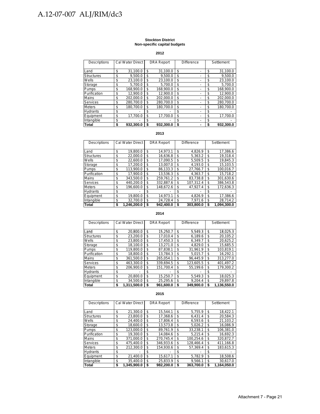#### **Stockton District Non-specific capital budgets**

#### **2012**

| Descriptions      | Cal Water Direct | <b>DRA Report</b> | <b>Difference</b> | Settlement      |
|-------------------|------------------|-------------------|-------------------|-----------------|
| Land              | \$<br>31.100.0   | \$<br>31.100.0    | \$                | \$<br>31,100.0  |
| <b>Structures</b> | \$<br>9.500.0    | \$<br>9.500.0     | \$                | \$<br>9.500.0   |
| Wells             | \$<br>23.100.0   | \$<br>23.100.0    | \$                | \$<br>23,100.0  |
| Storage           | \$<br>5.700.0    | \$<br>5.700.0     | \$                | \$<br>5,700.0   |
| Pumps             | \$<br>168.900.0  | \$<br>168.900.0   | \$                | \$<br>168.900.0 |
| Purification      | \$<br>12.900.0   | \$<br>12.900.0    | \$                | \$<br>12,900.0  |
| Mains             | \$<br>202.000.0  | \$<br>202.000.0   | \$                | \$<br>202.000.0 |
| <b>Services</b>   | \$<br>280.700.0  | \$<br>280.700.0   | \$                | \$<br>280.700.0 |
| <b>Meters</b>     | \$<br>180.700.0  | \$<br>180.700.0   | \$                | \$<br>180.700.0 |
| <b>Hydrants</b>   | \$               | \$                | \$                | \$              |
| Equipment         | \$<br>17.700.0   | \$<br>17.700.0    | \$                | \$<br>17.700.0  |
| Intangible        | \$               | \$                | \$                | \$              |
| Total             | \$<br>932,300.0  | \$<br>932.300.0   | \$                | \$<br>932.300.0 |

#### **2013**

| <b>Descriptions</b> | <b>Cal Water Direct</b> | <b>DRA Report</b> | <b>Difference</b> |           |    | Settlement  |  |
|---------------------|-------------------------|-------------------|-------------------|-----------|----|-------------|--|
|                     |                         |                   |                   |           |    |             |  |
| Land                | \$<br>19.800.0          | \$<br>14.973.1    | \$                | 4.826.9   | \$ | 17,386.6    |  |
| <b>Structures</b>   | \$<br>22.000.0          | \$<br>16.636.8    | \$                | 5.363.2   | \$ | 19.318.4    |  |
| Wells               | \$<br>22.600.0          | \$<br>17.090.5    | \$.               | 5.509.5   | \$ | 19.845.3    |  |
| Storage             | \$<br>17.200.0          | \$<br>13.007.0    | \$                | 4.193.0   | \$ | 15.103.5    |  |
| Pumps               | \$<br>113.900.0         | \$<br>86.133.3    | \$                | 27.766.7  | \$ | 100.016.7   |  |
| Purification        | \$<br>17.900.0          | \$<br>13.536.3    | \$                | 4,363.7   | \$ | 15.718.2    |  |
| <b>Mains</b>        | \$<br>343.500.0         | \$<br>259.761.2   | \$                | 83.738.8  | \$ | 301,630.6   |  |
| Services            | \$<br>440.200.0         | \$<br>332.887.6   | \$                | 107.312.4 | \$ | 386,543.8   |  |
| <b>Meters</b>       | \$<br>196.600.0         | \$<br>148.672.6   | \$                | 47,927.4  | \$ | 172.636.3   |  |
| <b>Hydrants</b>     | \$                      | \$                | \$                |           | \$ |             |  |
| Equipment           | \$<br>19.800.0          | \$<br>14.973.1    | \$                | 4.826.9   | \$ | 17.386.6    |  |
| Intangible          | \$<br>32,700.0          | \$<br>24.728.4    | \$                | 7.971.6   | S  | 28,714.2    |  |
| Total               | \$<br>1.246.200.0       | \$<br>942.400.0   | \$                | 303.800.0 | S  | 1.094.300.0 |  |

#### **2014**

| Descriptions      | <b>Cal Water Direct</b> | <b>DRA Report</b> | Difference |           |    | Settlement  |  |
|-------------------|-------------------------|-------------------|------------|-----------|----|-------------|--|
| Land              | \$<br>20.800.0          | \$<br>15.250.7    | \$         | 5.549.3   | \$ | 18,025.3    |  |
| <b>Structures</b> | \$<br>23.200.0          | \$<br>17.010.4    | \$         | 6.189.6   | \$ | 20.105.2    |  |
| Wells             | \$<br>23.800.0          | \$<br>17.450.3    | \$         | 6.349.7   | S  | 20,625.2    |  |
| Storage           | \$<br>18.100.0          | \$<br>13.271.0    | \$         | 4.829.0   | \$ | 15,685.5    |  |
| Pumps             | \$<br>119.800.0         | \$<br>87,838.1    | \$         | 31.961.9  | \$ | 103,819.1   |  |
| Purification      | \$<br>18.800.0          | \$<br>13.784.3    | \$         | 5.015.7   | \$ | 16.292.1    |  |
| Mains             | \$<br>361.500.0         | \$<br>265.054.1   | \$         | 96.445.9  | \$ | 313,277.0   |  |
| Services          | \$<br>463.300.0         | \$<br>339.694.5   | \$         | 123.605.5 | \$ | 401,497.2   |  |
| <b>Meters</b>     | \$<br>206.900.0         | \$<br>151,700.4   | \$         | 55.199.6  | \$ | 179.300.2   |  |
| <b>Hydrants</b>   | \$                      | \$                | \$         |           | \$ |             |  |
| Equipment         | \$<br>20.800.0          | \$<br>15.250.7    | \$         | 5.549.3   | \$ | 18.025.3    |  |
| Intangible        | \$<br>34.500.0          | \$<br>25,295.6    | \$         | 9.204.4   | \$ | 29,897.8    |  |
| Total             | \$<br>1.311.500.0       | \$<br>961.600.0   | \$         | 349.900.0 | S  | 1.136.550.0 |  |

| <b>Descriptions</b> | <b>Cal Water Direct</b> | <b>DRA Report</b> | <b>Difference</b> |           |    | Settlement  |  |
|---------------------|-------------------------|-------------------|-------------------|-----------|----|-------------|--|
| Land                | \$<br>21.300.0          | \$<br>15.544.1    | \$                | 5.755.9   | \$ | 18.422.1    |  |
| <b>Structures</b>   | \$<br>23.800.0          | \$<br>17.368.6    | \$                | 6.431.4   | \$ | 20.584.3    |  |
| Wells               | \$<br>24.400.0          | \$<br>17.806.4    | \$                | 6.593.6   | \$ | 21.103.2    |  |
| Storage             | \$<br>18.600.0          | \$<br>13.573.8    | \$                | 5.026.2   | S  | 16.086.9    |  |
| Pumps               | \$<br>123.000.0         | \$<br>89.761.9    | \$                | 33.238.1  | \$ | 106.381.0   |  |
| Purification        | \$<br>19.300.0          | \$<br>14.084.6    | \$                | 5.215.4   | \$ | 16.692.3    |  |
| <b>Mains</b>        | \$<br>371.000.0         | \$<br>270.745.4   | \$                | 100.254.6 | \$ | 320.872.7   |  |
| <b>Services</b>     | \$<br>475.400.0         | \$<br>346.933.6   | \$                | 128.466.4 | \$ | 411.166.8   |  |
| <b>Meters</b>       | \$<br>212.300.0         | \$<br>154.930.6   | \$                | 57.369.4  | \$ | 183.615.3   |  |
| <b>Hydrants</b>     | \$                      | \$                | \$                |           | S  |             |  |
| Equipment           | \$<br>21.400.0          | \$<br>15.617.1    | \$                | 5.782.9   | \$ | 18,508.6    |  |
| Intangible          | \$<br>35.400.0          | \$<br>25.833.9    | \$                | 9.566.1   | \$ | 30,617.0    |  |
| Total               | \$<br>1.345.900.0       | \$<br>982.200.0   | \$                | 363.700.0 | S  | 1.164.050.0 |  |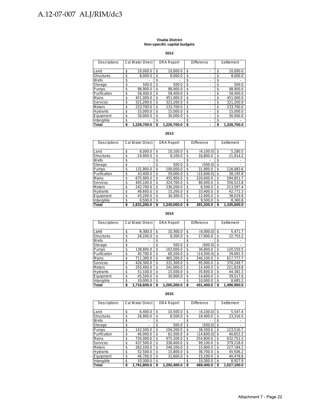#### **Visalia District Non-specific capital budgets**

**2012**

| <b>Descriptions</b> | Cal Water Direct  |    | <b>DRA Report</b> | <b>Difference</b> |    | Settlement  |
|---------------------|-------------------|----|-------------------|-------------------|----|-------------|
| Land                | \$<br>10.000.0    | \$ | 10.000.0          | \$                | \$ | 10.000.0    |
| <b>Structures</b>   | \$<br>8.000.0     | \$ | 8.000.0           | \$<br>۰           | \$ | 8,000.0     |
| Wells               | \$                | \$ |                   | \$                | \$ |             |
| Storage             | \$<br>500.0       | \$ | 500.0             | \$                | \$ | 500.0       |
| Pumps               | \$<br>98.900.0    | \$ | 98.900.0          | \$                | \$ | 98.900.0    |
| Purification        | \$<br>58.400.0    | \$ | 58.400.0          | \$                | \$ | 58.400.0    |
| <b>Mains</b>        | \$<br>451.000.0   | \$ | 451.000.0         | \$                | \$ | 451.000.0   |
| <b>Services</b>     | \$<br>321.200.0   | \$ | 321.200.0         | \$                | \$ | 321.200.0   |
| <b>Meters</b>       | \$<br>233.700.0   | \$ | 233.700.0         | \$                | \$ | 233.700.0   |
| Hydrants            | \$<br>15.000.0    | \$ | 15.000.0          | \$                | \$ | 15,000.0    |
| Equipment           | \$<br>30.000.0    | \$ | 30.000.0          | \$<br>-           | \$ | 30.000.0    |
| Intangible          | \$                | S. |                   | \$                | \$ |             |
| <b>Total</b>        | \$<br>1.226.700.0 |    | 1.226.700.0       | \$                | S  | 1.226.700.0 |

#### **2013**

| Descriptions      | Cal Water Direct  |    | <b>DRA Report</b> | <b>Difference</b> |            |    | Settlement  |  |
|-------------------|-------------------|----|-------------------|-------------------|------------|----|-------------|--|
|                   |                   |    |                   |                   |            |    |             |  |
| Land              | \$<br>6.000.0     | \$ | 10,100.0          | \$                | (4.100.0)  | \$ | 5,280.5     |  |
| <b>Structures</b> | \$<br>24.900.0    | \$ | 8.100.0           | \$                | 16,800.0   | \$ | 21,914.2    |  |
| Wells             | \$                | \$ |                   | \$                |            | \$ |             |  |
| Storage           | \$                | \$ | 500.0             | \$                | (500.0)    | \$ |             |  |
| Pumps             | \$<br>131.900.0   | \$ | 100.000.0         | \$                | 31.900.0   | \$ | 116,083.6   |  |
| Purification      | \$<br>43.400.0    | \$ | 59.000.0          | \$                | (15.600.0) | \$ | 38.195.8    |  |
| Mains             | \$<br>675.900.0   | \$ | 455.900.0         | \$                | 220.000.0  | \$ | 594.851.7   |  |
| Services          | \$<br>405.100.0   | \$ | 324.700.0         | \$                | 80.400.0   | \$ | 356.523.8   |  |
| <b>Meters</b>     | \$<br>242.700.0   | \$ | 236.200.0         | \$                | 6.500.0    | \$ | 213.597.4   |  |
| <b>Hydrants</b>   | \$<br>48.600.0    | \$ | 15.200.0          | \$                | 33.400.0   | \$ | 42.772.3    |  |
| Equipment         | \$<br>43.200.0    | \$ | 30.300.0          | \$                | 12.900.0   | S. | 38.019.8    |  |
| Intangible        | \$<br>9.500.0     | \$ |                   | \$                | 9.500.0    | \$ | 8.360.8     |  |
| Total             | \$<br>1.631.200.0 | S  | 1.240.000.0       | \$                | 391.200.0  | S  | 1.435.600.0 |  |

#### **2014**

| Descriptions      | Cal Water Direct  | <b>DRA Report</b> | <b>Difference</b> |            | Settlement |             |
|-------------------|-------------------|-------------------|-------------------|------------|------------|-------------|
|                   |                   |                   |                   |            |            |             |
| Land              | \$<br>6.300.0     | \$<br>10.300.0    | \$                | (4.000.0)  | \$         | 5.471.7     |
| <b>Structures</b> | \$<br>26.200.0    | \$<br>8.300.0     | \$                | 17.900.0   | \$         | 22,755.2    |
| Wells             | \$                | \$                | \$                |            | S          |             |
| Storage           | \$                | \$<br>500.0       | \$                | (500.0)    | \$         |             |
| Pumps             | \$<br>138.800.0   | \$<br>102.000.0   | \$                | 36.800.0   | \$         | 120.550.5   |
| Purification      | \$<br>45.700.0    | \$<br>60.200.0    | \$                | (14.500.0) | \$         | 39.691.3    |
| Mains             | \$<br>711.300.0   | \$<br>465.200.0   | \$                | 246.100.0  | \$         | 617.777.7   |
| <b>Services</b>   | \$<br>426.300.0   | \$<br>331.300.0   | \$                | 95.000.0   | \$         | 370.249.7   |
| <b>Meters</b>     | \$<br>255.400.0   | \$<br>241.000.0   | \$                | 14.400.0   | \$         | 221.819.8   |
| <b>Hydrants</b>   | \$<br>51.100.0    | \$<br>15.500.0    | \$                | 35.600.0   | \$         | 44.381.3    |
| Equipment         | \$<br>45.500.0    | \$<br>30.900.0    | \$                | 14.600.0   | \$         | 39.517.6    |
| Intangible        | \$<br>10.000.0    | \$                | \$                | 10.000.0   | \$         | 8.685.2     |
| <b>Total</b>      | \$<br>1,716,600.0 | \$<br>1.265.200.0 | \$                | 451,400.0  | S          | 1,490,900.0 |

| Descriptions      | <b>Cal Water Direct</b> |    | <b>DRA Report</b> | <b>Difference</b> |            | Settlement |             |
|-------------------|-------------------------|----|-------------------|-------------------|------------|------------|-------------|
| Land              | \$<br>6.400.0           | \$ | 10.500.0          | \$                | (4.100.0)  | \$         | 5.547.4     |
| <b>Structures</b> | \$<br>26.900.0          | \$ | 8.500.0           | \$                | 18,400.0   | \$         | 23,316.5    |
| Wells             | \$                      | \$ |                   | \$                |            | \$         |             |
| Storage           | \$                      | \$ | 500.0             | \$                | (500.0)    | \$         |             |
| Pumps             | \$<br>142.500.0         | \$ | 104,200.0         | \$                | 38.300.0   | \$         | 123.516.7   |
| Purification      | \$<br>46.900.0          | \$ | 61.500.0          | \$                | (14.600.0) | \$         | 40.652.2    |
| Mains             | \$<br>730.000.0         | \$ | 475.200.0         | \$                | 254.800.0  | \$         | 632.752.3   |
| <b>Services</b>   | \$<br>437.500.0         | \$ | 338,400.0         | \$                | 99.100.0   | \$         | 379,218.0   |
| <b>Meters</b>     | \$<br>262.100.0         | \$ | 246.200.0         | \$                | 15.900.0   | \$         | 227.184.1   |
| <b>Hydrants</b>   | \$<br>52.500.0          | \$ | 15.800.0          | \$                | 36.700.0   | \$         | 45.506.2    |
| Equipment         | \$<br>46.700.0          | \$ | 31.600.0          | \$                | 15.100.0   | \$         | 40.478.8    |
| Intangible        | \$<br>10.300.0          | \$ |                   | \$                | 10.300.0   | \$         | 8.927.9     |
| Total             | \$<br>1.761.800.0       | S  | 1.292.400.0       | \$                | 469.400.0  | \$         | 1.527.100.0 |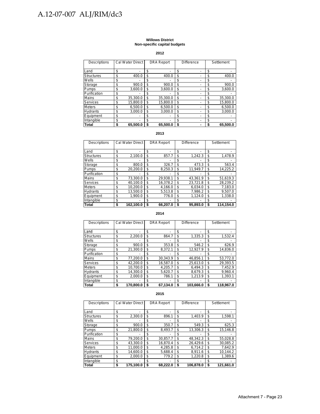#### **Willows District Non-specific capital budgets**

**2012**

| Descriptions      | <b>Cal Water Direct</b> |    | <b>DRA Report</b> | <b>Difference</b> | Settlement     |
|-------------------|-------------------------|----|-------------------|-------------------|----------------|
| Land              | \$                      | \$ |                   | \$                | \$             |
| <b>Structures</b> | \$<br>400.0             | \$ | 400.0             | \$                | \$<br>400.0    |
| Wells             | \$                      | \$ |                   | \$                | \$             |
| Storage           | \$<br>900.0             | \$ | 900.0             | \$                | \$<br>900.0    |
| Pumps             | \$<br>3.600.0           | \$ | 3.600.0           | \$                | \$<br>3,600.0  |
| Purification      | \$                      | S  |                   | \$                | \$             |
| Mains             | \$<br>35.300.0          | \$ | 35.300.0          | \$                | \$<br>35.300.0 |
| Services          | \$<br>15,800.0          | \$ | 15,800.0          | \$                | \$<br>15,800.0 |
| Meters            | \$<br>6.500.0           | \$ | 6.500.0           | \$                | \$<br>6,500.0  |
| Hydrants          | \$<br>3.000.0           | \$ | 3.000.0           | \$                | \$<br>3.000.0  |
| Equipment         | \$                      | \$ |                   | \$                | \$             |
| Intangible        | \$                      | \$ | ۰                 | \$                | \$             |
| Total             | \$<br>65.500.0          | S  | 65,500.0          | \$                | \$<br>65,500.0 |

#### **2013**

| Descriptions      | <b>Cal Water Direct</b> | <b>DRA Report</b> | <b>Difference</b> | Settlement |           |
|-------------------|-------------------------|-------------------|-------------------|------------|-----------|
| Land              | \$                      | \$<br>۰           | \$                | \$         | ۰         |
| <b>Structures</b> | \$<br>2,100.0           | \$<br>857.7       | \$<br>1.242.3     | \$         | 1,478.9   |
| Wells             | \$                      | \$<br>۰           | \$                | \$         |           |
| Storage           | \$<br>800.0             | \$<br>326.7       | \$<br>473.3       | \$         | 563.4     |
| Pumps             | \$<br>20,200.0          | \$<br>8,250.3     | \$<br>11,949.7    | \$         | 14,225.2  |
| Purification      | \$                      | \$                | \$                | \$         |           |
| Mains             | \$<br>73.300.0          | \$<br>29.938.1    | \$<br>43.361.9    | \$         | 51,619.3  |
| Services          | \$<br>40.100.0          | \$<br>16.378.2    | \$<br>23.721.8    | \$         | 28.239.2  |
| <b>Meters</b>     | \$<br>10.200.0          | \$<br>4.166.0     | \$<br>6.034.0     | \$         | 7.183.0   |
| <b>Hydrants</b>   | \$<br>13.500.0          | \$<br>5.513.8     | \$<br>7.986.2     | \$         | 9.507.0   |
| Equipment         | \$<br>1,900.0           | \$<br>776.0       | \$<br>1.124.0     | \$         | 1,338.0   |
| Intangible        | \$                      | \$                | \$                | \$         |           |
| Total             | \$<br>162.100.0         | \$<br>66.207.0    | \$<br>95.893.0    | S          | 114.154.0 |

#### **2014**

| Descriptions      |    | <b>Cal Water Direct</b> |    | <b>DRA Report</b> | <b>Difference</b> |           | Settlement |           |
|-------------------|----|-------------------------|----|-------------------|-------------------|-----------|------------|-----------|
|                   |    |                         |    |                   |                   |           |            |           |
| Land              | \$ |                         | \$ |                   | \$                |           | S          |           |
| <b>Structures</b> | \$ | 2,200.0                 | \$ | 864.7             | \$                | 1,335.3   | \$         | 1,532.4   |
| Wells             | \$ |                         | S  |                   | \$                |           | S          |           |
| Storage           | \$ | 900.0                   | \$ | 353.8             | \$                | 546.2     | \$         | 626.9     |
| Pumps             | \$ | 21.300.0                | \$ | 8.372.1           | \$                | 12.927.9  | S          | 14.836.0  |
| Purification      | \$ |                         | S  |                   | S                 |           | S          |           |
| <b>Mains</b>      | \$ | 77,200.0                | \$ | 30.343.9          | \$                | 46.856.1  | S          | 53,772.0  |
| Services          | \$ | 42,200.0                | \$ | 16.587.0          | \$                | 25,613.0  | S          | 29,393.5  |
| <b>Meters</b>     | \$ | 10.700.0                | \$ | 4.205.7           | \$                | 6.494.3   | \$         | 7.452.9   |
| <b>Hydrants</b>   | \$ | 14.300.0                | \$ | 5,620.7           | \$                | 8,679.3   | \$         | 9,960.4   |
| Equipment         | \$ | 2.000.0                 | \$ | 786.1             | \$                | 1.213.9   | \$         | 1.393.1   |
| Intangible        | \$ |                         | S  |                   | \$                |           | S          |           |
| <b>Total</b>      | S  | 170.800.0               | S  | 67,134.0          | \$                | 103.666.0 | S          | 118.967.0 |

| Descriptions      | Cal Water Direct | <b>DRA Report</b> | <b>Difference</b> | Settlement      |
|-------------------|------------------|-------------------|-------------------|-----------------|
| Land              | \$               | \$                | \$                | \$              |
| <b>Structures</b> | \$<br>2.300.0    | \$<br>896.1       | \$<br>1.403.9     | \$<br>1,598.1   |
| Wells             | \$               | \$                | \$                | \$              |
| Storage           | \$<br>900.0      | \$<br>350.7       | \$<br>549.3       | \$<br>625.3     |
| Pumps             | \$<br>21.800.0   | \$<br>8.493.7     | \$<br>13.306.3    | \$<br>15.146.8  |
| Purification      | \$               | \$                | \$                | \$              |
| Mains             | \$<br>79.200.0   | \$<br>30.857.7    | \$<br>48.342.3    | \$<br>55.028.8  |
| Services          | \$<br>43.300.0   | \$<br>16.870.4    | \$<br>26.429.6    | \$<br>30,085.2  |
| <b>Meters</b>     | \$<br>11,000.0   | \$<br>4,285.8     | \$<br>6,714.2     | \$<br>7.642.9   |
| <b>Hydrants</b>   | \$<br>14.600.0   | \$<br>5.688.4     | \$<br>8.911.6     | \$<br>10.144.2  |
| Equipment         | \$<br>2.000.0    | \$<br>779.2       | \$<br>1.220.8     | \$<br>1.389.6   |
| Intangible        | \$               | \$                | \$                | \$              |
| Total             | \$<br>175.100.0  | \$<br>68.222.0    | \$<br>106.878.0   | \$<br>121.661.0 |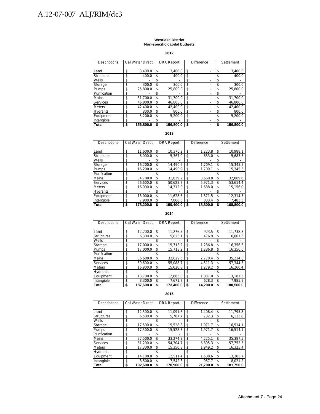#### **Westlake District Non-specific capital budgets**

**2012**

| <b>Descriptions</b> | <b>Cal Water Direct</b> |    | <b>DRA Report</b> | Difference | Settlement |           |
|---------------------|-------------------------|----|-------------------|------------|------------|-----------|
|                     |                         |    |                   |            |            |           |
| Land                | \$<br>3.400.0           | \$ | 3.400.0           | \$         | \$         | 3,400.0   |
| <b>Structures</b>   | \$<br>400.0             | \$ | 400.0             | \$<br>-    | \$         | 400.0     |
| Wells               | \$                      | \$ |                   | \$         | \$         |           |
| Storage             | \$<br>300.0             | \$ | 300.0             | \$         | \$         | 300.0     |
| Pumps               | \$<br>25.800.0          | \$ | 25.800.0          | \$         | \$         | 25.800.0  |
| Purification        | \$                      | \$ |                   | \$         | \$         |           |
| Mains               | \$<br>31.700.0          | \$ | 31.700.0          | \$         | \$         | 31.700.0  |
| Services            | \$<br>46.800.0          | \$ | 46.800.0          | \$         | \$         | 46.800.0  |
| <b>Meters</b>       | \$<br>42.400.0          | \$ | 42.400.0          | \$<br>-    | \$         | 42.400.0  |
| Hydrants            | \$<br>800.0             | \$ | 800.0             | \$         | \$         | 800.0     |
| Equipment           | \$<br>5.200.0           | \$ | 5.200.0           | \$         | \$         | 5.200.0   |
| Intangible          | \$                      | S  |                   | \$         | \$         |           |
| Total               | \$<br>156.800.0         | S  | 156.800.0         | \$         | S          | 156.800.0 |

#### **2013**

| <b>Descriptions</b> | <b>Cal Water Direct</b> | <b>DRA Report</b> | Difference |          | Settlement |           |
|---------------------|-------------------------|-------------------|------------|----------|------------|-----------|
|                     |                         |                   |            |          |            |           |
| Land                | \$<br>11.600.0          | \$<br>10.376.2    | \$         | 1.223.8  | \$         | 10.988.1  |
| <b>Structures</b>   | \$<br>6.000.0           | \$<br>5.367.0     | \$         | 633.0    | \$         | 5,683.5   |
| Wells               | \$                      | \$                | \$         |          | \$         |           |
| Storage             | \$<br>16,200.0          | \$<br>14.490.9    | \$         | 1.709.1  | \$         | 15.345.5  |
| <b>Pumps</b>        | \$<br>16.200.0          | \$<br>14.490.9    | \$         | 1.709.1  | \$         | 15.345.5  |
| Purification        | \$                      | \$                | \$         |          | \$         |           |
| Mains               | \$<br>34.700.0          | \$<br>31.039.2    | \$         | 3.660.8  | \$         | 32,869.6  |
| <b>Services</b>     | \$<br>56.600.0          | \$<br>50.628.7    | \$         | 5.971.3  | \$         | 53,614.4  |
| <b>Meters</b>       | \$<br>16,000.0          | \$<br>14,312.0    | \$         | 1.688.0  | \$         | 15,156.0  |
| <b>Hydrants</b>     | \$                      | \$                | \$         |          | \$         |           |
| Equipment           | \$<br>13.000.0          | \$<br>11.628.5    | \$         | 1.371.5  | \$         | 12,314.3  |
| Intangible          | \$<br>7.900.0           | \$<br>7.066.6     | \$         | 833.4    | \$         | 7.483.3   |
| Total               | \$<br>178.200.0         | \$<br>159.400.0   | \$         | 18.800.0 | S          | 168.800.0 |

#### **2014**

| Descriptions      | <b>Cal Water Direct</b> |    | <b>DRA Report</b> | Difference |          |    | Settlement |
|-------------------|-------------------------|----|-------------------|------------|----------|----|------------|
|                   |                         |    |                   |            |          |    |            |
| Land              | \$<br>12,200.0          | \$ | 11,276.5          | \$         | 923.5    | \$ | 11,738.3   |
| <b>Structures</b> | \$<br>6,300.0           | \$ | 5,823.1           | \$         | 476.9    | \$ | 6,061.6    |
| Wells             | \$                      | \$ |                   | \$         |          | S  |            |
| Storage           | \$<br>17.000.0          | \$ | 15,713.2          | \$         | 1.286.8  | \$ | 16,356.6   |
| Pumps             | \$<br>17.000.0          | \$ | 15.713.2          | \$         | 1.286.8  | \$ | 16.356.6   |
| Purification      | \$                      | \$ |                   | \$         |          | \$ |            |
| Mains             | \$<br>36.600.0          | \$ | 33.829.6          | \$         | 2.770.4  | \$ | 35.214.8   |
| <b>Services</b>   | \$<br>59.600.0          | \$ | 55.088.7          | \$         | 4,511.3  | \$ | 57,344.3   |
| <b>Meters</b>     | \$<br>16.900.0          | \$ | 15.620.8          | \$         | 1.279.2  | \$ | 16.260.4   |
| <b>Hydrants</b>   | \$                      | \$ |                   | \$         |          | \$ |            |
| Equipment         | \$<br>13.700.0          | \$ | 12.663.0          | \$         | 1.037.0  | \$ | 13,181.5   |
| Intangible        | \$<br>8.300.0           | \$ | 7.671.7           | \$         | 628.3    | \$ | 7.985.9    |
| Total             | \$<br>187.600.0         | S  | 173.400.0         | \$         | 14.200.0 | S  | 180.500.0  |

| Descriptions      | <b>Cal Water Direct</b> |    | <b>DRA Report</b> | <b>Difference</b> |          |    | Settlement |
|-------------------|-------------------------|----|-------------------|-------------------|----------|----|------------|
|                   |                         |    |                   |                   |          |    |            |
| Land              | \$<br>12.500.0          | \$ | 11.091.6          | \$                | 1.408.4  | \$ | 11,795.8   |
| <b>Structures</b> | \$<br>6.500.0           | \$ | 5.767.7           | \$                | 732.3    | \$ | 6,133.8    |
| Wells             | \$                      | \$ |                   | \$                |          | \$ |            |
| Storage           | \$<br>17.500.0          | \$ | 15,528.3          | \$                | 1.971.7  | \$ | 16,514.1   |
| Pumps             | \$<br>17,500.0          | \$ | 15,528.3          | \$                | 1.971.7  | \$ | 16,514.1   |
| Purification      | \$                      | \$ |                   | \$                |          | \$ |            |
| <b>Mains</b>      | \$<br>37.500.0          | \$ | 33.274.9          | \$                | 4.225.1  | \$ | 35,387.5   |
| <b>Services</b>   | \$<br>61.200.0          | \$ | 54.304.7          | \$                | 6.895.3  | \$ | 57.752.3   |
| <b>Meters</b>     | \$<br>17.300.0          | \$ | 15.350.8          | \$                | 1.949.2  | \$ | 16.325.4   |
| <b>Hydrants</b>   | \$                      | \$ |                   | \$                |          | \$ |            |
| Equipment         | \$<br>14.100.0          | \$ | 12.511.4          | \$                | 1.588.6  | \$ | 13.305.7   |
| Intangible        | \$<br>8.500.0           | \$ | 7.542.3           | \$                | 957.7    | \$ | 8.021.2    |
| Total             | \$<br>192.600.0         | S  | 170.900.0         | S                 | 21.700.0 | S  | 181.750.0  |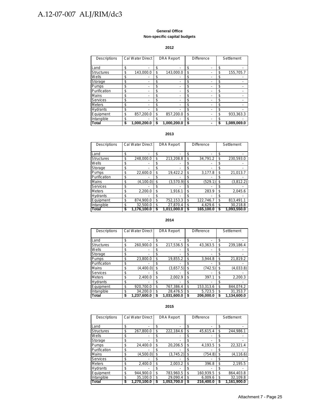#### **General Office Non-specific capital budgets**

#### **2012**

| Descriptions      | Cal Water Direct  |    | <b>DRA Report</b> | Difference |   |    | Settlement  |
|-------------------|-------------------|----|-------------------|------------|---|----|-------------|
| Land              | \$                | \$ |                   | \$         |   | \$ |             |
| <b>Structures</b> | \$<br>143,000.0   | \$ | 143,000.0         | \$         | - | \$ | 155.705.7   |
| Wells             | \$                | S  |                   | \$         |   | S  |             |
| Storage           | \$                | \$ |                   | \$         |   | \$ |             |
| Pumps             | \$                | \$ |                   | \$         |   | \$ |             |
| Purification      | \$                | \$ |                   | \$         | - | \$ |             |
| <b>Mains</b>      | \$                | \$ |                   | \$         |   | \$ |             |
| <b>Services</b>   | \$                | \$ |                   | \$         |   | \$ |             |
| <b>Meters</b>     | \$                | \$ |                   | \$         |   | \$ |             |
| Hydrants          | \$                | \$ |                   | \$         |   | \$ |             |
| Equipment         | \$<br>857.200.0   | \$ | 857.200.0         | \$         |   | \$ | 933,363.3   |
| Intangible        | \$                | \$ |                   | \$         |   | \$ |             |
| <b>Total</b>      | \$<br>1,000,200.0 |    | 1,000,200.0       | \$         |   |    | 1,089,069.0 |

#### **2013**

| Descriptions      | Cal Water Direct  | <b>DRA Report</b> | <b>Difference</b> |           |    | Settlement  |
|-------------------|-------------------|-------------------|-------------------|-----------|----|-------------|
|                   |                   |                   |                   |           |    |             |
| Land              | \$                | \$                | \$                |           | \$ |             |
| <b>Structures</b> | \$<br>248,000.0   | \$<br>213,208.8   | \$                | 34,791.2  | \$ | 230.593.0   |
| Wells             | \$                | \$                | \$                |           | S  |             |
| Storage           | \$                | \$                | \$                |           | \$ |             |
| Pumps             | \$<br>22.600.0    | \$<br>19,422.2    | \$                | 3,177.8   | \$ | 21,013.7    |
| Purification      | \$                | \$                | \$                |           | S  |             |
| Mains             | \$<br>(4, 100.0)  | \$<br>(3,570.9)   | \$                | (529.1)   | \$ | (3,812.2)   |
| Services          | \$                | \$                | \$                |           | S  |             |
| <b>Meters</b>     | \$<br>2.200.0     | \$<br>1.916.1     | \$                | 283.9     | \$ | 2.045.6     |
| <b>Hydrants</b>   | \$                | \$                | \$                |           | S  |             |
| Equipment         | \$<br>874.900.0   | \$<br>752.153.3   | \$                | 122.746.7 | \$ | 813.491.1   |
| Intangible        | \$<br>32.500.0    | \$<br>27,870.4    | \$                | 4.629.6   | \$ | 30.218.8    |
| <b>Total</b>      | \$<br>1,176,100.0 | \$<br>1.011.000.0 | \$                | 165,100.0 |    | 1,093,550.0 |

#### **2014**

| Descriptions      | Cal Water Direct  |    | <b>DRA</b> Report | <b>Difference</b> |           | Settlement      |
|-------------------|-------------------|----|-------------------|-------------------|-----------|-----------------|
|                   |                   |    |                   |                   |           | \$              |
| Land              | \$                | \$ |                   | \$                |           |                 |
| <b>Structures</b> | \$<br>260.900.0   | \$ | 217.536.5         | \$                | 43,363.5  | \$<br>239.186.4 |
| Wells             | \$                | \$ |                   | \$                |           | \$              |
| Storage           | \$                | \$ |                   | \$                |           | \$              |
| <b>Pumps</b>      | \$<br>23.800.0    | \$ | 19.855.2          | \$                | 3,944.8   | \$<br>21.819.2  |
| Purification      | \$                | \$ |                   | \$                |           | \$              |
| Mains             | \$<br>(4,400.0)   | \$ | (3,657.5)         | \$                | (742.5)   | \$<br>(4,033.8) |
| Services          | \$                | \$ |                   | \$                |           | \$              |
| <b>Meters</b>     | \$<br>2.400.0     | \$ | 2.002.9           | \$                | 397.1     | \$<br>2.200.3   |
| Hydrants          | \$                | \$ |                   | \$                |           | \$              |
| Equipment         | \$<br>920.700.0   | \$ | 767.386.4         | \$                | 153,313.6 | \$<br>844.074.2 |
| Intangible        | \$<br>34.200.0    | \$ | 28.476.5          | \$                | 5.723.5   | \$<br>31,353.7  |
| Total             | \$<br>1,237,600.0 | S  | 1,031,600.0       | \$                | 206,000.0 | 1,134,600.0     |

| Descriptions      | Cal Water Direct  |    | <b>DRA Report</b> | <b>Difference</b> |           |    |             |  | Settlement |  |
|-------------------|-------------------|----|-------------------|-------------------|-----------|----|-------------|--|------------|--|
| Land              | \$                | \$ |                   | \$                |           | \$ |             |  |            |  |
| <b>Structures</b> | \$<br>267.800.0   | \$ | 222.184.6         | \$                | 45,615.4  | \$ | 244.986.1   |  |            |  |
| Wells             | \$                | \$ |                   | \$                |           | S  |             |  |            |  |
| Storage           | \$                | \$ |                   | \$                |           | S  |             |  |            |  |
| Pumps             | \$<br>24.400.0    | \$ | 20.206.5          | \$                | 4,193.5   | \$ | 22,321.4    |  |            |  |
| Purification      | \$                | \$ |                   | \$                |           | S  |             |  |            |  |
| Mains             | \$<br>(4.500.0)   | \$ | (3,745.2)         | \$                | (754.8)   | \$ | (4, 116.6)  |  |            |  |
| Services          | \$                | \$ |                   | \$                |           | \$ |             |  |            |  |
| <b>Meters</b>     | \$<br>2.400.0     | \$ | 2.003.2           | \$                | 396.8     | \$ | 2,195.5     |  |            |  |
| <b>Hydrants</b>   | \$                | \$ |                   | \$                |           | \$ |             |  |            |  |
| Equipment         | \$<br>944.900.0   | \$ | 783.960.5         | \$                | 160.939.5 | \$ | 864.403.8   |  |            |  |
| Intangible        | \$<br>35,100.0    | \$ | 29.090.4          | \$                | 6.009.6   | \$ | 32.109.8    |  |            |  |
| Total             | \$<br>1.270.100.0 | S  | 1,053,700.0       | S                 | 216,400.0 | S  | 1.161.900.0 |  |            |  |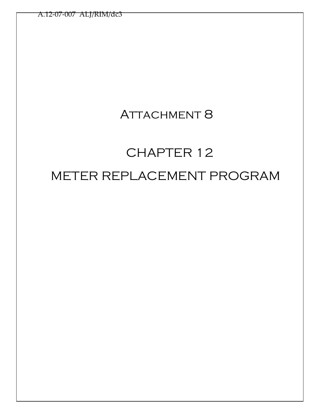## ATTACHMENT 8

# CHAPTER 12 METER REPLACEMENT PROGRAM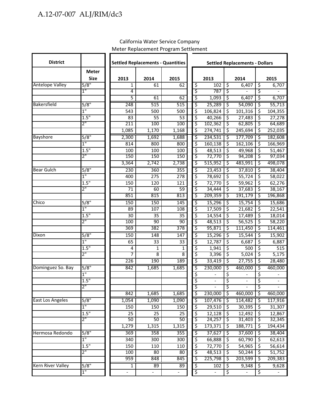| <b>District</b>          |                  |                | <b>Settled Replacements - Quantities</b> | <b>Settled Replacements - Dollars</b> |                        |                   |                          |                          |                        |         |  |
|--------------------------|------------------|----------------|------------------------------------------|---------------------------------------|------------------------|-------------------|--------------------------|--------------------------|------------------------|---------|--|
|                          | <b>Meter</b>     |                |                                          |                                       |                        |                   |                          |                          |                        |         |  |
|                          | <b>Size</b>      | 2013           | 2014                                     | 2015                                  |                        | 2013              |                          | 2014                     |                        | 2015    |  |
| <b>Antelope Valley</b>   | $\frac{1}{5/8}$  | 1              | 61                                       | 62                                    | \$                     | 102               | $\overline{\mathcal{S}}$ | 6,407                    | \$                     | 6,707   |  |
|                          | 1"               | 4              |                                          |                                       | \$                     | 787               | \$                       |                          | \$                     |         |  |
|                          |                  | 5              | 61                                       | 62                                    | \$                     | 1,093             | ड़                       | 6,407                    | ड़                     | 6,707   |  |
| <b>Bakersfield</b>       | 5/8"             | 248            | 515                                      | 515                                   | ॱऽ                     | 25,289            | `\$                      | 54,090                   | `\$                    | 55,713  |  |
|                          | $1^{\rm n}$      | 543            | 500                                      | 500                                   | ड़                     | 106,824           | \$                       | 101,316                  | \$                     | 104,355 |  |
|                          | 1.5"             | 83             | 55                                       | 53                                    | $\overline{\varsigma}$ | 40,266            | $\overline{\varsigma}$   | 27,483                   | $\overline{\varsigma}$ | 27,278  |  |
|                          | $2^{\mathsf{H}}$ | 211            | 100                                      | 100                                   | `\$                    | 102,362           | ड़                       | 62,805                   | \$                     | 64,689  |  |
|                          |                  | 1,085          | 1,170                                    | 1,168                                 | ड़                     | 274,741           | \$                       | 245,694                  | \$                     | 252,035 |  |
| <b>Bayshore</b>          | 5/8"             | 2,300          | 1,692                                    | 1,688                                 | \$                     | 234,531           | ड़                       | 177,709                  | ड़                     | 182,608 |  |
|                          | 1 <sup>''</sup>  | 814            | 800                                      | 800                                   | \$                     | 160,138           | ऽ                        | 162, 106                 | \$                     | 166,969 |  |
|                          | 1.5"             | 100            | 100                                      | 100                                   | \$                     | 48,513            | \$                       | 49,968                   | \$                     | 51,467  |  |
|                          | $2^{\circ}$      | 150            | 150                                      | 150                                   | \$                     | 72,770            | ड़                       | 94,208                   | \$                     | 97,034  |  |
|                          |                  | 3,364          | 2,742                                    | 2,738                                 | ॱऽ                     | 515,952           | \$                       | 483,991                  | \$                     | 498,078 |  |
| <b>Bear Gulch</b>        | 5/8"             | 230            | 360                                      | 355                                   | ॱऽ                     | 23,453            | \$                       | 37,810                   | \$                     | 38,404  |  |
|                          | 1"               | 400            | 275                                      | 278                                   | ॱऽ                     | 78,692            | \$                       | 55,724                   | \$                     | 58,022  |  |
|                          | 1.5"             | 150            | 120                                      | 121                                   | \$                     | 72,770            | \$                       | 59,962                   | \$                     | 62,276  |  |
|                          | $2^{\mathsf{H}}$ | 71             | 60                                       | 59                                    | \$                     | 34,444            | \$                       | 37,683                   | \$                     | 38,167  |  |
|                          |                  | 851            | 815                                      | 813                                   | \$                     | 209,359           | ड़                       | 191,179                  | \$                     | 196,868 |  |
| Chico                    | 5/8"             | 150            | 150                                      | 145                                   | ऽ                      | 15,296            | \$                       | 15,754                   | \$                     | 15,686  |  |
|                          | $\overline{1}$ " | 89             | 107                                      | 108                                   | \$                     | 17,509            | $\overline{\mathcal{S}}$ | 21,682                   | \$                     | 22,541  |  |
|                          | 1.5"             | 30             | 35                                       | 35                                    | \$                     | 14,554            | \$                       | 17,489                   | \$                     | 18,014  |  |
|                          | $2^{\mathsf{H}}$ | 100            | 90                                       | 90                                    | \$                     | 48,513            | ड़                       | 56,525                   | \$                     | 58,220  |  |
|                          |                  | 369            | 382                                      | 378                                   | ॱऽ                     | 95,871            | \$                       | 111,450                  | \$                     | 114,461 |  |
| Dixon                    | 5/8"             | 150            | 148                                      | 147                                   | \$                     | 15,296            | ड़                       | 15,544                   | \$                     | 15,902  |  |
|                          | $1^{\circ}$      | 65             | 33                                       | 33                                    | \$                     | 12,787            | \$                       | 6,687                    | \$                     | 6,887   |  |
|                          | 1.5"             | 4              | 1                                        | $\mathbf{1}$                          | \$                     | 1,941             | \$                       | 500                      | \$                     | 515     |  |
|                          | $2^{\circ}$      | 7              | 8                                        | $\overline{8}$                        | \$                     | 3,396             | \$                       | 5,024                    | \$                     | 5,175   |  |
|                          |                  | 226            | 190                                      | 189                                   | ड़                     | 33,419            | ड़                       | 27,755                   | \$                     | 28,480  |  |
| Dominguez So. Bay        | $\sqrt{5/8}$     | 842            | 1,685                                    | 1,685                                 | ॱऽ                     | 230,000           | \$                       | 460,000                  | \$                     | 460,000 |  |
|                          | $1^{\circ}$      |                |                                          |                                       | \$                     |                   | \$                       |                          | \$                     |         |  |
|                          | 1.5"             |                |                                          |                                       | $\overline{\xi}$       | $\qquad \qquad -$ | \$                       | $\overline{\phantom{a}}$ | \$                     |         |  |
|                          | יי כ             |                |                                          |                                       | 3                      |                   | ζ                        |                          | ऽ                      |         |  |
|                          |                  | 842            | 1,685                                    | 1,685                                 | \$                     | 230,000           | ॱऽ                       | 460,000                  | \$                     | 460,000 |  |
| <b>East Los Angeles</b>  | 5/8"             | 1,054          | 1,090                                    | 1,090                                 | ड़                     | 107,476           | \$                       | 114,482                  | \$                     | 117,916 |  |
|                          | 1"               | 150            | 150                                      | 150                                   | \$                     | 29,510            | \$                       | 30,395                   | \$                     | 31,307  |  |
|                          | 1.5"             | 25             | 25                                       | 25                                    | \$                     | 12,128            | \$                       | 12,492                   | \$                     | 12,867  |  |
|                          | $2^{\mathsf{u}}$ | 50             | 50                                       | 50                                    | \$                     | 24,257            | \$                       | 31,403                   | \$                     | 32,345  |  |
|                          |                  | 1,279          | 1,315                                    | 1,315                                 | \$                     | 173,371           | \$                       | 188,771                  | \$                     | 194,434 |  |
| Hermosa Redondo          | 5/8"             | 369            | 358                                      | 355                                   | \$                     | 37,627            | \$                       | 37,600                   | \$                     | 38,404  |  |
|                          | $1^{\circ}$      | 340            | 300                                      | 300                                   | \$                     | 66,888            | \$                       | 60,790                   | \$                     | 62,613  |  |
|                          | 1.5"             | 150            | 110                                      | 110                                   | \$                     | 72,770            | $\overline{\varsigma}$   | 54,965                   | \$                     | 56,614  |  |
|                          | $2^{\mathsf{m}}$ | 100            | 80                                       | 80                                    | ड़                     | 48,513            | ड़                       | 50,244                   | \$                     | 51,752  |  |
|                          |                  | 959            | 848                                      | 845                                   | ड़                     | 225,798           | ड़                       | 203,599                  | \$                     | 209,383 |  |
| <b>Kern River Valley</b> | 5/8"             | $\overline{1}$ | 89                                       | 89                                    | \$                     | 102               | ड़                       | 9,348                    | \$                     | 9,628   |  |
|                          | $1^{\circ}$      |                |                                          |                                       | \$                     |                   | $\overline{\mathcal{S}}$ |                          | \$                     |         |  |

#### California Water Service Company Meter Replacement Program Settlement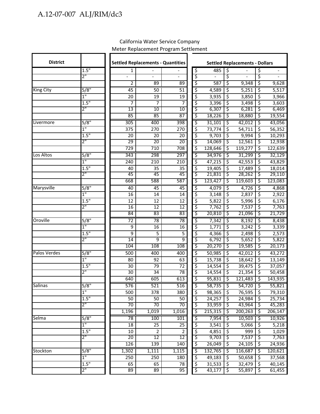| <b>District</b>  |                                     |                 | <b>Settled Replacements - Quantities</b> |                       | <b>Settled Replacements - Dollars</b> |                   |                        |                   |                          |                          |
|------------------|-------------------------------------|-----------------|------------------------------------------|-----------------------|---------------------------------------|-------------------|------------------------|-------------------|--------------------------|--------------------------|
|                  | 1.5"                                | 1               |                                          |                       | \$                                    | 485               | \$                     |                   | \$                       | $\overline{\phantom{a}}$ |
|                  | $2^{\mathsf{m}}$                    |                 | $\overline{a}$                           |                       | \$                                    | $\overline{a}$    | \$                     |                   | \$                       |                          |
|                  |                                     | 2               | 89                                       | 89                    | \$                                    | 587               | \$                     | 9,348             | \$                       | 9,628                    |
| <b>King City</b> | 5/8"                                | 45              | 50                                       | 51                    | \$                                    | 4,589             | \$                     | 5,251             | \$                       | 5,517                    |
|                  | $1^{\circ}$                         | 20              | 19                                       | 19                    | \$                                    | 3,935             | \$                     | 3,850             | \$                       | 3,966                    |
|                  | 1.5"                                | 7               | 7                                        | 7                     | \$                                    | 3,396             | \$                     | 3,498             | \$                       | 3,603                    |
|                  | $2^{\mathsf{m}}$                    | $\overline{13}$ | $\overline{10}$                          | 10                    | \$                                    | 6,307             | \$                     | 6,281             | ड़                       | 6,469                    |
|                  |                                     | 85              | 85                                       | 87                    | \$                                    | 18,226            | \$                     | 18,880            | \$                       | 19,554                   |
| Livermore        | 5/8"                                | 305             | 400                                      | 398                   | \$                                    | 31,101            | \$                     | 42,012            | \$                       | 43,056                   |
|                  | $\overline{1}$ "                    | 375             | 270                                      | 270                   | \$                                    | 73,774            | \$                     | 54,711            | \$                       | 56,352                   |
|                  | 1.5"<br>$2^{\mathsf{m}}$            | 20<br>29        | 20                                       | 20<br>$\overline{20}$ | \$                                    | 9,703             | \$                     | 9,994             | \$                       | 10,293                   |
|                  |                                     | 729             | 20<br>710                                | 708                   | \$<br>\$                              | 14,069<br>128,646 | \$<br>ड़               | 12,561<br>119,277 | \$<br>ड़                 | 12,938<br>122,639        |
|                  |                                     |                 |                                          | 297                   |                                       |                   |                        |                   |                          |                          |
| Los Altos        | $\sqrt{5/8}$<br>$\overline{1}$ "    | 343<br>240      | 298<br>210                               | 210                   | \$                                    | 34,976<br>47,215  | \$<br>\$               | 31,299            | \$<br>\$                 | 32,129                   |
|                  | 1.5"                                |                 | 35                                       | 35                    | \$<br>\$                              |                   | \$                     | 42,553            | \$                       | 43,829                   |
|                  | 2"                                  | 40<br>45        | 45                                       | 45                    | \$                                    | 19,405<br>21,831  | -\$                    | 17,489<br>28,262  | \$                       | 18,014<br>29,110         |
|                  |                                     | 668             | 588                                      | 587                   | \$                                    | 123,427           | \$                     | 119,603           | \$                       | 123,083                  |
| Marysville       | $\sqrt{5/8}$                        | 40              | 45                                       | 45                    | \$                                    | 4,079             | \$                     | 4,726             | \$                       | 4,868                    |
|                  | $1^{\circ}$                         | 16              | 14                                       | 14                    | \$                                    | 3,148             | \$                     | 2,837             | \$                       | 2,922                    |
|                  | 1.5"                                | 12              | 12                                       | 12                    | \$                                    | 5,822             | \$                     | 5,996             | \$                       | 6,176                    |
|                  | $2^{\circ}$                         | 16              | $\overline{12}$                          | $\overline{12}$       | \$                                    | 7,762             | \$                     | 7,537             | \$                       | 7,763                    |
|                  |                                     | 84              | 83                                       | 83                    | \$                                    | 20,810            | \$                     | 21,096            | \$                       | 21,729                   |
| Oroville         | $\sqrt{5/8}$                        | $\overline{72}$ | 78                                       | $\overline{78}$       | \$                                    | 7,342             | \$                     | 8,192             | \$                       | 8,438                    |
|                  | $\overline{1}$ "                    | 9               | 16                                       | 16                    | \$                                    | 1,771             | \$                     | 3,242             | \$                       | 3,339                    |
|                  | 1.5"                                | 9               | 5                                        | 5                     | \$                                    | 4,366             | \$                     | 2,498             | \$                       | 2,573                    |
|                  | $2^{\mathsf{m}}$                    | $\overline{14}$ | 9                                        | 9                     | \$                                    | 6,792             | ड़                     | 5,652             | \$                       | 5,822                    |
|                  |                                     | 104             | 108                                      | 108                   | \$                                    | 20,270            | \$                     | 19,585            | \$                       | 20,173                   |
| Palos Verdes     | 5/8"                                | 500             | 400                                      | 400                   | \$                                    | 50,985            | ड़                     | 42,012            | ड़                       | 43,272                   |
|                  | $1^{\circ}$                         | 80              | 92                                       | 63                    | \$                                    | 15,738            | \$                     | 18,642            | \$                       | 13,149                   |
|                  | 1.5"                                | 30              | 79                                       | 72                    | \$                                    | 14,554            | \$                     | 39,475            | \$                       | 37,057                   |
|                  | $2^{\mathsf{m}}$                    | 30              | 34                                       | 78                    | \$                                    | 14,554            | \$                     | 21,354            | ड़                       | 50,458                   |
|                  |                                     | 640             | 605                                      | 613                   | \$                                    | 95,831            | \$                     | 121,483           | \$                       | 143,935                  |
| Salinas          | 5/8"                                | 576             | 521                                      | 516                   | Ś                                     | $58,735$ \$       |                        | 54,720            | '\$                      | 55,821                   |
|                  | $1^{\circ}$                         | 500             | 378                                      | 380                   | \$                                    | 98,365            | \$                     | 76,595            | \$                       | 79,310                   |
|                  | 1.5"                                | 50              | 50                                       | 50                    | \$                                    | 24,257            | \$                     | 24,984            | \$                       | 25,734                   |
|                  | $2^{\mathsf{H}}$                    | 70              | 70                                       | 70                    | \$                                    | 33,959            | \$                     | 43,964            | \$                       | 45,283                   |
|                  |                                     | 1,196           | 1,019                                    | 1,016                 | \$                                    | 215,315           | ड़                     | 200,263           | ड़                       | 206,147                  |
| Selma            | 5/8"                                | 78              | 100                                      | 101                   | \$                                    | 7,954             | \$                     | 10,503            | \$                       | 10,926                   |
|                  | $1^{\circ}$                         | 18              | 25                                       | $\overline{25}$       | \$                                    | 3,541             | \$                     | 5,066             | \$                       | 5,218                    |
|                  | 1.5"<br>$2^{\mathsf{m}}$            | 10              | $\overline{2}$                           | $\overline{2}$        | \$                                    | 4,851             | $\overline{\varsigma}$ | 999               | $\overline{\mathcal{S}}$ | 1,029                    |
|                  |                                     | 20              | $\overline{12}$                          | 12                    | \$                                    | 9,703             | -\$                    | 7,537             | ड़                       | 7,763                    |
|                  |                                     | 126             | 139                                      | 140                   | \$                                    | 26,049            | ड़                     | 24,105            | \$                       | 24,936                   |
| Stockton         | $\sqrt{5/8}$                        | 1,302           | 1,111                                    | 1,115                 | \$                                    | 132,765           | \$                     | 116,687           | ड़                       | 120,621                  |
|                  | $1^{\scriptscriptstyle\mathsf{II}}$ | 250             | 250                                      | 180                   | \$                                    | 49,183            | \$                     | 50,658            | \$                       | 37,568                   |
|                  | 1.5"                                | 65              | 65                                       | 78<br>95              | \$                                    | 31,533            | \$<br>`\$              | 32,479            | \$                       | 40,145<br>61,455         |
|                  | $2^{\mathsf{m}}$                    | 89              | 89                                       |                       | \$                                    | 43,177            |                        | 55,897            | \$                       |                          |

#### California Water Service Company Meter Replacement Program Settlement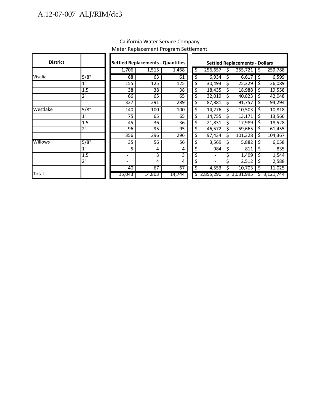| <b>District</b> |                  |                          | <b>Settled Replacements - Quantities</b> |        | <b>Settled Replacements - Dollars</b> |    |                              |    |           |    |             |
|-----------------|------------------|--------------------------|------------------------------------------|--------|---------------------------------------|----|------------------------------|----|-----------|----|-------------|
|                 |                  | 1,706                    | 1,515                                    | 1,468  |                                       | \$ | 256,657                      | Ś  | 255,721   | Ś  | 259,788     |
| Visalia         | 5/8"             | 68                       | 63                                       | 61     |                                       | \$ | 6,934                        | S  | 6,617     | S  | 6,599       |
|                 | $\overline{1}$ " | 155                      | 125                                      | 125    |                                       | \$ | 30,493                       | \$ | 25,329    | \$ | 26,089      |
|                 | 1.5"             | 38                       | 38                                       | 38     |                                       | \$ | 18,435                       | Ś. | 18,988    | \$ | 19,558      |
|                 | $2^{\circ}$      | 66                       | 65                                       | 65     |                                       | \$ | 32,019                       | \$ | 40,823    | Ś  | 42,048      |
|                 |                  | 327                      | 291                                      | 289    |                                       | \$ | 87,881                       | S  | 91,757    | \$ | 94,294      |
| Westlake        | 5/8"             | 140                      | 100                                      | 100    |                                       | \$ | 14,276                       | \$ | 10,503    | Ś  | 10,818      |
|                 | 1"               | 75                       | 65                                       | 65     |                                       | \$ | 14,755                       | \$ | 13,171    | \$ | 13,566      |
|                 | 1.5"             | 45                       | 36                                       | 36     |                                       | \$ | 21,831                       | \$ | 17,989    | \$ | 18,528      |
|                 | $2^{\circ}$      | $\overline{96}$          | $\overline{95}$                          | 95     |                                       | \$ | 46,572                       | S. | 59,665    | S  | 61,455      |
|                 |                  | 356                      | 296                                      | 296    |                                       | \$ | 97,434                       | \$ | 101,328   | \$ | 104,367     |
| <b>Willows</b>  | 5/8"             | $\overline{35}$          | 56                                       | 56     |                                       | \$ | 3,569                        | S  | 5,882     | S  | 6,058       |
|                 | 1"               | 5                        | 4                                        | 4      |                                       | \$ | 984                          | \$ | 811       | \$ | 835         |
|                 | 1.5"             | -                        | 3                                        | 3      |                                       | \$ |                              | \$ | 1,499     | \$ | 1,544       |
|                 | 2"               | $\overline{\phantom{0}}$ | 4                                        | 4      |                                       | \$ | $\qquad \qquad \blacksquare$ |    | 2,512     | S  | 2,588       |
|                 |                  | 40                       | 67                                       | 67     |                                       | \$ | 4,553                        | Ś  | 10,703    | S  | 11,025      |
| <b>Total</b>    |                  | 15,043                   | 14,803                                   | 14,744 |                                       |    | \$2,855,290                  |    | 3,031,995 |    | \$3,121,744 |

#### California Water Service Company Meter Replacement Program Settlement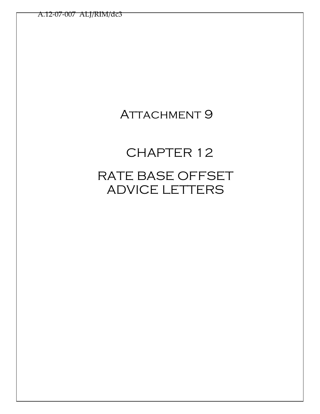## ATTACHMENT 9

# CHAPTER 12 RATE BASE OFFSET ADVICE LETTERS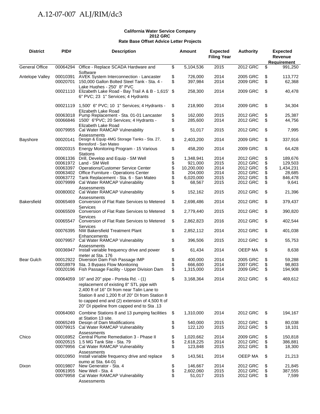#### **California Water Service Company 2012 GRC Rate Base Offset Advice Letter Projects**

| <b>District</b>       | PID#                 | <b>Description</b>                                                                                                                                                                                                                                                                         |                                  | <b>Amount</b>                                                        | <b>Expected</b><br><b>Filing Year</b>        | <b>Authority</b>                                                     |                                  | <b>Expected</b><br>Revenue<br>Requirement                     |
|-----------------------|----------------------|--------------------------------------------------------------------------------------------------------------------------------------------------------------------------------------------------------------------------------------------------------------------------------------------|----------------------------------|----------------------------------------------------------------------|----------------------------------------------|----------------------------------------------------------------------|----------------------------------|---------------------------------------------------------------|
| <b>General Office</b> | 00064294             | Office - Replace SCADA Hardware and                                                                                                                                                                                                                                                        | \$                               | 5,104,536                                                            | 2015                                         | 2012 GRC                                                             | \$                               | 991,250                                                       |
| Antelope Valley       | 00010391<br>00020701 | Software<br><b>AVEK System Interconnection - Lancaster</b><br>150,000 Gallon Bolted Steel Tank - Sta. 4 -                                                                                                                                                                                  | \$<br>\$                         | 726,000<br>397,984                                                   | 2014<br>2014                                 | 2005 GRC<br>2009 GRC                                                 | \$<br>\$                         | 113.772<br>62,368                                             |
|                       |                      | Lake Hughes - 250' 8" PVC<br>00021110 Elizabeth Lake Road - Bay Trail A & B - 1,615' \$<br>6" PVC; 23 1" Services; 4 Hydrants                                                                                                                                                              |                                  | 258,300                                                              | 2014                                         | 2009 GRC                                                             | \$                               | 40,478                                                        |
|                       |                      | 00021119 1,500' 6" PVC; 10 1" Services; 4 Hydrants -                                                                                                                                                                                                                                       | \$                               | 218,900                                                              | 2014                                         | 2009 GRC                                                             | \$                               | 34,304                                                        |
|                       |                      | Elizabeth Lake Road<br>00063018 Pump Replacement - Sta. 01-01 Lancaster<br>00066846 1500' 6"PVC; 20 Services; 4 Hydrants -                                                                                                                                                                 | \$<br>\$                         | 162,000<br>285,600                                                   | 2015<br>2014                                 | 2012 GRC<br>2012 GRC                                                 | \$<br>\$                         | 25,387<br>44,756                                              |
|                       | 00079955             | Elizabeth Lake Road<br>Cal Water RAMCAP Vulnerability                                                                                                                                                                                                                                      | \$                               | 51,017                                                               | 2015                                         | 2012 GRC                                                             | \$                               | 7,995                                                         |
| Bayshore              | 00020141             | Assessments<br>Design & Equip 4MG Storage Tanks - Sta. 27,<br>Beresford - San Mateo                                                                                                                                                                                                        | \$                               | 2,403,200                                                            | 2014                                         | 2009 GRC                                                             | \$                               | 337,916                                                       |
|                       |                      | 00020315 Energy Monitoring Program - 15 Various<br><b>Stations</b>                                                                                                                                                                                                                         | \$                               | 458,200                                                              | 2014                                         | 2009 GRC                                                             | \$                               | 64,428                                                        |
|                       | 00061336             | Drill, Develop and Equip - SM Well<br>00061972 Land - SM Well<br>00063397 Operations/Customer Service Center<br>00063402 Office Furniture - Operations Center<br>00063772 Tank Replacement - Sta. 6 - San Mateo<br>00079999 Cal Water RAMCAP Vulnerability                                 | \$<br>\$<br>\$<br>\$<br>\$<br>\$ | 1,348,941<br>921,000<br>10,200,000<br>204,000<br>6,020,000<br>68,567 | 2014<br>2015<br>2014<br>2014<br>2015<br>2015 | 2012 GRC<br>2012 GRC<br>2012 GRC<br>2012 GRC<br>2012 GRC<br>2012 GRC | \$<br>\$<br>\$<br>\$<br>\$<br>\$ | 189,676<br>129,503<br>1,434,231<br>28,685<br>846,478<br>9,641 |
|                       |                      | Assessments<br>00080002 Cal Water RAMCAP Vulnerability<br>Assessments                                                                                                                                                                                                                      | \$                               | 152,162                                                              | 2015                                         | 2012 GRC                                                             | \$                               | 21,396                                                        |
| <b>Bakersfield</b>    | 00065469             | Conversion of Flat Rate Services to Metered<br>Services                                                                                                                                                                                                                                    | \$                               | 2,698,486                                                            | 2014                                         | 2012 GRC                                                             | \$                               | 379,437                                                       |
|                       | 00065509             | Conversion of Flat Rate Services to Metered<br>Services                                                                                                                                                                                                                                    | \$                               | 2,779,440                                                            | 2015                                         | 2012 GRC                                                             | \$                               | 390,820                                                       |
|                       | 00065547             | Conversion of Flat Rate Services to Metered<br>Services                                                                                                                                                                                                                                    | \$                               | 2,862,823                                                            | 2016                                         | 2012 GRC                                                             | \$                               | 402,544                                                       |
|                       |                      | 00076395 NW Bakersfield Treatment Plant<br>Enhancements                                                                                                                                                                                                                                    | \$                               | 2,852,112                                                            | 2014                                         | 2012 GRC                                                             | \$                               | 401,038                                                       |
|                       |                      | 00079957 Cal Water RAMCAP Vulnerability<br>Assessments                                                                                                                                                                                                                                     | \$                               | 396,506                                                              | 2015                                         | 2012 GRC<br>OEEP MA                                                  | \$                               | 55,753                                                        |
| Bear Gulch            | 00036947             | Install variable frequency drive and power<br>meter at Sta. 176<br>00012922 Diversion Dam Fish Passage IMP                                                                                                                                                                                 | \$<br>\$                         | 61,434<br>400,000                                                    | 2014<br>2014                                 | 2005 GRC                                                             | \$<br>\$                         | 8,638<br>59,288                                               |
|                       | 00018979             | Sta. 3 Bypass Flow Monitoring<br>00020196 Fish Passage Facility - Upper Division Dam                                                                                                                                                                                                       | \$<br>\$                         | 666,600<br>1,315,000                                                 | 2014<br>2014                                 | 2007 GRC<br>2009 GRC                                                 | \$<br>\$                         | 98.803<br>194,908                                             |
|                       |                      | 00064059 16" and 20" pipe - Portola Rd. - (1)<br>replacement of existing 8" STL pipe with<br>2.400 ft of 16" DI from near Talin Lane to<br>Station 8 and 1,200 ft of 20" DI from Station 8<br>to capped end and (2) extension of 4,500 ft of<br>20" DI pipeline from capped end to Sta .13 | \$                               | 3,168,364                                                            | 2014                                         | 2012 GRC                                                             | \$                               | 469,612                                                       |
|                       | 00064060             | Combine Stations 8 and 13 pumping facilities<br>at Station 13 site.                                                                                                                                                                                                                        | \$                               | 1,310,000                                                            | 2014                                         | 2012 GRC                                                             | \$                               | 194,167                                                       |
|                       | 00079915             | 00065249 Design of Dam Modifications<br>Cal Water RAMCAP Vulnerability                                                                                                                                                                                                                     | \$<br>\$                         | 540,000<br>122,120                                                   | 2015<br>2015                                 | 2012 GRC<br>2012 GRC                                                 | \$<br>\$                         | 80,038<br>18,101                                              |
| Chico                 | 00016952             | Assessments<br>Central Plume Remediation 3 - Phase II<br>00020515 1.5 MG Tank Site - Sta. 79<br>00079956 Cal Water RAMCAP Vulnerability                                                                                                                                                    | \$<br>\$<br>\$                   | 1,020,662<br>2,618,225<br>123,848                                    | 2014<br>2014<br>2015                         | 2009 GRC<br>2012 GRC<br>2012 GRC                                     | \$<br>\$<br>\$                   | 150,818<br>386,881<br>18,300                                  |
|                       | 00010950             | Assessments<br>Install variable frequency drive and replace<br>pump at Sta. 64-01                                                                                                                                                                                                          | \$                               | 143,561                                                              | 2014                                         | OEEP MA                                                              | \$                               | 21,213                                                        |
| Dixon                 | 00079958             | 00019807 New Generator - Sta. 4<br>00061955 New Well - Sta. 4<br>Cal Water RAMCAP Vulnerability<br>Assessments                                                                                                                                                                             | \$<br>\$<br>\$                   | 146,667<br>2,602,060<br>51,017                                       | 2014<br>2015<br>2015                         | 2012 GRC<br>2012 GRC<br>2012 GRC                                     | \$<br>\$<br>\$                   | 21,845<br>387,555<br>7,599                                    |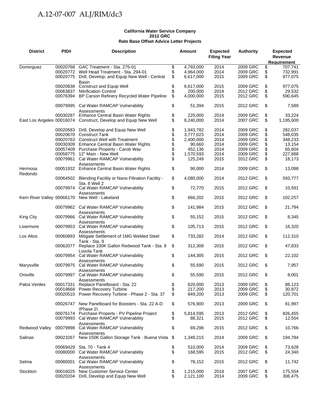#### **California Water Service Company 2012 GRC Rate Base Offset Advice Letter Projects**

| <b>District</b>    | PID#     | <b>Description</b>                                                                          |          | <b>Amount</b>       | <b>Expected</b>    | <b>Authority</b>     |          | <b>Expected</b>   |
|--------------------|----------|---------------------------------------------------------------------------------------------|----------|---------------------|--------------------|----------------------|----------|-------------------|
|                    |          |                                                                                             |          |                     | <b>Filing Year</b> |                      | Revenue  |                   |
|                    |          |                                                                                             |          |                     |                    |                      |          | Requirement       |
| Dominguez          | 00020768 | GAC Treatment - Sta. 275-01                                                                 | \$       | 4,793,000           | 2014               | 2009 GRC             | \$       | 707,741           |
|                    |          | 00020772 Well Head Treatment - Sta. 294-01                                                  | \$       | 4,964,000           | 2014               | 2009 GRC             | \$       | 732,991           |
|                    | 00020775 | Drill, Develop, and Equip New Well - Central<br>Basin                                       | \$       | 6,617,000           | 2015               | 2009 GRC             | \$       | 977,075           |
|                    | 00020838 | <b>Construct and Equip Well</b>                                                             | \$       | 6,617,000           | 2015               | 2009 GRC             | \$       | 977,075           |
|                    | 00063837 | <b>Nitrification Control</b>                                                                | \$       | 200,000             | 2014               | 2012 GRC             | \$       | 29,532            |
|                    |          | 00076394 BP Carson Refinery Recycled Water Pipeline                                         | \$       | 4,000,000           | 2015               | 2012 GRC             | \$       | 590,645           |
|                    |          | 00079995 Cal Water RAMCAP Vulnerability<br>Assessments                                      | \$       | 51,394              | 2015               | 2012 GRC             | \$       | 7,589             |
|                    |          | 00030287 Enhance Central Basin Water Rights                                                 | \$       | 225,000             | 2014               | 2009 GRC             | \$       | 33,224            |
|                    |          | East Los Angeles 00016074 Construct, Develop and Equip New Well                             | \$       | 8,240,000           | 2014               | 2007 GRC             | \$       | 1,195,600         |
|                    |          | 00020583 Drill, Develop and Equip New Well                                                  | \$       | 1,943,782           | 2014               | 2009 GRC             | \$       | 282,037           |
|                    |          | 00020670 Construct Tank                                                                     | \$       | 3,777,023           | 2014               | 2009 GRC             | \$       | 548,035           |
|                    |          | 00020763 Construct Well with Treatment                                                      | \$       | 2,400,000           | 2014               | 2009 GRC             | \$       | 348,233           |
|                    |          | 00030309 Enhance Central Basin Water Rights                                                 | \$       | 90,660              | 2014               | 2009 GRC             |          | 13,154            |
|                    | 00057409 | Purchase Property - Carob Way                                                               | \$       | 452,136             | 2014               | 2009 GRC             | \$       | 65,604            |
|                    | 00058775 | 12" Main - New Well                                                                         | \$       | 1,570,593           | 2014               | 2009 GRC             | \$       | 227,888           |
|                    | 00079961 | Cal Water RAMCAP Vulnerability<br>Assessments                                               | \$       | 125,249             | 2015               | 2012 GRC             | \$       | 18,173            |
| Hermosa<br>Redondo |          | 00051932 Enhance Central Basin Water Rights                                                 | \$       | 90,000              | 2014               | 2009 GRC             | \$       | 13,098            |
|                    |          | 00064502 Blending Facility or Nano Filtration Facility -<br>Sta. 8 Well 2                   | \$       | 4,080,000           | 2014               | 2012 GRC             | \$       | 593,777           |
|                    |          | 00079974 Cal Water RAMCAP Vulnerability<br>Assessments                                      | \$       | 72,770              | 2015               | 2012 GRC             | \$       | 10,591            |
|                    |          | Kern River Valley 00066170 New Well - Lakeland                                              | \$       | 666,202             | 2015               | 2012 GRC             | \$       | 102,257           |
|                    |          | 00079962 Cal Water RAMCAP Vulnerability<br>Assessments                                      | \$       | 141,984             | 2015               | 2012 GRC             | \$       | 21,794            |
| <b>King City</b>   |          | 00079966 Cal Water RAMCAP Vulnerability<br>Assessments                                      | \$       | 55,152              | 2015               | 2012 GRC             | \$       | 8,345             |
| Livermore          |          | 00079953 Cal Water RAMCAP Vulnerability                                                     | \$       | 105,713             | 2015               | 2012 GRC             | \$       | 16,320            |
| Los Altos          | 00060893 | Assessments<br>Mitigate Settlement of 1MG Welded Steel                                      | \$       | 733,282             | 2014               | 2012 GRC             | \$       | 112,310           |
|                    | 00062077 | Tank - Sta. 9<br>Replace 100K Gallon Redwood Tank - Sta. 8                                  | \$       | 312,308             | 2015               | 2012 GRC             | \$       | 47,833            |
|                    |          | Lovola Tank<br>00079954 Cal Water RAMCAP Vulnerability                                      | \$       | 144,305             | 2015               | 2012 GRC             | \$       | 22,102            |
| Marysville         | 00079975 | Assessments<br>Cal Water RAMCAP Vulnerability                                               | \$       | 55,590              | 2015               | 2012 GRC             | \$       | 7,957             |
| Oroville           | 00079997 | Assessments<br>Cal Water RAMCAP Vulnerability                                               | \$       | 55,590              | 2015               | 2012 GRC             | \$       | 8,001             |
| Palos Verdes       |          | Assessments<br>00017331 Replace Panelboard - Sta. 22                                        | \$       | 620,000             | 2013               | 2009 GRC             | \$       | 88,123            |
|                    |          | 00019668 Power Recovery Turbine                                                             | \$       | 217.200             | 2013               | 2009 GRC             | \$       | 30,872            |
|                    |          | 00020510 Power Recovery Turbine - Phase 2 - Sta. 37                                         | \$       | 849,200             | 2013               | 2009 GRC             | \$       | 120,701           |
|                    |          | 00026747 New Panelboard for Boosters - Sta. 22 A-D                                          | \$       | 576,900             | 2013               | 2009 GRC             | \$       | 81,997            |
|                    |          | (Phase 2)                                                                                   |          |                     |                    |                      |          |                   |
|                    |          | 00076174 Purchase Property - PV Pipeline Project<br>00079993 Cal Water RAMCAP Vulnerability | \$<br>\$ | 5,814,595<br>88,321 | 2013<br>2015       | 2012 GRC<br>2012 GRC | \$<br>\$ | 826,455<br>12,554 |
| Redwood Valley     | 00079998 | Assessments<br>Cal Water RAMCAP Vulnerability                                               | \$       | 69,298              | 2015               | 2012 GRC             | \$       | 10,766            |
| Salinas            |          | Assessments<br>00023267 New 150K Gallon Storage Tank - Buena Vista \$                       |          | 1,349,215           | 2014               | 2009 GRC             | \$       | 194,784           |
|                    | 00069429 | Sta. 70 - Tank 4                                                                            | \$       | 510,000             | 2014               | 2009 GRC             | \$       | 73,628            |
|                    | 00080000 | Cal Water RAMCAP Vulnerability                                                              | \$       | 168,595             | 2015               | 2012 GRC             | \$       | 24,340            |
| Selma              | 00080001 | Assessments<br>Cal Water RAMCAP Vulnerability                                               | \$       | 78,152              | 2015               | 2012 GRC             | \$       | 11,742            |
| Stockton           | 00016025 | Assessments<br>New Customer Service Center                                                  |          | 1,215,000           | 2014               | 2007 GRC             |          | 175,554           |
|                    |          | 00020204 Drill, Develop and Equip New Well                                                  | \$<br>\$ | 2,121,100           | 2014               | 2009 GRC             | \$<br>\$ | 306,475           |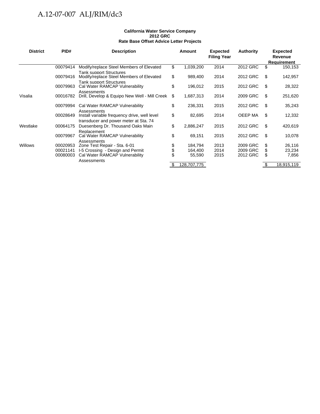#### **California Water Service Company 2012 GRC Rate Base Offset Advice Letter Projects**

| <b>District</b> | PID#                 | <b>Description</b>                                                                                   |      | <b>Amount</b>      | <b>Expected</b><br><b>Filing Year</b> | <b>Authority</b>     |      | <b>Expected</b><br>Revenue<br><b>Requirement</b> |
|-----------------|----------------------|------------------------------------------------------------------------------------------------------|------|--------------------|---------------------------------------|----------------------|------|--------------------------------------------------|
|                 | 00079414             | Modify/replace Steel Members of Elevated                                                             | \$   | 1,039,200          | 2014                                  | 2012 GRC             | \$   | 150,153                                          |
|                 | 00079416             | <b>Tank support Structures</b><br>Modify/replace Steel Members of Elevated                           | \$   | 989,400            | 2014                                  | 2012 GRC             | \$   | 142,957                                          |
|                 | 00079963             | <b>Tank support Structures</b><br>Cal Water RAMCAP Vulnerability                                     | \$   | 196,012            | 2015                                  | 2012 GRC             | \$.  | 28,322                                           |
| Visalia         | 00016782             | Assessments<br>Drill, Develop & Equipo New Well - Mill Creek                                         | \$   | 1,687,313          | 2014                                  | 2009 GRC             | \$   | 251,620                                          |
|                 | 00079994             | Cal Water RAMCAP Vulnerability                                                                       | \$   | 236,331            | 2015                                  | 2012 GRC             | \$.  | 35,243                                           |
|                 | 00028649             | Assessments<br>Install variable frequency drive, well level<br>transducer and power meter at Sta. 74 | \$   | 82,695             | 2014                                  | OEEP MA              | \$.  | 12,332                                           |
| Westlake        | 00064175             | Duesenberg Dr. Thousand Oaks Main                                                                    | \$   | 2,886,247          | 2015                                  | 2012 GRC             | \$   | 420,619                                          |
|                 | 00079967             | Replacement<br>Cal Water RAMCAP Vulnerability                                                        | \$   | 69,151             | 2015                                  | 2012 GRC             | \$   | 10,078                                           |
| <b>Willows</b>  | 00020953<br>00021141 | Assessments<br>Zone Test Repair - Sta. 6-01<br>I-5 Crossing - Design and Permit                      | \$   | 184,794<br>164,400 | 2013<br>2014                          | 2009 GRC<br>2009 GRC | \$.  | 26,116<br>23,234                                 |
|                 | 00080003             | Cal Water RAMCAP Vulnerability<br>Assessments                                                        |      | 55,590             | 2015                                  | 2012 GRC             | S    | 7,856                                            |
|                 |                      |                                                                                                      | - \$ | 128,707,775        |                                       |                      | - \$ | 18,915,119                                       |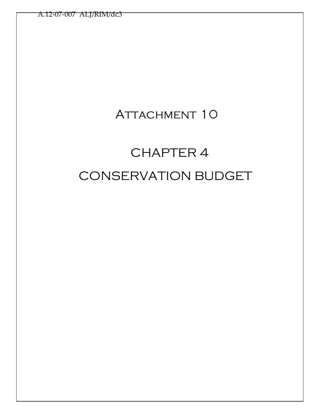## ATTACHMENT 10

# CHAPTER 4 CONSERVATION BUDGET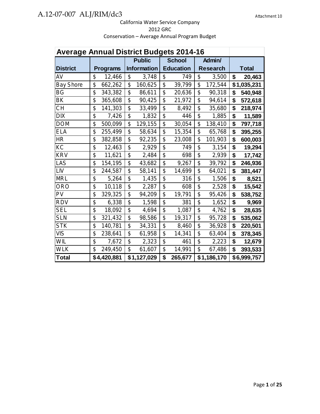| <b>Average Annual District Budgets 2014-16</b> |                 |                           |                           |                         |              |
|------------------------------------------------|-----------------|---------------------------|---------------------------|-------------------------|--------------|
|                                                |                 | <b>Public</b>             | <b>School</b>             | Admin/                  |              |
| <b>District</b>                                | <b>Programs</b> | <b>Information</b>        | <b>Education</b>          | <b>Research</b>         | <b>Total</b> |
| AV                                             | \$              | \$                        | \$                        | \$                      | \$           |
|                                                | 12,466          | 3,748                     | 749                       | 3,500                   | 20,463       |
| <b>Bay Shore</b>                               | \$<br>662,262   | \$<br>160,625             | \$<br>39,799              | \$<br>172,544           | \$1,035,231  |
| <b>BG</b>                                      | \$              | \$                        | \$                        | \$                      | \$           |
|                                                | 343,382         | 86,611                    | 20,636                    | 90,318                  | 540,948      |
| BK                                             | \$              | \$                        | \$                        | \$                      | \$           |
|                                                | 365,608         | 90,425                    | 21,972                    | 94,614                  | 572,618      |
| <b>CH</b>                                      | \$              | \$                        | \$                        | \$                      | \$           |
|                                                | 141,303         | 33,499                    | 8,492                     | 35,680                  | 218,974      |
| <b>DIX</b>                                     | \$              | \$                        | \$                        | \$                      | \$           |
|                                                | 7,426           | 1,832                     | 446                       | 1,885                   | 11,589       |
| <b>DOM</b>                                     | \$              | \$                        | \$                        | \$                      | \$           |
|                                                | 500,099         | 129,155                   | 30,054                    | 138,410                 | 797,718      |
| <b>ELA</b>                                     | \$              | \$                        | \$                        | \$                      | \$           |
|                                                | 255,499         | 58,634                    | 15,354                    | 65,768                  | 395,255      |
| <b>HR</b>                                      | \$              | \$                        | \$                        | \$                      | \$           |
|                                                | 382,858         | 92,235                    | 23,008                    | 101,903                 | 600,003      |
| $\overline{KC}$                                | \$              | $\overline{\mathfrak{s}}$ | \$                        | $\overline{\mathbb{S}}$ | \$           |
|                                                | 12,463          | 2,929                     | 749                       | 3,154                   | 19,294       |
| <b>KRV</b>                                     | \$              | $\overline{\mathcal{G}}$  | $\overline{\mathfrak{s}}$ | \$                      | \$           |
|                                                | 11,621          | 2,484                     | 698                       | 2,939                   | 17,742       |
| LAS                                            | \$              | \$                        | \$                        | \$                      | \$           |
|                                                | 154,195         | 43,682                    | 9,267                     | 39,792                  | 246,936      |
| LIV                                            | \$              | \$                        | \$                        | \$                      | \$           |
|                                                | 244,587         | 58,141                    | 14,699                    | 64,021                  | 381,447      |
| <b>MRL</b>                                     | \$              | \$                        | \$                        | \$                      | \$           |
|                                                | 5,264           | 1,435                     | 316                       | 1,506                   | 8,521        |
| <b>ORO</b>                                     | \$              | \$                        | \$                        | \$                      | \$           |
|                                                | 10,118          | 2,287                     | 608                       | 2,528                   | 15,542       |
| PV                                             | \$              | \$                        | \$                        | \$                      | \$           |
|                                                | 329,325         | 94,209                    | 19,791                    | 95,426                  | 538,752      |
| <b>RDV</b>                                     | \$              | \$                        | \$                        | \$                      | \$           |
|                                                | 6,338           | 1,598                     | 381                       | 1,652                   | 9,969        |
| <b>SEL</b>                                     | \$              | \$                        | \$                        | \$                      | \$           |
|                                                | 18,092          | 4,694                     | 1,087                     | 4,762                   | 28,635       |
| <b>SLN</b>                                     | \$              | \$                        | \$                        | \$                      | \$           |
|                                                | 321,432         | 98,586                    | 19,317                    | 95,728                  | 535,062      |
| <b>STK</b>                                     | \$              | \$                        | \$                        | \$                      | \$           |
|                                                | 140,781         | 34,331                    | 8,460                     | 36,928                  | 220,501      |
| <b>VIS</b>                                     | \$              | \$                        | \$                        | \$                      | \$           |
|                                                | 238,641         | 61,958                    | 14,341                    | 63,404                  | 378,345      |
| WIL                                            | \$              | \$                        | \$                        | \$                      | \$           |
|                                                | 7,672           | 2,323                     | 461                       | 2,223                   | 12,679       |
| <b>WLK</b>                                     | \$              | \$                        | \$                        | \$                      | \$           |
|                                                | 249,450         | 61,607                    | 14,991                    | 67,486                  | 393,533      |
| <b>Total</b>                                   | \$4,420,881     | \$1,127,029               | \$<br>265,677             | \$1,186,170             | \$6,999,757  |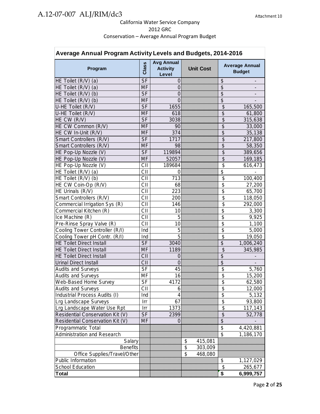| Average Annual Program Activity Levels and Budgets, 2014-2016 |           |                                               |    |                  |                                        |                                        |  |  |  |
|---------------------------------------------------------------|-----------|-----------------------------------------------|----|------------------|----------------------------------------|----------------------------------------|--|--|--|
| Program                                                       | Class     | <b>Avg Annual</b><br><b>Activity</b><br>Level |    | <b>Unit Cost</b> |                                        | <b>Average Annual</b><br><b>Budget</b> |  |  |  |
| HE Toilet (R/V) (a)                                           | <b>SF</b> | 0                                             |    |                  | \$                                     |                                        |  |  |  |
| $HE$ Toilet $(R/V)$ (a)                                       | <b>MF</b> | $\overline{0}$                                |    |                  | $\overline{\mathcal{S}}$               |                                        |  |  |  |
| HE Toilet (R/V) (b)                                           | <b>SF</b> | $\overline{0}$                                |    |                  | \$                                     |                                        |  |  |  |
| $HE$ Toilet $(R/V)$ (b)                                       | <b>MF</b> | $\overline{0}$                                |    |                  | $\overline{\mathcal{S}}$               |                                        |  |  |  |
| U-HE Toilet (R/V)                                             | <b>SF</b> | 1655                                          |    |                  | \$                                     | 165,500                                |  |  |  |
| U-HE Toilet (R/V)                                             | <b>MF</b> | 618                                           |    |                  | \$                                     | 61,800                                 |  |  |  |
| HE CW (R/V)                                                   | <b>SF</b> | 3038                                          |    |                  | $\overline{\mathcal{S}}$               | 315,638                                |  |  |  |
| HE CW Common (R/V)                                            | <b>MF</b> | 90                                            |    |                  | $\overline{\mathcal{S}}$               | 33,000                                 |  |  |  |
| HE CW In-Unit (R/V)                                           | <b>MF</b> | 374                                           |    |                  | $\overline{\$}$                        | 35,138                                 |  |  |  |
| Smart Controllers (R/V)                                       | <b>SF</b> | 1717                                          |    |                  | \$                                     | 217,800                                |  |  |  |
| Smart Controllers (R/V)                                       | <b>MF</b> | 98                                            |    |                  | $\overline{\mathcal{S}}$               | 58,350                                 |  |  |  |
| HE Pop-Up Nozzle (V)                                          | <b>SF</b> | 119894                                        |    |                  | \$                                     | 389,656                                |  |  |  |
| HE Pop-Up Nozzle (V)                                          | MF        | 52057                                         |    |                  | $\overline{\mathcal{S}}$               | 169,185                                |  |  |  |
| HE Pop-Up Nozzle (V)                                          | CII       | 189684                                        |    |                  | \$                                     | 616,473                                |  |  |  |
| HE Toilet (R/V) (a)                                           | CII       | 0                                             |    |                  | \$                                     |                                        |  |  |  |
| HE Toilet (R/V) (b)                                           | CII       | 713                                           |    |                  | \$                                     | 100,400                                |  |  |  |
| HE CW Coin-Op (R/V)                                           | CII       | 68                                            |    |                  | \$                                     | 27,200                                 |  |  |  |
| HE Urinals (R/V)                                              | CII       | 223                                           |    |                  | \$                                     | 65,700                                 |  |  |  |
| Smart Controllers (R/V)                                       | CII       | 200                                           |    |                  | \$                                     | 118,050                                |  |  |  |
| Commercial Irrigation Sys (R)                                 | CII       | 146                                           |    |                  | \$                                     | 292,000                                |  |  |  |
| Commercial Kitchen (R)                                        | CII       | 10                                            |    |                  | \$                                     | 3,300                                  |  |  |  |
| Ice Machine (R)                                               | CII       | 5                                             |    |                  | \$                                     |                                        |  |  |  |
|                                                               | CII       |                                               |    |                  | \$                                     | 9,925                                  |  |  |  |
| Pre-Rinse Spray Valve (R)                                     |           | 10                                            |    |                  | $\overline{\boldsymbol{\mathfrak{s}}}$ | 1,100                                  |  |  |  |
| Cooling Tower Controller (R/I)                                | Ind       | 5<br>$\overline{5}$                           |    |                  |                                        | 5,000                                  |  |  |  |
| Cooling Tower pH Contr. (R/I)                                 | Ind       |                                               |    |                  | \$                                     | 19,050                                 |  |  |  |
| <b>HE Toilet Direct Install</b>                               | <b>SF</b> | 3040                                          |    |                  | $\overline{\mathcal{S}}$               | 1,006,240                              |  |  |  |
| <b>HE Toilet Direct Install</b>                               | MF        | 1189                                          |    |                  | \$                                     | 345,985                                |  |  |  |
| <b>HE Toilet Direct Install</b>                               | CII       | 0                                             |    |                  | \$                                     |                                        |  |  |  |
| <b>Urinal Direct Install</b>                                  | CII       | 0                                             |    |                  | $\overline{\mathcal{S}}$               |                                        |  |  |  |
| <b>Audits and Surveys</b>                                     | <b>SF</b> | 45                                            |    |                  | \$                                     | 5,760                                  |  |  |  |
| <b>Audits and Surveys</b>                                     | MF        | 16                                            |    |                  | \$                                     | 15,200                                 |  |  |  |
| Web-Based Home Survey                                         | SF        | 4172                                          |    |                  | \$                                     | 62,580                                 |  |  |  |
| <b>Audits and Surveys</b>                                     | CII       | 6                                             |    |                  | \$                                     | 12,000                                 |  |  |  |
| Industrial Process Audits (I)                                 | Ind       | 4                                             |    |                  | \$                                     | 5,132                                  |  |  |  |
| Lrg Landscape Surveys                                         | Irr       | 67                                            |    |                  | $\overline{\mathcal{S}}$               | 93,800                                 |  |  |  |
| Lrg Landscape Water Use Rpt                                   | Irr       | 1373                                          |    |                  | $\overline{\$}$                        | 117,143                                |  |  |  |
| Residential Conservation Kit (V)                              | <b>SF</b> | 2399                                          |    |                  | $\overline{\$}$                        | 52,778                                 |  |  |  |
| Residential Conservation Kit (V)                              | MF        | 0                                             |    |                  | $\overline{\$}$                        |                                        |  |  |  |
| <b>Programmatic Total</b>                                     |           |                                               |    |                  | \$                                     | 4,420,881                              |  |  |  |
| <b>Administration and Research</b>                            |           |                                               |    |                  | $\overline{\mathcal{S}}$               | 1,186,170                              |  |  |  |
| Salary                                                        |           |                                               | \$ | 415,081          |                                        |                                        |  |  |  |
| <b>Benefits</b>                                               |           |                                               | \$ | 303,009          |                                        |                                        |  |  |  |
| Office Supplies/Travel/Other                                  |           |                                               | \$ | 468,080          |                                        |                                        |  |  |  |
| Public Information                                            |           |                                               |    |                  | \$                                     | 1,127,029                              |  |  |  |
| <b>School Education</b>                                       |           |                                               |    |                  | \$                                     | 265,677                                |  |  |  |
| <b>Total</b>                                                  |           |                                               |    |                  | \$                                     | 6,999,757                              |  |  |  |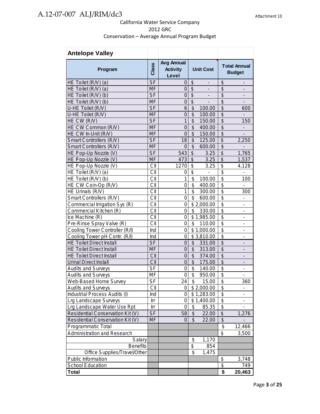| <b>Antelope Valley</b>           |           |                                               |                                    |                                                         |
|----------------------------------|-----------|-----------------------------------------------|------------------------------------|---------------------------------------------------------|
| Program                          | Class     | <b>Avg Annual</b><br><b>Activity</b><br>Level | <b>Unit Cost</b>                   | <b>Total Annual</b><br><b>Budget</b>                    |
| HE Toilet (R/V) (a)              | <b>SF</b> | 0                                             | \$<br>$\qquad \qquad \blacksquare$ | \$<br>$\overline{\phantom{a}}$                          |
| HE Toilet (R/V) (a)              | <b>MF</b> | 0                                             | \$<br>$\overline{\phantom{a}}$     | \$                                                      |
| HE Toilet (R/V) (b)              | <b>SF</b> | $\overline{0}$                                | \$<br>$\blacksquare$               | $\overline{\mathcal{G}}$                                |
| HE Toilet (R/V) (b)              | <b>MF</b> | $\mathbf 0$                                   | $\overline{\$}$                    | $\overline{\mathcal{S}}$                                |
| U-HE Toilet (R/V)                | <b>SF</b> | 6                                             | \$<br>100.00                       | $\overline{\mathcal{S}}$<br>600                         |
| U-HE Toilet (R/V)                | <b>MF</b> | $\mathbf 0$                                   | $\overline{\mathcal{S}}$<br>100.00 | $\overline{\mathcal{S}}$                                |
| HE CW (R/V)                      | <b>SF</b> | $\mathbf{1}$                                  | \$<br>150.00                       | \$<br>150                                               |
| HE CW Common (R/V)               | <b>MF</b> | $\overline{0}$                                | \$<br>400.00                       | $\overline{\mathcal{G}}$                                |
| HE CW In-Unit (R/V)              | <b>MF</b> | $\overline{0}$                                | \$<br>150.00                       | $\overline{\mathcal{S}}$                                |
| Smart Controllers (R/V)          | <b>SF</b> | 18                                            | \$<br>125.00                       | \$<br>2,250                                             |
| Smart Controllers (R/V)          | <b>MF</b> | 0                                             | $\overline{\mathcal{S}}$<br>600.00 | $\overline{\$}$                                         |
| HE Pop-Up Nozzle (V)             | <b>SF</b> | 543                                           | \$<br>3.25                         | \$<br>1,765                                             |
| HE Pop-Up Nozzle (V)             | <b>MF</b> | 473                                           | \$<br>3.25                         | $\overline{\$}$<br>1,537                                |
| HE Pop-Up Nozzle (V)             | CII       | 1270                                          | \$<br>3.25                         | $\overline{\boldsymbol{\theta}}$<br>4,128               |
| HE Toilet (R/V) (a)              | CII       | 0                                             | $\overline{\$}$                    | $\overline{\$}$                                         |
| HE Toilet (R/V) (b)              | CII       | $\mathbf 1$                                   | $\overline{\$}$<br>100.00          | $\overline{\$}$<br>100                                  |
| HE CW Coin-Op (R/V)              | CII       | 0                                             | \$<br>400.00                       | $\overline{\mathbf{S}}$                                 |
| HE Urinals (R/V)                 | CII       | $\mathbf 1$                                   | \$<br>300.00                       | \$<br>300                                               |
| Smart Controllers (R/V)          | CII       | 0                                             | \$<br>600.00                       | $\overline{\mathbf{S}}$<br>$\overline{\phantom{a}}$     |
| Commercial Irrigation Sys (R)    | CII       | 0                                             | \$2,000.00                         | $\overline{\mathfrak{s}}$<br>-                          |
| Commercial Kitchen (R)           | CII       | 0                                             | \$<br>330.00                       | \$<br>$\qquad \qquad \blacksquare$                      |
| Ice Machine (R)                  | CII       | 0                                             | \$1,985.00                         | \$<br>$\qquad \qquad \blacksquare$                      |
| Pre-Rinse Spray Valve (R)        | CII       | 0                                             | \$<br>110.00                       | \$<br>$\qquad \qquad \blacksquare$                      |
| Cooling Tower Controller (R/I)   | Ind       | 0                                             | \$1,000.00                         | $\overline{\mathbf{S}}$<br>$\qquad \qquad \blacksquare$ |
| Cooling Tower pH Contr. (R/I)    | Ind       | 0                                             | \$3,810.00                         | $\overline{\mathcal{S}}$<br>$\blacksquare$              |
| <b>HE Toilet Direct Install</b>  | <b>SF</b> | $\mathbf 0$                                   | \$<br>331.00                       | \$<br>$\qquad \qquad \blacksquare$                      |
| <b>HE Toilet Direct Install</b>  | <b>MF</b> | $\mathbf 0$                                   | \$<br>313.00                       | $\overline{\mathcal{G}}$                                |
| <b>HE Toilet Direct Install</b>  | CII       | $\mathbf 0$                                   | \$<br>374.00                       | \$                                                      |
| <b>Urinal Direct Install</b>     | CII       | $\mathbf 0$                                   | \$<br>175.00                       | \$                                                      |
| <b>Audits and Surveys</b>        | <b>SF</b> | 0                                             | \$<br>140.00                       | \$<br>$\overline{\phantom{0}}$                          |
| <b>Audits and Surveys</b>        | MF        | 0                                             | \$<br>950.00                       | \$                                                      |
| Web-Based Home Survey            | <b>SF</b> | 24                                            | \$<br>15.00                        | \$<br>360                                               |
| <b>Audits and Surveys</b>        | CII       | 0                                             | \$2,000.00                         | \$                                                      |
| Industrial Process Audits (I)    | Ind       | 0                                             | \$1,283.00                         | \$                                                      |
| Lrg Landscape Surveys            | Irr       | 0                                             | \$1,400.00                         | $\overline{\$}$                                         |
| Lrg Landscape Water Use Rpt      | Irr       | 0                                             | \$<br>85.35                        | $\overline{\$}$                                         |
| Residential Conservation Kit (V) | <b>SF</b> | 58                                            | \$<br>22.00                        | $\overline{\mathcal{L}}$<br>1,276                       |
| Residential Conservation Kit (V) | <b>MF</b> | 0                                             | \$<br>22.00                        | $\overline{\$}$                                         |
| Programmatic Total               |           |                                               |                                    | \$<br>12,466                                            |
| Administration and Research      |           |                                               |                                    | \$<br>3,500                                             |
| Salary                           |           |                                               | \$<br>1,170                        |                                                         |
| <b>Benefits</b>                  |           |                                               | \$<br>854                          |                                                         |
| Office Supplies/Travel/Other     |           |                                               | \$<br>1,475                        |                                                         |
| Public Information               |           |                                               |                                    | \$<br>3,748                                             |
| School Education                 |           |                                               |                                    | \$<br>749                                               |
| <b>Total</b>                     |           |                                               |                                    | \$<br>20,463                                            |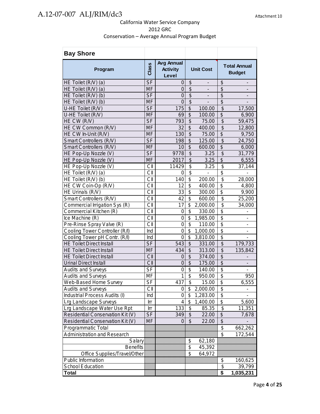| <b>Bay Shore</b>                 |           |                                               |                                      |                          |                                      |                                      |
|----------------------------------|-----------|-----------------------------------------------|--------------------------------------|--------------------------|--------------------------------------|--------------------------------------|
| Program                          | Class     | <b>Avg Annual</b><br><b>Activity</b><br>Level | <b>Unit Cost</b>                     |                          |                                      | <b>Total Annual</b><br><b>Budget</b> |
| HE Toilet (R/V) (a)              | <b>SF</b> | 0                                             | \$                                   | $\overline{\phantom{a}}$ | \$                                   | $\overline{\phantom{a}}$             |
| HE Toilet (R/V) (a)              | <b>MF</b> | 0                                             | $\overline{\mathcal{S}}$             | $\overline{\phantom{a}}$ | $\overline{\mathcal{S}}$             | $\overline{\phantom{a}}$             |
| HE Toilet (R/V) (b)              | <b>SF</b> | $\overline{0}$                                | $\frac{1}{2}$                        |                          | \$                                   |                                      |
| HE Toilet (R/V) (b)              | <b>MF</b> | $\overline{0}$                                | $\overline{\mathcal{S}}$             |                          | $\overline{\mathcal{S}}$             |                                      |
| U-HE Toilet (R/V)                | <b>SF</b> | 175                                           | \$                                   | 100.00                   | \$                                   | 17,500                               |
| U-HE Toilet (R/V)                | <b>MF</b> | 69                                            | $\overline{\mathcal{S}}$             | 100.00                   | \$                                   | 6,900                                |
| HE CW (R/V)                      | $S$ F     | 793                                           | \$                                   | 75.00                    | \$                                   | 59,475                               |
| HE CW Common (R/V)               | <b>MF</b> | 32                                            | $\overline{\mathcal{S}}$             | 400.00                   | $\overline{\mathcal{S}}$             | 12,800                               |
| HE CW In-Unit (R/V)              | <b>MF</b> | 130                                           | \$                                   | 75.00                    | \$                                   | 9,750                                |
| Smart Controllers (R/V)          | <b>SF</b> | 198                                           | $\overline{\mathcal{S}}$             | 125.00                   | $\overline{\mathcal{S}}$             | 24,750                               |
| Smart Controllers (R/V)          | <b>MF</b> | 10                                            | $\overline{\mathcal{S}}$             | 600.00                   | $\overline{\$}$                      | 6,000                                |
| HE Pop-Up Nozzle (V)             | $S$ F     | 9778                                          | $\overline{\$}$                      | 3.25                     | $\overline{\$}$                      | 31,779                               |
| HE Pop-Up Nozzle (V)             | <b>MF</b> | 2017                                          | $\overline{\mathcal{S}}$             | 3.25                     | $\overline{\mathcal{S}}$             | 6,555                                |
| HE Pop-Up Nozzle (V)             | CII       | 11429                                         | \$                                   | 3.25                     | \$                                   | 37,144                               |
| HE Toilet (R/V) (a)              | CII       | 0                                             | \$                                   |                          | \$                                   |                                      |
| HE Toilet (R/V) (b)              | CII       | 140                                           | \$                                   | 200.00                   | \$                                   | 28,000                               |
| HE CW Coin-Op (R/V)              | CII       | 12                                            | \$                                   | 400.00                   | \$                                   | 4,800                                |
| HE Urinals (R/V)                 | CII       | 33                                            | \$                                   | 300.00                   | \$                                   | 9,900                                |
| Smart Controllers (R/V)          | CII       | 42                                            | $\boldsymbol{\mathsf{S}}$            | 600.00                   | \$                                   | 25,200                               |
| Commercial Irrigation Sys (R)    | CII       | 17                                            | \$                                   | 2,000.00                 | \$                                   | 34,000                               |
| Commercial Kitchen (R)           | CII       | $\boldsymbol{0}$                              | $\overline{\mathcal{S}}$             | 330.00                   | $\overline{\mathbf{S}}$              |                                      |
| Ice Machine (R)                  | CII       | 0                                             | \$                                   | 1,985.00                 | $\overline{\$}$                      | L,                                   |
| Pre-Rinse Spray Valve (R)        | CII       | 0                                             | \$                                   | 110.00                   | \$                                   | $\overline{\phantom{0}}$             |
| Cooling Tower Controller (R/I)   | Ind       | 0                                             | \$                                   | 1,000.00                 | \$                                   | $\qquad \qquad \blacksquare$         |
| Cooling Tower pH Contr. (R/I)    | Ind       | 0                                             | \$                                   | 3,810.00                 | \$                                   |                                      |
| <b>HE Toilet Direct Install</b>  | <b>SF</b> | 543                                           | $\overline{\mathcal{S}}$             | 331.00                   | $\overline{\$}$                      | 179,733                              |
| <b>HE Toilet Direct Install</b>  | <b>MF</b> | 434                                           | \$                                   | 313.00                   | \$                                   | 135,842                              |
| <b>HE Toilet Direct Install</b>  | CII       | 0                                             | $\overline{\mathcal{S}}$             | 374.00                   | $\overline{\$}$                      |                                      |
| <b>Urinal Direct Install</b>     | CII       | $\overline{0}$                                | $\overline{\$}$                      | 175.00                   | $\overline{\$}$                      |                                      |
| <b>Audits and Surveys</b>        | $S_{F}$   | 0                                             | $\overline{\boldsymbol{\mathsf{s}}}$ | 140.00                   | $\overline{\$}$                      |                                      |
| <b>Audits and Surveys</b>        | MF        | $\mathbf 1$                                   | $\overline{\$}$                      | 950.00                   | $\overline{\$}$                      | 950                                  |
| Web-Based Home Survey            | SĒ        | 437                                           | \$                                   | 15.00                    | \$                                   | 6,555                                |
| <b>Audits and Surveys</b>        | CII       | 0                                             | \$                                   | 2,000.00                 | \$                                   |                                      |
| Industrial Process Audits (I)    | Ind       | 0                                             | \$                                   | 1,283.00                 | \$                                   |                                      |
| Lrg Landscape Surveys            | Irr       | 4                                             | \$                                   | 1,400.00                 | \$                                   | 5,600                                |
| Lrg Landscape Water Use Rpt      | Irr       | 133                                           | \$                                   | 85.35                    | \$                                   | 11,351                               |
| Residential Conservation Kit (V) | <b>SF</b> | 349                                           | \$                                   | 22.00                    | \$                                   | 7,678                                |
| Residential Conservation Kit (V) | <b>MF</b> | $\overline{0}$                                | $\boldsymbol{\mathsf{S}}$            | 22.00                    | \$                                   |                                      |
| Programmatic Total               |           |                                               |                                      |                          | \$                                   | 662,262                              |
| Administration and Research      |           |                                               |                                      |                          | $\overline{\mathfrak{s}}$            | 172,544                              |
| Salary                           |           |                                               | \$                                   | 62,180                   |                                      |                                      |
| <b>Benefits</b>                  |           |                                               | $\overline{\boldsymbol{\mathsf{s}}}$ | 45,392                   |                                      |                                      |
| Office Supplies/Travel/Other     |           |                                               | \$                                   | 64,972                   |                                      |                                      |
| Public Information               |           |                                               |                                      |                          | \$                                   | 160,625                              |
| School Education                 |           |                                               |                                      |                          | $\overline{\mathfrak{s}}$            | 39,799                               |
| Total                            |           |                                               |                                      |                          | $\overline{\boldsymbol{\mathsf{s}}}$ | 1,035,231                            |
|                                  |           |                                               |                                      |                          |                                      |                                      |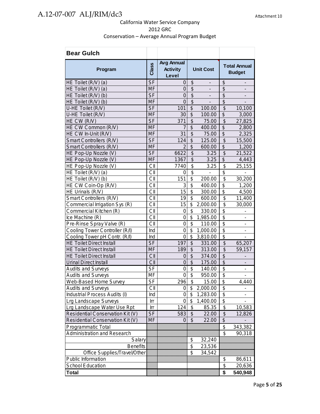| <b>Bear Gulch</b>                  |           |                                               |                                  |                          |                           |                                      |
|------------------------------------|-----------|-----------------------------------------------|----------------------------------|--------------------------|---------------------------|--------------------------------------|
| Program                            | Class     | <b>Avg Annual</b><br><b>Activity</b><br>Level | <b>Unit Cost</b>                 |                          |                           | <b>Total Annual</b><br><b>Budget</b> |
| HE Toilet (R/V) (a)                | <b>SF</b> | 0                                             | \$                               |                          | \$                        | -                                    |
| HE Toilet (R/V) (a)                | <b>MF</b> | $\overline{0}$                                | $\overline{\$}$                  |                          | $\overline{\mathcal{S}}$  |                                      |
| HE Toilet (R/V) (b)                | <b>SF</b> | 0                                             | $\overline{\$}$                  | $\overline{\phantom{m}}$ | $\overline{\mathcal{S}}$  | $\overline{\phantom{m}}$             |
| HE Toilet (R/V) (b)                | <b>MF</b> | $\Omega$                                      | $\overline{\mathcal{S}}$         |                          | \$                        |                                      |
| U-HE Toilet (R/V)                  | <b>SF</b> | 101                                           | \$                               | 100.00                   | \$                        | 10,100                               |
| U-HE Toilet (R/V)                  | <b>MF</b> | 30                                            | \$                               | 100.00                   | \$                        | 3,000                                |
| HE CW (R/V)                        | <b>SF</b> | 371                                           | \$                               | 75.00                    | \$                        | 27,825                               |
| HE CW Common (R/V)                 | <b>MF</b> | 7                                             | \$                               | 400.00                   | \$                        | 2,800                                |
| HE CW In-Unit (R/V)                | <b>MF</b> | 31                                            | \$                               | 75.00                    | $\overline{\mathcal{L}}$  | 2,325                                |
| Smart Controllers (R/V)            | <b>SF</b> | 124                                           | \$                               | 125.00                   | \$                        | 15,500                               |
| Smart Controllers (R/V)            | <b>MF</b> | $\overline{2}$                                | $\overline{\mathcal{S}}$         | 600.00                   | \$                        | 1,200                                |
| HE Pop-Up Nozzle (V)               | <b>SF</b> | 6622                                          | \$                               | 3.25                     | \$                        | 21,522                               |
| HE Pop-Up Nozzle (V)               | <b>MF</b> | 1367                                          | \$                               | 3.25                     | \$                        | 4,443                                |
| HE Pop-Up Nozzle (V)               | CII       | 7740                                          | $\overline{\$}$                  | 3.25                     | \$                        | 25,155                               |
| HE Toilet (R/V) (a)                | CII       | 0                                             | \$                               |                          | \$                        |                                      |
| HE Toilet (R/V) (b)                | CII       | 151                                           | $\overline{\mathfrak{s}}$        | 200.00                   | \$                        | 30,200                               |
| HE CW Coin-Op (R/V)                | CII       | 3                                             | $\overline{\$}$                  | 400.00                   | $\overline{\$}$           | 1,200                                |
| HE Urinals (R/V)                   | CII       | 15                                            | \$                               | 300.00                   | \$                        | 4,500                                |
| Smart Controllers (R/V)            | CII       | 19                                            | $\overline{\mathbf{S}}$          | 600.00                   | $\overline{\mathcal{S}}$  | 11,400                               |
| Commercial Irrigation Sys (R)      | CII       | 15                                            | \$                               | 2,000.00                 | \$                        | 30,000                               |
| Commercial Kitchen (R)             | CII       | $\mathbf 0$                                   | \$                               | 330.00                   | \$                        | $\qquad \qquad \blacksquare$         |
| Ice Machine (R)                    | CII       | 0                                             | \$                               | 1,985.00                 | $\overline{\mathbf{S}}$   | -                                    |
| Pre-Rinse Spray Valve (R)          | CII       | $\mathbf 0$                                   | \$                               | 110.00                   | $\overline{\mathbf{S}}$   | -                                    |
| Cooling Tower Controller (R/I)     | Ind       | 0                                             | \$                               | 1,000.00                 | $\overline{\$}$           | $\qquad \qquad \blacksquare$         |
| Cooling Tower pH Contr. (R/I)      | Ind       | 0                                             | \$                               | 3,810.00                 | \$                        | $\qquad \qquad \blacksquare$         |
| <b>HE Toilet Direct Install</b>    | <b>SF</b> | 197                                           | \$                               | 331.00                   | \$                        | 65,207                               |
| <b>HE Toilet Direct Install</b>    | <b>MF</b> | 189                                           | $\frac{1}{2}$                    | 313.00                   | $\frac{1}{2}$             | 59,157                               |
| <b>HE Toilet Direct Install</b>    | CII       | 0                                             | \$                               | 374.00                   | \$                        |                                      |
| <b>Urinal Direct Install</b>       | CII       | $\overline{0}$                                | $\overline{\mathcal{S}}$         | 175.00                   | $\overline{\$}$           | $\overline{a}$                       |
| <b>Audits and Surveys</b>          | <b>SF</b> | $\mathbf 0$                                   | $\boldsymbol{\mathsf{S}}$        | 140.00                   | \$                        | $\overline{a}$                       |
| <b>Audits and Surveys</b>          | MF        | $\overline{0}$                                | \$                               | 950.00                   | \$                        |                                      |
| Web-Based Home Survey              | $S_{F}$   | 296                                           | $\overline{\boldsymbol{\theta}}$ | 15.00                    | $\overline{\mathbf{G}}$   | 4,440                                |
| <b>Audits and Surveys</b>          | СII       | 0                                             | \$                               | 2,000.00                 | \$                        |                                      |
| Industrial Process Audits (I)      | Ind       | 0                                             | \$                               | 1,283.00                 | $\overline{\mathbf{S}}$   |                                      |
| Lrg Landscape Surveys              | Irr       | 0                                             | \$                               | 1,400.00                 | $\overline{\mathfrak{s}}$ |                                      |
| Lrg Landscape Water Use Rpt        | Irr       | 124                                           | \$                               | 85.35                    | \$                        | 10,583                               |
| Residential Conservation Kit (V)   | <b>SF</b> | 583                                           | \$                               | 22.00                    | \$                        | 12,826                               |
| Residential Conservation Kit (V)   | <b>MF</b> | 0                                             | $\overline{\mathcal{S}}$         | 22.00                    | $\overline{\mathcal{G}}$  |                                      |
| <b>Programmatic Total</b>          |           |                                               |                                  |                          | $\overline{\mathcal{S}}$  |                                      |
| <b>Administration and Research</b> |           |                                               |                                  |                          | $\overline{\mathbf{S}}$   | 343,382                              |
|                                    |           |                                               |                                  |                          |                           | 90,318                               |
| Salary                             |           |                                               | \$                               | 32,240                   |                           |                                      |
| <b>Benefits</b>                    |           |                                               | \$                               | 23,536                   |                           |                                      |
| Office Supplies/Travel/Other       |           |                                               | \$                               | 34,542                   |                           |                                      |
| Public Information                 |           |                                               |                                  |                          | \$                        | 86,611                               |
| School Education                   |           |                                               |                                  |                          | \$                        | 20,636                               |
| <b>Total</b>                       |           |                                               |                                  |                          | \$                        | 540,948                              |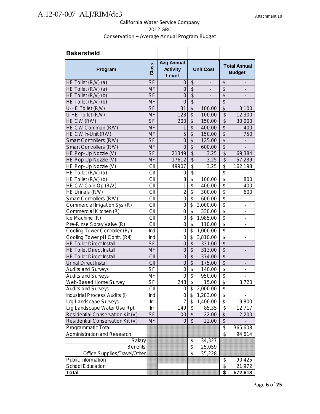| <b>Bakersfield</b>               |           |                                               |                          |                          |                           |                              |  |                                      |  |
|----------------------------------|-----------|-----------------------------------------------|--------------------------|--------------------------|---------------------------|------------------------------|--|--------------------------------------|--|
| Program                          | Class     | <b>Avg Annual</b><br><b>Activity</b><br>Level | <b>Unit Cost</b>         |                          |                           |                              |  | <b>Total Annual</b><br><b>Budget</b> |  |
| HE Toilet (R/V) (a)              | <b>SF</b> | 0                                             | \$                       | $\overline{\phantom{a}}$ | \$                        | $\overline{\phantom{a}}$     |  |                                      |  |
| HE Toilet (R/V) (a)              | <b>MF</b> | $\mathbf 0$                                   | \$                       | $\overline{\phantom{a}}$ | \$                        | $\qquad \qquad \blacksquare$ |  |                                      |  |
| HE Toilet (R/V) (b)              | <b>SF</b> | $\overline{0}$                                | $\overline{\$}$          | $\overline{\phantom{0}}$ | $\overline{\mathcal{G}}$  | $\overline{\phantom{a}}$     |  |                                      |  |
| HE Toilet (R/V) (b)              | <b>MF</b> | $\overline{0}$                                | $\overline{\$}$          | $\overline{\phantom{0}}$ | $\overline{\$}$           |                              |  |                                      |  |
| U-HE Toilet (R/V)                | <b>SF</b> | 31                                            | $\overline{\$}$          | 100.00                   | $\overline{\$}$           | 3,100                        |  |                                      |  |
| U-HE Toilet (R/V)                | <b>MF</b> | 123                                           | $\overline{\mathcal{S}}$ | 100.00                   | \$                        | 12,300                       |  |                                      |  |
| HE CW (R/V)                      | <b>SF</b> | 200                                           | $\overline{\mathcal{S}}$ | 150.00                   | \$                        | 30,000                       |  |                                      |  |
| HE CW Common (R/V)               | <b>MF</b> | 1                                             | $\overline{\mathcal{S}}$ | 400.00                   | $\overline{\mathcal{S}}$  | 400                          |  |                                      |  |
| HE CW In-Unit (R/V)              | <b>MF</b> | 5                                             | \$                       | 150.00                   | \$                        | 750                          |  |                                      |  |
| Smart Controllers (R/V)          | <b>SF</b> | $\mathbf 0$                                   | $\overline{\$}$          | 125.00                   | $\overline{\$}$           |                              |  |                                      |  |
| Smart Controllers (R/V)          | <b>MF</b> | $\Omega$                                      | \$                       | 600.00                   | $\overline{\mathcal{L}}$  |                              |  |                                      |  |
| HE Pop-Up Nozzle (V)             | <b>SF</b> | 21349                                         | $\overline{\mathcal{S}}$ | 3.25                     | $\overline{\mathcal{S}}$  | 69,384                       |  |                                      |  |
| HE Pop-Up Nozzle (V)             | <b>MF</b> | 17612                                         | $\overline{\$}$          | 3.25                     | $\overline{\mathcal{S}}$  | 57,239                       |  |                                      |  |
| HE Pop-Up Nozzle (V)             | CII       | 49907                                         | $\overline{\$}$          | 3.25                     | \$                        | 162,198                      |  |                                      |  |
| HE Toilet (R/V) (a)              | CII       | 0                                             | $\overline{\mathbf{S}}$  | $\overline{\phantom{0}}$ | \$                        | $\overline{\phantom{0}}$     |  |                                      |  |
| HE Toilet (R/V) (b)              | CII       | 8                                             | \$                       | 100.00                   | \$                        | 800                          |  |                                      |  |
| HE CW Coin-Op (R/V)              | CII       | 1                                             | \$                       | 400.00                   | $\overline{\$}$           | 400                          |  |                                      |  |
| HE Urinals (R/V)                 | СII       | $\overline{2}$                                | \$                       | 300.00                   | $\overline{\$}$           | 600                          |  |                                      |  |
| Smart Controllers (R/V)          | CII       | $\overline{0}$                                | \$                       | 600.00                   | $\overline{\$}$           | $\overline{\phantom{a}}$     |  |                                      |  |
| Commercial Irrigation Sys (R)    | CII       | 0                                             | \$                       | 2,000.00                 | $\overline{\mathcal{S}}$  | $\overline{\phantom{a}}$     |  |                                      |  |
| Commercial Kitchen (R)           | CII       | $\overline{0}$                                | \$                       | 330.00                   | $\overline{\$}$           | $\overline{\phantom{a}}$     |  |                                      |  |
| Ice Machine (R)                  | CII       | $\mathbf 0$                                   | \$                       | 1,985.00                 | $\overline{\$}$           | $\qquad \qquad \blacksquare$ |  |                                      |  |
| Pre-Rinse Spray Valve (R)        | CII       | $\overline{0}$                                | \$                       | 110.00                   | $\overline{\$}$           | $\overline{\phantom{a}}$     |  |                                      |  |
| Cooling Tower Controller (R/I)   | Ind       | $\mathbf 0$                                   | \$                       | 1,000.00                 | $\overline{\mathfrak{s}}$ | $\overline{a}$               |  |                                      |  |
| Cooling Tower pH Contr. (R/I)    | Ind       | $\mathbf 0$                                   | \$                       | 3,810.00                 | $\overline{\mathbf{S}}$   | $\overline{a}$               |  |                                      |  |
| <b>HE Toilet Direct Install</b>  | <b>SF</b> | $\mathbf 0$                                   | \$                       | 331.00                   | $\overline{\mathcal{L}}$  | $\overline{\phantom{a}}$     |  |                                      |  |
| <b>HE Toilet Direct Install</b>  | <b>MF</b> | $\overline{0}$                                | $\overline{\mathcal{S}}$ | 313.00                   | $\overline{\$}$           |                              |  |                                      |  |
| <b>HE Toilet Direct Install</b>  | CII       | $\overline{0}$                                | $\overline{\$}$          | 374.00                   | $\overline{\$}$           |                              |  |                                      |  |
| <b>Urinal Direct Install</b>     | CII       | $\overline{0}$                                | $\overline{\mathcal{S}}$ | 175.00                   | $\overline{\mathcal{S}}$  | $\overline{\phantom{m}}$     |  |                                      |  |
| <b>Audits and Surveys</b>        | <b>SF</b> | 0                                             | \$                       | 140.00                   | $\overline{\mathfrak{s}}$ | $\overline{a}$               |  |                                      |  |
| <b>Audits and Surveys</b>        | MF        | $\mathbf 0$                                   | \$                       | 950.00                   | $\overline{\mathfrak{s}}$ | $\overline{a}$               |  |                                      |  |
| Web-Based Home Survey            | SF        | 248                                           | $\overline{\mathcal{S}}$ | 15.00                    | $\overline{\mathbf{S}}$   | 3,720                        |  |                                      |  |
| <b>Audits and Surveys</b>        | CII       | 0                                             | \$                       | 2,000.00                 | $\overline{\mathbf{S}}$   |                              |  |                                      |  |
| Industrial Process Audits (I)    | Ind       | 0                                             | \$                       | 1,283.00                 | \$                        |                              |  |                                      |  |
| Lrg Landscape Surveys            | Irr       | 7                                             | \$                       | 1,400.00                 | $\overline{\mathcal{E}}$  | 9,800                        |  |                                      |  |
| Lrg Landscape Water Use Rpt      | Irr       | 149                                           | \$                       | 85.35                    | \$                        | 12,717                       |  |                                      |  |
| Residential Conservation Kit (V) | <b>SF</b> | 100                                           | \$                       | 22.00                    | \$                        | 2,200                        |  |                                      |  |
| Residential Conservation Kit (V) | <b>MF</b> | 0                                             | \$                       | 22.00                    | \$                        |                              |  |                                      |  |
| Programmatic Total               |           |                                               |                          |                          | \$                        | 365,608                      |  |                                      |  |
| Administration and Research      |           |                                               |                          |                          | \$                        | 94,614                       |  |                                      |  |
| Salary                           |           |                                               | \$                       | 34,327                   |                           |                              |  |                                      |  |
| <b>Benefits</b>                  |           |                                               | \$                       | 25,059                   |                           |                              |  |                                      |  |
| Office Supplies/Travel/Other     |           |                                               | \$                       | 35,228                   |                           |                              |  |                                      |  |
| Public Information               |           |                                               |                          |                          | \$                        | 90,425                       |  |                                      |  |
| School Education                 |           |                                               |                          |                          | \$                        | 21,972                       |  |                                      |  |
| Total                            |           |                                               |                          |                          | \$                        | 572,618                      |  |                                      |  |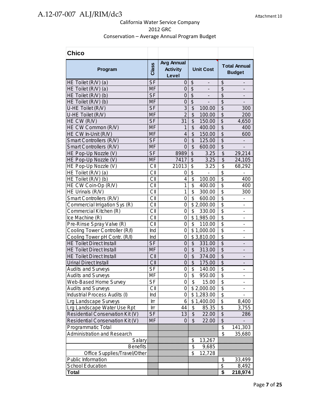| <b>Chico</b>                     |                          |                                               |                                                          |                          |                                      |
|----------------------------------|--------------------------|-----------------------------------------------|----------------------------------------------------------|--------------------------|--------------------------------------|
| Program                          | Class                    | <b>Avg Annual</b><br><b>Activity</b><br>Level | <b>Unit Cost</b>                                         |                          | <b>Total Annual</b><br><b>Budget</b> |
| HE Toilet (R/V) (a)              | <b>SF</b>                | $\overline{0}$                                | $\boldsymbol{\theta}$<br>$\overline{\phantom{0}}$        | \$                       | $\overline{\phantom{m}}$             |
| HE Toilet (R/V) (a)              | <b>MF</b>                | 0                                             | $\sqrt{2}$<br>$\overline{\phantom{a}}$                   | \$                       | $\overline{\phantom{a}}$             |
| HE Toilet (R/V) (b)              | <b>SF</b>                | $\mathbf 0$                                   | $\overline{\mathcal{S}}$<br>$\qquad \qquad \blacksquare$ | $\overline{\mathcal{S}}$ |                                      |
| HE Toilet (R/V) (b)              | <b>MF</b>                | $\mathbf 0$                                   | \$<br>$\overline{a}$                                     | $\overline{\mathcal{S}}$ |                                      |
| U-HE Toilet (R/V)                | <b>SF</b>                | 3                                             | \$<br>100.00                                             | \$                       | 300                                  |
| U-HE Toilet (R/V)                | <b>MF</b>                | $\overline{2}$                                | \$<br>100.00                                             | \$                       | 200                                  |
| HE CW (R/V)                      | <b>SF</b>                | 31                                            | \$<br>150.00                                             | $\overline{\mathcal{G}}$ | 4,650                                |
| HE CW Common (R/V)               | <b>MF</b>                | 1                                             | $\overline{\mathcal{S}}$<br>400.00                       | $\overline{\mathcal{S}}$ | 400                                  |
| HE CW In-Unit (R/V)              | <b>MF</b>                | $\overline{\mathcal{L}}$                      | $\overline{\mathcal{S}}$<br>150.00                       | $\overline{\$}$          | 600                                  |
| Smart Controllers (R/V)          | <b>SF</b>                | $\overline{0}$                                | \$<br>125.00                                             | $\overline{\mathcal{S}}$ |                                      |
| Smart Controllers (R/V)          | <b>MF</b>                | $\overline{0}$                                | $\overline{\mathcal{S}}$<br>600.00                       | $\overline{\$}$          |                                      |
| HE Pop-Up Nozzle (V)             | <b>SF</b>                | 8989                                          | $\overline{\mathcal{S}}$<br>3.25                         | $\overline{\mathcal{S}}$ | 29,214                               |
| HE Pop-Up Nozzle (V)             | <b>MF</b>                | 7417                                          | $\overline{\mathcal{S}}$<br>3.25                         | $\overline{\mathcal{S}}$ | 24,105                               |
| HE Pop-Up Nozzle (V)             | CII                      | 21013                                         | \$<br>3.25                                               | \$                       | 68,292                               |
| HE Toilet (R/V) (a)              | CII                      | 0                                             | \$                                                       | \$                       |                                      |
| HE Toilet (R/V) (b)              | CII                      | $\overline{\mathbf{4}}$                       | \$<br>100.00                                             | $\overline{\$}$          | 400                                  |
| HE CW Coin-Op (R/V)              | CII                      | 1                                             | \$<br>400.00                                             | $\overline{\$}$          | 400                                  |
| HE Urinals (R/V)                 | CII                      | 1                                             | \$<br>300.00                                             | $\overline{\mathcal{S}}$ | 300                                  |
| Smart Controllers (R/V)          | CII                      | 0                                             | \$<br>600.00                                             | $\overline{\$}$          | $\qquad \qquad \blacksquare$         |
| Commercial Irrigation Sys (R)    | CII                      | 0                                             | \$2,000.00                                               | \$                       | $\overline{\phantom{m}}$             |
| Commercial Kitchen (R)           | CII                      | 0                                             | \$<br>330.00                                             | $\overline{\mathcal{S}}$ | $\overline{\phantom{0}}$             |
| Ice Machine (R)                  | CII                      | 0                                             | \$1,985.00                                               | $\overline{\$}$          | $\blacksquare$                       |
| Pre-Rinse Spray Valve (R)        | CII                      | $\mathbf 0$                                   | \$<br>110.00                                             | \$                       | $\qquad \qquad \blacksquare$         |
| Cooling Tower Controller (R/I)   | Ind                      | $\mathbf 0$                                   | \$1,000.00                                               | $\overline{\$}$          | ÷,                                   |
| Cooling Tower pH Contr. (R/I)    | Ind                      | 0                                             | \$3,810.00                                               | $\overline{\$}$          | Ĭ.                                   |
| <b>HE Toilet Direct Install</b>  | <b>SF</b>                | $\mathbf 0$                                   | \$<br>331.00                                             | \$                       | $\qquad \qquad \blacksquare$         |
| <b>HE Toilet Direct Install</b>  | <b>MF</b>                | $\overline{0}$                                | $\overline{\mathcal{S}}$<br>313.00                       | $\overline{\$}$          |                                      |
| <b>HE Toilet Direct Install</b>  | CII                      | $\overline{0}$                                | $\overline{\mathcal{S}}$<br>374.00                       | $\overline{\$}$          |                                      |
| <b>Urinal Direct Install</b>     | CII                      | $\overline{0}$                                | $\overline{\mathcal{S}}$<br>175.00                       | $\overline{\$}$          |                                      |
| <b>Audits and Surveys</b>        | <b>SF</b>                | 0                                             | \$<br>140.00                                             | \$                       | $\qquad \qquad \blacksquare$         |
| <b>Audits and Surveys</b>        | <b>MF</b>                | 0                                             | $\overline{\$}$<br>950.00                                | $\overline{\mathcal{S}}$ | $\overline{a}$                       |
| Web-Based Home Survey            | $\overline{\mathsf{SF}}$ | $\overline{0}$                                | $\overline{\$}$<br>15.00                                 | ሱ<br>Φ                   |                                      |
| <b>Audits and Surveys</b>        | CII                      | 0                                             | \$2,000.00                                               | \$                       |                                      |
| Industrial Process Audits (I)    | Ind                      | 0                                             | \$1,283.00                                               | \$                       |                                      |
| Lrg Landscape Surveys            | Irr                      | 6                                             | \$1,400.00                                               | \$                       | 8,400                                |
| Lrg Landscape Water Use Rpt      | Irr                      | 44                                            | \$<br>85.35                                              | $\overline{\mathcal{S}}$ | 3,755                                |
| Residential Conservation Kit (V) | <b>SF</b>                | 13                                            | \$<br>22.00                                              | \$                       | 286                                  |
| Residential Conservation Kit (V) | MF                       | 0                                             | \$<br>22.00                                              | $\overline{\mathcal{S}}$ |                                      |
| Programmatic Total               |                          |                                               |                                                          | $\overline{\mathcal{S}}$ | 141,303                              |
| Administration and Research      |                          |                                               |                                                          | \$                       | 35,680                               |
| Salary                           |                          |                                               | \$<br>13,267                                             |                          |                                      |
| <b>Benefits</b>                  |                          |                                               | \$<br>9,685                                              |                          |                                      |
| Office Supplies/Travel/Other     |                          |                                               | \$<br>12,728                                             |                          |                                      |
| Public Information               |                          |                                               |                                                          | \$                       | 33,499                               |
| School Education                 |                          |                                               |                                                          | \$                       | 8,492                                |
| Total                            |                          |                                               |                                                          | \$                       | 218,974                              |
|                                  |                          |                                               |                                                          |                          |                                      |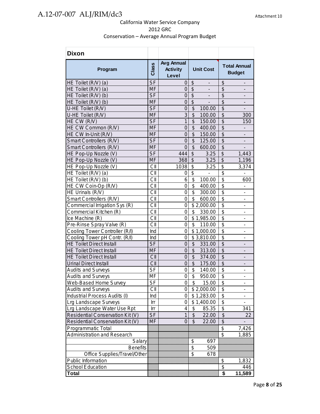| <b>Dixon</b>                     |           |                                               |                                             |                                                       |
|----------------------------------|-----------|-----------------------------------------------|---------------------------------------------|-------------------------------------------------------|
| Program                          | Class     | <b>Avg Annual</b><br><b>Activity</b><br>Level | <b>Unit Cost</b>                            | <b>Total Annual</b><br><b>Budget</b>                  |
| HE Toilet (R/V) (a)              | <b>SF</b> | 0                                             | \$<br>$\overline{\phantom{a}}$              | \$<br>$\overline{\phantom{a}}$                        |
| HE Toilet (R/V) (a)              | <b>MF</b> | $\mathbf 0$                                   | $\overline{\$}$<br>$\overline{\phantom{a}}$ | \$                                                    |
| HE Toilet (R/V) (b)              | <b>SF</b> | 0                                             | $\overline{\mathcal{S}}$                    | $\overline{\mathcal{S}}$                              |
| HE Toilet (R/V) (b)              | <b>MF</b> | 0                                             | \$                                          | $\overline{\mathcal{S}}$                              |
| U-HE Toilet (R/V)                | <b>SF</b> | 0                                             | \$<br>100.00                                | $\overline{\mathcal{S}}$                              |
| U-HE Toilet (R/V)                | <b>MF</b> | $\overline{3}$                                | $\overline{\mathcal{S}}$<br>100.00          | $\overline{\$}$<br>300                                |
| HE CW (R/V)                      | <b>SF</b> | $\overline{1}$                                | \$<br>150.00                                | $\overline{\mathcal{L}}$<br>150                       |
| HE CW Common (R/V)               | <b>MF</b> | $\overline{0}$                                | \$<br>400.00                                | $\overline{\$}$<br>$\overline{\phantom{a}}$           |
| HE CW In-Unit (R/V)              | MF        | $\boldsymbol{0}$                              | \$<br>150.00                                | $\overline{\mathcal{L}}$<br>$\overline{\phantom{a}}$  |
| Smart Controllers (R/V)          | <b>SF</b> | $\mathbf 0$                                   | $\overline{\mathcal{G}}$<br>125.00          | $\overline{\$}$<br>$\blacksquare$                     |
| Smart Controllers (R/V)          | <b>MF</b> | $\overline{0}$                                | $\overline{\$}$<br>600.00                   | $\overline{\$}$                                       |
| HE Pop-Up Nozzle (V)             | <b>SF</b> | 444                                           | $\overline{\$}$<br>3.25                     | $\overline{\$}$<br>1,443                              |
| HE Pop-Up Nozzle (V)             | <b>MF</b> | 368                                           | \$<br>3.25                                  | $\overline{\mathcal{S}}$<br>1,196                     |
| HE Pop-Up Nozzle (V)             | CII       | 1038                                          | \$<br>3.25                                  | \$<br>3,374                                           |
| HE Toilet (R/V) (a)              | CII       | 0                                             | $\overline{\mathbf{S}}$<br>-                | $\overline{\mathcal{S}}$                              |
| HE Toilet (R/V) (b)              | CII       | 6                                             | $\overline{\$}$<br>100.00                   | $\overline{\mathfrak{s}}$<br>600                      |
| HE CW Coin-Op (R/V)              | CII       | 0                                             | \$<br>400.00                                | \$<br>$\overline{\phantom{a}}$                        |
| HE Urinals (R/V)                 | CII       | 0                                             | $\overline{\mathfrak{s}}$<br>300.00         | $\overline{\$}$<br>$\blacksquare$                     |
| Smart Controllers (R/V)          | CII       | 0                                             | $\overline{\mathbf{s}}$<br>600.00           | $\overline{\$}$<br>$\qquad \qquad \blacksquare$       |
| Commercial Irrigation Sys (R)    | CII       | 0                                             | \$2,000.00                                  | $\overline{\$}$<br>$\overline{a}$                     |
| Commercial Kitchen (R)           | CII       | 0                                             | \$<br>330.00                                | \$<br>÷,                                              |
| Ice Machine (R)                  | CII       | 0                                             | \$1,985.00                                  | \$<br>÷,                                              |
| Pre-Rinse Spray Valve (R)        | CII       | 0                                             | \$<br>110.00                                | $\overline{\mathfrak{s}}$                             |
| Cooling Tower Controller (R/I)   | Ind       | $\mathbf 0$                                   | \$1,000.00                                  | $\overline{\mathfrak{s}}$<br>$\overline{\phantom{a}}$ |
| Cooling Tower pH Contr. (R/I)    | Ind       | $\mathbf 0$                                   | \$3,810.00                                  | $\overline{\$}$<br>$\overline{\phantom{a}}$           |
| <b>HE Toilet Direct Install</b>  | <b>SF</b> | $\mathbf 0$                                   | \$<br>331.00                                | $\overline{\$}$<br>$\qquad \qquad \blacksquare$       |
| <b>HE Toilet Direct Install</b>  | <b>MF</b> | $\mathbf 0$                                   | $\overline{\$}$<br>313.00                   | $\overline{\$}$<br>$\overline{a}$                     |
| <b>HE Toilet Direct Install</b>  | CII       | $\mathbf 0$                                   | $\overline{\$}$<br>374.00                   | $\overline{\$}$<br>$\qquad \qquad \blacksquare$       |
| <b>Urinal Direct Install</b>     | CII       | $\overline{0}$                                | $\overline{\$}$<br>175.00                   | $\overline{\$}$                                       |
| <b>Audits and Surveys</b>        | <b>SF</b> | 0                                             | \$<br>140.00                                | $\overline{\mathbf{S}}$<br>$\blacksquare$             |
| <b>Audits and Surveys</b>        | MF        | $\overline{0}$                                | $\overline{\mathfrak{s}}$<br>950.00         | \$<br>$\overline{\phantom{0}}$                        |
| Web-Based Home Survey            | SF        | 0                                             | \$<br>15.00                                 | \$                                                    |
| <b>Audits and Surveys</b>        | СII       | 0                                             | \$2,000.00                                  | \$                                                    |
| Industrial Process Audits (I)    | Ind       | 0                                             | \$1,283.00                                  | \$<br>$\overline{\phantom{a}}$                        |
| Lrg Landscape Surveys            | Irr       | 0                                             | \$1,400.00                                  | $\overline{\$}$<br>$\blacksquare$                     |
| Lrg Landscape Water Use Rpt      | Irr       | 4                                             | \$<br>85.35                                 | $\overline{\mathcal{S}}$<br>341                       |
| Residential Conservation Kit (V) | <b>SF</b> | $\mathbf 1$                                   | $\boldsymbol{\theta}$<br>22.00              | $\overline{\mathcal{E}}$<br>22                        |
| Residential Conservation Kit (V) | <b>MF</b> | 0                                             | $\boldsymbol{\mathsf{S}}$<br>22.00          | $\overline{\mathcal{G}}$                              |
| Programmatic Total               |           |                                               |                                             | $\overline{\boldsymbol{\mathsf{S}}}$<br>7,426         |
| Administration and Research      |           |                                               |                                             | $\overline{\mathcal{S}}$<br>1,885                     |
| Salary                           |           |                                               | \$<br>697                                   |                                                       |
| <b>Benefits</b>                  |           |                                               | $\overline{\$}$<br>509                      |                                                       |
| Office Supplies/Travel/Other     |           |                                               | $\overline{\$}$<br>678                      |                                                       |
| Public Information               |           |                                               |                                             | \$<br>1,832                                           |
| School Education                 |           |                                               |                                             | \$<br>446                                             |
| Total                            |           |                                               |                                             | \$<br>11,589                                          |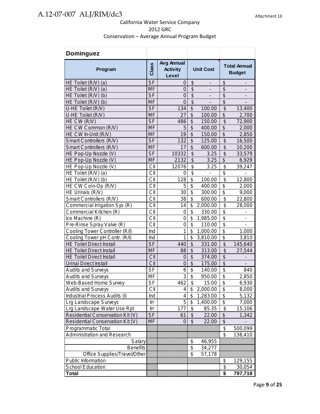| <b>Dominguez</b>                 |           |                                               |                           |                          |                                  |                                      |
|----------------------------------|-----------|-----------------------------------------------|---------------------------|--------------------------|----------------------------------|--------------------------------------|
| Program                          | Class     | <b>Avg Annual</b><br><b>Activity</b><br>Level | <b>Unit Cost</b>          |                          |                                  | <b>Total Annual</b><br><b>Budget</b> |
| HE Toilet (R/V) (a)              | <b>SF</b> | 0                                             | \$                        | $\overline{\phantom{m}}$ | \$                               | $\overline{\phantom{m}}$             |
| HE Toilet (R/V) (a)              | MF        | $\overline{0}$                                | $\overline{\mathcal{S}}$  | $\overline{\phantom{a}}$ | \$                               | $\overline{\phantom{a}}$             |
| HE Toilet (R/V) (b)              | <b>SF</b> | $\overline{0}$                                | $\overline{\$}$           | $\overline{\phantom{a}}$ | $\overline{\$}$                  | $\qquad \qquad \blacksquare$         |
| HE Toilet (R/V) (b)              | <b>MF</b> | $\overline{0}$                                | $\overline{\$}$           |                          | $\overline{\mathcal{S}}$         |                                      |
| U-HE Toilet (R/V)                | <b>SF</b> | 134                                           | $\overline{\mathcal{S}}$  | 100.00                   | \$                               | 13,400                               |
| U-HE Toilet (R/V)                | <b>MF</b> | 27                                            | $\overline{\mathcal{S}}$  | 100.00                   | $\overline{\mathcal{L}}$         | 2,700                                |
| HE CW (R/V)                      | <b>SF</b> | 486                                           | $\overline{\mathcal{S}}$  | 150.00                   | \$                               | 72,900                               |
| HE CW Common (R/V)               | <b>MF</b> | 5                                             | \$                        | 400.00                   | \$                               | 2,000                                |
| HE CW In-Unit (R/V)              | <b>MF</b> | 19                                            | \$                        | 150.00                   | $\overline{\$}$                  | 2,850                                |
| Smart Controllers (R/V)          | <b>SF</b> | 132                                           | \$                        | 125.00                   | \$                               | 16,500                               |
| Smart Controllers (R/V)          | <b>MF</b> | 17                                            | $\overline{\mathcal{S}}$  | 600.00                   | $\overline{\mathcal{G}}$         | 10,200                               |
| HE Pop-Up Nozzle (V)             | <b>SF</b> | 10332                                         | $\overline{\mathcal{S}}$  | 3.25                     | $\overline{\mathcal{S}}$         | 33,579                               |
| HE Pop-Up Nozzle (V)             | <b>MF</b> | 2132                                          | $\overline{\$}$           | 3.25                     | \$                               | 6,929                                |
| HE Pop-Up Nozzle (V)             | CII       | 12076                                         | \$                        | 3.25                     | \$                               | 39,247                               |
| HE Toilet (R/V) (a)              | CII       | 0                                             | $\overline{\$}$           |                          | $\overline{\mathcal{G}}$         |                                      |
| HE Toilet (R/V) (b)              | СII       | 128                                           | \$                        | 100.00                   | $\overline{\mathfrak{s}}$        | 12,800                               |
| HE CW Coin-Op (R/V)              | СII       | 5                                             | \$                        | 400.00                   | \$                               | 2,000                                |
| HE Urinals (R/V)                 | CII       | 30                                            | \$                        | 300.00                   | $\overline{\mathfrak{s}}$        | 9,000                                |
| Smart Controllers (R/V)          | CII       | 38                                            | $\overline{\mathfrak{s}}$ | 600.00                   | $\overline{\mathcal{S}}$         | 22,800                               |
| Commercial Irrigation Sys (R)    | CII       | 14                                            | \$                        | 2,000.00                 | $\overline{\$}$                  | 28,000                               |
| Commercial Kitchen (R)           | CII       | 0                                             | \$                        | 330.00                   | \$                               |                                      |
| Ice Machine (R)                  | CII       | $\mathbf 0$                                   | \$                        | 1,985.00                 | \$                               | $\overline{a}$                       |
| Pre-Rinse Spray Valve (R)        | CII       | $\mathbf 0$                                   | \$                        | 110.00                   | \$                               |                                      |
| Cooling Tower Controller (R/I)   | Ind       | 1                                             | \$                        | 1,000.00                 | \$                               | 1,000                                |
| Cooling Tower pH Contr. (R/I)    | Ind       | 1                                             | \$                        | 3,810.00                 | \$                               | 3,810                                |
| <b>HE Toilet Direct Install</b>  | <b>SF</b> | 440                                           | $\overline{\$}$           | 331.00                   | $\overline{\mathcal{S}}$         | 145,640                              |
| <b>HE Toilet Direct Install</b>  | MF        | 88                                            | \$                        | 313.00                   | \$                               | 27,544                               |
| <b>HE Toilet Direct Install</b>  | CII       | 0                                             | $\overline{\$}$           | 374.00                   | $\overline{\$}$                  |                                      |
| <b>Urinal Direct Install</b>     | CII       | $\overline{0}$                                | $\overline{\$}$           | 175.00                   | $\overline{\$}$                  |                                      |
| <b>Audits and Surveys</b>        | <b>SF</b> | 6                                             | $\overline{\$}$           | 140.00                   | $\overline{\$}$                  | 840                                  |
| <b>Audits and Surveys</b>        | MF        | $\overline{3}$                                | \$                        | 950.00                   | \$                               | 2,850                                |
| Web-Based Home Survey            | SF        | 462                                           | \$                        | 15.00                    | \$                               | 6,930                                |
| <b>Audits and Surveys</b>        | СII       | 4                                             | \$                        | 2,000.00                 | \$                               | 8,000                                |
| Industrial Process Audits (I)    | Ind       | 4                                             | \$                        | 1,283.00                 | \$                               | 5,132                                |
| Lrg Landscape Surveys            | Irr       | 5                                             | \$                        | 1,400.00                 | \$                               | 7,000                                |
| Lrg Landscape Water Use Rpt      | Irr       | 177                                           | \$                        | 85.35                    | $\overline{\boldsymbol{\theta}}$ | 15,106                               |
| Residential Conservation Kit (V) | <b>SF</b> | 61                                            | $\frac{1}{2}$             | 22.00                    | \$                               | 1,342                                |
| Residential Conservation Kit (V) | <b>MF</b> | 0                                             | $\boldsymbol{\mathsf{S}}$ | 22.00                    | $\overline{\mathcal{L}}$         |                                      |
| Programmatic Total               |           |                                               |                           |                          | \$                               | 500,099                              |
| Administration and Research      |           |                                               |                           |                          | \$                               | 138,410                              |
| Salary                           |           |                                               | \$                        | 46,955                   |                                  |                                      |
| <b>Benefits</b>                  |           |                                               | $\overline{\mathcal{G}}$  | 34,277                   |                                  |                                      |
| Office Supplies/Travel/Other     |           |                                               | $\overline{\mathcal{S}}$  | 57,178                   |                                  |                                      |
| Public Information               |           |                                               |                           |                          | \$                               | 129,155                              |
| School Education                 |           |                                               |                           |                          | $\frac{1}{2}$                    | 30,054                               |
| <b>Total</b>                     |           |                                               |                           |                          | \$                               | 797,718                              |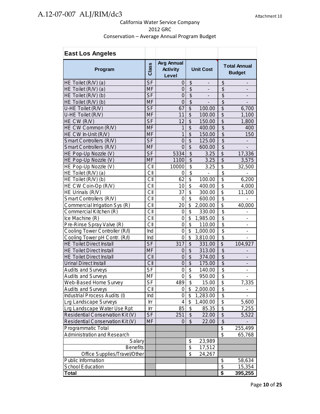| <b>East Los Angeles</b>            |           |                                               |                           |                          |                                      |                                      |
|------------------------------------|-----------|-----------------------------------------------|---------------------------|--------------------------|--------------------------------------|--------------------------------------|
| Program                            | Class     | <b>Avg Annual</b><br><b>Activity</b><br>Level | <b>Unit Cost</b>          |                          |                                      | <b>Total Annual</b><br><b>Budget</b> |
| HE Toilet (R/V) (a)                | <b>SF</b> | 0                                             | \$                        | $\overline{\phantom{a}}$ | $\frac{1}{2}$                        | $\overline{\phantom{a}}$             |
| HE Toilet (R/V) (a)                | <b>MF</b> | $\overline{0}$                                | $\overline{\mathcal{S}}$  | $\overline{a}$           | $\overline{\mathcal{S}}$             |                                      |
| HE Toilet (R/V) (b)                | <b>SF</b> | $\overline{0}$                                | $\overline{\mathcal{S}}$  |                          | \$                                   |                                      |
| HE Toilet (R/V) (b)                | <b>MF</b> | $\overline{0}$                                | \$                        |                          | \$                                   |                                      |
| U-HE Toilet (R/V)                  | <b>SF</b> | 67                                            | \$                        | 100.00                   | \$                                   | 6,700                                |
| U-HE Toilet (R/V)                  | <b>MF</b> | 11                                            | \$                        | 100.00                   | \$                                   | 1,100                                |
| HE CW (R/V)                        | <b>SF</b> | 12                                            | \$                        | 150.00                   | \$                                   | 1,800                                |
| HE CW Common (R/V)                 | MF        | 1                                             | $\overline{\mathcal{S}}$  | 400.00                   | $\overline{\mathcal{S}}$             | 400                                  |
| HE CW In-Unit (R/V)                | <b>MF</b> | $\mathbf{1}$                                  | \$                        | 150.00                   | \$                                   | 150                                  |
| Smart Controllers (R/V)            | <b>SF</b> | $\overline{0}$                                | $\overline{\mathcal{S}}$  | 125.00                   | $\overline{\$}$                      |                                      |
| Smart Controllers (R/V)            | <b>MF</b> | $\overline{0}$                                | $\overline{\$}$           | 600.00                   | $\overline{\$}$                      |                                      |
| HE Pop-Up Nozzle (V)               | <b>SF</b> | 5334                                          | $\overline{\mathcal{S}}$  | 3.25                     | $\overline{\$}$                      | 17,336                               |
| HE Pop-Up Nozzle (V)               | <b>MF</b> | 1100                                          | \$                        | 3.25                     | \$                                   | 3,575                                |
| HE Pop-Up Nozzle (V)               | CII       | 10000                                         | \$                        | 3.25                     | \$                                   | 32,500                               |
| HE Toilet (R/V) (a)                | CII       | 0                                             | \$                        |                          | \$                                   | $\overline{\phantom{0}}$             |
| HE Toilet (R/V) (b)                | CII       | 62                                            | \$                        | 100.00                   | \$                                   | 6,200                                |
| HE CW Coin-Op (R/V)                | CII       | 10                                            | \$                        | 400.00                   | \$                                   | 4,000                                |
| HE Urinals (R/V)                   | CII       | 37                                            | \$                        | 300.00                   | \$                                   | 11,100                               |
| Smart Controllers (R/V)            | CII       | $\mathbf 0$                                   | $\overline{\mathcal{S}}$  | 600.00                   | $\overline{\mathbf{S}}$              |                                      |
| Commercial Irrigation Sys (R)      | CII       | 20                                            | \$                        | 2,000.00                 | \$                                   | 40,000                               |
| Commercial Kitchen (R)             | CII       | $\overline{0}$                                | \$                        | 330.00                   | $\overline{\boldsymbol{\mathsf{s}}}$ |                                      |
| Ice Machine (R)                    | CII       | 0                                             | \$                        | 1,985.00                 | \$                                   |                                      |
| Pre-Rinse Spray Valve (R)          | CII       | $\overline{0}$                                | $\overline{\mathfrak{s}}$ | 110.00                   | $\overline{\mathbf{S}}$              |                                      |
| Cooling Tower Controller (R/I)     | Ind       | 0                                             | \$                        | 1,000.00                 | $\overline{\mathbf{S}}$              |                                      |
| Cooling Tower pH Contr. (R/I)      | Ind       | 0                                             | $\overline{\mathbf{S}}$   | 3,810.00                 | $\overline{\mathbf{S}}$              |                                      |
| <b>HE Toilet Direct Install</b>    | <b>SF</b> | 317                                           | \$                        | 331.00                   | \$                                   | 104,927                              |
| <b>HE Toilet Direct Install</b>    | <b>MF</b> | 0                                             | $\overline{\mathcal{S}}$  | 313.00                   | $\overline{\mathcal{S}}$             |                                      |
| <b>HE Toilet Direct Install</b>    | CII       | $\overline{0}$                                | $\overline{\$}$           | 374.00                   | $\overline{\$}$                      |                                      |
| <b>Urinal Direct Install</b>       | CII       | $\overline{0}$                                | \$                        | 175.00                   | $\overline{\mathcal{S}}$             |                                      |
| <b>Audits and Surveys</b>          | <b>SF</b> | 0                                             | \$                        | 140.00                   | \$                                   | ÷                                    |
| <b>Audits and Surveys</b>          | MF        | 0                                             | \$                        | 950.00                   | \$                                   | $\overline{a}$                       |
| Web-Based Home Survey              | SF        | 489                                           | \$                        | 15.00                    | \$                                   | 7,335                                |
| <b>Audits and Surveys</b>          | CII       | 0                                             | \$                        | 2,000.00                 | \$                                   |                                      |
| Industrial Process Audits (I)      | Ind       | 0                                             | \$                        | 1,283.00                 | \$                                   |                                      |
| Lrg Landscape Surveys              | Irr       | 4                                             | \$                        | 1,400.00                 | \$                                   | 5,600                                |
| Lrg Landscape Water Use Rpt        | Irr       | 85                                            | \$                        | 85.35                    | \$                                   | 7,255                                |
| Residential Conservation Kit (V)   | <b>SF</b> | 251                                           | \$                        | 22.00                    | \$                                   | 5,522                                |
| Residential Conservation Kit (V)   | <b>MF</b> | 0                                             | $\boldsymbol{\mathsf{S}}$ | 22.00                    | \$                                   |                                      |
| Programmatic Total                 |           |                                               |                           |                          | \$                                   | 255,499                              |
| <b>Administration and Research</b> |           |                                               |                           |                          | \$                                   | 65,768                               |
| Salary                             |           |                                               | \$                        | 23,989                   |                                      |                                      |
| <b>Benefits</b>                    |           |                                               | \$                        | 17,512                   |                                      |                                      |
| Office Supplies/Travel/Other       |           |                                               | \$                        | 24,267                   |                                      |                                      |
| Public Information                 |           |                                               |                           |                          | \$                                   | 58,634                               |
| School Education                   |           |                                               |                           |                          | $\overline{\boldsymbol{\theta}}$     | 15,354                               |
| <b>Total</b>                       |           |                                               |                           |                          | \$                                   | 395,255                              |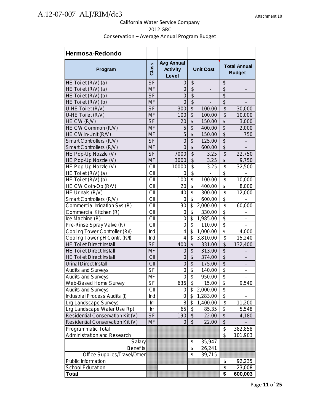| Hermosa-Redondo                     |           |                                               |                           |                          |                                      |                                      |
|-------------------------------------|-----------|-----------------------------------------------|---------------------------|--------------------------|--------------------------------------|--------------------------------------|
| Program                             | Class     | <b>Avg Annual</b><br><b>Activity</b><br>Level | <b>Unit Cost</b>          |                          |                                      | <b>Total Annual</b><br><b>Budget</b> |
| HE Toilet (R/V) (a)                 | <b>SF</b> | 0                                             | \$                        | $\overline{\phantom{a}}$ | \$                                   | -                                    |
| HE Toilet (R/V) (a)                 | <b>MF</b> | $\mathbf 0$                                   | $\overline{\$}$           | $\blacksquare$           | \$                                   | -                                    |
| HE Toilet (R/V) (b)                 | <b>SF</b> | $\overline{0}$                                | $\overline{\$}$           | $\overline{\phantom{0}}$ | $\overline{\mathcal{S}}$             |                                      |
| HE Toilet (R/V) (b)                 | <b>MF</b> | $\overline{0}$                                | $\overline{\$}$           |                          | $\overline{\mathcal{S}}$             |                                      |
| U-HE Toilet (R/V)                   | <b>SF</b> | 300                                           | $\overline{\mathcal{S}}$  | 100.00                   | \$                                   | 30,000                               |
| U-HE Toilet (R/V)                   | MF        | 100                                           | $\overline{\mathcal{S}}$  | 100.00                   | \$                                   | 10,000                               |
| HE CW (R/V)                         | <b>SF</b> | 20                                            | $\overline{\mathcal{S}}$  | 150.00                   | $\overline{\mathcal{E}}$             | 3,000                                |
| HE CW Common (R/V)                  | <b>MF</b> | 5                                             | $\overline{\mathcal{S}}$  | 400.00                   | $\overline{\$}$                      | 2,000                                |
| HE CW In-Unit (R/V)                 | <b>MF</b> | 5                                             | \$                        | 150.00                   | $\overline{\mathcal{S}}$             | 750                                  |
| Smart Controllers (R/V)             | <b>SF</b> | $\overline{0}$                                | $\overline{\$}$           | 125.00                   | $\overline{\$}$                      |                                      |
| Smart Controllers (R/V)             | <b>MF</b> | $\overline{0}$                                | $\overline{\$}$           | 600.00                   | $\overline{\$}$                      |                                      |
| HE Pop-Up Nozzle (V)                | <b>SF</b> | 7000                                          | $\overline{\mathcal{S}}$  | 3.25                     | $\overline{\$}$                      | 22,750                               |
| HE Pop-Up Nozzle (V)                | MF        | 3000                                          | $\overline{\mathcal{S}}$  | 3.25                     | \$                                   | 9,750                                |
| HE Pop-Up Nozzle (V)                | CII       | 10000                                         | \$                        | 3.25                     | \$                                   | 32,500                               |
| HE Toilet (R/V) (a)                 | СII       | 0                                             | \$                        |                          | \$                                   |                                      |
| HE Toilet (R/V) (b)                 | CII       | 100                                           | \$                        | 100.00                   | \$                                   | 10,000                               |
| HE CW Coin-Op (R/V)                 | CII       | 20                                            | \$                        | 400.00                   | \$                                   | 8,000                                |
| HE Urinals (R/V)                    | CII       | 40                                            | \$                        | 300.00                   | $\overline{\mathbf{S}}$              | 12,000                               |
| Smart Controllers (R/V)             | CII       | 0                                             | \$                        | 600.00                   | \$                                   |                                      |
| Commercial Irrigation Sys (R)       | CII       | 30                                            | \$                        | 2,000.00                 | $\overline{\mathfrak{s}}$            | 60,000                               |
| Commercial Kitchen (R)              | CII       | $\mathbf 0$                                   | \$                        | 330.00                   | \$                                   |                                      |
| $\overline{\text{Ice}}$ Machine (R) | CII       | $\mathbf 0$                                   | \$                        | 1,985.00                 | $\overline{\$}$                      | $\overline{\phantom{0}}$             |
| Pre-Rinse Spray Valve (R)           | CII       | $\mathbf 0$                                   | \$                        | 110.00                   | $\overline{\mathcal{S}}$             |                                      |
| Cooling Tower Controller (R/I)      | Ind       | $\overline{\mathbf{4}}$                       | \$                        | 1,000.00                 | $\overline{\$}$                      | 4,000                                |
| Cooling Tower pH Contr. (R/I)       | Ind       | $\overline{4}$                                | $\overline{\mathbb{S}}$   | 3,810.00                 | \$                                   | 15,240                               |
| <b>HE Toilet Direct Install</b>     | <b>SF</b> | 400                                           | $\overline{\mathcal{L}}$  | 331.00                   | $\overline{\mathcal{G}}$             | 132,400                              |
| <b>HE Toilet Direct Install</b>     | <b>MF</b> | $\overline{0}$                                | $\overline{\mathcal{G}}$  | 313.00                   | $\overline{\$}$                      |                                      |
| <b>HE Toilet Direct Install</b>     | CII       | $\mathbf 0$                                   | $\overline{\$}$           | 374.00                   | $\overline{\$}$                      |                                      |
| <b>Urinal Direct Install</b>        | CII       | $\overline{0}$                                | $\overline{\mathcal{S}}$  | 175.00                   | $\overline{\mathcal{S}}$             |                                      |
| <b>Audits and Surveys</b>           | <b>SF</b> | $\mathbf 0$                                   | \$                        | 140.00                   | \$                                   |                                      |
| <b>Audits and Surveys</b>           | ΜF        | $\mathbf 0$                                   | \$                        | 950.00                   | \$                                   | -                                    |
| Web-Based Home Survey               | SF        | 636                                           | \$                        | 15.00                    | \$                                   | 9,540                                |
| <b>Audits and Surveys</b>           | CII       | 0                                             | \$                        | 2,000.00                 | \$                                   |                                      |
| Industrial Process Audits (I)       | Ind       | 0                                             | \$                        | 1,283.00                 | $\overline{\boldsymbol{\theta}}$     |                                      |
| <b>Lrg Landscape Surveys</b>        | Irr       | 8                                             | \$                        | 1,400.00                 | $\overline{\mathbf{S}}$              | $\overline{11,200}$                  |
| Lrg Landscape Water Use Rpt         | Irr       | 65                                            | \$                        | 85.35                    | $\overline{\mathcal{E}}$             | 5,548                                |
| Residential Conservation Kit (V)    | <b>SF</b> | 190                                           | \$                        | 22.00                    | \$                                   | 4,180                                |
| Residential Conservation Kit (V)    | MF        | $\Omega$                                      | $\boldsymbol{\mathsf{S}}$ | 22.00                    | $\overline{\mathcal{S}}$             |                                      |
| Programmatic Total                  |           |                                               |                           |                          | \$                                   | 382,858                              |
| <b>Administration and Research</b>  |           |                                               |                           |                          | $\overline{\mathbf{S}}$              | 101,903                              |
| Salary                              |           |                                               | \$                        | 35,947                   |                                      |                                      |
| <b>Benefits</b>                     |           |                                               | $\overline{\$}$           | 26,241                   |                                      |                                      |
| Office Supplies/Travel/Other        |           |                                               | \$                        | 39,715                   |                                      |                                      |
| Public Information                  |           |                                               |                           |                          | \$                                   | 92,235                               |
| School Education                    |           |                                               |                           |                          | \$                                   | 23,008                               |
| Total                               |           |                                               |                           |                          | $\overline{\boldsymbol{\mathsf{s}}}$ | 600,003                              |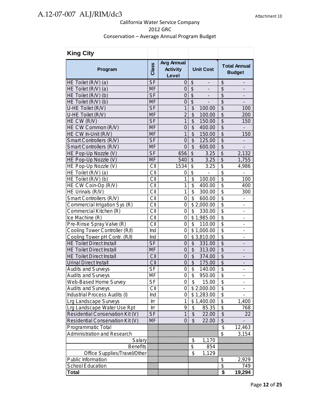| <b>King City</b>                 |                          |                                               |                                                   |                                                      |
|----------------------------------|--------------------------|-----------------------------------------------|---------------------------------------------------|------------------------------------------------------|
| Program                          | Class                    | <b>Avg Annual</b><br><b>Activity</b><br>Level | <b>Unit Cost</b>                                  | <b>Total Annual</b><br><b>Budget</b>                 |
| HE Toilet (R/V) (a)              | <b>SF</b>                | 0                                             | $\boldsymbol{\theta}$<br>-                        | \$<br>$\qquad \qquad \blacksquare$                   |
| HE Toilet (R/V) (a)              | <b>MF</b>                | 0                                             | $\boldsymbol{\theta}$<br>$\overline{\phantom{a}}$ | \$<br>$\overline{\phantom{a}}$                       |
| HE Toilet (R/V) (b)              | <b>SF</b>                | $\overline{0}$                                | $\overline{\$}$<br>$\overline{\phantom{a}}$       | $\overline{\mathcal{S}}$                             |
| HE Toilet (R/V) (b)              | <b>MF</b>                | $\mathsf{O}\xspace$                           | $\boldsymbol{\mathsf{S}}$                         | $\overline{\mathcal{S}}$                             |
| U-HE Toilet (R/V)                | <b>SF</b>                | 1                                             | \$<br>100.00                                      | \$<br>100                                            |
| U-HE Toilet (R/V)                | <b>MF</b>                | $\overline{2}$                                | \$<br>100.00                                      | \$<br>200                                            |
| HE CW (R/V)                      | <b>SF</b>                | 1                                             | \$<br>150.00                                      | $\overline{\mathcal{G}}$<br>150                      |
| HE CW Common (R/V)               | <b>MF</b>                | $\overline{0}$                                | \$<br>400.00                                      | $\overline{\mathcal{G}}$                             |
| HE CW In-Unit (R/V)              | <b>MF</b>                | $\overline{1}$                                | $\overline{\mathcal{S}}$<br>150.00                | $\overline{\$}$<br>150                               |
| Smart Controllers (R/V)          | <b>SF</b>                | $\overline{0}$                                | \$<br>125.00                                      | $\overline{\mathcal{S}}$                             |
| Smart Controllers (R/V)          | <b>MF</b>                | $\overline{0}$                                | $\overline{\$}$<br>600.00                         | $\overline{\$}$                                      |
| HE Pop-Up Nozzle (V)             | <b>SF</b>                | 656                                           | $\overline{\mathcal{S}}$<br>3.25                  | $\overline{\$}$<br>2,132                             |
| HE Pop-Up Nozzle (V)             | <b>MF</b>                | 540                                           | $\overline{\mathcal{S}}$<br>3.25                  | $\overline{\$}$<br>1,755                             |
| HE Pop-Up Nozzle (V)             | CII                      | 1534                                          | $\boldsymbol{\mathsf{S}}$<br>3.25                 | $\overline{\$}$<br>4,986                             |
| HE Toilet (R/V) (a)              | CII                      | 0                                             | \$<br>ä,                                          | $\overline{\$}$<br>÷,                                |
| HE Toilet (R/V) (b)              | CII                      | 1                                             | \$<br>100.00                                      | $\overline{\$}$<br>100                               |
| HE CW Coin-Op (R/V)              | CII                      | 1                                             | \$<br>400.00                                      | $\overline{\$}$<br>400                               |
| HE Urinals (R/V)                 | CII                      | 1                                             | \$<br>300.00                                      | \$<br>300                                            |
| Smart Controllers (R/V)          | CII                      | 0                                             | \$<br>600.00                                      | $\overline{\$}$<br>$\overline{a}$                    |
| Commercial Irrigation Sys (R)    | CII                      | 0                                             | \$2,000.00                                        | \$<br>$\overline{\phantom{0}}$                       |
| Commercial Kitchen (R)           | CII                      | 0                                             | \$<br>330.00                                      | $\overline{\$}$<br>$\qquad \qquad \blacksquare$      |
| Ice Machine (R)                  | CII                      | 0                                             | \$1,985.00                                        | $\overline{\$}$<br>$\qquad \qquad \blacksquare$      |
| Pre-Rinse Spray Valve (R)        | CII                      | 0                                             | \$<br>110.00                                      | \$<br>$\qquad \qquad \blacksquare$                   |
| Cooling Tower Controller (R/I)   | Ind                      | $\mathbf 0$                                   | \$1,000.00                                        | $\overline{\$}$                                      |
| Cooling Tower pH Contr. (R/I)    | Ind                      | 0                                             | \$3,810.00                                        | \$<br>Ĭ.                                             |
| <b>HE Toilet Direct Install</b>  | <b>SF</b>                | $\mathbf 0$                                   | \$<br>331.00                                      | $\overline{\mathcal{L}}$<br>$\overline{\phantom{0}}$ |
| <b>HE Toilet Direct Install</b>  | <b>MF</b>                | $\overline{0}$                                | $\overline{\mathcal{S}}$<br>313.00                | $\overline{\$}$                                      |
| <b>HE Toilet Direct Install</b>  | CII                      | $\mathbf 0$                                   | $\overline{\mathcal{L}}$<br>374.00                | $\overline{\$}$                                      |
| <b>Urinal Direct Install</b>     | CII                      | $\overline{0}$                                | $\overline{\mathcal{S}}$<br>175.00                | $\overline{\$}$                                      |
| <b>Audits and Surveys</b>        | <b>SF</b>                | 0                                             | \$<br>140.00                                      | \$<br>-                                              |
| <b>Audits and Surveys</b>        | MF                       | $\mathsf 0$                                   | $\overline{\$}$<br>950.00                         | $\overline{\$}$<br>$\overline{a}$                    |
| Web-Based Home Survey            | $\overline{\mathsf{SF}}$ | $\overline{0}$                                | $\overline{\$}$<br>15.00                          | $\overline{a}$<br>Φ                                  |
| <b>Audits and Surveys</b>        | CII                      | $\Omega$                                      | \$2,000.00                                        | \$                                                   |
| Industrial Process Audits (I)    | Ind                      | 0                                             | \$1,283.00                                        | \$                                                   |
| Lrg Landscape Surveys            | Irr                      | 1                                             | \$1,400.00                                        | \$<br>1,400                                          |
| Lrg Landscape Water Use Rpt      | Irr                      | 9                                             | 85.35<br>\$                                       | $\overline{\mathcal{E}}$<br>768                      |
| Residential Conservation Kit (V) | <b>SF</b>                | 1                                             | \$<br>22.00                                       | $\overline{\mathcal{S}}$<br>22                       |
| Residential Conservation Kit (V) | <b>MF</b>                | 0                                             | \$<br>22.00                                       | $\overline{\mathcal{S}}$                             |
| Programmatic Total               |                          |                                               |                                                   | \$<br>12,463                                         |
| Administration and Research      |                          |                                               |                                                   | \$<br>3,154                                          |
| Salary                           |                          |                                               | \$<br>1,170                                       |                                                      |
| <b>Benefits</b>                  |                          |                                               | \$<br>854                                         |                                                      |
| Office Supplies/Travel/Other     |                          |                                               | 1,129<br>\$                                       |                                                      |
| Public Information               |                          |                                               |                                                   | \$<br>2,929                                          |
| <b>School Education</b>          |                          |                                               |                                                   | \$<br>749                                            |
| Total                            |                          |                                               |                                                   | \$<br>19,294                                         |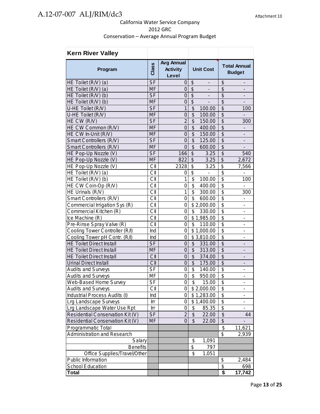| <b>Kern River Valley</b>           |                          |                                               |                                                       |                                                      |
|------------------------------------|--------------------------|-----------------------------------------------|-------------------------------------------------------|------------------------------------------------------|
| Program                            | Class                    | <b>Avg Annual</b><br><b>Activity</b><br>Level | <b>Unit Cost</b>                                      | <b>Total Annual</b><br><b>Budget</b>                 |
| HE Toilet (R/V) (a)                | <b>SF</b>                | 0                                             | \$<br>-                                               | \$<br>$\overline{\phantom{m}}$                       |
| HE Toilet (R/V) (a)                | MF                       | 0                                             | $\boldsymbol{\theta}$<br>$\qquad \qquad \blacksquare$ | \$                                                   |
| HE Toilet (R/V) (b)                | <b>SF</b>                | $\overline{0}$                                | $\overline{\mathcal{S}}$<br>$\overline{\phantom{a}}$  | $\overline{\mathcal{G}}$<br>$\overline{\phantom{a}}$ |
| HE Toilet (R/V) (b)                | <b>MF</b>                | $\mathbf 0$                                   | $\overline{\mathcal{S}}$                              | $\overline{\mathcal{S}}$                             |
| U-HE Toilet (R/V)                  | <b>SF</b>                | $\mathbf{1}$                                  | \$<br>100.00                                          | $\overline{\$}$<br>100                               |
| U-HE Toilet (R/V)                  | <b>MF</b>                | $\mathbf 0$                                   | \$<br>100.00                                          | $\overline{\mathcal{S}}$                             |
| HE CW (R/V)                        | <b>SF</b>                | $\overline{2}$                                | \$<br>150.00                                          | $\overline{\mathcal{S}}$<br>300                      |
| HE CW Common (R/V)                 | <b>MF</b>                | $\overline{0}$                                | $\overline{\mathcal{S}}$<br>400.00                    | $\overline{\mathcal{S}}$                             |
| HE CW In-Unit (R/V)                | <b>MF</b>                | $\mathbf 0$                                   | $\overline{\mathcal{S}}$<br>150.00                    | $\overline{\$}$                                      |
| Smart Controllers (R/V)            | <b>SF</b>                | $\overline{0}$                                | \$<br>125.00                                          | $\overline{\mathcal{S}}$                             |
| Smart Controllers (R/V)            | <b>MF</b>                | $\overline{0}$                                | $\overline{\theta}$<br>600.00                         | \$                                                   |
| HE Pop-Up Nozzle (V)               | <b>SF</b>                | 166                                           | $\overline{\mathcal{S}}$<br>3.25                      | $\overline{\$}$<br>540                               |
| HE Pop-Up Nozzle (V)               | <b>MF</b>                | 822                                           | $\overline{\mathcal{S}}$<br>3.25                      | $\overline{\$}$<br>2,672                             |
| HE Pop-Up Nozzle (V)               | CII                      | 2328                                          | \$<br>3.25                                            | \$<br>7,566                                          |
| HE Toilet (R/V) (a)                | CII                      | 0                                             | \$                                                    | \$<br>Ĭ.                                             |
| HE Toilet (R/V) (b)                | CII                      | $\mathbf{1}$                                  | \$<br>100.00                                          | \$<br>100                                            |
| HE CW Coin-Op (R/V)                | CII                      | 0                                             | \$<br>400.00                                          | $\overline{\$}$                                      |
| HE Urinals (R/V)                   | СII                      | 1                                             | \$<br>300.00                                          | \$<br>300                                            |
| Smart Controllers (R/V)            | CII                      | 0                                             | \$<br>600.00                                          | $\overline{\$}$                                      |
| Commercial Irrigation Sys (R)      | CII                      | 0                                             | \$2,000.00                                            | \$<br>$\qquad \qquad \blacksquare$                   |
| Commercial Kitchen (R)             | CII                      | 0                                             | \$<br>330.00                                          | $\overline{\$}$<br>$\overline{\phantom{a}}$          |
| Ice Machine (R)                    | CII                      | 0                                             | \$1,985.00                                            | $\overline{\$}$<br>$\overline{\phantom{0}}$          |
| Pre-Rinse Spray Valve (R)          | CII                      | 0                                             | \$<br>110.00                                          | $\overline{\$}$<br>Ĭ.                                |
| Cooling Tower Controller (R/I)     | Ind                      | $\overline{0}$                                | $\overline{$}1,000.00$                                | $\overline{\$}$                                      |
| Cooling Tower pH Contr. (R/I)      | Ind                      | $\mathbf 0$                                   | $\overline{$}3,810.00$                                | $\overline{\$}$<br>$\blacksquare$                    |
| <b>HE Toilet Direct Install</b>    | $\overline{\mathsf{SF}}$ | $\mathbf 0$                                   | $\overline{\mathcal{E}}$<br>331.00                    | $\overline{\$}$                                      |
| <b>HE Toilet Direct Install</b>    | <b>MF</b>                | $\overline{0}$                                | \$<br>313.00                                          | $\overline{\mathcal{L}}$                             |
| <b>HE Toilet Direct Install</b>    | CII                      | $\overline{0}$                                | $\overline{\mathcal{S}}$<br>374.00                    | $\overline{\$}$                                      |
| <b>Urinal Direct Install</b>       | CII                      | $\overline{0}$                                | $\frac{1}{2}$<br>175.00                               | $\overline{\mathcal{S}}$                             |
| <b>Audits and Surveys</b>          | <b>SF</b>                | $\mathbf 0$                                   | \$<br>140.00                                          | $\overline{\mathcal{S}}$                             |
| <b>Audits and Surveys</b>          | MF                       | $\overline{0}$                                | $\overline{\$}$<br>950.00                             | $\overline{\$}$                                      |
| Web-Based Home Survey              | $\overline{\mathsf{SF}}$ | $\overline{0}$                                | $\overline{\$}$<br>15.00                              | $\overline{\$}$                                      |
| <b>Audits and Surveys</b>          | CII                      | 0                                             | \$2,000.00                                            | $\overline{\boldsymbol{\mathfrak{s}}}$               |
| Industrial Process Audits (I)      | Ind                      | 0                                             | \$1,283.00                                            | \$                                                   |
| Lrg Landscape Surveys              | Irr                      | 0                                             | \$1,400.00                                            | $\overline{\mathcal{E}}$<br>-                        |
| Lrg Landscape Water Use Rpt        | Irr                      | 0                                             | \$<br>85.35                                           | $\overline{\mathcal{S}}$<br>$\overline{\phantom{a}}$ |
| Residential Conservation Kit (V)   | <b>SF</b>                | $\overline{2}$                                | \$<br>22.00                                           | $\overline{\mathcal{G}}$<br>44                       |
| Residential Conservation Kit (V)   | MF                       | 0                                             | \$<br>22.00                                           | \$                                                   |
| <b>Programmatic Total</b>          |                          |                                               |                                                       | $\overline{\boldsymbol{\mathsf{s}}}$<br>11,621       |
| <b>Administration and Research</b> |                          |                                               |                                                       | \$<br>2,939                                          |
| Salary                             |                          |                                               | \$<br>1,091                                           |                                                      |
| <b>Benefits</b>                    |                          |                                               | \$<br>797                                             |                                                      |
| Office Supplies/Travel/Other       |                          |                                               | 1,051<br>\$                                           |                                                      |
| Public Information                 |                          |                                               |                                                       | \$<br>2,484                                          |
| School Education                   |                          |                                               |                                                       | \$<br>698                                            |
| Total                              |                          |                                               |                                                       | 17,742<br>\$                                         |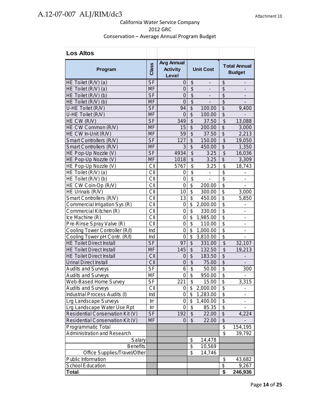| <b>Los Altos</b>                 |                  |                                               |                                        |                          |                                      |                              |
|----------------------------------|------------------|-----------------------------------------------|----------------------------------------|--------------------------|--------------------------------------|------------------------------|
| Program                          | Class            | <b>Avg Annual</b><br><b>Activity</b><br>Level | <b>Unit Cost</b>                       |                          | <b>Total Annual</b><br><b>Budget</b> |                              |
| HE Toilet (R/V) (a)              | <b>SF</b>        | 0                                             | \$                                     | -                        | \$                                   | $\qquad \qquad \blacksquare$ |
| HE Toilet (R/V) (a)              | <b>MF</b>        | 0                                             | \$                                     | $\overline{\phantom{0}}$ | \$                                   | $\overline{\phantom{a}}$     |
| HE Toilet (R/V) (b)              | <b>SF</b>        | $\mathbf 0$                                   | $\overline{\$}$                        | $\overline{\phantom{a}}$ | \$                                   | $\overline{\phantom{a}}$     |
| HE Toilet (R/V) (b)              | <b>MF</b>        | $\overline{0}$                                | $\overline{\$}$                        | ÷,                       | $\overline{\$}$                      | $\overline{\phantom{a}}$     |
| U-HE Toilet (R/V)                | <b>SF</b>        | 94                                            | $\overline{\mathcal{G}}$               | 100.00                   | $\overline{\mathcal{S}}$             | 9,400                        |
| U-HE Toilet (R/V)                | <b>MF</b>        | $\overline{0}$                                | $\overline{\mathcal{S}}$               | 100.00                   | $\overline{\mathcal{S}}$             |                              |
| HE CW (R/V)                      | <b>SF</b>        | 349                                           | \$                                     | 37.50                    | \$                                   | 13,088                       |
| HE CW Common (R/V)               | <b>MF</b>        | 15                                            | $\overline{\mathcal{S}}$               | 200.00                   | $\overline{\mathcal{G}}$             | 3,000                        |
| HE CW In-Unit (R/V)              | <b>MF</b>        | 59                                            | $\overline{\mathcal{S}}$               | 37.50                    | $\overline{\mathcal{G}}$             | 2,213                        |
| Smart Controllers (R/V)          | <b>SF</b>        | 127                                           | \$                                     | 150.00                   | $\frac{1}{2}$                        | 19,050                       |
| Smart Controllers (R/V)          | <b>MF</b>        | 3                                             | $\overline{\$}$                        | 450.00                   | $\overline{\mathcal{S}}$             | 1,350                        |
| HE Pop-Up Nozzle (V)             | <b>SF</b>        | 4934                                          | \$                                     | 3.25                     | $\frac{1}{2}$                        | 16,036                       |
| HE Pop-Up Nozzle (V)             | <b>MF</b>        | 1018                                          | $\overline{\mathcal{S}}$               | 3.25                     | $\overline{\mathcal{S}}$             | 3,309                        |
| HE Pop-Up Nozzle (V)             | CII              | 5767                                          | $\overline{\$}$                        | 3.25                     | $\frac{1}{2}$                        | 18,743                       |
| HE Toilet (R/V) (a)              | СII              | 0                                             | $\overline{\$}$                        | -                        | \$                                   | $\overline{\phantom{a}}$     |
| HE Toilet (R/V) (b)              | CII              | $\overline{0}$                                | $\overline{\$}$                        | $\overline{a}$           | $\overline{\$}$                      |                              |
| HE CW Coin-Op (R/V)              | CII              | $\overline{0}$                                | $\overline{\boldsymbol{\mathfrak{s}}}$ | 200.00                   | $\overline{\$}$                      | $\overline{\phantom{0}}$     |
| HE Urinals (R/V)                 | CII              | 10                                            | \$                                     | 300.00                   | $\overline{\$}$                      | 3,000                        |
| Smart Controllers (R/V)          | CII              | 13                                            | \$                                     | 450.00                   | $\overline{\$}$                      | 5,850                        |
| Commercial Irrigation Sys (R)    | CII              | 0                                             | \$                                     | 2,000.00                 | $\overline{\mathbf{S}}$              | -                            |
| Commercial Kitchen (R)           | CII              | 0                                             | \$                                     | 330.00                   | $\overline{\$}$                      | $\qquad \qquad \blacksquare$ |
| Ice Machine (R)                  | CII              | 0                                             | \$                                     | 1,985.00                 | \$                                   | $\qquad \qquad \blacksquare$ |
| Pre-Rinse Spray Valve (R)        | CII              | $\mathbf 0$                                   | \$                                     | 110.00                   | $\overline{\mathcal{S}}$             | $\qquad \qquad \blacksquare$ |
| Cooling Tower Controller (R/I)   | Ind              | $\overline{0}$                                | \$                                     | 1,000.00                 | $\overline{\$}$                      | $\overline{\phantom{a}}$     |
| Cooling Tower pH Contr. (R/I)    | Ind              | $\overline{0}$                                | \$                                     | 3,810.00                 | $\overline{\mathcal{S}}$             | $\overline{\phantom{a}}$     |
| <b>HE Toilet Direct Install</b>  | <b>SF</b>        | 97                                            | $\frac{1}{2}$                          | 331.00                   | \$                                   | 32,107                       |
| <b>HE Toilet Direct Install</b>  | <b>MF</b>        | 145                                           | \$                                     | 132.50                   | \$                                   | 19,213                       |
| <b>HE Toilet Direct Install</b>  | CII              | $\mathbf 0$                                   | \$                                     | 183.50                   | $\overline{\mathcal{G}}$             |                              |
| <b>Urinal Direct Install</b>     | CII              | $\mathbf 0$                                   | \$                                     | 75.00                    | $\overline{\mathcal{G}}$             |                              |
| <b>Audits and Surveys</b>        | $S_{F}$          | 6                                             | $\overline{\mathfrak{s}}$              | 50.00                    | $\overline{\mathfrak{s}}$            | 300                          |
| <b>Audits and Surveys</b>        | MF               | $\pmb{0}$                                     | $\overline{\boldsymbol{\mathsf{s}}}$   | 950.00                   | $\overline{\mathfrak{s}}$            |                              |
| Web-Based Home Survey            | $S_{\mathsf{F}}$ | 221                                           | $\overline{\mathcal{S}}$               | 15.00                    | $\overline{\mathcal{E}}$             | 3,315                        |
| <b>Audits and Surveys</b>        | СII              | $\Omega$                                      | \$                                     | 2,000.00                 | $\overline{\mathfrak{s}}$            |                              |
| Industrial Process Audits (I)    | Ind              | 0                                             | \$                                     | 1,283.00                 | $\overline{\$}$                      |                              |
| Lrg Landscape Surveys            | Irr              | 0                                             | \$                                     | 1,400.00                 | $\overline{\mathcal{E}}$             |                              |
| Lrg Landscape Water Use Rpt      | Irr              | $\mathbf 0$                                   | \$                                     | 85.35                    | $\overline{\$}$                      |                              |
| Residential Conservation Kit (V) | <b>SF</b>        | 192                                           | \$                                     | 22.00                    | \$                                   | 4,224                        |
| Residential Conservation Kit (V) | MF               | 0                                             | \$                                     | 22.00                    | \$                                   |                              |
| Programmatic Total               |                  |                                               |                                        |                          | \$                                   | 154,195                      |
| Administration and Research      |                  |                                               |                                        |                          | \$                                   | 39,792                       |
| Salary                           |                  |                                               | \$                                     | 14,478                   |                                      |                              |
| <b>Benefits</b>                  |                  |                                               | \$                                     | 10,569                   |                                      |                              |
| Office Supplies/Travel/Other     |                  |                                               | \$                                     | 14,746                   |                                      |                              |
| Public Information               |                  |                                               |                                        |                          | \$                                   |                              |
| School Education                 |                  |                                               |                                        |                          | \$                                   | 43,682<br>9,267              |
| Total                            |                  |                                               |                                        |                          | \$                                   | 246,936                      |
|                                  |                  |                                               |                                        |                          |                                      |                              |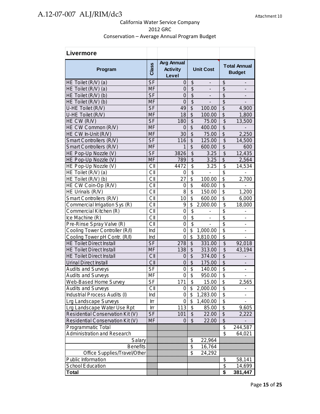| Livermore                        |                          |                                               |                           |                              |                                      |                                      |
|----------------------------------|--------------------------|-----------------------------------------------|---------------------------|------------------------------|--------------------------------------|--------------------------------------|
| Program                          | Class                    | <b>Avg Annual</b><br><b>Activity</b><br>Level | <b>Unit Cost</b>          |                              |                                      | <b>Total Annual</b><br><b>Budget</b> |
| HE Toilet (R/V) (a)              | <b>SF</b>                | 0                                             | \$                        | $\qquad \qquad \blacksquare$ | $\frac{1}{2}$                        | $\overline{\phantom{a}}$             |
| HE Toilet (R/V) (a)              | MF                       | 0                                             | \$                        | $\qquad \qquad \blacksquare$ | $\frac{1}{2}$                        | $\overline{\phantom{a}}$             |
| HE Toilet (R/V) (b)              | <b>SF</b>                | $\overline{0}$                                | $\overline{\$}$           | $\blacksquare$               | $\overline{\mathcal{S}}$             | $\overline{\phantom{a}}$             |
| HE Toilet (R/V) (b)              | <b>MF</b>                | $\overline{0}$                                | $\overline{\$}$           | $\frac{1}{2}$                | $\overline{\$}$                      | $\overline{\phantom{a}}$             |
| U-HE Toilet (R/V)                | <b>SF</b>                | 49                                            | $\overline{\theta}$       | 100.00                       | $\overline{\$}$                      | 4,900                                |
| U-HE Toilet (R/V)                | <b>MF</b>                | 18                                            | \$                        | 100.00                       | \$                                   | 1,800                                |
| HE CW (R/V)                      | <b>SF</b>                | 180                                           | \$                        | 75.00                        | \$                                   | 13,500                               |
| HE CW Common (R/V)               | <b>MF</b>                | $\overline{0}$                                | $\overline{\mathcal{S}}$  | 400.00                       | $\boldsymbol{\mathsf{S}}$            | $\overline{\phantom{a}}$             |
| HE CW In-Unit (R/V)              | <b>MF</b>                | 30                                            | $\overline{\mathcal{S}}$  | 75.00                        | $\overline{\mathcal{S}}$             | 2,250                                |
| Smart Controllers (R/V)          | <b>SF</b>                | 116                                           | $\overline{\mathcal{S}}$  | 125.00                       | $\overline{\mathcal{S}}$             | 14,500                               |
| Smart Controllers (R/V)          | <b>MF</b>                | 1                                             | $\overline{\mathcal{S}}$  | 600.00                       | \$                                   | 600                                  |
| HE Pop-Up Nozzle (V)             | <b>SF</b>                | 3826                                          | \$                        | 3.25                         | $\frac{1}{2}$                        | 12,435                               |
| HE Pop-Up Nozzle (V)             | <b>MF</b>                | 789                                           | $\overline{\$}$           | 3.25                         | $\overline{\mathcal{G}}$             | 2,564                                |
| HE Pop-Up Nozzle (V)             | CII                      | 4472                                          | $\overline{\$}$           | 3.25                         | \$                                   | 14,534                               |
| HE Toilet (R/V) (a)              | CII                      | 0                                             | $\overline{\$}$           | $\frac{1}{2}$                | $\overline{\$}$                      | $\overline{\phantom{a}}$             |
| HE Toilet (R/V) (b)              | CII                      | 27                                            | $\overline{\mathbf{S}}$   | 100.00                       | $\overline{\mathfrak{s}}$            | 2,700                                |
| HE CW Coin-Op (R/V)              | CII                      | 0                                             | \$                        | 400.00                       | \$                                   | $\overline{\phantom{m}}$             |
| HE Urinals (R/V)                 | CII                      | 8                                             | \$                        | 150.00                       | $\overline{\mathcal{S}}$             | 1,200                                |
| Smart Controllers (R/V)          | СII                      | 10                                            | \$                        | 600.00                       | $\overline{\$}$                      | 6,000                                |
| Commercial Irrigation Sys (R)    | CII                      | 9                                             | \$                        | 2,000.00                     | \$                                   | 18,000                               |
| Commercial Kitchen (R)           | CII                      | 0                                             | \$                        | $\qquad \qquad \blacksquare$ | \$                                   | $\qquad \qquad \blacksquare$         |
| Ice Machine (R)                  | CII                      | $\mathbf 0$                                   | $\overline{\mathcal{G}}$  | $\blacksquare$               | $\overline{\boldsymbol{\mathsf{s}}}$ | $\qquad \qquad \blacksquare$         |
| Pre-Rinse Spray Valve (R)        | CII                      | $\overline{0}$                                | $\overline{\$}$           | $\overline{\phantom{0}}$     | $\overline{\$}$                      | $\overline{\phantom{0}}$             |
| Cooling Tower Controller (R/I)   | Ind                      | 0                                             | \$                        | 1,000.00                     | $\overline{\$}$                      | $\overline{\phantom{m}}$             |
| Cooling Tower pH Contr. (R/I)    | Ind                      | $\overline{0}$                                | $\overline{\mathfrak{s}}$ | 3,810.00                     | $\overline{\$}$                      | $\overline{a}$                       |
| <b>HE Toilet Direct Install</b>  | <b>SF</b>                | 278                                           | $\frac{1}{2}$             | 331.00                       | \$                                   | 92,018                               |
| <b>HE Toilet Direct Install</b>  | <b>MF</b>                | 138                                           | \$                        | 313.00                       | \$                                   | 43,194                               |
| <b>HE Toilet Direct Install</b>  | CII                      | $\mathbf 0$                                   | $\overline{\$}$           | 374.00                       | $\overline{\$}$                      |                                      |
| Urinal Direct Install            | CII                      | $\overline{0}$                                | \$                        | 175.00                       | $\overline{\mathcal{S}}$             |                                      |
| <b>Audits and Surveys</b>        | <b>SF</b>                | $\overline{0}$                                | $\overline{\mathcal{S}}$  | 140.00                       | $\overline{\$}$                      |                                      |
| <b>Audits and Surveys</b>        | MF                       | $\boldsymbol{0}$                              | \$                        | 950.00                       | \$                                   | $\qquad \qquad \blacksquare$         |
| Web-Based Home Survey            | $\overline{\mathsf{SF}}$ | 171                                           | $\overline{\$}$           | 15.00                        | $\overline{\$}$                      | 2,565                                |
| <b>Audits and Surveys</b>        | СII                      | 0                                             | \$                        | 2,000.00                     | \$                                   |                                      |
| Industrial Process Audits (I)    | Ind                      | 0                                             | \$                        | 1,283.00                     | $\overline{\$}$                      |                                      |
| Lrg Landscape Surveys            | Irr                      | 0                                             | \$                        | 1,400.00                     | $\overline{\$}$                      |                                      |
| Lrg Landscape Water Use Rpt      | Irr                      | 113                                           | \$                        | 85.00                        | \$                                   | 9,605                                |
| Residential Conservation Kit (V) | <b>SF</b>                | 101                                           | \$                        | 22.00                        | $\frac{1}{2}$                        | 2,222                                |
| Residential Conservation Kit (V) | MF                       | 0                                             | $\boldsymbol{\mathsf{S}}$ | 22.00                        | $\overline{\mathcal{S}}$             |                                      |
| <b>Programmatic Total</b>        |                          |                                               |                           |                              | \$                                   | 244,587                              |
| Administration and Research      |                          |                                               |                           |                              | $\mathfrak{S}$                       | 64,021                               |
| Salary                           |                          |                                               | \$                        | 22,964                       |                                      |                                      |
| <b>Benefits</b>                  |                          |                                               | \$                        | 16,764                       |                                      |                                      |
| Office Supplies/Travel/Other     |                          |                                               | \$                        | 24,292                       |                                      |                                      |
| Public Information               |                          |                                               |                           |                              | \$                                   | 58,141                               |
| School Education                 |                          |                                               |                           |                              | \$                                   | 14,699                               |
| <b>Total</b>                     |                          |                                               |                           |                              | \$                                   | 381,447                              |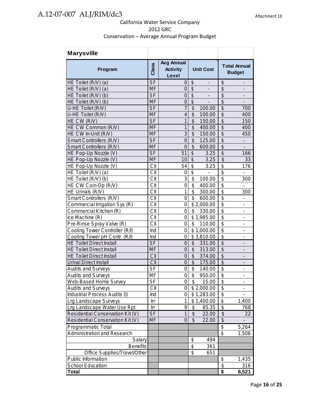| <b>Marysville</b>                  |              |                                               |                                                     |                                                           |
|------------------------------------|--------------|-----------------------------------------------|-----------------------------------------------------|-----------------------------------------------------------|
| Program                            | <b>Class</b> | <b>Avg Annual</b><br><b>Activity</b><br>Level | <b>Unit Cost</b>                                    | <b>Total Annual</b><br><b>Budget</b>                      |
| HE Toilet (R/V) (a)                | <b>SF</b>    | 0                                             | \$<br>-                                             | \$<br>$\overline{\phantom{a}}$                            |
| HE Toilet (R/V) (a)                | <b>MF</b>    | 0                                             | $\sqrt[6]{\frac{1}{2}}$<br>$\overline{\phantom{a}}$ | \$<br>$\overline{\phantom{a}}$                            |
| HE Toilet (R/V) (b)                | <b>SF</b>    | $\mathbf 0$                                   | $\overline{\$}$<br>$\frac{1}{2}$                    | $\overline{\mathcal{S}}$<br>$\overline{\phantom{a}}$      |
| HE Toilet (R/V) (b)                | <b>MF</b>    | $\mathbf 0$                                   | $\boldsymbol{\theta}$                               | \$                                                        |
| U-HE Toilet (R/V)                  | <b>SF</b>    | $\overline{7}$                                | $\boldsymbol{\mathsf{S}}$<br>100.00                 | $\overline{\mathcal{S}}$<br>700                           |
| U-HE Toilet (R/V)                  | <b>MF</b>    | $\overline{\mathbf{4}}$                       | \$<br>100.00                                        | \$<br>400                                                 |
| HE CW (R/V)                        | <b>SF</b>    | 1                                             | \$<br>150.00                                        | $\overline{\mathcal{S}}$<br>150                           |
| HE CW Common (R/V)                 | <b>MF</b>    | 1                                             | \$<br>400.00                                        | $\overline{\mathcal{S}}$<br>400                           |
| HE CW In-Unit (R/V)                | <b>MF</b>    | 3                                             | \$<br>150.00                                        | \$<br>450                                                 |
| Smart Controllers (R/V)            | $S$ F        | $\overline{0}$                                | $\overline{\mathcal{S}}$<br>125.00                  | $\overline{\$}$                                           |
| Smart Controllers (R/V)            | <b>MF</b>    | $\overline{0}$                                | $\overline{\mathcal{S}}$<br>600.00                  | $\overline{\mathcal{S}}$                                  |
| HE Pop-Up Nozzle (V)               | <b>SF</b>    | 51                                            | $\overline{\mathcal{S}}$<br>3.25                    | $\overline{\$}$<br>166                                    |
| HE Pop-Up Nozzle (V)               | <b>MF</b>    | 10                                            | $\boldsymbol{\mathsf{S}}$<br>3.25                   | $\overline{\mathcal{S}}$<br>33                            |
| HE Pop-Up Nozzle (V)               | CII          | 54                                            | \$<br>3.25                                          | \$<br>176                                                 |
| HE Toilet (R/V) (a)                | CII          | 0                                             | $\overline{\$}$<br>$\frac{1}{2}$                    | $\overline{\$}$<br>$\overline{\phantom{a}}$               |
| HE Toilet (R/V) (b)                | CII          | 3                                             | \$<br>100.00                                        | \$<br>300                                                 |
| HE CW Coin-Op (R/V)                | CII          | $\overline{0}$                                | \$<br>400.00                                        | $\overline{\mathbf{S}}$<br>$\overline{\phantom{0}}$       |
| HE Urinals (R/V)                   | СII          | 1                                             | \$<br>300.00                                        | \$<br>300                                                 |
| Smart Controllers (R/V)            | CII          | 0                                             | \$<br>600.00                                        | \$<br>$\overline{\phantom{a}}$                            |
| Commercial Irrigation Sys (R)      | CII          | 0                                             | \$2,000.00                                          | $\overline{\mathfrak{s}}$<br>$\qquad \qquad \blacksquare$ |
| Commercial Kitchen (R)             | CII          | 0                                             | \$<br>330.00                                        | \$<br>-                                                   |
| Ice Machine (R)                    | CII          | 0                                             | \$1,985.00                                          | \$<br>$\qquad \qquad \blacksquare$                        |
| Pre-Rinse Spray Valve (R)          | CII          | $\mathbf 0$                                   | \$<br>110.00                                        | \$<br>$\qquad \qquad \blacksquare$                        |
| Cooling Tower Controller (R/I)     | Ind          | $\mathbf 0$                                   | \$1,000.00                                          | $\overline{\mathbf{S}}$<br>$\qquad \qquad \blacksquare$   |
| Cooling Tower pH Contr. (R/I)      | Ind          | 0                                             | \$3,810.00                                          | $\overline{\$}$<br>$\overline{a}$                         |
| <b>HE Toilet Direct Install</b>    | <b>SF</b>    | $\mathbf 0$                                   | $\frac{1}{2}$<br>331.00                             | \$<br>$\qquad \qquad \blacksquare$                        |
| <b>HE Toilet Direct Install</b>    | <b>MF</b>    | $\mathbf 0$                                   | \$<br>313.00                                        | \$                                                        |
| <b>HE Toilet Direct Install</b>    | CII          | $\overline{0}$                                | \$<br>374.00                                        | $\overline{\mathcal{S}}$                                  |
| <b>Urinal Direct Install</b>       | CII          | $\overline{0}$                                | $\overline{\mathcal{S}}$<br>175.00                  | $\overline{\mathcal{S}}$                                  |
| <b>Audits and Surveys</b>          | $S_{F}$      | $\mathbf 0$                                   | $\overline{\mathcal{S}}$<br>140.00                  | $\overline{\mathbb{S}}$                                   |
| <b>Audits and Surveys</b>          | MF           | $\mathbf 0$                                   | $\overline{\mathcal{S}}$<br>950.00                  | \$<br>$\qquad \qquad \blacksquare$                        |
| Web-Based Home Survey              | $S_{F}$      | 0                                             | \$ 15.00                                            | $\frac{1}{2}$<br>$\overline{\phantom{a}}$                 |
| <b>Audits and Surveys</b>          | CII          | $\Omega$                                      | \$2,000.00                                          | \$                                                        |
| Industrial Process Audits (I)      | Ind          | 0                                             | \$1,283.00                                          | $\overline{\mathcal{C}}$                                  |
| <b>Lrg Landscape Surveys</b>       | Irr          | 1                                             | \$1,400.00                                          | $\overline{\$}$<br>1,400                                  |
| Lrg Landscape Water Use Rpt        | Irr          | 9                                             | \$<br>85.35                                         | $\overline{\$}$<br>768                                    |
| Residential Conservation Kit (V)   | <b>SF</b>    | 1                                             | \$<br>22.00                                         | $\boldsymbol{\theta}$<br>22                               |
| Residential Conservation Kit (V)   | MF           | $\overline{0}$                                | \$<br>22.00                                         | \$                                                        |
| <b>Programmatic Total</b>          |              |                                               |                                                     | \$<br>5,264                                               |
| <b>Administration and Research</b> |              |                                               |                                                     | \$<br>1,506                                               |
| Salary                             |              |                                               | \$<br>494                                           |                                                           |
| <b>Benefits</b>                    |              |                                               | \$<br>361                                           |                                                           |
| Office Supplies/Travel/Other       |              |                                               | \$<br>651                                           |                                                           |
| Public Information                 |              |                                               |                                                     | \$<br>1,435                                               |
| School Education                   |              |                                               |                                                     | \$<br>316                                                 |
| Total                              |              |                                               |                                                     | \$<br>8,521                                               |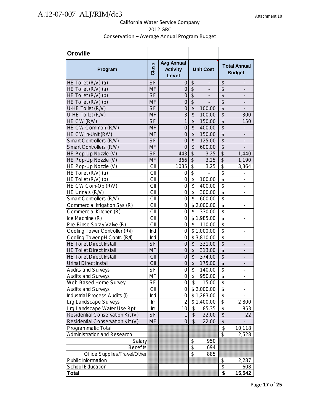| <b>Oroville</b>                  |                                   |                                               |                                                      |                                                          |
|----------------------------------|-----------------------------------|-----------------------------------------------|------------------------------------------------------|----------------------------------------------------------|
| Program                          | Class                             | <b>Avg Annual</b><br><b>Activity</b><br>Level | <b>Unit Cost</b>                                     | <b>Total Annual</b><br><b>Budget</b>                     |
| HE Toilet (R/V) (a)              | <b>SF</b>                         | 0                                             | \$<br>-                                              | \$<br>$\overline{\phantom{a}}$                           |
| HE Toilet (R/V) (a)              | <b>MF</b>                         | 0                                             | $\overline{\mathcal{S}}$<br>$\overline{\phantom{a}}$ | \$<br>$\overline{\phantom{a}}$                           |
| HE Toilet (R/V) (b)              | <b>SF</b>                         | $\overline{0}$                                | $\overline{\$}$<br>$\overline{\phantom{0}}$          | $\overline{\mathcal{S}}$<br>$\qquad \qquad \blacksquare$ |
| HE Toilet (R/V) (b)              | <b>MF</b>                         | $\mathbf 0$                                   | $\overline{\mathcal{S}}$                             | $\overline{\$}$                                          |
| U-HE Toilet (R/V)                | <b>SF</b>                         | $\overline{0}$                                | \$<br>100.00                                         | $\overline{\mathcal{S}}$                                 |
| U-HE Toilet (R/V)                | <b>MF</b>                         | 3                                             | \$<br>100.00                                         | \$<br>300                                                |
| HE CW (R/V)                      | S <sub>F</sub>                    | $\mathbf{1}$                                  | \$<br>150.00                                         | $\overline{\$}$<br>150                                   |
| HE CW Common (R/V)               | <b>MF</b>                         | $\overline{0}$                                | $\overline{\mathcal{S}}$<br>400.00                   | $\overline{\$}$                                          |
| HE CW In-Unit (R/V)              | <b>MF</b>                         | $\overline{0}$                                | $\overline{\$}$<br>150.00                            | $\overline{\$}$<br>$\overline{a}$                        |
| Smart Controllers (R/V)          | <b>SF</b>                         | $\overline{0}$                                | \$<br>125.00                                         | $\overline{\$}$<br>$\overline{\phantom{a}}$              |
| Smart Controllers (R/V)          | <b>MF</b>                         | $\overline{0}$                                | $\overline{\$}$<br>600.00                            | $\overline{\$}$<br>$\overline{a}$                        |
| HE Pop-Up Nozzle (V)             | <b>SF</b>                         | 443                                           | $\overline{\$}$<br>3.25                              | $\overline{\$}$<br>1,440                                 |
| HE Pop-Up Nozzle (V)             | MF                                | 366                                           | $\overline{\mathcal{L}}$<br>3.25                     | $\overline{\$}$<br>1,190                                 |
| HE Pop-Up Nozzle (V)             | CII                               | 1035                                          | \$<br>3.25                                           | \$<br>3,364                                              |
| HE Toilet (R/V) (a)              | CII                               | 0                                             | \$                                                   | \$<br>$\overline{a}$                                     |
| HE Toilet (R/V) (b)              | СII                               | 0                                             | \$<br>100.00                                         | \$<br>$\overline{\phantom{0}}$                           |
| HE CW Coin-Op (R/V)              | CII                               | 0                                             | \$<br>400.00                                         | \$<br>$\qquad \qquad \blacksquare$                       |
| HE Urinals (R/V)                 | CII                               | 0                                             | \$<br>300.00                                         | $\overline{\mathfrak{s}}$<br>$\overline{\phantom{m}}$    |
| Smart Controllers (R/V)          | CII                               | 0                                             | \$<br>600.00                                         | \$<br>$\qquad \qquad \blacksquare$                       |
| Commercial Irrigation Sys (R)    | CII                               | $\mathbf 0$                                   | $\overline{\$}$ 2,000.00                             | $\overline{\$}$<br>$\overline{\phantom{m}}$              |
| Commercial Kitchen (R)           | CII                               | 0                                             | \$<br>330.00                                         | $\overline{\$}$<br>$\overline{\phantom{0}}$              |
| Ice Machine (R)                  | $\overline{\text{C}}$ $\parallel$ | 0                                             | $\overline{\$}$ 1,985.00                             | $\overline{\$}$                                          |
| Pre-Rinse Spray Valve (R)        | CII                               | 0                                             | \$<br>110.00                                         | $\overline{\mathbf{S}}$<br>÷                             |
| Cooling Tower Controller (R/I)   | Ind                               | $\mathbf 0$                                   | $\overline{$}1,000.00$                               | $\overline{\$}$<br>÷,                                    |
| Cooling Tower pH Contr. (R/I)    | Ind                               | $\overline{0}$                                | \$3,810.00                                           | $\overline{\$}$<br>$\overline{\phantom{a}}$              |
| <b>HE Toilet Direct Install</b>  | S <sub>F</sub>                    | $\overline{0}$                                | \$<br>331.00                                         | $\overline{\$}$                                          |
| <b>HE Toilet Direct Install</b>  | <b>MF</b>                         | $\overline{0}$                                | \$<br>313.00                                         | $\overline{\$}$<br>$\overline{\phantom{a}}$              |
| <b>HE Toilet Direct Install</b>  | CII                               | $\mathsf 0$                                   | \$<br>374.00                                         | \$<br>$\overline{\phantom{a}}$                           |
| <b>Urinal Direct Install</b>     | CII                               | $\overline{0}$                                | $\overline{\mathcal{L}}$<br>175.00                   | $\overline{\$}$                                          |
| <b>Audits and Surveys</b>        | <b>SF</b>                         | 0                                             | \$<br>140.00                                         | $\overline{\mathfrak{s}}$<br>$\overline{a}$              |
| <b>Audits and Surveys</b>        | <b>MF</b>                         | 0                                             | \$<br>950.00                                         | $\overline{\mathfrak{s}}$<br>$\overline{\phantom{a}}$    |
| Web-Based Home Survey            | SF                                | 0                                             | \$<br>15.00                                          | \$                                                       |
| <b>Audits and Surveys</b>        | CII                               | 0                                             | \$2,000.00                                           | \$                                                       |
| Industrial Process Audits (I)    | Ind                               | 0                                             | \$1,283.00                                           | \$                                                       |
| Lrg Landscape Surveys            | Irr                               | $\overline{2}$                                | \$1,400.00                                           | \$<br>2,800                                              |
| Lrg Landscape Water Use Rpt      | Irr                               | 10                                            | \$<br>85.35                                          | \$<br>853                                                |
| Residential Conservation Kit (V) | <b>SF</b>                         | $\mathbf{1}$                                  | $\boldsymbol{\$}$<br>22.00                           | \$<br>22                                                 |
| Residential Conservation Kit (V) | <b>MF</b>                         | $\mathbf 0$                                   | $\boldsymbol{\mathsf{S}}$<br>22.00                   | $\overline{\mathbf{e}}$                                  |
| Programmatic Total               |                                   |                                               |                                                      | \$<br>10,118                                             |
| Administration and Research      |                                   |                                               |                                                      | $\overline{\mathcal{S}}$<br>2,528                        |
| Salary                           |                                   |                                               | \$<br>950                                            |                                                          |
| <b>Benefits</b>                  |                                   |                                               | $\overline{\$}$<br>694                               |                                                          |
| Office Supplies/Travel/Other     |                                   |                                               | \$<br>885                                            |                                                          |
| Public Information               |                                   |                                               |                                                      | \$<br>2,287                                              |
| School Education                 |                                   |                                               |                                                      | $\overline{\$}$<br>608                                   |
| <b>Total</b>                     |                                   |                                               |                                                      | \$<br>15,542                                             |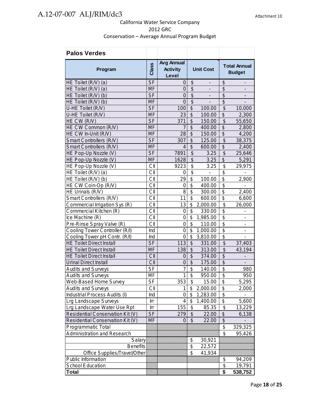| <b>Palos Verdes</b>                                      |                          |                                        |                          |                              |                                      |                              |
|----------------------------------------------------------|--------------------------|----------------------------------------|--------------------------|------------------------------|--------------------------------------|------------------------------|
| Program                                                  | Class                    | Avg Annual<br><b>Activity</b><br>Level | <b>Unit Cost</b>         |                              | <b>Total Annual</b><br><b>Budget</b> |                              |
| HE Toilet (R/V) (a)                                      | <b>SF</b>                | 0                                      | \$                       |                              | \$                                   | -                            |
| HE Toilet (R/V) (a)                                      | <b>MF</b>                | 0                                      | $\overline{\$}$          | $\overline{\phantom{0}}$     | \$                                   | -                            |
| HE Toilet (R/V) (b)                                      | <b>SF</b>                | 0                                      | $\overline{\mathcal{G}}$ | $\qquad \qquad \blacksquare$ | \$                                   | -                            |
| HE Toilet (R/V) (b)                                      | <b>MF</b>                | $\overline{0}$                         | $\overline{\$}$          | $\overline{\phantom{0}}$     | \$                                   |                              |
| U-HE Toilet (R/V)                                        | <b>SF</b>                | 100                                    | $\overline{\mathcal{G}}$ | 100.00                       | $\frac{1}{2}$                        | 10,000                       |
| U-HE Toilet (R/V)                                        | <b>MF</b>                | 23                                     | $\overline{\mathcal{S}}$ | 100.00                       | \$                                   | 2,300                        |
| HE CW (R/V)                                              | <b>SF</b>                | 371                                    | $\overline{\mathcal{S}}$ | 150.00                       | $\boldsymbol{\theta}$                | 55,650                       |
| HE CW Common (R/V)                                       | <b>MF</b>                | $\overline{7}$                         | \$                       | 400.00                       | \$                                   | 2,800                        |
| HE CW In-Unit (R/V)                                      | <b>MF</b>                | 28                                     | \$                       | 150.00                       | $\overline{\mathcal{S}}$             | 4,200                        |
| Smart Controllers (R/V)                                  | <b>SF</b>                | 307                                    | \$                       | 125.00                       | \$                                   | 38,375                       |
| Smart Controllers (R/V)                                  | <b>MF</b>                | $\overline{4}$                         | $\overline{\mathcal{S}}$ | 600.00                       | \$                                   | 2,400                        |
| HE Pop-Up Nozzle (V)                                     | <b>SF</b>                | 7891                                   | $\overline{\mathcal{S}}$ | 3.25                         | $\overline{\mathcal{L}}$             | 25,646                       |
| HE Pop-Up Nozzle (V)                                     | <b>MF</b>                | 1628                                   | \$                       | 3.25                         | \$                                   | 5,291                        |
| HE Pop-Up Nozzle (V)                                     | CII                      | 9223                                   | \$                       | 3.25                         | \$                                   | 29,975                       |
| HE Toilet (R/V) (a)                                      | CII                      | 0                                      | $\overline{\$}$          |                              | $\overline{\mathbb{S}}$              |                              |
| HE Toilet (R/V) (b)                                      | СII                      | 29                                     | $\overline{\mathcal{S}}$ | 100.00                       | $\overline{\$}$                      | 2,900                        |
| HE CW Coin-Op (R/V)                                      | CII                      | 0                                      | $\overline{\$}$          | 400.00                       | $\overline{\$}$                      | $\overline{\phantom{0}}$     |
| HE Urinals (R/V)                                         | CII                      | 8                                      | \$                       | 300.00                       | \$                                   | 2,400                        |
| Smart Controllers (R/V)                                  | CII                      | 11                                     | \$                       | 600.00                       | \$                                   | 6,600                        |
| Commercial Irrigation Sys (R)                            | CII                      | 13                                     | \$                       | 2,000.00                     | \$                                   | 26,000                       |
| Commercial Kitchen (R)                                   | СII                      | 0                                      | \$                       | 330.00                       | \$                                   | -                            |
| Ice Machine (R)                                          | CII                      | $\mathbf 0$                            | \$                       | 1,985.00                     | $\overline{\$}$                      | $\qquad \qquad \blacksquare$ |
| Pre-Rinse Spray Valve (R)                                | CII                      | 0                                      | \$                       | 110.00                       | \$                                   | $\qquad \qquad \blacksquare$ |
| Cooling Tower Controller (R/I)                           | Ind                      | $\mathbf 0$                            | \$                       | 1,000.00                     | $\overline{\mathcal{S}}$             | $\qquad \qquad \blacksquare$ |
| Cooling Tower pH Contr. (R/I)                            | Ind                      | $\overline{0}$                         | \$                       | 3,810.00                     | $\overline{\mathbf{S}}$              | Ĭ.                           |
| <b>HE Toilet Direct Install</b>                          | <b>SF</b>                | 113                                    | \$                       | 331.00                       | $\boldsymbol{\$}$                    | 37,403                       |
| <b>HE Toilet Direct Install</b>                          | <b>MF</b>                | 138                                    | \$                       | 313.00                       | \$                                   | 43,194                       |
| <b>HE Toilet Direct Install</b>                          | CII                      | $\mathbf 0$                            | \$                       | 374.00                       | \$                                   |                              |
| <b>Urinal Direct Install</b>                             | CII                      | $\mathbf 0$                            | $\overline{\mathcal{S}}$ | 175.00                       | $\overline{\mathcal{G}}$             |                              |
| <b>Audits and Surveys</b>                                | $\overline{\mathsf{SF}}$ | 7                                      | $\overline{\mathcal{S}}$ | 140.00                       | $\overline{\mathfrak{s}}$            | 980                          |
| <b>Audits and Surveys</b>                                | MF                       | 1                                      | \$                       | 950.00                       | \$                                   | 950                          |
| Web-Based Home Survey                                    | $\overline{\mathsf{SF}}$ | 353                                    | $\overline{\mathbf{3}}$  | 15.00                        | $\overline{\mathbf{e}}$              | 5,295                        |
| <b>Audits and Surveys</b>                                | CII                      |                                        | \$                       | 2,000.00                     | \$                                   | 2,000                        |
| Industrial Process Audits (I)                            | Ind                      | 0                                      | \$                       | 1,283.00                     | $\overline{\$}$                      |                              |
| Lrg Landscape Surveys                                    | Irr                      | 4                                      | \$                       | 1,400.00                     | $\overline{\$}$                      | 5,600                        |
| Lrg Landscape Water Use Rpt                              | Irr                      | 155                                    | \$                       | 85.35                        | $\frac{1}{2}$                        | 13,229                       |
| Residential Conservation Kit (V)                         | <b>SF</b>                | 279                                    | \$                       | 22.00                        | $\frac{1}{2}$                        | 6,138                        |
| Residential Conservation Kit (V)                         | <b>MF</b>                | 0                                      | \$                       | 22.00                        | $\overline{\mathcal{L}}$             |                              |
|                                                          |                          |                                        |                          |                              | \$                                   |                              |
| Programmatic Total<br><b>Administration and Research</b> |                          |                                        |                          |                              | \$                                   | 329,325<br>95,426            |
|                                                          |                          |                                        |                          |                              |                                      |                              |
| Salary                                                   |                          |                                        | \$<br>\$                 | 30,921                       |                                      |                              |
| <b>Benefits</b><br>Office Supplies/Travel/Other          |                          |                                        | $\overline{\mathcal{S}}$ | 22,572<br>41,934             |                                      |                              |
| Public Information                                       |                          |                                        |                          |                              |                                      |                              |
| School Education                                         |                          |                                        |                          |                              | \$<br>\$                             | 94,209<br>19,791             |
| <b>Total</b>                                             |                          |                                        |                          |                              | \$                                   |                              |
|                                                          |                          |                                        |                          |                              |                                      | 538,752                      |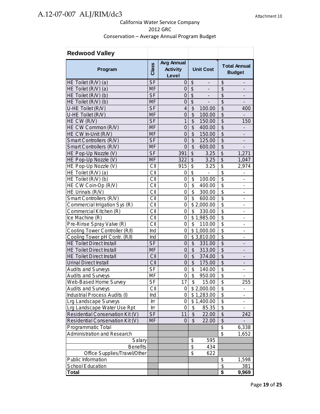| <b>Redwood Valley</b>              |                |                                               |                           |                          |                           |                                      |
|------------------------------------|----------------|-----------------------------------------------|---------------------------|--------------------------|---------------------------|--------------------------------------|
| Program                            | Class          | <b>Avg Annual</b><br><b>Activity</b><br>Level |                           | <b>Unit Cost</b>         |                           | <b>Total Annual</b><br><b>Budget</b> |
| HE Toilet (R/V) (a)                | <b>SF</b>      | 0                                             | \$                        | $\overline{\phantom{m}}$ | \$                        | $\overline{\phantom{a}}$             |
| HE Toilet (R/V) (a)                | <b>MF</b>      | 0                                             | $\overline{\mathcal{S}}$  | $\blacksquare$           | \$                        |                                      |
| HE Toilet (R/V) (b)                | <b>SF</b>      | $\overline{0}$                                | $\overline{\$}$           | $\blacksquare$           | $\overline{\mathcal{G}}$  |                                      |
| HE Toilet (R/V) (b)                | <b>MF</b>      | $\mathbf 0$                                   | $\overline{\mathcal{S}}$  |                          | $\overline{\mathcal{S}}$  |                                      |
| U-HE Toilet (R/V)                  | <b>SF</b>      | 4                                             | \$                        | 100.00                   | \$                        | 400                                  |
| U-HE Toilet (R/V)                  | <b>MF</b>      | $\overline{0}$                                | \$                        | 100.00                   | $\overline{\mathcal{G}}$  |                                      |
| HE CW (R/V)                        | <b>SF</b>      | 1                                             | \$                        | 150.00                   | $\overline{\mathcal{G}}$  | 150                                  |
| HE CW Common (R/V)                 | <b>MF</b>      | $\overline{0}$                                | \$                        | 400.00                   | $\overline{\mathcal{G}}$  |                                      |
| HE CW In-Unit (R/V)                | <b>MF</b>      | $\overline{0}$                                | $\overline{\mathcal{S}}$  | 150.00                   | $\overline{\$}$           |                                      |
| Smart Controllers (R/V)            | <b>SF</b>      | $\overline{0}$                                | \$                        | 125.00                   | $\overline{\mathcal{G}}$  |                                      |
| Smart Controllers (R/V)            | <b>MF</b>      | $\overline{0}$                                | $\overline{\$}$           | 600.00                   | $\overline{\$}$           |                                      |
| HE Pop-Up Nozzle (V)               | <b>SF</b>      | 391                                           | $\overline{\$}$           | 3.25                     | $\overline{\$}$           | 1,271                                |
| HE Pop-Up Nozzle (V)               | <b>MF</b>      | 322                                           | $\boldsymbol{\mathsf{S}}$ | 3.25                     | $\overline{\$}$           | 1,047                                |
| HE Pop-Up Nozzle (V)               | CII            | 915                                           | \$                        | 3.25                     | \$                        | 2,974                                |
| HE Toilet (R/V) (a)                | CII            | 0                                             | \$                        | $\blacksquare$           | $\overline{\$}$           | $\overline{\phantom{a}}$             |
| HE Toilet (R/V) (b)                | CII            | 0                                             | \$                        | 100.00                   | $\overline{\$}$           | $\overline{\phantom{0}}$             |
| HE CW Coin-Op (R/V)                | CII            | 0                                             | \$                        | 400.00                   | \$                        | $\qquad \qquad \blacksquare$         |
| HE Urinals (R/V)                   | CII            | 0                                             | \$                        | 300.00                   | $\overline{\mathfrak{s}}$ | $\qquad \qquad \blacksquare$         |
| Smart Controllers (R/V)            | CII            | 0                                             | \$                        | 600.00                   | \$                        | $\qquad \qquad \blacksquare$         |
| Commercial Irrigation Sys (R)      | CII            | 0                                             |                           | \$2,000.00               | \$                        | $\overline{\phantom{a}}$             |
| Commercial Kitchen (R)             | CII            | 0                                             | \$                        | 330.00                   | $\overline{\$}$           | $\overline{\phantom{a}}$             |
| Ice Machine (R)                    | CII            | 0                                             |                           | \$1,985.00               | $\overline{\$}$           | $\blacksquare$                       |
| Pre-Rinse Spray Valve (R)          | CII            | 0                                             | \$                        | 110.00                   | $\overline{\$}$           | Ĭ.                                   |
| Cooling Tower Controller (R/I)     | Ind            | 0                                             |                           | \$1,000.00               | $\overline{\mathfrak{s}}$ |                                      |
| Cooling Tower pH Contr. (R/I)      | Ind            | 0                                             |                           | \$3,810.00               | \$                        | L.                                   |
| <b>HE Toilet Direct Install</b>    | <b>SF</b>      | $\mathbf 0$                                   | \$                        | 331.00                   | \$                        |                                      |
| <b>HE Toilet Direct Install</b>    | <b>MF</b>      | $\overline{0}$                                | $\overline{\mathcal{S}}$  | 313.00                   | $\overline{\$}$           |                                      |
| <b>HE Toilet Direct Install</b>    | CII            | $\overline{0}$                                | $\overline{\mathcal{S}}$  | 374.00                   | $\overline{\$}$           |                                      |
| <b>Urinal Direct Install</b>       | CII            | $\overline{0}$                                | \$                        | 175.00                   | $\overline{\mathcal{S}}$  |                                      |
| <b>Audits and Surveys</b>          | <b>SF</b>      | 0                                             | \$                        | 140.00                   | $\overline{\mathfrak{s}}$ |                                      |
| <b>Audits and Surveys</b>          | MF             | 0                                             | $\overline{\mathbf{S}}$   | 950.00                   | $\overline{\mathfrak{s}}$ |                                      |
| Web-Based Home Survey              | S <sub>F</sub> | $1$ / $ $                                     | \$                        | 15.00                    | ሖ<br>Ф                    | 255                                  |
| <b>Audits and Surveys</b>          | СII            | 0                                             |                           | \$2,000.00               | \$                        |                                      |
| Industrial Process Audits (I)      | Ind            | 0                                             |                           | \$1,283.00               | \$                        | $\overline{a}$                       |
| Lrg Landscape Surveys              | Irr            | 0                                             |                           | \$1,400.00               | $\overline{\mathcal{G}}$  | $\qquad \qquad \blacksquare$         |
| Lrg Landscape Water Use Rpt        | Irr            | 0                                             | \$                        | 85.35                    | \$                        | ٠                                    |
| Residential Conservation Kit (V)   | <b>SF</b>      | 11                                            | \$                        | 22.00                    | \$                        | 242                                  |
| Residential Conservation Kit (V)   | <b>MF</b>      | 0                                             | \$                        | 22.00                    | \$                        |                                      |
| Programmatic Total                 |                |                                               |                           |                          | \$                        | 6,338                                |
| <b>Administration and Research</b> |                |                                               |                           |                          | $\overline{\mathcal{S}}$  | 1,652                                |
| Salary                             |                |                                               | \$                        | 595                      |                           |                                      |
| <b>Benefits</b>                    |                |                                               | \$                        | 434                      |                           |                                      |
| Office Supplies/Travel/Other       |                |                                               | \$                        | 622                      |                           |                                      |
| Public Information                 |                |                                               |                           |                          | \$                        | 1,598                                |
| <b>School Education</b>            |                |                                               |                           |                          | \$                        | 381                                  |
| Total                              |                |                                               |                           |                          | \$                        | 9,969                                |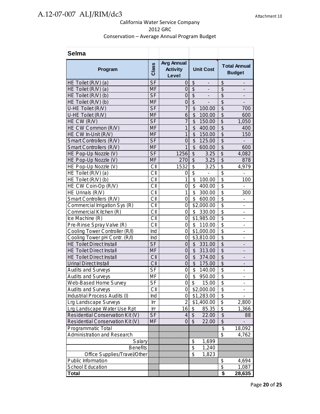| <b>Selma</b>                     |           |                                               |                                    |                                                      |
|----------------------------------|-----------|-----------------------------------------------|------------------------------------|------------------------------------------------------|
| Program                          | Class     | <b>Avg Annual</b><br><b>Activity</b><br>Level | <b>Unit Cost</b>                   | <b>Total Annual</b><br><b>Budget</b>                 |
| HE Toilet (R/V) (a)              | <b>SF</b> | 0                                             | \$<br>$\overline{\phantom{0}}$     | \$<br>$\qquad \qquad \blacksquare$                   |
| HE Toilet (R/V) (a)              | <b>MF</b> | 0                                             | \$                                 | \$                                                   |
| HE Toilet (R/V) (b)              | <b>SF</b> | $\overline{0}$                                | \$                                 | $\overline{\mathcal{S}}$                             |
| HE Toilet (R/V) (b)              | <b>MF</b> | $\mathbf 0$                                   | \$                                 | $\overline{\mathcal{G}}$                             |
| U-HE Toilet (R/V)                | <b>SF</b> | $\overline{7}$                                | \$<br>100.00                       | $\overline{\$}$<br>700                               |
| U-HE Toilet (R/V)                | <b>MF</b> | 6                                             | $\overline{\mathcal{S}}$<br>100.00 | $\overline{\$}$<br>600                               |
| HE CW (R/V)                      | <b>SF</b> | $\overline{7}$                                | \$<br>150.00                       | $\overline{\mathcal{G}}$<br>1,050                    |
| HE CW Common (R/V)               | <b>MF</b> | $\mathbf{1}$                                  | \$<br>400.00                       | $\overline{\$}$<br>400                               |
| HE CW In-Unit (R/V)              | <b>MF</b> | $\mathbf{1}$                                  | \$<br>150.00                       | $\overline{\$}$<br>150                               |
| Smart Controllers (R/V)          | <b>SF</b> | $\overline{0}$                                | \$<br>125.00                       | $\overline{\$}$                                      |
| Smart Controllers (R/V)          | <b>MF</b> | $\mathbf{1}$                                  | \$<br>600.00                       | $\overline{\$}$<br>600                               |
| HE Pop-Up Nozzle (V)             | <b>SF</b> | 1256                                          | \$<br>3.25                         | \$<br>4,082                                          |
| HE Pop-Up Nozzle (V)             | <b>MF</b> | 270                                           | \$<br>3.25                         | $\overline{\mathcal{G}}$<br>878                      |
| HE Pop-Up Nozzle (V)             | CII       | 1532                                          | \$<br>3.25                         | \$<br>4,979                                          |
| HE Toilet (R/V) (a)              | CII       | 0                                             | \$                                 | $\overline{\$}$                                      |
| HE Toilet (R/V) (b)              | CII       | 1                                             | \$<br>100.00                       | $\overline{\mathcal{S}}$<br>100                      |
| HE CW Coin-Op (R/V)              | CII       | 0                                             | $\overline{\mathbf{S}}$<br>400.00  | $\overline{\$}$<br>$\overline{\phantom{a}}$          |
| HE Urinals (R/V)                 | CII       | $\mathbf{1}$                                  | \$<br>300.00                       | $\overline{\$}$<br>300                               |
| Smart Controllers (R/V)          | CII       | 0                                             | \$<br>600.00                       | $\overline{\$}$<br>÷,                                |
| Commercial Irrigation Sys (R)    | CII       | 0                                             | \$2,000.00                         | $\overline{\$}$<br>Ĭ.                                |
| Commercial Kitchen (R)           | CII       | 0                                             | \$<br>330.00                       | $\overline{\mathcal{E}}$<br>$\overline{\phantom{0}}$ |
| Ice Machine (R)                  | СII       | 0                                             | \$1,985.00                         | $\overline{\$}$                                      |
| Pre-Rinse Spray Valve (R)        | CII       | 0                                             | \$<br>110.00                       | $\overline{\$}$<br>$\overline{\phantom{0}}$          |
| Cooling Tower Controller (R/I)   | Ind       | 0                                             | \$1,000.00                         | $\overline{\$}$<br>$\qquad \qquad \blacksquare$      |
| Cooling Tower pH Contr. (R/I)    | Ind       | 0                                             | \$3,810.00                         | $\overline{\$}$<br>Ĭ.                                |
| <b>HE Toilet Direct Install</b>  | <b>SF</b> | 0                                             | \$<br>331.00                       | $\overline{\$}$<br>$\overline{a}$                    |
| <b>HE Toilet Direct Install</b>  | <b>MF</b> | $\overline{0}$                                | \$<br>313.00                       | $\overline{\$}$                                      |
| <b>HE Toilet Direct Install</b>  | CII       | $\overline{0}$                                | \$<br>374.00                       | $\overline{\$}$<br>$\overline{\phantom{a}}$          |
| <b>Urinal Direct Install</b>     | CII       | $\mathbf 0$                                   | \$<br>175.00                       | \$<br>$\overline{a}$                                 |
| <b>Audits and Surveys</b>        | <b>SF</b> | 0                                             | \$<br>140.00                       | \$<br>-                                              |
| <b>Audits and Surveys</b>        | MF        | $\overline{0}$                                | \$<br>950.00                       | \$<br>$\overline{\phantom{m}}$                       |
| Web-Based Home Survey            | SF        | 0                                             | \$<br>15.00                        | \$<br>$\blacksquare$                                 |
| <b>Audits and Surveys</b>        | CII       | 0                                             | \$2,000.00                         | \$                                                   |
| Industrial Process Audits (I)    | Ind       | $\overline{0}$                                | \$1,283.00                         | $\overline{\mathcal{L}}$                             |
| <b>Lrg Landscape Surveys</b>     | Irr       | $\overline{2}$                                | \$1,400.00                         | $\frac{1}{2}$<br>2,800                               |
| Lrg Landscape Water Use Rpt      | Irr       | 16                                            | \$<br>85.35                        | $\overline{\$}$<br>1,366                             |
| Residential Conservation Kit (V) | <b>SF</b> | $\vert 4 \vert$                               | $\boldsymbol{\theta}$<br>22.00     | $\overline{\mathcal{G}}$<br>88                       |
| Residential Conservation Kit (V) | <b>MF</b> | $\overline{0}$                                | $\boldsymbol{\mathsf{S}}$<br>22.00 | $\overline{\mathcal{G}}$<br>$\overline{a}$           |
| Programmatic Total               |           |                                               |                                    | \$<br>18,092                                         |
| Administration and Research      |           |                                               |                                    | \$<br>4,762                                          |
| Salary                           |           |                                               | \$<br>1,699                        |                                                      |
| <b>Benefits</b>                  |           |                                               | \$<br>1,240                        |                                                      |
| Office Supplies/Travel/Other     |           |                                               | \$<br>1,823                        |                                                      |
| Public Information               |           |                                               |                                    | \$<br>4,694                                          |
| School Education                 |           |                                               |                                    | \$<br>1,087                                          |
| Total                            |           |                                               |                                    | \$<br>28,635                                         |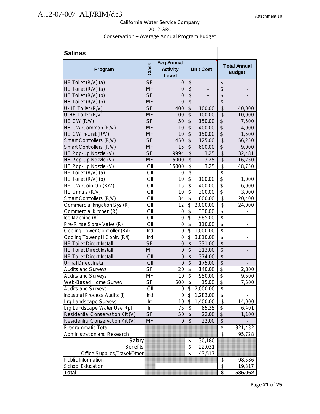| <b>Salinas</b>                     |                |                                               |                           |                              |                                        |                          |
|------------------------------------|----------------|-----------------------------------------------|---------------------------|------------------------------|----------------------------------------|--------------------------|
| Program                            | Class          | <b>Avg Annual</b><br><b>Activity</b><br>Level | <b>Unit Cost</b>          |                              | <b>Total Annual</b><br><b>Budget</b>   |                          |
| HE Toilet (R/V) (a)                | <b>SF</b>      | 0                                             | \$                        |                              | \$                                     |                          |
| HE Toilet (R/V) (a)                | <b>MF</b>      | 0                                             | \$                        |                              | \$                                     |                          |
| HE Toilet (R/V) (b)                | S <sub>F</sub> | 0                                             | $\overline{\mathcal{G}}$  |                              | $\overline{\mathcal{S}}$               |                          |
| HE Toilet (R/V) (b)                | <b>MF</b>      | $\overline{0}$                                | $\overline{\mathcal{S}}$  |                              | $\overline{\mathcal{S}}$               |                          |
| U-HE Toilet (R/V)                  | S <sub>F</sub> | 400                                           | $\overline{\mathcal{S}}$  | 100.00                       | $\overline{\mathcal{S}}$               | 40,000                   |
| U-HE Toilet (R/V)                  | <b>MF</b>      | 100                                           | \$                        | 100.00                       | \$                                     | 10,000                   |
| HE CW (R/V)                        | <b>SF</b>      | 50                                            | $\overline{\mathcal{S}}$  | 150.00                       | $\overline{\$}$                        | 7,500                    |
| HE CW Common (R/V)                 | <b>MF</b>      | 10                                            | $\overline{\$}$           | 400.00                       | $\overline{\$}$                        | 4,000                    |
| HE CW In-Unit (R/V)                | <b>MF</b>      | 10                                            | \$                        | 150.00                       | $\overline{\mathcal{S}}$               | 1,500                    |
| Smart Controllers (R/V)            | <b>SF</b>      | 450                                           | $\overline{\$}$           | 125.00                       | $\overline{\$}$                        | 56,250                   |
| Smart Controllers (R/V)            | <b>MF</b>      | 15                                            | \$                        | 600.00                       | \$                                     | 9,000                    |
| HE Pop-Up Nozzle (V)               | <b>SF</b>      | 9994                                          | \$                        | 3.25                         | $\overline{\mathcal{S}}$               | 32,481                   |
| HE Pop-Up Nozzle (V)               | <b>MF</b>      | 5000                                          | \$                        | 3.25                         | $\overline{\mathcal{S}}$               | 16,250                   |
| HE Pop-Up Nozzle (V)               | CII            | 15000                                         | \$                        | 3.25                         | \$                                     | 48,750                   |
| HE Toilet (R/V) (a)                | CII            | 0                                             | \$                        | $\qquad \qquad \blacksquare$ | \$                                     |                          |
| HE Toilet (R/V) (b)                | CII            | 10                                            | \$                        | 100.00                       | \$                                     | 1,000                    |
| HE CW Coin-Op (R/V)                | CII            | 15                                            | \$                        | 400.00                       | $\overline{\mathcal{S}}$               | 6,000                    |
| HE Urinals (R/V)                   | CII            | 10                                            | \$                        | 300.00                       | $\overline{\mathcal{S}}$               | 3,000                    |
| Smart Controllers (R/V)            | CII            | 34                                            | $\overline{\mathbb{S}}$   | 600.00                       | $\overline{\boldsymbol{\mathfrak{s}}}$ | 20,400                   |
| Commercial Irrigation Sys (R)      | CII            | 12                                            | \$                        | 2,000.00                     | \$                                     | 24,000                   |
| Commercial Kitchen (R)             | CII            | $\mathbf 0$                                   | $\overline{\mathfrak{s}}$ | 330.00                       | $\overline{\mathfrak{s}}$              |                          |
| Ice Machine (R)                    | CII            | $\mathbf 0$                                   | \$                        | 1,985.00                     | $\overline{\mathbb{S}}$                |                          |
| Pre-Rinse Spray Valve (R)          | CII            | $\mathbf 0$                                   | \$                        | 110.00                       | \$                                     | $\overline{\phantom{0}}$ |
| Cooling Tower Controller (R/I)     | Ind            | $\mathbf 0$                                   | \$                        | 1,000.00                     | $\overline{\mathbb{S}}$                |                          |
| Cooling Tower pH Contr. (R/I)      | Ind            | 0                                             | \$                        | 3,810.00                     | $\overline{\mathbb{S}}$                | $\overline{\phantom{a}}$ |
| <b>HE Toilet Direct Install</b>    | <b>SF</b>      | $\mathbf 0$                                   | \$                        | 331.00                       | $\overline{\mathcal{S}}$               | $\overline{\phantom{0}}$ |
| <b>HE Toilet Direct Install</b>    | <b>MF</b>      | $\overline{0}$                                | $\overline{\mathcal{S}}$  | 313.00                       | $\overline{\$}$                        | ÷                        |
| <b>HE Toilet Direct Install</b>    | CII            | $\overline{0}$                                | $\overline{\$}$           | 374.00                       | $\overline{\$}$                        |                          |
| <b>Urinal Direct Install</b>       | CII            | $\overline{0}$                                | $\overline{\mathcal{S}}$  | 175.00                       | \$                                     |                          |
| <b>Audits and Surveys</b>          | <b>SF</b>      | 20                                            | \$                        | 140.00                       | \$                                     | 2,800                    |
| <b>Audits and Surveys</b>          | MF             | 10                                            | \$                        | 950.00                       | \$                                     | 9,500                    |
| Web-Based Home Survey              | SF             | 500                                           | \$                        | 15.00                        | \$                                     | 7,500                    |
| <b>Audits and Surveys</b>          | CII            | 0                                             | \$                        | 2,000.00                     | \$                                     |                          |
| Industrial Process Audits (I)      | Ind            | 0                                             | \$                        | 1,283.00                     | \$                                     |                          |
| Lrg Landscape Surveys              | Irr            | 10                                            | \$                        | 1,400.00                     | \$                                     | 14,000                   |
| Lrg Landscape Water Use Rpt        | Irr            | 75                                            | \$                        | 85.35                        | \$                                     | 6,401                    |
| Residential Conservation Kit (V)   | <b>SF</b>      | 50                                            | $\sqrt[6]{\frac{1}{2}}$   | 22.00                        | $\overline{\mathcal{S}}$               | 1,100                    |
| Residential Conservation Kit (V)   | <b>MF</b>      | $\Omega$                                      | $\mathfrak{S}$            | 22.00                        | $\overline{\mathcal{S}}$               |                          |
| Programmatic Total                 |                |                                               |                           |                              | \$                                     | 321,432                  |
| <b>Administration and Research</b> |                |                                               |                           |                              | $\overline{\mathbf{S}}$                | 95,728                   |
| Salary                             |                |                                               | \$                        | 30,180                       |                                        |                          |
| <b>Benefits</b>                    |                |                                               | \$                        | 22,031                       |                                        |                          |
| Office Supplies/Travel/Other       |                |                                               | \$                        | 43,517                       |                                        |                          |
| Public Information                 |                |                                               |                           |                              | \$                                     | 98,586                   |
| <b>School Education</b>            |                |                                               |                           |                              | \$                                     | 19,317                   |
| <b>Total</b>                       |                |                                               |                           |                              | \$                                     | 535,062                  |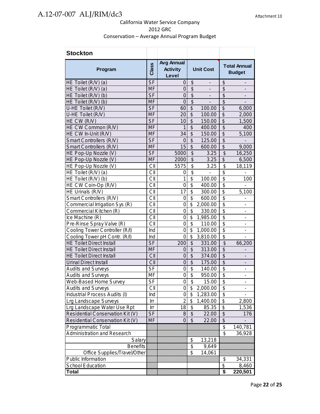| <b>Stockton</b>                    |                  |                                        |                                        |                          |                          |                                      |
|------------------------------------|------------------|----------------------------------------|----------------------------------------|--------------------------|--------------------------|--------------------------------------|
| Program                            | Class            | Avg Annual<br><b>Activity</b><br>Level | <b>Unit Cost</b>                       |                          |                          | <b>Total Annual</b><br><b>Budget</b> |
| HE Toilet (R/V) (a)                | <b>SF</b>        | 0                                      | \$                                     | -                        | \$                       | $\overline{\phantom{a}}$             |
| HE Toilet (R/V) (a)                | <b>MF</b>        | $\overline{0}$                         | $\overline{\$}$                        | $\overline{\phantom{0}}$ | \$                       | $\overline{\phantom{a}}$             |
| HE Toilet (R/V) (b)                | <b>SF</b>        | $\overline{0}$                         | $\overline{\$}$                        | $\overline{\phantom{0}}$ | $\overline{\$}$          | $\overline{\phantom{a}}$             |
| HE Toilet (R/V) (b)                | <b>MF</b>        | $\Omega$                               | $\overline{\mathcal{S}}$               |                          | \$                       |                                      |
| U-HE Toilet (R/V)                  | <b>SF</b>        | 60                                     | $\overline{\mathcal{S}}$               | 100.00                   | $\overline{\$}$          | 6,000                                |
| U-HE Toilet (R/V)                  | <b>MF</b>        | 20                                     | \$                                     | 100.00                   | $\overline{\mathcal{S}}$ | 2,000                                |
| HE CW (R/V)                        | <b>SF</b>        | 10                                     | $\overline{\mathcal{S}}$               | 150.00                   | $\overline{\mathcal{L}}$ | 1,500                                |
| HE CW Common (R/V)                 | <b>MF</b>        | 1                                      | $\overline{\mathcal{S}}$               | 400.00                   | $\overline{\mathcal{G}}$ | 400                                  |
| HE CW In-Unit (R/V)                | <b>MF</b>        | 34                                     | \$                                     | 150.00                   | $\overline{\mathcal{S}}$ | 5,100                                |
| Smart Controllers (R/V)            | <b>SF</b>        | $\overline{0}$                         | $\overline{\$}$                        | 125.00                   | $\overline{\$}$          |                                      |
| Smart Controllers (R/V)            | <b>MF</b>        | 15                                     | \$                                     | 600.00                   | $\overline{\mathcal{L}}$ | 9,000                                |
| HE Pop-Up Nozzle (V)               | <b>SF</b>        | 5000                                   | $\overline{\mathcal{S}}$               | 3.25                     | \$                       | 16,250                               |
| HE Pop-Up Nozzle (V)               | <b>MF</b>        | 2000                                   | $\overline{\$}$                        | 3.25                     | $\overline{\$}$          | 6,500                                |
| HE Pop-Up Nozzle (V)               | CII              | 5575                                   | $\overline{\$}$                        | 3.25                     | $\overline{\mathcal{S}}$ | 18,119                               |
| HE Toilet (R/V) (a)                | CII              | 0                                      | $\overline{\$}$                        | $\overline{a}$           | $\overline{\$}$          | $\overline{a}$                       |
| HE Toilet (R/V) (b)                | CII              | 1                                      | $\overline{\boldsymbol{\mathfrak{s}}}$ | 100.00                   | $\overline{\$}$          | 100                                  |
| HE CW Coin-Op (R/V)                | CII              | $\overline{0}$                         | \$                                     | 400.00                   | $\overline{\$}$          |                                      |
| HE Urinals (R/V)                   | CII              | 17                                     | \$                                     | 300.00                   | $\overline{\$}$          | 5,100                                |
| Smart Controllers (R/V)            | CII              | 0                                      | \$                                     | 600.00                   | $\overline{\mathbf{S}}$  | -                                    |
| Commercial Irrigation Sys (R)      | CII              | $\mathbf 0$                            | \$                                     | 2,000.00                 | $\overline{\$}$          | $\qquad \qquad \blacksquare$         |
| Commercial Kitchen (R)             | CII              | 0                                      | \$                                     | 330.00                   | \$                       | $\overline{\phantom{a}}$             |
| Ice Machine (R)                    | CII              | 0                                      | \$                                     | 1,985.00                 | $\overline{\$}$          | $\overline{\phantom{a}}$             |
| Pre-Rinse Spray Valve (R)          | CII              | $\overline{0}$                         | \$                                     | 110.00                   | $\overline{\mathbf{S}}$  | $\overline{\phantom{a}}$             |
| Cooling Tower Controller (R/I)     | Ind              | $\overline{0}$                         | \$                                     | 1,000.00                 | $\overline{\$}$          | $\overline{\phantom{0}}$             |
| Cooling Tower pH Contr. (R/I)      | Ind              | $\overline{0}$                         | $\overline{\mathcal{S}}$               | 3,810.00                 | $\overline{\$}$          |                                      |
| <b>HE Toilet Direct Install</b>    | <b>SF</b>        | 200                                    | \$                                     | 331.00                   | $\overline{\theta}$      | 66,200                               |
| <b>HE Toilet Direct Install</b>    | <b>MF</b>        | $\overline{0}$                         | $\overline{\mathcal{S}}$               | 313.00                   | $\overline{\mathcal{S}}$ |                                      |
| <b>HE Toilet Direct Install</b>    | CII              | $\overline{0}$                         | $\overline{\mathcal{S}}$               | 374.00                   | $\overline{\mathcal{S}}$ |                                      |
| <b>Urinal Direct Install</b>       | CII              | $\overline{0}$                         | $\overline{\mathcal{S}}$               | 175.00                   | $\overline{\mathcal{S}}$ |                                      |
| <b>Audits and Surveys</b>          | <b>SF</b>        | $\mathbf 0$                            | $\overline{\mathcal{S}}$               | 140.00                   | $\overline{\$}$          |                                      |
| <b>Audits and Surveys</b>          | MF               | 0                                      | $\overline{\mathcal{E}}$               | 950.00                   | \$                       | $\overline{a}$                       |
| Web-Based Home Survey              | $S_{\mathsf{F}}$ | $\overline{0}$                         | $\overline{\$}$                        | 15.00                    | $\overline{\$}$          |                                      |
| <b>Audits and Surveys</b>          | CII              | 0                                      | \$                                     | 2,000.00                 | \$                       |                                      |
| Industrial Process Audits (I)      | Ind              | 0                                      | \$                                     | 1,283.00                 | $\overline{\mathcal{L}}$ |                                      |
| Lrg Landscape Surveys              | Irr              | $\overline{c}$                         | \$                                     | 1,400.00                 | $\overline{\$}$          | 2,800                                |
| Lrg Landscape Water Use Rpt        | Irr              | 18                                     | \$                                     | 85.35                    | $\overline{\$}$          | 1,536                                |
| Residential Conservation Kit (V)   | <b>SF</b>        | 8                                      | \$                                     | 22.00                    | \$                       | 176                                  |
| Residential Conservation Kit (V)   | MF               | $\overline{0}$                         | \$                                     | 22.00                    | $\overline{\mathcal{G}}$ |                                      |
| Programmatic Total                 |                  |                                        |                                        |                          | \$                       | 140,781                              |
| <b>Administration and Research</b> |                  |                                        |                                        |                          | \$                       | 36,928                               |
| Salary                             |                  |                                        | \$                                     | 13,218                   |                          |                                      |
| <b>Benefits</b>                    |                  |                                        | \$                                     | 9,649                    |                          |                                      |
| Office Supplies/Travel/Other       |                  |                                        | \$                                     | 14,061                   |                          |                                      |
| Public Information                 |                  |                                        |                                        |                          | \$                       | 34,331                               |
| School Education                   |                  |                                        |                                        |                          | \$                       | 8,460                                |
| Total                              |                  |                                        |                                        |                          | \$                       | 220,501                              |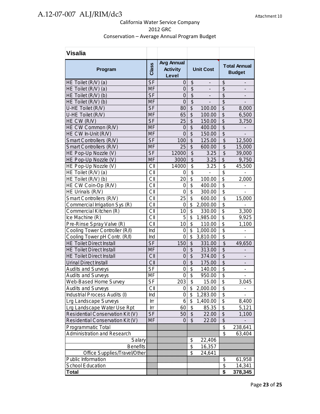| <b>Visalia</b>                   |                          |                                               |                                        |                          |                                      |                              |
|----------------------------------|--------------------------|-----------------------------------------------|----------------------------------------|--------------------------|--------------------------------------|------------------------------|
| Program                          | Class                    | <b>Avg Annual</b><br><b>Activity</b><br>Level | <b>Unit Cost</b>                       |                          | <b>Total Annual</b><br><b>Budget</b> |                              |
| HE Toilet (R/V) (a)              | <b>SF</b>                | 0                                             | $\boldsymbol{\theta}$                  | -                        | \$                                   | $\qquad \qquad \blacksquare$ |
| HE Toilet (R/V) (a)              | <b>MF</b>                | $\mathbf 0$                                   | $\overline{\$}$                        | $\overline{\phantom{0}}$ | \$                                   | $\overline{\phantom{a}}$     |
| HE Toilet (R/V) (b)              | <b>SF</b>                | $\overline{0}$                                | $\overline{\$}$                        | $\overline{\phantom{0}}$ | $\overline{\mathcal{S}}$             |                              |
| HE Toilet (R/V) (b)              | <b>MF</b>                | $\overline{0}$                                | $\overline{\$}$                        |                          | $\overline{\$}$                      |                              |
| U-HE Toilet (R/V)                | <b>SF</b>                | 80                                            | $\overline{\mathcal{S}}$               | 100.00                   | $\overline{\mathcal{G}}$             | 8,000                        |
| U-HE Toilet (R/V)                | <b>MF</b>                | 65                                            | \$                                     | 100.00                   | \$                                   | 6,500                        |
| HE CW (R/V)                      | $S$ F                    | 25                                            | $\overline{\mathcal{S}}$               | 150.00                   | $\overline{\mathcal{G}}$             | 3,750                        |
| HE CW Common (R/V)               | <b>MF</b>                | $\overline{0}$                                | $\overline{\mathcal{S}}$               | 400.00                   | $\overline{\mathcal{S}}$             |                              |
| HE CW In-Unit (R/V)              | <b>MF</b>                | $\overline{0}$                                | $\overline{\$}$                        | 150.00                   | $\overline{\$}$                      |                              |
| Smart Controllers (R/V)          | <b>SF</b>                | 100                                           | \$                                     | 125.00                   | $\frac{1}{2}$                        | 12,500                       |
| Smart Controllers (R/V)          | <b>MF</b>                | 25                                            | \$                                     | 600.00                   | \$                                   | 15,000                       |
| HE Pop-Up Nozzle (V)             | <b>SF</b>                | 12000                                         | $\overline{\mathcal{S}}$               | 3.25                     | $\overline{\mathcal{S}}$             | 39,000                       |
| HE Pop-Up Nozzle (V)             | <b>MF</b>                | 3000                                          | $\overline{\$}$                        | 3.25                     | $\overline{\$}$                      | 9,750                        |
| HE Pop-Up Nozzle (V)             | CII                      | 14000                                         | $\overline{\mathfrak{s}}$              | 3.25                     | \$                                   | 45,500                       |
| HE Toilet (R/V) (a)              | CII                      | 0                                             | $\overline{\mathbf{s}}$                | -                        | $\overline{\mathbf{S}}$              |                              |
| HE Toilet (R/V) (b)              | CII                      | 20                                            | \$                                     | 100.00                   | \$                                   | 2,000                        |
| HE CW Coin-Op (R/V)              | CII                      | 0                                             | $\overline{\boldsymbol{\mathfrak{s}}}$ | 400.00                   | $\overline{\$}$                      |                              |
| HE Urinals (R/V)                 | CII                      | $\overline{0}$                                | \$                                     | 300.00                   | $\overline{\mathbf{S}}$              |                              |
| Smart Controllers (R/V)          | CII                      | 25                                            | \$                                     | 600.00                   | \$                                   | 15,000                       |
| Commercial Irrigation Sys (R)    | CII                      | 0                                             | \$                                     | 2,000.00                 | \$                                   |                              |
| Commercial Kitchen (R)           | CII                      | 10                                            | \$                                     | 330.00                   | \$                                   | 3,300                        |
| Ice Machine (R)                  | CII                      | 5                                             | \$                                     | 1,985.00                 | $\overline{\$}$                      | 9,925                        |
| Pre-Rinse Spray Valve (R)        | CII                      | 10                                            | \$                                     | 110.00                   | $\overline{\mathcal{L}}$             | 1,100                        |
| Cooling Tower Controller (R/I)   | Ind                      | $\mathbf 0$                                   | \$                                     | 1,000.00                 | $\overline{\$}$                      |                              |
| Cooling Tower pH Contr. (R/I)    | Ind                      | $\overline{0}$                                | \$                                     | 3,810.00                 | $\overline{\mathbf{S}}$              | $\overline{a}$               |
| <b>HE Toilet Direct Install</b>  | <b>SF</b>                | 150                                           | \$                                     | 331.00                   | \$                                   | 49,650                       |
| <b>HE Toilet Direct Install</b>  | MF                       | $\mathbf 0$                                   | \$                                     | 313.00                   | \$                                   |                              |
| <b>HE Toilet Direct Install</b>  | CII                      | $\overline{0}$                                | $\overline{\mathcal{S}}$               | 374.00                   | $\overline{\$}$                      |                              |
| <b>Urinal Direct Install</b>     | CII                      | $\overline{0}$                                | $\overline{\$}$                        | 175.00                   | $\overline{\$}$                      |                              |
| <b>Audits and Surveys</b>        | <b>SF</b>                | 0                                             | \$                                     | 140.00                   | \$                                   | $\qquad \qquad \blacksquare$ |
| <b>Audits and Surveys</b>        | MF                       | $\pmb{0}$                                     | \$                                     | 950.00                   | \$                                   | $\overline{\phantom{0}}$     |
| Web-Based Home Survey            | $\overline{\mathsf{SF}}$ | 203                                           | $\overline{\$}$                        | 15.00                    | $\overline{\mathcal{E}}$             | 3,045                        |
| <b>Audits and Surveys</b>        | СII                      | 0                                             | \$                                     | 2,000.00                 | \$                                   |                              |
| Industrial Process Audits (I)    | Ind                      | 0                                             | \$                                     | 1,283.00                 | $\overline{\$}$                      |                              |
| Lrg Landscape Surveys            | Irr                      | 6                                             | \$                                     | 1,400.00                 | \$                                   | 8,400                        |
| Lrg Landscape Water Use Rpt      | Irr                      | 60                                            | \$                                     | 85.35                    | \$                                   | 5,121                        |
| Residential Conservation Kit (V) | <b>SF</b>                | 50                                            | \$                                     | 22.00                    | $\boldsymbol{\theta}$                | 1,100                        |
| Residential Conservation Kit (V) | MF                       | 0                                             | \$                                     | 22.00                    | $\overline{\$}$                      |                              |
| Programmatic Total               |                          |                                               |                                        |                          | $\frac{1}{2}$                        | 238,641                      |
| Administration and Research      |                          |                                               |                                        |                          | \$                                   | 63,404                       |
| Salary                           |                          |                                               | \$                                     | 22,406                   |                                      |                              |
| <b>Benefits</b>                  |                          |                                               | \$                                     | 16,357                   |                                      |                              |
| Office Supplies/Travel/Other     |                          |                                               | \$                                     | 24,641                   |                                      |                              |
| Public Information               |                          |                                               |                                        |                          |                                      |                              |
| School Education                 |                          |                                               |                                        |                          | \$<br>\$                             | 61,958<br>14,341             |
| Total                            |                          |                                               |                                        |                          | \$                                   | 378,345                      |
|                                  |                          |                                               |                                        |                          |                                      |                              |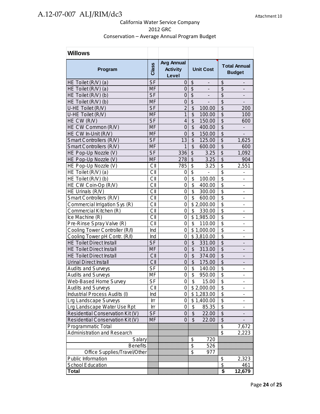| <b>Willows</b>                   |                |                                               |                                                           |                                                           |
|----------------------------------|----------------|-----------------------------------------------|-----------------------------------------------------------|-----------------------------------------------------------|
| Program                          | Class          | <b>Avg Annual</b><br><b>Activity</b><br>Level | <b>Unit Cost</b>                                          | <b>Total Annual</b><br><b>Budget</b>                      |
| HE Toilet (R/V) (a)              | <b>SF</b>      | 0                                             | \$<br>-                                                   | \$<br>-                                                   |
| HE Toilet (R/V) (a)              | <b>MF</b>      | 0                                             | $\boldsymbol{\mathsf{S}}$<br>$\qquad \qquad \blacksquare$ | \$<br>-                                                   |
| HE Toilet (R/V) (b)              | <b>SF</b>      | 0                                             | \$<br>$\qquad \qquad \blacksquare$                        | \$<br>-                                                   |
| HE Toilet (R/V) (b)              | <b>MF</b>      | $\mathbf 0$                                   | \$<br>$\overline{\phantom{0}}$                            | $\overline{\$}$<br>$\overline{\phantom{a}}$               |
| U-HE Toilet (R/V)                | S <sub>F</sub> | $\overline{2}$                                | $\overline{\$}$<br>100.00                                 | $\overline{\$}$<br>200                                    |
| U-HE Toilet (R/V)                | <b>MF</b>      | $\mathbf{1}$                                  | $\overline{\mathcal{S}}$<br>100.00                        | $\overline{\$}$<br>100                                    |
| HE CW (R/V)                      | <b>SF</b>      | 4                                             | \$<br>150.00                                              | $\overline{\$}$<br>600                                    |
| HE CW Common (R/V)               | <b>MF</b>      | $\overline{0}$                                | \$<br>400.00                                              | $\overline{\mathcal{S}}$                                  |
| HE CW In-Unit (R/V)              | <b>MF</b>      | $\overline{0}$                                | \$<br>150.00                                              | $\overline{\mathcal{G}}$                                  |
| Smart Controllers (R/V)          | <b>SF</b>      | 13                                            | \$<br>125.00                                              | $\overline{\mathcal{L}}$<br>1,625                         |
| Smart Controllers (R/V)          | <b>MF</b>      | 1                                             | $\overline{\mathcal{S}}$<br>600.00                        | $\overline{\mathcal{S}}$<br>600                           |
| HE Pop-Up Nozzle (V)             | S <sub>F</sub> | 336                                           | \$<br>3.25                                                | $\overline{\$}$<br>1,092                                  |
| HE Pop-Up Nozzle (V)             | <b>MF</b>      | 278                                           | \$<br>3.25                                                | $\overline{\mathcal{S}}$<br>904                           |
| HE Pop-Up Nozzle (V)             | CII            | 785                                           | \$<br>3.25                                                | \$<br>2,551                                               |
| HE Toilet (R/V) (a)              | CII            | 0                                             | $\overline{\$}$                                           | $\overline{\$}$<br>$\overline{\phantom{0}}$               |
| HE Toilet (R/V) (b)              | CII            | $\overline{0}$                                | $\overline{\boldsymbol{\mathsf{S}}}$<br>100.00            | $\overline{\$}$<br>$\overline{\phantom{0}}$               |
| HE CW Coin-Op (R/V)              | CII            | $\mathsf{O}\xspace$                           | $\overline{\mathbf{S}}$<br>400.00                         | $\overline{\$}$<br>$\overline{a}$                         |
| HE Urinals (R/V)                 | CII            | $\mathbf 0$                                   | \$<br>300.00                                              | $\overline{\$}$<br>$\overline{\phantom{0}}$               |
| Smart Controllers (R/V)          | CII            | $\overline{0}$                                | \$<br>600.00                                              | $\overline{\$}$<br>$\overline{\phantom{0}}$               |
| Commercial Irrigation Sys (R)    | CII            | $\overline{0}$                                | \$2,000.00                                                | $\overline{\$}$<br>$\qquad \qquad \blacksquare$           |
| Commercial Kitchen (R)           | CII            | 0                                             | \$<br>330.00                                              | $\overline{\$}$<br>-                                      |
| Ice Machine (R)                  | CII            | 0                                             | \$1,985.00                                                | $\overline{\mathbf{S}}$<br>-                              |
| Pre-Rinse Spray Valve (R)        | CII            | 0                                             | \$<br>110.00                                              | $\overline{\mathfrak{s}}$<br>-                            |
| Cooling Tower Controller (R/I)   | Ind            | 0                                             | \$1,000.00                                                | \$<br>-                                                   |
| Cooling Tower pH Contr. (R/I)    | Ind            | 0                                             | \$3,810.00                                                | \$<br>$\overline{\phantom{0}}$                            |
| <b>HE Toilet Direct Install</b>  | <b>SF</b>      | 0                                             | \$<br>331.00                                              | \$<br>$\overline{\phantom{0}}$                            |
| <b>HE Toilet Direct Install</b>  | <b>MF</b>      | $\mathbf 0$                                   | $\overline{\mathcal{E}}$<br>313.00                        | $\overline{\mathcal{S}}$<br>$\qquad \qquad \blacksquare$  |
| <b>HE Toilet Direct Install</b>  | CII            | $\mathbf 0$                                   | $\frac{1}{2}$<br>374.00                                   | $\overline{\mathcal{G}}$                                  |
| <b>Urinal Direct Install</b>     | CII            | $\mathbf 0$                                   | $\frac{1}{2}$<br>175.00                                   | $\overline{\$}$                                           |
| <b>Audits and Surveys</b>        | <b>SF</b>      | $\mathbf 0$                                   | \$<br>140.00                                              | \$<br>$\overline{\phantom{a}}$                            |
| <b>Audits and Surveys</b>        | <b>MF</b>      | 0                                             | \$<br>950.00                                              | $\overline{\mathfrak{s}}$<br>$\qquad \qquad \blacksquare$ |
| Web-Based Home Survey            | S <sub>F</sub> | $\overline{0}$                                | \$<br>15.00                                               | \$                                                        |
| <b>Audits and Surveys</b>        | CII            | 0                                             | \$2,000.00                                                | \$                                                        |
| Industrial Process Audits (I)    | Ind            | 0                                             | \$1,283.00                                                | $\overline{\mathbf{S}}$                                   |
| <b>Lrg Landscape Surveys</b>     | Irr            | 0                                             | \$1,400.00                                                | $\overline{\mathbf{S}}$                                   |
| Lrg Landscape Water Use Rpt      | Irr            | 0                                             | \$<br>85.35                                               | $\overline{\mathcal{S}}$                                  |
| Residential Conservation Kit (V) | <b>SF</b>      | 0                                             | \$<br>22.00                                               | $\overline{\$}$                                           |
| Residential Conservation Kit (V) | <b>MF</b>      | $\overline{0}$                                | $\overline{\mathcal{S}}$<br>22.00                         | $\overline{\$}$                                           |
| Programmatic Total               |                |                                               |                                                           | $\frac{1}{2}$<br>7,672                                    |
| Administration and Research      |                |                                               |                                                           | $\overline{\$}$<br>2,223                                  |
| Salary                           |                |                                               | \$<br>720                                                 |                                                           |
| <b>Benefits</b>                  |                |                                               | \$<br>526                                                 |                                                           |
| Office Supplies/Travel/Other     |                |                                               | \$<br>977                                                 |                                                           |
| Public Information               |                |                                               |                                                           | \$<br>2,323                                               |
| School Education                 |                |                                               |                                                           | \$<br>461                                                 |
| <b>Total</b>                     |                |                                               |                                                           | \$<br>12,679                                              |
|                                  |                |                                               |                                                           |                                                           |